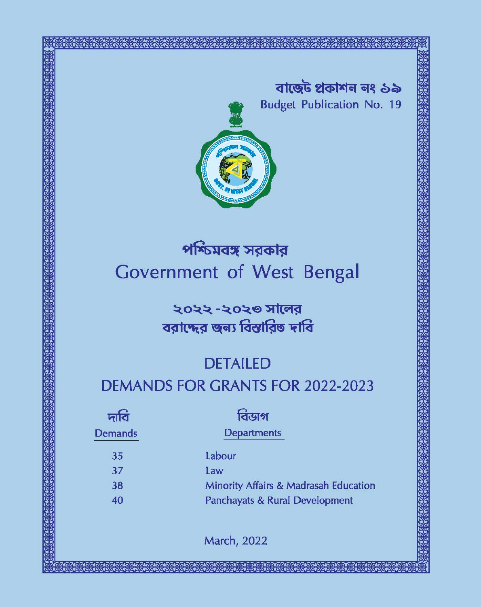বাৰ্জেট প্ৰকাশন নং ১৯ **Budget Publication No. 19** 



# পশ্চিমবঙ্গ সরকার Government of West Bengal

২০২২ -২০২৩ সালের বরাদ্দের জন্য বিস্তারিত দাবি

## **DETAILED**

## **DEMANDS FOR GRANTS FOR 2022-2023**

| দাব            | বিডাগ                                 |
|----------------|---------------------------------------|
| <b>Demands</b> | Departments                           |
| 35             | Labour                                |
| 37             | Law                                   |
| 38             | Minority Affairs & Madrasah Education |
| 40             | Panchayats & Rural Development        |
|                |                                       |

**March, 2022**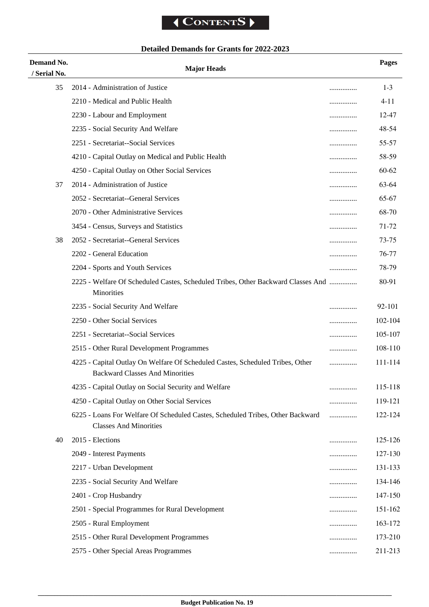### **Detailed Demands for Grants for 2022-2023**

| Demand No.         | <b>Major Heads</b>                                                                                                      |       | Pages    |
|--------------------|-------------------------------------------------------------------------------------------------------------------------|-------|----------|
| / Serial No.<br>35 | 2014 - Administration of Justice                                                                                        |       | $1 - 3$  |
|                    | 2210 - Medical and Public Health                                                                                        | <br>. | $4 - 11$ |
|                    | 2230 - Labour and Employment                                                                                            |       | 12-47    |
|                    | 2235 - Social Security And Welfare                                                                                      |       | 48-54    |
|                    | 2251 - Secretariat--Social Services                                                                                     | .     | 55-57    |
|                    | 4210 - Capital Outlay on Medical and Public Health                                                                      |       | 58-59    |
|                    | 4250 - Capital Outlay on Other Social Services                                                                          | .     | 60-62    |
| 37                 | 2014 - Administration of Justice                                                                                        |       | 63-64    |
|                    | 2052 - Secretariat--General Services                                                                                    | .     | 65-67    |
|                    | 2070 - Other Administrative Services                                                                                    | .     | 68-70    |
|                    | 3454 - Census, Surveys and Statistics                                                                                   |       | 71-72    |
| 38                 | 2052 - Secretariat--General Services                                                                                    |       | 73-75    |
|                    | 2202 - General Education                                                                                                |       | 76-77    |
|                    | 2204 - Sports and Youth Services                                                                                        |       | 78-79    |
|                    | 2225 - Welfare Of Scheduled Castes, Scheduled Tribes, Other Backward Classes And<br>Minorities                          |       | 80-91    |
|                    | 2235 - Social Security And Welfare                                                                                      | .     | 92-101   |
|                    | 2250 - Other Social Services                                                                                            | .     | 102-104  |
|                    | 2251 - Secretariat--Social Services                                                                                     | .     | 105-107  |
|                    | 2515 - Other Rural Development Programmes                                                                               |       | 108-110  |
|                    | 4225 - Capital Outlay On Welfare Of Scheduled Castes, Scheduled Tribes, Other<br><b>Backward Classes And Minorities</b> |       | 111-114  |
|                    | 4235 - Capital Outlay on Social Security and Welfare                                                                    |       | 115-118  |
|                    | 4250 - Capital Outlay on Other Social Services                                                                          |       | 119-121  |
|                    | 6225 - Loans For Welfare Of Scheduled Castes, Scheduled Tribes, Other Backward<br><b>Classes And Minorities</b>         | .     | 122-124  |
| 40                 | 2015 - Elections                                                                                                        |       | 125-126  |
|                    | 2049 - Interest Payments                                                                                                |       | 127-130  |
|                    | 2217 - Urban Development                                                                                                |       | 131-133  |
|                    | 2235 - Social Security And Welfare                                                                                      |       | 134-146  |
|                    | 2401 - Crop Husbandry                                                                                                   |       | 147-150  |
|                    | 2501 - Special Programmes for Rural Development                                                                         |       | 151-162  |
|                    | 2505 - Rural Employment                                                                                                 |       | 163-172  |
|                    | 2515 - Other Rural Development Programmes                                                                               | .     | 173-210  |
|                    | 2575 - Other Special Areas Programmes                                                                                   | .     | 211-213  |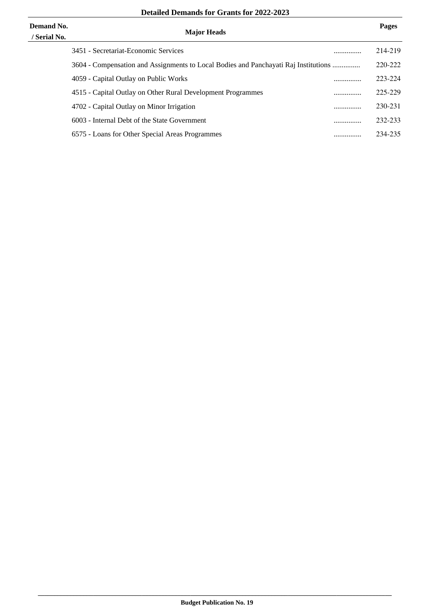| <b>Demand No.</b><br>/ Serial No. | <b>Major Heads</b>                                                                  |   | Pages   |
|-----------------------------------|-------------------------------------------------------------------------------------|---|---------|
|                                   | 3451 - Secretariat-Economic Services                                                | . | 214-219 |
|                                   | 3604 - Compensation and Assignments to Local Bodies and Panchayati Raj Institutions |   | 220-222 |
|                                   | 4059 - Capital Outlay on Public Works                                               |   | 223-224 |
|                                   | 4515 - Capital Outlay on Other Rural Development Programmes                         |   | 225-229 |
|                                   | 4702 - Capital Outlay on Minor Irrigation                                           |   | 230-231 |
|                                   | 6003 - Internal Debt of the State Government                                        | . | 232-233 |
|                                   | 6575 - Loans for Other Special Areas Programmes                                     |   | 234-235 |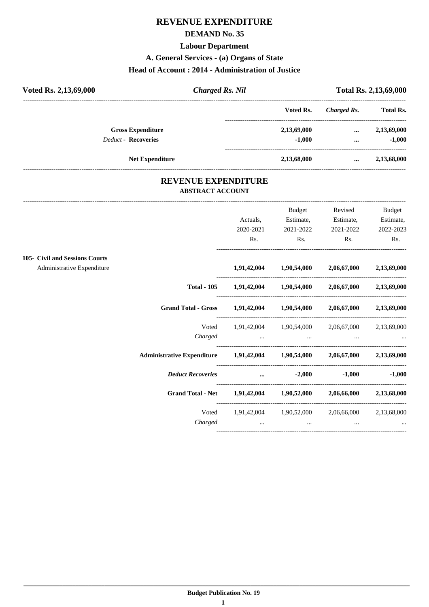#### **REVENUE EXPENDITURE**

#### **DEMAND No. 35**

#### **Labour Department**

**A. General Services - (a) Organs of State**

#### **Head of Account : 2014 - Administration of Justice**

| Voted Rs. 2,13,69,000      | <b>Charged Rs. Nil</b> |             | Total Rs. 2,13,69,000 |                  |  |
|----------------------------|------------------------|-------------|-----------------------|------------------|--|
|                            |                        | Voted Rs.   | Charged Rs.           | <b>Total Rs.</b> |  |
| <b>Gross Expenditure</b>   |                        | 2,13,69,000 | $\cdots$              | 2,13,69,000      |  |
| <b>Deduct - Recoveries</b> |                        | $-1,000$    | $\cdots$              | $-1,000$         |  |
| <b>Net Expenditure</b>     |                        | 2,13,68,000 | $\cdots$              | 2,13,68,000      |  |

#### **REVENUE EXPENDITURE ABSTRACT ACCOUNT**

---------------------------------------------------------------------------------------------------------------------------------------------------------------------------------

|                                                              |                                                                            | Actuals,<br>2020-2021<br>Rs. | <b>Budget</b><br>Estimate,<br>2021-2022<br>Rs. | Revised<br>Estimate,<br>2021-2022<br>Rs.                    | <b>Budget</b><br>Estimate,<br>2022-2023<br>Rs. |
|--------------------------------------------------------------|----------------------------------------------------------------------------|------------------------------|------------------------------------------------|-------------------------------------------------------------|------------------------------------------------|
| 105- Civil and Sessions Courts<br>Administrative Expenditure |                                                                            |                              |                                                | $1,91,42,004$ $1,90,54,000$ $2,06,67,000$ $2,13,69,000$     |                                                |
|                                                              |                                                                            |                              |                                                | Total - 105 1,91,42,004 1,90,54,000 2,06,67,000 2,13,69,000 |                                                |
|                                                              | Grand Total - Gross 1,91,42,004 1,90,54,000 2,06,67,000 2,13,69,000        |                              |                                                |                                                             |                                                |
|                                                              | Voted                                                                      |                              |                                                | 1,91,42,004 1,90,54,000 2,06,67,000 2,13,69,000             |                                                |
|                                                              | Administrative Expenditure 1,91,42,004 1,90,54,000 2,06,67,000 2,13,69,000 |                              |                                                |                                                             |                                                |
|                                                              | Deduct Recoveries  32,000                                                  |                              |                                                |                                                             | $-1,000$ $-1,000$                              |
|                                                              | Grand Total - Net 1,91,42,004 1,90,52,000 2,06,66,000 2,13,68,000          |                              |                                                |                                                             |                                                |
|                                                              | Voted<br>Charged                                                           | $\cdots$                     | $\cdots$                                       | 1,91,42,004 1,90,52,000 2,06,66,000 2,13,68,000<br>$\cdots$ |                                                |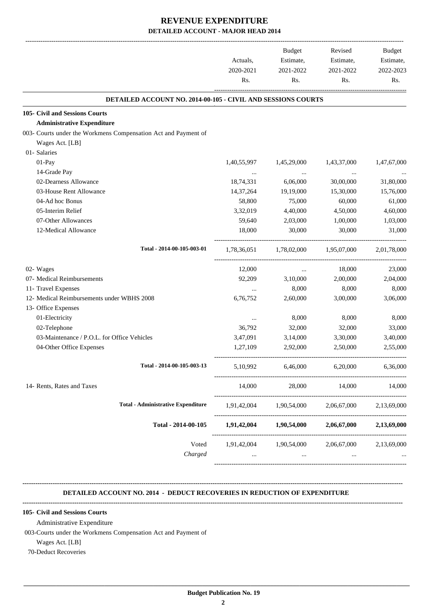|                                                                |             |                                     | Budget<br>Estimate,<br>Actuals,  | Revised<br>Estimate, | Budget<br>Estimate, |
|----------------------------------------------------------------|-------------|-------------------------------------|----------------------------------|----------------------|---------------------|
|                                                                | 2020-2021   | 2021-2022                           | 2021-2022                        | 2022-2023<br>Rs.     |                     |
|                                                                | Rs.         | Rs.                                 | Rs.                              |                      |                     |
| DETAILED ACCOUNT NO. 2014-00-105 - CIVIL AND SESSIONS COURTS   |             |                                     |                                  |                      |                     |
| 105- Civil and Sessions Courts                                 |             |                                     |                                  |                      |                     |
| <b>Administrative Expenditure</b>                              |             |                                     |                                  |                      |                     |
| 003- Courts under the Workmens Compensation Act and Payment of |             |                                     |                                  |                      |                     |
| Wages Act. [LB]                                                |             |                                     |                                  |                      |                     |
| 01- Salaries                                                   |             |                                     |                                  |                      |                     |
| 01-Pay                                                         | 1,40,55,997 | 1,45,29,000                         | 1,43,37,000                      | 1,47,67,000          |                     |
| 14-Grade Pay                                                   |             | $\cdots$                            |                                  |                      |                     |
| 02-Dearness Allowance                                          | 18,74,331   | 6,06,000                            | 30,00,000                        | 31,80,000            |                     |
| 03-House Rent Allowance                                        | 14,37,264   | 19,19,000                           | 15,30,000                        | 15,76,000            |                     |
| 04-Ad hoc Bonus                                                | 58,800      | 75,000                              | 60,000                           | 61,000               |                     |
| 05-Interim Relief                                              | 3,32,019    | 4,40,000                            | 4,50,000                         | 4,60,000             |                     |
| 07-Other Allowances                                            | 59,640      | 2,03,000                            | 1,00,000                         | 1,03,000             |                     |
| 12-Medical Allowance                                           | 18,000      | 30,000                              | 30,000                           | 31,000               |                     |
| Total - 2014-00-105-003-01                                     |             | 1,78,36,051 1,78,02,000 1,95,07,000 |                                  | 2,01,78,000          |                     |
| 02- Wages                                                      | 12,000      | $\cdots$                            | 18,000                           | 23,000               |                     |
| 07- Medical Reimbursements                                     | 92,209      | 3,10,000                            | 2,00,000                         | 2,04,000             |                     |
| 11- Travel Expenses                                            |             | 8,000                               | 8,000                            | 8,000                |                     |
| 12- Medical Reimbursements under WBHS 2008                     | 6,76,752    | 2,60,000                            | 3,00,000                         | 3,06,000             |                     |
| 13- Office Expenses                                            |             |                                     |                                  |                      |                     |
| 01-Electricity                                                 | $\cdots$    | 8,000                               | 8,000                            | 8,000                |                     |
| 02-Telephone                                                   | 36,792      | 32,000                              | 32,000                           | 33,000               |                     |
| 03-Maintenance / P.O.L. for Office Vehicles                    | 3,47,091    | 3,14,000                            | 3,30,000                         | 3,40,000             |                     |
| 04-Other Office Expenses                                       | 1,27,109    | 2,92,000                            | 2,50,000                         | 2,55,000             |                     |
| Total - 2014-00-105-003-13                                     | 5,10,992    | 6,46,000                            | 6,20,000                         | 6,36,000             |                     |
| 14- Rents, Rates and Taxes                                     | 14,000      |                                     | 28,000 14,000                    | 14,000               |                     |
| <b>Total - Administrative Expenditure</b>                      |             | 1,91,42,004 1,90,54,000             | 2,06,67,000                      | 2,13,69,000          |                     |
| Total - 2014-00-105                                            |             | 1,91,42,004 1,90,54,000             | 2,06,67,000                      | 2,13,69,000          |                     |
| Voted<br>Charged                                               | $\cdots$    | 1,91,42,004 1,90,54,000 2,06,67,000 | and the state of the<br>$\cdots$ | 2,13,69,000          |                     |
|                                                                |             |                                     |                                  |                      |                     |

#### **DETAILED ACCOUNT NO. 2014 - DEDUCT RECOVERIES IN REDUCTION OF EXPENDITURE**

**--------------------------------------------------------------------------------------------------------------------------------------------------------------------------------**

**--------------------------------------------------------------------------------------------------------------------------------------------------------------------------------**

#### **105- Civil and Sessions Courts**

Administrative Expenditure

003-Courts under the Workmens Compensation Act and Payment of

Wages Act. [LB]

70-Deduct Recoveries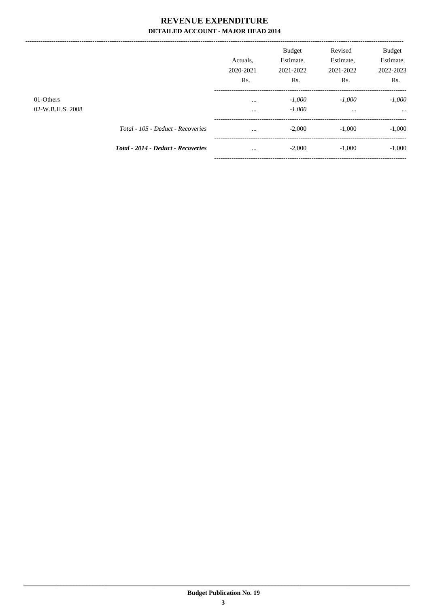|                  |                                           | Actuals.<br>2020-2021 | <b>Budget</b><br>Estimate,<br>2021-2022 | Revised<br>Estimate,<br>2021-2022 | <b>Budget</b><br>Estimate,<br>2022-2023 |
|------------------|-------------------------------------------|-----------------------|-----------------------------------------|-----------------------------------|-----------------------------------------|
|                  |                                           | Rs.                   | Rs.                                     | Rs.                               | Rs.                                     |
| 01-Others        |                                           | $\cdots$              | $-1,000$                                | $-1.000$                          | $-1,000$                                |
| 02-W.B.H.S. 2008 |                                           | $\cdots$              | $-1,000$                                | $\cdots$                          | $\cdots$                                |
|                  | Total - 105 - Deduct - Recoveries         | $\cdots$              | $-2,000$                                | $-1.000$                          | $-1,000$                                |
|                  | <b>Total - 2014 - Deduct - Recoveries</b> | $\cdots$              | $-2,000$                                | $-1,000$                          | $-1,000$                                |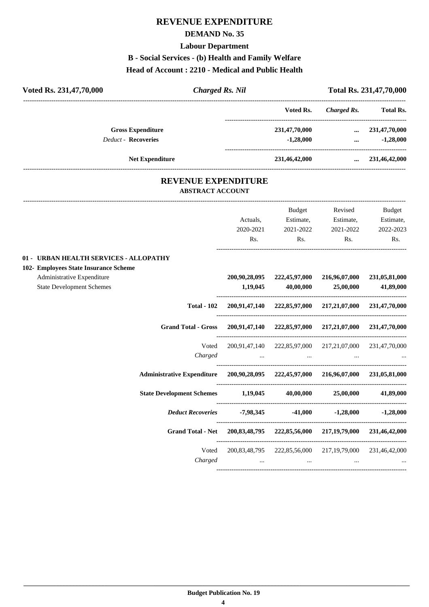## **REVENUE EXPENDITURE**

#### **DEMAND No. 35**

**Labour Department**

**B - Social Services - (b) Health and Family Welfare**

#### **Head of Account : 2210 - Medical and Public Health**

| <b>Charged Rs. Nil</b><br>Voted Rs. 231,47,70,000                                                       |                           |                                                         |                              | Total Rs. 231,47,70,000    |
|---------------------------------------------------------------------------------------------------------|---------------------------|---------------------------------------------------------|------------------------------|----------------------------|
|                                                                                                         |                           | Voted Rs.                                               | <b>Charged Rs.</b>           | <b>Total Rs.</b>           |
| <b>Gross Expenditure</b>                                                                                |                           | 231,47,70,000                                           | $\cdots$                     | 231,47,70,000              |
| Deduct - Recoveries                                                                                     |                           | $-1,28,000$                                             | $\cdots$                     | $-1,28,000$                |
| <b>Net Expenditure</b>                                                                                  |                           | 231,46,42,000                                           |                              | $\ldots$ 231,46,42,000     |
| <b>REVENUE EXPENDITURE</b><br><b>ABSTRACT ACCOUNT</b>                                                   |                           |                                                         |                              |                            |
|                                                                                                         |                           | Budget                                                  | Revised                      | Budget                     |
|                                                                                                         | Actuals,                  | Estimate,                                               | Estimate,                    | Estimate,                  |
|                                                                                                         | 2020-2021                 | 2021-2022                                               | 2021-2022                    | 2022-2023                  |
|                                                                                                         | Rs.                       | Rs.                                                     | Rs.                          | Rs.                        |
| 102- Employees State Insurance Scheme<br>Administrative Expenditure<br><b>State Development Schemes</b> | 200,90,28,095<br>1,19,045 | 222,45,97,000<br>40,00,000                              | 216,96,07,000<br>25,00,000   | 231,05,81,000<br>41,89,000 |
| <b>Total - 102</b>                                                                                      |                           | 200,91,47,140 222,85,97,000 217,21,07,000               |                              | 231,47,70,000              |
| <b>Grand Total - Gross</b>                                                                              |                           | 200,91,47,140 222,85,97,000 217,21,07,000               |                              | 231,47,70,000              |
| Voted<br>Charged                                                                                        | $\cdots$                  | 200,91,47,140 222,85,97,000 217,21,07,000 231,47,70,000 |                              |                            |
| <b>Administrative Expenditure</b>                                                                       |                           | 200,90,28,095 222,45,97,000 216,96,07,000               |                              | 231,05,81,000              |
| <b>State Development Schemes</b>                                                                        | 1,19,045                  | 40,00,000                                               | 25,00,000                    | 41,89,000                  |
| <b>Deduct Recoveries</b>                                                                                | $-7,98,345$               | $-41,000$                                               | $-1,28,000$                  | $-1,28,000$                |
| Grand Total - Net 200,83,48,795 222,85,56,000 217,19,79,000                                             |                           |                                                         |                              | 231,46,42,000              |
| Voted<br>Charged                                                                                        | $\cdots$                  | 200, 83, 48, 795 222, 85, 56, 000<br>$\ldots$           | 217, 19, 79, 000<br>$\cdots$ | 231,46,42,000              |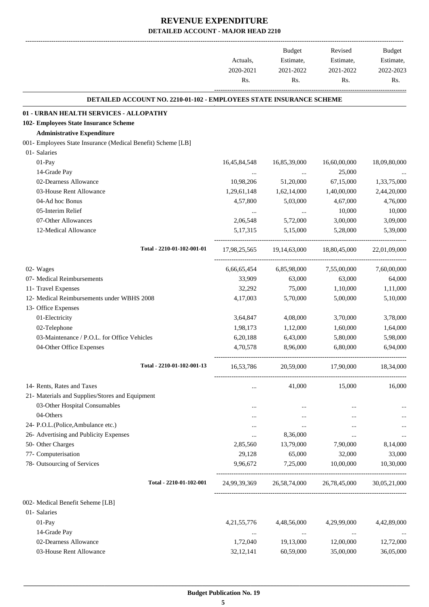-------------------------------------------------------------------------------------------------------------------------------------------------------------------------------

|                                                                            | Actuals,<br>2020-2021 | <b>Budget</b><br>Estimate,<br>2021-2022 | Revised<br>Estimate,<br>2021-2022 | <b>Budget</b><br>Estimate,<br>2022-2023 |
|----------------------------------------------------------------------------|-----------------------|-----------------------------------------|-----------------------------------|-----------------------------------------|
|                                                                            | Rs.                   | Rs.                                     | Rs.                               | Rs.                                     |
| <b>DETAILED ACCOUNT NO. 2210-01-102 - EMPLOYEES STATE INSURANCE SCHEME</b> |                       |                                         |                                   |                                         |
| 01 - URBAN HEALTH SERVICES - ALLOPATHY                                     |                       |                                         |                                   |                                         |
| 102- Employees State Insurance Scheme                                      |                       |                                         |                                   |                                         |
| <b>Administrative Expenditure</b>                                          |                       |                                         |                                   |                                         |
| 001- Employees State Insurance (Medical Benefit) Scheme [LB]               |                       |                                         |                                   |                                         |
| 01- Salaries                                                               |                       |                                         |                                   |                                         |
| $01-Pay$                                                                   | 16,45,84,548          | 16,85,39,000                            | 16,60,00,000                      | 18,09,80,000                            |
| 14-Grade Pay                                                               | $\ldots$              | $\cdots$                                | 25,000                            |                                         |
| 02-Dearness Allowance                                                      | 10,98,206             | 51,20,000                               | 67,15,000                         | 1,33,75,000                             |
| 03-House Rent Allowance                                                    | 1,29,61,148           | 1,62,14,000                             | 1,40,00,000                       | 2,44,20,000                             |
| 04-Ad hoc Bonus                                                            | 4,57,800              | 5,03,000                                | 4,67,000                          | 4,76,000                                |
| 05-Interim Relief                                                          | $\ldots$              | $\cdots$                                | 10,000                            | 10,000                                  |
| 07-Other Allowances                                                        | 2,06,548              | 5,72,000                                | 3,00,000                          | 3,09,000                                |
| 12-Medical Allowance                                                       | 5, 17, 315            | 5,15,000                                | 5,28,000                          | 5,39,000                                |
| Total - 2210-01-102-001-01                                                 | 17,98,25,565          | 19,14,63,000                            | 18,80,45,000                      | 22,01,09,000                            |
| 02- Wages                                                                  | 6,66,65,454           | 6,85,98,000                             | 7,55,00,000                       | 7,60,00,000                             |
| 07- Medical Reimbursements                                                 | 33,909                | 63,000                                  | 63,000                            | 64,000                                  |
| 11- Travel Expenses                                                        | 32,292                | 75,000                                  | 1,10,000                          | 1,11,000                                |
| 12- Medical Reimbursements under WBHS 2008                                 | 4,17,003              | 5,70,000                                | 5,00,000                          | 5,10,000                                |
| 13- Office Expenses                                                        |                       |                                         |                                   |                                         |
| 01-Electricity                                                             | 3,64,847              | 4,08,000                                | 3,70,000                          | 3,78,000                                |
| 02-Telephone                                                               | 1,98,173              | 1,12,000                                | 1,60,000                          | 1,64,000                                |
| 03-Maintenance / P.O.L. for Office Vehicles                                | 6,20,188              | 6,43,000                                | 5,80,000                          | 5,98,000                                |
| 04-Other Office Expenses                                                   | 4,70,578              | 8,96,000                                | 6,80,000                          | 6,94,000                                |
| Total - 2210-01-102-001-13                                                 | 16,53,786             | 20,59,000                               | 17,90,000                         | 18,34,000                               |
| 14- Rents, Rates and Taxes                                                 | $\cdots$              | 41,000                                  | 15,000                            | 16,000                                  |
| 21- Materials and Supplies/Stores and Equipment                            |                       |                                         |                                   |                                         |
| 03-Other Hospital Consumables                                              | $\cdots$              | $\cdots$                                | $\cdots$                          |                                         |
| 04-Others                                                                  |                       | $\cdots$                                |                                   |                                         |
| 24- P.O.L.(Police, Ambulance etc.)                                         |                       | $\cdots$                                |                                   |                                         |
| 26- Advertising and Publicity Expenses                                     |                       | 8,36,000                                |                                   | $\cdots$                                |
| 50- Other Charges                                                          | 2,85,560              | 13,79,000                               | 7,90,000                          | 8,14,000                                |
| 77- Computerisation                                                        | 29,128                | 65,000                                  | 32,000                            | 33,000                                  |
| 78- Outsourcing of Services                                                | 9,96,672              | 7,25,000                                | 10,00,000                         | 10,30,000                               |
| Total - 2210-01-102-001                                                    |                       | 24,99,39,369 26,58,74,000 26,78,45,000  |                                   | 30,05,21,000                            |
| 002- Medical Benefit Seheme [LB]                                           |                       |                                         |                                   |                                         |
| 01- Salaries                                                               |                       |                                         |                                   |                                         |
| 01-Pay                                                                     | 4, 21, 55, 776        | 4,48,56,000                             | 4,29,99,000                       | 4,42,89,000                             |
| 14-Grade Pay                                                               | $\cdots$              | $\cdots$                                | $\cdots$                          |                                         |
| 02-Dearness Allowance                                                      | 1,72,040              | 19,13,000                               | 12,00,000                         | 12,72,000                               |
| 03-House Rent Allowance                                                    | 32,12,141             | 60,59,000                               | 35,00,000                         | 36,05,000                               |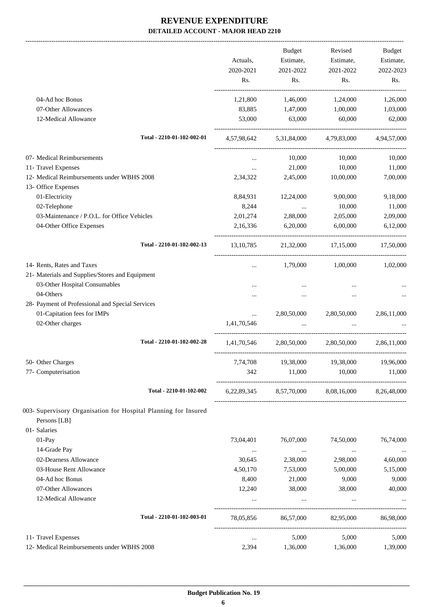|                                                                 |                   | Budget           | Revised                                         | Budget          |
|-----------------------------------------------------------------|-------------------|------------------|-------------------------------------------------|-----------------|
|                                                                 | Actuals,          | Estimate,        | Estimate,                                       | Estimate,       |
|                                                                 | 2020-2021         | 2021-2022        | 2021-2022                                       | 2022-2023       |
|                                                                 | Rs.               | Rs.              | Rs.                                             | Rs.             |
| 04-Ad hoc Bonus                                                 | 1,21,800          | 1,46,000         | 1,24,000                                        | 1,26,000        |
| 07-Other Allowances                                             | 83,885            | 1,47,000         | 1,00,000                                        | 1,03,000        |
| 12-Medical Allowance                                            | 53,000            | 63,000           | 60,000                                          | 62,000          |
| Total - 2210-01-102-002-01                                      |                   |                  | 4,57,98,642 5,31,84,000 4,79,83,000             | 4,94,57,000     |
| 07- Medical Reimbursements                                      | $\cdots$          | 10,000           | 10,000                                          | 10,000          |
| 11- Travel Expenses                                             | $\cdots$          | 21,000           | 10,000                                          | 11,000          |
| 12- Medical Reimbursements under WBHS 2008                      | 2,34,322          | 2,45,000         | 10,00,000                                       | 7,00,000        |
| 13- Office Expenses                                             |                   |                  |                                                 |                 |
| 01-Electricity                                                  | 8,84,931          | 12,24,000        | 9,00,000                                        | 9,18,000        |
| 02-Telephone                                                    | 8,244             | $\cdots$         | 10,000                                          | 11,000          |
| 03-Maintenance / P.O.L. for Office Vehicles                     | 2,01,274          | 2,88,000         | 2,05,000                                        | 2,09,000        |
| 04-Other Office Expenses                                        | 2,16,336          | 6,20,000         | 6,00,000                                        | 6,12,000        |
| Total - 2210-01-102-002-13                                      | 13, 10, 785       | 21,32,000        | 17,15,000                                       | 17,50,000       |
| 14- Rents, Rates and Taxes                                      | $\cdots$          | 1,79,000         | 1,00,000                                        | 1,02,000        |
| 21- Materials and Supplies/Stores and Equipment                 |                   |                  |                                                 |                 |
| 03-Other Hospital Consumables                                   |                   |                  |                                                 |                 |
| 04-Others                                                       |                   |                  |                                                 |                 |
| 28- Payment of Professional and Special Services                |                   |                  |                                                 |                 |
| 01-Capitation fees for IMPs                                     | $\cdots$          | 2,80,50,000      | 2,80,50,000                                     | 2,86,11,000     |
| 02-Other charges                                                | 1,41,70,546       | $\cdots$         |                                                 |                 |
| Total - 2210-01-102-002-28                                      | 1,41,70,546       | 2,80,50,000      | 2.80.50.000                                     | 2,86,11,000     |
| 50- Other Charges                                               | 7,74,708          | 19,38,000        | 19,38,000                                       | 19,96,000       |
| 77- Computerisation                                             | 342               | 11,000           | 10,000                                          | 11,000          |
| Total - 2210-01-102-002                                         |                   |                  | 6,22,89,345 8,57,70,000 8,08,16,000 8,26,48,000 |                 |
| 003- Supervisory Organisation for Hospital Planning for Insured |                   |                  |                                                 |                 |
| Persons [LB]<br>01- Salaries                                    |                   |                  |                                                 |                 |
| 01-Pay                                                          |                   |                  |                                                 |                 |
|                                                                 | 73,04,401         | 76,07,000        | 74,50,000                                       | 76,74,000       |
| 14-Grade Pay                                                    | $\cdots$          | $\ldots$         | $\ldots$                                        | $\cdots$        |
| 02-Dearness Allowance                                           | 30,645            | 2,38,000         | 2,98,000                                        | 4,60,000        |
| 03-House Rent Allowance<br>04-Ad hoc Bonus                      | 4,50,170          | 7,53,000         | 5,00,000                                        | 5,15,000        |
| 07-Other Allowances                                             | 8,400<br>12,240   | 21,000<br>38,000 | 9,000<br>38,000                                 | 9,000<br>40,000 |
| 12-Medical Allowance                                            |                   |                  |                                                 |                 |
| Total - 2210-01-102-003-01                                      | 78,05,856         | 86,57,000        | 82,95,000                                       | 86,98,000       |
| 11- Travel Expenses                                             |                   | 5,000            | 5,000                                           | 5,000           |
| 12- Medical Reimbursements under WBHS 2008                      | $\ldots$<br>2,394 | 1,36,000         | 1,36,000                                        | 1,39,000        |
|                                                                 |                   |                  |                                                 |                 |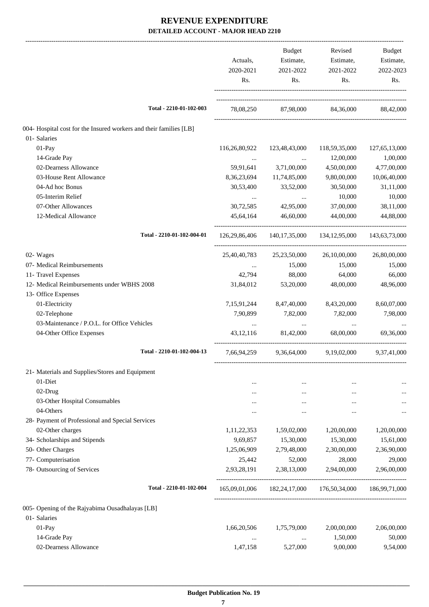|                                                                    | Actuals,<br>2020-2021<br>Rs. | Budget<br>Estimate,<br>2021-2022<br>Rs. | Revised<br>Estimate,<br>2021-2022<br>Rs. | Budget<br>Estimate,<br>2022-2023<br>Rs. |
|--------------------------------------------------------------------|------------------------------|-----------------------------------------|------------------------------------------|-----------------------------------------|
| Total - 2210-01-102-003                                            |                              |                                         | 78,08,250 87,98,000 84,36,000 88,42,000  |                                         |
| 004- Hospital cost for the Insured workers and their families [LB] |                              |                                         |                                          |                                         |
| 01- Salaries                                                       |                              |                                         |                                          |                                         |
| $01-Pay$                                                           | 116,26,80,922                | 123,48,43,000                           | 118,59,35,000                            | 127,65,13,000                           |
| 14-Grade Pay                                                       | $\cdots$                     | $\ddots$                                | 12,00,000                                | 1,00,000                                |
| 02-Dearness Allowance                                              | 59,91,641                    | 3,71,00,000                             | 4,50,00,000                              | 4,77,00,000                             |
| 03-House Rent Allowance                                            | 8,36,23,694                  | 11,74,85,000                            | 9,80,00,000                              | 10,06,40,000                            |
| 04-Ad hoc Bonus                                                    | 30,53,400                    | 33,52,000                               | 30,50,000                                | 31,11,000                               |
| 05-Interim Relief                                                  |                              | <b>Contract Contract</b>                | 10,000                                   | 10,000                                  |
| 07-Other Allowances                                                | 30,72,585                    | 42,95,000                               | 37,00,000                                | 38,11,000                               |
| 12-Medical Allowance                                               | 45.64.164                    | 46,60,000                               | 44,00,000                                | 44,88,000                               |
| Total - 2210-01-102-004-01                                         | 126,29,86,406                |                                         | 140, 17, 35, 000 134, 12, 95, 000        | 143,63,73,000                           |
| 02- Wages                                                          | 25,40,40,783                 | 25, 23, 50, 000                         | 26,10,00,000                             | 26,80,00,000                            |
| 07- Medical Reimbursements                                         |                              | 15,000<br><b>Section</b> of the state   | 15,000                                   | 15,000                                  |
| 11- Travel Expenses                                                | 42,794                       | 88,000                                  | 64,000                                   | 66,000                                  |
| 12- Medical Reimbursements under WBHS 2008                         | 31,84,012                    | 53,20,000                               | 48,00,000                                | 48,96,000                               |
| 13- Office Expenses                                                |                              |                                         |                                          |                                         |
| 01-Electricity                                                     | 7,15,91,244                  | 8,47,40,000                             | 8,43,20,000                              | 8,60,07,000                             |
| 02-Telephone                                                       | 7,90,899                     | 7,82,000                                | 7,82,000                                 | 7,98,000                                |
| 03-Maintenance / P.O.L. for Office Vehicles                        | $\cdots$                     | $\cdots$                                | $\cdots$                                 |                                         |
| 04-Other Office Expenses                                           | 43, 12, 116                  | 81,42,000                               | 68,00,000                                | 69,36,000                               |
| Total - 2210-01-102-004-13                                         | 7,66,94,259                  | 9,36,64,000                             | 9,19,02,000                              | 9,37,41,000                             |
| 21- Materials and Supplies/Stores and Equipment                    |                              |                                         |                                          |                                         |
| 01-Diet                                                            | $\ddotsc$                    |                                         |                                          |                                         |
| 02-Drug                                                            |                              | $\cdots$                                |                                          |                                         |
| 03-Other Hospital Consumables                                      |                              |                                         |                                          |                                         |
| 04-Others                                                          |                              |                                         |                                          |                                         |
| 28- Payment of Professional and Special Services                   |                              |                                         |                                          |                                         |
| 02-Other charges                                                   | 1,11,22,353                  | 1,59,02,000                             | 1,20,00,000                              | 1,20,00,000                             |
| 34- Scholarships and Stipends                                      | 9,69,857                     | 15,30,000                               | 15,30,000                                | 15,61,000                               |
| 50- Other Charges                                                  | 1,25,06,909                  | 2,79,48,000                             | 2,30,00,000                              | 2,36,90,000                             |
| 77- Computerisation                                                | 25,442                       | 52,000                                  | 28,000                                   | 29,000                                  |
| 78- Outsourcing of Services                                        | 2,93,28,191                  | 2,38,13,000                             | 2,94,00,000                              | 2,96,00,000                             |
| Total - 2210-01-102-004                                            | 165,09,01,006                | 182,24,17,000                           | 176,50,34,000                            | 186,99,71,000                           |
| 005- Opening of the Rajyabima Ousadhalayas [LB]                    |                              |                                         |                                          |                                         |
| 01- Salaries                                                       |                              |                                         |                                          |                                         |
| 01-Pay                                                             | 1,66,20,506                  | 1,75,79,000                             | 2,00,00,000                              | 2,06,00,000                             |
| 14-Grade Pay                                                       | $\cdots$                     | $\cdots$                                | 1,50,000                                 | 50,000                                  |
| 02-Dearness Allowance                                              | 1,47,158                     | 5,27,000                                | 9,00,000                                 | 9,54,000                                |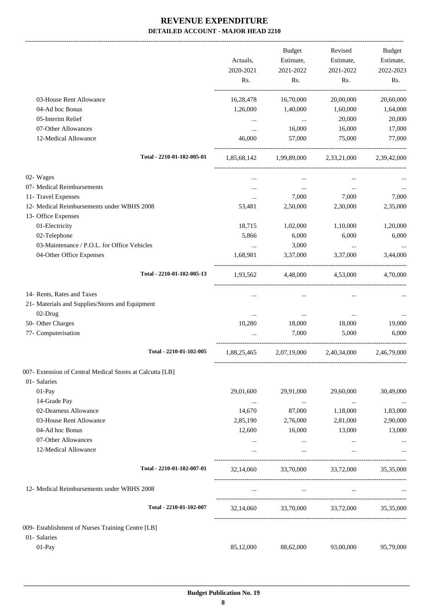-------------------------------------------------------------------------------------------------------------------------------------------------------------------------------

|                                                                                                                                                                                                                                                                                                                                                                                                                                                                                                                                                                                                                                                                                                                                                                                                      |           | <b>Budget</b> | Revised                 | <b>Budget</b> |
|------------------------------------------------------------------------------------------------------------------------------------------------------------------------------------------------------------------------------------------------------------------------------------------------------------------------------------------------------------------------------------------------------------------------------------------------------------------------------------------------------------------------------------------------------------------------------------------------------------------------------------------------------------------------------------------------------------------------------------------------------------------------------------------------------|-----------|---------------|-------------------------|---------------|
|                                                                                                                                                                                                                                                                                                                                                                                                                                                                                                                                                                                                                                                                                                                                                                                                      | Actuals,  | Estimate,     | Estimate,               | Estimate,     |
| 2020-2021<br>2021-2022<br>Rs.<br>Rs.<br>16,28,478<br>16,70,000<br>1,26,000<br>1,40,000<br>$\ddots$<br>$\cdots$<br>16,000<br>$\cdots$<br>46,000<br>57,000<br>Total - 2210-01-102-005-01<br>1,85,68,142 1,99,89,000 2,33,21,000<br>$\cdots$<br>$\cdots$<br>7,000<br>$\cdots$<br>53,481<br>2,50,000<br>18,715<br>1,02,000<br>5,866<br>6,000<br>3,000<br>$\cdots$<br>1,68,981<br>3,37,000<br>Total - 2210-01-102-005-13<br>1,93,562 4,48,000 4,53,000<br>$\ddotsc$<br>$\ddotsc$<br>$\cdots$<br>$\ldots$<br>10,280<br>18,000<br>7,000<br>Total - 2210-01-102-005<br>1,88,25,465<br>29,01,600<br>29,91,000<br>$\ldots$<br>$\cdots$<br>14,670<br>87,000<br>2,85,190<br>2,76,000<br>12,600<br>16,000<br>$\cdots$<br>$\cdots$<br>Total - 2210-01-102-007-01<br>32,14,060<br>33,70,000<br>$\ldots$<br>$\cdots$ |           | 2021-2022     | 2022-2023               |               |
|                                                                                                                                                                                                                                                                                                                                                                                                                                                                                                                                                                                                                                                                                                                                                                                                      |           |               | Rs.                     | Rs.           |
| 03-House Rent Allowance                                                                                                                                                                                                                                                                                                                                                                                                                                                                                                                                                                                                                                                                                                                                                                              |           |               | 20,00,000               | 20,60,000     |
| 04-Ad hoc Bonus                                                                                                                                                                                                                                                                                                                                                                                                                                                                                                                                                                                                                                                                                                                                                                                      |           |               | 1,60,000                | 1,64,000      |
| 05-Interim Relief                                                                                                                                                                                                                                                                                                                                                                                                                                                                                                                                                                                                                                                                                                                                                                                    |           |               | 20,000                  | 20,000        |
| 07-Other Allowances                                                                                                                                                                                                                                                                                                                                                                                                                                                                                                                                                                                                                                                                                                                                                                                  |           |               | 16,000                  | 17,000        |
| 12-Medical Allowance                                                                                                                                                                                                                                                                                                                                                                                                                                                                                                                                                                                                                                                                                                                                                                                 |           |               | 75,000                  | 77,000        |
|                                                                                                                                                                                                                                                                                                                                                                                                                                                                                                                                                                                                                                                                                                                                                                                                      |           |               |                         | 2,39,42,000   |
| 02- Wages                                                                                                                                                                                                                                                                                                                                                                                                                                                                                                                                                                                                                                                                                                                                                                                            |           |               |                         |               |
| 07- Medical Reimbursements                                                                                                                                                                                                                                                                                                                                                                                                                                                                                                                                                                                                                                                                                                                                                                           |           |               | $\cdots$                |               |
| 11- Travel Expenses                                                                                                                                                                                                                                                                                                                                                                                                                                                                                                                                                                                                                                                                                                                                                                                  |           |               | 7,000                   | 7,000         |
| 12- Medical Reimbursements under WBHS 2008                                                                                                                                                                                                                                                                                                                                                                                                                                                                                                                                                                                                                                                                                                                                                           |           |               | 2,30,000                | 2,35,000      |
| 13- Office Expenses                                                                                                                                                                                                                                                                                                                                                                                                                                                                                                                                                                                                                                                                                                                                                                                  |           |               |                         |               |
| 01-Electricity                                                                                                                                                                                                                                                                                                                                                                                                                                                                                                                                                                                                                                                                                                                                                                                       |           |               | 1,10,000                | 1,20,000      |
| 02-Telephone                                                                                                                                                                                                                                                                                                                                                                                                                                                                                                                                                                                                                                                                                                                                                                                         |           |               | 6,000                   | 6,000         |
| 03-Maintenance / P.O.L. for Office Vehicles                                                                                                                                                                                                                                                                                                                                                                                                                                                                                                                                                                                                                                                                                                                                                          |           |               | $\cdots$                |               |
| 04-Other Office Expenses                                                                                                                                                                                                                                                                                                                                                                                                                                                                                                                                                                                                                                                                                                                                                                             |           |               | 3,37,000                | 3,44,000      |
|                                                                                                                                                                                                                                                                                                                                                                                                                                                                                                                                                                                                                                                                                                                                                                                                      |           |               |                         | 4,70,000      |
| 14- Rents, Rates and Taxes                                                                                                                                                                                                                                                                                                                                                                                                                                                                                                                                                                                                                                                                                                                                                                           |           |               | $\ddotsc$               |               |
| 21- Materials and Supplies/Stores and Equipment                                                                                                                                                                                                                                                                                                                                                                                                                                                                                                                                                                                                                                                                                                                                                      |           |               |                         |               |
| 02-Drug                                                                                                                                                                                                                                                                                                                                                                                                                                                                                                                                                                                                                                                                                                                                                                                              |           |               | $\cdots$                |               |
| 50- Other Charges                                                                                                                                                                                                                                                                                                                                                                                                                                                                                                                                                                                                                                                                                                                                                                                    |           |               | 18,000                  | 19,000        |
| 77- Computerisation                                                                                                                                                                                                                                                                                                                                                                                                                                                                                                                                                                                                                                                                                                                                                                                  |           |               | 5,000                   | 6,000         |
|                                                                                                                                                                                                                                                                                                                                                                                                                                                                                                                                                                                                                                                                                                                                                                                                      |           |               | 2,07,19,000 2,40,34,000 | 2,46,79,000   |
| 007- Extension of Central Medical Stores at Calcutta [LB]                                                                                                                                                                                                                                                                                                                                                                                                                                                                                                                                                                                                                                                                                                                                            |           |               |                         |               |
| 01- Salaries                                                                                                                                                                                                                                                                                                                                                                                                                                                                                                                                                                                                                                                                                                                                                                                         |           |               |                         |               |
| 01-Pay                                                                                                                                                                                                                                                                                                                                                                                                                                                                                                                                                                                                                                                                                                                                                                                               |           |               | 29,60,000               | 30,49,000     |
| 14-Grade Pay                                                                                                                                                                                                                                                                                                                                                                                                                                                                                                                                                                                                                                                                                                                                                                                         |           |               | $\cdots$                | $\cdots$      |
| 02-Dearness Allowance                                                                                                                                                                                                                                                                                                                                                                                                                                                                                                                                                                                                                                                                                                                                                                                |           |               | 1,18,000                | 1,83,000      |
| 03-House Rent Allowance                                                                                                                                                                                                                                                                                                                                                                                                                                                                                                                                                                                                                                                                                                                                                                              |           |               | 2,81,000                | 2,90,000      |
| 04-Ad hoc Bonus                                                                                                                                                                                                                                                                                                                                                                                                                                                                                                                                                                                                                                                                                                                                                                                      |           |               | 13,000                  | 13,000        |
| 07-Other Allowances                                                                                                                                                                                                                                                                                                                                                                                                                                                                                                                                                                                                                                                                                                                                                                                  |           |               | $\cdots$                |               |
| 12-Medical Allowance                                                                                                                                                                                                                                                                                                                                                                                                                                                                                                                                                                                                                                                                                                                                                                                 |           |               |                         |               |
|                                                                                                                                                                                                                                                                                                                                                                                                                                                                                                                                                                                                                                                                                                                                                                                                      |           |               | 33,72,000               | 35,35,000     |
| 12- Medical Reimbursements under WBHS 2008                                                                                                                                                                                                                                                                                                                                                                                                                                                                                                                                                                                                                                                                                                                                                           |           |               | $\cdots$                |               |
| Total - 2210-01-102-007                                                                                                                                                                                                                                                                                                                                                                                                                                                                                                                                                                                                                                                                                                                                                                              | 32,14,060 | 33,70,000     | 33,72,000               | 35,35,000     |
| 009- Establishment of Nurses Training Centre [LB]                                                                                                                                                                                                                                                                                                                                                                                                                                                                                                                                                                                                                                                                                                                                                    |           |               |                         |               |
| 01- Salaries                                                                                                                                                                                                                                                                                                                                                                                                                                                                                                                                                                                                                                                                                                                                                                                         |           |               |                         |               |
| 01-Pay                                                                                                                                                                                                                                                                                                                                                                                                                                                                                                                                                                                                                                                                                                                                                                                               | 85,12,000 | 88,62,000     | 93,00,000               | 95,79,000     |
|                                                                                                                                                                                                                                                                                                                                                                                                                                                                                                                                                                                                                                                                                                                                                                                                      |           |               |                         |               |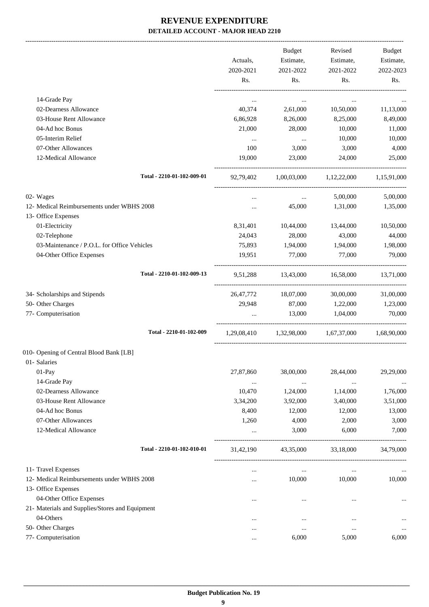-------------------------------------------------------------------------------------------------------------------------------------------------------------------------------

|                                                 | Actuals,<br>2020-2021<br>Rs. | <b>Budget</b><br>Estimate,<br>2021-2022<br>Rs. | Revised<br>Estimate,<br>2021-2022<br>Rs. | <b>Budget</b><br>Estimate,<br>2022-2023<br>Rs. |
|-------------------------------------------------|------------------------------|------------------------------------------------|------------------------------------------|------------------------------------------------|
|                                                 |                              |                                                |                                          |                                                |
| 14-Grade Pay                                    | $\cdots$                     | $\cdots$                                       | $\cdots$                                 |                                                |
| 02-Dearness Allowance                           | 40,374                       | 2,61,000                                       | 10,50,000                                | 11,13,000                                      |
| 03-House Rent Allowance                         | 6,86,928                     | 8,26,000                                       | 8,25,000                                 | 8,49,000                                       |
| 04-Ad hoc Bonus                                 | 21,000                       | 28,000                                         | 10,000                                   | 11,000                                         |
| 05-Interim Relief                               | $\cdots$                     | $\cdots$                                       | 10,000                                   | 10,000                                         |
| 07-Other Allowances<br>12-Medical Allowance     | 100<br>19,000                | 3,000<br>23,000                                | 3,000<br>24,000                          | 4,000<br>25,000                                |
|                                                 |                              |                                                |                                          |                                                |
| Total - 2210-01-102-009-01                      | 92,79,402                    |                                                | 1,00,03,000 1,12,22,000 1,15,91,000      |                                                |
| 02- Wages                                       | $\cdots$                     | $\cdots$                                       | 5,00,000                                 | 5,00,000                                       |
| 12- Medical Reimbursements under WBHS 2008      | $\cdots$                     | 45,000                                         | 1,31,000                                 | 1,35,000                                       |
| 13- Office Expenses                             |                              |                                                |                                          |                                                |
| 01-Electricity                                  | 8,31,401                     | 10,44,000                                      | 13,44,000                                | 10,50,000                                      |
| 02-Telephone                                    | 24,043                       | 28,000                                         | 43,000                                   | 44,000                                         |
| 03-Maintenance / P.O.L. for Office Vehicles     | 75,893                       | 1,94,000                                       | 1,94,000                                 | 1,98,000                                       |
| 04-Other Office Expenses                        | 19,951                       | 77,000                                         | 77,000                                   | 79,000                                         |
| Total - 2210-01-102-009-13                      | 9,51,288                     | 13,43,000                                      | 16,58,000                                | 13,71,000                                      |
| 34- Scholarships and Stipends                   | 26,47,772                    | 18,07,000                                      | 30,00,000                                | 31,00,000                                      |
| 50- Other Charges                               | 29,948                       | 87,000                                         | 1,22,000                                 | 1,23,000                                       |
| 77- Computerisation                             |                              | 13,000                                         | 1,04,000                                 | 70,000                                         |
| Total - 2210-01-102-009                         |                              |                                                | 1,29,08,410 1,32,98,000 1,67,37,000      | 1,68,90,000                                    |
| 010- Opening of Central Blood Bank [LB]         |                              |                                                |                                          |                                                |
| 01- Salaries                                    |                              |                                                |                                          |                                                |
| 01-Pay                                          | 27,87,860                    | 38,00,000                                      | 28,44,000                                | 29,29,000                                      |
| 14-Grade Pay                                    | $\cdots$                     | $\cdots$                                       | $\ldots$                                 |                                                |
| 02-Dearness Allowance                           | 10,470                       | 1,24,000                                       | 1,14,000                                 | 1,76,000                                       |
| 03-House Rent Allowance                         | 3,34,200                     | 3,92,000                                       | 3,40,000                                 | 3,51,000                                       |
| 04-Ad hoc Bonus                                 | 8,400                        | 12,000                                         | 12,000                                   | 13,000                                         |
| 07-Other Allowances                             | 1,260                        | 4,000                                          | 2,000                                    | 3,000                                          |
| 12-Medical Allowance                            |                              | 3,000                                          | 6,000                                    | 7,000                                          |
| Total - 2210-01-102-010-01                      | 31,42,190                    | 43,35,000                                      | 33,18,000                                | 34,79,000                                      |
| 11- Travel Expenses                             | $\cdots$                     | $\ldots$                                       | $\ldots$                                 |                                                |
| 12- Medical Reimbursements under WBHS 2008      | $\cdots$                     | 10,000                                         | 10,000                                   | 10,000                                         |
| 13- Office Expenses                             |                              |                                                |                                          |                                                |
| 04-Other Office Expenses                        |                              | $\cdots$                                       |                                          |                                                |
| 21- Materials and Supplies/Stores and Equipment |                              |                                                |                                          |                                                |
| 04-Others                                       | $\cdots$                     | $\cdots$                                       | $\ddotsc$                                |                                                |
| 50- Other Charges                               |                              |                                                |                                          |                                                |
| 77- Computerisation                             |                              | 6,000                                          | 5,000                                    | 6,000                                          |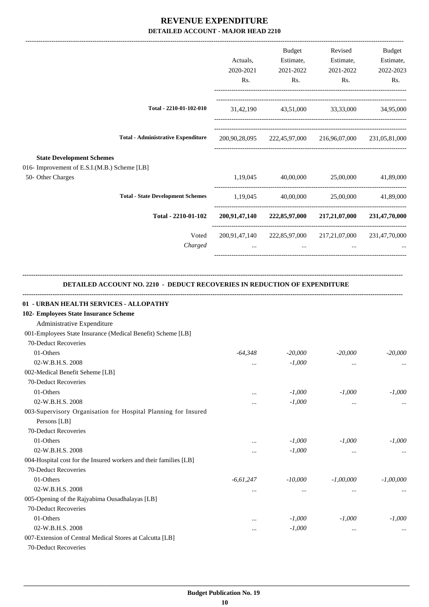|                                                                                                               |             | <b>Budget</b> | Revised                                                 | Budget                  |
|---------------------------------------------------------------------------------------------------------------|-------------|---------------|---------------------------------------------------------|-------------------------|
|                                                                                                               | Actuals,    | Estimate,     | Estimate,                                               | Estimate,               |
|                                                                                                               | 2020-2021   | 2021-2022     | 2021-2022                                               | 2022-2023               |
|                                                                                                               | Rs.         | Rs.           | Rs.                                                     | Rs.                     |
| Total - 2210-01-102-010                                                                                       |             |               | 31,42,190 43,51,000 33,33,000 34,95,000                 |                         |
| <b>Total - Administrative Expenditure</b>                                                                     |             |               | 200,90,28,095 222,45,97,000 216,96,07,000 231,05,81,000 |                         |
| <b>State Development Schemes</b><br>016- Improvement of E.S.I.(M.B.) Scheme [LB]<br>50- Other Charges         |             |               | 1,19,045 40,00,000 25,00,000                            | 41,89,000               |
| <b>Total - State Development Schemes</b>                                                                      |             |               | 1,19,045 40,00,000 25,00,000 41,89,000                  |                         |
| Total - 2210-01-102                                                                                           |             |               | 200,91,47,140 222,85,97,000 217,21,07,000 231,47,70,000 |                         |
| Voted                                                                                                         |             |               | 200,91,47,140 222,85,97,000 217,21,07,000 231,47,70,000 |                         |
| Charged                                                                                                       | $\cdots$    | $\cdots$      | $\cdots$                                                |                         |
| 01 - URBAN HEALTH SERVICES - ALLOPATHY<br>102- Employees State Insurance Scheme<br>Administrative Expenditure |             |               |                                                         |                         |
| 001-Employees State Insurance (Medical Benefit) Scheme [LB]                                                   |             |               |                                                         |                         |
| 70-Deduct Recoveries                                                                                          |             |               |                                                         |                         |
| 01-Others                                                                                                     | $-64.348$   | $-20,000$     | $-20,000$                                               | $-20,000$               |
| 02-W.B.H.S. 2008                                                                                              | $\cdots$    | $-1,000$      | $\cdots$                                                | $\cdots$                |
| 002-Medical Benefit Seheme [LB]                                                                               |             |               |                                                         |                         |
| 70-Deduct Recoveries                                                                                          |             |               |                                                         |                         |
| 01-Others                                                                                                     | $\cdots$    | $-1,000$      | $-1,000$                                                | $-1,000$                |
| 02-W.B.H.S. 2008<br>003-Supervisory Organisation for Hospital Planning for Insured<br>Persons [LB]            | $\cdots$    | $-1,000$      | $\cdots$                                                |                         |
| 70-Deduct Recoveries                                                                                          |             |               |                                                         |                         |
| 01-Others                                                                                                     | $\cdots$    | $-1,000$      | $-1,000$                                                | $-1,000$                |
| 02-W.B.H.S. 2008                                                                                              | $\cdots$    | $-1,000$      | $\ddotsc$                                               |                         |
| 004-Hospital cost for the Insured workers and their families [LB]                                             |             |               |                                                         |                         |
| 70-Deduct Recoveries                                                                                          |             |               |                                                         |                         |
| 01-Others                                                                                                     |             | $-10,000$     | $-1,00,000$                                             |                         |
| 02-W.B.H.S. 2008                                                                                              | $-6,61,247$ |               |                                                         |                         |
| 005-Opening of the Rajyabima Ousadhalayas [LB]                                                                | $\cdots$    | $\cdots$      | $\cdots$                                                |                         |
|                                                                                                               |             |               |                                                         |                         |
| 70-Deduct Recoveries                                                                                          |             |               |                                                         |                         |
| 01-Others                                                                                                     |             | $-1,000$      | $-1,000$                                                | $-1,00,000$<br>$-1,000$ |
| 02-W.B.H.S. 2008<br>007-Extension of Central Medical Stores at Calcutta [LB]                                  |             | $-1,000$      | $\cdots$                                                |                         |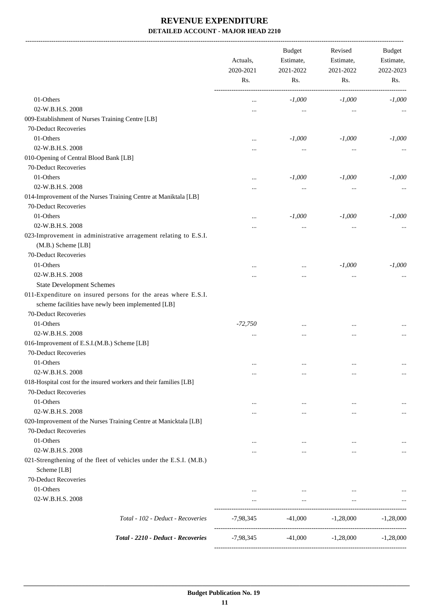-------------------------------------------------------------------------------------------------------------------------------------------------------------------------------

|                                                                                                                     | Actuals,<br>2020-2021<br>Rs. | <b>Budget</b><br>Estimate,<br>2021-2022<br>Rs. | Revised<br>Estimate,<br>2021-2022<br>Rs. | <b>Budget</b><br>Estimate,<br>2022-2023<br>Rs. |
|---------------------------------------------------------------------------------------------------------------------|------------------------------|------------------------------------------------|------------------------------------------|------------------------------------------------|
| 01-Others                                                                                                           | $\cdots$                     | $-1,000$                                       | $-1,000$                                 | $-1,000$                                       |
| 02-W.B.H.S. 2008                                                                                                    |                              | $\cdots$                                       | $\cdots$                                 |                                                |
| 009-Establishment of Nurses Training Centre [LB]                                                                    |                              |                                                |                                          |                                                |
| 70-Deduct Recoveries                                                                                                |                              |                                                |                                          |                                                |
| 01-Others                                                                                                           |                              | $-1,000$                                       | $-1,000$                                 | $-1,000$                                       |
| 02-W.B.H.S. 2008                                                                                                    |                              | $\cdots$                                       | $\cdots$                                 |                                                |
| 010-Opening of Central Blood Bank [LB]                                                                              |                              |                                                |                                          |                                                |
| 70-Deduct Recoveries                                                                                                |                              |                                                |                                          |                                                |
| 01-Others                                                                                                           |                              | $-1,000$                                       | $-1,000$                                 | $-1,000$                                       |
| 02-W.B.H.S. 2008                                                                                                    |                              | $\cdots$                                       | $\cdots$                                 |                                                |
| 014-Improvement of the Nurses Training Centre at Maniktala [LB]                                                     |                              |                                                |                                          |                                                |
| 70-Deduct Recoveries                                                                                                |                              |                                                |                                          |                                                |
| 01-Others                                                                                                           |                              | $-1,000$                                       | $-1,000$                                 | $-1,000$                                       |
| 02-W.B.H.S. 2008                                                                                                    |                              | $\cdots$                                       | $\cdots$                                 |                                                |
| 023-Improvement in administrative arragement relating to E.S.I.<br>(M.B.) Scheme [LB]                               |                              |                                                |                                          |                                                |
| 70-Deduct Recoveries                                                                                                |                              |                                                |                                          |                                                |
| 01-Others                                                                                                           |                              | $\cdots$                                       | $-1,000$                                 | $-1,000$                                       |
| 02-W.B.H.S. 2008                                                                                                    |                              |                                                | $\cdots$                                 |                                                |
| <b>State Development Schemes</b>                                                                                    |                              |                                                |                                          |                                                |
| 011-Expenditure on insured persons for the areas where E.S.I.<br>scheme facilities have newly been implemented [LB] |                              |                                                |                                          |                                                |
| 70-Deduct Recoveries                                                                                                |                              |                                                |                                          |                                                |
| 01-Others                                                                                                           | $-72,750$                    | $\cdots$                                       | $\cdots$                                 |                                                |
| 02-W.B.H.S. 2008                                                                                                    | $\cdots$                     | $\cdots$                                       |                                          |                                                |
| 016-Improvement of E.S.I.(M.B.) Scheme [LB]<br>70-Deduct Recoveries                                                 |                              |                                                |                                          |                                                |
| 01-Others                                                                                                           | $\cdots$                     | $\cdots$                                       | $\cdots$                                 |                                                |
| 02-W.B.H.S. 2008                                                                                                    | $\cdots$                     | $\cdots$                                       |                                          | $\cdots$                                       |
| 018-Hospital cost for the insured workers and their families [LB]<br>70-Deduct Recoveries                           |                              |                                                |                                          |                                                |
| 01-Others                                                                                                           | $\cdots$                     | $\cdots$                                       | $\ddotsc$                                | $\ldots$                                       |
| 02-W.B.H.S. 2008                                                                                                    |                              | $\cdots$                                       | $\cdots$                                 | $\cdots$                                       |
| 020-Improvement of the Nurses Training Centre at Manicktala [LB]                                                    |                              |                                                |                                          |                                                |
| 70-Deduct Recoveries                                                                                                |                              |                                                |                                          |                                                |
| 01-Others                                                                                                           | $\cdots$                     | $\cdots$                                       | $\cdots$                                 |                                                |
| 02-W.B.H.S. 2008                                                                                                    | $\cdots$                     | $\cdots$                                       | $\cdots$                                 | $\cdots$                                       |
| 021-Strengthening of the fleet of vehicles under the E.S.I. (M.B.)<br>Scheme [LB]                                   |                              |                                                |                                          |                                                |
| 70-Deduct Recoveries                                                                                                |                              |                                                |                                          |                                                |
| 01-Others                                                                                                           | $\cdots$                     | $\cdots$                                       | $\cdots$                                 |                                                |
| 02-W.B.H.S. 2008                                                                                                    | $\cdots$                     | $\ldots$                                       | $\ldots$                                 |                                                |
|                                                                                                                     |                              |                                                |                                          |                                                |
| Total - 102 - Deduct - Recoveries                                                                                   | -7,98,345                    | $-41,000$                                      | $-1,28,000$                              | $-1,28,000$                                    |
| Total - 2210 - Deduct - Recoveries                                                                                  | $-7,98,345$                  | $-41,000$                                      | $-1,28,000$                              | $-1,28,000$                                    |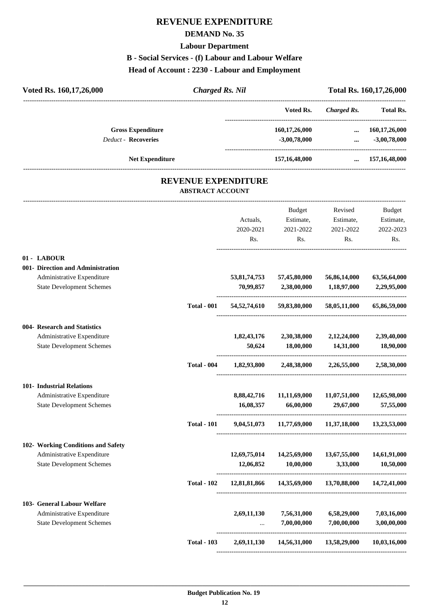### **REVENUE EXPENDITURE**

#### **DEMAND No. 35**

#### **Labour Department**

#### **B - Social Services - (f) Labour and Labour Welfare**

#### **Head of Account : 2230 - Labour and Employment**

| Voted Rs. 160, 17, 26, 000                                     | <b>Charged Rs. Nil</b>                                |                           |                                                        |                             | Total Rs. 160,17,26,000         |
|----------------------------------------------------------------|-------------------------------------------------------|---------------------------|--------------------------------------------------------|-----------------------------|---------------------------------|
|                                                                |                                                       |                           | Voted Rs.                                              | <b>Charged Rs.</b>          | <b>Total Rs.</b>                |
| <b>Gross Expenditure</b><br><b>Deduct - Recoveries</b>         |                                                       |                           | 160,17,26,000<br>$-3,00,78,000$                        | $\cdots$                    | 160,17,26,000<br>$-3,00,78,000$ |
|                                                                |                                                       |                           |                                                        | $\cdots$                    |                                 |
| <b>Net Expenditure</b>                                         |                                                       |                           | 157,16,48,000                                          |                             | $\dots$ 157,16,48,000           |
|                                                                | <b>REVENUE EXPENDITURE</b><br><b>ABSTRACT ACCOUNT</b> |                           |                                                        |                             |                                 |
|                                                                |                                                       |                           | Budget                                                 | Revised                     | Budget                          |
|                                                                |                                                       | Actuals,                  | Estimate,                                              | Estimate,                   | Estimate,                       |
|                                                                |                                                       | 2020-2021<br>Rs.          | 2021-2022<br>Rs.                                       | 2021-2022<br>Rs.            | 2022-2023<br>Rs.                |
|                                                                |                                                       |                           |                                                        |                             |                                 |
| 01 - LABOUR                                                    |                                                       |                           |                                                        |                             |                                 |
| 001- Direction and Administration                              |                                                       |                           |                                                        |                             |                                 |
| Administrative Expenditure<br><b>State Development Schemes</b> |                                                       | 53,81,74,753<br>70,99,857 | 57,45,80,000<br>2,38,00,000                            | 56,86,14,000<br>1,18,97,000 | 63,56,64,000<br>2,29,95,000     |
|                                                                | <b>Total - 001</b>                                    | 54,52,74,610              | 59,83,80,000                                           | 58,05,11,000                | 65,86,59,000                    |
| 004- Research and Statistics                                   |                                                       |                           |                                                        |                             |                                 |
| Administrative Expenditure                                     |                                                       | 1,82,43,176               | 2,30,38,000                                            | 2,12,24,000                 | 2,39,40,000                     |
| <b>State Development Schemes</b>                               |                                                       | 50,624                    | 18,00,000                                              | 14,31,000                   | 18,90,000                       |
|                                                                | <b>Total - 004</b>                                    | 1,82,93,800               |                                                        | 2,48,38,000 2,26,55,000     | 2,58,30,000                     |
| 101- Industrial Relations                                      |                                                       |                           |                                                        |                             |                                 |
| Administrative Expenditure                                     |                                                       | 8,88,42,716               | 11,11,69,000                                           | 11,07,51,000                | 12,65,98,000                    |
| <b>State Development Schemes</b>                               |                                                       | 16,08,357                 | 66,00,000                                              | 29,67,000                   | 57,55,000                       |
|                                                                | <b>Total - 101</b>                                    |                           | 9,04,51,073 11,77,69,000 11,37,18,000 13,23,53,000     |                             |                                 |
| 102- Working Conditions and Safety                             |                                                       |                           |                                                        |                             |                                 |
| Administrative Expenditure                                     |                                                       | 12,69,75,014              | 14,25,69,000                                           | 13,67,55,000                | 14,61,91,000                    |
| <b>State Development Schemes</b>                               |                                                       | 12,06,852                 | 10,00,000                                              | 3,33,000                    | 10,50,000                       |
|                                                                | <b>Total - 102</b>                                    |                           | 12,81,81,866  14,35,69,000  13,70,88,000  14,72,41,000 |                             |                                 |
| 103- General Labour Welfare                                    |                                                       |                           |                                                        |                             |                                 |
| Administrative Expenditure                                     |                                                       | 2,69,11,130               | 7,56,31,000                                            | 6,58,29,000                 | 7,03,16,000                     |
| <b>State Development Schemes</b>                               |                                                       |                           | 7,00,00,000                                            | 7,00,00,000                 | 3,00,00,000                     |

**Total - 103 2,69,11,130 14,56,31,000 13,58,29,000 10,03,16,000** ----------------------------------------------------------------------------------------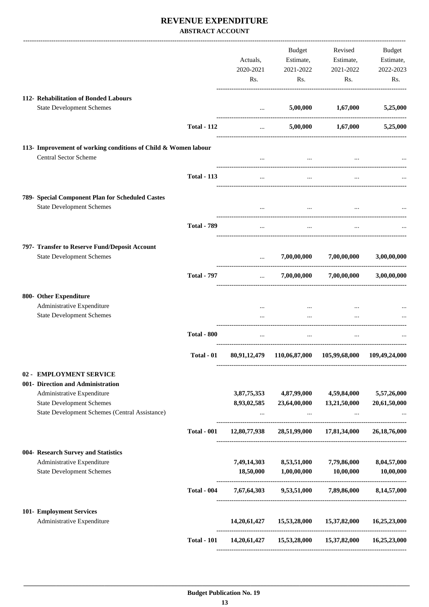#### **REVENUE EXPENDITURE ABSTRACT ACCOUNT**

|                                                                                           |                    |                                                | Budget                                         | Revised                                                | Budget          |
|-------------------------------------------------------------------------------------------|--------------------|------------------------------------------------|------------------------------------------------|--------------------------------------------------------|-----------------|
|                                                                                           |                    | Actuals,                                       | Estimate,                                      | Estimate,                                              | Estimate,       |
|                                                                                           |                    | 2020-2021                                      | 2021-2022                                      | 2021-2022                                              | 2022-2023       |
|                                                                                           |                    | Rs.                                            | Rs.                                            | Rs.                                                    | Rs.             |
| 112- Rehabilitation of Bonded Labours                                                     |                    |                                                |                                                |                                                        |                 |
| <b>State Development Schemes</b>                                                          |                    |                                                | 5,00,000<br>and the state of the               | 1,67,000                                               | 5,25,000        |
|                                                                                           | <b>Total - 112</b> |                                                | $\mathbf{1}$ and $\mathbf{1}$ and $\mathbf{1}$ | $5,00,000$ $1,67,000$                                  | 5,25,000        |
| 113- Improvement of working conditions of Child & Women labour                            |                    |                                                |                                                |                                                        |                 |
| <b>Central Sector Scheme</b>                                                              |                    | $\cdots$                                       | $\cdots$                                       | $\cdots$                                               |                 |
|                                                                                           | <b>Total - 113</b> | $\cdots$                                       | $\cdots$                                       | $\ddotsc$                                              |                 |
| 789- Special Component Plan for Scheduled Castes                                          |                    |                                                |                                                |                                                        |                 |
| <b>State Development Schemes</b>                                                          |                    |                                                | $\cdots$                                       |                                                        |                 |
|                                                                                           | <b>Total - 789</b> | $\cdots$                                       | $\cdots$                                       |                                                        |                 |
| 797- Transfer to Reserve Fund/Deposit Account                                             |                    |                                                |                                                |                                                        |                 |
| <b>State Development Schemes</b>                                                          |                    | $\mathbf{1}$ and $\mathbf{1}$ and $\mathbf{1}$ | 7,00,00,000                                    | 7,00,00,000                                            | 3,00,00,000     |
|                                                                                           | <b>Total - 797</b> | $\mathbf{1}$                                   |                                                | $7,00,00,000$ $7,00,00,000$                            | 3,00,00,000     |
| 800- Other Expenditure                                                                    |                    |                                                |                                                |                                                        |                 |
| Administrative Expenditure<br><b>State Development Schemes</b>                            |                    | $\cdots$                                       | $\cdots$<br>$\cdots$                           | $\cdots$                                               |                 |
|                                                                                           | <b>Total - 800</b> |                                                | $\cdots$                                       |                                                        |                 |
|                                                                                           | Total - 01         |                                                |                                                | 80,91,12,479 110,06,87,000 105,99,68,000               | 109,49,24,000   |
| 02 - EMPLOYMENT SERVICE                                                                   |                    |                                                |                                                |                                                        |                 |
| 001- Direction and Administration                                                         |                    |                                                |                                                |                                                        |                 |
| Administrative Expenditure                                                                |                    |                                                | 3,87,75,353 4,87,99,000 4,59,84,000            |                                                        | 5,57,26,000     |
| <b>State Development Schemes</b><br><b>State Development Schemes (Central Assistance)</b> |                    | 8,93,02,585                                    | 23,64,00,000<br>$\cdots$                       | 13,21,50,000                                           | 20,61,50,000    |
|                                                                                           | <b>Total - 001</b> | 12,80,77,938                                   |                                                | 28,51,99,000 17,81,34,000                              | 26, 18, 76, 000 |
| 004- Research Survey and Statistics                                                       |                    |                                                |                                                |                                                        |                 |
| Administrative Expenditure                                                                |                    | 7,49,14,303                                    | 8,53,51,000                                    | 7,79,86,000                                            | 8,04,57,000     |
| <b>State Development Schemes</b>                                                          |                    | 18,50,000                                      | 1,00,00,000                                    | 10,00,000                                              | 10,00,000       |
|                                                                                           | <b>Total - 004</b> |                                                | 7,67,64,303 9,53,51,000 7,89,86,000            |                                                        | 8,14,57,000     |
| 101- Employment Services<br>Administrative Expenditure                                    |                    | 14,20,61,427                                   | 15,53,28,000                                   | 15,37,82,000                                           | 16,25,23,000    |
|                                                                                           |                    |                                                |                                                |                                                        |                 |
|                                                                                           | <b>Total - 101</b> |                                                |                                                | 14,20,61,427  15,53,28,000  15,37,82,000  16,25,23,000 |                 |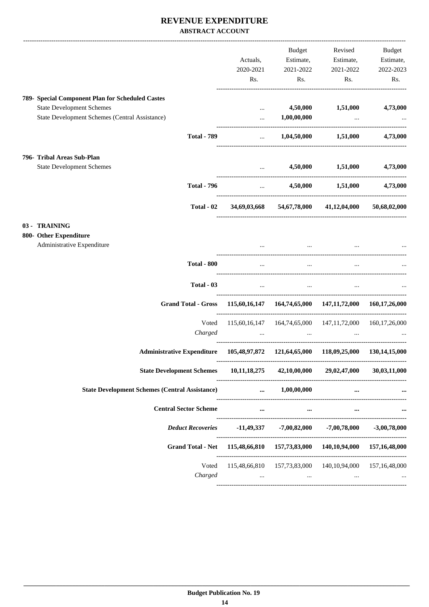#### **REVENUE EXPENDITURE ABSTRACT ACCOUNT**

|                                                                                    |                                     | Budget                                                                                                                   | Revised                                                                                                                                                                                                                                      | Budget           |
|------------------------------------------------------------------------------------|-------------------------------------|--------------------------------------------------------------------------------------------------------------------------|----------------------------------------------------------------------------------------------------------------------------------------------------------------------------------------------------------------------------------------------|------------------|
|                                                                                    | Actuals,                            | Estimate,                                                                                                                | Estimate,                                                                                                                                                                                                                                    | Estimate,        |
|                                                                                    | 2020-2021                           | 2021-2022                                                                                                                | 2021-2022                                                                                                                                                                                                                                    | 2022-2023        |
|                                                                                    | Rs.                                 | Rs.                                                                                                                      | Rs.                                                                                                                                                                                                                                          | Rs.              |
|                                                                                    |                                     |                                                                                                                          |                                                                                                                                                                                                                                              |                  |
| 789- Special Component Plan for Scheduled Castes                                   |                                     |                                                                                                                          |                                                                                                                                                                                                                                              |                  |
| <b>State Development Schemes</b>                                                   | $\cdots$                            | 4,50,000                                                                                                                 | 1,51,000                                                                                                                                                                                                                                     | 4,73,000         |
| <b>State Development Schemes (Central Assistance)</b>                              | $\cdots$                            | 1,00,00,000                                                                                                              | <b><i>Contract Contract Services</i></b>                                                                                                                                                                                                     |                  |
| <b>Total - 789</b>                                                                 |                                     |                                                                                                                          | $\ldots$ 1,04,50,000 1,51,000                                                                                                                                                                                                                | 4,73,000         |
| 796- Tribal Areas Sub-Plan                                                         |                                     |                                                                                                                          |                                                                                                                                                                                                                                              |                  |
| <b>State Development Schemes</b>                                                   | $\cdots$                            |                                                                                                                          | 4,50,000 1,51,000                                                                                                                                                                                                                            | 4,73,000         |
|                                                                                    |                                     |                                                                                                                          |                                                                                                                                                                                                                                              |                  |
| <b>Total - 796</b>                                                                 | and the contract of the contract of |                                                                                                                          | 4,50,000 1,51,000 4,73,000                                                                                                                                                                                                                   |                  |
| Total - 02                                                                         |                                     |                                                                                                                          | 34,69,03,668 54,67,78,000 41,12,04,000                                                                                                                                                                                                       | 50,68,02,000     |
| 03 - TRAINING                                                                      |                                     |                                                                                                                          |                                                                                                                                                                                                                                              |                  |
| 800- Other Expenditure                                                             |                                     |                                                                                                                          |                                                                                                                                                                                                                                              |                  |
| Administrative Expenditure                                                         | $\cdots$                            |                                                                                                                          | and the state of the state of the state of                                                                                                                                                                                                   |                  |
|                                                                                    |                                     |                                                                                                                          |                                                                                                                                                                                                                                              |                  |
| <b>Total - 800</b>                                                                 | $\ddotsc$                           | $\cdots$                                                                                                                 | $\cdots$                                                                                                                                                                                                                                     |                  |
| Total - 03                                                                         |                                     | and the state of the                                                                                                     | $\mathbf{r}$ , and the set of the set of the set of the set of the set of the set of the set of the set of the set of the set of the set of the set of the set of the set of the set of the set of the set of the set of the set<br>$\cdots$ |                  |
| Grand Total - Gross 115,60,16,147 164,74,65,000 147,11,72,000 160,17,26,000        |                                     |                                                                                                                          |                                                                                                                                                                                                                                              |                  |
| Voted                                                                              |                                     |                                                                                                                          | 115,60,16,147  164,74,65,000  147,11,72,000  160,17,26,000                                                                                                                                                                                   |                  |
| Charged                                                                            |                                     | <u>and the community of the community of the community of the community of the community of the community of the com</u> | $\cdots$                                                                                                                                                                                                                                     |                  |
| Administrative Expenditure 105,48,97,872 121,64,65,000 118,09,25,000 130,14,15,000 |                                     |                                                                                                                          |                                                                                                                                                                                                                                              |                  |
| <b>State Development Schemes</b>                                                   | 10,11,18,275                        |                                                                                                                          | 42,10,00,000 29,02,47,000                                                                                                                                                                                                                    | 30,03,11,000     |
| <b>State Development Schemes (Central Assistance)</b>                              |                                     | $\dots$ 1,00,00,000                                                                                                      | $\cdots$                                                                                                                                                                                                                                     |                  |
| <b>Central Sector Scheme</b>                                                       | $\cdots$                            | $\cdots$                                                                                                                 | $\cdots$                                                                                                                                                                                                                                     |                  |
| <b>Deduct Recoveries</b>                                                           |                                     |                                                                                                                          | $-11,49,337$ $-7,00,82,000$ $-7,00,78,000$                                                                                                                                                                                                   | $-3,00,78,000$   |
|                                                                                    |                                     |                                                                                                                          |                                                                                                                                                                                                                                              |                  |
| Grand Total - Net 115,48,66,810 157,73,83,000 140,10,94,000 157,16,48,000          |                                     |                                                                                                                          |                                                                                                                                                                                                                                              |                  |
|                                                                                    |                                     |                                                                                                                          |                                                                                                                                                                                                                                              |                  |
| Voted                                                                              |                                     | 115,48,66,810 157,73,83,000 140,10,94,000                                                                                |                                                                                                                                                                                                                                              | 157, 16, 48, 000 |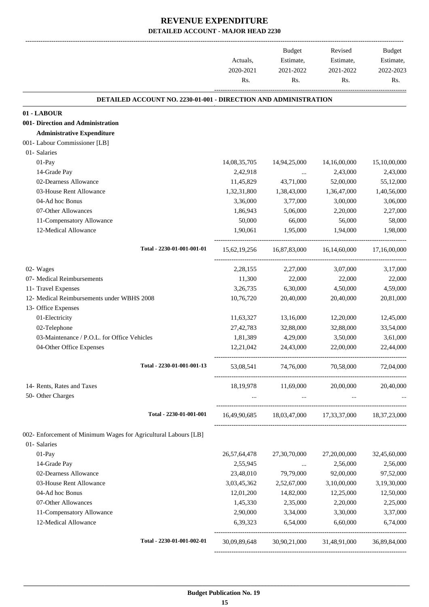|                                                                        |                                                                        | Actuals,<br>2020-2021<br>Rs. | Budget<br>Estimate,<br>2021-2022<br>Rs. | Revised<br>Estimate,<br>2021-2022<br>Rs.            | Budget<br>Estimate,<br>2022-2023<br>Rs. |
|------------------------------------------------------------------------|------------------------------------------------------------------------|------------------------------|-----------------------------------------|-----------------------------------------------------|-----------------------------------------|
|                                                                        |                                                                        |                              |                                         |                                                     |                                         |
|                                                                        | <b>DETAILED ACCOUNT NO. 2230-01-001 - DIRECTION AND ADMINISTRATION</b> |                              |                                         |                                                     |                                         |
| 01 - LABOUR                                                            |                                                                        |                              |                                         |                                                     |                                         |
| 001- Direction and Administration<br><b>Administrative Expenditure</b> |                                                                        |                              |                                         |                                                     |                                         |
|                                                                        |                                                                        |                              |                                         |                                                     |                                         |
| 001- Labour Commissioner [LB]<br>01- Salaries                          |                                                                        |                              |                                         |                                                     |                                         |
| 01-Pay                                                                 |                                                                        | 14,08,35,705                 | 14,94,25,000                            | 14,16,00,000                                        | 15,10,00,000                            |
| 14-Grade Pay                                                           |                                                                        | 2,42,918                     |                                         | 2,43,000                                            | 2,43,000                                |
| 02-Dearness Allowance                                                  |                                                                        | 11,45,829                    | $\cdots$<br>43,71,000                   | 52,00,000                                           | 55,12,000                               |
| 03-House Rent Allowance                                                |                                                                        | 1,32,31,800                  | 1,38,43,000                             | 1,36,47,000                                         | 1,40,56,000                             |
| 04-Ad hoc Bonus                                                        |                                                                        | 3,36,000                     | 3,77,000                                | 3,00,000                                            | 3,06,000                                |
| 07-Other Allowances                                                    |                                                                        | 1,86,943                     | 5,06,000                                | 2,20,000                                            | 2,27,000                                |
| 11-Compensatory Allowance                                              |                                                                        | 50,000                       | 66,000                                  | 56,000                                              | 58,000                                  |
| 12-Medical Allowance                                                   |                                                                        | 1,90,061                     | 1,95,000                                | 1,94,000                                            | 1,98,000                                |
|                                                                        |                                                                        |                              |                                         |                                                     |                                         |
|                                                                        | Total - 2230-01-001-001-01                                             |                              |                                         | 15,62,19,256 16,87,83,000 16,14,60,000              | 17,16,00,000                            |
| 02- Wages                                                              |                                                                        | 2, 28, 155                   | 2,27,000                                | 3,07,000                                            | 3,17,000                                |
| 07- Medical Reimbursements                                             |                                                                        | 11,300                       | 22,000                                  | 22,000                                              | 22,000                                  |
| 11- Travel Expenses                                                    |                                                                        | 3,26,735                     | 6,30,000                                | 4,50,000                                            | 4,59,000                                |
| 12- Medical Reimbursements under WBHS 2008                             |                                                                        | 10,76,720                    | 20,40,000                               | 20,40,000                                           | 20,81,000                               |
| 13- Office Expenses                                                    |                                                                        |                              |                                         |                                                     |                                         |
| 01-Electricity                                                         |                                                                        | 11,63,327                    | 13,16,000                               | 12,20,000                                           | 12,45,000                               |
| 02-Telephone                                                           |                                                                        | 27,42,783                    | 32,88,000                               | 32,88,000                                           | 33,54,000                               |
| 03-Maintenance / P.O.L. for Office Vehicles                            |                                                                        | 1,81,389                     | 4,29,000                                | 3,50,000                                            | 3,61,000                                |
| 04-Other Office Expenses                                               |                                                                        | 12,21,042                    | 24,43,000                               | 22,00,000                                           | 22,44,000                               |
|                                                                        | Total - 2230-01-001-001-13                                             | 53,08,541                    | 74,76,000                               | 70,58,000                                           | 72,04,000                               |
| 14- Rents, Rates and Taxes                                             |                                                                        |                              | 18,19,978 11,69,000                     | 20,00,000                                           | 20,40,000                               |
| 50- Other Charges                                                      |                                                                        | $\cdots$                     | $\cdots$                                | $\cdots$                                            |                                         |
|                                                                        | Total - 2230-01-001-001                                                |                              |                                         | 16,49,90,685 18,03,47,000 17,33,37,000 18,37,23,000 |                                         |
| 002- Enforcement of Minimum Wages for Agricultural Labours [LB]        |                                                                        |                              |                                         |                                                     |                                         |
| 01- Salaries                                                           |                                                                        |                              |                                         |                                                     |                                         |
| 01-Pay                                                                 |                                                                        | 26, 57, 64, 478              | 27,30,70,000                            | 27,20,00,000                                        | 32,45,60,000                            |
| 14-Grade Pay                                                           |                                                                        | 2,55,945                     | $\ddots$                                | 2,56,000                                            | 2,56,000                                |
| 02-Dearness Allowance                                                  |                                                                        | 23,48,010                    | 79,79,000                               | 92,00,000                                           | 97,52,000                               |
| 03-House Rent Allowance                                                |                                                                        | 3,03,45,362                  | 2,52,67,000                             | 3,10,00,000                                         | 3,19,30,000                             |
| 04-Ad hoc Bonus                                                        |                                                                        | 12,01,200                    | 14,82,000                               | 12,25,000                                           | 12,50,000                               |
| 07-Other Allowances                                                    |                                                                        | 1,45,330                     | 2,35,000                                | 2,20,000                                            | 2,25,000                                |
| 11-Compensatory Allowance                                              |                                                                        | 2,90,000                     | 3,34,000                                | 3,30,000                                            | 3,37,000                                |
| 12-Medical Allowance                                                   |                                                                        | 6,39,323                     | 6,54,000                                | 6,60,000                                            | 6,74,000                                |
|                                                                        | Total - 2230-01-001-002-01                                             | 30,09,89,648                 |                                         | 30,90,21,000 31,48,91,000                           | 36,89,84,000                            |
|                                                                        |                                                                        |                              |                                         |                                                     |                                         |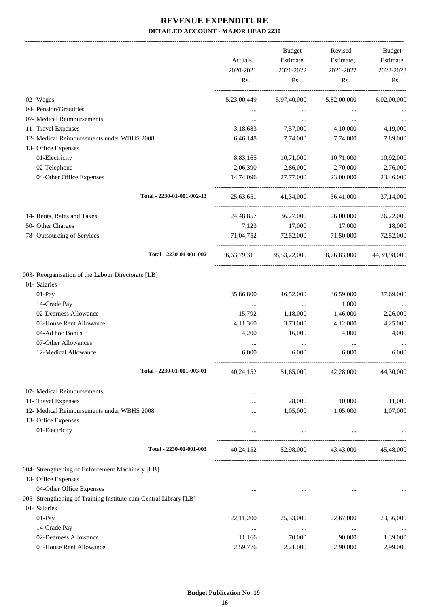-------------------------------------------------------------------------------------------------------------------------------------------------------------------------------

|                                                                   |             | <b>Budget</b>                          | Revised             | <b>Budget</b> |
|-------------------------------------------------------------------|-------------|----------------------------------------|---------------------|---------------|
|                                                                   | Actuals,    | Estimate,                              | Estimate,           | Estimate,     |
|                                                                   | 2020-2021   | 2021-2022                              | 2021-2022           | 2022-2023     |
|                                                                   | Rs.         | Rs.                                    | Rs.                 | Rs.           |
| 02- Wages                                                         | 5,23,00,449 | 5,97,40,000                            | 5,82,00,000         | 6,02,00,000   |
| 04- Pension/Gratuities                                            |             |                                        |                     |               |
| 07- Medical Reimbursements                                        | $\cdots$    | $\cdots$                               | $\cdots$            |               |
| 11- Travel Expenses                                               | 3,18,683    | 7,57,000                               | 4,10,000            | 4,19,000      |
| 12- Medical Reimbursements under WBHS 2008                        | 6,46,148    | 7,74,000                               | 7,74,000            | 7,89,000      |
| 13- Office Expenses                                               |             |                                        |                     |               |
| 01-Electricity                                                    | 8,83,165    | 10,71,000                              | 10,71,000           | 10,92,000     |
| 02-Telephone                                                      | 2,06,390    | 2,86,000                               | 2,70,000            | 2,76,000      |
| 04-Other Office Expenses                                          | 14,74,096   | 27,77,000                              | 23,00,000           | 23,46,000     |
| Total - 2230-01-001-002-13                                        | 25,63,651   | 41,34,000                              | 36,41,000           | 37,14,000     |
| 14- Rents, Rates and Taxes                                        | 24,48,857   | 36,27,000                              | 26,00,000           | 26,22,000     |
| 50- Other Charges                                                 | 7,123       | 17,000                                 | 17,000              | 18,000        |
| 78- Outsourcing of Services                                       | 71,04,752   | 72,52,000                              | 71,50,000           | 72,52,000     |
| Total - 2230-01-001-002                                           |             | 36,63,79,311 38,53,22,000 38,76,83,000 |                     | 44,39,98,000  |
| 003- Reorganisation of the Labour Directorate [LB]                |             |                                        |                     |               |
| 01- Salaries                                                      |             |                                        |                     |               |
| 01-Pay                                                            | 35,86,800   | 46,52,000                              | 36,59,000           | 37,69,000     |
| 14-Grade Pay                                                      | $\cdots$    | $\cdots$                               | 1,000               |               |
| 02-Dearness Allowance                                             | 15,792      | 1,18,000                               | 1,46,000            | 2,26,000      |
| 03-House Rent Allowance                                           | 4,11,360    | 3,73,000                               | 4,12,000            | 4,25,000      |
| 04-Ad hoc Bonus                                                   | 4,200       | 16,000                                 | 4,000               | 4,000         |
| 07-Other Allowances                                               | $\cdots$    | $\cdots$                               | $\cdots$            |               |
| 12-Medical Allowance                                              | 6,000       | 6,000                                  | 6,000               | 6,000         |
| Total - 2230-01-001-003-01                                        | 40,24,152   | 51,65,000                              | 42,28,000           | 44,30,000     |
| 07- Medical Reimbursements                                        |             | $\cdots$                               | $\cdots$            |               |
| 11- Travel Expenses                                               | $\cdots$    | 28,000                                 | 10,000              | 11,000        |
| 12- Medical Reimbursements under WBHS 2008                        |             | 1,05,000                               | 1,05,000            | 1,07,000      |
| 13- Office Expenses                                               |             |                                        |                     |               |
| 01-Electricity                                                    | $\cdots$    | $\cdots$                               |                     |               |
| Total - 2230-01-001-003                                           | 40,24,152   |                                        | 52,98,000 43,43,000 | 45,48,000     |
| 004- Strengthening of Enforcement Machinery [LB]                  |             |                                        |                     |               |
| 13- Office Expenses                                               |             |                                        |                     |               |
| 04-Other Office Expenses                                          |             |                                        |                     |               |
| 005- Strengthening of Training Institute cum Central Library [LB] |             |                                        |                     |               |
| 01- Salaries                                                      |             |                                        |                     |               |
| 01-Pay                                                            | 22,11,200   | 25,33,000                              | 22,67,000           | 23,36,000     |
| 14-Grade Pay                                                      | $\ldots$    | $\cdots$                               | $\cdots$            |               |
| 02-Dearness Allowance                                             | 11,166      | 70,000                                 | 90,000              | 1,39,000      |
| 03-House Rent Allowance                                           | 2,59,776    | 2,21,000                               | 2,90,000            | 2,99,000      |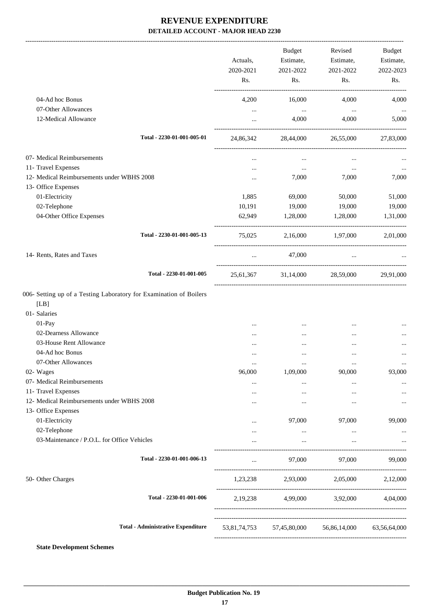-------------------------------------------------------------------------------------------------------------------------------------------------------------------------------

|                                             | Actuals,<br>2020-2021<br>Rs. | <b>Budget</b><br>Estimate,<br>2021-2022<br>Rs. | Revised<br>Estimate,<br>2021-2022<br>Rs.            | <b>Budget</b><br>Estimate,<br>2022-2023<br>Rs. |
|---------------------------------------------|------------------------------|------------------------------------------------|-----------------------------------------------------|------------------------------------------------|
| 04-Ad hoc Bonus                             | 4,200                        | 16,000                                         | 4,000                                               | 4,000                                          |
| 07-Other Allowances<br>12-Medical Allowance | $\cdots$<br>$\cdots$         | $\ldots$<br>4,000                              | $\ldots$<br>4,000                                   | <br>5,000                                      |
| Total - 2230-01-001-005-01                  | 24,86,342                    | 28,44,000                                      | 26,55,000                                           | 27,83,000                                      |
| 07- Medical Reimbursements                  | $\cdots$                     | $\cdots$                                       | $\cdots$                                            |                                                |
| 11- Travel Expenses                         | $\cdots$                     | $\cdots$                                       | $\ldots$                                            |                                                |
| 12- Medical Reimbursements under WBHS 2008  |                              | 7,000                                          | 7,000                                               | 7,000                                          |
| 13- Office Expenses                         |                              |                                                |                                                     |                                                |
| 01-Electricity                              | 1,885                        | 69,000                                         | 50,000                                              | 51,000                                         |
| 02-Telephone                                | 10,191                       | 19,000                                         | 19,000                                              | 19,000                                         |
| 04-Other Office Expenses                    | 62,949                       | 1,28,000                                       | 1,28,000                                            | 1,31,000                                       |
| Total - 2230-01-001-005-13                  | 75,025                       |                                                | 2,16,000 1,97,000                                   | 2,01,000                                       |
| 14- Rents, Rates and Taxes                  | $\cdots$                     | 47,000                                         |                                                     | <b>Second Contract Contract</b>                |
| Total - 2230-01-001-005                     |                              |                                                | 25,61,367 31,14,000 28,59,000                       | 29,91,000                                      |
| [LB]<br>01- Salaries<br>01-Pay              |                              | $\cdots$                                       | $\cdots$                                            |                                                |
| 02-Dearness Allowance                       |                              |                                                |                                                     |                                                |
| 03-House Rent Allowance                     |                              |                                                |                                                     |                                                |
| 04-Ad hoc Bonus                             |                              | $\cdots$                                       | $\ddotsc$                                           |                                                |
| 07-Other Allowances                         |                              | $\cdots$                                       |                                                     | $\cdots$                                       |
| 02- Wages                                   | 96,000                       | 1,09,000                                       | 90,000                                              | 93,000                                         |
| 07- Medical Reimbursements                  |                              |                                                | $\ddotsc$                                           |                                                |
| 11- Travel Expenses                         | $\cdots$                     | $\cdots$                                       | $\cdots$                                            |                                                |
| 12- Medical Reimbursements under WBHS 2008  |                              | $\cdots$                                       | $\cdots$                                            |                                                |
| 13- Office Expenses                         |                              |                                                |                                                     |                                                |
| 01-Electricity                              |                              | 97,000                                         | 97,000                                              | 99,000                                         |
| 02-Telephone                                |                              | $\cdots$                                       | $\ldots$                                            |                                                |
| 03-Maintenance / P.O.L. for Office Vehicles |                              | $\cdots$                                       | $\cdots$                                            |                                                |
| Total - 2230-01-001-006-13                  |                              | 97,000                                         | 97,000                                              | 99,000                                         |
| 50- Other Charges                           |                              |                                                | 1,23,238 2,93,000 2,05,000                          | 2,12,000                                       |
| Total - 2230-01-001-006                     |                              |                                                | 2,19,238 4,99,000 3,92,000 4,04,000                 |                                                |
| <b>Total - Administrative Expenditure</b>   |                              |                                                | 53,81,74,753 57,45,80,000 56,86,14,000 63,56,64,000 |                                                |
|                                             |                              |                                                |                                                     |                                                |

**State Development Schemes**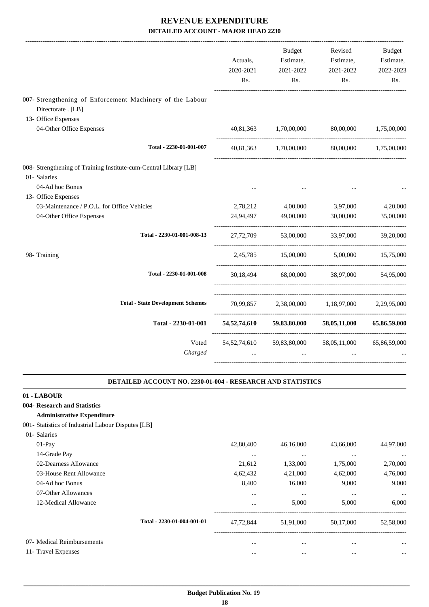|                                                                                                      | Actuals,<br>2020-2021<br>Rs. | <b>Budget</b><br>Estimate,<br>2021-2022<br>Rs. | Revised<br>Estimate,<br>2021-2022<br>Rs.      | <b>Budget</b><br>Estimate,<br>2022-2023<br>Rs. |
|------------------------------------------------------------------------------------------------------|------------------------------|------------------------------------------------|-----------------------------------------------|------------------------------------------------|
| 007- Strengthening of Enforcement Machinery of the Labour<br>Directorate . [LB]                      |                              |                                                |                                               |                                                |
| 13- Office Expenses<br>04-Other Office Expenses                                                      |                              | 40,81,363 1,70,00,000                          | 80,00,000                                     | 1,75,00,000                                    |
| Total - 2230-01-001-007                                                                              |                              |                                                | 40,81,363 1,70,00,000 80,00,000 1,75,00,000   |                                                |
| 008- Strengthening of Training Institute-cum-Central Library [LB]<br>01- Salaries<br>04-Ad hoc Bonus |                              |                                                |                                               |                                                |
| 13- Office Expenses<br>03-Maintenance / P.O.L. for Office Vehicles                                   |                              | 2,78,212 4,00,000                              | 3,97,000                                      | 4,20,000                                       |
| 04-Other Office Expenses                                                                             | 24,94,497                    | 49,00,000                                      | 30,00,000                                     | 35,00,000                                      |
| Total - 2230-01-001-008-13                                                                           | 27,72,709                    |                                                | 53,00,000 33,97,000                           | 39,20,000                                      |
| 98- Training                                                                                         |                              |                                                | 2,45,785 15,00,000 5,00,000 15,75,000         |                                                |
| Total - 2230-01-001-008                                                                              | 30,18,494                    |                                                | 68,00,000 38,97,000                           | 54,95,000                                      |
| <b>Total - State Development Schemes</b>                                                             |                              |                                                | 70,99,857 2,38,00,000 1,18,97,000 2,29,95,000 |                                                |
| Total - 2230-01-001                                                                                  | 54,52,74,610                 | 59,83,80,000                                   | 58,05,11,000                                  | 65,86,59,000                                   |
| Voted<br>Charged                                                                                     | 54, 52, 74, 610<br>$\ddotsc$ | 59,83,80,000<br>$\cdots$                       | 58,05,11,000                                  | 65,86,59,000                                   |

#### **DETAILED ACCOUNT NO. 2230-01-004 - RESEARCH AND STATISTICS .**

.

#### **01 - LABOUR**

#### **004- Research and Statistics**

#### **Administrative Expenditure**

001- Statistics of Industrial Labour Disputes [LB]

| 01- Salaries               |                            |           |           |           |           |
|----------------------------|----------------------------|-----------|-----------|-----------|-----------|
| $01-Pav$                   |                            | 42,80,400 | 46,16,000 | 43,66,000 | 44,97,000 |
| 14-Grade Pay               |                            | $\cdots$  | $\cdots$  | $\cdots$  | $\cdots$  |
| 02-Dearness Allowance      |                            | 21,612    | 1,33,000  | 1,75,000  | 2,70,000  |
| 03-House Rent Allowance    |                            | 4,62,432  | 4,21,000  | 4,62,000  | 4,76,000  |
| 04-Ad hoc Bonus            |                            | 8,400     | 16,000    | 9,000     | 9.000     |
| 07-Other Allowances        |                            | $\cdots$  | $\cdots$  | $\cdots$  | $\cdots$  |
| 12-Medical Allowance       |                            | $\cdots$  | 5,000     | 5,000     | 6,000     |
|                            | Total - 2230-01-004-001-01 | 47.72.844 | 51,91,000 | 50.17,000 | 52,58,000 |
| 07- Medical Reimbursements |                            | $\cdots$  | $\cdots$  | $\cdots$  | $\cdots$  |
| 11- Travel Expenses        |                            | $\cdots$  | $\cdots$  | $\cdots$  | $\cdots$  |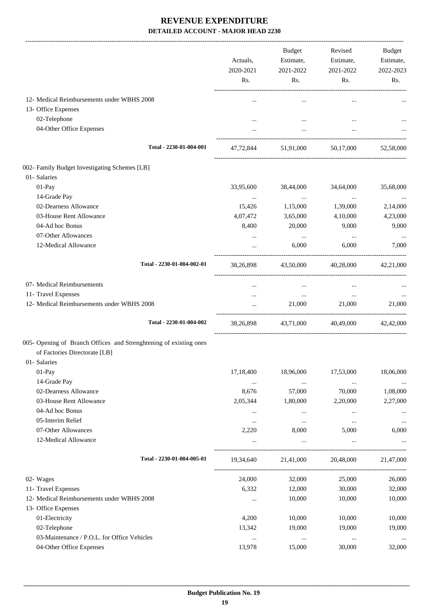|                                                                                                                   | Actuals,<br>2020-2021<br>Rs. | Budget<br>Estimate,<br>2021-2022<br>Rs. | Revised<br>Estimate,<br>2021-2022<br>Rs. | Budget<br>Estimate,<br>2022-2023<br>Rs. |
|-------------------------------------------------------------------------------------------------------------------|------------------------------|-----------------------------------------|------------------------------------------|-----------------------------------------|
| 12- Medical Reimbursements under WBHS 2008                                                                        |                              | $\cdots$                                | $\cdots$                                 |                                         |
| 13- Office Expenses                                                                                               |                              |                                         |                                          |                                         |
| 02-Telephone                                                                                                      |                              | $\cdots$                                | $\cdots$                                 |                                         |
| 04-Other Office Expenses                                                                                          |                              | $\cdots$                                |                                          |                                         |
| Total - 2230-01-004-001                                                                                           |                              | 47,72,844 51,91,000                     |                                          | 50,17,000 52,58,000                     |
| 002- Family Budget Investigating Schemes [LB]                                                                     |                              |                                         |                                          |                                         |
| 01- Salaries                                                                                                      |                              |                                         |                                          |                                         |
| 01-Pay                                                                                                            | 33,95,600                    | 38,44,000                               | 34,64,000                                | 35,68,000                               |
| 14-Grade Pay                                                                                                      | $\ldots$                     | $\sim 10^{11}$ and $\sim 10^{11}$       | $\sim 100$ and                           | $\cdots$                                |
| 02-Dearness Allowance                                                                                             | 15,426                       | 1,15,000                                | 1,39,000                                 | 2,14,000                                |
| 03-House Rent Allowance                                                                                           | 4,07,472                     | 3,65,000                                | 4,10,000                                 | 4,23,000                                |
| 04-Ad hoc Bonus                                                                                                   | 8,400                        | 20,000                                  | 9,000                                    | 9,000                                   |
| 07-Other Allowances                                                                                               | $\cdots$                     | $\cdots$                                | $\cdots$                                 | $\cdots$                                |
| 12-Medical Allowance                                                                                              | $\cdots$                     | 6,000                                   | 6,000                                    | 7,000                                   |
| Total - 2230-01-004-002-01                                                                                        | 38,26,898                    |                                         | 43,50,000 40,28,000 42,21,000            |                                         |
| 07- Medical Reimbursements                                                                                        |                              | $\cdots$                                |                                          |                                         |
| 11- Travel Expenses                                                                                               | $\cdots$                     | $\ldots$                                | $\cdots$                                 |                                         |
| 12- Medical Reimbursements under WBHS 2008                                                                        |                              | 21,000                                  | 21,000                                   | 21,000                                  |
| Total - 2230-01-004-002                                                                                           | 38,26,898                    | 43,71,000 40,49,000 42,42,000           |                                          |                                         |
| 005- Opening of Branch Offices and Strenghtening of existing ones<br>of Factories Directorate [LB]<br>01-Salaries |                              |                                         |                                          |                                         |
| 01-Pay                                                                                                            | 17,18,400                    | 18,96,000                               | 17,53,000                                | 18,06,000                               |
| 14-Grade Pay                                                                                                      |                              |                                         |                                          |                                         |
| 02-Dearness Allowance                                                                                             | $\cdots$<br>8,676            | $\ldots$<br>57,000                      | $\cdots$<br>70,000                       | 1,08,000                                |
| 03-House Rent Allowance                                                                                           | 2,05,344                     | 1,80,000                                | 2,20,000                                 | 2,27,000                                |
| 04-Ad hoc Bonus                                                                                                   | $\ldots$                     | $\cdots$                                | $\cdots$                                 | $\cdots$                                |
| 05-Interim Relief                                                                                                 | $\cdots$                     | $\cdots$                                | $\cdots$                                 |                                         |
| 07-Other Allowances                                                                                               | 2,220                        | 8,000                                   | 5,000                                    | 6,000                                   |
| 12-Medical Allowance                                                                                              | $\cdots$                     | $\cdots$                                | $\cdots$                                 |                                         |
| Total - 2230-01-004-005-01                                                                                        | 19,34,640                    | 21,41,000                               | 20,48,000                                | 21,47,000                               |
| 02- Wages                                                                                                         | 24,000                       | 32,000                                  | 25,000                                   | 26,000                                  |
| 11- Travel Expenses                                                                                               | 6,332                        | 12,000                                  | 30,000                                   | 32,000                                  |
| 12- Medical Reimbursements under WBHS 2008                                                                        | $\cdots$                     | 10,000                                  | 10,000                                   | 10,000                                  |
| 13- Office Expenses                                                                                               |                              |                                         |                                          |                                         |
| 01-Electricity                                                                                                    | 4,200                        | 10,000                                  | 10,000                                   | 10,000                                  |
| 02-Telephone                                                                                                      | 13,342                       | 19,000                                  | 19,000                                   | 19,000                                  |
| 03-Maintenance / P.O.L. for Office Vehicles                                                                       | $\ldots$                     | $\ldots$                                | $\ldots$                                 | $\cdots$                                |
| 04-Other Office Expenses                                                                                          | 13,978                       | 15,000                                  | 30,000                                   | 32,000                                  |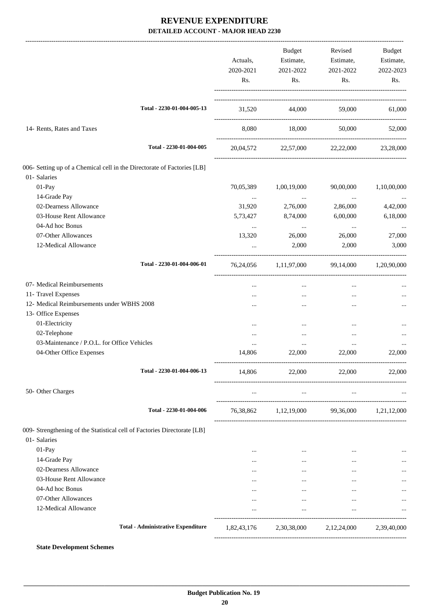|                                                                          | Actuals,<br>2020-2021<br>Rs. | Budget<br>Estimate,<br>2021-2022<br>Rs.         | Revised<br>Estimate,<br>2021-2022<br>Rs. | Budget<br>Estimate,<br>2022-2023<br>Rs. |
|--------------------------------------------------------------------------|------------------------------|-------------------------------------------------|------------------------------------------|-----------------------------------------|
| Total - 2230-01-004-005-13                                               |                              | 31,520 44,000 59,000                            |                                          | 61,000                                  |
| 14- Rents, Rates and Taxes                                               |                              | 8.080 18.000                                    | 50,000                                   | 52,000                                  |
| Total - 2230-01-004-005                                                  |                              | 20,04,572 22,57,000 22,22,000                   |                                          | 23,28,000                               |
| 006- Setting up of a Chemical cell in the Directorate of Factories [LB]  |                              |                                                 |                                          |                                         |
| 01- Salaries<br>01-Pay                                                   | 70,05,389                    | 1,00,19,000                                     | 90,00,000                                | 1,10,00,000                             |
| 14-Grade Pay                                                             |                              |                                                 |                                          |                                         |
| 02-Dearness Allowance                                                    | $\cdots$<br>31,920           | $\sim 100$ and<br>2,76,000                      | $\sim$ 100 $\mu$<br>2,86,000             | 4,42,000                                |
| 03-House Rent Allowance                                                  | 5,73,427                     | 8,74,000                                        | 6,00,000                                 | 6,18,000                                |
| 04-Ad hoc Bonus                                                          |                              | $\cdots$                                        | $\cdots$                                 |                                         |
| 07-Other Allowances                                                      | $\cdots$<br>13,320           | 26,000                                          | 26,000                                   | $\ddotsc$<br>27,000                     |
| 12-Medical Allowance                                                     | $\cdots$                     | 2,000                                           | 2,000                                    | 3,000                                   |
|                                                                          |                              |                                                 |                                          |                                         |
| Total - 2230-01-004-006-01                                               |                              | 76,24,056 1,11,97,000 99,14,000 1,20,90,000     |                                          |                                         |
| 07- Medical Reimbursements                                               |                              | $\cdots$                                        | $\cdots$                                 |                                         |
| 11- Travel Expenses                                                      |                              | $\cdots$                                        | $\cdots$                                 |                                         |
| 12- Medical Reimbursements under WBHS 2008                               |                              |                                                 | $\cdots$                                 |                                         |
| 13- Office Expenses                                                      |                              |                                                 |                                          |                                         |
| 01-Electricity                                                           | $\cdots$                     | $\cdots$                                        | $\cdots$                                 |                                         |
| 02-Telephone                                                             | $\cdots$                     | $\cdots$                                        | $\cdots$                                 |                                         |
| 03-Maintenance / P.O.L. for Office Vehicles                              | $\cdots$                     | $\cdots$                                        | $\cdots$                                 |                                         |
| 04-Other Office Expenses                                                 | 14,806                       | 22,000                                          | 22,000                                   | 22,000                                  |
| Total - 2230-01-004-006-13                                               | 14,806                       | 22,000                                          | 22,000                                   | 22,000                                  |
| 50- Other Charges                                                        | $\cdots$                     | $\cdots$                                        | $\ldots$                                 |                                         |
| Total - 2230-01-004-006                                                  |                              | 76,38,862 1,12,19,000 99,36,000 1,21,12,000     |                                          |                                         |
| 009- Strengthening of the Statistical cell of Factories Directorate [LB] |                              |                                                 |                                          |                                         |
| 01- Salaries                                                             |                              |                                                 |                                          |                                         |
| 01-Pay                                                                   | $\cdots$                     | $\ldots$                                        | $\cdots$                                 |                                         |
| 14-Grade Pay                                                             | $\cdots$                     | $\cdots$                                        | $\cdots$                                 |                                         |
| 02-Dearness Allowance                                                    | $\cdots$                     | $\cdots$                                        | $\cdots$                                 | $\cdots$                                |
| 03-House Rent Allowance                                                  | $\cdots$                     | $\cdots$                                        | $\cdots$                                 |                                         |
| 04-Ad hoc Bonus                                                          | $\cdots$                     | $\cdots$                                        | $\cdots$                                 |                                         |
| 07-Other Allowances                                                      | $\cdots$                     | $\cdots$                                        | $\ddotsc$                                |                                         |
| 12-Medical Allowance                                                     | $\cdots$                     | $\cdots$                                        | $\cdots$                                 | $\cdots$                                |
| <b>Total - Administrative Expenditure</b>                                |                              | 1,82,43,176 2,30,38,000 2,12,24,000 2,39,40,000 |                                          |                                         |
|                                                                          |                              |                                                 |                                          |                                         |

#### **State Development Schemes**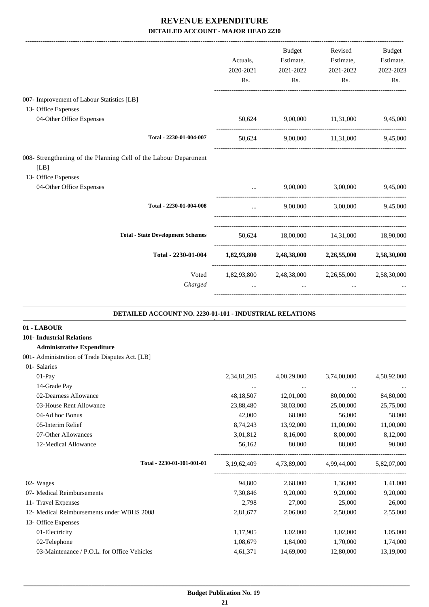|                                                                          | Actuals,<br>2020-2021<br>Rs. | Budget<br>Estimate,<br>2021-2022<br>Rs. | Revised<br>Estimate,<br>2021-2022<br>Rs.        | <b>Budget</b><br>Estimate,<br>2022-2023<br>Rs. |
|--------------------------------------------------------------------------|------------------------------|-----------------------------------------|-------------------------------------------------|------------------------------------------------|
| 007- Improvement of Labour Statistics [LB]                               |                              |                                         |                                                 |                                                |
| 13- Office Expenses                                                      |                              |                                         |                                                 |                                                |
| 04-Other Office Expenses                                                 | 50,624                       | 9,00,000 11,31,000                      |                                                 | 9,45,000                                       |
| Total - 2230-01-004-007                                                  | 50,624                       |                                         | 9,00,000 11,31,000                              | 9,45,000                                       |
| 008- Strengthening of the Planning Cell of the Labour Department<br>[LB] |                              |                                         |                                                 |                                                |
| 13- Office Expenses<br>04-Other Office Expenses                          |                              |                                         | 9,00,000 3,00,000                               | 9,45,000                                       |
| Total - 2230-01-004-008                                                  |                              |                                         | 9,00,000 3,00,000 9,45,000                      |                                                |
| <b>Total - State Development Schemes</b>                                 |                              |                                         | 50,624 18,00,000 14,31,000 18,90,000            |                                                |
| Total - 2230-01-004                                                      |                              |                                         | 1,82,93,800 2,48,38,000 2,26,55,000 2,58,30,000 |                                                |
| Voted<br>Charged                                                         | $\ddotsc$                    | $\cdots$                                | 1,82,93,800 2,48,38,000 2,26,55,000<br>$\cdots$ | 2,58,30,000                                    |
| DETAILED ACCOUNT NO. 2230-01-101 - INDUSTRIAL RELATIONS                  |                              |                                         |                                                 |                                                |
| 01 - LABOUR                                                              |                              |                                         |                                                 |                                                |
| <b>101- Industrial Relations</b>                                         |                              |                                         |                                                 |                                                |
| <b>Administrative Expenditure</b>                                        |                              |                                         |                                                 |                                                |
| 001- Administration of Trade Disputes Act. [LB]                          |                              |                                         |                                                 |                                                |
| 01- Salaries                                                             |                              |                                         |                                                 |                                                |
| $01-Pav$                                                                 | 2.34.81.205                  | 4.00.29,000                             | 3.74,00,000                                     | 4.50.92,000                                    |

| $01-Pav$                                    | 2,34,81,205 | 4,00,29,000 | 3,74,00,000 | 4,50,92,000 |
|---------------------------------------------|-------------|-------------|-------------|-------------|
| 14-Grade Pay                                | $\cdots$    | $\cdots$    | $\cdots$    |             |
| 02-Dearness Allowance                       | 48, 18, 507 | 12,01,000   | 80,00,000   | 84,80,000   |
| 03-House Rent Allowance                     | 23,88,480   | 38,03,000   | 25,00,000   | 25,75,000   |
| 04-Ad hoc Bonus                             | 42,000      | 68,000      | 56,000      | 58,000      |
| 05-Interim Relief                           | 8,74,243    | 13,92,000   | 11,00,000   | 11,00,000   |
| 07-Other Allowances                         | 3,01,812    | 8,16,000    | 8,00,000    | 8,12,000    |
| 12-Medical Allowance                        | 56,162      | 80,000      | 88,000      | 90,000      |
| Total - 2230-01-101-001-01                  | 3,19,62,409 | 4,73,89,000 | 4,99,44,000 | 5,82,07,000 |
| 02- Wages                                   | 94,800      | 2,68,000    | 1,36,000    | 1,41,000    |
| 07- Medical Reimbursements                  | 7,30,846    | 9,20,000    | 9,20,000    | 9,20,000    |
| 11- Travel Expenses                         | 2,798       | 27,000      | 25,000      | 26,000      |
| 12- Medical Reimbursements under WBHS 2008  | 2,81,677    | 2,06,000    | 2,50,000    | 2,55,000    |
| 13- Office Expenses                         |             |             |             |             |
| 01-Electricity                              | 1,17,905    | 1,02,000    | 1,02,000    | 1,05,000    |
| 02-Telephone                                | 1,08,679    | 1,84,000    | 1,70,000    | 1,74,000    |
| 03-Maintenance / P.O.L. for Office Vehicles | 4,61,371    | 14,69,000   | 12,80,000   | 13,19,000   |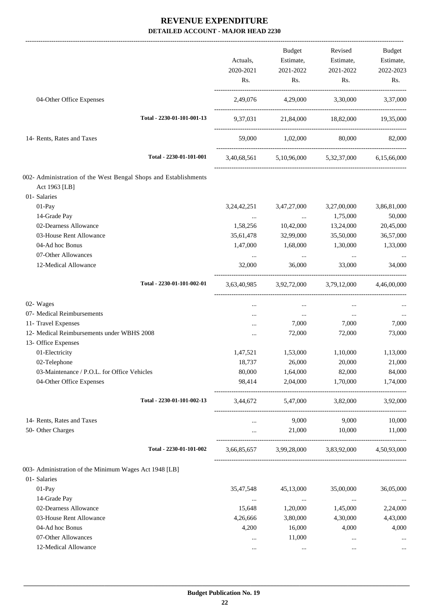|                                                                 |                | Budget                                          | Revised                       | Budget      |
|-----------------------------------------------------------------|----------------|-------------------------------------------------|-------------------------------|-------------|
|                                                                 | Actuals,       | Estimate,                                       | Estimate,                     | Estimate,   |
|                                                                 | 2020-2021      | 2021-2022                                       | 2021-2022                     | 2022-2023   |
|                                                                 | Rs.            | Rs.                                             | Rs.                           | Rs.         |
| 04-Other Office Expenses                                        |                | 2,49,076 4,29,000 3,30,000 3,37,000             |                               |             |
| Total - 2230-01-101-001-13                                      | 9,37,031       |                                                 | 21,84,000 18,82,000 19,35,000 |             |
| 14- Rents, Rates and Taxes                                      |                | 59,000 1,02,000 80,000 82,000                   |                               |             |
| Total - 2230-01-101-001                                         |                | 3,40,68,561 5,10,96,000 5,32,37,000 6,15,66,000 |                               |             |
| 002- Administration of the West Bengal Shops and Establishments |                |                                                 |                               |             |
| Act 1963 [LB]                                                   |                |                                                 |                               |             |
| 01- Salaries                                                    |                |                                                 |                               |             |
| 01-Pay                                                          | 3, 24, 42, 251 | 3,47,27,000                                     | 3,27,00,000                   | 3,86,81,000 |
| 14-Grade Pay                                                    | $\cdots$       | $\sim$ $\sim$                                   | 1,75,000                      | 50,000      |
| 02-Dearness Allowance                                           | 1,58,256       | 10,42,000                                       | 13,24,000                     | 20,45,000   |
| 03-House Rent Allowance                                         | 35,61,478      | 32,99,000                                       | 35,50,000                     | 36,57,000   |
| 04-Ad hoc Bonus                                                 | 1,47,000       | 1,68,000                                        | 1,30,000                      | 1,33,000    |
| 07-Other Allowances                                             | $\cdots$       | $\cdots$                                        | $\cdots$                      |             |
| 12-Medical Allowance                                            | 32,000         | 36,000                                          | 33,000                        | 34,000      |
| Total - 2230-01-101-002-01                                      |                | 3,63,40,985 3,92,72,000 3,79,12,000 4,46,00,000 |                               |             |
| 02- Wages                                                       | $\cdots$       | $\cdots$                                        |                               |             |
| 07- Medical Reimbursements                                      | .              | $\cdots$                                        | $\sim$ $\sim$                 | $\ldots$    |
| 11- Travel Expenses                                             | $\cdots$       | 7,000                                           | 7,000                         | 7,000       |
| 12- Medical Reimbursements under WBHS 2008                      | $\cdots$       | 72,000                                          | 72,000                        | 73,000      |
| 13- Office Expenses                                             |                |                                                 |                               |             |
| 01-Electricity                                                  | 1,47,521       | 1,53,000                                        | 1,10,000                      | 1,13,000    |
| 02-Telephone                                                    | 18,737         | 26,000                                          | 20,000                        | 21,000      |
| 03-Maintenance / P.O.L. for Office Vehicles                     | 80,000         | 1,64,000                                        | 82,000                        | 84,000      |
| 04-Other Office Expenses                                        | 98,414         | 2,04,000                                        | 1,70,000                      | 1,74,000    |
| Total - 2230-01-101-002-13                                      |                | 3,44,672 5,47,000 3,82,000                      |                               | 3,92,000    |
| 14- Rents, Rates and Taxes                                      |                | 9,000                                           | 9,000                         | 10,000      |
| 50- Other Charges                                               | $\cdots$       | 21,000                                          | 10,000                        | 11,000      |
| Total - 2230-01-101-002                                         |                | 3,66,85,657 3,99,28,000 3,83,92,000 4,50,93,000 |                               |             |
| 003- Administration of the Minimum Wages Act 1948 [LB]          |                |                                                 |                               |             |
| 01- Salaries                                                    |                |                                                 |                               |             |
| $01-Pay$                                                        | 35,47,548      | 45,13,000                                       | 35,00,000                     | 36,05,000   |
| 14-Grade Pay                                                    | $\cdots$       | $\cdots$                                        | $\ldots$                      | $\cdots$    |
| 02-Dearness Allowance                                           | 15,648         | 1,20,000                                        | 1,45,000                      | 2,24,000    |
| 03-House Rent Allowance                                         | 4,26,666       | 3,80,000                                        | 4,30,000                      | 4,43,000    |
| 04-Ad hoc Bonus                                                 | 4,200          | 16,000                                          | 4,000                         | 4,000       |
| 07-Other Allowances                                             |                | 11,000                                          | $\cdots$                      |             |
| 12-Medical Allowance                                            | $\cdots$       | $\ldots$                                        | $\cdots$                      | $\cdots$    |
|                                                                 |                |                                                 |                               |             |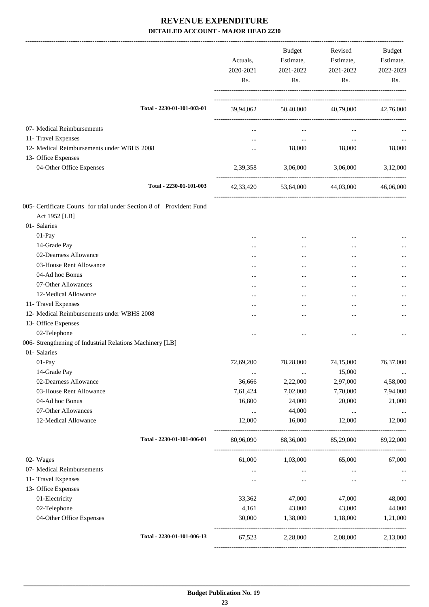|                                                                     | Actuals,<br>2020-2021<br>Rs. | <b>Budget</b><br>Estimate,<br>2021-2022<br>Rs. | Revised<br>Estimate,<br>2021-2022<br>Rs. | Budget<br>Estimate,<br>2022-2023<br>Rs. |
|---------------------------------------------------------------------|------------------------------|------------------------------------------------|------------------------------------------|-----------------------------------------|
| Total - 2230-01-101-003-01                                          |                              |                                                | 39,94,062 50,40,000 40,79,000 42,76,000  |                                         |
| 07- Medical Reimbursements                                          | $\cdots$                     | $\cdots$                                       | $\cdots$                                 |                                         |
| 11- Travel Expenses                                                 | $\cdots$                     | <b>SAMPLE CONTINUES</b>                        | $\ldots$                                 | $\cdots$                                |
| 12- Medical Reimbursements under WBHS 2008                          | $\cdots$                     | 18,000                                         | 18,000                                   | 18,000                                  |
| 13- Office Expenses                                                 |                              |                                                |                                          |                                         |
| 04-Other Office Expenses                                            | 2,39,358                     | 3,06,000                                       | 3,06,000                                 | 3,12,000                                |
| Total - 2230-01-101-003                                             |                              |                                                | 42,33,420 53,64,000 44,03,000 46,06,000  |                                         |
| 005- Certificate Courts for trial under Section 8 of Provident Fund |                              |                                                |                                          |                                         |
| Act 1952 [LB]                                                       |                              |                                                |                                          |                                         |
| 01- Salaries                                                        |                              |                                                |                                          |                                         |
| 01-Pay                                                              |                              | $\cdots$                                       | $\ddotsc$                                | $\cdots$                                |
| 14-Grade Pay                                                        | $\cdots$                     | $\cdots$                                       |                                          |                                         |
| 02-Dearness Allowance                                               | $\cdots$                     | $\cdots$                                       |                                          |                                         |
| 03-House Rent Allowance                                             | $\cdots$                     | $\cdots$                                       | $\cdots$                                 |                                         |
| 04-Ad hoc Bonus                                                     |                              | $\cdots$                                       | $\cdots$                                 |                                         |
| 07-Other Allowances                                                 |                              | $\cdots$                                       |                                          |                                         |
| 12-Medical Allowance                                                | $\cdots$                     | $\cdots$                                       |                                          |                                         |
| 11- Travel Expenses                                                 | $\cdots$                     | $\cdots$                                       | $\cdots$                                 |                                         |
| 12- Medical Reimbursements under WBHS 2008                          | .                            |                                                |                                          |                                         |
| 13- Office Expenses                                                 |                              |                                                |                                          |                                         |
| 02-Telephone                                                        | $\cdots$                     |                                                |                                          |                                         |
| 006- Strengthening of Industrial Relations Machinery [LB]           |                              |                                                |                                          |                                         |
| 01- Salaries                                                        |                              |                                                |                                          |                                         |
| 01-Pay                                                              | 72,69,200                    | 78,28,000                                      | 74,15,000                                | 76,37,000                               |
| 14-Grade Pay                                                        | $\cdots$                     | $\cdots$                                       | 15,000                                   | $\cdots$                                |
| 02-Dearness Allowance                                               | 36,666                       | 2,22,000                                       | 2,97,000                                 | 4,58,000                                |
| 03-House Rent Allowance                                             | 7,61,424                     | 7,02,000                                       | 7,70,000                                 | 7,94,000                                |
| 04-Ad hoc Bonus                                                     | 16,800                       | 24,000                                         | 20,000                                   | 21,000                                  |
| 07-Other Allowances                                                 | $\ldots$                     | 44,000                                         | $\cdots$                                 | $\cdots$                                |
| 12-Medical Allowance                                                | 12,000                       | 16,000                                         | 12,000                                   | 12,000                                  |
| Total - 2230-01-101-006-01                                          | 80,96,090                    | 88,36,000                                      | 85,29,000                                | 89,22,000                               |
| 02- Wages                                                           | 61,000                       | 1,03,000                                       | 65,000                                   | 67,000                                  |
| 07- Medical Reimbursements                                          | $\cdots$                     | $\cdots$                                       | $\cdots$                                 | $\cdots$                                |
| 11- Travel Expenses                                                 | $\cdots$                     | $\cdots$                                       | $\cdots$                                 | $\ldots$                                |
| 13- Office Expenses                                                 |                              |                                                |                                          |                                         |
| 01-Electricity                                                      | 33,362                       | 47,000                                         | 47,000                                   | 48,000                                  |
| 02-Telephone                                                        | 4,161                        | 43,000                                         | 43,000                                   | 44,000                                  |
| 04-Other Office Expenses                                            | 30,000                       | 1,38,000<br>----------------------             | 1,18,000                                 | 1,21,000                                |
| Total - 2230-01-101-006-13                                          | 67,523                       | 2,28,000                                       | 2,08,000                                 | 2,13,000                                |
|                                                                     |                              |                                                |                                          |                                         |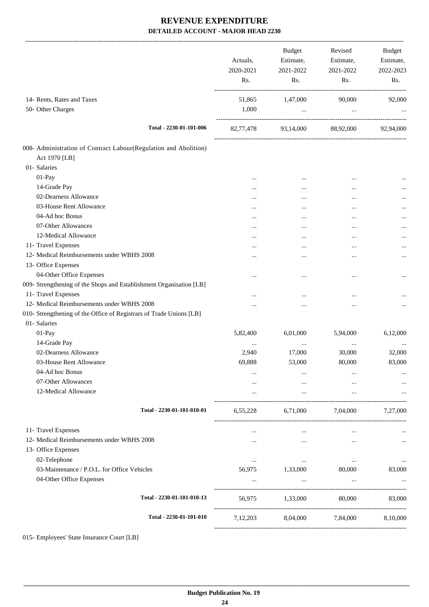|                                                                                   | Actuals,<br>2020-2021<br>Rs. | Budget<br>Estimate,<br>2021-2022<br>Rs. | Revised<br>Estimate,<br>2021-2022<br>Rs. | Budget<br>Estimate,<br>2022-2023<br>Rs. |
|-----------------------------------------------------------------------------------|------------------------------|-----------------------------------------|------------------------------------------|-----------------------------------------|
| 14- Rents, Rates and Taxes<br>50- Other Charges                                   | 51,865<br>1,000              | 1,47,000<br>$\ddots$                    | 90,000<br>$\ldots$                       | 92,000                                  |
| Total - 2230-01-101-006                                                           |                              | 82,77,478 93,14,000 88,92,000 92,94,000 |                                          |                                         |
| 008- Administration of Contract Labour(Regulation and Abolition)<br>Act 1970 [LB] |                              |                                         |                                          |                                         |
| 01- Salaries                                                                      |                              |                                         |                                          |                                         |
| 01-Pay                                                                            | $\cdots$                     |                                         |                                          |                                         |
| 14-Grade Pay                                                                      |                              | $\cdots$                                | $\cdots$                                 |                                         |
| 02-Dearness Allowance                                                             | $\cdots$                     | $\cdots$                                |                                          |                                         |
| 03-House Rent Allowance                                                           | $\cdots$                     | $\cdots$                                |                                          |                                         |
| 04-Ad hoc Bonus                                                                   | $\cdots$                     |                                         | $\cdots$                                 |                                         |
| 07-Other Allowances                                                               | $\cdots$                     |                                         |                                          |                                         |
| 12-Medical Allowance                                                              |                              |                                         |                                          | $\cdots$                                |
| 11- Travel Expenses                                                               | $\cdots$                     |                                         |                                          |                                         |
| 12- Medical Reimbursements under WBHS 2008                                        |                              |                                         |                                          |                                         |
| 13- Office Expenses                                                               |                              |                                         |                                          |                                         |
| 04-Other Office Expenses                                                          |                              |                                         | $\ddotsc$                                |                                         |
| 009- Strengthening of the Shops and Establishment Organisation [LB]               |                              |                                         |                                          |                                         |
| 11- Travel Expenses                                                               | $\cdots$                     |                                         |                                          |                                         |
| 12- Medical Reimbursements under WBHS 2008                                        |                              |                                         | $\cdots$                                 |                                         |
| 010- Strengthening of the Office of Registrars of Trade Unions [LB]               |                              |                                         |                                          |                                         |
| 01- Salaries                                                                      |                              |                                         |                                          |                                         |
| 01-Pay                                                                            | 5,82,400                     | 6,01,000                                | 5,94,000                                 | 6,12,000                                |
| 14-Grade Pay                                                                      |                              | $\cdots$                                |                                          |                                         |
| 02-Dearness Allowance                                                             | 2,940                        | 17,000                                  | 30,000                                   | 32,000                                  |
| 03-House Rent Allowance                                                           | 69,888                       | 53,000                                  | 80,000                                   | 83,000                                  |
| 04-Ad hoc Bonus                                                                   |                              |                                         |                                          |                                         |
| 07-Other Allowances                                                               |                              |                                         |                                          |                                         |
| 12-Medical Allowance                                                              |                              | $\cdots$                                | $\cdots$                                 |                                         |
|                                                                                   |                              |                                         |                                          |                                         |
| Total - 2230-01-101-010-01                                                        |                              | 6,55,228 6,71,000 7,04,000              |                                          | 7,27,000                                |
| 11- Travel Expenses                                                               | $\cdots$                     | $\cdots$                                | $\cdots$                                 | $\cdots$                                |
| 12- Medical Reimbursements under WBHS 2008                                        |                              | $\cdots$                                | $\cdots$                                 | $\cdots$                                |
| 13- Office Expenses                                                               |                              |                                         |                                          |                                         |
| 02-Telephone                                                                      | $\cdots$                     | $\sim 10^{-11}$                         | $\cdots$                                 | $\cdots$                                |
| 03-Maintenance / P.O.L. for Office Vehicles                                       | 56,975                       | 1,33,000                                | 80,000                                   | 83,000                                  |
| 04-Other Office Expenses                                                          |                              | $\cdots$                                | $\cdots$                                 |                                         |
|                                                                                   |                              |                                         |                                          |                                         |
| Total - 2230-01-101-010-13                                                        |                              | 56,975 1,33,000                         | 80,000                                   | 83,000                                  |
|                                                                                   |                              |                                         |                                          |                                         |
| Total - 2230-01-101-010                                                           | 7,12,203                     | 8,04,000                                | 7,84,000                                 | 8,10,000                                |
|                                                                                   |                              |                                         |                                          |                                         |

015- Employees' State Insurance Court [LB]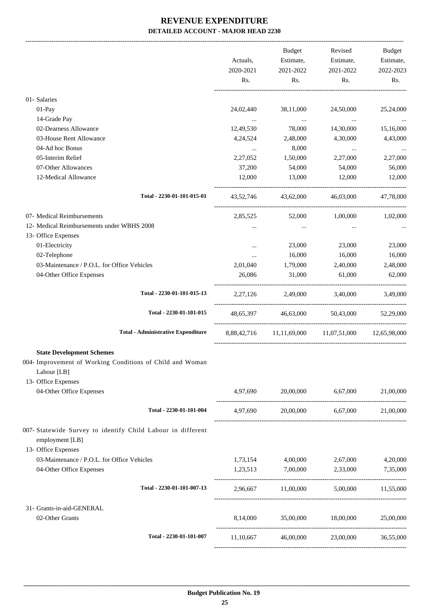|                                                                                                                                                                 | Actuals,<br>2020-2021<br>Rs. | Budget<br>Estimate,<br>2021-2022<br>Rs. | Revised<br>Estimate,<br>2021-2022<br>Rs.           | Budget<br>Estimate,<br>2022-2023<br>Rs. |
|-----------------------------------------------------------------------------------------------------------------------------------------------------------------|------------------------------|-----------------------------------------|----------------------------------------------------|-----------------------------------------|
| 01- Salaries                                                                                                                                                    |                              |                                         |                                                    |                                         |
| 01-Pay                                                                                                                                                          | 24,02,440                    | 38,11,000                               | 24,50,000                                          | 25,24,000                               |
| 14-Grade Pay                                                                                                                                                    |                              |                                         |                                                    |                                         |
| 02-Dearness Allowance                                                                                                                                           | $\ddots$<br>12,49,530        | <b>Contract Contract</b><br>78,000      | $\sim$ $\sim$<br>14,30,000                         | 15,16,000                               |
| 03-House Rent Allowance                                                                                                                                         | 4,24,524                     | 2,48,000                                | 4,30,000                                           | 4,43,000                                |
| 04-Ad hoc Bonus                                                                                                                                                 |                              | 8,000                                   |                                                    |                                         |
| 05-Interim Relief                                                                                                                                               | $\cdots$<br>2,27,052         | 1,50,000                                | $\cdots$<br>2,27,000                               | 2,27,000                                |
| 07-Other Allowances                                                                                                                                             | 37,200                       | 54,000                                  | 54,000                                             | 56,000                                  |
| 12-Medical Allowance                                                                                                                                            |                              |                                         |                                                    |                                         |
|                                                                                                                                                                 | 12,000                       | 13,000                                  | 12,000                                             | 12,000                                  |
| Total - 2230-01-101-015-01                                                                                                                                      | 43,52,746                    | 43,62,000                               | 46,03,000                                          | 47,78,000                               |
| 07- Medical Reimbursements                                                                                                                                      | 2,85,525                     | 52,000                                  | 1,00,000                                           | 1,02,000                                |
| 12- Medical Reimbursements under WBHS 2008                                                                                                                      |                              | $\cdots$                                | $\cdots$                                           |                                         |
| 13- Office Expenses                                                                                                                                             |                              |                                         |                                                    |                                         |
| 01-Electricity                                                                                                                                                  | $\cdots$                     | 23,000                                  | 23,000                                             | 23,000                                  |
| 02-Telephone                                                                                                                                                    | $\cdots$                     | 16,000                                  | 16,000                                             | 16,000                                  |
| 03-Maintenance / P.O.L. for Office Vehicles                                                                                                                     | 2,01,040                     | 1,79,000                                | 2,40,000                                           | 2,48,000                                |
| 04-Other Office Expenses                                                                                                                                        | 26,086                       | 31,000                                  | 61,000                                             | 62,000                                  |
| Total - 2230-01-101-015-13                                                                                                                                      |                              | 2,27,126 2,49,000 3,40,000              |                                                    | 3,49,000                                |
| Total - 2230-01-101-015                                                                                                                                         |                              | 48,65,397 46,63,000                     | 50,43,000                                          | 52,29,000                               |
|                                                                                                                                                                 |                              |                                         |                                                    |                                         |
| <b>Total - Administrative Expenditure</b>                                                                                                                       |                              |                                         | 8,88,42,716 11,11,69,000 11,07,51,000 12,65,98,000 |                                         |
| <b>State Development Schemes</b><br>004- Improvement of Working Conditions of Child and Woman<br>Labour [LB]<br>13- Office Expenses<br>04-Other Office Expenses |                              |                                         | 4,97,690 20,00,000 6,67,000                        | 21,00,000                               |
|                                                                                                                                                                 |                              |                                         |                                                    |                                         |
| Total - 2230-01-101-004                                                                                                                                         | 4,97,690                     |                                         | 20,00,000 6,67,000 21,00,000                       |                                         |
| 007- Statewide Survey to identify Child Labour in different<br>employment [LB]<br>13- Office Expenses                                                           |                              |                                         |                                                    |                                         |
| 03-Maintenance / P.O.L. for Office Vehicles                                                                                                                     |                              |                                         | 1,73,154 4,00,000 2,67,000                         | 4,20,000                                |
| 04-Other Office Expenses                                                                                                                                        |                              | 1,23,513 7,00,000 2,33,000              |                                                    | 7,35,000                                |
| Total - 2230-01-101-007-13                                                                                                                                      |                              |                                         | $2,96,667$ $11,00,000$ $5,00,000$ $11,55,000$      |                                         |
| 31- Grants-in-aid-GENERAL                                                                                                                                       |                              |                                         |                                                    |                                         |
| 02-Other Grants                                                                                                                                                 |                              | 8,14,000 35,00,000 18,00,000            |                                                    | 25,00,000                               |
| Total - 2230-01-101-007                                                                                                                                         |                              |                                         | 11,10,667 46,00,000 23,00,000 36,55,000            |                                         |
|                                                                                                                                                                 |                              |                                         |                                                    |                                         |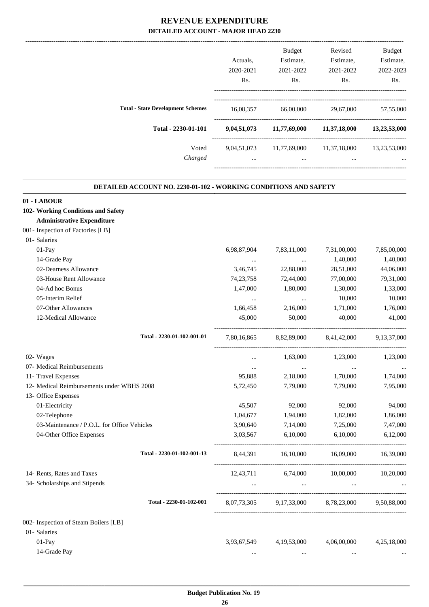|                                          | Actuals.    | <b>Budget</b><br>Estimate, | Revised<br>Estimate, | <b>Budget</b><br>Estimate, |
|------------------------------------------|-------------|----------------------------|----------------------|----------------------------|
|                                          | 2020-2021   | 2021-2022                  | 2021-2022            | 2022-2023                  |
|                                          |             |                            |                      |                            |
|                                          | Rs.         | Rs.                        | Rs.                  | Rs.                        |
|                                          |             |                            |                      |                            |
| <b>Total - State Development Schemes</b> | 16,08,357   | 66,00,000                  | 29,67,000            | 57,55,000                  |
| Total - 2230-01-101                      | 9,04,51,073 | 11,77,69,000               | 11,37,18,000         | 13,23,53,000               |
| Voted                                    | 9,04,51,073 | 11,77,69,000               | 11,37,18,000         | 13,23,53,000               |
| Charged                                  | $\cdots$    | $\cdots$                   | $\cdots$             | $\cdots$                   |
|                                          |             |                            |                      |                            |

.

#### **DETAILED ACCOUNT NO. 2230-01-102 - WORKING CONDITIONS AND SAFETY .**

| 01 - LABOUR                                 |                            |             |                |             |             |
|---------------------------------------------|----------------------------|-------------|----------------|-------------|-------------|
| 102- Working Conditions and Safety          |                            |             |                |             |             |
| <b>Administrative Expenditure</b>           |                            |             |                |             |             |
| 001- Inspection of Factories [LB]           |                            |             |                |             |             |
| 01- Salaries                                |                            |             |                |             |             |
| 01-Pay                                      |                            | 6,98,87,904 | 7,83,11,000    | 7,31,00,000 | 7,85,00,000 |
| 14-Grade Pay                                |                            | $\cdots$    | $\cdots$       | 1,40,000    | 1,40,000    |
| 02-Dearness Allowance                       |                            | 3,46,745    | 22,88,000      | 28,51,000   | 44,06,000   |
| 03-House Rent Allowance                     |                            | 74, 23, 758 | 72,44,000      | 77,00,000   | 79,31,000   |
| 04-Ad hoc Bonus                             |                            | 1,47,000    | 1,80,000       | 1,30,000    | 1,33,000    |
| 05-Interim Relief                           |                            | $\cdots$    | $\cdots$       | 10,000      | 10,000      |
| 07-Other Allowances                         |                            | 1,66,458    | 2,16,000       | 1,71,000    | 1,76,000    |
| 12-Medical Allowance                        |                            | 45,000      | 50,000         | 40,000      | 41,000      |
|                                             | Total - 2230-01-102-001-01 | 7,80,16,865 | 8,82,89,000    | 8,41,42,000 | 9,13,37,000 |
| 02- Wages                                   |                            | $\cdots$    | 1,63,000       | 1,23,000    | 1,23,000    |
| 07- Medical Reimbursements                  |                            | $\cdots$    | $\ldots$       | $\cdots$    |             |
| 11- Travel Expenses                         |                            | 95,888      | 2,18,000       | 1,70,000    | 1,74,000    |
| 12- Medical Reimbursements under WBHS 2008  |                            | 5,72,450    | 7,79,000       | 7,79,000    | 7,95,000    |
| 13- Office Expenses                         |                            |             |                |             |             |
| 01-Electricity                              |                            | 45,507      | 92,000         | 92,000      | 94,000      |
| 02-Telephone                                |                            | 1,04,677    | 1,94,000       | 1,82,000    | 1,86,000    |
| 03-Maintenance / P.O.L. for Office Vehicles |                            | 3,90,640    | 7,14,000       | 7,25,000    | 7,47,000    |
| 04-Other Office Expenses                    |                            | 3,03,567    | 6,10,000       | 6,10,000    | 6,12,000    |
|                                             | Total - 2230-01-102-001-13 | 8,44,391    | 16,10,000      | 16,09,000   | 16,39,000   |
| 14- Rents, Rates and Taxes                  |                            | 12,43,711   | 6,74,000       | 10,00,000   | 10,20,000   |
| 34- Scholarships and Stipends               |                            | $\cdots$    | $\ddotsc$      |             |             |
|                                             | Total - 2230-01-102-001    | 8,07,73,305 | 9,17,33,000    | 8,78,23,000 | 9,50,88,000 |
| 002- Inspection of Steam Boilers [LB]       |                            |             |                |             |             |
| 01- Salaries                                |                            |             |                |             |             |
| 01-Pay                                      |                            | 3,93,67,549 | 4, 19, 53, 000 | 4,06,00,000 | 4,25,18,000 |
| 14-Grade Pay                                |                            | $\cdots$    | $\cdots$       |             |             |
|                                             |                            |             |                |             |             |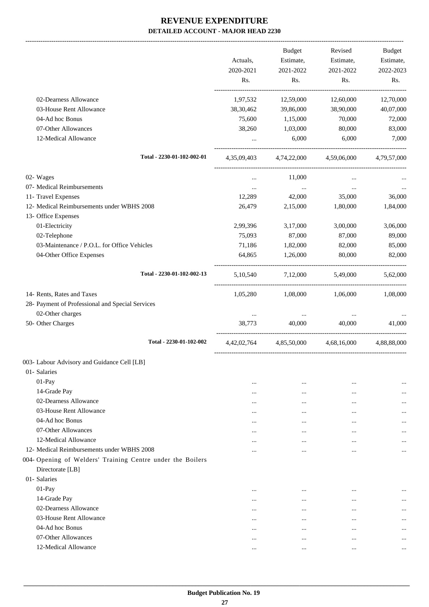-------------------------------------------------------------------------------------------------------------------------------------------------------------------------------

|                                                            | Actuals,<br>2020-2021<br>Rs. | <b>Budget</b><br>Estimate,<br>2021-2022<br>Rs. | Revised<br>Estimate,<br>2021-2022<br>Rs. | <b>Budget</b><br>Estimate,<br>2022-2023<br>Rs. |
|------------------------------------------------------------|------------------------------|------------------------------------------------|------------------------------------------|------------------------------------------------|
| 02-Dearness Allowance                                      | 1,97,532                     | 12,59,000                                      | 12,60,000                                | 12,70,000                                      |
| 03-House Rent Allowance                                    | 38,30,462                    | 39,86,000                                      | 38,90,000                                | 40,07,000                                      |
| 04-Ad hoc Bonus                                            | 75,600                       | 1,15,000                                       | 70,000                                   | 72,000                                         |
| 07-Other Allowances                                        | 38,260                       | 1,03,000                                       | 80,000                                   | 83,000                                         |
| 12-Medical Allowance                                       |                              | 6,000                                          | 6,000                                    | 7,000                                          |
| Total - 2230-01-102-002-01                                 | 4,35,09,403                  | 4,74,22,000                                    | 4,59,06,000                              | 4,79,57,000                                    |
| 02- Wages                                                  | $\cdots$                     | 11,000                                         |                                          |                                                |
| 07- Medical Reimbursements                                 | $\cdots$                     | $\cdots$                                       | $\cdots$                                 |                                                |
| 11- Travel Expenses                                        | 12,289                       | 42,000                                         | 35,000                                   | 36,000                                         |
| 12- Medical Reimbursements under WBHS 2008                 | 26,479                       | 2,15,000                                       | 1,80,000                                 | 1,84,000                                       |
| 13- Office Expenses                                        |                              |                                                |                                          |                                                |
| 01-Electricity                                             | 2,99,396                     | 3,17,000                                       | 3,00,000                                 | 3,06,000                                       |
| 02-Telephone                                               | 75,093                       | 87,000                                         | 87,000                                   | 89,000                                         |
| 03-Maintenance / P.O.L. for Office Vehicles                | 71,186                       | 1,82,000                                       | 82,000                                   | 85,000                                         |
| 04-Other Office Expenses                                   | 64,865                       | 1,26,000                                       | 80,000                                   | 82,000                                         |
| Total - 2230-01-102-002-13                                 |                              | 5,10,540 7,12,000                              | 5,49,000                                 | 5,62,000                                       |
| 14- Rents, Rates and Taxes                                 | 1,05,280                     | 1,08,000                                       | 1,06,000                                 | 1,08,000                                       |
| 28- Payment of Professional and Special Services           |                              |                                                |                                          |                                                |
| 02-Other charges                                           | $\ldots$                     | $\cdots$                                       | $\cdots$                                 |                                                |
| 50- Other Charges                                          | 38,773                       | 40,000                                         | 40,000                                   | 41.000                                         |
| Total - 2230-01-102-002                                    | 4,42,02,764                  | 4,85,50,000                                    | 4,68,16,000                              | 4,88,88,000                                    |
| 003- Labour Advisory and Guidance Cell [LB]                |                              |                                                |                                          |                                                |
| 01- Salaries                                               |                              |                                                |                                          |                                                |
| $01-Pay$                                                   |                              |                                                |                                          |                                                |
| 14-Grade Pay                                               | $\cdots$                     | $\cdots$                                       |                                          |                                                |
| 02-Dearness Allowance                                      | $\cdots$                     |                                                |                                          |                                                |
| 03-House Rent Allowance                                    |                              |                                                |                                          |                                                |
| 04-Ad hoc Bonus                                            | $\cdots$                     |                                                |                                          |                                                |
| 07-Other Allowances                                        |                              | $\cdots$                                       |                                          |                                                |
| 12-Medical Allowance                                       | $\cdots$                     | $\cdots$                                       | $\cdots$                                 |                                                |
| 12- Medical Reimbursements under WBHS 2008                 | $\cdots$                     | $\cdots$                                       |                                          |                                                |
| 004- Opening of Welders' Training Centre under the Boilers |                              |                                                |                                          |                                                |
| Directorate [LB]                                           |                              |                                                |                                          |                                                |
| 01- Salaries                                               |                              |                                                |                                          |                                                |
| 01-Pay                                                     | $\cdots$                     | $\cdots$                                       | $\cdots$                                 |                                                |
| 14-Grade Pay                                               | $\cdots$                     | $\cdots$                                       | $\cdots$                                 |                                                |
| 02-Dearness Allowance                                      | $\cdots$                     | $\cdots$                                       | $\cdots$                                 |                                                |
| 03-House Rent Allowance                                    | $\cdots$                     | $\cdots$                                       | $\cdots$                                 |                                                |
| 04-Ad hoc Bonus                                            | $\cdots$                     | $\cdots$                                       | $\cdots$                                 |                                                |
| 07-Other Allowances                                        | $\cdots$                     |                                                | $\cdots$                                 | $\cdots$                                       |
| 12-Medical Allowance                                       | $\cdots$                     | $\cdots$                                       |                                          | $\cdots$                                       |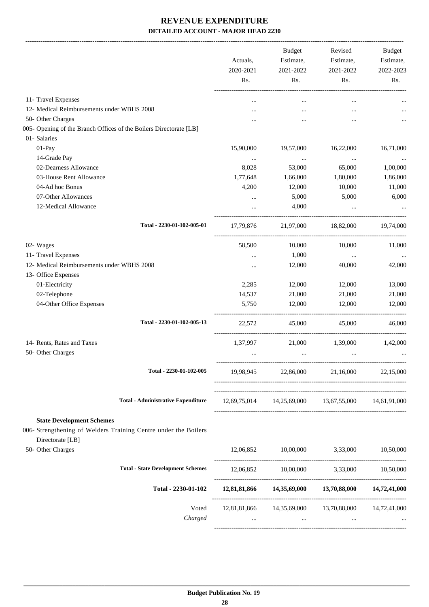-------------------------------------------------------------------------------------------------------------------------------------------------------------------------------

|                                                                    | Actuals,<br>2020-2021 | <b>Budget</b><br>Estimate,<br>2021-2022 | Revised<br>Estimate,<br>2021-2022                           | <b>Budget</b><br>Estimate,<br>2022-2023 |
|--------------------------------------------------------------------|-----------------------|-----------------------------------------|-------------------------------------------------------------|-----------------------------------------|
|                                                                    | Rs.                   | Rs.                                     | Rs.                                                         | Rs.                                     |
| 11- Travel Expenses                                                | $\cdots$              | $\cdots$                                | $\cdots$                                                    |                                         |
| 12- Medical Reimbursements under WBHS 2008                         |                       |                                         | $\cdots$                                                    |                                         |
| 50- Other Charges                                                  |                       |                                         |                                                             |                                         |
| 005- Opening of the Branch Offices of the Boilers Directorate [LB] |                       |                                         |                                                             |                                         |
| 01- Salaries                                                       |                       |                                         |                                                             |                                         |
| 01-Pay                                                             | 15,90,000             | 19,57,000                               | 16,22,000                                                   | 16,71,000                               |
| 14-Grade Pay                                                       | $\cdots$              | $\cdots$                                | $\cdots$                                                    |                                         |
| 02-Dearness Allowance                                              | 8,028                 | 53,000                                  | 65,000                                                      | 1,00,000                                |
| 03-House Rent Allowance                                            | 1,77,648              | 1,66,000                                | 1,80,000                                                    | 1,86,000                                |
| 04-Ad hoc Bonus                                                    | 4,200                 | 12,000                                  | 10,000                                                      | 11,000                                  |
| 07-Other Allowances                                                | $\cdots$              | 5,000                                   | 5,000                                                       | 6,000                                   |
| 12-Medical Allowance                                               | $\cdots$              | 4,000                                   | $\ddots$                                                    |                                         |
| Total - 2230-01-102-005-01                                         | 17,79,876             |                                         | 21,97,000 18,82,000                                         | 19,74,000                               |
| 02- Wages                                                          | 58,500                | 10,000                                  | 10,000                                                      | 11,000                                  |
| 11- Travel Expenses                                                | $\cdots$              | 1,000                                   | $\ldots$                                                    |                                         |
| 12- Medical Reimbursements under WBHS 2008                         | $\cdots$              | 12,000                                  | 40,000                                                      | 42,000                                  |
| 13- Office Expenses                                                |                       |                                         |                                                             |                                         |
| 01-Electricity                                                     | 2,285                 | 12,000                                  | 12,000                                                      | 13,000                                  |
| 02-Telephone                                                       | 14,537                | 21,000                                  | 21,000                                                      | 21,000                                  |
| 04-Other Office Expenses                                           | 5,750                 | 12,000                                  | 12,000                                                      | 12,000                                  |
| Total - 2230-01-102-005-13                                         | 22,572                | 45,000                                  | 45,000                                                      | 46,000                                  |
| 14- Rents, Rates and Taxes                                         | 1,37,997              |                                         | 21,000 1,39,000                                             | 1,42,000                                |
| 50- Other Charges                                                  |                       | $\cdots$                                | $\cdots$                                                    |                                         |
|                                                                    |                       |                                         |                                                             |                                         |
| Total - 2230-01-102-005                                            |                       | 19,98,945 22,86,000                     | 21,16,000                                                   | 22,15,000                               |
| <b>Total - Administrative Expenditure</b>                          |                       |                                         | $12,69,75,014$ $14,25,69,000$ $13,67,55,000$ $14,61,91,000$ |                                         |
| <b>State Development Schemes</b>                                   |                       |                                         |                                                             |                                         |
| 006- Strengthening of Welders Training Centre under the Boilers    |                       |                                         |                                                             |                                         |
| Directorate [LB]<br>50- Other Charges                              |                       |                                         | 12,06,852 10,00,000 3,33,000                                | 10,50,000                               |
|                                                                    |                       |                                         |                                                             |                                         |
| <b>Total - State Development Schemes</b>                           |                       |                                         | 12,06,852 10,00,000 3,33,000 10,50,000                      |                                         |
| Total - 2230-01-102                                                |                       |                                         | 12,81,81,866  14,35,69,000  13,70,88,000  14,72,41,000      |                                         |
| Voted                                                              |                       |                                         | 12,81,81,866  14,35,69,000  13,70,88,000  14,72,41,000      |                                         |
| Charged                                                            | $\cdots$              | $\sim 10^{-10}$                         | $\cdots$                                                    |                                         |
|                                                                    |                       |                                         |                                                             |                                         |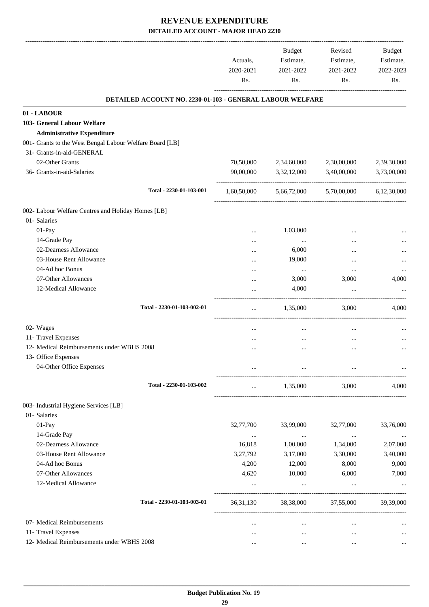-------------------------------------------------------------------------------------------------------------------------------------------------------------------------------

|                                                           | Actuals,<br>2020-2021 | <b>Budget</b><br>Estimate,<br>2021-2022 | Revised<br>Estimate,<br>2021-2022 | <b>Budget</b><br>Estimate,<br>2022-2023 |
|-----------------------------------------------------------|-----------------------|-----------------------------------------|-----------------------------------|-----------------------------------------|
|                                                           | Rs.                   | Rs.                                     | Rs.                               | Rs.                                     |
| DETAILED ACCOUNT NO. 2230-01-103 - GENERAL LABOUR WELFARE |                       |                                         |                                   |                                         |
| 01 - LABOUR                                               |                       |                                         |                                   |                                         |
| 103- General Labour Welfare                               |                       |                                         |                                   |                                         |
| <b>Administrative Expenditure</b>                         |                       |                                         |                                   |                                         |
| 001- Grants to the West Bengal Labour Welfare Board [LB]  |                       |                                         |                                   |                                         |
| 31- Grants-in-aid-GENERAL                                 |                       |                                         |                                   |                                         |
| 02-Other Grants                                           | 70,50,000             | 2,34,60,000                             | 2,30,00,000                       | 2,39,30,000                             |
| 36- Grants-in-aid-Salaries                                | 90,00,000             | 3,32,12,000                             | 3,40,00,000                       | 3,73,00,000                             |
| Total - 2230-01-103-001                                   | 1,60,50,000           | 5,66,72,000                             | 5,70,00,000                       | 6,12,30,000                             |
| 002- Labour Welfare Centres and Holiday Homes [LB]        |                       |                                         |                                   |                                         |
| 01- Salaries                                              |                       |                                         |                                   |                                         |
| 01-Pay                                                    |                       | 1,03,000                                |                                   |                                         |
| 14-Grade Pay                                              |                       | $\cdots$                                |                                   |                                         |
| 02-Dearness Allowance                                     |                       | 6,000                                   |                                   |                                         |
| 03-House Rent Allowance                                   |                       | 19,000                                  |                                   |                                         |
| 04-Ad hoc Bonus                                           |                       | $\cdots$                                |                                   |                                         |
| 07-Other Allowances                                       |                       | 3,000                                   | 3,000                             | 4,000                                   |
| 12-Medical Allowance                                      |                       | 4,000                                   | $\cdots$                          |                                         |
| Total - 2230-01-103-002-01                                | $\cdots$              | 1,35,000                                | 3,000                             | 4,000                                   |
| 02- Wages                                                 | $\cdots$              | $\cdots$                                | $\cdots$                          | $\cdots$                                |
| 11- Travel Expenses                                       |                       | $\cdots$                                | $\cdots$                          |                                         |
| 12- Medical Reimbursements under WBHS 2008                |                       |                                         |                                   |                                         |
| 13- Office Expenses                                       |                       |                                         |                                   |                                         |
| 04-Other Office Expenses                                  |                       |                                         |                                   |                                         |
| Total - 2230-01-103-002                                   | $\cdots$              | 1,35,000                                | 3,000                             | 4,000                                   |
| 003- Industrial Hygiene Services [LB]                     |                       |                                         |                                   |                                         |
| 01- Salaries                                              |                       |                                         |                                   |                                         |
| 01-Pay                                                    | 32,77,700             | 33,99,000                               | 32,77,000                         | 33,76,000                               |
| 14-Grade Pay                                              | $\cdots$              | $\ldots$                                | $\cdots$                          |                                         |
| 02-Dearness Allowance                                     | 16,818                | 1,00,000                                | 1,34,000                          | 2,07,000                                |
| 03-House Rent Allowance                                   | 3,27,792              | 3,17,000                                | 3,30,000                          | 3,40,000                                |
| 04-Ad hoc Bonus                                           | 4,200                 | 12,000                                  | 8,000                             | 9,000                                   |
| 07-Other Allowances                                       | 4,620                 | 10,000                                  | 6,000                             | 7,000                                   |
| 12-Medical Allowance                                      | $\cdots$              | $\cdots$                                | $\cdots$                          | $\cdots$                                |
| Total - 2230-01-103-003-01                                | 36, 31, 130           | 38,38,000                               | 37,55,000                         | 39,39,000                               |
| 07- Medical Reimbursements                                | $\cdots$              | $\cdots$                                | $\cdots$                          |                                         |
| 11- Travel Expenses                                       | $\cdots$              | $\cdots$                                | $\cdots$                          |                                         |
| 12- Medical Reimbursements under WBHS 2008                | $\cdots$              |                                         | $\cdots$                          |                                         |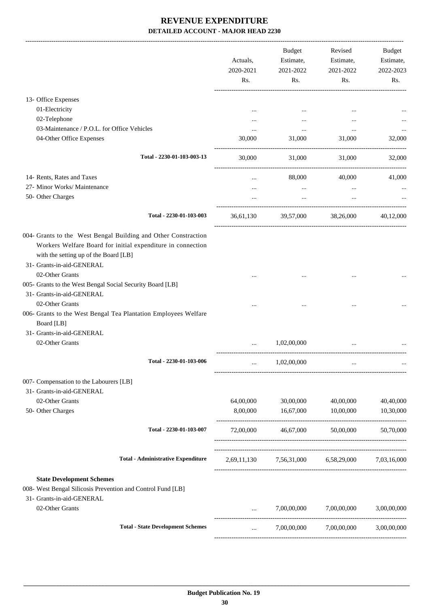|                                                                                                                                                                                                     | Actuals,<br>2020-2021<br>Rs. | Budget<br>Estimate,<br>2021-2022<br>Rs.         | Revised<br>Estimate,<br>2021-2022<br>Rs. | Budget<br>Estimate,<br>2022-2023<br>Rs. |
|-----------------------------------------------------------------------------------------------------------------------------------------------------------------------------------------------------|------------------------------|-------------------------------------------------|------------------------------------------|-----------------------------------------|
| 13- Office Expenses                                                                                                                                                                                 |                              |                                                 |                                          |                                         |
| 01-Electricity                                                                                                                                                                                      |                              |                                                 |                                          |                                         |
| 02-Telephone                                                                                                                                                                                        |                              | $\cdots$                                        | $\cdots$                                 |                                         |
| 03-Maintenance / P.O.L. for Office Vehicles                                                                                                                                                         |                              | $\cdots$                                        | $\cdots$                                 |                                         |
| 04-Other Office Expenses                                                                                                                                                                            | 30,000                       | 31,000                                          | 31,000                                   | 32,000                                  |
| Total - 2230-01-103-003-13                                                                                                                                                                          | 30,000                       | 31,000                                          | 31,000                                   | 32,000                                  |
| 14- Rents, Rates and Taxes                                                                                                                                                                          | $\cdots$                     | 88,000                                          | 40,000                                   | 41,000                                  |
| 27- Minor Works/ Maintenance                                                                                                                                                                        | $\cdots$                     | $\cdots$                                        |                                          |                                         |
| 50- Other Charges                                                                                                                                                                                   |                              | $\cdots$                                        | $\cdots$                                 |                                         |
| Total - 2230-01-103-003                                                                                                                                                                             |                              | 36,61,130 39,57,000 38,26,000 40,12,000         |                                          |                                         |
| 004- Grants to the West Bengal Building and Other Constraction<br>Workers Welfare Board for initial expenditure in connection<br>with the setting up of the Board [LB]<br>31- Grants-in-aid-GENERAL |                              |                                                 |                                          |                                         |
| 02-Other Grants<br>005- Grants to the West Bengal Social Security Board [LB]                                                                                                                        |                              |                                                 |                                          |                                         |
| 31- Grants-in-aid-GENERAL                                                                                                                                                                           |                              |                                                 |                                          |                                         |
| 02-Other Grants                                                                                                                                                                                     |                              |                                                 |                                          |                                         |
| 006- Grants to the West Bengal Tea Plantation Employees Welfare<br>Board [LB]                                                                                                                       |                              |                                                 |                                          |                                         |
| 31- Grants-in-aid-GENERAL                                                                                                                                                                           |                              |                                                 |                                          |                                         |
| 02-Other Grants                                                                                                                                                                                     |                              | 1,02,00,000                                     |                                          |                                         |
| Total - 2230-01-103-006                                                                                                                                                                             |                              | 1,02,00,000                                     |                                          |                                         |
| 007- Compensation to the Labourers [LB]                                                                                                                                                             |                              |                                                 |                                          |                                         |
| 31- Grants-in-aid-GENERAL<br>02-Other Grants                                                                                                                                                        | 64,00,000                    | 30,00,000                                       | 40,00,000                                | 40,40,000                               |
| 50- Other Charges                                                                                                                                                                                   | 8,00,000                     | 16,67,000                                       | 10,00,000                                | 10,30,000                               |
| Total - 2230-01-103-007                                                                                                                                                                             | 72,00,000                    | 46,67,000                                       | 50,00,000                                | 50,70,000                               |
| <b>Total - Administrative Expenditure</b>                                                                                                                                                           |                              | 2,69,11,130 7,56,31,000 6,58,29,000 7,03,16,000 |                                          |                                         |
| <b>State Development Schemes</b><br>008- West Bengal Silicosis Prevention and Control Fund [LB]<br>31- Grants-in-aid-GENERAL                                                                        |                              |                                                 |                                          |                                         |
| 02-Other Grants                                                                                                                                                                                     | $\cdots$                     | 7,00,00,000                                     | 7,00,00,000                              | 3,00,00,000                             |
| <b>Total - State Development Schemes</b>                                                                                                                                                            | $\cdots$                     | 7,00,00,000                                     | 7,00,00,000                              | 3,00,00,000                             |
|                                                                                                                                                                                                     |                              |                                                 |                                          |                                         |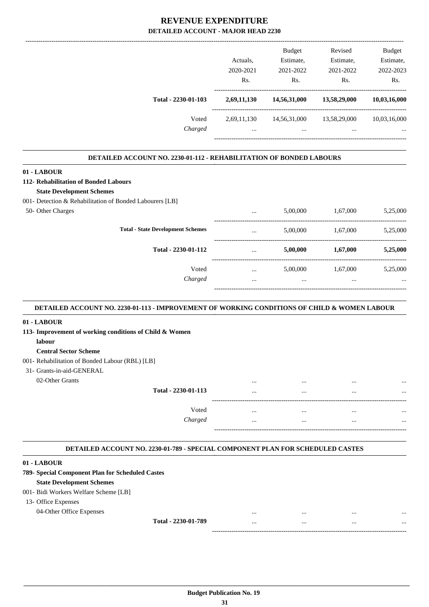|                                                                                          | Actuals,<br>2020-2021<br>Rs. | Budget<br>Estimate,<br>2021-2022<br>Rs. | Revised<br>Estimate,<br>2021-2022<br>Rs. | Budget<br>Estimate,<br>2022-2023<br>Rs. |
|------------------------------------------------------------------------------------------|------------------------------|-----------------------------------------|------------------------------------------|-----------------------------------------|
| Total - 2230-01-103                                                                      | 2,69,11,130                  | 14,56,31,000                            | 13,58,29,000                             | 10,03,16,000                            |
| Voted<br>Charged                                                                         | $\cdots$                     | $\cdots$                                | 2,69,11,130 14,56,31,000 13,58,29,000    | 10,03,16,000                            |
|                                                                                          |                              |                                         |                                          |                                         |
| <b>DETAILED ACCOUNT NO. 2230-01-112 - REHABILITATION OF BONDED LABOURS</b>               |                              |                                         |                                          |                                         |
|                                                                                          |                              |                                         |                                          |                                         |
|                                                                                          |                              |                                         |                                          |                                         |
| 01 - LABOUR<br>112- Rehabilitation of Bonded Labours<br><b>State Development Schemes</b> |                              |                                         |                                          |                                         |
| 001- Detection & Rehabilitation of Bonded Labourers [LB]<br>50- Other Charges            | $\cdots$                     |                                         | 5,00,000 1,67,000                        | 5,25,000                                |
| <b>Total - State Development Schemes</b>                                                 | $\cdots$                     | 5,00,000                                | 1,67,000                                 | 5,25,000                                |

| 01 - LABOUR                                             |          |          |          |          |
|---------------------------------------------------------|----------|----------|----------|----------|
| 113- Improvement of working conditions of Child & Women |          |          |          |          |
| labour                                                  |          |          |          |          |
| <b>Central Sector Scheme</b>                            |          |          |          |          |
| 001- Rehabilitation of Bonded Labour (RBL) [LB]         |          |          |          |          |
| 31- Grants-in-aid-GENERAL                               |          |          |          |          |
| 02-Other Grants                                         |          |          |          |          |
| Total - 2230-01-113                                     |          | $\cdots$ | $\cdots$ | $\cdots$ |
| Voted                                                   | $\cdots$ | $\cdots$ | $\cdots$ | $\cdots$ |
| Charged                                                 | $\cdots$ | $\cdots$ | $\cdots$ | $\cdots$ |
|                                                         |          |          |          |          |

Voted ... 5,00,000 1,67,000 5,25,000 *Charged* ... ... ... ...

-----------------------------------------------------------------------------------------

#### **DETAILED ACCOUNT NO. 2230-01-789 - SPECIAL COMPONENT PLAN FOR SCHEDULED CASTES .**

#### **01 - LABOUR**

| 789- Special Component Plan for Scheduled Castes |          |          |              |
|--------------------------------------------------|----------|----------|--------------|
| <b>State Development Schemes</b>                 |          |          |              |
| 001 - Bidi Workers Welfare Scheme [LB]           |          |          |              |
| 13- Office Expenses                              |          |          |              |
| 04-Other Office Expenses                         | $\cdots$ | $\cdots$ | <br>$\cdots$ |
| Total - 2230-01-789                              | $\cdots$ | $\cdots$ | <br>$\cdots$ |
|                                                  |          |          |              |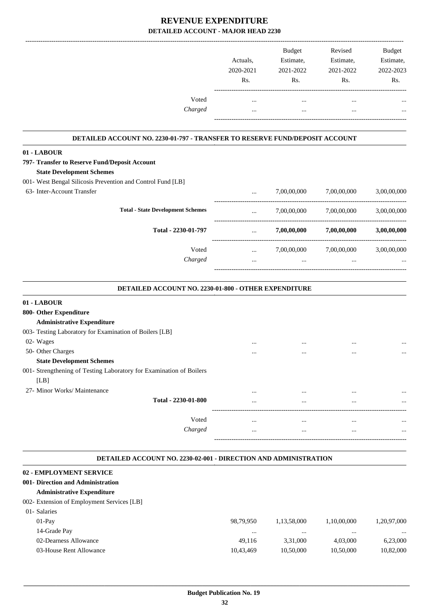|         |           | <b>Budget</b> | Revised   | <b>Budget</b> |
|---------|-----------|---------------|-----------|---------------|
|         | Actuals.  | Estimate,     | Estimate, | Estimate,     |
|         | 2020-2021 | 2021-2022     | 2021-2022 | 2022-2023     |
|         | Rs.       | Rs.           | Rs.       | Rs.           |
| Voted   |           | $\cdots$      |           | $\cdots$      |
| Charged |           | $\cdots$      |           | $\cdots$      |
|         |           |               |           |               |

#### **DETAILED ACCOUNT NO. 2230-01-797 - TRANSFER TO RESERVE FUND/DEPOSIT ACCOUNT .**

.

**01 - LABOUR**

| 797- Transfer to Reserve Fund/Deposit Account                |          |             |             |             |
|--------------------------------------------------------------|----------|-------------|-------------|-------------|
| <b>State Development Schemes</b>                             |          |             |             |             |
| 001 - West Bengal Silicosis Prevention and Control Fund [LB] |          |             |             |             |
| 63- Inter-Account Transfer                                   | $\cdots$ | 7,00,00,000 | 7,00,00,000 | 3,00,00,000 |
| <b>Total - State Development Schemes</b>                     | $\cdots$ | 7,00,00,000 | 7,00,00,000 | 3.00.00.000 |
| Total - 2230-01-797                                          | $\cdots$ | 7,00,00,000 | 7,00,00,000 | 3,00,00,000 |
| Voted                                                        | $\cdots$ | 7,00,00,000 | 7,00,00,000 | 3.00.00.000 |
| Charged                                                      |          |             |             |             |
|                                                              |          |             |             |             |

| DETAILED ACCOUNT NO. 2230-01-800 - OTHER EXPENDITURE                   |          |           |           |          |  |
|------------------------------------------------------------------------|----------|-----------|-----------|----------|--|
| 01 - LABOUR                                                            |          |           |           |          |  |
| 800- Other Expenditure                                                 |          |           |           |          |  |
| <b>Administrative Expenditure</b>                                      |          |           |           |          |  |
| 003- Testing Laboratory for Examination of Boilers [LB]                |          |           |           |          |  |
| 02- Wages                                                              |          | $\cdots$  | $\cdots$  | $\cdots$ |  |
| 50- Other Charges                                                      |          | $\ddotsc$ | $\ddotsc$ | $\cdots$ |  |
| <b>State Development Schemes</b>                                       |          |           |           |          |  |
| 001- Strengthening of Testing Laboratory for Examination of Boilers    |          |           |           |          |  |
| [LB]                                                                   |          |           |           |          |  |
| 27- Minor Works/ Maintenance                                           |          | $\cdots$  | $\cdots$  |          |  |
| Total - 2230-01-800                                                    | $\cdots$ | $\cdots$  | $\cdots$  |          |  |
| Voted                                                                  | $\cdots$ | $\cdots$  | $\cdots$  | $\cdots$ |  |
| Charged                                                                | $\cdots$ |           | $\cdots$  |          |  |
|                                                                        |          |           |           |          |  |
| <b>DETAILED ACCOUNT NO. 2230-02-001 - DIRECTION AND ADMINISTRATION</b> |          |           |           |          |  |
| 02 - EMPLOYMENT SERVICE                                                |          |           |           |          |  |
| 001- Direction and Administration                                      |          |           |           |          |  |

## **Administrative Expenditure**

#### 002- Extension of Employment Services [LB]

| 01- Salaries            |           |             |             |             |
|-------------------------|-----------|-------------|-------------|-------------|
| $01-Pav$                | 98.79.950 | 1.13.58.000 | 1.10.00.000 | 1,20,97,000 |
| 14-Grade Pay            | $\cdots$  | $\cdots$    | $\cdots$    |             |
| 02-Dearness Allowance   | 49.116    | 3.31.000    | 4.03.000    | 6,23,000    |
| 03-House Rent Allowance | 10.43.469 | 10.50.000   | 10.50.000   | 10,82,000   |
|                         |           |             |             |             |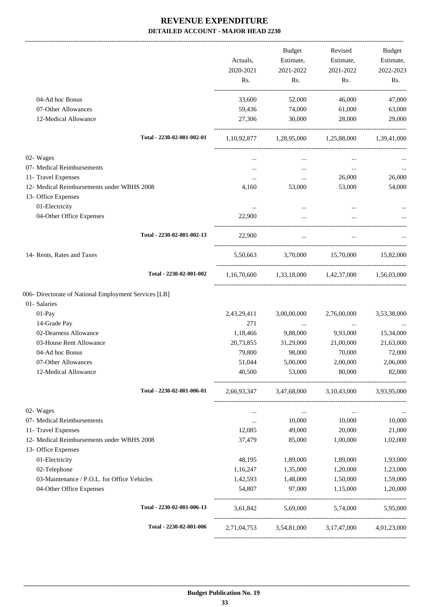|                                                                   | Actuals,         | Budget<br>Estimate,                                     | Revised<br>Estimate, | <b>Budget</b><br>Estimate, |
|-------------------------------------------------------------------|------------------|---------------------------------------------------------|----------------------|----------------------------|
|                                                                   | 2020-2021<br>Rs. | 2021-2022<br>Rs.                                        | 2021-2022<br>Rs.     | 2022-2023<br>Rs.           |
| 04-Ad hoc Bonus                                                   | 33,600           | 52,000                                                  | 46,000               | 47,000                     |
| 07-Other Allowances                                               | 59,436           | 74,000                                                  | 61,000               | 63,000                     |
| 12-Medical Allowance                                              | 27,306           | 30,000                                                  | 28,000               | 29,000                     |
| Total - 2230-02-001-002-01                                        |                  | 1,10,92,877 1,28,95,000 1,25,88,000 1,39,41,000         |                      |                            |
| 02- Wages                                                         | $\cdots$         | $\cdots$                                                |                      |                            |
| 07- Medical Reimbursements                                        | $\cdots$         | $\ldots$                                                | $\ddotsc$            |                            |
| 11- Travel Expenses                                               | $\cdots$         | $\cdots$                                                | 26,000               | 26,000                     |
| 12- Medical Reimbursements under WBHS 2008                        | 4,160            | 53,000                                                  | 53,000               | 54,000                     |
| 13- Office Expenses                                               |                  |                                                         |                      |                            |
| 01-Electricity                                                    | $\cdots$         | $\cdots$                                                |                      |                            |
| 04-Other Office Expenses                                          | 22,900           | $\cdots$                                                |                      |                            |
| Total - 2230-02-001-002-13                                        | 22,900           | $\cdots$                                                | $\ddots$             |                            |
| 14- Rents, Rates and Taxes                                        |                  | 5,50,663 3,70,000 15,70,000 15,82,000                   |                      |                            |
| Total - 2230-02-001-002                                           |                  | $1,16,70,600$ $1,33,18,000$ $1,42,37,000$ $1,56,03,000$ |                      |                            |
| 006- Directorate of National Employment Services [LB]             |                  |                                                         |                      |                            |
| 01- Salaries                                                      |                  |                                                         |                      |                            |
| 01-Pay                                                            | 2,43,29,411      | 3,00,00,000                                             | 2,76,00,000          | 3,53,38,000                |
| 14-Grade Pay                                                      | 271              | $\ldots$                                                | $\cdots$             | $\cdots$                   |
| 02-Dearness Allowance                                             | 1,18,466         | 9,88,000                                                | 9,93,000             | 15,34,000                  |
| 03-House Rent Allowance                                           | 20,73,855        | 31,29,000                                               | 21,00,000            | 21,63,000                  |
| 04-Ad hoc Bonus                                                   | 79,800           | 98,000                                                  | 70,000               | 72,000                     |
| 07-Other Allowances                                               | 51,044           | 5,00,000                                                | 2,00,000             | 2,06,000                   |
| 12-Medical Allowance                                              | 40,500           | 53,000                                                  | 80,000               | 82,000                     |
| Total - 2230-02-001-006-01                                        |                  | 2,66,93,347 3,47,68,000 3,10,43,000 3,93,95,000         |                      |                            |
| 02- Wages                                                         | $\cdots$         | $\ldots$                                                | $\cdots$             |                            |
| 07- Medical Reimbursements                                        | $\ldots$         | 10,000                                                  | 10,000               | 10,000                     |
| 11- Travel Expenses                                               | 12,085           | 49,000                                                  | 20,000               | 21,000                     |
| 12- Medical Reimbursements under WBHS 2008<br>13- Office Expenses | 37,479           | 85,000                                                  | 1,00,000             | 1,02,000                   |
| 01-Electricity                                                    | 48,195           | 1,89,000                                                | 1,89,000             | 1,93,000                   |
| 02-Telephone                                                      | 1,16,247         | 1,35,000                                                | 1,20,000             | 1,23,000                   |
| 03-Maintenance / P.O.L. for Office Vehicles                       | 1,42,593         | 1,48,000                                                | 1,50,000             | 1,59,000                   |
| 04-Other Office Expenses                                          | 54,807           | 97,000                                                  | 1,15,000             | 1,20,000                   |
| Total - 2230-02-001-006-13                                        |                  | 3,61,842 5,69,000 5,74,000                              |                      | 5,95,000                   |
| Total - 2230-02-001-006                                           |                  | 2,71,04,753 3,54,81,000 3,17,47,000 4,01,23,000         |                      |                            |
|                                                                   |                  |                                                         |                      |                            |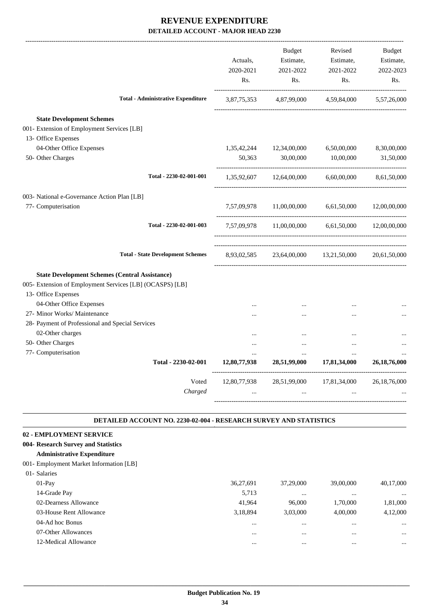|                                                                                | Actuals,<br>2020-2021<br>Rs. | <b>Budget</b><br>Estimate,<br>2021-2022<br>Rs. | Revised<br>Estimate,<br>2021-2022<br>Rs.          | <b>Budget</b><br>Estimate,<br>2022-2023<br>Rs. |
|--------------------------------------------------------------------------------|------------------------------|------------------------------------------------|---------------------------------------------------|------------------------------------------------|
| <b>Total - Administrative Expenditure</b>                                      |                              |                                                | 3,87,75,353 4,87,99,000 4,59,84,000 5,57,26,000   |                                                |
|                                                                                |                              |                                                |                                                   |                                                |
| <b>State Development Schemes</b><br>001- Extension of Employment Services [LB] |                              |                                                |                                                   |                                                |
| 13- Office Expenses                                                            |                              |                                                |                                                   |                                                |
| 04-Other Office Expenses                                                       |                              | 1,35,42,244 12,34,00,000                       | 6,50,00,000                                       | 8,30,00,000                                    |
| 50- Other Charges                                                              | 50,363                       | 30,00,000                                      | 10,00,000                                         | 31,50,000                                      |
| Total - 2230-02-001-001                                                        |                              | 1,35,92,607 12,64,00,000                       | 6,60,00,000                                       | 8,61,50,000                                    |
| 003- National e-Governance Action Plan [LB]                                    |                              |                                                |                                                   |                                                |
| 77- Computerisation                                                            | 7,57,09,978                  | 11,00,00,000 6,61,50,000                       |                                                   | 12,00,00,000                                   |
| Total - 2230-02-001-003                                                        |                              |                                                | 7,57,09,978 11,00,00,000 6,61,50,000 12,00,00,000 |                                                |
| <b>Total - State Development Schemes</b>                                       |                              |                                                | 8,93,02,585 23,64,00,000 13,21,50,000             | 20,61,50,000                                   |
| <b>State Development Schemes (Central Assistance)</b>                          |                              |                                                |                                                   |                                                |
| 005- Extension of Employment Services [LB] (OCASPS) [LB]                       |                              |                                                |                                                   |                                                |
| 13- Office Expenses                                                            |                              |                                                |                                                   |                                                |
| 04-Other Office Expenses                                                       | $\cdots$                     | $\cdots$                                       | $\cdots$                                          |                                                |
| 27- Minor Works/ Maintenance                                                   |                              |                                                |                                                   |                                                |
| 28- Payment of Professional and Special Services                               |                              |                                                |                                                   |                                                |
| 02-Other charges                                                               |                              | $\cdots$                                       | $\ddotsc$                                         |                                                |
| 50- Other Charges                                                              |                              |                                                |                                                   |                                                |
| 77- Computerisation                                                            |                              |                                                | $\cdots$                                          |                                                |
| Total - 2230-02-001                                                            | 12,80,77,938                 | 28,51,99,000                                   | 17,81,34,000                                      | 26, 18, 76, 000                                |
| Voted                                                                          | 12,80,77,938                 |                                                | 28,51,99,000 17,81,34,000                         | 26, 18, 76, 000                                |
| Charged                                                                        | $\cdots$                     | $\ddotsc$                                      | $\ddotsc$                                         |                                                |
|                                                                                |                              |                                                |                                                   |                                                |

#### **DETAILED ACCOUNT NO. 2230-02-004 - RESEARCH SURVEY AND STATISTICS .**

.

#### **02 - EMPLOYMENT SERVICE**

#### **004- Research Survey and Statistics**

#### **Administrative Expenditure**

#### 001- Employment Market Information [LB]

| 01- Salaries            |           |           |           |           |
|-------------------------|-----------|-----------|-----------|-----------|
| $01-Pav$                | 36,27,691 | 37,29,000 | 39,00,000 | 40,17,000 |
| 14-Grade Pay            | 5,713     | $\cdots$  |           | $\cdots$  |
| 02-Dearness Allowance   | 41,964    | 96,000    | 1,70,000  | 1,81,000  |
| 03-House Rent Allowance | 3,18,894  | 3,03,000  | 4,00,000  | 4,12,000  |
| 04-Ad hoc Bonus         |           | $\cdots$  |           | $\cdots$  |
| 07-Other Allowances     |           | $\cdots$  |           | $\cdots$  |
| 12-Medical Allowance    |           |           |           |           |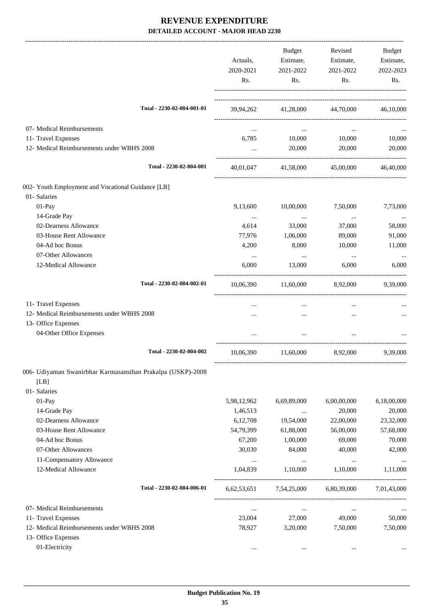|                                                             | Actuals,<br>2020-2021<br>Rs. | Budget<br>Estimate,<br>2021-2022<br>Rs. | Revised<br>Estimate,<br>2021-2022<br>Rs. | Budget<br>Estimate,<br>2022-2023<br>Rs. |
|-------------------------------------------------------------|------------------------------|-----------------------------------------|------------------------------------------|-----------------------------------------|
| Total - 2230-02-004-001-01                                  |                              | 39,94,262 41,28,000 44,70,000 46,10,000 |                                          |                                         |
| 07- Medical Reimbursements                                  |                              | $\ddotsc$                               | $\cdots$                                 |                                         |
| 11- Travel Expenses                                         | 6,785                        |                                         | 10,000 10,000                            | 10,000                                  |
| 12- Medical Reimbursements under WBHS 2008                  |                              | 20,000                                  | 20,000                                   | 20,000                                  |
| Total - 2230-02-004-001                                     | 40,01,047                    | 41,58,000                               | 45,00,000                                | 46,40,000                               |
| 002- Youth Employment and Vocational Guidance [LB]          |                              |                                         |                                          |                                         |
| 01- Salaries                                                |                              |                                         |                                          |                                         |
| 01-Pay                                                      | 9,13,600                     | 10,00,000                               | 7,50,000                                 | 7,73,000                                |
| 14-Grade Pay                                                | $\ldots$                     | $\cdots$                                | $\cdots$                                 |                                         |
| 02-Dearness Allowance                                       | 4,614                        | 33,000                                  | 37,000                                   | 58,000                                  |
| 03-House Rent Allowance                                     | 77,976                       | 1,06,000                                | 89,000                                   | 91,000                                  |
| 04-Ad hoc Bonus                                             | 4,200                        | 8,000                                   | 10,000                                   | 11,000                                  |
| 07-Other Allowances                                         | $\cdots$                     | $\ddotsc$                               | $\ddotsc$                                | $\ldots$                                |
| 12-Medical Allowance                                        | 6,000                        | 13,000                                  | 6,000                                    | 6,000                                   |
| Total - 2230-02-004-002-01                                  | 10,06,390                    |                                         | 11,60,000 8,92,000                       | 9.39,000                                |
| 11- Travel Expenses                                         | $\cdots$                     | $\cdots$                                | $\cdots$                                 |                                         |
| 12- Medical Reimbursements under WBHS 2008                  |                              | $\cdots$                                | $\cdots$                                 |                                         |
| 13- Office Expenses                                         |                              |                                         |                                          |                                         |
| 04-Other Office Expenses                                    |                              |                                         |                                          |                                         |
| Total - 2230-02-004-002                                     | 10,06,390                    | 11,60,000                               | 8,92,000                                 | 9,39,000                                |
| 006- Udiyaman Swanirbhar Karmasansthan Prakalpa (USKP)-2008 |                              |                                         |                                          |                                         |
| [LB]                                                        |                              |                                         |                                          |                                         |
| 01- Salaries                                                |                              |                                         |                                          |                                         |
| 01-Pay                                                      | 5,98,12,962                  | 6,69,89,000                             | 6,00,00,000                              | 6,18,00,000                             |
| 14-Grade Pay                                                | 1,46,513                     | $\cdots$                                | 20,000                                   | 20,000                                  |
| 02-Dearness Allowance                                       | 6,12,708                     | 19,54,000                               | 22,00,000                                | 23,32,000                               |
| 03-House Rent Allowance                                     | 54,79,399                    | 61,88,000                               | 56,00,000                                | 57,68,000                               |
| 04-Ad hoc Bonus                                             | 67,200                       | 1,00,000                                | 69,000                                   | 70,000                                  |
| 07-Other Allowances                                         | 30,030                       | 84,000                                  | 40,000                                   | 42,000                                  |
| 11-Compensatory Allowance                                   | $\cdots$                     | $\ldots$                                | $\ldots$                                 |                                         |
| 12-Medical Allowance                                        | 1,04,839                     | 1,10,000                                | 1,10,000                                 | 1,11,000                                |
| Total - 2230-02-004-006-01                                  | 6,62,53,651                  | 7,54,25,000                             | 6,80,39,000                              | 7,01,43,000                             |
| 07- Medical Reimbursements                                  | $\ldots$                     | $\ddotsc$                               | $\cdots$                                 |                                         |
| 11- Travel Expenses                                         | 23,004                       | 27,000                                  | 49,000                                   | 50,000                                  |
| 12- Medical Reimbursements under WBHS 2008                  | 78,927                       | 3,20,000                                | 7,50,000                                 | 7,50,000                                |
| 13- Office Expenses                                         |                              |                                         |                                          |                                         |
| 01-Electricity                                              | $\cdots$                     | $\cdots$                                | $\cdots$                                 |                                         |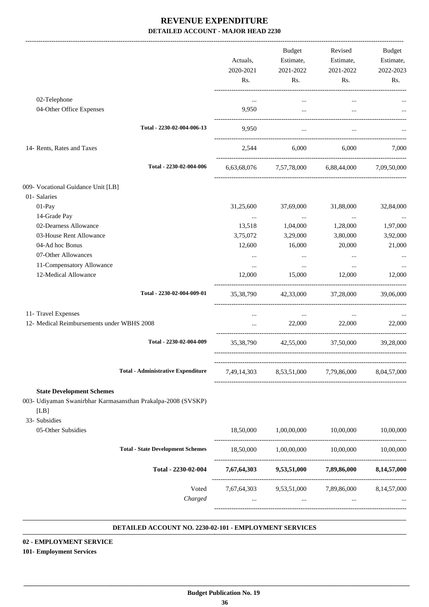|                                                                                                                           |                  | Actuals,<br>2020-2021<br>Rs. | Budget<br>Estimate,<br>2021-2022<br>Rs. | Revised<br>Estimate,<br>2021-2022<br>Rs.                    | <b>Budget</b><br>Estimate,<br>2022-2023<br>Rs. |
|---------------------------------------------------------------------------------------------------------------------------|------------------|------------------------------|-----------------------------------------|-------------------------------------------------------------|------------------------------------------------|
| 02-Telephone                                                                                                              |                  | $\cdots$                     |                                         | $\cdots$                                                    |                                                |
| 04-Other Office Expenses                                                                                                  |                  | 9,950                        | $\cdots$                                | $\cdots$                                                    |                                                |
| Total - 2230-02-004-006-13                                                                                                |                  | 9,950                        | $\cdots$                                |                                                             |                                                |
| 14- Rents, Rates and Taxes                                                                                                |                  | 2,544                        | 6,000                                   | 6.000                                                       | 7.000                                          |
| Total - 2230-02-004-006                                                                                                   |                  | 6,63,68,076                  |                                         | 7,57,78,000 6,88,44,000 7,09,50,000                         |                                                |
| 009- Vocational Guidance Unit [LB]                                                                                        |                  |                              |                                         |                                                             |                                                |
| 01-Salaries<br>01-Pay                                                                                                     |                  | 31,25,600                    | 37,69,000                               | 31,88,000                                                   | 32,84,000                                      |
| 14-Grade Pay                                                                                                              |                  | $\cdots$                     | $\ldots$                                | $\ldots$                                                    |                                                |
| 02-Dearness Allowance                                                                                                     |                  | 13,518                       | 1,04,000                                | 1,28,000                                                    | 1,97,000                                       |
| 03-House Rent Allowance                                                                                                   |                  | 3,75,072                     | 3,29,000                                | 3,80,000                                                    | 3,92,000                                       |
| 04-Ad hoc Bonus                                                                                                           |                  | 12,600                       | 16,000                                  | 20,000                                                      | 21,000                                         |
| 07-Other Allowances                                                                                                       |                  |                              | $\cdots$                                | $\cdots$                                                    |                                                |
| 11-Compensatory Allowance                                                                                                 |                  | $\cdots$                     | $\cdots$                                | $\cdots$                                                    |                                                |
| 12-Medical Allowance                                                                                                      |                  | 12,000                       | 15,000                                  | 12,000                                                      | 12,000                                         |
| Total - 2230-02-004-009-01                                                                                                |                  |                              |                                         | 35,38,790 42,33,000 37,28,000                               | 39,06,000                                      |
| 11- Travel Expenses                                                                                                       |                  | $\cdots$                     | $\cdots$                                | $\cdots$                                                    |                                                |
| 12- Medical Reimbursements under WBHS 2008                                                                                |                  | $\cdots$                     | 22,000                                  | 22,000                                                      | 22,000                                         |
| Total - 2230-02-004-009                                                                                                   |                  |                              |                                         | 35,38,790 42,55,000 37,50,000                               | 39,28,000                                      |
| <b>Total - Administrative Expenditure</b>                                                                                 |                  | 7,49,14,303                  |                                         | 8,53,51,000 7,79,86,000                                     | 8,04,57,000                                    |
| <b>State Development Schemes</b><br>003- Udiyaman Swanirbhar Karmasansthan Prakalpa-2008 (SVSKP)<br>[LB]<br>33- Subsidies |                  |                              |                                         |                                                             |                                                |
| 05-Other Subsidies                                                                                                        |                  |                              |                                         | 18,50,000   1,00,00,000   10,00,000   10,00,000             |                                                |
| <b>Total - State Development Schemes</b>                                                                                  |                  | 18,50,000                    |                                         | 1,00,00,000 10,00,000                                       | 10,00,000                                      |
| Total - 2230-02-004                                                                                                       |                  |                              |                                         | 7,67,64,303 9,53,51,000 7,89,86,000 8,14,57,000             |                                                |
|                                                                                                                           | Voted<br>Charged | $\cdots$                     | <b>Section</b> of the con-              | 7,67,64,303 9,53,51,000 7,89,86,000 8,14,57,000<br>$\cdots$ |                                                |

#### **DETAILED ACCOUNT NO. 2230-02-101 - EMPLOYMENT SERVICES .**

# **02 - EMPLOYMENT SERVICE**

**101- Employment Services**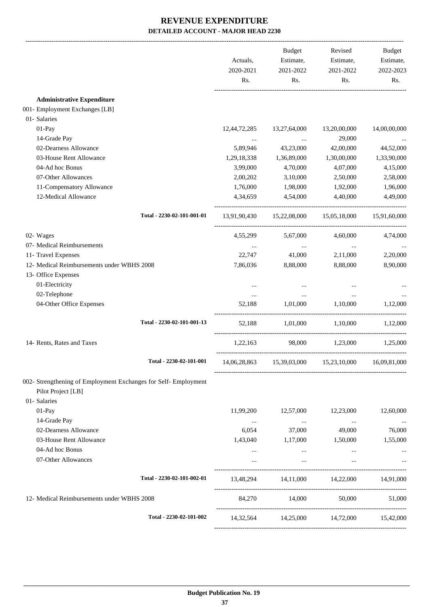|                                                                                       | Actuals,<br>2020-2021<br>Rs. | Budget<br>Estimate,<br>2021-2022<br>Rs. | Revised<br>Estimate,<br>2021-2022<br>Rs.            | Budget<br>Estimate,<br>2022-2023<br>Rs. |
|---------------------------------------------------------------------------------------|------------------------------|-----------------------------------------|-----------------------------------------------------|-----------------------------------------|
| <b>Administrative Expenditure</b>                                                     |                              |                                         |                                                     |                                         |
| 001- Employment Exchanges [LB]                                                        |                              |                                         |                                                     |                                         |
| 01- Salaries                                                                          |                              |                                         |                                                     |                                         |
| 01-Pay                                                                                | 12,44,72,285                 | 13,27,64,000                            | 13,20,00,000                                        | 14,00,00,000                            |
| 14-Grade Pay                                                                          | $\cdots$                     | $\cdots$                                | 29,000                                              |                                         |
| 02-Dearness Allowance                                                                 | 5,89,946                     | 43,23,000                               | 42,00,000                                           | 44,52,000                               |
| 03-House Rent Allowance                                                               | 1,29,18,338                  | 1,36,89,000                             | 1,30,00,000                                         | 1,33,90,000                             |
| 04-Ad hoc Bonus                                                                       | 3,99,000                     | 4,70,000                                | 4,07,000                                            | 4,15,000                                |
| 07-Other Allowances                                                                   | 2,00,202                     | 3,10,000                                | 2,50,000                                            | 2,58,000                                |
| 11-Compensatory Allowance                                                             | 1,76,000                     | 1,98,000                                | 1,92,000                                            | 1,96,000                                |
| 12-Medical Allowance                                                                  | 4,34,659                     | 4,54,000                                | 4,40,000                                            | 4,49,000                                |
| Total - 2230-02-101-001-01                                                            |                              |                                         | 13,91,90,430 15,22,08,000 15,05,18,000 15,91,60,000 |                                         |
| 02- Wages                                                                             |                              | 4,55,299 5,67,000                       | 4,60,000                                            | 4,74,000                                |
| 07- Medical Reimbursements                                                            | $\cdots$                     | $\cdots$                                | $\sim 10^{-10}$                                     | $\ldots$                                |
| 11- Travel Expenses                                                                   | 22,747                       | 41,000                                  | 2,11,000                                            | 2,20,000                                |
| 12- Medical Reimbursements under WBHS 2008                                            | 7,86,036                     | 8,88,000                                | 8,88,000                                            | 8,90,000                                |
| 13- Office Expenses                                                                   |                              |                                         |                                                     |                                         |
| 01-Electricity                                                                        | $\cdots$                     | $\cdots$                                |                                                     |                                         |
| 02-Telephone                                                                          | $\cdots$                     | $\cdots$                                | $\cdots$                                            |                                         |
| 04-Other Office Expenses                                                              | 52,188                       |                                         | 1,01,000 1,10,000 1,12,000                          |                                         |
| Total - 2230-02-101-001-13                                                            |                              |                                         | 52,188 1,01,000 1,10,000 1,12,000                   |                                         |
| 14- Rents, Rates and Taxes                                                            | 1,22,163                     |                                         | 98,000 1,23,000 1,25,000                            |                                         |
| Total - 2230-02-101-001                                                               |                              |                                         | 14,06,28,863 15,39,03,000 15,23,10,000 16,09,81,000 |                                         |
| 002- Strengthening of Employment Exchanges for Self- Employment<br>Pilot Project [LB] |                              |                                         |                                                     |                                         |
| 01- Salaries                                                                          |                              |                                         |                                                     |                                         |
| 01-Pay                                                                                | 11,99,200                    | 12,57,000                               | 12,23,000                                           | 12,60,000                               |
| 14-Grade Pay                                                                          | $\cdots$                     | <b>Contract Contract</b>                | <b>Contract Contract</b>                            |                                         |
| 02-Dearness Allowance                                                                 | 6,054                        | 37,000                                  | 49,000                                              | 76,000                                  |
| 03-House Rent Allowance                                                               | 1,43,040                     | 1,17,000                                | 1,50,000                                            | 1,55,000                                |
| 04-Ad hoc Bonus                                                                       | $\cdots$                     | $\ldots$                                | $\cdots$                                            | $\cdots$                                |
| 07-Other Allowances                                                                   | $\cdots$                     | $\cdots$                                | $\cdots$                                            |                                         |
| Total - 2230-02-101-002-01                                                            |                              |                                         | 13,48,294 14,11,000 14,22,000 14,91,000             |                                         |
| 12- Medical Reimbursements under WBHS 2008                                            |                              |                                         | 84,270 14,000 50,000 51,000                         |                                         |
| Total - 2230-02-101-002                                                               |                              |                                         | 14,32,564 14,25,000 14,72,000 15,42,000             |                                         |
|                                                                                       |                              |                                         |                                                     |                                         |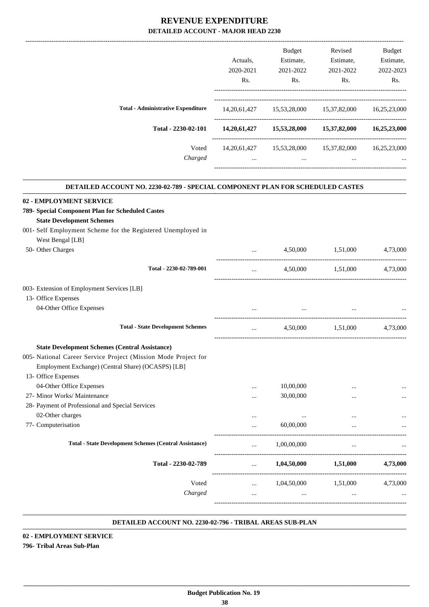| Actuals.<br>2020-2021<br>R <sub>s</sub> . | <b>Budget</b><br>Estimate,<br>2021-2022<br>Rs. | Revised<br>Estimate,<br>2021-2022<br>Rs. | <b>Budget</b><br>Estimate,<br>2022-2023<br>Rs. |
|-------------------------------------------|------------------------------------------------|------------------------------------------|------------------------------------------------|
| 14, 20, 61, 427                           | 15,53,28,000                                   | 15,37,82,000                             | 16,25,23,000                                   |
| 14,20,61,427                              | 15,53,28,000                                   | 15,37,82,000                             | 16,25,23,000                                   |
| 14, 20, 61, 427<br>$\cdots$               | 15,53,28,000<br>$\cdots$                       | 15,37,82,000<br>$\cdots$                 | 16,25,23,000<br>$\cdots$                       |
|                                           |                                                |                                          |                                                |

.

| DETAILED ACCOUNT NO. 2230-02-789 - SPECIAL COMPONENT PLAN FOR SCHEDULED CASTES |                                                |                          |                               |          |
|--------------------------------------------------------------------------------|------------------------------------------------|--------------------------|-------------------------------|----------|
| 02 - EMPLOYMENT SERVICE                                                        |                                                |                          |                               |          |
| 789- Special Component Plan for Scheduled Castes                               |                                                |                          |                               |          |
| <b>State Development Schemes</b>                                               |                                                |                          |                               |          |
| 001- Self Employment Scheme for the Registered Unemployed in                   |                                                |                          |                               |          |
| West Bengal [LB]                                                               |                                                |                          |                               |          |
| 50- Other Charges                                                              | $\mathbf{r}$ and $\mathbf{r}$ and $\mathbf{r}$ |                          | 4,50,000 1,51,000             | 4,73,000 |
| Total - 2230-02-789-001                                                        | $\cdots$                                       |                          | 4,50,000 1,51,000             | 4,73,000 |
| 003- Extension of Employment Services [LB]                                     |                                                |                          |                               |          |
| 13- Office Expenses                                                            |                                                |                          |                               |          |
| 04-Other Office Expenses                                                       | $\cdots$                                       |                          |                               |          |
| <b>Total - State Development Schemes</b>                                       | $\cdots$                                       |                          | 4,50,000 1,51,000 4,73,000    |          |
| <b>State Development Schemes (Central Assistance)</b>                          |                                                |                          |                               |          |
| 005- National Career Service Project (Mission Mode Project for                 |                                                |                          |                               |          |
| Employment Exchange) (Central Share) (OCASPS) [LB]                             |                                                |                          |                               |          |
| 13- Office Expenses                                                            |                                                |                          |                               |          |
| 04-Other Office Expenses                                                       | $\cdots$                                       | 10,00,000                |                               |          |
| 27- Minor Works/ Maintenance                                                   | $\cdots$                                       | 30,00,000                |                               |          |
| 28- Payment of Professional and Special Services                               |                                                |                          |                               |          |
| 02-Other charges                                                               |                                                | $\cdots$                 |                               |          |
| 77- Computerisation                                                            | $\cdots$                                       | 60,00,000                | $\cdots$                      |          |
| <b>Total - State Development Schemes (Central Assistance)</b>                  | $\ddotsc$                                      | 1,00,00,000              |                               |          |
| Total - 2230-02-789                                                            |                                                | $1,04,50,000$ $1,51,000$ |                               | 4,73,000 |
| Voted                                                                          | $\mathbf{r}$ and $\mathbf{r}$ and $\mathbf{r}$ |                          | 1,04,50,000 1,51,000 4,73,000 |          |
| Charged                                                                        | $\cdots$                                       | $\cdots$                 | $\ddotsc$                     |          |
|                                                                                |                                                |                          |                               |          |

#### **DETAILED ACCOUNT NO. 2230-02-796 - TRIBAL AREAS SUB-PLAN .**

#### **02 - EMPLOYMENT SERVICE**

#### **796- Tribal Areas Sub-Plan**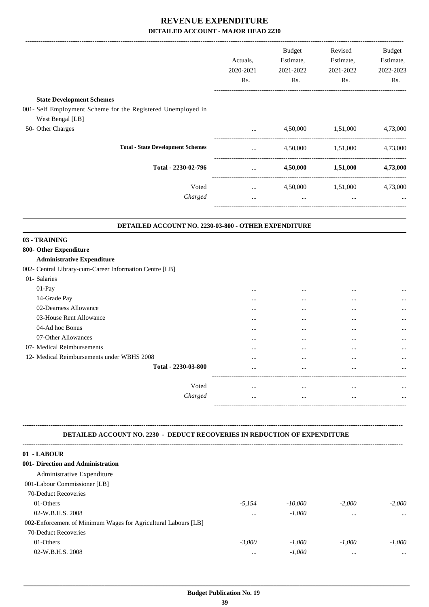|                                                              |           | Budget    | Revised           | <b>Budget</b> |
|--------------------------------------------------------------|-----------|-----------|-------------------|---------------|
|                                                              | Actuals,  | Estimate, | Estimate,         | Estimate,     |
|                                                              | 2020-2021 | 2021-2022 | 2021-2022         | 2022-2023     |
|                                                              | Rs.       | Rs.       | Rs.               | Rs.           |
| <b>State Development Schemes</b>                             |           |           |                   |               |
| 001- Self Employment Scheme for the Registered Unemployed in |           |           |                   |               |
| West Bengal [LB]                                             |           |           |                   |               |
| 50- Other Charges                                            | $\cdots$  |           | 4,50,000 1,51,000 | 4,73,000      |
| <b>Total - State Development Schemes</b>                     | $\cdots$  |           | 4,50,000 1,51,000 | 4,73,000      |
| Total - 2230-02-796                                          | $\cdots$  | 4,50,000  | 1,51,000          | 4,73,000      |
| Voted                                                        | $\ddotsc$ |           | 4,50,000 1,51,000 | 4,73,000      |
| Charged                                                      | .         | $\cdots$  | $\cdots$          |               |
| DETAILED ACCOUNT NO. 2230-03-800 - OTHER EXPENDITURE         |           |           |                   |               |
| 03 - TRAINING                                                |           |           |                   |               |
| 800- Other Expenditure                                       |           |           |                   |               |
| <b>Administrative Expenditure</b>                            |           |           |                   |               |

002- Central Library-cum-Career Information Centre [LB]

| 01- Salaries                               |                    |          |          |          |
|--------------------------------------------|--------------------|----------|----------|----------|
| $01-Pay$                                   |                    | $\cdots$ | $\cdots$ |          |
| 14-Grade Pay                               | $\cdots$           | $\cdots$ | $\cdots$ | $\cdots$ |
| 02-Dearness Allowance                      |                    | $\cdots$ | $\cdots$ | $\cdots$ |
| 03-House Rent Allowance                    | $\cdots$           | $\cdots$ |          | $\cdots$ |
| 04-Ad hoc Bonus                            | $\cdots$           | $\cdots$ | $\cdots$ | $\cdots$ |
| 07-Other Allowances                        | $\cdots$           | $\cdots$ |          | $\cdots$ |
| 07- Medical Reimbursements                 | $\cdots$           | $\cdots$ |          | $\cdots$ |
| 12- Medical Reimbursements under WBHS 2008 |                    | $\cdots$ | $\cdots$ | $\cdots$ |
| Total - 2230-03-800                        | $\cdots$           | $\cdots$ | $\cdots$ | $\cdots$ |
|                                            |                    |          |          |          |
| Voted                                      | $\cdots$           |          |          | $\cdots$ |
| Charged                                    |                    |          |          | $\cdots$ |
|                                            | ------------------ |          |          |          |

#### **DETAILED ACCOUNT NO. 2230 - DEDUCT RECOVERIES IN REDUCTION OF EXPENDITURE**

**--------------------------------------------------------------------------------------------------------------------------------------------------------------------------------**

| 01 - LABOUR                                                    |          |           |          |          |
|----------------------------------------------------------------|----------|-----------|----------|----------|
| 001- Direction and Administration                              |          |           |          |          |
| Administrative Expenditure                                     |          |           |          |          |
| 001-Labour Commissioner [LB]                                   |          |           |          |          |
| 70-Deduct Recoveries                                           |          |           |          |          |
| 01-Others                                                      | $-5.154$ | $-10,000$ | $-2,000$ | $-2,000$ |
| 02-W.B.H.S. 2008                                               | $\cdots$ | $-1.000$  | $\cdots$ | $\cdots$ |
| 002-Enforcement of Minimum Wages for Agricultural Labours [LB] |          |           |          |          |
| 70-Deduct Recoveries                                           |          |           |          |          |
| 01-Others                                                      | $-3,000$ | $-1.000$  | $-1.000$ | $-1.000$ |
| 02-W.B.H.S. 2008                                               | $\cdots$ | $-1,000$  | $\cdots$ | $\cdots$ |
|                                                                |          |           |          |          |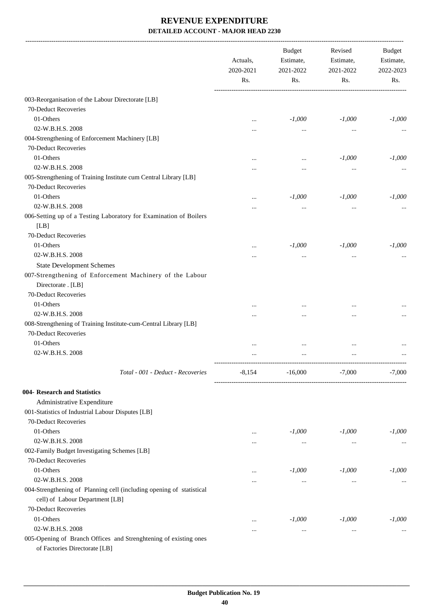|                                                                                                   | Actuals,<br>2020-2021<br>Rs. | <b>Budget</b><br>Estimate,<br>2021-2022 | Revised<br>Estimate,<br>2021-2022 | Budget<br>Estimate,<br>2022-2023 |
|---------------------------------------------------------------------------------------------------|------------------------------|-----------------------------------------|-----------------------------------|----------------------------------|
|                                                                                                   |                              | Rs.                                     |                                   | Rs.                              |
| 003-Reorganisation of the Labour Directorate [LB]                                                 |                              |                                         |                                   |                                  |
| 70-Deduct Recoveries                                                                              |                              |                                         |                                   |                                  |
| 01-Others                                                                                         | $\cdots$                     | $-1,000$                                | $-1,000$                          | $-1,000$                         |
| 02-W.B.H.S. 2008                                                                                  | $\cdots$                     |                                         |                                   |                                  |
| 004-Strengthening of Enforcement Machinery [LB]                                                   |                              |                                         |                                   |                                  |
| 70-Deduct Recoveries                                                                              |                              |                                         |                                   |                                  |
| 01-Others                                                                                         | $\cdots$                     | $\cdots$                                | $-1,000$                          | $-1,000$                         |
| 02-W.B.H.S. 2008                                                                                  |                              |                                         |                                   |                                  |
| 005-Strengthening of Training Institute cum Central Library [LB]                                  |                              |                                         |                                   |                                  |
| 70-Deduct Recoveries                                                                              |                              |                                         |                                   |                                  |
| 01-Others                                                                                         |                              | $-1,000$                                | $-1,000$                          | $-1,000$                         |
| 02-W.B.H.S. 2008                                                                                  |                              |                                         |                                   |                                  |
| 006-Setting up of a Testing Laboratory for Examination of Boilers                                 |                              |                                         |                                   |                                  |
| [LB]                                                                                              |                              |                                         |                                   |                                  |
| 70-Deduct Recoveries                                                                              |                              |                                         |                                   |                                  |
| 01-Others                                                                                         |                              | $-1,000$                                | $-1,000$                          | $-1,000$                         |
| 02-W.B.H.S. 2008                                                                                  | $\cdots$                     |                                         | $\cdots$                          |                                  |
| <b>State Development Schemes</b>                                                                  |                              |                                         |                                   |                                  |
| 007-Strengthening of Enforcement Machinery of the Labour                                          |                              |                                         |                                   |                                  |
| Directorate . [LB]                                                                                |                              |                                         |                                   |                                  |
| 70-Deduct Recoveries                                                                              |                              |                                         |                                   |                                  |
| 01-Others                                                                                         |                              |                                         |                                   |                                  |
| 02-W.B.H.S. 2008                                                                                  | .                            |                                         | $\ddotsc$                         |                                  |
| 008-Strengthening of Training Institute-cum-Central Library [LB]                                  |                              |                                         |                                   |                                  |
| 70-Deduct Recoveries                                                                              |                              |                                         |                                   |                                  |
| 01-Others                                                                                         |                              |                                         |                                   |                                  |
| 02-W.B.H.S. 2008                                                                                  | .                            |                                         |                                   |                                  |
| Total - 001 - Deduct - Recoveries                                                                 | $-8,154$                     | $-16,000$                               | $-7,000$                          | $-7,000$                         |
|                                                                                                   |                              |                                         |                                   |                                  |
| 004- Research and Statistics<br>Administrative Expenditure                                        |                              |                                         |                                   |                                  |
| 001-Statistics of Industrial Labour Disputes [LB]                                                 |                              |                                         |                                   |                                  |
| 70-Deduct Recoveries                                                                              |                              |                                         |                                   |                                  |
| 01-Others                                                                                         |                              | $-1,000$                                | $-1,000$                          | $-1,000$                         |
| 02-W.B.H.S. 2008                                                                                  | $\cdots$<br>$\cdots$         | $\cdots$                                | $\cdots$                          |                                  |
| 002-Family Budget Investigating Schemes [LB]                                                      |                              |                                         |                                   |                                  |
| 70-Deduct Recoveries                                                                              |                              |                                         |                                   |                                  |
| 01-Others                                                                                         | $\cdots$                     | $-1,000$                                | $-1,000$                          | $-1,000$                         |
| 02-W.B.H.S. 2008                                                                                  | $\cdots$                     | $\cdots$                                | $\ldots$                          | $\cdots$                         |
| 004-Strengthening of Planning cell (including opening of statistical                              |                              |                                         |                                   |                                  |
| cell) of Labour Department [LB]                                                                   |                              |                                         |                                   |                                  |
| 70-Deduct Recoveries                                                                              |                              |                                         |                                   |                                  |
| 01-Others                                                                                         | $\cdots$                     | $-1,000$                                | $-1,000$                          | $-1,000$                         |
| 02-W.B.H.S. 2008                                                                                  | $\cdots$                     | $\cdots$                                | $\ddotsc$                         |                                  |
| 005-Opening of Branch Offices and Strenghtening of existing ones<br>of Factories Directorate [LB] |                              |                                         |                                   |                                  |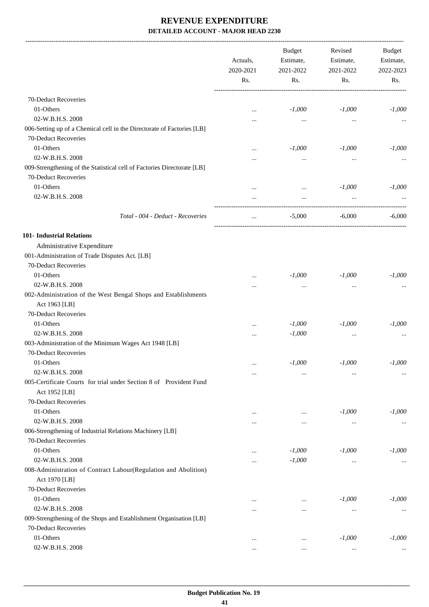|                                                                                  | Actuals,<br>2020-2021<br>Rs. | <b>Budget</b><br>Estimate,<br>2021-2022<br>Rs. | Revised<br>Estimate,<br>2021-2022<br>Rs. | <b>Budget</b><br>Estimate,<br>2022-2023<br>Rs. |
|----------------------------------------------------------------------------------|------------------------------|------------------------------------------------|------------------------------------------|------------------------------------------------|
| 70-Deduct Recoveries                                                             |                              |                                                |                                          |                                                |
| 01-Others                                                                        |                              |                                                |                                          |                                                |
|                                                                                  | $\ddotsc$                    | $-1,000$                                       | $-1,000$                                 | $-1,000$                                       |
| 02-W.B.H.S. 2008                                                                 |                              | $\cdots$                                       | $\cdots$                                 |                                                |
| 006-Setting up of a Chemical cell in the Directorate of Factories [LB]           |                              |                                                |                                          |                                                |
| 70-Deduct Recoveries                                                             |                              |                                                |                                          |                                                |
| 01-Others                                                                        |                              | $-1,000$                                       | $-1,000$                                 | $-1,000$                                       |
| 02-W.B.H.S. 2008                                                                 |                              | $\cdots$                                       | $\cdots$                                 |                                                |
| 009-Strengthening of the Statistical cell of Factories Directorate [LB]          |                              |                                                |                                          |                                                |
| 70-Deduct Recoveries                                                             |                              |                                                |                                          |                                                |
| 01-Others                                                                        | $\ddotsc$                    | $\cdots$                                       | $-1,000$                                 | $-1,000$                                       |
| 02-W.B.H.S. 2008                                                                 |                              | $\cdots$                                       |                                          |                                                |
| Total - 004 - Deduct - Recoveries                                                | $\cdots$                     | $-5,000$                                       | -6,000                                   | $-6,000$                                       |
| <b>101- Industrial Relations</b>                                                 |                              |                                                |                                          |                                                |
| Administrative Expenditure                                                       |                              |                                                |                                          |                                                |
| 001-Administration of Trade Disputes Act. [LB]                                   |                              |                                                |                                          |                                                |
| 70-Deduct Recoveries                                                             |                              |                                                |                                          |                                                |
| 01-Others                                                                        |                              | $-1,000$                                       | $-1,000$                                 | $-1,000$                                       |
| 02-W.B.H.S. 2008                                                                 | $\ddotsc$                    | $\cdots$                                       | $\ddotsc$                                |                                                |
| 002-Administration of the West Bengal Shops and Establishments                   |                              |                                                |                                          |                                                |
| Act 1963 [LB]                                                                    |                              |                                                |                                          |                                                |
| 70-Deduct Recoveries                                                             |                              |                                                |                                          |                                                |
| 01-Others                                                                        |                              | $-1,000$                                       | $-1,000$                                 | $-1,000$                                       |
| 02-W.B.H.S. 2008                                                                 |                              | $-1,000$                                       | $\cdots$                                 |                                                |
| 003-Administration of the Minimum Wages Act 1948 [LB]                            |                              |                                                |                                          |                                                |
| 70-Deduct Recoveries                                                             |                              |                                                |                                          |                                                |
| 01-Others                                                                        | $\cdots$                     | $-1,000$                                       | $-1,000$                                 | $-1,000$                                       |
| 02-W.B.H.S. 2008                                                                 | $\cdots$                     | $\cdots$                                       | $\cdots$                                 |                                                |
| 005-Certificate Courts for trial under Section 8 of Provident Fund               |                              |                                                |                                          |                                                |
| Act 1952 [LB]                                                                    |                              |                                                |                                          |                                                |
| 70-Deduct Recoveries                                                             |                              |                                                |                                          |                                                |
| 01-Others                                                                        | $\ddotsc$                    | $\cdots$                                       | $-1,000$                                 | $-1,000$                                       |
| 02-W.B.H.S. 2008                                                                 |                              | $\cdots$                                       | $\cdots$                                 |                                                |
| 006-Strengthening of Industrial Relations Machinery [LB]                         |                              |                                                |                                          |                                                |
| 70-Deduct Recoveries                                                             |                              |                                                |                                          |                                                |
| 01-Others                                                                        | $\cdots$                     | $-1,000$                                       | $-1,000$                                 | $-1,000$                                       |
| 02-W.B.H.S. 2008                                                                 | $\ddotsc$                    | $-1,000$                                       | $\cdots$                                 |                                                |
| 008-Administration of Contract Labour(Regulation and Abolition)<br>Act 1970 [LB] |                              |                                                |                                          |                                                |
| 70-Deduct Recoveries                                                             |                              |                                                |                                          |                                                |
| 01-Others                                                                        |                              |                                                | $-1,000$                                 | $-1,000$                                       |
| 02-W.B.H.S. 2008                                                                 | $\ddotsc$                    |                                                |                                          |                                                |
| 009-Strengthening of the Shops and Establishment Organisation [LB]               |                              | $\cdots$                                       | $\cdots$                                 |                                                |
| 70-Deduct Recoveries                                                             |                              |                                                |                                          |                                                |
| 01-Others                                                                        |                              |                                                | $-1,000$                                 | $-1,000$                                       |
| 02-W.B.H.S. 2008                                                                 | $\cdots$                     | $\cdots$                                       |                                          |                                                |
|                                                                                  | $\cdots$                     | $\cdots$                                       | $\cdots$                                 | $\ldots$                                       |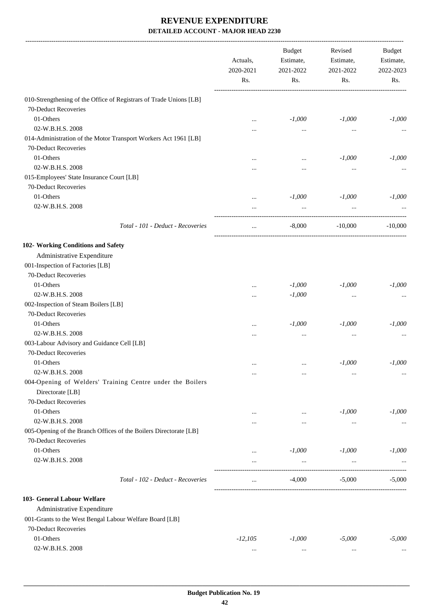|                                                                    | Actuals,<br>2020-2021<br>Rs. | <b>Budget</b><br>Estimate,<br>2021-2022<br>Rs. | Revised<br>Estimate,<br>2021-2022<br>Rs. | Budget<br>Estimate,<br>2022-2023<br>Rs. |
|--------------------------------------------------------------------|------------------------------|------------------------------------------------|------------------------------------------|-----------------------------------------|
|                                                                    |                              |                                                |                                          |                                         |
| 010-Strengthening of the Office of Registrars of Trade Unions [LB] |                              |                                                |                                          |                                         |
| 70-Deduct Recoveries                                               |                              |                                                |                                          |                                         |
| 01-Others                                                          | $\cdots$                     | $-1,000$                                       | $-1,000$                                 | $-1,000$                                |
| 02-W.B.H.S. 2008                                                   |                              | $\cdots$                                       | $\cdots$                                 |                                         |
| 014-Administration of the Motor Transport Workers Act 1961 [LB]    |                              |                                                |                                          |                                         |
| 70-Deduct Recoveries                                               |                              |                                                |                                          |                                         |
| 01-Others                                                          |                              | $\cdots$                                       | $-1,000$                                 | $-1,000$                                |
| 02-W.B.H.S. 2008                                                   |                              |                                                |                                          |                                         |
| 015-Employees' State Insurance Court [LB]                          |                              |                                                |                                          |                                         |
| 70-Deduct Recoveries                                               |                              |                                                |                                          |                                         |
| 01-Others                                                          | $\cdots$                     | $-1,000$                                       | $-1,000$                                 | $-1,000$                                |
| 02-W.B.H.S. 2008                                                   |                              | $\cdots$                                       |                                          |                                         |
| Total - 101 - Deduct - Recoveries                                  |                              | $-8,000$                                       | $-10,000$                                | $-10,000$                               |
| 102- Working Conditions and Safety                                 |                              |                                                |                                          |                                         |
| Administrative Expenditure                                         |                              |                                                |                                          |                                         |
| 001-Inspection of Factories [LB]                                   |                              |                                                |                                          |                                         |
| 70-Deduct Recoveries                                               |                              |                                                |                                          |                                         |
| 01-Others                                                          | $\cdots$                     | $-1,000$                                       | $-1,000$                                 | $-1,000$                                |
| 02-W.B.H.S. 2008                                                   |                              | $-1,000$                                       | $\cdots$                                 |                                         |
| 002-Inspection of Steam Boilers [LB]                               |                              |                                                |                                          |                                         |
| 70-Deduct Recoveries                                               |                              |                                                |                                          |                                         |
| 01-Others                                                          |                              | $-1,000$                                       | $-1,000$                                 | $-1,000$                                |
| 02-W.B.H.S. 2008                                                   |                              |                                                | $\cdots$                                 |                                         |
| 003-Labour Advisory and Guidance Cell [LB]                         |                              |                                                |                                          |                                         |
| 70-Deduct Recoveries                                               |                              |                                                |                                          |                                         |
| 01-Others                                                          | $\cdots$                     | $\cdots$                                       | $-1,000$                                 | $-1,000$                                |
| 02-W.B.H.S. 2008                                                   |                              |                                                | $\cdots$                                 | $\cdots$                                |
| 004-Opening of Welders' Training Centre under the Boilers          |                              |                                                |                                          |                                         |
| Directorate [LB]                                                   |                              |                                                |                                          |                                         |
| 70-Deduct Recoveries                                               |                              |                                                |                                          |                                         |
| 01-Others                                                          |                              | $\cdots$                                       | $-1,000$                                 | $-1,000$                                |
| 02-W.B.H.S. 2008                                                   |                              | $\cdots$                                       | $\ldots$                                 |                                         |
| 005-Opening of the Branch Offices of the Boilers Directorate [LB]  |                              |                                                |                                          |                                         |
| 70-Deduct Recoveries                                               |                              |                                                |                                          |                                         |
| 01-Others                                                          | $\cdots$                     | $-1,000$                                       | $-1,000$                                 | $-1,000$                                |
| 02-W.B.H.S. 2008                                                   |                              | $\ldots$                                       | $\cdots$                                 |                                         |
| Total - 102 - Deduct - Recoveries                                  | $\ddotsc$                    | $-4,000$                                       | $-5,000$                                 | $-5,000$                                |
| 103- General Labour Welfare                                        |                              |                                                |                                          |                                         |
| Administrative Expenditure                                         |                              |                                                |                                          |                                         |
| 001-Grants to the West Bengal Labour Welfare Board [LB]            |                              |                                                |                                          |                                         |
| 70-Deduct Recoveries                                               |                              |                                                |                                          |                                         |
| 01-Others                                                          | $-12,105$                    | $-1,000$                                       | $-5,000$                                 | $-5,000$                                |
| 02-W.B.H.S. 2008                                                   | $\ldots$                     | $\cdots$                                       | $\cdots$                                 |                                         |
|                                                                    |                              |                                                |                                          |                                         |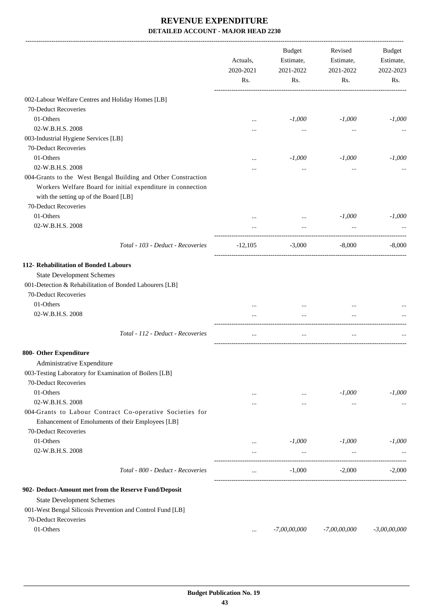|                                                                                                               | Actuals,<br>2020-2021<br>Rs. | <b>Budget</b><br>Estimate,<br>2021-2022<br>Rs. | Revised<br>Estimate,<br>2021-2022<br>Rs. | <b>Budget</b><br>Estimate,<br>2022-2023<br>Rs. |
|---------------------------------------------------------------------------------------------------------------|------------------------------|------------------------------------------------|------------------------------------------|------------------------------------------------|
| 002-Labour Welfare Centres and Holiday Homes [LB]                                                             |                              |                                                |                                          |                                                |
| 70-Deduct Recoveries                                                                                          |                              |                                                |                                          |                                                |
| 01-Others                                                                                                     | $\cdots$                     | $-1,000$                                       | $-1,000$                                 | $-1,000$                                       |
| 02-W.B.H.S. 2008                                                                                              |                              |                                                |                                          |                                                |
| 003-Industrial Hygiene Services [LB]                                                                          |                              |                                                |                                          |                                                |
| 70-Deduct Recoveries                                                                                          |                              |                                                |                                          |                                                |
| 01-Others                                                                                                     |                              | $-1,000$                                       | $-1,000$                                 | $-1,000$                                       |
| 02-W.B.H.S. 2008                                                                                              |                              |                                                |                                          |                                                |
| 004-Grants to the West Bengal Building and Other Constraction                                                 |                              |                                                |                                          |                                                |
| Workers Welfare Board for initial expenditure in connection                                                   |                              |                                                |                                          |                                                |
| with the setting up of the Board [LB]                                                                         |                              |                                                |                                          |                                                |
| 70-Deduct Recoveries                                                                                          |                              |                                                |                                          |                                                |
| 01-Others                                                                                                     |                              |                                                | $-1,000$                                 | $-1,000$                                       |
| 02-W.B.H.S. 2008                                                                                              |                              |                                                |                                          |                                                |
|                                                                                                               |                              |                                                |                                          |                                                |
| Total - 103 - Deduct - Recoveries                                                                             | $-12,105$                    | $-3,000$                                       | $-8,000$                                 | $-8,000$                                       |
| 112- Rehabilitation of Bonded Labours                                                                         |                              |                                                |                                          |                                                |
| <b>State Development Schemes</b>                                                                              |                              |                                                |                                          |                                                |
| 001-Detection & Rehabilitation of Bonded Labourers [LB]                                                       |                              |                                                |                                          |                                                |
| 70-Deduct Recoveries                                                                                          |                              |                                                |                                          |                                                |
| 01-Others                                                                                                     |                              |                                                | $\ddotsc$                                |                                                |
| 02-W.B.H.S. 2008                                                                                              | $\cdots$                     | $\cdots$                                       | $\ddotsc$                                |                                                |
| Total - 112 - Deduct - Recoveries                                                                             | $\cdots$                     | $\cdots$                                       | $\cdots$                                 |                                                |
| 800- Other Expenditure                                                                                        |                              |                                                |                                          |                                                |
| Administrative Expenditure                                                                                    |                              |                                                |                                          |                                                |
| 003-Testing Laboratory for Examination of Boilers [LB]                                                        |                              |                                                |                                          |                                                |
| 70-Deduct Recoveries                                                                                          |                              |                                                |                                          |                                                |
| 01-Others                                                                                                     | $\cdots$                     | $\cdots$                                       | $-1,000$                                 | $-1,000$                                       |
| 02-W.B.H.S. 2008                                                                                              |                              | $\cdots$                                       | $\cdots$                                 | $\cdots$                                       |
| 004-Grants to Labour Contract Co-operative Societies for<br>Enhancement of Emoluments of their Employees [LB] |                              |                                                |                                          |                                                |
| 70-Deduct Recoveries<br>01-Others                                                                             |                              |                                                |                                          |                                                |
|                                                                                                               | $\cdots$                     | $-1,000$                                       | $-1,000$                                 | $-1,000$                                       |
| 02-W.B.H.S. 2008                                                                                              |                              |                                                |                                          |                                                |
| Total - 800 - Deduct - Recoveries                                                                             | $\cdots$                     | $-1,000$                                       | $-2,000$                                 | $-2,000$                                       |
| 902- Deduct-Amount met from the Reserve Fund/Deposit                                                          |                              |                                                |                                          |                                                |
| <b>State Development Schemes</b>                                                                              |                              |                                                |                                          |                                                |
| 001-West Bengal Silicosis Prevention and Control Fund [LB]                                                    |                              |                                                |                                          |                                                |
| 70-Deduct Recoveries                                                                                          |                              |                                                |                                          |                                                |
| 01-Others                                                                                                     | $\cdots$                     | $-7,00,00,000$                                 | $-7,00,00,000$                           | $-3,00,00,000$                                 |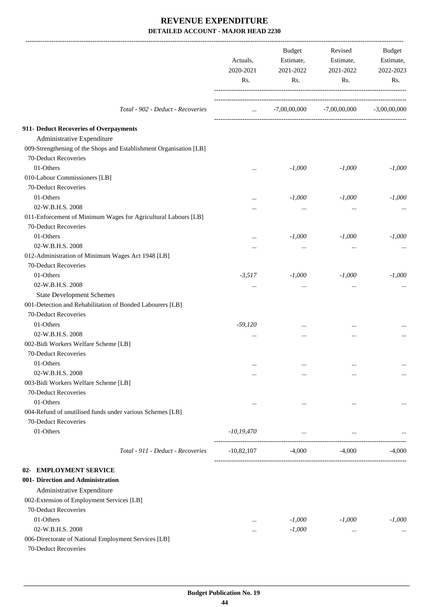|                                                                    | Actuals,<br>2020-2021<br>Rs. | Budget<br>Estimate,<br>2021-2022<br>Rs. | Revised<br>Estimate,<br>2021-2022<br>Rs. | Budget<br>Estimate,<br>2022-2023<br>Rs. |
|--------------------------------------------------------------------|------------------------------|-----------------------------------------|------------------------------------------|-----------------------------------------|
| Total - 902 - Deduct - Recoveries                                  | <b>Sales Control</b>         |                                         | $-7,00,00,000$ $-7,00,00,000$            | $-3,00,00,000$                          |
| 911- Deduct Recoveries of Overpayments                             |                              |                                         |                                          |                                         |
| Administrative Expenditure                                         |                              |                                         |                                          |                                         |
| 009-Strengthening of the Shops and Establishment Organisation [LB] |                              |                                         |                                          |                                         |
| 70-Deduct Recoveries                                               |                              |                                         |                                          |                                         |
| 01-Others                                                          | $\cdots$                     | $-1,000$                                | $-1,000$                                 | $-1,000$                                |
| 010-Labour Commissioners [LB]                                      |                              |                                         |                                          |                                         |
| 70-Deduct Recoveries                                               |                              |                                         |                                          |                                         |
| 01-Others                                                          | $\cdots$                     | $-1,000$                                | $-1,000$                                 | $-1,000$                                |
| 02-W.B.H.S. 2008                                                   | $\cdots$                     | $\cdots$                                | $\cdots$                                 |                                         |
| 011-Enforcement of Minimum Wages for Agricultural Labours [LB]     |                              |                                         |                                          |                                         |
| 70-Deduct Recoveries                                               |                              |                                         |                                          |                                         |
| 01-Others                                                          | $\cdots$                     | $-1,000$                                | $-1,000$                                 | $-1,000$                                |
| 02-W.B.H.S. 2008                                                   |                              | $\cdots$                                | $\ddotsc$                                |                                         |
| 012-Administration of Minimum Wages Act 1948 [LB]                  |                              |                                         |                                          |                                         |
| 70-Deduct Recoveries                                               |                              |                                         |                                          |                                         |
| 01-Others                                                          | $-3,517$                     | $-1,000$                                | $-1,000$                                 | $-1,000$                                |
| 02-W.B.H.S. 2008                                                   | $\cdots$                     | $\cdots$                                | $\cdots$                                 |                                         |
| <b>State Development Schemes</b>                                   |                              |                                         |                                          |                                         |
| 001-Detection and Rehabilitation of Bonded Labourers [LB]          |                              |                                         |                                          |                                         |
| 70-Deduct Recoveries                                               |                              |                                         |                                          |                                         |
| 01-Others                                                          | $-59,120$                    |                                         |                                          |                                         |
| 02-W.B.H.S. 2008                                                   | $\cdots$                     |                                         |                                          |                                         |
| 002-Bidi Workers Welfare Scheme [LB]                               |                              |                                         |                                          |                                         |
| 70-Deduct Recoveries                                               |                              |                                         |                                          |                                         |
| 01-Others                                                          | $\cdots$                     | $\cdots$                                | $\ddotsc$                                | $\cdots$                                |
| 02-W.B.H.S. 2008                                                   |                              |                                         | $\ddotsc$                                | $\cdots$                                |
| 003-Bidi Workers Welfare Scheme [LB]                               |                              |                                         |                                          |                                         |
| 70-Deduct Recoveries                                               |                              |                                         |                                          |                                         |
| 01-Others                                                          | $\cdots$                     | $\cdots$                                | $\ddotsc$                                | $\cdots$                                |
| 004-Refund of unutilised funds under various Schemes [LB]          |                              |                                         |                                          |                                         |
| 70-Deduct Recoveries                                               |                              |                                         |                                          |                                         |
| 01-Others                                                          | $-10, 19, 470$               | $\cdots$                                | $\cdots$                                 |                                         |
| Total - 911 - Deduct - Recoveries                                  | $-10,82,107$                 | $-4,000$                                | $-4,000$                                 | $-4,000$                                |
| 02- EMPLOYMENT SERVICE                                             |                              |                                         |                                          |                                         |
| 001- Direction and Administration                                  |                              |                                         |                                          |                                         |
| Administrative Expenditure                                         |                              |                                         |                                          |                                         |
| 002-Extension of Employment Services [LB]                          |                              |                                         |                                          |                                         |
| 70-Deduct Recoveries                                               |                              |                                         |                                          |                                         |
| 01-Others                                                          | $\cdots$                     | $-1,000$                                | $-1,000$                                 | $-1,000$                                |
| 02-W.B.H.S. 2008                                                   |                              | $-1,000$                                | $\cdots$                                 |                                         |
| 006-Directorate of National Employment Services [LB]               |                              |                                         |                                          |                                         |
| 70-Deduct Recoveries                                               |                              |                                         |                                          |                                         |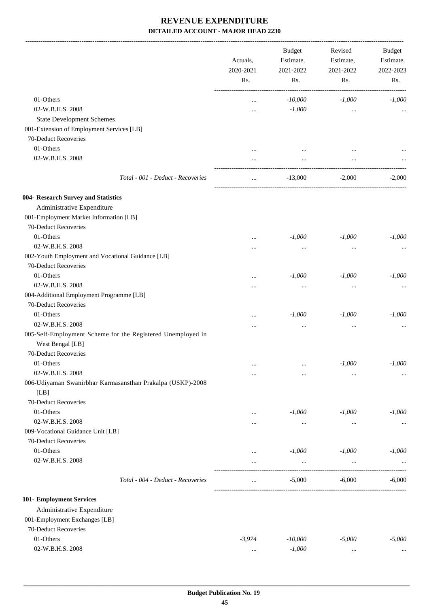-------------------------------------------------------------------------------------------------------------------------------------------------------------------------------

|                                                             | Actuals,<br>2020-2021<br>Rs. | <b>Budget</b><br>Revised<br>Estimate,<br>Estimate,<br>2021-2022<br>2021-2022 |           | <b>Budget</b><br>Estimate,<br>2022-2023<br>Rs. |
|-------------------------------------------------------------|------------------------------|------------------------------------------------------------------------------|-----------|------------------------------------------------|
|                                                             |                              | Rs.                                                                          | Rs.       |                                                |
| 01-Others                                                   |                              | $-10,000$                                                                    | $-1,000$  | $-1,000$                                       |
| 02-W.B.H.S. 2008                                            |                              | $-1,000$                                                                     | $\cdots$  |                                                |
| <b>State Development Schemes</b>                            |                              |                                                                              |           |                                                |
| 001-Extension of Employment Services [LB]                   |                              |                                                                              |           |                                                |
| 70-Deduct Recoveries                                        |                              |                                                                              |           |                                                |
| 01-Others                                                   |                              |                                                                              |           |                                                |
| 02-W.B.H.S. 2008                                            |                              |                                                                              |           |                                                |
|                                                             | $\cdots$                     | $\cdots$                                                                     | $\cdots$  |                                                |
| Total - 001 - Deduct - Recoveries                           | $\ddotsc$                    | $-13,000$                                                                    | $-2,000$  | $-2,000$                                       |
| 004- Research Survey and Statistics                         |                              |                                                                              |           |                                                |
| Administrative Expenditure                                  |                              |                                                                              |           |                                                |
| 001-Employment Market Information [LB]                      |                              |                                                                              |           |                                                |
| 70-Deduct Recoveries                                        |                              |                                                                              |           |                                                |
| 01-Others                                                   | $\cdots$                     | $-1,000$                                                                     | $-1,000$  | $-1,000$                                       |
| 02-W.B.H.S. 2008                                            |                              | $\cdots$                                                                     | $\cdots$  |                                                |
| 002-Youth Employment and Vocational Guidance [LB]           |                              |                                                                              |           |                                                |
| 70-Deduct Recoveries                                        |                              |                                                                              |           |                                                |
| 01-Others                                                   | $\cdots$                     | $-1,000$                                                                     | $-1,000$  | $-1,000$                                       |
| 02-W.B.H.S. 2008                                            |                              | $\cdots$                                                                     | $\ddotsc$ |                                                |
| 004-Additional Employment Programme [LB]                    |                              |                                                                              |           |                                                |
| 70-Deduct Recoveries                                        |                              |                                                                              |           |                                                |
| 01-Others                                                   |                              | $-1,000$                                                                     | $-1,000$  | $-1,000$                                       |
| 02-W.B.H.S. 2008                                            | $\cdots$                     | $\ddotsc$                                                                    | $\cdots$  |                                                |
| 005-Self-Employment Scheme for the Registered Unemployed in |                              |                                                                              |           |                                                |
| West Bengal [LB]                                            |                              |                                                                              |           |                                                |
| 70-Deduct Recoveries                                        |                              |                                                                              |           |                                                |
| 01-Others                                                   | $\cdots$                     | $\cdots$                                                                     | $-1,000$  | $-1,000$                                       |
| 02-W.B.H.S. 2008                                            | $\cdots$                     | $\cdots$                                                                     | $\cdots$  | $\ldots$                                       |
| 006-Udiyaman Swanirbhar Karmasansthan Prakalpa (USKP)-2008  |                              |                                                                              |           |                                                |
| [LB]                                                        |                              |                                                                              |           |                                                |
| 70-Deduct Recoveries                                        |                              |                                                                              |           |                                                |
| 01-Others                                                   | $\cdots$                     | $-1,000$                                                                     | $-1,000$  | $-1,000$                                       |
| 02-W.B.H.S. 2008                                            |                              | $\cdots$                                                                     | $\cdots$  | $\cdots$                                       |
| 009-Vocational Guidance Unit [LB]                           |                              |                                                                              |           |                                                |
| 70-Deduct Recoveries                                        |                              |                                                                              |           |                                                |
| 01-Others                                                   | $\cdots$                     | $-1,000$                                                                     | $-1,000$  | $-1,000$                                       |
| 02-W.B.H.S. 2008                                            | $\cdots$                     | $\cdots$                                                                     | $\cdots$  |                                                |
| Total - 004 - Deduct - Recoveries                           | $\cdots$                     | $-5,000$                                                                     | $-6,000$  | $-6,000$                                       |
|                                                             |                              |                                                                              |           |                                                |
| 101- Employment Services                                    |                              |                                                                              |           |                                                |
| Administrative Expenditure                                  |                              |                                                                              |           |                                                |
| 001-Employment Exchanges [LB]                               |                              |                                                                              |           |                                                |
| 70-Deduct Recoveries                                        |                              |                                                                              |           |                                                |
| 01-Others                                                   | $-3,974$                     | $-10,000$                                                                    | $-5,000$  | $-5,000$                                       |
| 02-W.B.H.S. 2008                                            | $\cdots$                     | $-1,000$                                                                     | $\cdots$  | $\cdots$                                       |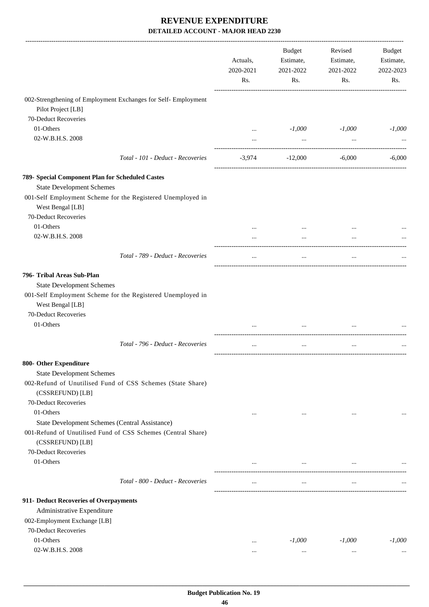|                                                                                  |                                   | Actuals,<br>2020-2021<br>Rs. | <b>Budget</b><br>Estimate,<br>2021-2022<br>Rs. | Revised<br>Estimate,<br>2021-2022<br>Rs. | Budget<br>Estimate,<br>2022-2023<br>Rs. |
|----------------------------------------------------------------------------------|-----------------------------------|------------------------------|------------------------------------------------|------------------------------------------|-----------------------------------------|
| 002-Strengthening of Employment Exchanges for Self- Employment                   |                                   |                              |                                                |                                          |                                         |
| Pilot Project [LB]                                                               |                                   |                              |                                                |                                          |                                         |
| 70-Deduct Recoveries                                                             |                                   |                              |                                                |                                          |                                         |
| 01-Others                                                                        |                                   |                              | $-1,000$                                       | $-1,000$                                 | $-1,000$                                |
| 02-W.B.H.S. 2008                                                                 |                                   |                              | $\ldots$                                       | $\cdots$                                 |                                         |
|                                                                                  | Total - 101 - Deduct - Recoveries | $-3,974$                     | $-12,000$                                      | $-6,000$                                 | $-6,000$                                |
| 789- Special Component Plan for Scheduled Castes                                 |                                   |                              |                                                |                                          |                                         |
| <b>State Development Schemes</b>                                                 |                                   |                              |                                                |                                          |                                         |
| 001-Self Employment Scheme for the Registered Unemployed in                      |                                   |                              |                                                |                                          |                                         |
| West Bengal [LB]                                                                 |                                   |                              |                                                |                                          |                                         |
| 70-Deduct Recoveries                                                             |                                   |                              |                                                |                                          |                                         |
| 01-Others                                                                        |                                   |                              |                                                |                                          |                                         |
| 02-W.B.H.S. 2008                                                                 |                                   | $\cdots$                     | $\cdots$                                       | $\cdots$                                 |                                         |
|                                                                                  | Total - 789 - Deduct - Recoveries | $\cdots$                     | $\cdots$                                       | $\cdots$                                 |                                         |
| 796- Tribal Areas Sub-Plan                                                       |                                   |                              |                                                |                                          |                                         |
| <b>State Development Schemes</b>                                                 |                                   |                              |                                                |                                          |                                         |
| 001-Self Employment Scheme for the Registered Unemployed in                      |                                   |                              |                                                |                                          |                                         |
| West Bengal [LB]                                                                 |                                   |                              |                                                |                                          |                                         |
| 70-Deduct Recoveries                                                             |                                   |                              |                                                |                                          |                                         |
| 01-Others                                                                        |                                   |                              |                                                |                                          |                                         |
|                                                                                  | Total - 796 - Deduct - Recoveries |                              | $\cdots$                                       | $\cdots$                                 |                                         |
| 800- Other Expenditure                                                           |                                   |                              |                                                |                                          |                                         |
| <b>State Development Schemes</b>                                                 |                                   |                              |                                                |                                          |                                         |
| 002-Refund of Unutilised Fund of CSS Schemes (State Share)                       |                                   |                              |                                                |                                          |                                         |
| (CSSREFUND) [LB]                                                                 |                                   |                              |                                                |                                          |                                         |
| 70-Deduct Recoveries                                                             |                                   |                              |                                                |                                          |                                         |
| 01-Others                                                                        |                                   |                              | $\cdots$                                       | $\cdots$                                 |                                         |
| State Development Schemes (Central Assistance)                                   |                                   |                              |                                                |                                          |                                         |
| 001-Refund of Unutilised Fund of CSS Schemes (Central Share)<br>(CSSREFUND) [LB] |                                   |                              |                                                |                                          |                                         |
| 70-Deduct Recoveries                                                             |                                   |                              |                                                |                                          |                                         |
| 01-Others                                                                        |                                   | $\cdots$                     | $\cdots$                                       | $\cdots$                                 |                                         |
|                                                                                  | Total - 800 - Deduct - Recoveries | $\cdots$                     | $\cdots$                                       | $\ddotsc$                                |                                         |
| 911- Deduct Recoveries of Overpayments                                           |                                   |                              |                                                |                                          |                                         |
| Administrative Expenditure                                                       |                                   |                              |                                                |                                          |                                         |
| 002-Employment Exchange [LB]                                                     |                                   |                              |                                                |                                          |                                         |
| 70-Deduct Recoveries                                                             |                                   |                              |                                                |                                          |                                         |
| 01-Others                                                                        |                                   |                              | $-1,000$                                       | $-1,000$                                 | $-1,000$                                |
| 02-W.B.H.S. 2008                                                                 |                                   |                              | $\cdots$                                       | $\cdots$                                 |                                         |
|                                                                                  |                                   |                              |                                                |                                          |                                         |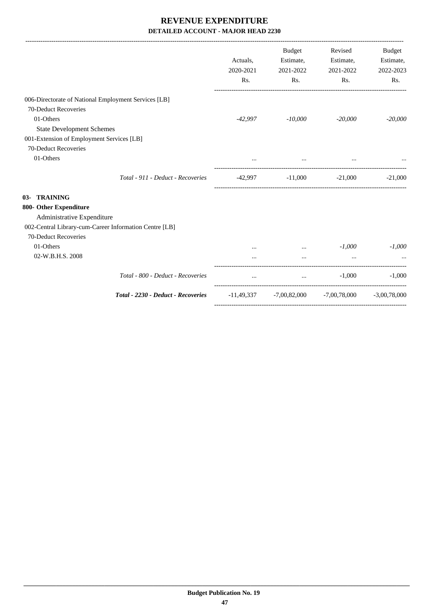|                                                        |                                    | Actuals,<br>2020-2021<br>Rs. | Budget<br>Estimate,<br>2021-2022<br>Rs. | Revised<br>Estimate,<br>2021-2022<br>Rs.                  | <b>Budget</b><br>Estimate,<br>2022-2023<br>Rs. |
|--------------------------------------------------------|------------------------------------|------------------------------|-----------------------------------------|-----------------------------------------------------------|------------------------------------------------|
| 006-Directorate of National Employment Services [LB]   |                                    |                              |                                         |                                                           |                                                |
| 70-Deduct Recoveries                                   |                                    |                              |                                         |                                                           |                                                |
| 01-Others                                              |                                    | -42,997                      | $-10,000$                               | $-20,000$                                                 | $-20,000$                                      |
| <b>State Development Schemes</b>                       |                                    |                              |                                         |                                                           |                                                |
| 001-Extension of Employment Services [LB]              |                                    |                              |                                         |                                                           |                                                |
| 70-Deduct Recoveries                                   |                                    |                              |                                         |                                                           |                                                |
| 01-Others                                              |                                    |                              | $\cdots$                                |                                                           |                                                |
|                                                        | Total - 911 - Deduct - Recoveries  |                              |                                         | $-42,997$ $-11,000$ $-21,000$ $-21,000$                   |                                                |
| 03- TRAINING                                           |                                    |                              |                                         |                                                           |                                                |
| 800- Other Expenditure                                 |                                    |                              |                                         |                                                           |                                                |
| Administrative Expenditure                             |                                    |                              |                                         |                                                           |                                                |
| 002-Central Library-cum-Career Information Centre [LB] |                                    |                              |                                         |                                                           |                                                |
| 70-Deduct Recoveries                                   |                                    |                              |                                         |                                                           |                                                |
| 01-Others                                              |                                    |                              | $\mathbf{1}$                            | $-1,000$                                                  | $-1.000$                                       |
| 02-W.B.H.S. 2008                                       |                                    |                              | $\cdots$                                |                                                           |                                                |
|                                                        | Total - 800 - Deduct - Recoveries  | $\cdots$                     | $\mathbf{a}$ , and $\mathbf{b}$         | $-1,000$                                                  | $-1,000$                                       |
|                                                        | Total - 2230 - Deduct - Recoveries |                              |                                         | $-11,49,337$ $-7,00,82,000$ $-7,00,78,000$ $-3,00,78,000$ |                                                |
|                                                        |                                    |                              |                                         |                                                           |                                                |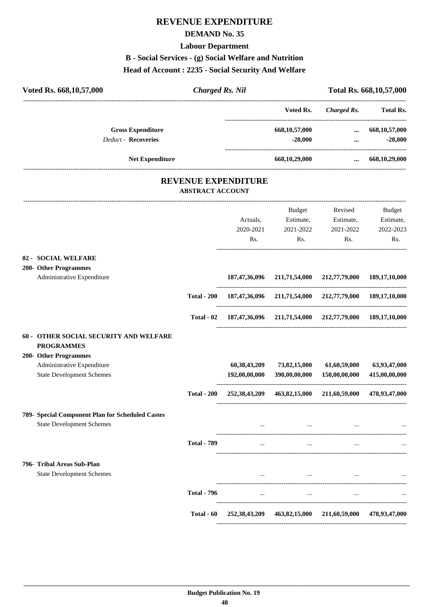## **REVENUE EXPENDITURE**

#### **DEMAND No. 35**

#### **Labour Department**

## **B - Social Services - (g) Social Welfare and Nutrition**

#### **Head of Account : 2235 - Social Security And Welfare**

| Voted Rs. 668, 10, 57, 000<br><b>Charged Rs. Nil</b>                                 |                                                       |                                  |                                                                     | Total Rs. 668, 10, 57, 000                                  |                               |
|--------------------------------------------------------------------------------------|-------------------------------------------------------|----------------------------------|---------------------------------------------------------------------|-------------------------------------------------------------|-------------------------------|
|                                                                                      |                                                       |                                  | Voted Rs.                                                           | -----------------<br><b>Charged Rs.</b>                     | <b>Total Rs.</b>              |
| <b>Gross Expenditure</b><br><b>Deduct - Recoveries</b>                               |                                                       |                                  | 668, 10, 57, 000<br>$-28,000$                                       | -----------------------------------<br>$\cdots$<br>$\cdots$ | 668, 10, 57, 000<br>$-28,000$ |
| <b>Net Expenditure</b>                                                               |                                                       |                                  | 668,10,29,000                                                       | $\cdots$                                                    | 668, 10, 29, 000              |
|                                                                                      | <b>REVENUE EXPENDITURE</b><br><b>ABSTRACT ACCOUNT</b> |                                  |                                                                     |                                                             |                               |
|                                                                                      |                                                       |                                  | Budget                                                              | Revised                                                     | Budget                        |
|                                                                                      |                                                       | Actuals,                         | Estimate,                                                           | Estimate,                                                   | Estimate,                     |
|                                                                                      |                                                       | 2020-2021<br>Rs.                 | 2021-2022<br>Rs.                                                    | 2021-2022<br>Rs.                                            | 2022-2023<br>Rs.              |
|                                                                                      |                                                       |                                  |                                                                     |                                                             |                               |
| 02 - SOCIAL WELFARE                                                                  |                                                       |                                  |                                                                     |                                                             |                               |
| 200- Other Programmes                                                                |                                                       |                                  |                                                                     |                                                             |                               |
| Administrative Expenditure                                                           |                                                       | 187,47,36,096                    | 211,71,54,000                                                       | 212,77,79,000                                               | 189, 17, 10, 000              |
|                                                                                      | <b>Total - 200</b>                                    |                                  | 187, 47, 36, 096 211, 71, 54, 000 212, 77, 79, 000 189, 17, 10, 000 |                                                             |                               |
|                                                                                      | Total - 02                                            |                                  | 187, 47, 36, 096 211, 71, 54, 000 212, 77, 79, 000 189, 17, 10, 000 |                                                             |                               |
| 60 - OTHER SOCIAL SECURITY AND WELFARE<br><b>PROGRAMMES</b>                          |                                                       |                                  |                                                                     |                                                             |                               |
| 200- Other Programmes                                                                |                                                       |                                  |                                                                     |                                                             |                               |
| Administrative Expenditure<br><b>State Development Schemes</b>                       |                                                       | 60, 38, 43, 209<br>192,00,00,000 | 73,82,15,000<br>390,00,00,000                                       | 61,60,59,000<br>150,00,00,000                               | 63,93,47,000<br>415,00,00,000 |
|                                                                                      | <b>Total - 200</b>                                    | 252, 38, 43, 209                 | 463,82,15,000                                                       | 211,60,59,000                                               | 478,93,47,000                 |
| 789- Special Component Plan for Scheduled Castes<br><b>State Development Schemes</b> |                                                       | $\cdots$                         | $\cdots$                                                            | $\cdots$                                                    |                               |
|                                                                                      | <b>Total - 789</b>                                    | $\cdots$                         | $\cdots$                                                            | $\cdots$                                                    |                               |
| 796- Tribal Areas Sub-Plan                                                           |                                                       |                                  |                                                                     |                                                             |                               |
| <b>State Development Schemes</b>                                                     |                                                       |                                  | $\ddots$                                                            |                                                             |                               |
|                                                                                      | <b>Total - 796</b>                                    | $\cdots$                         | $\cdots$                                                            | $\cdots$                                                    |                               |
|                                                                                      |                                                       |                                  |                                                                     |                                                             |                               |
|                                                                                      | Total - 60                                            | 252, 38, 43, 209                 | 463,82,15,000                                                       | 211,60,59,000                                               | 478,93,47,000                 |

----------------------------------------------------------------------------------------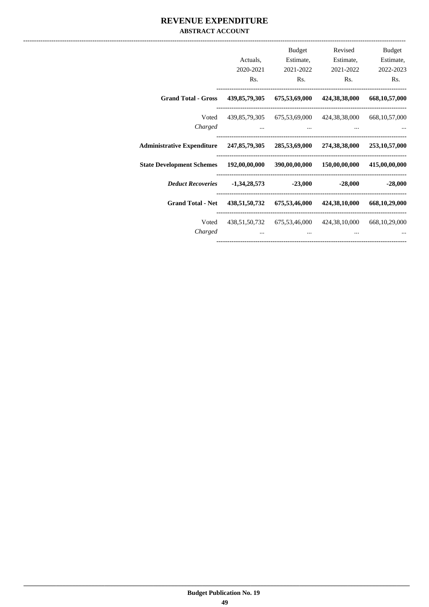### **REVENUE EXPENDITURE ABSTRACT ACCOUNT**

|                                                                                    | Actuals,<br>2020-2021               | Budget<br>Estimate,<br>2021-2022    | Revised<br>Estimate,<br>2021-2022                       | Budget<br>Estimate,<br>2022-2023 |
|------------------------------------------------------------------------------------|-------------------------------------|-------------------------------------|---------------------------------------------------------|----------------------------------|
|                                                                                    | Rs.                                 | Rs.                                 | Rs.                                                     | Rs.                              |
| <b>Grand Total - Gross</b>                                                         |                                     |                                     | 439,85,79,305 675,53,69,000 424,38,38,000               | 668, 10, 57, 000                 |
| Voted                                                                              |                                     |                                     | 439,85,79,305 675,53,69,000 424,38,38,000 668,10,57,000 |                                  |
| Charged                                                                            | and the contract of the contract of | the contract of the contract of the |                                                         |                                  |
| Administrative Expenditure 247,85,79,305 285,53,69,000 274,38,38,000 253,10,57,000 |                                     |                                     |                                                         |                                  |
| State Development Schemes 192,00,00,000 390,00,00,000 150,00,00,000                |                                     |                                     |                                                         | 415,00,00,000                    |
| Deduct Recoveries -1,34,28,573 -23,000                                             |                                     |                                     | -28,000                                                 | $-28,000$                        |
| <b>Grand Total - Net</b>                                                           |                                     |                                     | 438,51,50,732 675,53,46,000 424,38,10,000               | 668,10,29,000                    |
| Voted                                                                              |                                     |                                     | 438,51,50,732 675,53,46,000 424,38,10,000 668,10,29,000 |                                  |
| Charged                                                                            | $\cdots$                            | $\cdots$                            |                                                         |                                  |
|                                                                                    |                                     |                                     |                                                         |                                  |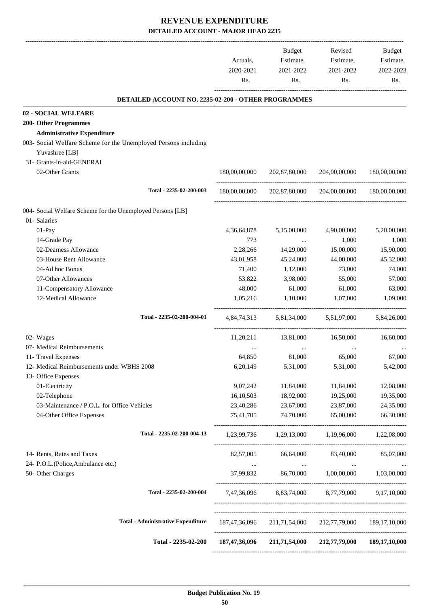|                                                                   | Actuals,<br>2020-2021 | Budget<br>Estimate,<br>2021-2022    | Revised<br>Estimate,<br>2021-2022                       | Budget<br>Estimate,<br>2022-2023 |
|-------------------------------------------------------------------|-----------------------|-------------------------------------|---------------------------------------------------------|----------------------------------|
|                                                                   | Rs.                   | Rs.                                 | Rs.                                                     | Rs.                              |
| DETAILED ACCOUNT NO. 2235-02-200 - OTHER PROGRAMMES               |                       |                                     |                                                         |                                  |
| 02 - SOCIAL WELFARE                                               |                       |                                     |                                                         |                                  |
| <b>200- Other Programmes</b>                                      |                       |                                     |                                                         |                                  |
| <b>Administrative Expenditure</b>                                 |                       |                                     |                                                         |                                  |
| 003- Social Welfare Scheme for the Unemployed Persons including   |                       |                                     |                                                         |                                  |
| Yuvashree [LB]<br>31- Grants-in-aid-GENERAL                       |                       |                                     |                                                         |                                  |
| 02-Other Grants                                                   | 180,00,00,000         | 202,87,80,000                       | 204,00,00,000                                           | 180,00,00,000                    |
|                                                                   |                       |                                     |                                                         |                                  |
| Total - 2235-02-200-003                                           | 180,00,00,000         | 202,87,80,000                       | 204,00,00,000                                           | 180,00,00,000                    |
| 004- Social Welfare Scheme for the Unemployed Persons [LB]        |                       |                                     |                                                         |                                  |
| 01- Salaries                                                      |                       |                                     |                                                         |                                  |
| 01-Pay                                                            | 4, 36, 64, 878        | 5,15,00,000                         | 4,90,00,000                                             | 5,20,00,000                      |
| 14-Grade Pay                                                      | 773                   | $\ldots$                            | 1,000                                                   | 1,000                            |
| 02-Dearness Allowance                                             | 2,28,266              | 14,29,000                           | 15,00,000                                               | 15,90,000                        |
| 03-House Rent Allowance                                           | 43,01,958             | 45,24,000                           | 44,00,000                                               | 45,32,000                        |
| 04-Ad hoc Bonus                                                   | 71,400                | 1,12,000                            | 73,000                                                  | 74,000                           |
| 07-Other Allowances                                               | 53,822                | 3,98,000                            | 55,000                                                  | 57,000                           |
| 11-Compensatory Allowance                                         | 48,000                | 61,000                              | 61,000                                                  | 63,000                           |
| 12-Medical Allowance                                              | 1,05,216              | 1,10,000                            | 1,07,000                                                | 1,09,000                         |
| Total - 2235-02-200-004-01                                        |                       | 4.84.74.313 5.81.34.000 5.51.97.000 |                                                         | 5,84,26,000                      |
| 02- Wages                                                         | 11,20,211             | 13,81,000                           | 16,50,000                                               | 16,60,000                        |
| 07- Medical Reimbursements                                        | $\cdots$              | $\cdots$                            | $\ddotsc$                                               |                                  |
| 11- Travel Expenses                                               | 64,850                | 81,000                              | 65,000                                                  | 67,000                           |
| 12- Medical Reimbursements under WBHS 2008<br>13- Office Expenses | 6,20,149              | 5,31,000                            | 5,31,000                                                | 5,42,000                         |
| 01-Electricity                                                    | 9,07,242              | 11,84,000                           | 11,84,000                                               | 12,08,000                        |
| 02-Telephone                                                      | 16,10,503             | 18,92,000                           | 19,25,000                                               | 19,35,000                        |
| 03-Maintenance / P.O.L. for Office Vehicles                       | 23,40,286             | 23,67,000                           | 23,87,000                                               | 24,35,000                        |
| 04-Other Office Expenses                                          | 75,41,705             | 74,70,000                           | 65,00,000                                               | 66,30,000                        |
| Total - 2235-02-200-004-13                                        |                       |                                     | 1,23,99,736 1,29,13,000 1,19,96,000 1,22,08,000         |                                  |
| 14- Rents, Rates and Taxes                                        | 82,57,005             | 66,64,000                           | 83,40,000 85,07,000                                     |                                  |
| 24- P.O.L.(Police, Ambulance etc.)                                | $\cdots$              | $\cdots$                            | $\ldots$                                                |                                  |
| 50- Other Charges                                                 | 37,99,832             |                                     | 86,70,000  1,00,00,000  1,03,00,000                     |                                  |
| Total - 2235-02-200-004                                           |                       |                                     | 7,47,36,096 8,83,74,000 8,77,79,000 9,17,10,000         |                                  |
| <b>Total - Administrative Expenditure</b>                         |                       |                                     | 187,47,36,096 211,71,54,000 212,77,79,000 189,17,10,000 |                                  |
| Total - 2235-02-200                                               |                       |                                     | 187,47,36,096 211,71,54,000 212,77,79,000 189,17,10,000 |                                  |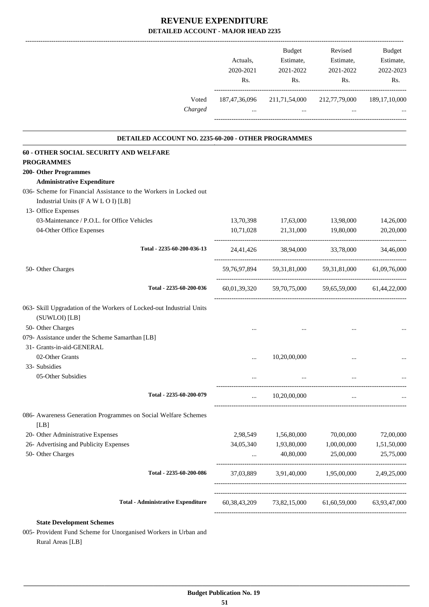|                                                                                                          | Actuals,<br>2020-2021<br>Rs. | <b>Budget</b><br>Estimate,<br>2021-2022                                                   | Revised<br>Estimate,<br>2021-2022<br>$\mathbf{Rs.}$<br>Rs. | Budget<br>Estimate,<br>2022-2023<br>Rs. |
|----------------------------------------------------------------------------------------------------------|------------------------------|-------------------------------------------------------------------------------------------|------------------------------------------------------------|-----------------------------------------|
| Voted<br>Charged                                                                                         |                              | 187,47,36,096 211,71,54,000<br>and the state of the control and the state of the state of | 212,77,79,000 189,17,10,000<br>$\sim 10^{-11}$             |                                         |
| DETAILED ACCOUNT NO. 2235-60-200 - OTHER PROGRAMMES                                                      |                              |                                                                                           |                                                            |                                         |
| 60 - OTHER SOCIAL SECURITY AND WELFARE<br><b>PROGRAMMES</b>                                              |                              |                                                                                           |                                                            |                                         |
| <b>200- Other Programmes</b>                                                                             |                              |                                                                                           |                                                            |                                         |
| <b>Administrative Expenditure</b>                                                                        |                              |                                                                                           |                                                            |                                         |
| 036- Scheme for Financial Assistance to the Workers in Locked out<br>Industrial Units (F A W L O I) [LB] |                              |                                                                                           |                                                            |                                         |
| 13- Office Expenses                                                                                      |                              |                                                                                           |                                                            |                                         |
| 03-Maintenance / P.O.L. for Office Vehicles                                                              |                              | 13,70,398 17,63,000                                                                       | 13,98,000                                                  | 14,26,000                               |
| 04-Other Office Expenses                                                                                 | 10,71,028                    |                                                                                           | 21,31,000 19,80,000                                        | 20,20,000                               |
| Total - 2235-60-200-036-13                                                                               |                              |                                                                                           | 24,41,426 38,94,000 33,78,000 34,46,000                    |                                         |
| 50- Other Charges                                                                                        |                              |                                                                                           | 59,76,97,894 59,31,81,000 59,31,81,000 61,09,76,000        |                                         |
| Total - 2235-60-200-036                                                                                  |                              |                                                                                           | 60,01,39,320 59,70,75,000 59,65,59,000 61,44,22,000        |                                         |
| 063- Skill Upgradation of the Workers of Locked-out Industrial Units                                     |                              |                                                                                           |                                                            |                                         |
| (SUWLOI) [LB]                                                                                            |                              |                                                                                           |                                                            |                                         |
| 50- Other Charges                                                                                        |                              |                                                                                           |                                                            |                                         |
| 079- Assistance under the Scheme Samarthan [LB]                                                          |                              |                                                                                           |                                                            |                                         |
| 31- Grants-in-aid-GENERAL                                                                                |                              |                                                                                           |                                                            |                                         |
| 02-Other Grants                                                                                          | $\cdots$                     | 10,20,00,000                                                                              | $\cdots$                                                   |                                         |
| 33- Subsidies                                                                                            |                              |                                                                                           |                                                            |                                         |
| 05-Other Subsidies                                                                                       |                              |                                                                                           |                                                            |                                         |
| Total - 2235-60-200-079                                                                                  | $\cdots$                     | 10,20,00,000                                                                              | $\cdots$                                                   |                                         |
|                                                                                                          |                              |                                                                                           |                                                            |                                         |
| 086- Awareness Generation Programmes on Social Welfare Schemes<br>[LB]                                   |                              |                                                                                           |                                                            |                                         |
| 20- Other Administrative Expenses                                                                        |                              | 2,98,549 1,56,80,000                                                                      | 70,00,000                                                  | 72,00,000                               |
| 26- Advertising and Publicity Expenses                                                                   | 34,05,340                    | 1,93,80,000                                                                               | 1,00,00,000                                                | 1,51,50,000                             |
| 50- Other Charges                                                                                        |                              | 40,80,000                                                                                 | 25,00,000                                                  | 25,75,000                               |
| Total - 2235-60-200-086                                                                                  | 37,03,889                    | 3,91,40,000                                                                               | 1,95,00,000                                                | 2,49,25,000                             |
| <b>Total - Administrative Expenditure</b>                                                                |                              |                                                                                           |                                                            |                                         |
|                                                                                                          |                              |                                                                                           | 60,38,43,209 73,82,15,000 61,60,59,000 63,93,47,000        |                                         |
| <b>State Development Schemes</b>                                                                         |                              |                                                                                           |                                                            |                                         |
| 005- Provident Fund Scheme for Unorganised Workers in Urban and                                          |                              |                                                                                           |                                                            |                                         |
| Rural Areas [LB]                                                                                         |                              |                                                                                           |                                                            |                                         |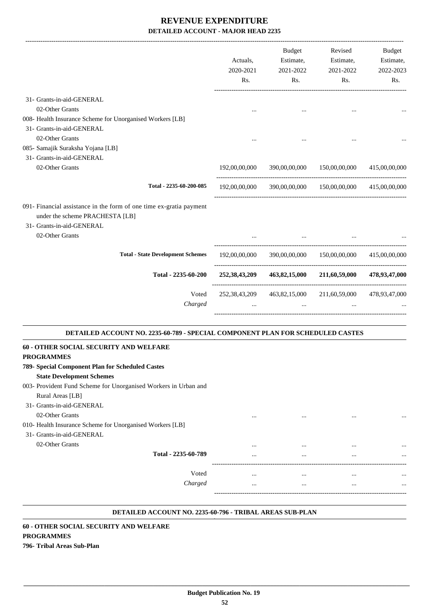|                                                                                                                                     | Actuals,<br>2020-2021<br>Rs. | Budget<br>Estimate,<br>2021-2022<br>Rs.                              | Revised<br>Estimate,<br>2021-2022<br>Rs. | Budget<br>Estimate,<br>2022-2023<br>Rs. |
|-------------------------------------------------------------------------------------------------------------------------------------|------------------------------|----------------------------------------------------------------------|------------------------------------------|-----------------------------------------|
| 31- Grants-in-aid-GENERAL                                                                                                           |                              |                                                                      |                                          |                                         |
| 02-Other Grants<br>008- Health Insurance Scheme for Unorganised Workers [LB]                                                        | $\cdots$                     |                                                                      |                                          |                                         |
| 31- Grants-in-aid-GENERAL                                                                                                           |                              |                                                                      |                                          |                                         |
| 02-Other Grants                                                                                                                     |                              |                                                                      |                                          |                                         |
| 085- Samajik Suraksha Yojana [LB]<br>31- Grants-in-aid-GENERAL                                                                      |                              |                                                                      |                                          |                                         |
| 02-Other Grants                                                                                                                     | 192,00,00,000                |                                                                      | 390,00,00,000 150,00,00,000              | 415,00,00,000                           |
|                                                                                                                                     |                              |                                                                      |                                          |                                         |
| Total - 2235-60-200-085                                                                                                             |                              | 192,00,00,000 390,00,00,000 150,00,00,000 415,00,00,000              |                                          |                                         |
| 091- Financial assistance in the form of one time ex-gratia payment<br>under the scheme PRACHESTA [LB]<br>31- Grants-in-aid-GENERAL |                              |                                                                      |                                          |                                         |
| 02-Other Grants                                                                                                                     |                              |                                                                      |                                          |                                         |
| <b>Total - State Development Schemes</b>                                                                                            |                              | 192,00,00,000 390,00,00,000 150,00,00,000                            |                                          | 415,00,00,000                           |
| Total - 2235-60-200                                                                                                                 |                              | 252,38,43,209 463,82,15,000 211,60,59,000 478,93,47,000              |                                          |                                         |
| Voted<br>Charged                                                                                                                    |                              | 252,38,43,209 463,82,15,000 211,60,59,000 478,93,47,000<br>$\ddotsc$ |                                          |                                         |
| DETAILED ACCOUNT NO. 2235-60-789 - SPECIAL COMPONENT PLAN FOR SCHEDULED CASTES                                                      |                              |                                                                      |                                          |                                         |
| 60 - OTHER SOCIAL SECURITY AND WELFARE<br><b>PROGRAMMES</b>                                                                         |                              |                                                                      |                                          |                                         |
| 789- Special Component Plan for Scheduled Castes                                                                                    |                              |                                                                      |                                          |                                         |
| <b>State Development Schemes</b>                                                                                                    |                              |                                                                      |                                          |                                         |
| 003- Provident Fund Scheme for Unorganised Workers in Urban and                                                                     |                              |                                                                      |                                          |                                         |
| Rural Areas [LB]                                                                                                                    |                              |                                                                      |                                          |                                         |
| 31- Grants-in-aid-GENERAL<br>02-Other Grants                                                                                        |                              |                                                                      |                                          |                                         |
| 010- Health Insurance Scheme for Unorganised Workers [LB]                                                                           | $\cdots$                     |                                                                      |                                          |                                         |
| 31- Grants-in-aid-GENERAL                                                                                                           |                              |                                                                      |                                          |                                         |
| 02-Other Grants                                                                                                                     |                              |                                                                      |                                          |                                         |
| Total - 2235-60-789                                                                                                                 |                              |                                                                      |                                          |                                         |
| Voted                                                                                                                               | $\ddotsc$                    | $\cdots$                                                             | $\cdots$                                 |                                         |
| Charged                                                                                                                             | $\cdots$                     | $\cdots$                                                             | $\cdots$                                 | $\ddotsc$                               |
|                                                                                                                                     |                              |                                                                      |                                          |                                         |

#### **DETAILED ACCOUNT NO. 2235-60-796 - TRIBAL AREAS SUB-PLAN .**

## **60 - OTHER SOCIAL SECURITY AND WELFARE PROGRAMMES**

**796- Tribal Areas Sub-Plan**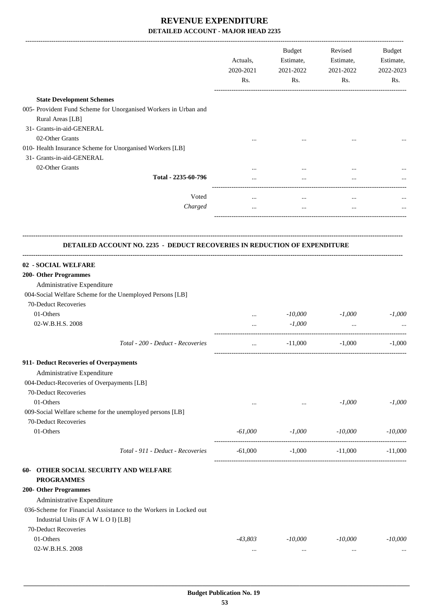|                                                                                        | Actuals,<br>2020-2021<br>Rs. | Budget<br>Estimate,<br>2021-2022<br>Rs. | Revised<br>Estimate,<br>2021-2022<br>Rs. | Budget<br>Estimate,<br>2022-2023<br>Rs. |
|----------------------------------------------------------------------------------------|------------------------------|-----------------------------------------|------------------------------------------|-----------------------------------------|
| <b>State Development Schemes</b>                                                       |                              |                                         |                                          |                                         |
| 005- Provident Fund Scheme for Unorganised Workers in Urban and<br>Rural Areas [LB]    |                              |                                         |                                          |                                         |
| 31- Grants-in-aid-GENERAL                                                              |                              |                                         |                                          |                                         |
| 02-Other Grants                                                                        |                              |                                         |                                          |                                         |
| 010- Health Insurance Scheme for Unorganised Workers [LB]<br>31- Grants-in-aid-GENERAL |                              |                                         |                                          |                                         |
| 02-Other Grants<br>Total - 2235-60-796                                                 |                              |                                         |                                          |                                         |
|                                                                                        |                              |                                         |                                          |                                         |
| Voted                                                                                  | $\cdots$                     | $\cdots$                                | $\ddotsc$                                |                                         |
| Charged                                                                                | $\cdots$                     | $\cdots$                                | $\cdots$                                 |                                         |
|                                                                                        |                              |                                         |                                          |                                         |
| DETAILED ACCOUNT NO. 2235 - DEDUCT RECOVERIES IN REDUCTION OF EXPENDITURE              |                              |                                         |                                          |                                         |
| 02 - SOCIAL WELFARE                                                                    |                              |                                         |                                          |                                         |
| 200- Other Programmes                                                                  |                              |                                         |                                          |                                         |
| Administrative Expenditure                                                             |                              |                                         |                                          |                                         |
| 004-Social Welfare Scheme for the Unemployed Persons [LB]                              |                              |                                         |                                          |                                         |
| 70-Deduct Recoveries                                                                   |                              |                                         |                                          |                                         |
| 01-Others                                                                              | $\cdots$                     | $-10,000$                               | $-1,000$                                 | $-1,000$                                |
| 02-W.B.H.S. 2008                                                                       | $\cdots$                     | $-1,000$                                | $\cdots$                                 |                                         |
| Total - 200 - Deduct - Recoveries                                                      | $\cdots$                     | $-11,000$                               | $-1,000$                                 | $-1,000$                                |
| 911- Deduct Recoveries of Overpayments                                                 |                              |                                         |                                          |                                         |
| Administrative Expenditure                                                             |                              |                                         |                                          |                                         |
| 004-Deduct-Recoveries of Overpayments [LB]                                             |                              |                                         |                                          |                                         |
| 70-Deduct Recoveries                                                                   |                              |                                         |                                          |                                         |
| 01-Others                                                                              | $\cdots$                     | $\ldots$                                | $-1,000$                                 | $-1,000$                                |
| 009-Social Welfare scheme for the unemployed persons [LB]                              |                              |                                         |                                          |                                         |
| 70-Deduct Recoveries                                                                   |                              |                                         |                                          |                                         |
| 01-Others                                                                              | $-61,000$                    | $-1,000$                                | $-10,000$                                | -10,000                                 |
| Total - 911 - Deduct - Recoveries                                                      | $-61,000$                    | $-1,000$                                | $-11,000$                                | $-11,000$                               |
| 60- OTHER SOCIAL SECURITY AND WELFARE                                                  |                              |                                         |                                          |                                         |
| <b>PROGRAMMES</b>                                                                      |                              |                                         |                                          |                                         |
| 200- Other Programmes                                                                  |                              |                                         |                                          |                                         |
| Administrative Expenditure                                                             |                              |                                         |                                          |                                         |
| 036-Scheme for Financial Assistance to the Workers in Locked out                       |                              |                                         |                                          |                                         |
| Industrial Units (F A W L O I) [LB]                                                    |                              |                                         |                                          |                                         |
| 70-Deduct Recoveries                                                                   |                              |                                         |                                          |                                         |
| 01-Others                                                                              | $-43,803$                    | $-10,000$                               | $-10,000$                                | $-10,000$                               |
| 02-W.B.H.S. 2008                                                                       | $\ldots$                     | $\ldots$                                | $\cdots$                                 |                                         |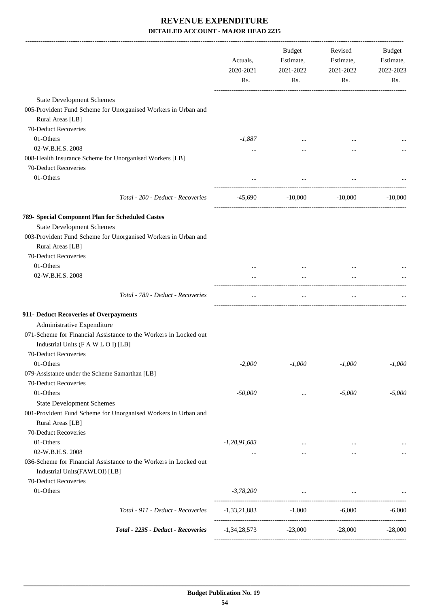|                                                                                                         | Actuals,<br>2020-2021<br>Rs. | Budget<br>Estimate,<br>2021-2022<br>Rs. | Revised<br>Estimate,<br>2021-2022<br>Rs. | Budget<br>Estimate,<br>2022-2023<br>Rs. |
|---------------------------------------------------------------------------------------------------------|------------------------------|-----------------------------------------|------------------------------------------|-----------------------------------------|
| <b>State Development Schemes</b>                                                                        |                              |                                         |                                          |                                         |
| 005-Provident Fund Scheme for Unorganised Workers in Urban and                                          |                              |                                         |                                          |                                         |
| Rural Areas [LB]                                                                                        |                              |                                         |                                          |                                         |
| 70-Deduct Recoveries                                                                                    |                              |                                         |                                          |                                         |
| 01-Others                                                                                               | $-1,887$                     |                                         |                                          |                                         |
| 02-W.B.H.S. 2008                                                                                        | $\cdots$                     |                                         |                                          |                                         |
| 008-Health Insurance Scheme for Unorganised Workers [LB]                                                |                              |                                         |                                          |                                         |
| 70-Deduct Recoveries                                                                                    |                              |                                         |                                          |                                         |
| 01-Others                                                                                               |                              | $\cdots$                                |                                          |                                         |
|                                                                                                         |                              |                                         |                                          |                                         |
| Total - 200 - Deduct - Recoveries                                                                       | -45,690                      | $-10,000$                               | -10,000                                  | $-10,000$                               |
| 789- Special Component Plan for Scheduled Castes                                                        |                              |                                         |                                          |                                         |
| <b>State Development Schemes</b>                                                                        |                              |                                         |                                          |                                         |
| 003-Provident Fund Scheme for Unorganised Workers in Urban and                                          |                              |                                         |                                          |                                         |
| Rural Areas [LB]                                                                                        |                              |                                         |                                          |                                         |
| 70-Deduct Recoveries                                                                                    |                              |                                         |                                          |                                         |
| 01-Others                                                                                               |                              |                                         | $\ddotsc$                                |                                         |
| 02-W.B.H.S. 2008                                                                                        |                              |                                         |                                          |                                         |
| Total - 789 - Deduct - Recoveries                                                                       | $\cdots$                     | $\ldots$                                | $\cdots$                                 |                                         |
| 911- Deduct Recoveries of Overpayments                                                                  |                              |                                         |                                          |                                         |
| Administrative Expenditure                                                                              |                              |                                         |                                          |                                         |
| 071-Scheme for Financial Assistance to the Workers in Locked out<br>Industrial Units (F A W L O I) [LB] |                              |                                         |                                          |                                         |
| 70-Deduct Recoveries                                                                                    |                              |                                         |                                          |                                         |
| 01-Others                                                                                               | $-2,000$                     | $-1,000$                                | $-1,000$                                 | -1,000                                  |
| 079-Assistance under the Scheme Samarthan [LB]                                                          |                              |                                         |                                          |                                         |
| 70-Deduct Recoveries                                                                                    |                              |                                         |                                          |                                         |
| 01-Others                                                                                               | $-50,000$                    | $\cdots$                                | $-5,000$                                 | $-5,000$                                |
| <b>State Development Schemes</b>                                                                        |                              |                                         |                                          |                                         |
| 001-Provident Fund Scheme for Unorganised Workers in Urban and                                          |                              |                                         |                                          |                                         |
| Rural Areas [LB]                                                                                        |                              |                                         |                                          |                                         |
| 70-Deduct Recoveries                                                                                    |                              |                                         |                                          |                                         |
| 01-Others                                                                                               | $-1,28,91,683$               |                                         |                                          |                                         |
| 02-W.B.H.S. 2008                                                                                        | $\cdots$                     | $\cdots$                                | $\cdots$                                 |                                         |
| 036-Scheme for Financial Assistance to the Workers in Locked out<br>Industrial Units(FAWLOI) [LB]       |                              |                                         |                                          |                                         |
| 70-Deduct Recoveries                                                                                    |                              |                                         |                                          |                                         |
| 01-Others                                                                                               | $-3,78,200$                  | $\ddots$                                | $\cdots$                                 |                                         |
| Total - 911 - Deduct - Recoveries                                                                       | $-1,33,21,883$               | $-1,000$                                | $-6,000$                                 | $-6,000$                                |
| Total - 2235 - Deduct - Recoveries                                                                      | $-1,34,28,573$               | $-23,000$                               | $-28,000$                                | $-28,000$                               |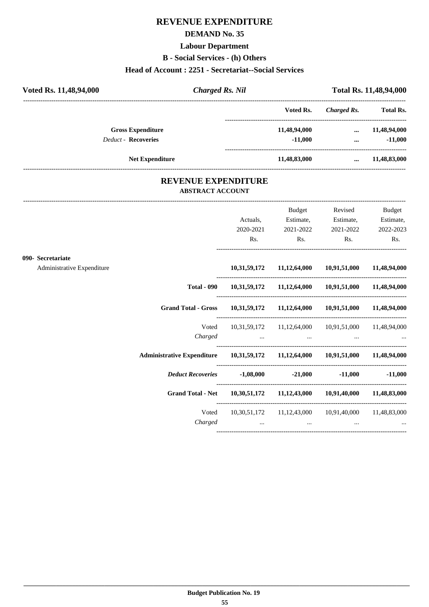## **REVENUE EXPENDITURE**

#### **DEMAND No. 35**

#### **Labour Department**

**B - Social Services - (h) Others**

### **Head of Account : 2251 - Secretariat--Social Services**

| Voted Rs. 11,48,94,000     | <b>Charged Rs. Nil</b> |              | <b>Total Rs. 11,48,94,000</b> |                  |  |
|----------------------------|------------------------|--------------|-------------------------------|------------------|--|
|                            |                        | Voted Rs.    | Charged Rs.                   | <b>Total Rs.</b> |  |
| <b>Gross Expenditure</b>   |                        | 11,48,94,000 | $\cdots$                      | 11,48,94,000     |  |
| <b>Deduct - Recoveries</b> |                        | $-11.000$    | $\cdots$                      | $-11,000$        |  |
| <b>Net Expenditure</b>     |                        | 11,48,83,000 | $\cdots$                      | 11,48,83,000     |  |
|                            |                        |              |                               |                  |  |

### **REVENUE EXPENDITURE ABSTRACT ACCOUNT**

---------------------------------------------------------------------------------------------------------------------------------------------------------------------------------

|                                                 |                                                                                | Actuals,<br>$\mathsf{Rs.}$ | Budget<br>Estimate,<br>2020-2021 2021-2022<br>$\mathbf{Rs.}$                                        | Revised<br>$\mathbf{Rs.}$                                           | <b>Budget</b><br>Estimate, Estimate,<br>2021-2022 2022-2023<br>Rs. |
|-------------------------------------------------|--------------------------------------------------------------------------------|----------------------------|-----------------------------------------------------------------------------------------------------|---------------------------------------------------------------------|--------------------------------------------------------------------|
| 090- Secretariate<br>Administrative Expenditure |                                                                                |                            |                                                                                                     | 10,31,59,172 11,12,64,000 10,91,51,000 11,48,94,000                 |                                                                    |
|                                                 |                                                                                |                            |                                                                                                     |                                                                     |                                                                    |
|                                                 |                                                                                |                            |                                                                                                     | Total - 090  10,31,59,172  11,12,64,000  10,91,51,000  11,48,94,000 |                                                                    |
|                                                 | Grand Total - Gross 10,31,59,172 11,12,64,000 10,91,51,000 11,48,94,000        |                            |                                                                                                     |                                                                     |                                                                    |
|                                                 | Voted                                                                          |                            |                                                                                                     | 10,31,59,172 11,12,64,000 10,91,51,000 11,48,94,000                 |                                                                    |
|                                                 | Administrative Expenditure 10,31,59,172 11,12,64,000 10,91,51,000 11,48,94,000 |                            |                                                                                                     |                                                                     |                                                                    |
|                                                 | <i>Deduct Recoveries</i> 1,08,000 -21,000 -11,000 -11,000                      |                            |                                                                                                     |                                                                     |                                                                    |
|                                                 | Grand Total - Net 10,30,51,172 11,12,43,000 10,91,40,000 11,48,83,000          |                            |                                                                                                     |                                                                     |                                                                    |
|                                                 | Voted<br>Charged                                                               |                            | the contract of the contract of the contract of the contract of the contract of the contract of the | 10,30,51,172 11,12,43,000 10,91,40,000 11,48,83,000                 |                                                                    |
|                                                 |                                                                                |                            |                                                                                                     |                                                                     |                                                                    |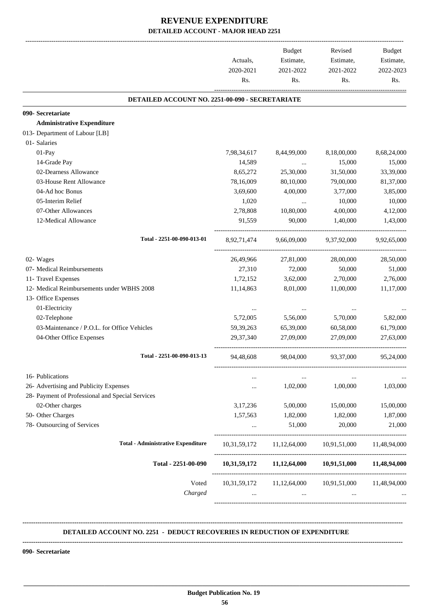|                                                  | Actuals,<br>2020-2021<br>Rs. | Budget<br>Estimate,<br>2021-2022<br>Rs.             | Revised<br>Estimate,<br>2021-2022<br>Rs. | Budget<br>Estimate,<br>2022-2023<br>Rs. |
|--------------------------------------------------|------------------------------|-----------------------------------------------------|------------------------------------------|-----------------------------------------|
| DETAILED ACCOUNT NO. 2251-00-090 - SECRETARIATE  |                              |                                                     |                                          |                                         |
| 090- Secretariate                                |                              |                                                     |                                          |                                         |
| <b>Administrative Expenditure</b>                |                              |                                                     |                                          |                                         |
| 013- Department of Labour [LB]                   |                              |                                                     |                                          |                                         |
| 01- Salaries                                     |                              |                                                     |                                          |                                         |
| 01-Pay                                           | 7,98,34,617                  | 8,44,99,000                                         | 8,18,00,000                              | 8,68,24,000                             |
| 14-Grade Pay                                     | 14,589                       | $\ldots$                                            | 15,000                                   | 15,000                                  |
| 02-Dearness Allowance                            | 8,65,272                     | 25,30,000                                           | 31,50,000                                | 33,39,000                               |
| 03-House Rent Allowance                          | 78,16,009                    | 80,10,000                                           | 79,00,000                                | 81,37,000                               |
| 04-Ad hoc Bonus                                  | 3,69,600                     | 4,00,000                                            | 3,77,000                                 | 3,85,000                                |
| 05-Interim Relief                                | 1,020                        | $\cdots$                                            | 10,000                                   | 10,000                                  |
| 07-Other Allowances                              | 2,78,808                     | 10,80,000                                           | 4,00,000                                 | 4,12,000                                |
| 12-Medical Allowance                             | 91,559                       | 90,000                                              | 1,40,000                                 | 1,43,000                                |
| Total - 2251-00-090-013-01                       | 8,92,71,474                  | 9,66,09,000                                         | 9,37,92,000                              | 9,92,65,000                             |
| 02- Wages                                        | 26,49,966                    | 27,81,000                                           | 28,00,000                                | 28,50,000                               |
| 07- Medical Reimbursements                       | 27,310                       | 72,000                                              | 50,000                                   | 51,000                                  |
| 11- Travel Expenses                              | 1,72,152                     | 3,62,000                                            | 2,70,000                                 | 2,76,000                                |
| 12- Medical Reimbursements under WBHS 2008       | 11,14,863                    | 8,01,000                                            | 11,00,000                                | 11,17,000                               |
| 13- Office Expenses                              |                              |                                                     |                                          |                                         |
| 01-Electricity                                   | $\ddotsc$                    |                                                     |                                          |                                         |
| 02-Telephone                                     | 5,72,005                     | 5,56,000                                            | 5,70,000                                 | 5,82,000                                |
| 03-Maintenance / P.O.L. for Office Vehicles      | 59, 39, 263                  | 65,39,000                                           | 60,58,000                                | 61,79,000                               |
| 04-Other Office Expenses                         | 29, 37, 340                  | 27,09,000                                           | 27,09,000                                | 27,63,000                               |
| Total - 2251-00-090-013-13                       | 94,48,608                    | 98,04,000                                           | 93, 37, 000                              | 95,24,000                               |
| 16- Publications                                 |                              |                                                     |                                          |                                         |
| 26- Advertising and Publicity Expenses           | $\cdots$                     | 1,02,000                                            | 1,00,000                                 | 1,03,000                                |
| 28- Payment of Professional and Special Services |                              |                                                     |                                          |                                         |
| 02-Other charges                                 | 3,17,236                     | 5,00,000                                            | 15,00,000                                | 15,00,000                               |
| 50- Other Charges                                | 1,57,563                     | 1,82,000                                            | 1,82,000                                 | 1,87,000                                |
| 78- Outsourcing of Services                      | $\cdots$                     | 51,000                                              | 20,000                                   | 21,000                                  |
| <b>Total - Administrative Expenditure</b>        |                              | 10,31,59,172 11,12,64,000 10,91,51,000 11,48,94,000 |                                          |                                         |
| Total - 2251-00-090                              |                              | 10,31,59,172 11,12,64,000 10,91,51,000 11,48,94,000 |                                          |                                         |
| Voted<br>Charged                                 | 10,31,59,172<br>$\cdots$     | 11,12,64,000<br>$\cdots$                            | 10,91,51,000<br>$\cdots$                 | 11,48,94,000                            |

#### **DETAILED ACCOUNT NO. 2251 - DEDUCT RECOVERIES IN REDUCTION OF EXPENDITURE**

**--------------------------------------------------------------------------------------------------------------------------------------------------------------------------------**

**--------------------------------------------------------------------------------------------------------------------------------------------------------------------------------**

 **\_\_\_\_\_\_\_\_\_\_\_\_\_\_\_\_\_\_\_\_\_\_\_\_\_\_\_\_\_\_\_\_\_\_\_\_\_\_\_\_\_\_\_\_\_\_\_\_\_\_\_\_\_\_\_\_\_\_\_\_\_\_\_\_\_\_\_\_\_\_\_\_\_\_\_\_\_\_\_\_\_\_\_\_\_\_\_\_\_\_\_\_\_\_\_\_\_\_\_\_\_\_\_\_\_\_\_\_\_\_\_\_\_\_\_\_\_\_\_**

**090- Secretariate**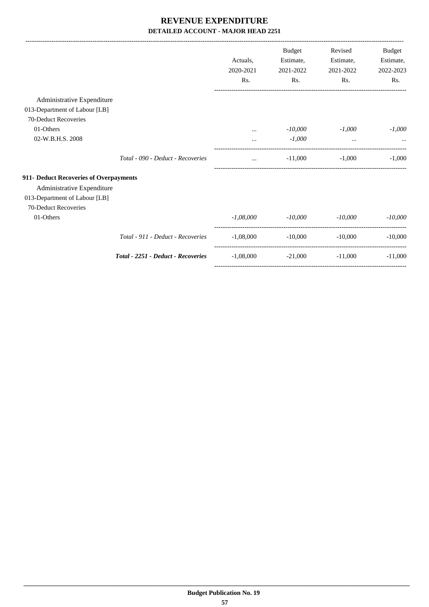|                                        |                                    |             | <b>Budget</b> | Revised   | Budget    |
|----------------------------------------|------------------------------------|-------------|---------------|-----------|-----------|
|                                        |                                    | Actuals.    | Estimate,     | Estimate, | Estimate, |
|                                        |                                    | 2020-2021   | 2021-2022     | 2021-2022 | 2022-2023 |
|                                        |                                    | Rs.         | Rs.           | Rs.       | Rs.       |
| Administrative Expenditure             |                                    |             |               |           |           |
| 013-Department of Labour [LB]          |                                    |             |               |           |           |
| 70-Deduct Recoveries                   |                                    |             |               |           |           |
| 01-Others                              |                                    | $\cdots$    | $-10,000$     | $-1,000$  | $-1.000$  |
| 02-W.B.H.S. 2008                       |                                    | $\cdots$    | $-1,000$      | $\cdots$  |           |
|                                        | Total - 090 - Deduct - Recoveries  | $\cdots$    | $-11,000$     | $-1,000$  | $-1.000$  |
| 911- Deduct Recoveries of Overpayments |                                    |             |               |           |           |
| Administrative Expenditure             |                                    |             |               |           |           |
| 013-Department of Labour [LB]          |                                    |             |               |           |           |
| 70-Deduct Recoveries                   |                                    |             |               |           |           |
| 01-Others                              |                                    | $-1.08,000$ | $-10,000$     | $-10,000$ | $-10,000$ |
|                                        | Total - 911 - Deduct - Recoveries  | $-1,08,000$ | $-10,000$     | $-10,000$ | $-10,000$ |
|                                        | Total - 2251 - Deduct - Recoveries | $-1,08,000$ | $-21,000$     | $-11,000$ | $-11,000$ |

-----------------------------------------------------------------------------------------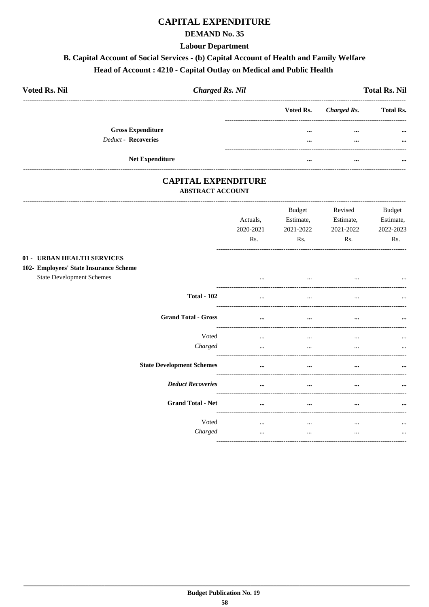## **CAPITAL EXPENDITURE**

### **DEMAND No. 35**

#### **Labour Department**

## B. Capital Account of Social Services - (b) Capital Account of Health and Family Welfare

## Head of Account: 4210 - Capital Outlay on Medical and Public Health

| <b>Voted Rs. Nil</b>       | <b>Charged Rs. Nil</b> |  | <b>Total Rs. Nil</b>  |                  |  |
|----------------------------|------------------------|--|-----------------------|------------------|--|
|                            |                        |  | Voted Rs. Charged Rs. | <b>Total Rs.</b> |  |
| <b>Gross Expenditure</b>   |                        |  | <br>                  | $\cdots$         |  |
| <b>Deduct - Recoveries</b> |                        |  | <br>                  | $\cdots$         |  |
|                            |                        |  |                       |                  |  |
|                            | <b>Net Expenditure</b> |  | <br>$\cdots$          |                  |  |

### **CAPITAL EXPENDITURE ABSTRACT ACCOUNT**

-------------------------------

|                                                                                                          | Actuals,<br>2020-2021<br>Rs. | <b>Budget</b><br>Estimate,<br>2021-2022<br>Rs. | Revised<br>Estimate,<br>2021-2022<br>Rs. | <b>Budget</b><br>Estimate,<br>2022-2023<br>Rs. |
|----------------------------------------------------------------------------------------------------------|------------------------------|------------------------------------------------|------------------------------------------|------------------------------------------------|
| 01 - URBAN HEALTH SERVICES<br>102- Employees' State Insurance Scheme<br><b>State Development Schemes</b> |                              | $\cdots$                                       |                                          | $\cdots$                                       |
| <b>Total - 102</b>                                                                                       | $\cdots$                     | $\cdots$                                       | $\cdots$                                 | $\cdots$                                       |
| <b>Grand Total - Gross</b>                                                                               | $\cdots$                     | $\cdots$                                       | $\cdots$                                 | $\cdots$                                       |
| Voted<br>Charged                                                                                         | $\cdots$<br>$\cdots$         | $\cdots$<br>                                   | $\cdots$<br>                             | $\cdots$<br>$\cdots$                           |
| <b>State Development Schemes</b>                                                                         | $\cdots$                     | $\cdots$                                       | $\cdots$                                 |                                                |
| <b>Deduct Recoveries</b>                                                                                 | $\cdots$                     | $\cdots$                                       | $\cdots$                                 | $\cdots$                                       |
| <b>Grand Total - Net</b>                                                                                 | $\cdots$                     | $\cdots$                                       | $\cdots$                                 | $\cdots$                                       |
| Voted<br>Charged                                                                                         | $\cdots$<br>$\cdots$         | $\cdots$<br>$\cdots$                           | $\cdots$<br>$\cdots$                     | $\cdots$<br>$\cdots$                           |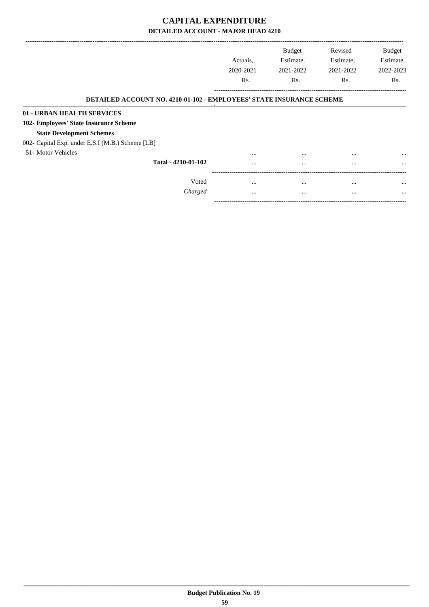## **CAPITAL EXPENDITURE DETAILED ACCOUNT - MAJOR HEAD 4210**

|                                                                             | Actuals.  | <b>Budget</b><br>Estimate, | Revised<br>Estimate, | <b>Budget</b><br>Estimate, |
|-----------------------------------------------------------------------------|-----------|----------------------------|----------------------|----------------------------|
|                                                                             | 2020-2021 | 2021-2022                  | 2021-2022            | 2022-2023                  |
|                                                                             | Rs.       | Rs.                        | Rs.                  | Rs.                        |
| <b>DETAILED ACCOUNT NO. 4210-01-102 - EMPLOYEES' STATE INSURANCE SCHEME</b> |           |                            |                      |                            |
| 01 - URBAN HEALTH SERVICES                                                  |           |                            |                      |                            |
| 102- Employees' State Insurance Scheme                                      |           |                            |                      |                            |
| <b>State Development Schemes</b>                                            |           |                            |                      |                            |
| 002- Capital Exp. under E.S.I (M.B.) Scheme [LB]                            |           |                            |                      |                            |
| 51- Motor Vehicles                                                          | $\cdots$  | $\cdots$                   | $\cdots$             | $\cdots$                   |
| Total - 4210-01-102                                                         |           | $\cdots$                   | $\cdots$             | $\cdots$                   |
|                                                                             |           |                            |                      |                            |
| Voted                                                                       | $\cdots$  | $\cdots$                   | $\cdots$             | $\cdots$                   |
| Charged                                                                     | $\cdots$  | $\cdots$                   | $\cdots$             | $\cdots$                   |

-----------------------------------------------------------------------------------------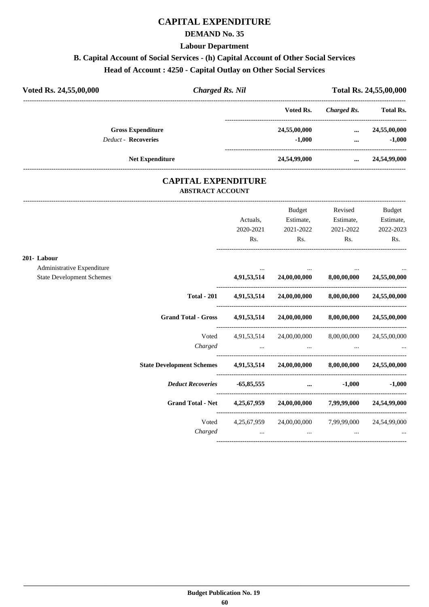## **CAPITAL EXPENDITURE**

#### **DEMAND No. 35**

**Labour Department**

## **B. Capital Account of Social Services - (h) Capital Account of Other Social Services**

## **Head of Account : 4250 - Capital Outlay on Other Social Services**

| Voted Rs. 24,55,00,000     | <b>Charged Rs. Nil</b> |              |             | Total Rs. 24,55,00,000 |  |  |
|----------------------------|------------------------|--------------|-------------|------------------------|--|--|
|                            |                        | Voted Rs.    | Charged Rs. | <b>Total Rs.</b>       |  |  |
| <b>Gross Expenditure</b>   |                        | 24,55,00,000 | $\cdots$    | 24,55,00,000           |  |  |
| <b>Deduct - Recoveries</b> |                        | $-1.000$     | $\cdots$    | $-1.000$               |  |  |
| <b>Net Expenditure</b>     |                        | 24,54,99,000 | $\cdots$    | 24,54,99,000           |  |  |

### **CAPITAL EXPENDITURE ABSTRACT ACCOUNT**

---------------------------------------------------------------------------------------------------------------------------------------------------------------------------------

|                                  |                                                                     |             | <b>Budget</b>                                             | Revised                  | <b>Budget</b> |
|----------------------------------|---------------------------------------------------------------------|-------------|-----------------------------------------------------------|--------------------------|---------------|
|                                  |                                                                     | Actuals,    | Estimate,                                                 | Estimate,                | Estimate,     |
|                                  |                                                                     | 2020-2021   | 2021-2022                                                 | 2021-2022                | 2022-2023     |
|                                  |                                                                     | Rs.         | Rs.                                                       | Rs.                      | Rs.           |
| 201-Labour                       |                                                                     |             |                                                           |                          |               |
| Administrative Expenditure       |                                                                     |             |                                                           |                          |               |
| <b>State Development Schemes</b> |                                                                     |             | $4,91,53,514$ $24,00,00,000$ $8,00,00,000$ $24,55,00,000$ |                          |               |
|                                  | <b>Total - 201</b>                                                  |             | $4,91,53,514$ $24,00,00,000$ $8,00,00,000$ $24,55,00,000$ |                          |               |
|                                  | Grand Total - Gross 4,91,53,514 24,00,00,000 8,00,00,000            |             |                                                           |                          | 24,55,00,000  |
|                                  |                                                                     |             | Voted 4,91,53,514 24,00,00,000 8,00,00,000 24,55,00,000   |                          |               |
|                                  |                                                                     | Charged     |                                                           |                          |               |
|                                  | <b>State Development Schemes</b>                                    |             | 4,91,53,514 24,00,00,000 8,00,00,000 24,55,00,000         |                          |               |
|                                  | <b>Deduct Recoveries</b>                                            |             | $-65,85,555$                                              | $-1.000$                 | $-1,000$      |
|                                  | Grand Total - Net 4,25,67,959 24,00,00,000 7,99,99,000 24,54,99,000 |             |                                                           |                          |               |
|                                  | Voted                                                               | 4,25,67,959 |                                                           | 24,00,00,000 7,99,99,000 | 24,54,99,000  |
|                                  | Charged                                                             |             | $\cdots$                                                  |                          |               |
|                                  |                                                                     |             |                                                           |                          |               |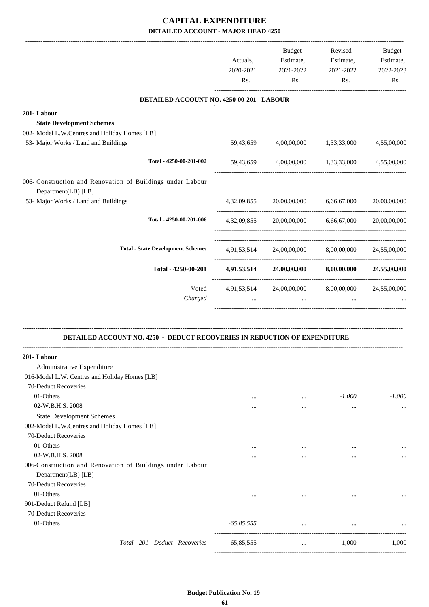## **CAPITAL EXPENDITURE DETAILED ACCOUNT - MAJOR HEAD 4250**

|                                                                                   | Actuals,<br>2020-2021<br>Rs. | <b>Budget</b><br>Estimate,<br>2021-2022<br>Rs.    | Revised<br>Estimate,<br>2021-2022<br>Rs. | Budget<br>Estimate,<br>2022-2023<br>Rs. |
|-----------------------------------------------------------------------------------|------------------------------|---------------------------------------------------|------------------------------------------|-----------------------------------------|
| DETAILED ACCOUNT NO. 4250-00-201 - LABOUR                                         |                              |                                                   |                                          |                                         |
| 201-Labour                                                                        |                              |                                                   |                                          |                                         |
| <b>State Development Schemes</b>                                                  |                              |                                                   |                                          |                                         |
| 002- Model L.W.Centres and Holiday Homes [LB]                                     |                              |                                                   |                                          |                                         |
| 53- Major Works / Land and Buildings                                              | 59,43,659                    |                                                   | 4,00,00,000 1,33,33,000                  | 4,55,00,000                             |
| Total - 4250-00-201-002                                                           | 59,43,659                    |                                                   | 4,00,00,000 1,33,33,000                  | 4,55,00,000                             |
| 006- Construction and Renovation of Buildings under Labour<br>Department(LB) [LB] |                              |                                                   |                                          |                                         |
| 53- Major Works / Land and Buildings                                              |                              | 4,32,09,855 20,00,00,000                          | 6,66,67,000                              | 20,00,00,000                            |
| Total - 4250-00-201-006                                                           | 4, 32, 09, 855               | 20,00,00,000                                      | 6,66,67,000                              | 20,00,00,000                            |
| <b>Total - State Development Schemes</b>                                          | 4,91,53,514                  | 24,00,00,000                                      |                                          | 8,00,00,000 24,55,00,000                |
| Total - 4250-00-201                                                               |                              | 4,91,53,514 24,00,00,000 8,00,00,000 24,55,00,000 |                                          |                                         |
| Voted                                                                             | 4,91,53,514                  | 24,00,00,000                                      | 8,00,00,000                              | 24,55,00,000                            |
| Charged                                                                           |                              | $\cdots$                                          |                                          |                                         |
| <b>DETAILED ACCOUNT NO. 4250 - DEDUCT RECOVERIES IN REDUCTION OF EXPENDITURE</b>  |                              |                                                   |                                          |                                         |
| 201-Labour                                                                        |                              |                                                   |                                          |                                         |
| Administrative Expenditure                                                        |                              |                                                   |                                          |                                         |
| 016-Model L.W. Centres and Holiday Homes [LB]                                     |                              |                                                   |                                          |                                         |
| 70-Deduct Recoveries                                                              |                              |                                                   |                                          |                                         |
| 01-Others                                                                         | $\cdots$                     | $\cdots$                                          | $-1,000$                                 | $-1,000$                                |
| 02-W.B.H.S. 2008                                                                  | $\cdots$                     | $\cdots$                                          | $\cdots$                                 | $\cdots$                                |
| <b>State Development Schemes</b>                                                  |                              |                                                   |                                          |                                         |
| 002-Model L.W.Centres and Holiday Homes [LB]                                      |                              |                                                   |                                          |                                         |
| 70-Deduct Recoveries                                                              |                              |                                                   |                                          |                                         |
| 01-Others                                                                         | $\cdots$                     | $\cdots$                                          |                                          |                                         |
| 02-W.B.H.S. 2008                                                                  | $\cdots$                     | $\cdots$                                          | $\cdots$                                 |                                         |
| 006-Construction and Renovation of Buildings under Labour<br>Department(LB) [LB]  |                              |                                                   |                                          |                                         |
| 70-Deduct Recoveries                                                              |                              |                                                   |                                          |                                         |
| 01-Others                                                                         | $\cdots$                     | $\cdots$                                          | $\cdots$                                 |                                         |
| 901-Deduct Refund [LB]                                                            |                              |                                                   |                                          |                                         |
| 70-Deduct Recoveries<br>01-Others                                                 | $-65,85,555$                 |                                                   |                                          |                                         |
| Total - 201 - Deduct - Recoveries                                                 | $-65,85,555$                 | $\cdots$                                          | $-1,000$                                 | $-1,000$                                |

-----------------------------------------------------------------------------------------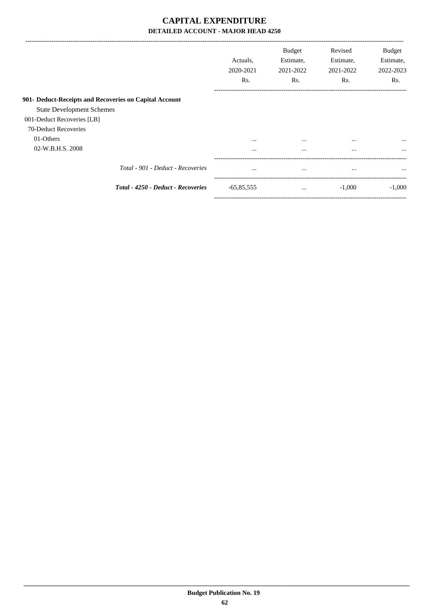## **CAPITAL EXPENDITURE DETAILED ACCOUNT - MAJOR HEAD 4250**

|                                                                                            | Actuals.<br>2020-2021<br>Rs. | <b>Budget</b><br>Estimate,<br>2021-2022<br>Rs. | Revised<br>Estimate,<br>2021-2022<br>Rs. | <b>Budget</b><br>Estimate,<br>2022-2023<br>Rs. |
|--------------------------------------------------------------------------------------------|------------------------------|------------------------------------------------|------------------------------------------|------------------------------------------------|
| 901- Deduct-Receipts and Recoveries on Capital Account<br><b>State Development Schemes</b> |                              |                                                |                                          |                                                |
| 001-Deduct Recoveries [LB]<br>70-Deduct Recoveries<br>01-Others                            | $\cdots$                     | $\cdots$                                       | $\cdots$                                 | $\cdots$                                       |
| 02-W.B.H.S. 2008<br>Total - 901 - Deduct - Recoveries                                      | $\cdots$<br>$\cdots$         | $\cdots$<br>$\cdots$                           | $\cdots$<br>$\cdots$                     | $\cdots$<br>$\cdots$                           |
| Total - 4250 - Deduct - Recoveries                                                         | $-65,85,555$                 | $\cdots$                                       | $-1,000$                                 | $-1,000$                                       |

-----------------------------------------------------------------------------------------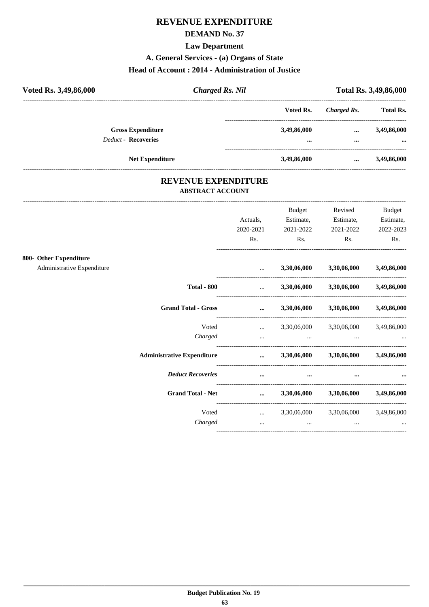## **REVENUE EXPENDITURE**

## **DEMAND No. 37**

**Law Department** 

A. General Services - (a) Organs of State

#### Head of Account: 2014 - Administration of Justice

| Voted Rs. 3,49,86,000      | <b>Charged Rs. Nil</b> |                         |             | Total Rs. 3,49,86,000 |
|----------------------------|------------------------|-------------------------|-------------|-----------------------|
|                            |                        | Voted Rs.               | Charged Rs. | <b>Total Rs.</b>      |
| <b>Gross Expenditure</b>   |                        | 3,49,86,000             | $\cdots$    | 3,49,86,000           |
| <b>Deduct - Recoveries</b> |                        | $\bullet\bullet\bullet$ | $\cdots$    | $\cdots$              |
|                            | <b>Net Expenditure</b> | 3,49,86,000             | $\cdots$    | 3,49,86,000           |

### REVENUE EXPENDITURE **ABSTRACT ACCOUNT**

|                            |                                   | Actuals.                      | <b>Budget</b><br>Estimate,                      | Revised<br>Estimate,                | <b>Budget</b><br>Estimate, |
|----------------------------|-----------------------------------|-------------------------------|-------------------------------------------------|-------------------------------------|----------------------------|
|                            |                                   | 2020-2021                     | 2021-2022                                       | 2021-2022                           | 2022-2023                  |
|                            |                                   | Rs.                           | Rs.                                             | Rs.                                 | Rs.                        |
| 800- Other Expenditure     |                                   |                               |                                                 |                                     |                            |
| Administrative Expenditure |                                   |                               | 3,30,06,000                                     | 3,30,06,000                         | 3,49,86,000                |
|                            | <b>Total - 800</b>                | <b>Sales Committee</b>        |                                                 | 3,30,06,000 3,30,06,000 3,49,86,000 |                            |
|                            | <b>Grand Total - Gross</b>        | $\cdots$                      |                                                 | 3,30,06,000 3,30,06,000 3,49,86,000 |                            |
|                            | Voted                             | $\mathbf{r}$ and $\mathbf{r}$ |                                                 | 3,30,06,000 3,30,06,000 3,49,86,000 |                            |
|                            | Charged                           | $\cdots$                      | the contract of the contract of the contract of |                                     |                            |
|                            | <b>Administrative Expenditure</b> | $\cdots$                      |                                                 | 3,30,06,000 3,30,06,000 3,49,86,000 |                            |
|                            | <b>Deduct Recoveries</b>          | $\cdots$                      | $\cdots$                                        |                                     |                            |
|                            | <b>Grand Total - Net</b>          | $\cdots$                      |                                                 | 3,30,06,000 3,30,06,000 3,49,86,000 |                            |
|                            | Voted                             |                               | $\ldots$ 3,30,06,000 3,30,06,000 3,49,86,000    |                                     |                            |
|                            | Charged                           | $\cdots$                      | $\cdots$                                        | $\cdots$                            |                            |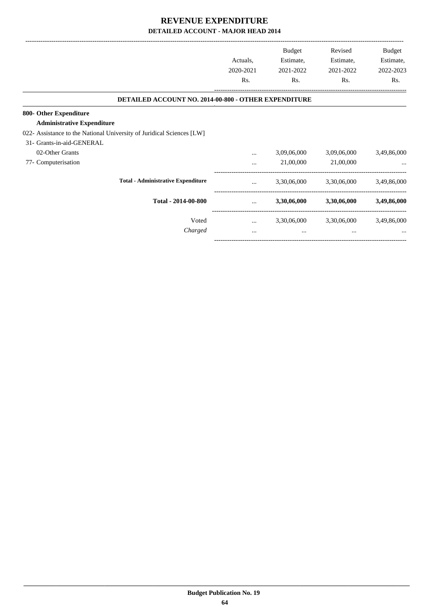|                                                                       |           | Budget      | Revised     | Budget      |
|-----------------------------------------------------------------------|-----------|-------------|-------------|-------------|
|                                                                       | Actuals,  | Estimate,   | Estimate,   | Estimate,   |
|                                                                       | 2020-2021 | 2021-2022   | 2021-2022   | 2022-2023   |
|                                                                       | Rs.       | Rs.         | Rs.         | Rs.         |
| <b>DETAILED ACCOUNT NO. 2014-00-800 - OTHER EXPENDITURE</b>           |           |             |             |             |
| 800- Other Expenditure                                                |           |             |             |             |
| <b>Administrative Expenditure</b>                                     |           |             |             |             |
| 022- Assistance to the National University of Juridical Sciences [LW] |           |             |             |             |
| 31- Grants-in-aid-GENERAL                                             |           |             |             |             |
| 02-Other Grants                                                       |           | 3,09,06,000 | 3,09,06,000 | 3,49,86,000 |
| 77- Computerisation                                                   |           | 21,00,000   | 21,00,000   |             |
| <b>Total - Administrative Expenditure</b>                             | $\cdots$  | 3,30,06,000 | 3,30,06,000 | 3,49,86,000 |
| Total - 2014-00-800                                                   | $\cdots$  | 3,30,06,000 | 3,30,06,000 | 3,49,86,000 |
| Voted                                                                 | $\cdots$  | 3,30,06,000 | 3,30,06,000 | 3,49,86,000 |
| Charged                                                               | $\cdots$  | $\cdots$    | $\cdots$    |             |

-----------------------------------------------------------------------------------------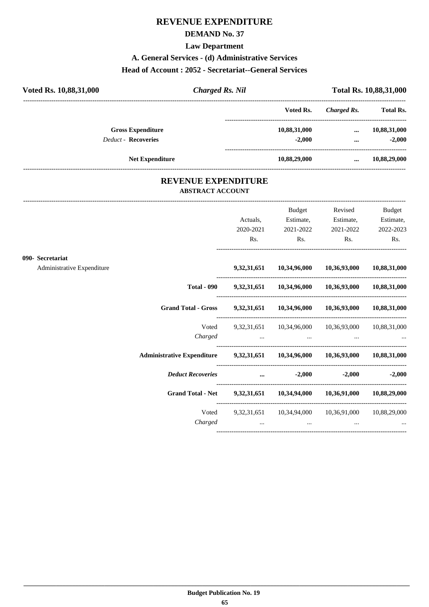## **REVENUE EXPENDITURE**

## **DEMAND No. 37**

**Law Department**

**A. General Services - (d) Administrative Services**

#### **Head of Account : 2052 - Secretariat--General Services**

| Voted Rs. 10,88,31,000     | <b>Charged Rs. Nil</b> |              |             | Total Rs. 10,88,31,000 |
|----------------------------|------------------------|--------------|-------------|------------------------|
|                            |                        | Voted Rs.    | Charged Rs. | <b>Total Rs.</b>       |
| <b>Gross Expenditure</b>   |                        | 10,88,31,000 | $\cdots$    | 10,88,31,000           |
| <b>Deduct - Recoveries</b> |                        | $-2.000$     | $\cdots$    | $-2,000$               |
| <b>Net Expenditure</b>     |                        | 10,88,29,000 | $\cdots$    | 10,88,29,000           |
|                            |                        |              |             |                        |

### **REVENUE EXPENDITURE ABSTRACT ACCOUNT**

---------------------------------------------------------------------------------------------------------------------------------------------------------------------------------

|                                                |                                                                               | Actuals,<br>2020-2021<br>Rs. | Budget<br>Estimate,<br>2021-2022<br>$\mathbf{Rs.}$ | Revised<br>Estimate,<br>2021-2022<br>$\mathbf{Rs.}$                  | <b>Budget</b><br>Estimate,<br>2022-2023<br>Rs. |
|------------------------------------------------|-------------------------------------------------------------------------------|------------------------------|----------------------------------------------------|----------------------------------------------------------------------|------------------------------------------------|
| 090- Secretariat<br>Administrative Expenditure |                                                                               |                              |                                                    | 9,32,31,651 10,34,96,000 10,36,93,000 10,88,31,000                   |                                                |
|                                                |                                                                               |                              |                                                    | Total - 090 9,32,31,651 10,34,96,000 10,36,93,000 10,88,31,000       |                                                |
|                                                | Grand Total - Gross 9,32,31,651 10,34,96,000 10,36,93,000 10,88,31,000        |                              |                                                    |                                                                      |                                                |
|                                                | Voted                                                                         |                              |                                                    | 9,32,31,651 10,34,96,000 10,36,93,000 10,88,31,000                   |                                                |
|                                                | Administrative Expenditure 9,32,31,651 10,34,96,000 10,36,93,000 10,88,31,000 |                              |                                                    |                                                                      |                                                |
|                                                | Deduct Recoveries  42,000                                                     |                              |                                                    |                                                                      | $-2,000$ $-2,000$                              |
|                                                | Grand Total - Net 9,32,31,651 10,34,94,000 10,36,91,000 10,88,29,000          |                              |                                                    |                                                                      |                                                |
|                                                | Charged                                                                       | $\cdots$                     | $\cdots$                                           | Voted 9,32,31,651 10,34,94,000 10,36,91,000 10,88,29,000<br>$\cdots$ |                                                |
|                                                |                                                                               |                              |                                                    |                                                                      |                                                |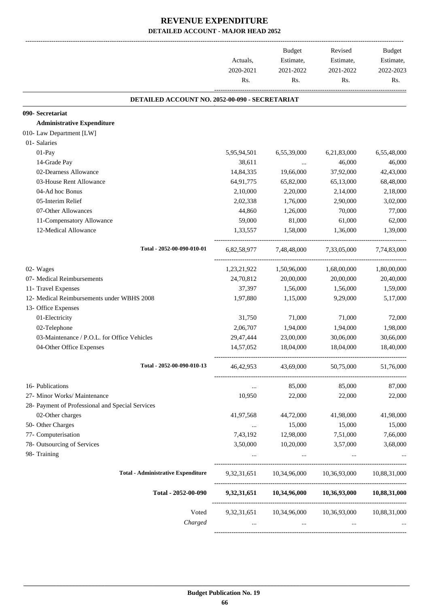|                                                  |             | Budget      | Revised                               | Budget       |
|--------------------------------------------------|-------------|-------------|---------------------------------------|--------------|
|                                                  | Actuals,    | Estimate,   | Estimate,                             | Estimate,    |
|                                                  | 2020-2021   | 2021-2022   | 2021-2022                             | 2022-2023    |
|                                                  | Rs.         | Rs.         | Rs.                                   | Rs.          |
| DETAILED ACCOUNT NO. 2052-00-090 - SECRETARIAT   |             |             |                                       |              |
| 090- Secretariat                                 |             |             |                                       |              |
| <b>Administrative Expenditure</b>                |             |             |                                       |              |
| 010- Law Department [LW]                         |             |             |                                       |              |
| 01- Salaries                                     |             |             |                                       |              |
| 01-Pay                                           | 5,95,94,501 | 6,55,39,000 | 6,21,83,000                           | 6,55,48,000  |
| 14-Grade Pay                                     | 38,611      | $\ddots$    | 46,000                                | 46,000       |
| 02-Dearness Allowance                            | 14,84,335   | 19,66,000   | 37,92,000                             | 42,43,000    |
| 03-House Rent Allowance                          | 64,91,775   | 65,82,000   | 65,13,000                             | 68,48,000    |
| 04-Ad hoc Bonus                                  | 2,10,000    | 2,20,000    | 2,14,000                              | 2,18,000     |
| 05-Interim Relief                                | 2,02,338    | 1,76,000    | 2,90,000                              | 3,02,000     |
| 07-Other Allowances                              | 44,860      | 1,26,000    | 70,000                                | 77,000       |
| 11-Compensatory Allowance                        | 59,000      | 81,000      | 61,000                                | 62,000       |
| 12-Medical Allowance                             | 1,33,557    | 1,58,000    | 1,36,000                              | 1,39,000     |
| Total - 2052-00-090-010-01                       | 6,82,58,977 | 7,48,48,000 | 7,33,05,000                           | 7,74,83,000  |
| 02- Wages                                        | 1,23,21,922 | 1,50,96,000 | 1,68,00,000                           | 1,80,00,000  |
| 07- Medical Reimbursements                       | 24,70,812   | 20,00,000   | 20,00,000                             | 20,40,000    |
| 11- Travel Expenses                              | 37,397      | 1,56,000    | 1,56,000                              | 1,59,000     |
| 12- Medical Reimbursements under WBHS 2008       | 1,97,880    | 1,15,000    | 9,29,000                              | 5,17,000     |
| 13- Office Expenses                              |             |             |                                       |              |
| 01-Electricity                                   | 31,750      | 71,000      | 71,000                                | 72,000       |
| 02-Telephone                                     | 2,06,707    | 1,94,000    | 1,94,000                              | 1,98,000     |
| 03-Maintenance / P.O.L. for Office Vehicles      | 29,47,444   | 23,00,000   | 30,06,000                             | 30,66,000    |
| 04-Other Office Expenses                         | 14,57,052   | 18,04,000   | 18,04,000                             | 18,40,000    |
| Total - 2052-00-090-010-13                       | 46,42,953   | 43,69,000   | 50,75,000                             | 51,76,000    |
| 16- Publications                                 | $\cdots$    | 85,000      | 85,000                                | 87,000       |
| 27- Minor Works/ Maintenance                     | 10,950      | 22,000      | 22,000                                | 22,000       |
| 28- Payment of Professional and Special Services |             |             |                                       |              |
| 02-Other charges                                 | 41,97,568   | 44,72,000   | 41,98,000                             | 41,98,000    |
| 50- Other Charges                                | $\cdots$    | 15,000      | 15,000                                | 15,000       |
| 77- Computerisation                              | 7,43,192    | 12,98,000   | 7,51,000                              | 7,66,000     |
| 78- Outsourcing of Services                      | 3,50,000    | 10,20,000   | 3,57,000                              | 3,68,000     |
| 98- Training                                     |             |             |                                       |              |
| <b>Total - Administrative Expenditure</b>        |             |             | 9,32,31,651 10,34,96,000 10,36,93,000 | 10,88,31,000 |
| Total - 2052-00-090                              |             |             | 9,32,31,651 10,34,96,000 10,36,93,000 | 10,88,31,000 |
| Voted                                            |             |             | 9,32,31,651 10,34,96,000 10,36,93,000 | 10,88,31,000 |
| Charged                                          |             |             |                                       |              |
|                                                  |             |             |                                       |              |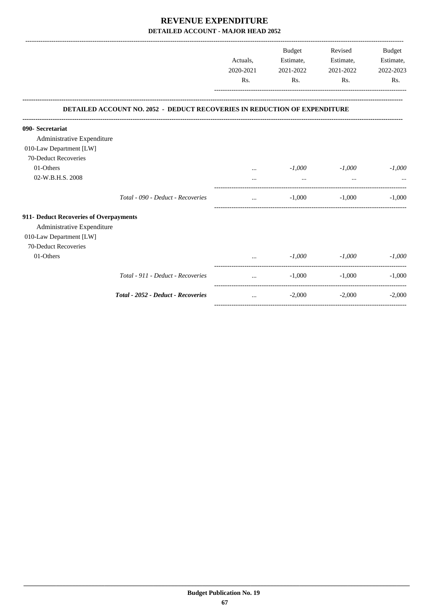|                                                |                                                                           | Actuals,<br>2020-2021<br>R <sub>s</sub> . | Budget<br>Estimate,<br>2021-2022<br>Rs. | Revised<br>Estimate,<br>2021-2022<br>Rs. | Budget<br>Estimate,<br>2022-2023<br>Rs. |
|------------------------------------------------|---------------------------------------------------------------------------|-------------------------------------------|-----------------------------------------|------------------------------------------|-----------------------------------------|
|                                                | DETAILED ACCOUNT NO. 2052 - DEDUCT RECOVERIES IN REDUCTION OF EXPENDITURE |                                           |                                         |                                          |                                         |
|                                                |                                                                           |                                           |                                         |                                          |                                         |
| 090- Secretariat<br>Administrative Expenditure |                                                                           |                                           |                                         |                                          |                                         |
| 010-Law Department [LW]                        |                                                                           |                                           |                                         |                                          |                                         |
| 70-Deduct Recoveries                           |                                                                           |                                           |                                         |                                          |                                         |
| 01-Others                                      |                                                                           | $\cdots$                                  | $-1,000$                                | $-1,000$                                 | $-1,000$                                |
| 02-W.B.H.S. 2008                               |                                                                           |                                           | $\cdots$                                | $\cdots$                                 |                                         |
|                                                | Total - 090 - Deduct - Recoveries                                         | $\cdots$                                  | $-1,000$                                | $-1,000$                                 | $-1.000$                                |
| 911- Deduct Recoveries of Overpayments         |                                                                           |                                           |                                         |                                          |                                         |
| Administrative Expenditure                     |                                                                           |                                           |                                         |                                          |                                         |
| 010-Law Department [LW]                        |                                                                           |                                           |                                         |                                          |                                         |
| 70-Deduct Recoveries                           |                                                                           |                                           |                                         |                                          |                                         |
| 01-Others                                      |                                                                           |                                           | $-1,000$                                | $-1,000$                                 | $-1,000$                                |
|                                                | Total - 911 - Deduct - Recoveries                                         | $\cdots$                                  | $-1,000$                                | $-1,000$                                 | $-1,000$                                |
|                                                | Total - 2052 - Deduct - Recoveries                                        | $\cdots$                                  | $-2,000$                                | $-2,000$                                 | $-2,000$                                |
|                                                |                                                                           |                                           |                                         |                                          |                                         |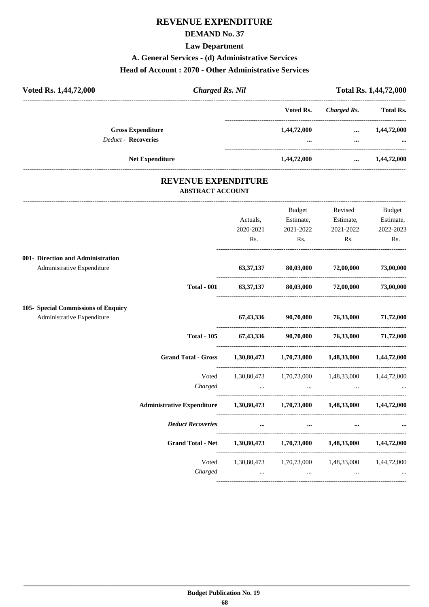## **REVENUE EXPENDITURE**

## **DEMAND No. 37**

**Law Department**

#### **A. General Services - (d) Administrative Services**

#### **Head of Account : 2070 - Other Administrative Services**

| Voted Rs. 1,44,72,000                                  | <b>Charged Rs. Nil</b> |                 |                      | <b>Total Rs. 1,44,72,000</b> |
|--------------------------------------------------------|------------------------|-----------------|----------------------|------------------------------|
|                                                        |                        | Voted Rs.       | Charged Rs.          | <b>Total Rs.</b>             |
| <b>Gross Expenditure</b><br><b>Deduct - Recoveries</b> |                        | 1,44,72,000<br> | $\cdots$<br>$\cdots$ | 1,44,72,000<br>$\ddotsc$     |
| <b>Net Expenditure</b>                                 |                        | 1,44,72,000     | $\cdots$             | 1,44,72,000                  |
|                                                        |                        |                 |                      |                              |

### **REVENUE EXPENDITURE ABSTRACT ACCOUNT**

|                                     |                                                                            |                                                                                                                                                                              | Budget                                             | Revised Budget                                                                                                                                                                                                                       |                  |
|-------------------------------------|----------------------------------------------------------------------------|------------------------------------------------------------------------------------------------------------------------------------------------------------------------------|----------------------------------------------------|--------------------------------------------------------------------------------------------------------------------------------------------------------------------------------------------------------------------------------------|------------------|
|                                     |                                                                            | Actuals,                                                                                                                                                                     |                                                    | Estimate, Estimate, Estimate,                                                                                                                                                                                                        |                  |
|                                     |                                                                            | 2020-2021                                                                                                                                                                    | 2021-2022                                          | 2021-2022                                                                                                                                                                                                                            | 2022-2023<br>Rs. |
|                                     |                                                                            | Rs.                                                                                                                                                                          | $\mathbf{Rs.}$                                     | $\mathbf{Rs.}$                                                                                                                                                                                                                       |                  |
| 001- Direction and Administration   |                                                                            |                                                                                                                                                                              |                                                    |                                                                                                                                                                                                                                      |                  |
| Administrative Expenditure          |                                                                            |                                                                                                                                                                              | $63,37,137$ $80,03,000$ $72,00,000$                |                                                                                                                                                                                                                                      | 73,00,000        |
|                                     | <b>Total - 001</b>                                                         | 63,37,137 80,03,000 72,00,000 73,00,000                                                                                                                                      |                                                    |                                                                                                                                                                                                                                      |                  |
| 105- Special Commissions of Enquiry |                                                                            |                                                                                                                                                                              |                                                    |                                                                                                                                                                                                                                      |                  |
| Administrative Expenditure          |                                                                            |                                                                                                                                                                              | $67,43,336$ $90,70,000$ $76,33,000$ $71,72,000$    |                                                                                                                                                                                                                                      |                  |
|                                     | <b>Total - 105</b>                                                         |                                                                                                                                                                              | 67,43,336 90,70,000 76,33,000 71,72,000            |                                                                                                                                                                                                                                      |                  |
|                                     | Grand Total - Gross 1,30,80,473 1,70,73,000 1,48,33,000 1,44,72,000        |                                                                                                                                                                              |                                                    |                                                                                                                                                                                                                                      |                  |
|                                     | Voted                                                                      | 1,30,80,473 1,70,73,000 1,48,33,000 1,44,72,000                                                                                                                              |                                                    |                                                                                                                                                                                                                                      |                  |
|                                     |                                                                            |                                                                                                                                                                              |                                                    |                                                                                                                                                                                                                                      |                  |
|                                     | Administrative Expenditure 1,30,80,473 1,70,73,000 1,48,33,000 1,44,72,000 |                                                                                                                                                                              |                                                    |                                                                                                                                                                                                                                      |                  |
|                                     | <b>Deduct Recoveries</b>                                                   |                                                                                                                                                                              | $\mathbf{m}$ and $\mathbf{m}$ are all $\mathbf{m}$ | $\cdots$ . The contract of $\mathbb{R}^n$                                                                                                                                                                                            |                  |
|                                     | Grand Total - Net 1,30,80,473 1,70,73,000 1,48,33,000 1,44,72,000          |                                                                                                                                                                              |                                                    |                                                                                                                                                                                                                                      |                  |
|                                     |                                                                            | Voted 1,30,80,473 1,70,73,000 1,48,33,000 1,44,72,000<br>and the contract of the contract of the contract of the contract of the contract of the contract of the contract of |                                                    | <u>and the company of the company of the company of the company of the company of the company of the company of the company of the company of the company of the company of the company of the company of the company of the com</u> |                  |
|                                     | Charged                                                                    |                                                                                                                                                                              |                                                    |                                                                                                                                                                                                                                      |                  |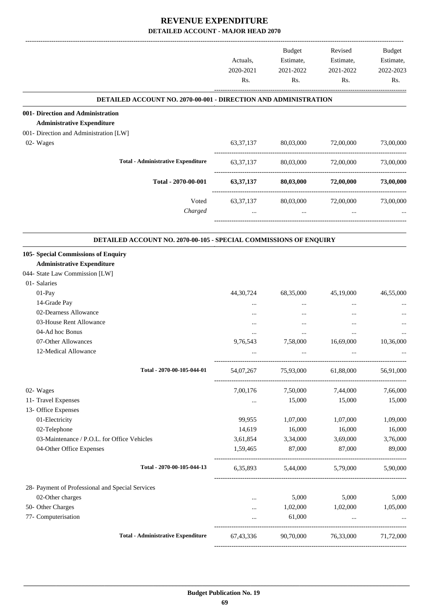|                                                                        | Actuals,<br>2020-2021<br>Rs. | Budget<br>Estimate,<br>2021-2022<br>Rs. | Revised<br>Estimate,<br>2021-2022<br>Rs. | Budget<br>Estimate,<br>2022-2023<br>Rs. |
|------------------------------------------------------------------------|------------------------------|-----------------------------------------|------------------------------------------|-----------------------------------------|
| <b>DETAILED ACCOUNT NO. 2070-00-001 - DIRECTION AND ADMINISTRATION</b> |                              |                                         |                                          |                                         |
| 001- Direction and Administration                                      |                              |                                         |                                          |                                         |
| <b>Administrative Expenditure</b>                                      |                              |                                         |                                          |                                         |
| 001- Direction and Administration [LW]                                 |                              |                                         |                                          |                                         |
| 02- Wages                                                              | 63, 37, 137                  | 80,03,000                               | 72,00,000                                | 73,00,000                               |
| <b>Total - Administrative Expenditure</b>                              | 63, 37, 137                  | 80,03,000                               | 72,00,000                                | 73,00,000                               |
| Total - 2070-00-001                                                    | 63, 37, 137                  | 80,03,000                               | 72,00,000                                | 73,00,000                               |
| Voted                                                                  | 63, 37, 137                  | 80,03,000                               | 72,00,000                                | 73,00,000                               |
| Charged                                                                | $\cdots$                     | $\cdots$                                | $\cdots$                                 |                                         |
| DETAILED ACCOUNT NO. 2070-00-105 - SPECIAL COMMISSIONS OF ENQUIRY      |                              |                                         |                                          |                                         |
| 105- Special Commissions of Enquiry                                    |                              |                                         |                                          |                                         |
| <b>Administrative Expenditure</b>                                      |                              |                                         |                                          |                                         |
| 044- State Law Commission [LW]                                         |                              |                                         |                                          |                                         |
| 01- Salaries                                                           |                              |                                         |                                          |                                         |
| 01-Pay                                                                 | 44, 30, 724                  | 68,35,000                               | 45,19,000                                | 46,55,000                               |
| 14-Grade Pay                                                           | $\ddotsc$                    |                                         |                                          |                                         |
| 02-Dearness Allowance                                                  |                              |                                         |                                          |                                         |
| 03-House Rent Allowance                                                |                              |                                         |                                          |                                         |
| 04-Ad hoc Bonus                                                        | $\cdots$                     | $\cdots$                                | $\cdots$                                 |                                         |
| 07-Other Allowances                                                    | 9,76,543                     | 7,58,000                                | 16,69,000                                | 10,36,000                               |
| 12-Medical Allowance                                                   |                              |                                         |                                          |                                         |
| Total - 2070-00-105-044-01                                             | 54,07,267                    | 75,93,000                               | 61,88,000                                | 56,91,000                               |
| 02- Wages                                                              | 7,00,176                     | 7,50,000                                | 7,44,000                                 | 7,66,000                                |
| 11- Travel Expenses                                                    | $\cdots$                     | 15,000                                  | 15,000                                   | 15,000                                  |
| 13- Office Expenses                                                    |                              |                                         |                                          |                                         |
| 01-Electricity                                                         | 99,955                       | 1,07,000                                | 1,07,000                                 | 1,09,000                                |
| 02-Telephone                                                           | 14,619                       | 16,000                                  | 16,000                                   | 16,000                                  |
| 03-Maintenance / P.O.L. for Office Vehicles                            | 3,61,854                     | 3,34,000                                | 3,69,000                                 | 3,76,000                                |
| 04-Other Office Expenses                                               | 1,59,465                     | 87,000                                  | 87,000                                   | 89,000                                  |
| Total - 2070-00-105-044-13                                             |                              | 6,35,893 5,44,000 5,79,000 5,90,000     |                                          |                                         |
| 28- Payment of Professional and Special Services                       |                              |                                         |                                          |                                         |
| 02-Other charges                                                       | $\cdots$                     | 5,000                                   | 5,000                                    | 5,000                                   |
| 50- Other Charges                                                      | $\cdots$                     | 1,02,000                                | 1,02,000 1,05,000                        |                                         |
| 77- Computerisation                                                    | $\cdots$                     | 61,000                                  | $\sim$ .                                 | $\ddots$                                |
| <b>Total - Administrative Expenditure</b>                              | 67,43,336                    |                                         | 90,70,000 76,33,000 71,72,000            |                                         |
|                                                                        |                              |                                         |                                          |                                         |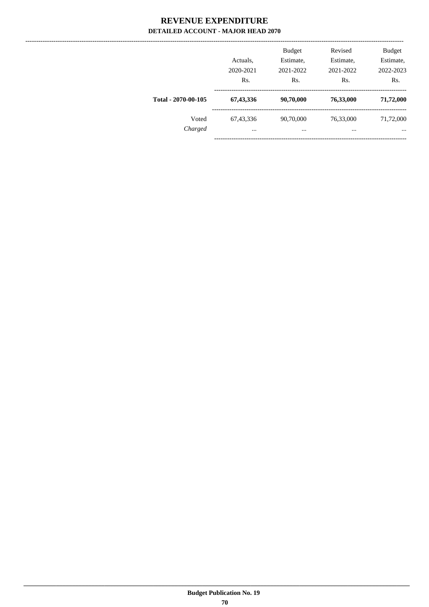|                     | Actuals,<br>2020-2021<br>Rs. | <b>Budget</b><br>Estimate,<br>2021-2022<br>Rs. | Revised<br>Estimate,<br>2021-2022<br>Rs. | <b>Budget</b><br>Estimate,<br>2022-2023<br>Rs. |
|---------------------|------------------------------|------------------------------------------------|------------------------------------------|------------------------------------------------|
| Total - 2070-00-105 | 67,43,336                    | 90,70,000                                      | 76,33,000                                | 71,72,000                                      |
| Voted<br>Charged    | 67, 43, 336<br>$\cdots$      | 90,70,000<br>$\cdots$                          | 76,33,000<br>$\cdots$                    | 71,72,000<br>$\cdots$                          |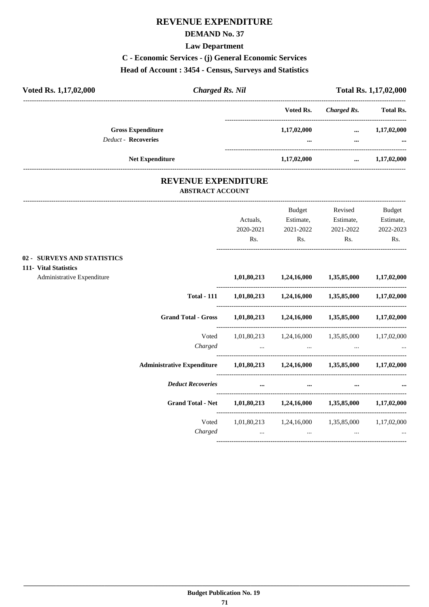## **DEMAND No. 37**

**Law Department**

**C - Economic Services - (j) General Economic Services**

# **Head of Account : 3454 - Census, Surveys and Statistics**

| Voted Rs. 1,17,02,000       | <b>Charged Rs. Nil</b>                                |             | Total Rs. 1,17,02,000 |                  |
|-----------------------------|-------------------------------------------------------|-------------|-----------------------|------------------|
|                             |                                                       | Voted Rs.   | <b>Charged Rs.</b>    | <b>Total Rs.</b> |
| <b>Gross Expenditure</b>    |                                                       | 1,17,02,000 | $\cdots$              | 1,17,02,000      |
| <b>Deduct - Recoveries</b>  |                                                       | $\cdots$    | $\cdots$              |                  |
| <b>Net Expenditure</b>      |                                                       | 1,17,02,000 | $\cdots$              | 1,17,02,000      |
|                             | <b>REVENUE EXPENDITURE</b><br><b>ABSTRACT ACCOUNT</b> |             |                       |                  |
|                             |                                                       | Budget      | Revised               | Budget           |
|                             | Actuals,                                              | Estimate,   | Estimate,             | Estimate,        |
|                             | 2020-2021                                             | 2021-2022   | 2021-2022             | 2022-2023        |
|                             | Rs.                                                   | Rs.         | Rs.                   | Rs.              |
| 02 - SURVEYS AND STATISTICS |                                                       |             |                       |                  |
| 111- Vital Statistics       |                                                       |             |                       |                  |
| Administrative Expenditure  | 1,01,80,213                                           | 1,24,16,000 | 1,35,85,000           | 1,17,02,000      |

|                                   | 1,01,80,213             | 1,24,16,000                             | 1,35,85,000             | 1,17,02,000 |
|-----------------------------------|-------------------------|-----------------------------------------|-------------------------|-------------|
| <b>Total - 111</b>                | 1,01,80,213             | 1,24,16,000                             | 1,35,85,000             | 1,17,02,000 |
| <b>Grand Total - Gross</b>        | 1,01,80,213             | 1,24,16,000                             | 1,35,85,000             | 1,17,02,000 |
| Voted<br>Charged                  | 1,01,80,213<br>$\cdots$ | 1,24,16,000<br>$\cdots$                 | 1,35,85,000<br>$\cdots$ | 1,17,02,000 |
| <b>Administrative Expenditure</b> | 1,01,80,213             | 1,24,16,000                             | 1,35,85,000             | 1,17,02,000 |
| <b>Deduct Recoveries</b>          | $\ddotsc$               | $\cdots$                                | $\cdots$                |             |
| <b>Grand Total - Net</b>          | 1,01,80,213             | 1,24,16,000                             | 1,35,85,000             | 1,17,02,000 |
| Voted<br>Charged                  | $\cdots$                | $1,01,80,213$ $1,24,16,000$<br>$\cdots$ | 1,35,85,000<br>$\cdots$ | 1,17,02,000 |
|                                   |                         |                                         |                         |             |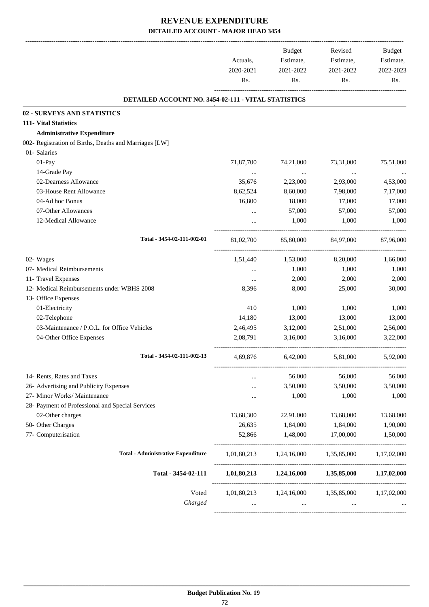|                                                        | Actuals,<br>2020-2021<br>Rs. | <b>Budget</b><br>Estimate,<br>2021-2022<br>Rs. | Revised<br>Estimate,<br>2021-2022<br>Rs. | Budget<br>Estimate,<br>2022-2023<br>Rs. |
|--------------------------------------------------------|------------------------------|------------------------------------------------|------------------------------------------|-----------------------------------------|
| DETAILED ACCOUNT NO. 3454-02-111 - VITAL STATISTICS    |                              |                                                |                                          |                                         |
| <b>02 - SURVEYS AND STATISTICS</b>                     |                              |                                                |                                          |                                         |
| 111- Vital Statistics                                  |                              |                                                |                                          |                                         |
| <b>Administrative Expenditure</b>                      |                              |                                                |                                          |                                         |
| 002- Registration of Births, Deaths and Marriages [LW] |                              |                                                |                                          |                                         |
| 01- Salaries                                           |                              |                                                |                                          |                                         |
| 01-Pay                                                 | 71,87,700                    | 74,21,000                                      | 73,31,000                                | 75,51,000                               |
| 14-Grade Pay                                           |                              | $\cdots$                                       |                                          |                                         |
| 02-Dearness Allowance                                  | 35,676                       | 2,23,000                                       | 2,93,000                                 | 4,53,000                                |
| 03-House Rent Allowance                                | 8,62,524                     | 8,60,000                                       | 7,98,000                                 | 7,17,000                                |
| 04-Ad hoc Bonus                                        | 16,800                       | 18,000                                         | 17,000                                   | 17,000                                  |
| 07-Other Allowances                                    |                              | 57,000                                         | 57,000                                   | 57,000                                  |
| 12-Medical Allowance                                   |                              | 1,000                                          | 1,000                                    | 1,000                                   |
| Total - 3454-02-111-002-01                             | 81,02,700                    | 85,80,000                                      | 84,97,000                                | 87,96,000                               |
| 02- Wages                                              | 1,51,440                     | 1,53,000                                       | 8,20,000                                 | 1,66,000                                |
| 07- Medical Reimbursements                             | $\cdots$                     | 1,000                                          | 1,000                                    | 1,000                                   |
| 11- Travel Expenses                                    | $\cdots$                     | 2,000                                          | 2,000                                    | 2,000                                   |
| 12- Medical Reimbursements under WBHS 2008             | 8,396                        | 8,000                                          | 25,000                                   | 30,000                                  |
| 13- Office Expenses                                    |                              |                                                |                                          |                                         |
| 01-Electricity                                         | 410                          | 1,000                                          | 1,000                                    | 1,000                                   |
| 02-Telephone                                           | 14,180                       | 13,000                                         | 13,000                                   | 13,000                                  |
| 03-Maintenance / P.O.L. for Office Vehicles            | 2,46,495                     | 3,12,000                                       | 2,51,000                                 | 2,56,000                                |
| 04-Other Office Expenses                               | 2,08,791                     | 3,16,000                                       | 3,16,000                                 | 3,22,000                                |
| Total - 3454-02-111-002-13                             | 4,69,876                     | 6,42,000                                       | 5,81,000                                 | 5,92,000                                |
| 14- Rents, Rates and Taxes                             |                              | 56,000                                         | 56,000                                   | 56,000                                  |
| 26- Advertising and Publicity Expenses                 |                              | 3,50,000                                       | 3,50,000                                 | 3,50,000                                |
| 27- Minor Works/ Maintenance                           |                              | 1,000                                          | 1,000                                    | 1,000                                   |
| 28- Payment of Professional and Special Services       |                              |                                                |                                          |                                         |
| 02-Other charges                                       | 13,68,300                    | 22,91,000                                      | 13,68,000                                | 13,68,000                               |
| 50- Other Charges                                      | 26,635                       | 1,84,000                                       | 1,84,000                                 | 1,90,000                                |
| 77- Computerisation                                    | 52,866                       | 1,48,000                                       | 17,00,000                                | 1,50,000                                |
| <b>Total - Administrative Expenditure</b>              |                              |                                                | 1,01,80,213 1,24,16,000 1,35,85,000      | 1,17,02,000                             |
| Total - 3454-02-111                                    |                              | $1,01,80,213$ $1,24,16,000$                    | 1,35,85,000                              | 1,17,02,000                             |
| Voted                                                  | 1,01,80,213                  | 1,24,16,000                                    | 1,35,85,000                              | 1,17,02,000                             |
| Charged                                                | $\cdots$                     | $\cdots$                                       | $\cdots$                                 |                                         |
|                                                        |                              |                                                |                                          |                                         |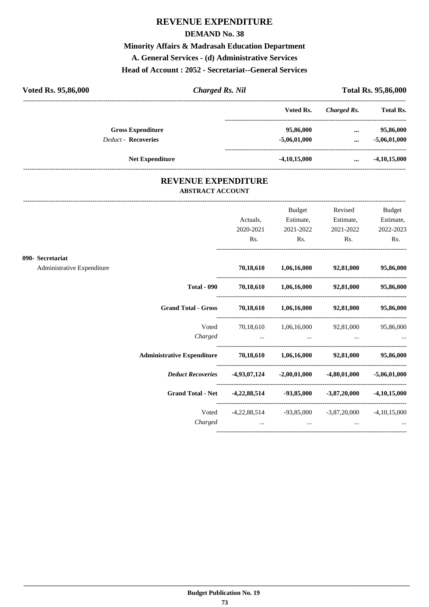#### **DEMAND No. 38**

**Minority Affairs & Madrasah Education Department A. General Services - (d) Administrative Services**

#### **Head of Account : 2052 - Secretariat--General Services**

| Voted Rs. 95,86,000        | <b>Charged Rs. Nil</b> |                | <b>Total Rs. 95,86,000</b> |                  |  |
|----------------------------|------------------------|----------------|----------------------------|------------------|--|
|                            |                        | Voted Rs.      | Charged Rs.                | <b>Total Rs.</b> |  |
| <b>Gross Expenditure</b>   |                        | 95,86,000      | $\cdots$                   | 95,86,000        |  |
| <b>Deduct - Recoveries</b> |                        | $-5,06,01,000$ | $\cdots$                   | $-5,06,01,000$   |  |
|                            | <b>Net Expenditure</b> | $-4,10,15,000$ | $\cdots$                   | $-4,10,15,000$   |  |

#### **REVENUE EXPENDITURE ABSTRACT ACCOUNT**

---------------------------------------------------------------------------------------------------------------------------------------------------------------------------------

|                            |                                                                      | Actuals,                                                                                           | Budget<br>Estimate, | Revised<br>Estimate,                      | Budget<br>Estimate, |
|----------------------------|----------------------------------------------------------------------|----------------------------------------------------------------------------------------------------|---------------------|-------------------------------------------|---------------------|
|                            |                                                                      | 2020-2021<br>Rs.                                                                                   | 2021-2022<br>Rs.    | 2021-2022<br>Rs.                          | 2022-2023<br>Rs.    |
| 090- Secretariat           |                                                                      |                                                                                                    |                     |                                           |                     |
| Administrative Expenditure |                                                                      |                                                                                                    |                     | 70,18,610 1,06,16,000 92,81,000 95,86,000 |                     |
|                            | <b>Total - 090</b>                                                   | 70,18,610 1,06,16,000 92,81,000 95,86,000                                                          |                     |                                           |                     |
|                            | Grand Total - Gross 70,18,610 1,06,16,000 92,81,000 95,86,000        |                                                                                                    |                     |                                           |                     |
|                            | Voted<br>Charged                                                     | the contract of the contract of the contract of the contract of the contract of                    |                     | 70,18,610 1,06,16,000 92,81,000 95,86,000 |                     |
|                            | Administrative Expenditure 70,18,610 1,06,16,000 92,81,000 95,86,000 |                                                                                                    |                     |                                           |                     |
|                            | Deduct Recoveries   4,93,07,124   -2,00,01,000   -4,80,01,000        |                                                                                                    |                     |                                           | $-5,06,01,000$      |
|                            | Grand Total - Net -4,22,88,514 -93,85,000 -3,87,20,000               |                                                                                                    |                     |                                           | $-4,10,15,000$      |
|                            | Charged                                                              | Voted -4,22,88,514 -93,85,000 -3,87,20,000 -4,10,15,000<br>and the contract of the contract of the | $\cdots$            | $\cdots$                                  |                     |
|                            |                                                                      |                                                                                                    |                     |                                           |                     |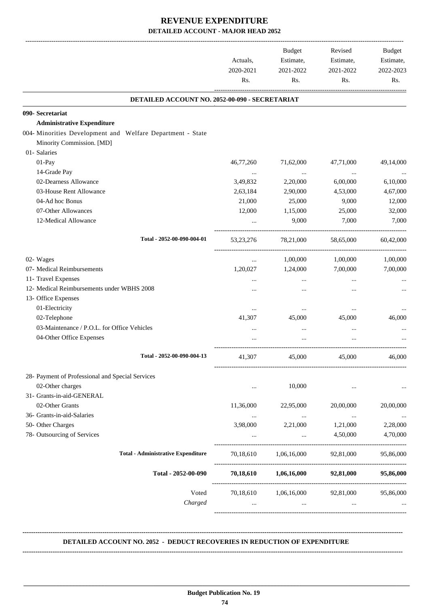|                                                            | Actuals,<br>2020-2021<br>Rs. | Budget<br>Estimate,<br>2021-2022<br>Rs. | Revised<br>Estimate,<br>2021-2022<br>Rs. | Budget<br>Estimate,<br>2022-2023<br>Rs. |
|------------------------------------------------------------|------------------------------|-----------------------------------------|------------------------------------------|-----------------------------------------|
| DETAILED ACCOUNT NO. 2052-00-090 - SECRETARIAT             |                              |                                         |                                          |                                         |
| 090- Secretariat                                           |                              |                                         |                                          |                                         |
| <b>Administrative Expenditure</b>                          |                              |                                         |                                          |                                         |
| 004- Minorities Development and Welfare Department - State |                              |                                         |                                          |                                         |
| Minority Commission. [MD]                                  |                              |                                         |                                          |                                         |
| 01- Salaries                                               |                              |                                         |                                          |                                         |
| 01-Pay                                                     | 46,77,260                    | 71,62,000                               | 47,71,000                                | 49,14,000                               |
| 14-Grade Pay                                               | $\cdots$                     | $\cdots$                                | $\cdots$                                 |                                         |
| 02-Dearness Allowance                                      | 3,49,832                     | 2,20,000                                | 6,00,000                                 | 6,10,000                                |
| 03-House Rent Allowance                                    | 2,63,184                     | 2,90,000                                | 4,53,000                                 | 4,67,000                                |
| 04-Ad hoc Bonus                                            | 21,000                       | 25,000                                  | 9,000                                    | 12,000                                  |
| 07-Other Allowances                                        | 12,000                       | 1,15,000                                | 25,000                                   | 32,000                                  |
| 12-Medical Allowance                                       |                              | 9,000                                   | 7,000                                    | 7,000                                   |
| Total - 2052-00-090-004-01                                 | 53, 23, 276                  | 78,21,000                               | 58,65,000                                | 60,42,000                               |
| 02- Wages                                                  | $\cdots$                     | 1,00,000                                | 1,00,000                                 | 1,00,000                                |
| 07- Medical Reimbursements                                 | 1,20,027                     | 1,24,000                                | 7,00,000                                 | 7,00,000                                |
| 11- Travel Expenses                                        |                              | $\cdots$                                | $\cdots$                                 |                                         |
| 12- Medical Reimbursements under WBHS 2008                 |                              | $\cdots$                                |                                          |                                         |
| 13- Office Expenses                                        |                              |                                         |                                          |                                         |
| 01-Electricity                                             | $\cdots$                     |                                         |                                          |                                         |
| 02-Telephone                                               | 41,307                       | 45,000                                  | 45,000                                   | 46,000                                  |
| 03-Maintenance / P.O.L. for Office Vehicles                | $\cdots$                     | $\cdots$                                | $\cdots$                                 |                                         |
| 04-Other Office Expenses                                   |                              |                                         |                                          |                                         |
| Total - 2052-00-090-004-13                                 | 41,307                       | 45,000                                  | 45,000                                   | 46,000                                  |
| 28- Payment of Professional and Special Services           |                              |                                         |                                          |                                         |
| 02-Other charges                                           | $\cdots$                     | 10,000                                  | $\cdots$                                 |                                         |
| 31- Grants-in-aid-GENERAL                                  |                              |                                         |                                          |                                         |
| 02-Other Grants                                            | 11,36,000                    | 22,95,000                               | 20,00,000                                | 20,00,000                               |
| 36- Grants-in-aid-Salaries                                 | $\cdots$                     | $\cdots$                                | $\cdots$                                 |                                         |
| 50- Other Charges                                          | 3,98,000                     | 2,21,000                                | 1,21,000                                 | 2,28,000                                |
| 78- Outsourcing of Services                                | $\cdots$                     | $\ddots$                                | 4,50,000                                 | 4,70,000                                |
| <b>Total - Administrative Expenditure</b>                  | 70,18,610                    | 1,06,16,000                             | 92,81,000                                | 95,86,000                               |
| Total - 2052-00-090                                        |                              | 70,18,610 1,06,16,000                   | 92,81,000                                | 95,86,000                               |
| Voted                                                      | 70,18,610                    | 1,06,16,000                             | 92,81,000                                | 95,86,000                               |
| Charged                                                    | $\cdots$                     | $\cdots$                                | $\cdots$                                 |                                         |

#### **DETAILED ACCOUNT NO. 2052 - DEDUCT RECOVERIES IN REDUCTION OF EXPENDITURE**

**--------------------------------------------------------------------------------------------------------------------------------------------------------------------------------**

 **\_\_\_\_\_\_\_\_\_\_\_\_\_\_\_\_\_\_\_\_\_\_\_\_\_\_\_\_\_\_\_\_\_\_\_\_\_\_\_\_\_\_\_\_\_\_\_\_\_\_\_\_\_\_\_\_\_\_\_\_\_\_\_\_\_\_\_\_\_\_\_\_\_\_\_\_\_\_\_\_\_\_\_\_\_\_\_\_\_\_\_\_\_\_\_\_\_\_\_\_\_\_\_\_\_\_\_\_\_\_\_\_\_\_\_\_\_\_\_**

**--------------------------------------------------------------------------------------------------------------------------------------------------------------------------------**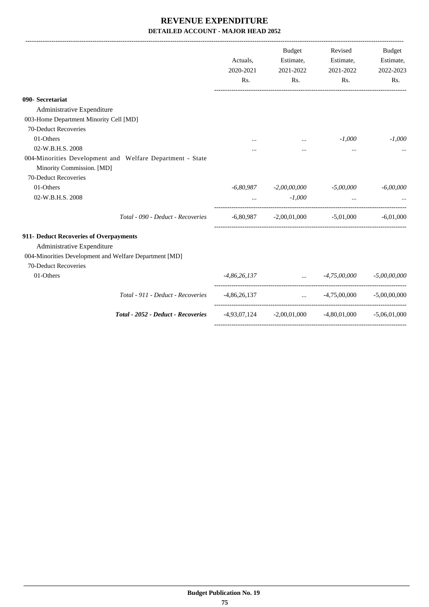|                                                                                                                | Actuals,<br>2020-2021<br>Rs. | Budget<br>Estimate,<br>2021-2022<br>Rs.                                                               | Revised<br>Estimate,<br>2021-2022<br>Rs.                    | Budget<br>Estimate,<br>2022-2023<br>Rs. |
|----------------------------------------------------------------------------------------------------------------|------------------------------|-------------------------------------------------------------------------------------------------------|-------------------------------------------------------------|-----------------------------------------|
| 090- Secretariat                                                                                               |                              |                                                                                                       |                                                             |                                         |
| Administrative Expenditure                                                                                     |                              |                                                                                                       |                                                             |                                         |
| 003-Home Department Minority Cell [MD]                                                                         |                              |                                                                                                       |                                                             |                                         |
| 70-Deduct Recoveries                                                                                           |                              |                                                                                                       |                                                             |                                         |
| 01-Others                                                                                                      |                              | $\cdots$                                                                                              | $-1,000$                                                    | $-1,000$                                |
| 02-W.B.H.S. 2008                                                                                               |                              |                                                                                                       | $\cdots$                                                    |                                         |
| 004-Minorities Development and Welfare Department - State<br>Minority Commission. [MD]<br>70-Deduct Recoveries |                              |                                                                                                       |                                                             |                                         |
| 01-Others                                                                                                      |                              | $-6,80,987$ $-2,00,00,000$ $-5,00,000$                                                                |                                                             | $-6,00,000$                             |
| 02-W.B.H.S. 2008                                                                                               |                              | $-1,000$<br>$\mathbf{1}_{\mathbf{1}}$ , and $\mathbf{1}_{\mathbf{1}}$ , and $\mathbf{1}_{\mathbf{1}}$ | and the company of the company of                           |                                         |
| Total - 090 - Deduct - Recoveries                                                                              |                              |                                                                                                       | $-6,80,987$ $-2,00,01,000$ $-5,01,000$ $-6,01,000$          |                                         |
| 911- Deduct Recoveries of Overpayments                                                                         |                              |                                                                                                       |                                                             |                                         |
| Administrative Expenditure                                                                                     |                              |                                                                                                       |                                                             |                                         |
| 004-Minorities Development and Welfare Department [MD]                                                         |                              |                                                                                                       |                                                             |                                         |
| 70-Deduct Recoveries                                                                                           |                              |                                                                                                       |                                                             |                                         |
| 01-Others                                                                                                      |                              |                                                                                                       | $-4,86,26,137$ $-4,75,00,000$ $-5,00,00,000$                |                                         |
| Total - 911 - Deduct - Recoveries                                                                              |                              |                                                                                                       | $-4,86,26,137$ $-4,75,00,000$ $-5,00,00,000$                |                                         |
| Total - 2052 - Deduct - Recoveries                                                                             |                              |                                                                                                       | $-4,93,07,124$ $-2,00,01,000$ $-4,80,01,000$ $-5,06,01,000$ |                                         |
|                                                                                                                |                              |                                                                                                       |                                                             |                                         |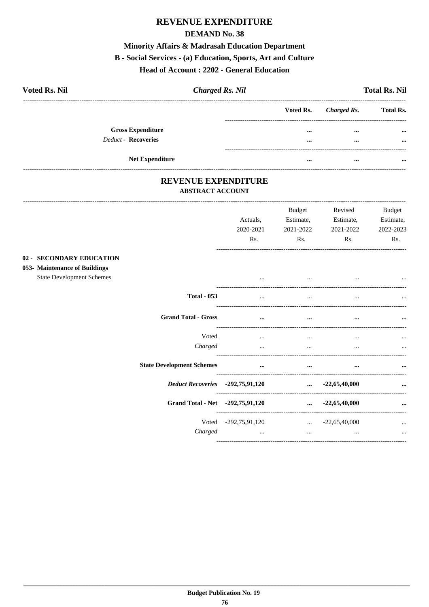#### **DEMAND No. 38**

#### Minority Affairs & Madrasah Education Department

#### B - Social Services - (a) Education, Sports, Art and Culture

#### Head of Account: 2202 - General Education

| <b>Voted Rs. Nil</b>       | <b>Charged Rs. Nil</b> |                       | <b>Total Rs. Nil</b> |
|----------------------------|------------------------|-----------------------|----------------------|
|                            |                        | Voted Rs. Charged Rs. | <b>Total Rs.</b>     |
| <b>Gross Expenditure</b>   |                        | $\cdots$<br>$\cdots$  | $\cdots$             |
| <b>Deduct - Recoveries</b> |                        | $\cdots$<br>$\cdots$  |                      |
| <b>Net Expenditure</b>     |                        | $\cdots$<br>$\cdots$  |                      |

#### REVENUE EXPENDITURE **ABSTRACT ACCOUNT**

---------------------------

|                                                                                               | Actuals,<br>2020-2021<br>Rs.     | <b>Budget</b><br>Estimate,<br>2021-2022<br>Rs. | Revised<br>Estimate,<br>2021-2022<br>Rs. | <b>Budget</b><br>Estimate,<br>2022-2023<br>Rs. |
|-----------------------------------------------------------------------------------------------|----------------------------------|------------------------------------------------|------------------------------------------|------------------------------------------------|
| 02 - SECONDARY EDUCATION<br>053- Maintenance of Buildings<br><b>State Development Schemes</b> | $\cdots$                         |                                                |                                          |                                                |
| <b>Total - 053</b>                                                                            | $\cdots$                         |                                                | $\cdots$                                 |                                                |
| <b>Grand Total - Gross</b>                                                                    | $\cdots$                         | $\ddotsc$                                      | $\cdots$                                 | $\ddot{\phantom{a}}$                           |
| Voted<br>Charged                                                                              | $\cdots$<br>$\cdots$             | $\cdots$<br>$\cdots$                           | $\cdots$<br>$\cdots$                     |                                                |
| <b>State Development Schemes</b>                                                              | $\cdots$                         | $\cdots$                                       | $\cdots$                                 |                                                |
| Deduct Recoveries -292,75,91,120                                                              |                                  |                                                | $\ldots$ -22,65,40,000                   | $\cdots$                                       |
| Grand Total - Net -292,75,91,120                                                              |                                  |                                                | $\ldots$ -22,65,40,000                   | $\cdots$                                       |
| Charged                                                                                       | Voted -292,75,91,120<br>$\cdots$ | $\cdots$                                       | $\ldots$ -22,65,40,000<br>$\cdots$       | <br>$\cdots$                                   |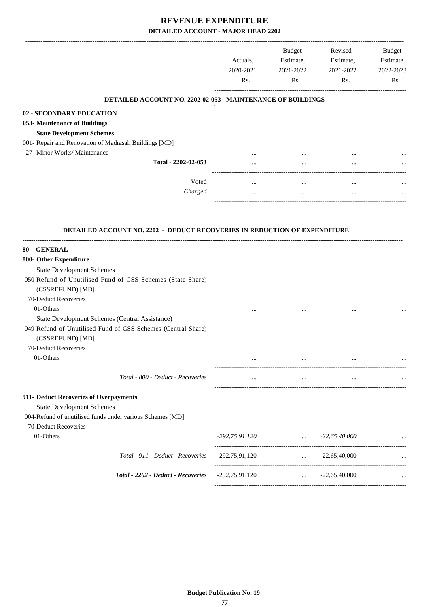|                                                                                  | Actuals,<br>2020-2021<br>Rs. | <b>Budget</b><br>Estimate,<br>2021-2022<br>Rs. | Revised<br>Estimate,<br>2021-2022<br>Rs. | Budget<br>Estimate,<br>2022-2023<br>Rs. |
|----------------------------------------------------------------------------------|------------------------------|------------------------------------------------|------------------------------------------|-----------------------------------------|
| DETAILED ACCOUNT NO. 2202-02-053 - MAINTENANCE OF BUILDINGS                      |                              |                                                |                                          |                                         |
| 02 - SECONDARY EDUCATION                                                         |                              |                                                |                                          |                                         |
| 053- Maintenance of Buildings                                                    |                              |                                                |                                          |                                         |
| <b>State Development Schemes</b>                                                 |                              |                                                |                                          |                                         |
| 001- Repair and Renovation of Madrasah Buildings [MD]                            |                              |                                                |                                          |                                         |
| 27- Minor Works/ Maintenance                                                     |                              |                                                |                                          |                                         |
| Total - 2202-02-053                                                              |                              | $\cdots$                                       |                                          |                                         |
|                                                                                  |                              |                                                |                                          |                                         |
| Voted                                                                            |                              |                                                |                                          |                                         |
| Charged                                                                          |                              | $\cdots$                                       |                                          |                                         |
|                                                                                  |                              |                                                |                                          |                                         |
| <b>DETAILED ACCOUNT NO. 2202 - DEDUCT RECOVERIES IN REDUCTION OF EXPENDITURE</b> |                              |                                                |                                          |                                         |
| 80 - GENERAL                                                                     |                              |                                                |                                          |                                         |
| 800- Other Expenditure                                                           |                              |                                                |                                          |                                         |
| <b>State Development Schemes</b>                                                 |                              |                                                |                                          |                                         |
| 050-Refund of Unutilised Fund of CSS Schemes (State Share)                       |                              |                                                |                                          |                                         |
| (CSSREFUND) [MD]                                                                 |                              |                                                |                                          |                                         |
| 70-Deduct Recoveries                                                             |                              |                                                |                                          |                                         |
| 01-Others                                                                        |                              |                                                |                                          |                                         |
| State Development Schemes (Central Assistance)                                   |                              |                                                |                                          |                                         |
| 049-Refund of Unutilised Fund of CSS Schemes (Central Share)<br>(CSSREFUND) [MD] |                              |                                                |                                          |                                         |
| 70-Deduct Recoveries                                                             |                              |                                                |                                          |                                         |
| 01-Others                                                                        | $\cdots$                     | $\cdots$                                       | $\cdots$                                 |                                         |
|                                                                                  |                              |                                                |                                          |                                         |
| Total - 800 - Deduct - Recoveries                                                |                              |                                                |                                          |                                         |
| 911- Deduct Recoveries of Overpayments                                           |                              |                                                |                                          |                                         |
| <b>State Development Schemes</b>                                                 |                              |                                                |                                          |                                         |
| 004-Refund of unutilised funds under various Schemes [MD]                        |                              |                                                |                                          |                                         |
| 70-Deduct Recoveries                                                             |                              |                                                |                                          |                                         |
| 01-Others                                                                        | -292,75,91,120               | and the company of the company                 | $-22,65,40,000$                          |                                         |
|                                                                                  |                              |                                                |                                          | ---------------------                   |
| Total - 911 - Deduct - Recoveries                                                | $-292,75,91,120$             | $\mathbf{r}$ , and $\mathbf{r}$                | $-22,65,40,000$                          |                                         |
|                                                                                  |                              |                                                |                                          |                                         |
| Total - 2202 - Deduct - Recoveries                                               | $-292,75,91,120$             | $\cdots$                                       | $-22,65,40,000$                          |                                         |
|                                                                                  |                              |                                                |                                          |                                         |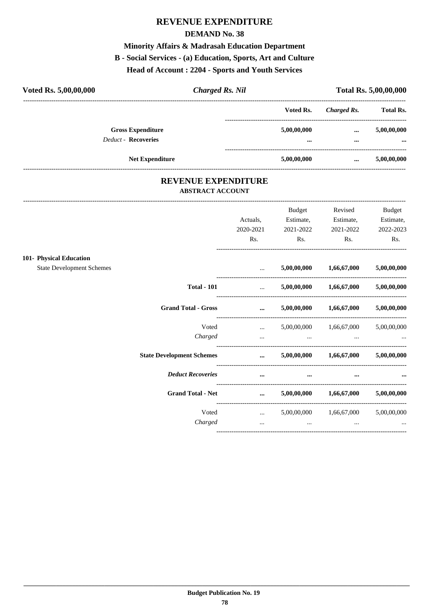#### **DEMAND No. 38**

#### Minority Affairs & Madrasah Education Department

# B - Social Services - (a) Education, Sports, Art and Culture

Head of Account: 2204 - Sports and Youth Services

| Voted Rs. 5,00,00,000      |                          | <b>Charged Rs. Nil</b> |             | <b>Total Rs. 5,00,00,000</b> |                  |
|----------------------------|--------------------------|------------------------|-------------|------------------------------|------------------|
|                            |                          |                        | Voted Rs.   | Charged Rs.                  | <b>Total Rs.</b> |
|                            | <b>Gross Expenditure</b> |                        | 5,00,00,000 | $\cdots$                     | 5,00,00,000      |
| <b>Deduct - Recoveries</b> |                          |                        |             |                              | $\cdots$         |
|                            | <b>Net Expenditure</b>   |                        | 5,00,00,000 |                              | 5,00,00,000      |

#### REVENUE EXPENDITURE **ABSTRACT ACCOUNT**

|                                                             | Actuals,<br>2020-2021<br>Rs. | <b>Budget</b><br>Estimate,<br>2021-2022<br>Rs. | Revised<br>Estimate,<br>2021-2022<br>Rs. | <b>Budget</b><br>Estimate,<br>2022-2023<br>Rs. |
|-------------------------------------------------------------|------------------------------|------------------------------------------------|------------------------------------------|------------------------------------------------|
| 101- Physical Education<br><b>State Development Schemes</b> | $\cdots$                     |                                                | $5,00,00,000$ $1,66,67,000$              | 5,00,00,000                                    |
|                                                             |                              |                                                |                                          |                                                |
| <b>Total - 101</b>                                          | $\mathbf{r}$                 |                                                | $5,00,00,000$ $1,66,67,000$              | 5,00,00,000                                    |
| <b>Grand Total - Gross</b>                                  | $\cdots$                     |                                                | $5,00,00,000$ $1,66,67,000$              | 5,00,00,000                                    |
| Voted                                                       | $\ddots$                     |                                                | 5,00,00,000 1,66,67,000                  | 5,00,00,000                                    |
| Charged                                                     | $\cdots$                     | and the contract of the contract of            | the contract of the contract of the      |                                                |
| <b>State Development Schemes</b>                            | $\cdots$                     |                                                | $5,00,00,000$ $1,66,67,000$              | 5,00,00,000                                    |
| <b>Deduct Recoveries</b>                                    | $\cdots$                     | $\cdots$                                       | $\cdots$                                 |                                                |
| <b>Grand Total - Net</b>                                    | $\cdots$                     |                                                | $5,00,00,000$ $1,66,67,000$              | 5,00,00,000                                    |
| Voted                                                       | <b>Sales Control</b>         |                                                | 5,00,00,000 1,66,67,000                  | 5,00,00,000                                    |
| Charged                                                     | $\cdots$                     | $\cdots$                                       | $\cdots$                                 |                                                |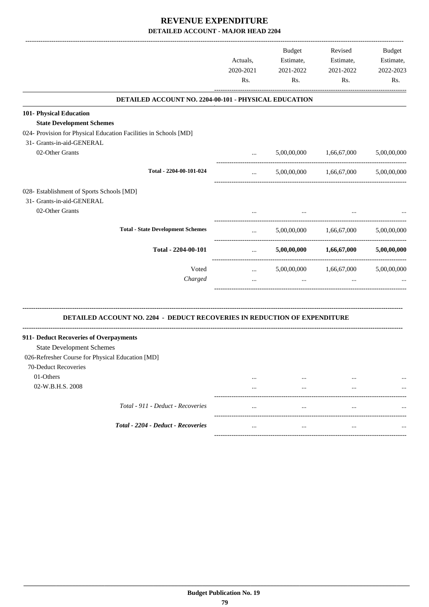|                                                                                  | Actuals,<br>2020-2021<br>Rs.                          | <b>Budget</b><br>Estimate,<br>2021-2022<br>Rs. | Revised<br>Estimate,<br>2021-2022<br>Rs. | Budget<br>Estimate,<br>2022-2023<br>Rs. |
|----------------------------------------------------------------------------------|-------------------------------------------------------|------------------------------------------------|------------------------------------------|-----------------------------------------|
| DETAILED ACCOUNT NO. 2204-00-101 - PHYSICAL EDUCATION                            |                                                       |                                                |                                          |                                         |
| 101- Physical Education                                                          |                                                       |                                                |                                          |                                         |
| <b>State Development Schemes</b>                                                 |                                                       |                                                |                                          |                                         |
| 024- Provision for Physical Education Facilities in Schools [MD]                 |                                                       |                                                |                                          |                                         |
| 31- Grants-in-aid-GENERAL                                                        |                                                       |                                                |                                          |                                         |
| 02-Other Grants                                                                  | $\mathbf{r}$ and $\mathbf{r}$                         |                                                | 5,00,00,000 1,66,67,000                  | 5,00,00,000                             |
| Total - 2204-00-101-024                                                          | $\mathbf{r}$                                          |                                                | 5,00,00,000 1,66,67,000                  | 5,00,00,000                             |
| 028- Establishment of Sports Schools [MD]                                        |                                                       |                                                |                                          |                                         |
| 31- Grants-in-aid-GENERAL                                                        |                                                       |                                                |                                          |                                         |
| 02-Other Grants                                                                  |                                                       |                                                |                                          |                                         |
|                                                                                  |                                                       |                                                |                                          |                                         |
| <b>Total - State Development Schemes</b>                                         | $\mathbf{r}$ , and $\mathbf{r}$                       |                                                | 5,00,00,000 1,66,67,000                  | 5,00,00,000                             |
| Total - 2204-00-101                                                              | <b>Sales Committee</b><br>--------------------------- |                                                | $5,00,00,000$ $1,66,67,000$              | 5,00,00,000                             |
| Voted                                                                            | $\mathbf{r}$ and $\mathbf{r}$ and $\mathbf{r}$        |                                                | 5,00,00,000 1,66,67,000 5,00,00,000      |                                         |
| Charged                                                                          | $\cdots$                                              | $\cdots$                                       | $\cdots$                                 |                                         |
|                                                                                  |                                                       |                                                |                                          |                                         |
| <b>DETAILED ACCOUNT NO. 2204 - DEDUCT RECOVERIES IN REDUCTION OF EXPENDITURE</b> |                                                       |                                                |                                          |                                         |
| 911- Deduct Recoveries of Overpayments                                           |                                                       |                                                |                                          |                                         |
| <b>State Development Schemes</b>                                                 |                                                       |                                                |                                          |                                         |
| 026-Refresher Course for Physical Education [MD]                                 |                                                       |                                                |                                          |                                         |
| 70-Deduct Recoveries                                                             |                                                       |                                                |                                          |                                         |
| 01-Others                                                                        |                                                       |                                                |                                          |                                         |
| 02-W.B.H.S. 2008                                                                 |                                                       | $\cdots$                                       | $\cdots$                                 |                                         |
| Total - 911 - Deduct - Recoveries                                                | $\cdots$                                              | $\cdots$                                       | $\cdots$                                 |                                         |
| Total - 2204 - Deduct - Recoveries                                               |                                                       | $\cdots$                                       | $\cdots$                                 |                                         |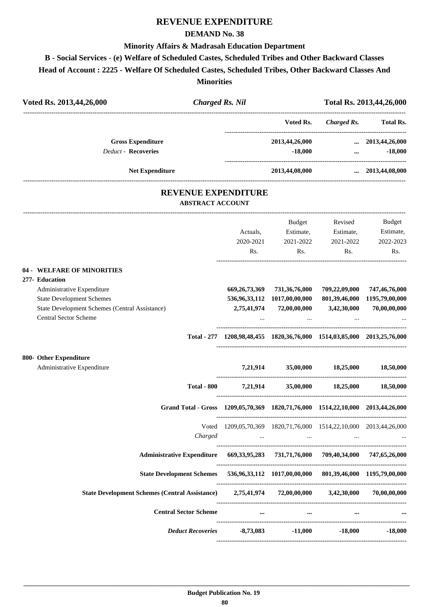#### **DEMAND No. 38**

#### **Minority Affairs & Madrasah Education Department**

**B - Social Services - (e) Welfare of Scheduled Castes, Scheduled Tribes and Other Backward Classes**

**Head of Account : 2225 - Welfare Of Scheduled Castes, Scheduled Tribes, Other Backward Classes And**

**Minorities**

| Voted Rs. 2013,44,26,000                                                                                                                                                                         |                              | <b>Charged Rs. Nil</b>       |                                                                                                                                                                                          |                                                         | Total Rs. 2013,44,26,000                                                               |  |
|--------------------------------------------------------------------------------------------------------------------------------------------------------------------------------------------------|------------------------------|------------------------------|------------------------------------------------------------------------------------------------------------------------------------------------------------------------------------------|---------------------------------------------------------|----------------------------------------------------------------------------------------|--|
|                                                                                                                                                                                                  |                              |                              | Voted Rs.                                                                                                                                                                                | ---------------------------------<br><b>Charged Rs.</b> | <b>Total Rs.</b>                                                                       |  |
| <b>Gross Expenditure</b><br><b>Deduct - Recoveries</b>                                                                                                                                           |                              |                              | 2013,44,26,000                                                                                                                                                                           | $-18,000$                                               | $\ldots$ 2013,44,26,000<br>$-18,000$<br>$\mathbf{m}$ and $\mathbf{m}$ and $\mathbf{m}$ |  |
| <b>Net Expenditure</b>                                                                                                                                                                           |                              |                              | 2013,44,08,000                                                                                                                                                                           |                                                         | $\dots$ 2013,44,08,000                                                                 |  |
|                                                                                                                                                                                                  | <b>ABSTRACT ACCOUNT</b>      | <b>REVENUE EXPENDITURE</b>   |                                                                                                                                                                                          |                                                         |                                                                                        |  |
|                                                                                                                                                                                                  |                              | Actuals,<br>2020-2021<br>Rs. | Budget<br>Estimate,<br>2021-2022<br>Rs.                                                                                                                                                  | Revised<br>Estimate,<br>2021-2022<br>Rs.                | Budget<br>Estimate,<br>2022-2023<br>Rs.                                                |  |
| 04 - WELFARE OF MINORITIES<br>277- Education<br>Administrative Expenditure<br><b>State Development Schemes</b><br>State Development Schemes (Central Assistance)<br><b>Central Sector Scheme</b> |                              |                              | 669, 26, 73, 369 731, 36, 76, 000<br>536,96,33,112 1017,00,00,000<br>2,75,41,974 72,00,00,000                                                                                            | 709,22,09,000<br>3,42,30,000                            | 747,46,76,000<br>801,39,46,000 1195,79,00,000<br>70,00,00,000                          |  |
|                                                                                                                                                                                                  |                              |                              | Total - 277 1208,98,48,455 1820,36,76,000 1514,03,85,000 2013,25,76,000                                                                                                                  |                                                         |                                                                                        |  |
| 800- Other Expenditure<br>Administrative Expenditure                                                                                                                                             |                              |                              | 7,21,914 35,00,000 18,25,000                                                                                                                                                             |                                                         | 18,50,000                                                                              |  |
|                                                                                                                                                                                                  |                              |                              | Total - 800 7,21,914 35,00,000 18,25,000 18,50,000                                                                                                                                       |                                                         |                                                                                        |  |
|                                                                                                                                                                                                  |                              |                              | Grand Total - Gross 1209,05,70,369 1820,71,76,000 1514,22,10,000 2013,44,26,000                                                                                                          |                                                         |                                                                                        |  |
|                                                                                                                                                                                                  | Charged                      |                              | Voted 1209,05,70,369 1820,71,76,000 1514,22,10,000 2013,44,26,000<br>$\mathbf{m}_{\mathbf{r}}$ and $\mathbf{m}_{\mathbf{r}}$ are all the set of the set of the $\mathbf{m}_{\mathbf{r}}$ | $\cdots$                                                |                                                                                        |  |
|                                                                                                                                                                                                  |                              |                              | Administrative Expenditure 669, 33, 95, 283 731, 71, 76, 000 709, 40, 34, 000 747, 65, 26, 000                                                                                           |                                                         |                                                                                        |  |
|                                                                                                                                                                                                  |                              |                              | State Development Schemes 536,96,33,112 1017,00,00,000 801,39,46,000 1195,79,00,000                                                                                                      |                                                         |                                                                                        |  |
| State Development Schemes (Central Assistance) 2,75,41,974 72,00,00,000 3,42,30,000 70,00,000,000                                                                                                |                              |                              |                                                                                                                                                                                          |                                                         |                                                                                        |  |
|                                                                                                                                                                                                  | <b>Central Sector Scheme</b> |                              | $\cdots$ and $\cdots$ are the set of $\cdots$                                                                                                                                            | $\cdots$                                                |                                                                                        |  |
|                                                                                                                                                                                                  | <b>Deduct Recoveries</b>     |                              | $-8,73,083$ $-11,000$                                                                                                                                                                    | $-18,000$                                               | $-18,000$                                                                              |  |
|                                                                                                                                                                                                  |                              |                              |                                                                                                                                                                                          |                                                         |                                                                                        |  |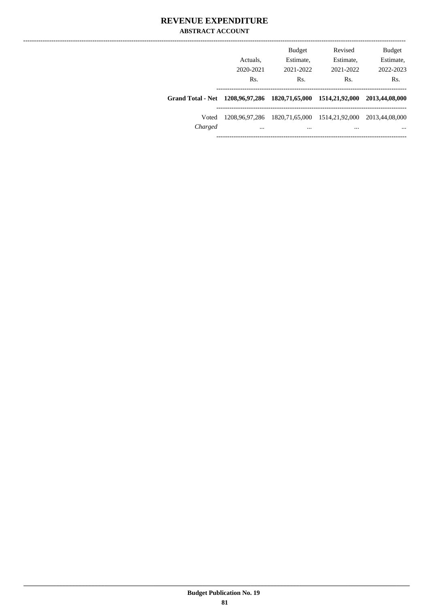#### **REVENUE EXPENDITURE ABSTRACT ACCOUNT**

|                                                                | Actuals.<br>2020-2021<br>Rs. | <b>Budget</b><br>Estimate,<br>2021-2022<br>Rs. | Revised<br>Estimate,<br>2021-2022<br>Rs. | <b>Budget</b><br>Estimate,<br>2022-2023<br>Rs. |
|----------------------------------------------------------------|------------------------------|------------------------------------------------|------------------------------------------|------------------------------------------------|
| Grand Total - Net 1208,96,97,286 1820,71,65,000 1514,21,92,000 |                              |                                                |                                          | 2013,44,08,000                                 |
| Voted<br>Charged                                               | 1208.96.97.286<br>$\cdots$   | 1820,71,65,000<br>                             | 1514,21,92,000<br>$\cdots$               | 2013,44,08,000<br>$\cdots$                     |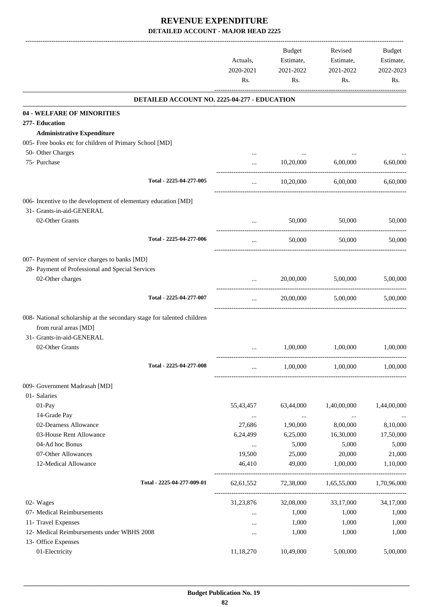|                                                                        | Actuals,<br>2020-2021<br>Rs. | <b>Budget</b><br>Estimate,<br>2021-2022<br>Rs. | Revised<br>Estimate,<br>2021-2022<br>Rs. | Budget<br>Estimate,<br>2022-2023<br>Rs. |
|------------------------------------------------------------------------|------------------------------|------------------------------------------------|------------------------------------------|-----------------------------------------|
| DETAILED ACCOUNT NO. 2225-04-277 - EDUCATION                           |                              |                                                |                                          |                                         |
| 04 - WELFARE OF MINORITIES                                             |                              |                                                |                                          |                                         |
| 277- Education                                                         |                              |                                                |                                          |                                         |
| <b>Administrative Expenditure</b>                                      |                              |                                                |                                          |                                         |
| 005- Free books etc for children of Primary School [MD]                |                              |                                                |                                          |                                         |
| 50- Other Charges                                                      |                              |                                                |                                          |                                         |
| 75- Purchase                                                           | $\cdots$                     | 10,20,000                                      | 6,00,000                                 | 6,60,000                                |
| Total - 2225-04-277-005                                                | $\cdots$                     | 10,20,000                                      | 6,00,000                                 | 6,60,000                                |
| 006- Incentive to the development of elementary education [MD]         |                              |                                                |                                          |                                         |
| 31- Grants-in-aid-GENERAL<br>02-Other Grants                           | $\cdots$                     | 50,000                                         | 50,000                                   | 50,000                                  |
|                                                                        |                              |                                                |                                          |                                         |
| Total - 2225-04-277-006                                                | $\cdots$                     | 50,000                                         | 50,000                                   | 50,000                                  |
| 007- Payment of service charges to banks [MD]                          |                              |                                                |                                          |                                         |
| 28- Payment of Professional and Special Services                       |                              |                                                |                                          |                                         |
| 02-Other charges                                                       | $\cdots$                     | 20,00,000                                      | 5,00,000                                 | 5,00,000                                |
| Total - 2225-04-277-007                                                | $\cdots$                     | 20,00,000                                      | 5,00,000                                 | 5,00,000                                |
|                                                                        |                              |                                                |                                          |                                         |
| 008- National scholarship at the secondary stage for talented children |                              |                                                |                                          |                                         |
| from rural areas [MD]                                                  |                              |                                                |                                          |                                         |
| 31- Grants-in-aid-GENERAL<br>02-Other Grants                           |                              | 1,00,000                                       | 1,00,000                                 | 1,00,000                                |
|                                                                        |                              |                                                |                                          |                                         |
| Total - 2225-04-277-008                                                |                              | 1,00,000                                       | 1,00,000                                 | 1,00,000                                |
| 009- Government Madrasah [MD]                                          |                              |                                                |                                          |                                         |
| 01- Salaries                                                           |                              |                                                |                                          |                                         |
| 01-Pay                                                                 | 55,43,457                    | 63,44,000                                      | 1,40,00,000                              | 1,44,00,000                             |
| 14-Grade Pay                                                           | $\cdots$                     | $\ldots$                                       | $\cdots$                                 |                                         |
| 02-Dearness Allowance                                                  | 27,686                       | 1,90,000                                       | 8,00,000                                 | 8,10,000                                |
| 03-House Rent Allowance                                                | 6,24,499                     | 6,25,000                                       | 16,30,000                                | 17,50,000                               |
| 04-Ad hoc Bonus                                                        | $\cdots$                     | 5,000                                          | 5,000                                    | 5,000                                   |
| 07-Other Allowances                                                    | 19,500                       | 25,000                                         | 20,000                                   | 21,000                                  |
| 12-Medical Allowance                                                   | 46,410                       | 49,000                                         | 1,00,000                                 | 1,10,000                                |
| Total - 2225-04-277-009-01                                             | 62,61,552                    | 72,38,000                                      | 1,65,55,000                              | 1,70,96,000                             |
| 02- Wages                                                              | 31,23,876                    | 32,08,000                                      | 33,17,000                                | 34,17,000                               |
| 07- Medical Reimbursements                                             | $\cdots$                     | 1,000                                          | 1,000                                    | 1,000                                   |
| 11- Travel Expenses                                                    | $\cdots$                     | 1,000                                          | 1,000                                    | 1,000                                   |
| 12- Medical Reimbursements under WBHS 2008                             | $\cdots$                     | 1,000                                          | 1,000                                    | 1,000                                   |
| 13- Office Expenses                                                    |                              |                                                |                                          |                                         |
| 01-Electricity                                                         | 11,18,270                    | 10,49,000                                      | 5,00,000                                 | 5,00,000                                |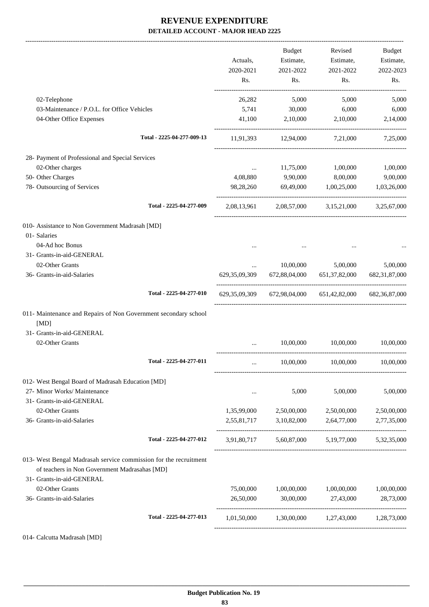-------------------------------------------------------------------------------------------------------------------------------------------------------------------------------

|                                                                  | Actuals,<br>2020-2021 | <b>Budget</b><br>Estimate,<br>2021-2022 | Revised<br>Estimate,<br>2021-2022               | Budget<br>Estimate,<br>2022-2023 |
|------------------------------------------------------------------|-----------------------|-----------------------------------------|-------------------------------------------------|----------------------------------|
|                                                                  | Rs.                   | Rs.                                     | Rs.                                             | Rs.                              |
| 02-Telephone                                                     | 26,282                | 5,000                                   | 5,000                                           | 5,000                            |
| 03-Maintenance / P.O.L. for Office Vehicles                      | 5,741                 | 30,000                                  | 6,000                                           | 6,000                            |
| 04-Other Office Expenses                                         | 41,100                | 2,10,000                                | 2,10,000                                        | 2,14,000                         |
| Total - 2225-04-277-009-13                                       | 11,91,393             | 12,94,000                               | 7,21,000                                        | 7,25,000                         |
| 28- Payment of Professional and Special Services                 |                       |                                         |                                                 |                                  |
| 02-Other charges                                                 | $\cdots$              | 11,75,000                               | 1,00,000                                        | 1,00,000                         |
| 50- Other Charges                                                | 4,08,880              | 9,90,000                                | 8,00,000                                        | 9,00,000                         |
| 78- Outsourcing of Services                                      | 98,28,260             | 69,49,000                               | 1,00,25,000                                     | 1,03,26,000                      |
| Total - 2225-04-277-009                                          |                       |                                         | 2,08,13,961 2,08,57,000 3,15,21,000 3,25,67,000 |                                  |
| 010- Assistance to Non Government Madrasah [MD]                  |                       |                                         |                                                 |                                  |
| 01- Salaries                                                     |                       |                                         |                                                 |                                  |
| 04-Ad hoc Bonus                                                  |                       |                                         |                                                 |                                  |
| 31- Grants-in-aid-GENERAL                                        |                       |                                         |                                                 |                                  |
| 02-Other Grants                                                  | $\cdots$              | 10,00,000                               | 5,00,000                                        | 5,00,000                         |
| 36- Grants-in-aid-Salaries                                       | 629, 35, 09, 309      | 672,88,04,000                           | 651, 37, 82, 000                                | 682, 31, 87, 000                 |
| Total - 2225-04-277-010                                          | 629, 35, 09, 309      |                                         | 672,98,04,000 651,42,82,000                     | 682, 36, 87, 000                 |
| 011- Maintenance and Repairs of Non Government secondary school  |                       |                                         |                                                 |                                  |
| [MD]                                                             |                       |                                         |                                                 |                                  |
| 31- Grants-in-aid-GENERAL                                        |                       |                                         |                                                 |                                  |
| 02-Other Grants                                                  |                       | 10,00,000                               | 10,00,000                                       | 10,00,000                        |
| Total - 2225-04-277-011                                          | $\cdots$              | 10,00,000                               | 10,00,000                                       | 10,00,000                        |
| 012- West Bengal Board of Madrasah Education [MD]                |                       |                                         |                                                 |                                  |
| 27- Minor Works/ Maintenance                                     | $\cdots$              | 5,000                                   | 5,00,000                                        | 5,00,000                         |
| 31- Grants-in-aid-GENERAL                                        |                       |                                         |                                                 |                                  |
| 02-Other Grants                                                  | 1,35,99,000           | 2,50,00,000                             | 2,50,00,000                                     | 2,50,00,000                      |
| 36- Grants-in-aid-Salaries                                       | 2,55,81,717           | 3,10,82,000<br>---------------------    | 2,64,77,000                                     | 2,77,35,000                      |
| Total - 2225-04-277-012                                          |                       |                                         | 3,91,80,717 5,60,87,000 5,19,77,000 5,32,35,000 |                                  |
| 013- West Bengal Madrasah service commission for the recruitment |                       |                                         |                                                 |                                  |
| of teachers in Non Government Madrasahas [MD]                    |                       |                                         |                                                 |                                  |
| 31- Grants-in-aid-GENERAL                                        |                       |                                         |                                                 |                                  |
| 02-Other Grants                                                  | 75,00,000             | 1,00,00,000                             | 1,00,00,000                                     | 1,00,00,000                      |
| 36- Grants-in-aid-Salaries                                       | 26,50,000             | 30,00,000                               | 27,43,000                                       | 28,73,000                        |
| Total - 2225-04-277-013                                          | 1,01,50,000           | 1,30,00,000 1,27,43,000                 |                                                 | 1,28,73,000                      |
|                                                                  |                       |                                         |                                                 |                                  |

014- Calcutta Madrasah [MD]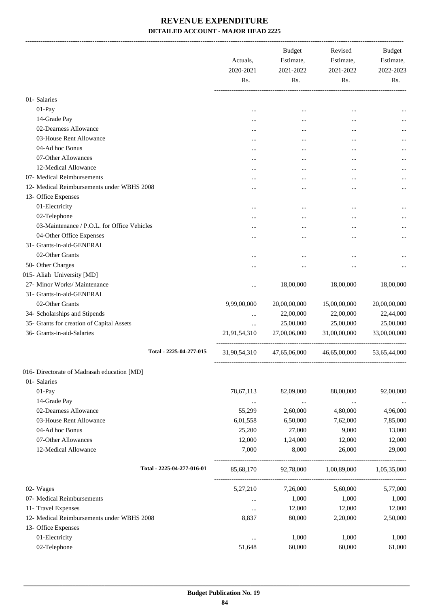-------------------------------------------------------------------------------------------------------------------------------------------------------------------------------

|                                             | Actuals,<br>2020-2021<br>Rs. | <b>Budget</b><br>Estimate,<br>2021-2022<br>Rs. | Revised<br>Estimate,<br>2021-2022<br>Rs. | <b>Budget</b><br>Estimate,<br>2022-2023<br>Rs. |
|---------------------------------------------|------------------------------|------------------------------------------------|------------------------------------------|------------------------------------------------|
| 01- Salaries                                |                              |                                                |                                          |                                                |
| $01-Pay$                                    |                              |                                                |                                          |                                                |
| 14-Grade Pay                                | $\cdots$                     | $\cdots$                                       | $\cdots$                                 |                                                |
| 02-Dearness Allowance                       | $\cdots$                     | $\cdots$                                       | $\cdots$                                 | $\cdots$                                       |
| 03-House Rent Allowance                     | $\cdots$                     | $\cdots$                                       | $\cdots$                                 |                                                |
| 04-Ad hoc Bonus                             | $\cdots$                     | $\cdots$                                       | $\cdots$                                 |                                                |
| 07-Other Allowances                         | $\cdots$                     | $\cdots$                                       | $\cdots$                                 |                                                |
| 12-Medical Allowance                        | $\cdots$                     | $\cdots$                                       | $\cdots$                                 |                                                |
| 07- Medical Reimbursements                  | $\cdots$                     | $\cdots$                                       | $\cdots$                                 |                                                |
| 12- Medical Reimbursements under WBHS 2008  | $\cdots$                     |                                                | $\cdots$                                 |                                                |
| 13- Office Expenses                         | $\cdots$                     |                                                | $\cdots$                                 |                                                |
| 01-Electricity                              |                              |                                                |                                          |                                                |
| 02-Telephone                                | $\cdots$                     | $\cdots$                                       | $\cdots$                                 |                                                |
| 03-Maintenance / P.O.L. for Office Vehicles | $\cdots$                     | $\cdots$                                       | $\cdots$                                 |                                                |
| 04-Other Office Expenses                    | $\cdots$                     |                                                | $\cdots$                                 |                                                |
| 31- Grants-in-aid-GENERAL                   | $\cdots$                     |                                                | $\cdots$                                 |                                                |
| 02-Other Grants                             |                              |                                                |                                          |                                                |
| 50- Other Charges                           | $\cdots$                     | $\cdots$                                       |                                          |                                                |
| 015- Aliah University [MD]                  | $\cdots$                     |                                                |                                          |                                                |
| 27- Minor Works/ Maintenance                |                              | 18,00,000                                      | 18,00,000                                | 18,00,000                                      |
| 31- Grants-in-aid-GENERAL                   |                              |                                                |                                          |                                                |
| 02-Other Grants                             | 9,99,00,000                  | 20,00,00,000                                   | 15,00,00,000                             | 20,00,00,000                                   |
|                                             |                              |                                                |                                          |                                                |
| 34- Scholarships and Stipends               | $\cdots$                     | 22,00,000                                      | 22,00,000                                | 22,44,000                                      |
| 35- Grants for creation of Capital Assets   | $\cdots$                     | 25,00,000                                      | 25,00,000                                | 25,00,000                                      |
| 36- Grants-in-aid-Salaries                  | 21,91,54,310                 | 27,00,06,000                                   | 31,00,00,000                             | 33,00,00,000                                   |
| Total - 2225-04-277-015                     | 31,90,54,310                 | 47,65,06,000                                   | 46,65,00,000                             | 53,65,44,000                                   |
| 016- Directorate of Madrasah education [MD] |                              |                                                |                                          |                                                |
| 01- Salaries                                |                              |                                                |                                          |                                                |
| $01-Pay$                                    | 78,67,113                    | 82,09,000                                      | 88,00,000                                | 92,00,000                                      |
| 14-Grade Pay                                | $\ldots$                     | $\ldots$                                       | $\ldots$                                 | $\cdots$                                       |
| 02-Dearness Allowance                       | 55,299                       | 2,60,000                                       | 4,80,000                                 | 4,96,000                                       |
| 03-House Rent Allowance                     | 6,01,558                     | 6,50,000                                       | 7,62,000                                 | 7,85,000                                       |
| 04-Ad hoc Bonus                             | 25,200                       | 27,000                                         | 9,000                                    | 13,000                                         |
| 07-Other Allowances                         | 12,000                       | 1,24,000                                       | 12,000                                   | 12,000                                         |
| 12-Medical Allowance                        | 7,000                        | 8,000                                          | 26,000                                   | 29,000                                         |
| Total - 2225-04-277-016-01                  | 85,68,170                    | 92,78,000                                      | 1,00,89,000                              | 1,05,35,000                                    |
| 02- Wages                                   | 5,27,210                     | 7,26,000                                       | 5,60,000                                 | 5,77,000                                       |
| 07- Medical Reimbursements                  | $\cdots$                     | 1,000                                          | 1,000                                    | 1,000                                          |
| 11- Travel Expenses                         | $\cdots$                     | 12,000                                         | 12,000                                   | 12,000                                         |
| 12- Medical Reimbursements under WBHS 2008  | 8,837                        | 80,000                                         | 2,20,000                                 | 2,50,000                                       |
| 13- Office Expenses                         |                              |                                                |                                          |                                                |
| 01-Electricity                              | $\cdots$                     | 1,000                                          | 1,000                                    | 1,000                                          |
| 02-Telephone                                | 51,648                       | 60,000                                         | 60,000                                   | 61,000                                         |
|                                             |                              |                                                |                                          |                                                |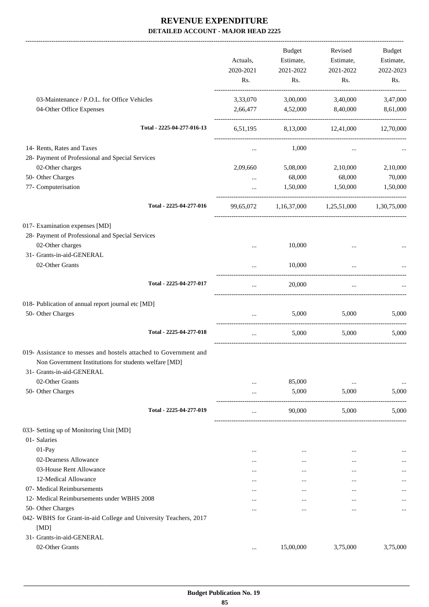|                                                                                                                                                        | Actuals,<br>2020-2021 | <b>Budget</b><br>Estimate,<br>2021-2022 | Revised<br>Estimate,<br>2021-2022 | <b>Budget</b><br>Estimate,<br>2022-2023 |
|--------------------------------------------------------------------------------------------------------------------------------------------------------|-----------------------|-----------------------------------------|-----------------------------------|-----------------------------------------|
|                                                                                                                                                        | Rs.                   | Rs.                                     | Rs.                               | Rs.                                     |
| 03-Maintenance / P.O.L. for Office Vehicles                                                                                                            | 3,33,070              | 3,00,000                                | 3,40,000                          | 3,47,000                                |
| 04-Other Office Expenses                                                                                                                               | 2,66,477              | 4,52,000                                | 8,40,000                          | 8,61,000                                |
| Total - 2225-04-277-016-13                                                                                                                             | 6,51,195              |                                         | 8,13,000 12,41,000                | 12,70,000                               |
| 14- Rents, Rates and Taxes                                                                                                                             | $\cdots$              | 1,000                                   | $\cdots$                          |                                         |
| 28- Payment of Professional and Special Services                                                                                                       |                       |                                         |                                   |                                         |
| 02-Other charges                                                                                                                                       | 2,09,660              | 5,08,000                                | 2,10,000                          | 2,10,000                                |
| 50- Other Charges                                                                                                                                      | $\cdots$              | 68,000                                  | 68,000                            | 70,000                                  |
| 77- Computerisation                                                                                                                                    | $\cdots$              | 1,50,000                                | 1,50,000                          | 1,50,000                                |
| Total - 2225-04-277-016                                                                                                                                | 99,65,072             |                                         | $1,16,37,000$ $1,25,51,000$       | 1,30,75,000                             |
| 017- Examination expenses [MD]                                                                                                                         |                       |                                         |                                   |                                         |
| 28- Payment of Professional and Special Services                                                                                                       |                       |                                         |                                   |                                         |
| 02-Other charges                                                                                                                                       | $\cdots$              | 10,000                                  | $\cdots$                          |                                         |
| 31- Grants-in-aid-GENERAL                                                                                                                              |                       |                                         |                                   |                                         |
| 02-Other Grants                                                                                                                                        |                       | 10,000                                  | $\ddotsc$                         |                                         |
| Total - 2225-04-277-017                                                                                                                                | $\cdot$ $\cdot$       | 20,000                                  | $\ddotsc$                         |                                         |
| 018- Publication of annual report journal etc [MD]                                                                                                     |                       |                                         |                                   |                                         |
| 50- Other Charges                                                                                                                                      | $\cdots$              | 5,000                                   | 5,000                             | 5,000                                   |
| Total - 2225-04-277-018                                                                                                                                | $\cdots$              | 5.000                                   | 5,000                             | 5,000                                   |
| 019- Assistance to messes and hostels attached to Government and<br>Non Government Institutions for students welfare [MD]<br>31- Grants-in-aid-GENERAL |                       |                                         |                                   |                                         |
| 02-Other Grants                                                                                                                                        |                       | 85,000                                  | $\cdots$                          | $\cdots$                                |
| 50- Other Charges                                                                                                                                      | $\cdots$              | 5,000                                   | 5,000                             | 5,000                                   |
| Total - 2225-04-277-019                                                                                                                                | $\cdots$              | 90,000                                  | 5,000                             | 5,000                                   |
| 033- Setting up of Monitoring Unit [MD]                                                                                                                |                       |                                         |                                   |                                         |
| 01- Salaries                                                                                                                                           |                       |                                         |                                   |                                         |
| 01-Pay                                                                                                                                                 |                       | $\cdots$                                |                                   |                                         |
| 02-Dearness Allowance                                                                                                                                  | $\cdots$              | $\cdots$                                | $\cdots$                          |                                         |
| 03-House Rent Allowance                                                                                                                                | $\cdots$              | $\cdots$                                | $\cdots$                          |                                         |
| 12-Medical Allowance                                                                                                                                   | $\cdots$              | $\cdots$                                |                                   |                                         |
| 07- Medical Reimbursements                                                                                                                             |                       | $\cdots$                                |                                   |                                         |
| 12- Medical Reimbursements under WBHS 2008                                                                                                             | $\cdots$              | $\cdots$                                |                                   |                                         |
| 50- Other Charges                                                                                                                                      |                       | $\cdots$                                | $\ddotsc$                         |                                         |
| 042- WBHS for Grant-in-aid College and University Teachers, 2017<br>[MD]                                                                               |                       |                                         |                                   |                                         |
| 31- Grants-in-aid-GENERAL                                                                                                                              |                       |                                         |                                   |                                         |
| 02-Other Grants                                                                                                                                        | $\ldots$              | 15,00,000                               | 3,75,000                          | 3,75,000                                |
|                                                                                                                                                        |                       |                                         |                                   |                                         |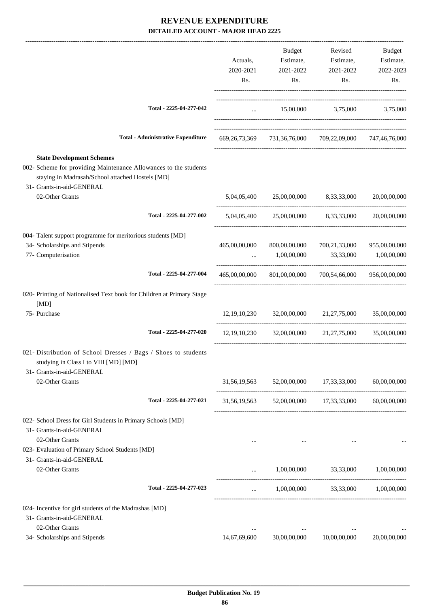|                                                                                                                                                                                       |               | Budget                | Revised                                                             | Budget        |
|---------------------------------------------------------------------------------------------------------------------------------------------------------------------------------------|---------------|-----------------------|---------------------------------------------------------------------|---------------|
|                                                                                                                                                                                       | Actuals,      | Estimate,             | Estimate,                                                           | Estimate,     |
|                                                                                                                                                                                       | 2020-2021     | 2021-2022             | 2021-2022                                                           | 2022-2023     |
|                                                                                                                                                                                       | Rs.           | Rs.                   | Rs.                                                                 | Rs.           |
| Total - 2225-04-277-042                                                                                                                                                               | $\cdots$      |                       | 15,00,000 3,75,000 3,75,000                                         |               |
|                                                                                                                                                                                       |               |                       |                                                                     |               |
| <b>Total - Administrative Expenditure</b>                                                                                                                                             |               |                       | 669, 26, 73, 369 731, 36, 76, 000 709, 22, 09, 000 747, 46, 76, 000 |               |
| <b>State Development Schemes</b><br>002- Scheme for providing Maintenance Allowances to the students<br>staying in Madrasah/School attached Hostels [MD]<br>31- Grants-in-aid-GENERAL |               |                       |                                                                     |               |
| 02-Other Grants                                                                                                                                                                       |               |                       | 5,04,05,400 25,00,00,000 8,33,33,000                                | 20,00,00,000  |
| Total - 2225-04-277-002                                                                                                                                                               |               |                       | 5,04,05,400 25,00,00,000 8,33,33,000                                | 20,00,00,000  |
| 004- Talent support programme for meritorious students [MD]                                                                                                                           |               |                       |                                                                     |               |
| 34- Scholarships and Stipends                                                                                                                                                         | 465,00,00,000 | 800,00,00,000         | 700,21,33,000                                                       | 955,00,00,000 |
| 77- Computerisation                                                                                                                                                                   | $\cdots$      | 1,00,00,000           | 33,33,000                                                           | 1,00,00,000   |
| Total - 2225-04-277-004                                                                                                                                                               | 465,00,00,000 |                       | 801,00,00,000 700,54,66,000                                         | 956,00,00,000 |
| 020- Printing of Nationalised Text book for Children at Primary Stage<br>[MD]                                                                                                         |               |                       |                                                                     |               |
| 75- Purchase                                                                                                                                                                          |               |                       | 12,19,10,230 32,00,00,000 21,27,75,000                              | 35,00,00,000  |
| Total - 2225-04-277-020                                                                                                                                                               |               |                       | 12,19,10,230 32,00,00,000 21,27,75,000                              | 35,00,00,000  |
| 021- Distribution of School Dresses / Bags / Shoes to students<br>studying in Class I to VIII [MD] [MD]<br>31- Grants-in-aid-GENERAL                                                  |               |                       |                                                                     |               |
| 02-Other Grants                                                                                                                                                                       |               |                       | 31,56,19,563 52,00,00,000 17,33,33,000                              | 60,00,00,000  |
| Total - 2225-04-277-021                                                                                                                                                               |               |                       | 31,56,19,563 52,00,00,000 17,33,33,000 60,00,00,000                 |               |
| 022- School Dress for Girl Students in Primary Schools [MD]<br>31- Grants-in-aid-GENERAL<br>02-Other Grants                                                                           |               |                       |                                                                     |               |
| 023- Evaluation of Primary School Students [MD]<br>31- Grants-in-aid-GENERAL                                                                                                          |               |                       |                                                                     |               |
| 02-Other Grants                                                                                                                                                                       | $\cdots$      | 1,00,00,000 33,33,000 |                                                                     | 1,00,00,000   |
| Total - 2225-04-277-023                                                                                                                                                               |               |                       | $1,00,00,000$ $33,33,000$ $1,00,00,000$                             |               |
| 024- Incentive for girl students of the Madrashas [MD]                                                                                                                                |               |                       |                                                                     |               |
| 31- Grants-in-aid-GENERAL                                                                                                                                                             |               |                       |                                                                     |               |
| 02-Other Grants                                                                                                                                                                       | $\cdots$      | $\cdots$              | $\cdots$                                                            |               |
| 34- Scholarships and Stipends                                                                                                                                                         | 14,67,69,600  | 30,00,00,000          | 10,00,00,000                                                        | 20,00,00,000  |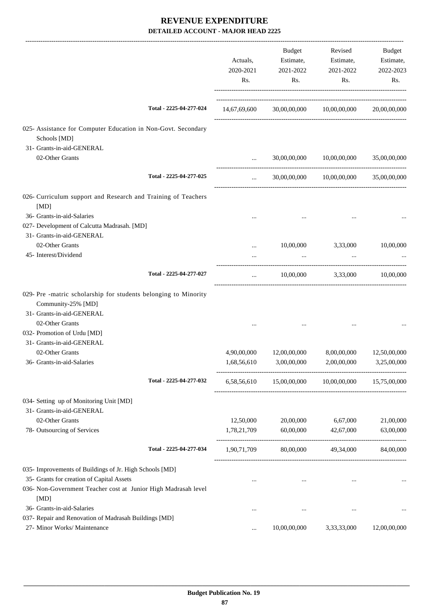|                                                                                      |                         | Actuals,<br>2020-2021<br>Rs. | Budget<br>Estimate,<br>2021-2022<br>Rs. | Revised<br>Estimate,<br>2021-2022<br>Rs.           | Budget<br>Estimate,<br>2022-2023<br>Rs. |
|--------------------------------------------------------------------------------------|-------------------------|------------------------------|-----------------------------------------|----------------------------------------------------|-----------------------------------------|
|                                                                                      | Total - 2225-04-277-024 |                              |                                         | 14,67,69,600 30,00,00,000 10,00,00,000             | 20,00,00,000                            |
| 025- Assistance for Computer Education in Non-Govt. Secondary<br>Schools [MD]        |                         |                              |                                         |                                                    |                                         |
| 31- Grants-in-aid-GENERAL                                                            |                         |                              |                                         |                                                    |                                         |
| 02-Other Grants                                                                      |                         |                              |                                         | 30,00,00,000 10,00,00,000                          | 35,00,00,000                            |
|                                                                                      | Total - 2225-04-277-025 | $\cdots$                     |                                         | 30,00,00,000 10,00,00,000                          | 35,00,00,000                            |
| 026- Curriculum support and Research and Training of Teachers<br>[MD]                |                         |                              |                                         |                                                    |                                         |
| 36- Grants-in-aid-Salaries                                                           |                         |                              |                                         |                                                    |                                         |
| 027- Development of Calcutta Madrasah. [MD]                                          |                         |                              |                                         |                                                    |                                         |
| 31- Grants-in-aid-GENERAL                                                            |                         |                              |                                         |                                                    |                                         |
| 02-Other Grants                                                                      |                         | $\cdots$                     | 10,00,000                               | 3,33,000                                           | 10,00,000                               |
| 45- Interest/Dividend                                                                |                         |                              | $\cdots$                                |                                                    |                                         |
|                                                                                      | Total - 2225-04-277-027 | $\cdots$                     |                                         | 10,00,000 3,33,000                                 | 10,00,000                               |
| 029- Pre-matric scholarship for students belonging to Minority<br>Community-25% [MD] |                         |                              |                                         |                                                    |                                         |
| 31- Grants-in-aid-GENERAL                                                            |                         |                              |                                         |                                                    |                                         |
| 02-Other Grants                                                                      |                         |                              |                                         |                                                    |                                         |
| 032- Promotion of Urdu [MD]                                                          |                         |                              |                                         |                                                    |                                         |
| 31- Grants-in-aid-GENERAL                                                            |                         |                              |                                         |                                                    |                                         |
| 02-Other Grants                                                                      |                         | 4,90,00,000                  | 12,00,00,000                            | 8,00,00,000                                        | 12,50,00,000                            |
| 36- Grants-in-aid-Salaries                                                           |                         | 1,68,56,610                  | 3,00,00,000                             | 2,00,00,000                                        | 3,25,00,000                             |
|                                                                                      | Total - 2225-04-277-032 |                              |                                         | 6,58,56,610 15,00,00,000 10,00,00,000 15,75,00,000 |                                         |
| 034- Setting up of Monitoring Unit [MD]                                              |                         |                              |                                         |                                                    |                                         |
| 31- Grants-in-aid-GENERAL                                                            |                         |                              |                                         |                                                    |                                         |
| 02-Other Grants                                                                      |                         | 12,50,000                    | 20,00,000                               | 6,67,000                                           | 21,00,000                               |
| 78- Outsourcing of Services                                                          |                         | 1,78,21,709                  | 60,00,000                               | 42,67,000                                          | 63,00,000                               |
|                                                                                      | Total - 2225-04-277-034 | 1,90,71,709                  | 80,00,000                               | 49,34,000                                          | 84,00,000                               |
| 035- Improvements of Buildings of Jr. High Schools [MD]                              |                         |                              |                                         |                                                    |                                         |
| 35- Grants for creation of Capital Assets                                            |                         |                              | $\cdots$                                | $\cdots$                                           |                                         |
| 036- Non-Government Teacher cost at Junior High Madrasah level<br>[MD]               |                         |                              |                                         |                                                    |                                         |
| 36- Grants-in-aid-Salaries                                                           |                         |                              | $\cdots$                                | $\cdots$                                           |                                         |
| 037- Repair and Renovation of Madrasah Buildings [MD]                                |                         |                              |                                         |                                                    |                                         |
| 27- Minor Works/ Maintenance                                                         |                         | $\cdots$                     | 10,00,00,000                            | 3,33,33,000                                        | 12,00,00,000                            |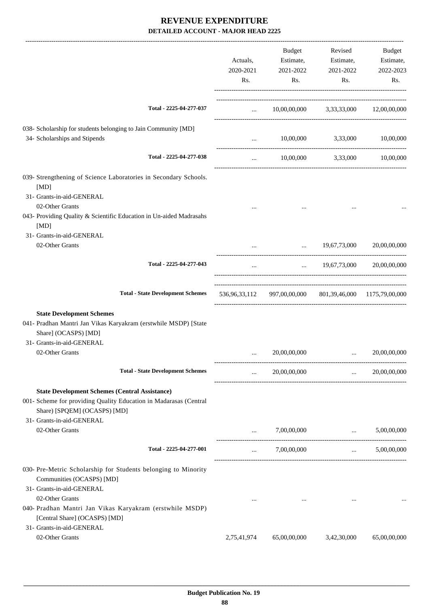|                                                                                                                                                                                         | Actuals,<br>2020-2021<br>Rs. | <b>Budget</b><br>Estimate,<br>2021-2022<br>Rs.           | Revised<br>Estimate,<br>2021-2022<br>Rs. | Budget<br>Estimate,<br>2022-2023<br>Rs.      |
|-----------------------------------------------------------------------------------------------------------------------------------------------------------------------------------------|------------------------------|----------------------------------------------------------|------------------------------------------|----------------------------------------------|
| Total - 2225-04-277-037                                                                                                                                                                 |                              | $10,00,00,000$ $3,33,33,000$ $12,00,00,000$              |                                          |                                              |
| 038- Scholarship for students belonging to Jain Community [MD]<br>34- Scholarships and Stipends                                                                                         | $\cdots$                     |                                                          | 10,00,000 3,33,000 10,00,000             |                                              |
| Total - 2225-04-277-038                                                                                                                                                                 | $\cdots$                     |                                                          | 10,00,000 3,33,000 10,00,000             |                                              |
| 039- Strengthening of Science Laboratories in Secondary Schools.<br>[MD]<br>31- Grants-in-aid-GENERAL                                                                                   |                              |                                                          |                                          |                                              |
| 02-Other Grants<br>043- Providing Quality & Scientific Education in Un-aided Madrasahs<br>[MD]                                                                                          |                              |                                                          |                                          |                                              |
| 31- Grants-in-aid-GENERAL<br>02-Other Grants                                                                                                                                            |                              |                                                          | $\ldots$ 19,67,73,000 20,00,00,000       |                                              |
| Total - 2225-04-277-043                                                                                                                                                                 | $\cdots$                     |                                                          | $\ldots$ 19,67,73,000 20,00,00,000       |                                              |
| <b>Total - State Development Schemes</b>                                                                                                                                                |                              | 536,96,33,112 997,00,00,000 801,39,46,000 1175,79,00,000 |                                          |                                              |
| <b>State Development Schemes</b><br>041- Pradhan Mantri Jan Vikas Karyakram (erstwhile MSDP) [State<br>Share] (OCASPS) [MD]<br>31- Grants-in-aid-GENERAL                                |                              |                                                          |                                          |                                              |
| 02-Other Grants                                                                                                                                                                         |                              | 20,00,00,000                                             |                                          | 20,00,00,000                                 |
| <b>Total - State Development Schemes</b>                                                                                                                                                | $\cdots$                     | 20,00,00,000                                             | $\mathbf{1}$ , and $\mathbf{1}$          | 20,00,00,000                                 |
| <b>State Development Schemes (Central Assistance)</b><br>001- Scheme for providing Quality Education in Madarasas (Central<br>Share) [SPQEM] (OCASPS) [MD]<br>31- Grants-in-aid-GENERAL |                              |                                                          |                                          |                                              |
| 02-Other Grants                                                                                                                                                                         | $\cdots$                     | 7,00,00,000                                              |                                          | 5,00,00,000<br>$\mathbf{r}$ and $\mathbf{r}$ |
| Total - 2225-04-277-001                                                                                                                                                                 | $\cdots$                     | 7,00,00,000                                              | $\mathbf{r}$ and $\mathbf{r}$            | 5,00,00,000                                  |
| 030- Pre-Metric Scholarship for Students belonging to Minority<br>Communities (OCASPS) [MD]<br>31- Grants-in-aid-GENERAL                                                                |                              |                                                          |                                          |                                              |
| 02-Other Grants<br>040- Pradhan Mantri Jan Vikas Karyakram (erstwhile MSDP)<br>[Central Share] (OCASPS) [MD]                                                                            | $\cdots$                     | $\sim$ 0.000 $\sim$                                      | $\sim 100$ km s $^{-1}$                  |                                              |
| 31- Grants-in-aid-GENERAL<br>02-Other Grants                                                                                                                                            | 2,75,41,974                  | 65,00,00,000                                             | 3,42,30,000                              | 65,00,00,000                                 |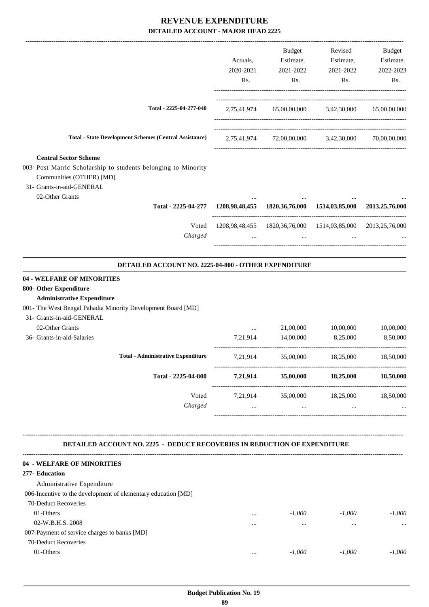|                                                                                                                                                                                                           | Actuals,<br>2020-2021<br>Rs. | Budget<br>Estimate,<br>2021-2022<br>Rs.                                    | Revised<br>Estimate,<br>2021-2022<br>Rs. | Budget<br>Estimate,<br>2022-2023<br>Rs. |
|-----------------------------------------------------------------------------------------------------------------------------------------------------------------------------------------------------------|------------------------------|----------------------------------------------------------------------------|------------------------------------------|-----------------------------------------|
| Total - 2225-04-277-040                                                                                                                                                                                   |                              | 2,75,41,974 65,00,00,000 3,42,30,000                                       |                                          | 65,00,00,000                            |
| <b>Total - State Development Schemes (Central Assistance)</b>                                                                                                                                             |                              | 2,75,41,974 72,00,00,000 3,42,30,000                                       |                                          | 70,00,00,000                            |
| <b>Central Sector Scheme</b><br>003- Post Matric Scholarship to students belonging to Minority<br>Communities (OTHER) [MD]<br>31- Grants-in-aid-GENERAL<br>02-Other Grants                                |                              |                                                                            |                                          |                                         |
| Total - 2225-04-277                                                                                                                                                                                       |                              | 1208,98,48,455 1820,36,76,000 1514,03,85,000                               |                                          | 2013,25,76,000                          |
| Voted<br>Charged                                                                                                                                                                                          | $\cdots$                     | 1208,98,48,455  1820,36,76,000  1514,03,85,000  2013,25,76,000<br>$\ddots$ | $\ldots$                                 |                                         |
| DETAILED ACCOUNT NO. 2225-04-800 - OTHER EXPENDITURE                                                                                                                                                      |                              |                                                                            |                                          |                                         |
| 04 - WELFARE OF MINORITIES<br>800- Other Expenditure<br><b>Administrative Expenditure</b><br>001- The West Bengal Pahadia Minority Development Board [MD]<br>31- Grants-in-aid-GENERAL<br>02-Other Grants | $\cdots$                     | 21,00,000                                                                  | 10,00,000                                | 10,00,000                               |
| 36- Grants-in-aid-Salaries                                                                                                                                                                                | 7,21,914                     | 14,00,000                                                                  | 8,25,000                                 | 8,50,000                                |
| <b>Total - Administrative Expenditure</b>                                                                                                                                                                 | 7,21,914                     | 35,00,000                                                                  | 18,25,000                                | 18,50,000                               |
| Total - 2225-04-800                                                                                                                                                                                       |                              | 7,21,914 35,00,000 18,25,000 18,50,000                                     |                                          |                                         |
| Voted<br>Charged                                                                                                                                                                                          | $\cdots$                     | 7,21,914 35,00,000 18,25,000 18,50,000<br>$\cdots$                         | $\cdots$                                 |                                         |
| <b>DETAILED ACCOUNT NO. 2225 - DEDUCT RECOVERIES IN REDUCTION OF EXPENDITURE</b>                                                                                                                          |                              |                                                                            |                                          |                                         |
| 04 - WELFARE OF MINORITIES<br>277- Education<br>Administrative Expenditure<br>006-Incentive to the development of elementary education [MD]                                                               |                              |                                                                            |                                          |                                         |
| 70-Deduct Recoveries<br>01-Others<br>02-W.B.H.S. 2008<br>007-Payment of service charges to banks [MD]                                                                                                     | $\cdots$                     | -1,000<br>$\cdots$                                                         | $-1,000$<br>$\cdots$                     | $-1,000$<br>$\cdots$                    |
| 70-Deduct Recoveries<br>01-Others                                                                                                                                                                         | $\cdots$                     | $-1,000$                                                                   | $-1,000$                                 | $-1,000$                                |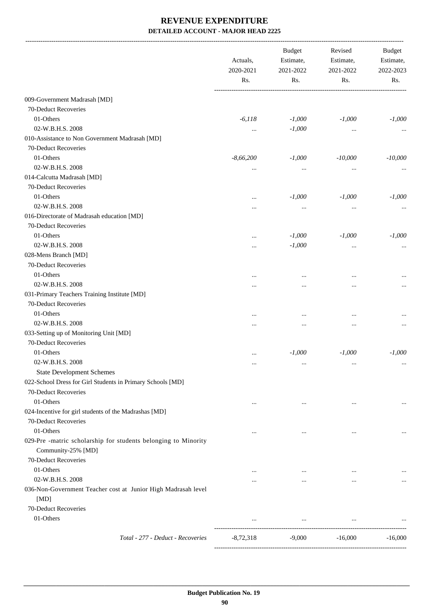|                                                                                      | Actuals,<br>2020-2021<br>Rs. | <b>Budget</b><br>Estimate,<br>2021-2022<br>Rs. | Revised<br>Estimate,<br>2021-2022<br>Rs. | <b>Budget</b><br>Estimate,<br>2022-2023<br>Rs. |
|--------------------------------------------------------------------------------------|------------------------------|------------------------------------------------|------------------------------------------|------------------------------------------------|
| 009-Government Madrasah [MD]                                                         |                              |                                                |                                          |                                                |
| 70-Deduct Recoveries                                                                 |                              |                                                |                                          |                                                |
| 01-Others                                                                            | $-6,118$                     | $-1,000$                                       | $-1,000$                                 | $-1,000$                                       |
| 02-W.B.H.S. 2008                                                                     | $\cdots$                     | $-1,000$                                       | $\cdots$                                 |                                                |
| 010-Assistance to Non Government Madrasah [MD]                                       |                              |                                                |                                          |                                                |
| 70-Deduct Recoveries                                                                 |                              |                                                |                                          |                                                |
| 01-Others                                                                            | $-8,66,200$                  | $-1,000$                                       | $-10,000$                                | $-10,000$                                      |
| 02-W.B.H.S. 2008                                                                     | $\cdots$                     | $\cdots$                                       | $\cdots$                                 |                                                |
| 014-Calcutta Madrasah [MD]                                                           |                              |                                                |                                          |                                                |
| 70-Deduct Recoveries                                                                 |                              |                                                |                                          |                                                |
| 01-Others                                                                            | $\cdots$                     | $-1,000$                                       | $-1,000$                                 | $-1,000$                                       |
| 02-W.B.H.S. 2008                                                                     | .                            | $\cdots$                                       | $\cdots$                                 |                                                |
| 016-Directorate of Madrasah education [MD]                                           |                              |                                                |                                          |                                                |
| 70-Deduct Recoveries                                                                 |                              |                                                |                                          |                                                |
| 01-Others                                                                            |                              | $-1,000$                                       | $-1,000$                                 | $-1,000$                                       |
| 02-W.B.H.S. 2008                                                                     |                              | $-1,000$                                       | $\cdots$                                 |                                                |
| 028-Mens Branch [MD]                                                                 |                              |                                                |                                          |                                                |
| 70-Deduct Recoveries                                                                 |                              |                                                |                                          |                                                |
| 01-Others                                                                            |                              |                                                |                                          |                                                |
| 02-W.B.H.S. 2008                                                                     |                              |                                                |                                          |                                                |
| 031-Primary Teachers Training Institute [MD]                                         |                              |                                                |                                          |                                                |
| 70-Deduct Recoveries                                                                 |                              |                                                |                                          |                                                |
| 01-Others                                                                            |                              | $\ddotsc$                                      |                                          |                                                |
| 02-W.B.H.S. 2008                                                                     |                              | $\ddotsc$                                      | $\cdots$                                 |                                                |
| 033-Setting up of Monitoring Unit [MD]                                               |                              |                                                |                                          |                                                |
| 70-Deduct Recoveries                                                                 |                              |                                                |                                          |                                                |
| 01-Others                                                                            | $\cdots$                     | $-1,000$                                       | $-1,000$                                 | $-1,000$                                       |
| 02-W.B.H.S. 2008                                                                     |                              |                                                |                                          |                                                |
| <b>State Development Schemes</b>                                                     |                              |                                                |                                          |                                                |
| 022-School Dress for Girl Students in Primary Schools [MD]                           |                              |                                                |                                          |                                                |
| 70-Deduct Recoveries                                                                 |                              |                                                |                                          |                                                |
| 01-Others                                                                            | $\cdots$                     | $\cdots$                                       | $\cdots$                                 | $\cdots$                                       |
| 024-Incentive for girl students of the Madrashas [MD]                                |                              |                                                |                                          |                                                |
| 70-Deduct Recoveries                                                                 |                              |                                                |                                          |                                                |
| 01-Others                                                                            | $\cdots$                     | $\cdots$                                       | $\cdots$                                 | $\cdots$                                       |
| 029-Pre -matric scholarship for students belonging to Minority<br>Community-25% [MD] |                              |                                                |                                          |                                                |
| 70-Deduct Recoveries                                                                 |                              |                                                |                                          |                                                |
| 01-Others                                                                            | $\cdots$                     | $\cdots$                                       | $\cdots$                                 |                                                |
| 02-W.B.H.S. 2008                                                                     | .                            | $\cdots$                                       | $\cdots$                                 |                                                |
| 036-Non-Government Teacher cost at Junior High Madrasah level                        |                              |                                                |                                          |                                                |
| [MD]                                                                                 |                              |                                                |                                          |                                                |
| 70-Deduct Recoveries                                                                 |                              |                                                |                                          |                                                |
| 01-Others                                                                            | $\cdots$                     | $\cdots$                                       | $\cdots$                                 |                                                |
| Total - 277 - Deduct - Recoveries                                                    | $-8,72,318$                  | $-9,000$                                       | $-16,000$                                | $-16,000$                                      |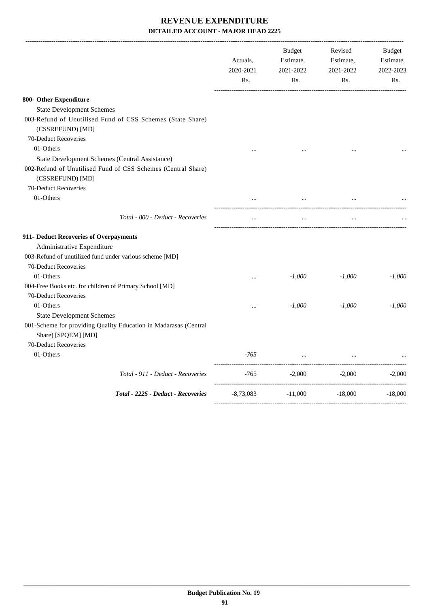|                                                                                         | Actuals,<br>2020-2021<br>Rs. | <b>Budget</b><br>Estimate,<br>2021-2022<br>Rs. | Revised<br>Estimate,<br>2021-2022<br>Rs. | <b>Budget</b><br>Estimate,<br>2022-2023<br>Rs. |
|-----------------------------------------------------------------------------------------|------------------------------|------------------------------------------------|------------------------------------------|------------------------------------------------|
| 800- Other Expenditure                                                                  |                              |                                                |                                          |                                                |
| <b>State Development Schemes</b>                                                        |                              |                                                |                                          |                                                |
| 003-Refund of Unutilised Fund of CSS Schemes (State Share)<br>(CSSREFUND) [MD]          |                              |                                                |                                          |                                                |
| 70-Deduct Recoveries                                                                    |                              |                                                |                                          |                                                |
| 01-Others                                                                               |                              |                                                |                                          |                                                |
| State Development Schemes (Central Assistance)                                          |                              |                                                |                                          |                                                |
| 002-Refund of Unutilised Fund of CSS Schemes (Central Share)<br>(CSSREFUND) [MD]        |                              |                                                |                                          |                                                |
| 70-Deduct Recoveries                                                                    |                              |                                                |                                          |                                                |
| 01-Others                                                                               |                              |                                                |                                          |                                                |
| Total - 800 - Deduct - Recoveries                                                       | $\cdots$                     | $\cdots$                                       | $\ldots$                                 |                                                |
| 911- Deduct Recoveries of Overpayments                                                  |                              |                                                |                                          |                                                |
| Administrative Expenditure                                                              |                              |                                                |                                          |                                                |
| 003-Refund of unutilized fund under various scheme [MD]                                 |                              |                                                |                                          |                                                |
| 70-Deduct Recoveries                                                                    |                              |                                                |                                          |                                                |
| 01-Others                                                                               | $\ddotsc$                    | $-1,000$                                       | $-1,000$                                 | $-1,000$                                       |
| 004-Free Books etc. for children of Primary School [MD]                                 |                              |                                                |                                          |                                                |
| 70-Deduct Recoveries                                                                    |                              |                                                |                                          |                                                |
| 01-Others                                                                               | $\cdots$                     | $-1,000$                                       | $-1,000$                                 | $-1,000$                                       |
| <b>State Development Schemes</b>                                                        |                              |                                                |                                          |                                                |
| 001-Scheme for providing Quality Education in Madarasas (Central<br>Share) [SPQEM] [MD] |                              |                                                |                                          |                                                |
| 70-Deduct Recoveries                                                                    |                              |                                                |                                          |                                                |
| 01-Others                                                                               | -765                         |                                                |                                          |                                                |
| Total - 911 - Deduct - Recoveries                                                       | $-765$                       | $-2,000$                                       | $-2,000$                                 | $-2,000$                                       |
| Total - 2225 - Deduct - Recoveries                                                      | $-8,73,083$                  | $-11,000$                                      | $-18,000$                                | $-18,000$                                      |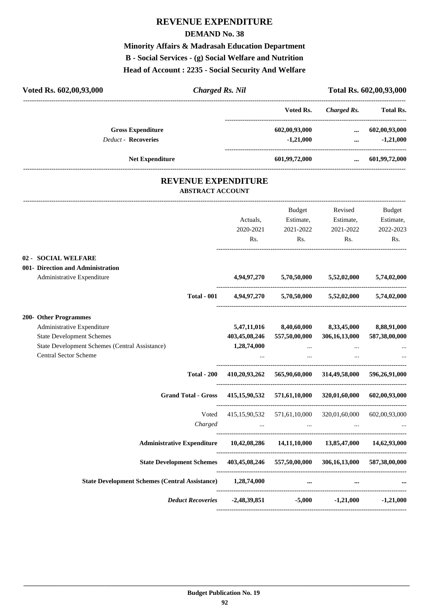#### **DEMAND No. 38**

**Minority Affairs & Madrasah Education Department B - Social Services - (g) Social Welfare and Nutrition Head of Account : 2235 - Social Security And Welfare**

| Voted Rs. 602,00,93,000                                                            | <b>Charged Rs. Nil</b>                                        |                                                                                                                 |                             | Total Rs. 602,00,93,000 |
|------------------------------------------------------------------------------------|---------------------------------------------------------------|-----------------------------------------------------------------------------------------------------------------|-----------------------------|-------------------------|
|                                                                                    |                                                               | Voted Rs.                                                                                                       | Charged Rs.                 | <b>Total Rs.</b>        |
| <b>Gross Expenditure</b>                                                           |                                                               | 602,00,93,000                                                                                                   | $\cdots$                    | 602,00,93,000           |
| <b>Deduct - Recoveries</b>                                                         |                                                               | $-1,21,000$                                                                                                     | $\cdots$                    | $-1,21,000$             |
| <b>Net Expenditure</b>                                                             |                                                               | 601,99,72,000                                                                                                   |                             | 601,99,72,000           |
| <b>REVENUE EXPENDITURE</b><br><b>ABSTRACT ACCOUNT</b>                              |                                                               |                                                                                                                 |                             |                         |
|                                                                                    |                                                               | Budget                                                                                                          | Revised                     | Budget                  |
|                                                                                    | Actuals,                                                      | Estimate,                                                                                                       | Estimate,                   | Estimate,               |
|                                                                                    | 2020-2021                                                     | 2021-2022                                                                                                       | 2021-2022                   | 2022-2023               |
|                                                                                    | Rs.                                                           | Rs.                                                                                                             | Rs.                         | Rs.                     |
| 02 - SOCIAL WELFARE                                                                |                                                               |                                                                                                                 |                             |                         |
| 001- Direction and Administration                                                  |                                                               |                                                                                                                 |                             |                         |
| Administrative Expenditure                                                         | 4,94,97,270                                                   | 5,70,50,000                                                                                                     | 5,52,02,000                 | 5,74,02,000             |
| <b>Total - 001</b>                                                                 | 4,94,97,270                                                   |                                                                                                                 | $5,70,50,000$ $5,52,02,000$ | 5,74,02,000             |
| 200- Other Programmes                                                              |                                                               |                                                                                                                 |                             |                         |
| Administrative Expenditure                                                         | 5,47,11,016                                                   | 8,40,60,000                                                                                                     | 8,33,45,000                 | 8,88,91,000             |
| <b>State Development Schemes</b>                                                   | 403,45,08,246                                                 | 557,50,00,000                                                                                                   | 306,16,13,000               | 587,38,00,000           |
| State Development Schemes (Central Assistance)                                     | 1,28,74,000                                                   | $\cdots$                                                                                                        |                             |                         |
| <b>Central Sector Scheme</b>                                                       |                                                               | $\cdots$                                                                                                        |                             |                         |
| <b>Total - 200</b>                                                                 | 410,20,93,262                                                 |                                                                                                                 | 565,90,60,000 314,49,58,000 | 596,26,91,000           |
| <b>Grand Total - Gross</b>                                                         | 415, 15, 90, 532                                              | 571,61,10,000                                                                                                   | 320,01,60,000               | 602,00,93,000           |
|                                                                                    | Voted 415,15,90,532 571,61,10,000 320,01,60,000 602,00,93,000 |                                                                                                                 |                             |                         |
| Charged                                                                            |                                                               | the contract of the contract of the contract of the contract of the contract of the contract of the contract of |                             |                         |
|                                                                                    |                                                               |                                                                                                                 |                             |                         |
| Administrative Expenditure  10,42,08,286  14,11,10,000  13,85,47,000  14,62,93,000 |                                                               |                                                                                                                 |                             |                         |
| State Development Schemes 403,45,08,246 557,50,00,000 306,16,13,000 587,38,00,000  |                                                               |                                                                                                                 |                             |                         |
| State Development Schemes (Central Assistance) 1,28,74,000                         |                                                               | $\cdots$                                                                                                        | $\cdots$                    |                         |
|                                                                                    | Deduct Recoveries -2,48,39,851                                |                                                                                                                 | $-5,000$ $-1,21,000$        | $-1,21,000$             |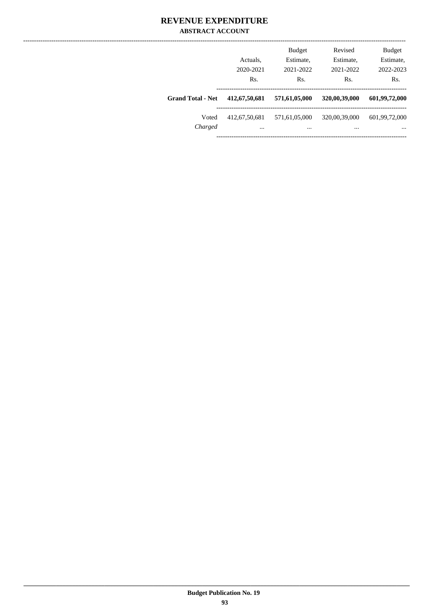#### **REVENUE EXPENDITURE ABSTRACT ACCOUNT**

|                          | Actuals.<br>2020-2021<br>Rs. | <b>Budget</b><br>Estimate,<br>2021-2022<br>Rs. | Revised<br>Estimate,<br>2021-2022<br>Rs. | <b>Budget</b><br>Estimate,<br>2022-2023<br>Rs. |
|--------------------------|------------------------------|------------------------------------------------|------------------------------------------|------------------------------------------------|
| <b>Grand Total - Net</b> | 412,67,50,681                | 571,61,05,000                                  | 320,00,39,000                            | 601,99,72,000                                  |
| Voted<br>Charged         | 412,67,50,681<br>$\cdots$    | 571,61,05,000<br>$\cdots$                      | 320,00,39,000<br>                        | 601,99,72,000<br>$\cdots$                      |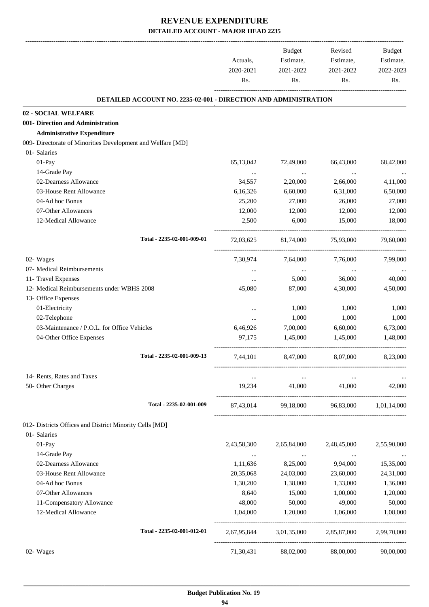-------------------------------------------------------------------------------------------------------------------------------------------------------------------------------

|                                                                 | Actuals,<br>2020-2021<br>Rs. | <b>Budget</b><br>Estimate,<br>2021-2022<br>Rs. | Revised<br>Estimate,<br>2021-2022<br>Rs.  | <b>Budget</b><br>Estimate,<br>2022-2023<br>Rs. |
|-----------------------------------------------------------------|------------------------------|------------------------------------------------|-------------------------------------------|------------------------------------------------|
| DETAILED ACCOUNT NO. 2235-02-001 - DIRECTION AND ADMINISTRATION |                              |                                                |                                           |                                                |
| 02 - SOCIAL WELFARE                                             |                              |                                                |                                           |                                                |
| 001- Direction and Administration                               |                              |                                                |                                           |                                                |
| <b>Administrative Expenditure</b>                               |                              |                                                |                                           |                                                |
| 009- Directorate of Minorities Development and Welfare [MD]     |                              |                                                |                                           |                                                |
| 01- Salaries                                                    |                              |                                                |                                           |                                                |
| 01-Pay                                                          | 65,13,042                    | 72,49,000                                      | 66,43,000                                 | 68,42,000                                      |
| 14-Grade Pay                                                    | $\cdots$                     | $\ldots$                                       | $\cdots$                                  | $\cdots$                                       |
| 02-Dearness Allowance                                           | 34,557                       | 2,20,000                                       | 2,66,000                                  | 4,11,000                                       |
| 03-House Rent Allowance                                         | 6,16,326                     | 6,60,000                                       | 6,31,000                                  | 6,50,000                                       |
| 04-Ad hoc Bonus                                                 | 25,200                       | 27,000                                         | 26,000                                    | 27,000                                         |
| 07-Other Allowances                                             | 12,000                       | 12,000                                         | 12,000                                    | 12,000                                         |
| 12-Medical Allowance                                            | 2,500                        | 6,000                                          | 15,000                                    | 18,000                                         |
| Total - 2235-02-001-009-01                                      | 72,03,625                    | 81,74,000                                      | 75,93,000                                 | 79,60,000                                      |
| 02- Wages                                                       | 7,30,974                     | 7,64,000                                       | 7,76,000                                  | 7,99,000                                       |
| 07- Medical Reimbursements                                      | $\cdots$                     | $\cdots$                                       | $\cdots$                                  |                                                |
| 11- Travel Expenses                                             | $\cdots$                     | 5,000                                          | 36,000                                    | 40,000                                         |
| 12- Medical Reimbursements under WBHS 2008                      | 45,080                       | 87,000                                         | 4,30,000                                  | 4,50,000                                       |
| 13- Office Expenses                                             |                              |                                                |                                           |                                                |
| 01-Electricity                                                  | $\cdots$                     | 1,000                                          | 1,000                                     | 1,000                                          |
| 02-Telephone                                                    | $\cdots$                     | 1,000                                          | 1,000                                     | 1,000                                          |
| 03-Maintenance / P.O.L. for Office Vehicles                     | 6,46,926                     | 7,00,000                                       | 6,60,000                                  | 6,73,000                                       |
| 04-Other Office Expenses                                        | 97,175                       | 1,45,000                                       | 1,45,000                                  | 1,48,000                                       |
| Total - 2235-02-001-009-13                                      | 7,44,101                     | 8,47,000                                       | 8,07,000                                  | 8,23,000                                       |
| 14- Rents, Rates and Taxes                                      | $\cdots$                     | $\cdots$                                       | $\cdots$                                  |                                                |
| 50- Other Charges                                               | 19,234                       | 41,000                                         | 41,000                                    | 42,000                                         |
| Total - 2235-02-001-009                                         |                              |                                                | 87,43,014 99,18,000 96,83,000 1,01,14,000 |                                                |
| 012- Districts Offices and District Minority Cells [MD]         |                              |                                                |                                           |                                                |
| 01- Salaries                                                    |                              |                                                |                                           |                                                |
| 01-Pay                                                          | 2,43,58,300                  | 2,65,84,000                                    | 2,48,45,000                               | 2,55,90,000                                    |
| 14-Grade Pay                                                    | $\cdots$                     | $\cdots$                                       | $\ldots$                                  |                                                |
| 02-Dearness Allowance                                           | 1,11,636                     | 8,25,000                                       | 9,94,000                                  | 15,35,000                                      |
| 03-House Rent Allowance                                         | 20,35,068                    | 24,03,000                                      | 23,60,000                                 | 24,31,000                                      |
| 04-Ad hoc Bonus                                                 | 1,30,200                     | 1,38,000                                       | 1,33,000                                  | 1,36,000                                       |
| 07-Other Allowances                                             | 8,640                        | 15,000                                         | 1,00,000                                  | 1,20,000                                       |
| 11-Compensatory Allowance                                       | 48,000                       | 50,000                                         | 49,000                                    | 50,000                                         |
| 12-Medical Allowance                                            | 1,04,000                     | 1,20,000                                       | 1,06,000                                  | 1,08,000                                       |
| Total - 2235-02-001-012-01                                      | 2,67,95,844                  | 3,01,35,000                                    | 2,85,87,000                               | 2,99,70,000                                    |
| 02- Wages                                                       | 71,30,431                    | 88,02,000                                      | 88,00,000                                 | 90,00,000                                      |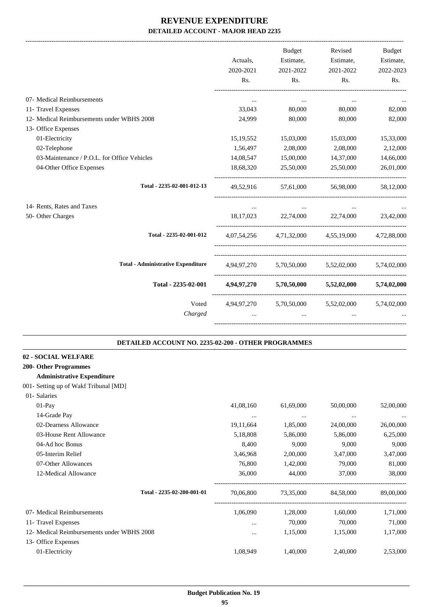-------------------------------------------------------------------------------------------------------------------------------------------------------------------------------

|                                                     | Actuals,<br>2020-2021 | <b>Budget</b><br>Estimate,<br>2021-2022 | Revised<br>Estimate,<br>2021-2022               | <b>Budget</b><br>Estimate,<br>2022-2023 |
|-----------------------------------------------------|-----------------------|-----------------------------------------|-------------------------------------------------|-----------------------------------------|
|                                                     | R <sub>s</sub> .      | Rs.                                     | Rs.                                             | Rs.                                     |
| 07- Medical Reimbursements                          | $\cdots$              | $\cdots$                                | $\cdots$                                        |                                         |
| 11- Travel Expenses                                 | 33,043                | 80,000                                  | 80,000                                          | 82,000                                  |
| 12- Medical Reimbursements under WBHS 2008          | 24,999                | 80,000                                  | 80,000                                          | 82,000                                  |
| 13- Office Expenses                                 |                       |                                         |                                                 |                                         |
| 01-Electricity                                      | 15, 19, 552           | 15,03,000                               | 15,03,000                                       | 15,33,000                               |
| 02-Telephone                                        | 1,56,497              | 2,08,000                                | 2,08,000                                        | 2,12,000                                |
| 03-Maintenance / P.O.L. for Office Vehicles         | 14,08,547             | 15,00,000                               | 14,37,000                                       | 14,66,000                               |
| 04-Other Office Expenses                            | 18,68,320             | 25,50,000                               | 25,50,000                                       | 26,01,000                               |
| Total - 2235-02-001-012-13                          | 49,52,916             |                                         | 57.61.000 56.98.000                             | 58,12,000                               |
| 14- Rents, Rates and Taxes                          | $\cdots$              | $\ddotsc$                               | $\cdots$                                        |                                         |
| 50- Other Charges                                   | 18,17,023             | 22,74,000                               | 22,74,000                                       | 23,42,000                               |
| Total - 2235-02-001-012                             |                       |                                         | 4,07,54,256 4,71,32,000 4,55,19,000 4,72,88,000 |                                         |
| <b>Total - Administrative Expenditure</b>           |                       |                                         | 4,94,97,270 5,70,50,000 5,52,02,000 5,74,02,000 |                                         |
| Total - 2235-02-001                                 |                       |                                         | $4,94,97,270$ $5,70,50,000$ $5,52,02,000$       | 5,74,02,000                             |
| Voted                                               |                       |                                         | 4,94,97,270 5,70,50,000 5,52,02,000 5,74,02,000 |                                         |
| Charged                                             | $\cdots$              | $\cdots$                                |                                                 |                                         |
| DETAILED ACCOUNT NO. 2235-02-200 - OTHER PROGRAMMES |                       |                                         |                                                 |                                         |

| 02 - SOCIAL WELFARE   |
|-----------------------|
| 200- Other Programmes |

## **Administrative Expenditure**

001- Setting up of Wakf Tribunal [MD]

| 01- Salaries                               |           |           |           |           |
|--------------------------------------------|-----------|-----------|-----------|-----------|
| $01-Pav$                                   | 41,08,160 | 61,69,000 | 50,00,000 | 52,00,000 |
| 14-Grade Pay                               | $\cdots$  | $\cdots$  | $\cdots$  | $\cdots$  |
| 02-Dearness Allowance                      | 19,11,664 | 1,85,000  | 24,00,000 | 26,00,000 |
| 03-House Rent Allowance                    | 5,18,808  | 5,86,000  | 5,86,000  | 6,25,000  |
| 04-Ad hoc Bonus                            | 8,400     | 9,000     | 9,000     | 9,000     |
| 05-Interim Relief                          | 3,46,968  | 2,00,000  | 3,47,000  | 3,47,000  |
| 07-Other Allowances                        | 76,800    | 1,42,000  | 79,000    | 81,000    |
| 12-Medical Allowance                       | 36,000    | 44,000    | 37,000    | 38,000    |
| Total - 2235-02-200-001-01                 | 70,06,800 | 73,35,000 | 84,58,000 | 89,00,000 |
| 07- Medical Reimbursements                 | 1,06,090  | 1,28,000  | 1,60,000  | 1,71,000  |
| 11- Travel Expenses                        | $\cdots$  | 70,000    | 70,000    | 71,000    |
| 12- Medical Reimbursements under WBHS 2008 | $\cdots$  | 1,15,000  | 1,15,000  | 1,17,000  |
| 13- Office Expenses                        |           |           |           |           |
| 01-Electricity                             | 1,08,949  | 1,40,000  | 2,40,000  | 2,53,000  |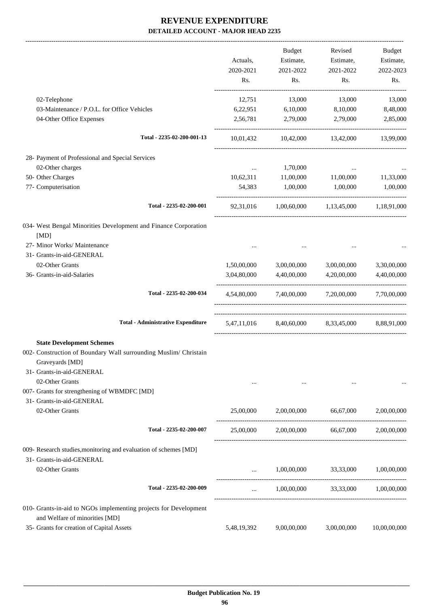|                                                                                                    |             | <b>Budget</b> | Revised                                                 | <b>Budget</b> |
|----------------------------------------------------------------------------------------------------|-------------|---------------|---------------------------------------------------------|---------------|
|                                                                                                    | Actuals,    | Estimate,     | Estimate,                                               | Estimate,     |
|                                                                                                    | 2020-2021   | 2021-2022     | 2021-2022                                               | 2022-2023     |
|                                                                                                    | Rs.         | Rs.           | Rs.                                                     | Rs.           |
| 02-Telephone                                                                                       | 12,751      | 13,000        | 13,000                                                  | 13,000        |
| 03-Maintenance / P.O.L. for Office Vehicles                                                        | 6,22,951    | 6,10,000      | 8,10,000                                                | 8,48,000      |
| 04-Other Office Expenses                                                                           | 2,56,781    | 2,79,000      | 2,79,000                                                | 2,85,000      |
| Total - 2235-02-200-001-13                                                                         | 10,01,432   |               | 10,42,000 13,42,000 13,99,000                           |               |
| 28- Payment of Professional and Special Services                                                   |             |               |                                                         |               |
| 02-Other charges                                                                                   | $\cdots$    | 1,70,000      | $\cdots$                                                |               |
| 50- Other Charges                                                                                  | 10,62,311   | 11,00,000     | 11,00,000                                               | 11,33,000     |
| 77- Computerisation                                                                                | 54,383      | 1,00,000      | 1,00,000                                                | 1,00,000      |
| Total - 2235-02-200-001                                                                            |             |               | 92,31,016 1,00,60,000 1,13,45,000 1,18,91,000           |               |
| 034- West Bengal Minorities Development and Finance Corporation                                    |             |               |                                                         |               |
| [MD]                                                                                               |             |               |                                                         |               |
| 27- Minor Works/ Maintenance                                                                       |             |               |                                                         |               |
| 31- Grants-in-aid-GENERAL                                                                          |             |               |                                                         |               |
| 02-Other Grants                                                                                    | 1,50,00,000 | 3,00,00,000   | 3,00,00,000                                             | 3,30,00,000   |
| 36- Grants-in-aid-Salaries                                                                         | 3,04,80,000 | 4,40,00,000   | 4,20,00,000                                             | 4,40,00,000   |
| Total - 2235-02-200-034                                                                            |             |               | $4,54,80,000$ $7,40,00,000$ $7,20,00,000$ $7,70,00,000$ |               |
| <b>Total - Administrative Expenditure</b>                                                          |             |               | 5,47,11,016 8,40,60,000 8,33,45,000 8,88,91,000         |               |
| <b>State Development Schemes</b>                                                                   |             |               |                                                         |               |
| 002- Construction of Boundary Wall surrounding Muslim/ Christain                                   |             |               |                                                         |               |
| Graveyards [MD]                                                                                    |             |               |                                                         |               |
| 31- Grants-in-aid-GENERAL                                                                          |             |               |                                                         |               |
| 02-Other Grants                                                                                    |             |               | $\cdots$                                                |               |
| 007- Grants for strengthening of WBMDFC [MD]                                                       |             |               |                                                         |               |
| 31- Grants-in-aid-GENERAL                                                                          |             |               |                                                         |               |
| 02-Other Grants                                                                                    | 25,00,000   |               | 2,00,00,000 66,67,000                                   | 2,00,00,000   |
| Total - 2235-02-200-007                                                                            |             |               | 25,00,000 2,00,00,000 66,67,000 2,00,00,000             |               |
| 009- Research studies, monitoring and evaluation of schemes [MD]                                   |             |               |                                                         |               |
| 31- Grants-in-aid-GENERAL                                                                          |             |               |                                                         |               |
| 02-Other Grants                                                                                    |             |               | 1,00,00,000 33,33,000                                   | 1,00,00,000   |
| Total - 2235-02-200-009                                                                            |             |               | $1,00,00,000$ $33,33,000$ $1,00,00,000$                 |               |
| 010- Grants-in-aid to NGOs implementing projects for Development<br>and Welfare of minorities [MD] |             |               |                                                         |               |
| 35- Grants for creation of Capital Assets                                                          | 5,48,19,392 | 9,00,00,000   | 3,00,00,000                                             | 10,00,00,000  |
|                                                                                                    |             |               |                                                         |               |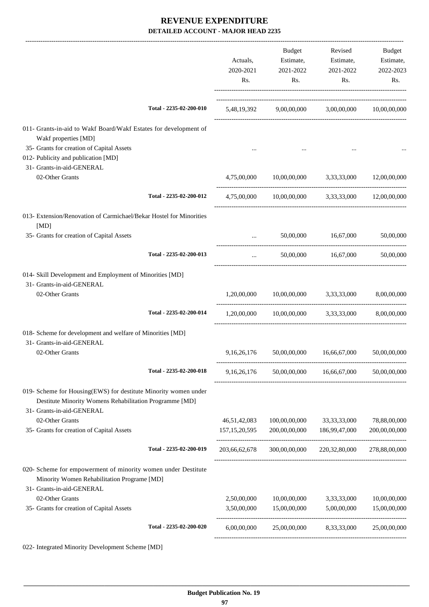|                                                                                                                                                         |                         | Actuals,<br>2020-2021<br>Rs. | Budget<br>Estimate,<br>2021-2022<br>Rs.                  | Revised<br>Estimate,<br>2021-2022<br>Rs. | Budget<br>Estimate,<br>2022-2023<br>Rs. |
|---------------------------------------------------------------------------------------------------------------------------------------------------------|-------------------------|------------------------------|----------------------------------------------------------|------------------------------------------|-----------------------------------------|
|                                                                                                                                                         | Total - 2235-02-200-010 |                              | 5,48,19,392 9,00,00,000 3,00,00,000 10,00,00,000         |                                          |                                         |
| 011- Grants-in-aid to Wakf Board/Wakf Estates for development of<br>Wakf properties [MD]                                                                |                         |                              |                                                          |                                          |                                         |
| 35- Grants for creation of Capital Assets<br>012- Publicity and publication [MD]                                                                        |                         |                              |                                                          |                                          |                                         |
| 31- Grants-in-aid-GENERAL<br>02-Other Grants                                                                                                            |                         | 4,75,00,000                  | 10,00,00,000 3,33,33,000 12,00,00,000                    |                                          |                                         |
|                                                                                                                                                         | Total - 2235-02-200-012 |                              | 4,75,00,000 10,00,00,000 3,33,33,000 12,00,00,000        |                                          |                                         |
| 013- Extension/Renovation of Carmichael/Bekar Hostel for Minorities<br>[MD]                                                                             |                         |                              |                                                          |                                          |                                         |
| 35- Grants for creation of Capital Assets                                                                                                               |                         | $\cdots$                     |                                                          | 50,00,000 16,67,000                      | 50,00,000                               |
|                                                                                                                                                         | Total - 2235-02-200-013 | $\cdots$                     | 50,00,000                                                | 16,67,000                                | 50,00,000                               |
| 014- Skill Development and Employment of Minorities [MD]<br>31- Grants-in-aid-GENERAL                                                                   |                         |                              |                                                          |                                          |                                         |
| 02-Other Grants                                                                                                                                         |                         | 1,20,00,000                  | 10,00,00,000 3,33,33,000                                 |                                          | 8,00,00,000                             |
|                                                                                                                                                         | Total - 2235-02-200-014 |                              | $1,20,00,000$ $10,00,00,000$ $3,33,33,000$ $8,00,00,000$ |                                          |                                         |
| 018- Scheme for development and welfare of Minorities [MD]<br>31- Grants-in-aid-GENERAL                                                                 |                         |                              |                                                          |                                          |                                         |
| 02-Other Grants                                                                                                                                         |                         | 9,16,26,176                  | 50,00,00,000                                             | 16,66,67,000                             | 50,00,00,000                            |
|                                                                                                                                                         | Total - 2235-02-200-018 | 9,16,26,176                  | 50,00,00,000                                             | 16,66,67,000                             | 50,00,00,000                            |
| 019- Scheme for Housing(EWS) for destitute Minority women under<br>Destitute Minority Womens Rehabilitation Programme [MD]<br>31- Grants-in-aid-GENERAL |                         |                              |                                                          |                                          |                                         |
| 02-Other Grants                                                                                                                                         |                         | 46,51,42,083                 | 100,00,00,000                                            | 33, 33, 33, 000                          | 78,88,00,000                            |
| 35- Grants for creation of Capital Assets                                                                                                               |                         | 157, 15, 20, 595             | 200,00,00,000                                            | 186,99,47,000                            | 200,00,00,000                           |
|                                                                                                                                                         | Total - 2235-02-200-019 | 203,66,62,678                |                                                          | 300,00,00,000 220,32,80,000              | 278,88,00,000                           |
| 020- Scheme for empowerment of minority women under Destitute<br>Minority Women Rehabilitation Programe [MD]<br>31- Grants-in-aid-GENERAL               |                         |                              |                                                          |                                          |                                         |
| 02-Other Grants                                                                                                                                         |                         | 2,50,00,000                  | 10,00,00,000                                             | 3,33,33,000                              | 10,00,00,000                            |
| 35- Grants for creation of Capital Assets                                                                                                               |                         | 3,50,00,000                  | 15,00,00,000                                             | 5,00,00,000                              | 15,00,00,000                            |
|                                                                                                                                                         | Total - 2235-02-200-020 | 6,00,00,000                  | 25,00,00,000                                             | 8,33,33,000                              | 25,00,00,000                            |
|                                                                                                                                                         |                         |                              |                                                          |                                          |                                         |

022- Integrated Minority Development Scheme [MD]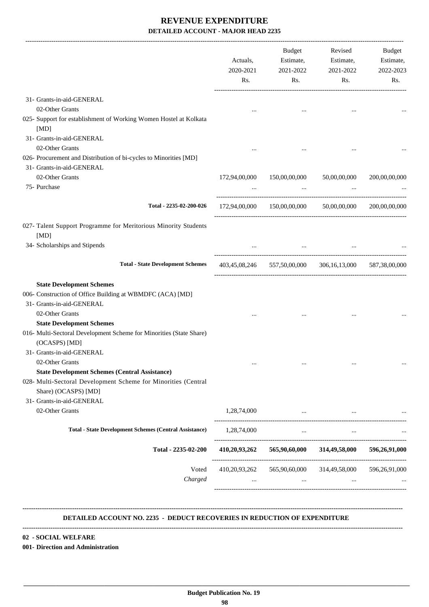|                                                                                      | Actuals,<br>2020-2021<br>Rs. | Budget<br>Estimate,<br>2021-2022<br>Rs.                 | Revised<br>Estimate,<br>2021-2022<br>Rs.         | Budget<br>Estimate,<br>2022-2023<br>Rs. |
|--------------------------------------------------------------------------------------|------------------------------|---------------------------------------------------------|--------------------------------------------------|-----------------------------------------|
| 31- Grants-in-aid-GENERAL                                                            |                              |                                                         |                                                  |                                         |
| 02-Other Grants                                                                      |                              |                                                         | $\cdots$                                         |                                         |
| 025- Support for establishment of Working Women Hostel at Kolkata                    |                              |                                                         |                                                  |                                         |
| [MD]<br>31- Grants-in-aid-GENERAL                                                    |                              |                                                         |                                                  |                                         |
| 02-Other Grants                                                                      |                              |                                                         |                                                  |                                         |
| 026- Procurement and Distribution of bi-cycles to Minorities [MD]                    |                              |                                                         |                                                  |                                         |
| 31- Grants-in-aid-GENERAL                                                            |                              |                                                         |                                                  |                                         |
| 02-Other Grants                                                                      | 172,94,00,000                |                                                         | 150,00,00,000 50,00,00,000                       | 200,00,00,000                           |
| 75- Purchase                                                                         |                              |                                                         |                                                  |                                         |
|                                                                                      |                              |                                                         | <b>Second Contract Contract</b>                  |                                         |
| Total - 2235-02-200-026                                                              |                              | 172,94,00,000 150,00,00,000 50,00,00,000                |                                                  | 200,00,00,000                           |
| 027- Talent Support Programme for Meritorious Minority Students                      |                              |                                                         |                                                  |                                         |
| [MD]                                                                                 |                              |                                                         |                                                  |                                         |
| 34- Scholarships and Stipends                                                        |                              | $\sim$ 1000 $\mu$                                       |                                                  |                                         |
| <b>Total - State Development Schemes</b>                                             |                              | 403,45,08,246 557,50,00,000 306,16,13,000               |                                                  | 587,38,00,000                           |
| <b>State Development Schemes</b>                                                     |                              |                                                         |                                                  |                                         |
| 006- Construction of Office Building at WBMDFC (ACA) [MD]                            |                              |                                                         |                                                  |                                         |
| 31- Grants-in-aid-GENERAL                                                            |                              |                                                         |                                                  |                                         |
| 02-Other Grants                                                                      |                              |                                                         |                                                  |                                         |
| <b>State Development Schemes</b>                                                     |                              |                                                         |                                                  |                                         |
| 016- Multi-Sectoral Development Scheme for Minorities (State Share)<br>(OCASPS) [MD] |                              |                                                         |                                                  |                                         |
| 31- Grants-in-aid-GENERAL                                                            |                              |                                                         |                                                  |                                         |
| 02-Other Grants                                                                      |                              |                                                         |                                                  |                                         |
| <b>State Development Schemes (Central Assistance)</b>                                |                              |                                                         |                                                  |                                         |
| 028- Multi-Sectoral Development Scheme for Minorities (Central                       |                              |                                                         |                                                  |                                         |
| Share) (OCASPS) [MD]                                                                 |                              |                                                         |                                                  |                                         |
| 31- Grants-in-aid-GENERAL                                                            |                              |                                                         |                                                  |                                         |
| 02-Other Grants                                                                      | 1,28,74,000                  | the control of the control of the                       |                                                  |                                         |
| <b>Total - State Development Schemes (Central Assistance)</b>                        |                              | $1,28,74,000$                                           | $\cdots$                                         |                                         |
| Total - 2235-02-200                                                                  |                              | 410,20,93,262 565,90,60,000 314,49,58,000 596,26,91,000 |                                                  |                                         |
| Voted<br>Charged                                                                     |                              | 410,20,93,262 565,90,60,000 314,49,58,000 596,26,91,000 | and the state of the<br><b>Contract Contract</b> |                                         |

#### **DETAILED ACCOUNT NO. 2235 - DEDUCT RECOVERIES IN REDUCTION OF EXPENDITURE**

**--------------------------------------------------------------------------------------------------------------------------------------------------------------------------------**

 **\_\_\_\_\_\_\_\_\_\_\_\_\_\_\_\_\_\_\_\_\_\_\_\_\_\_\_\_\_\_\_\_\_\_\_\_\_\_\_\_\_\_\_\_\_\_\_\_\_\_\_\_\_\_\_\_\_\_\_\_\_\_\_\_\_\_\_\_\_\_\_\_\_\_\_\_\_\_\_\_\_\_\_\_\_\_\_\_\_\_\_\_\_\_\_\_\_\_\_\_\_\_\_\_\_\_\_\_\_\_\_\_\_\_\_\_\_\_\_**

**--------------------------------------------------------------------------------------------------------------------------------------------------------------------------------**

**02 - SOCIAL WELFARE**

**001- Direction and Administration**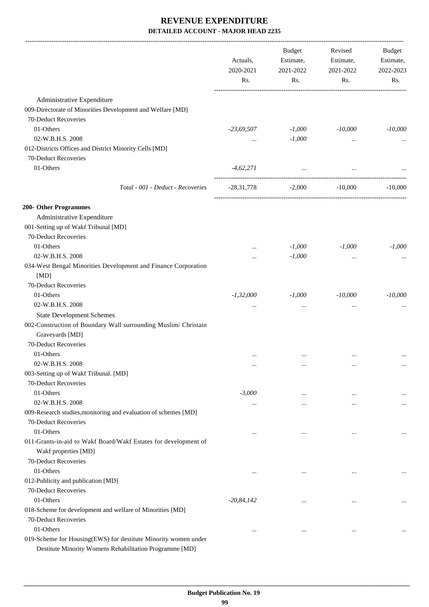|                                                                                                                           | Actuals,<br>2020-2021<br>Rs. | Budget<br>Estimate,<br>2021-2022<br>Rs. | Revised<br>Estimate,<br>2021-2022<br>Rs. | Budget<br>Estimate,<br>2022-2023<br>Rs. |
|---------------------------------------------------------------------------------------------------------------------------|------------------------------|-----------------------------------------|------------------------------------------|-----------------------------------------|
| Administrative Expenditure                                                                                                |                              |                                         |                                          |                                         |
| 009-Directorate of Minorities Development and Welfare [MD]                                                                |                              |                                         |                                          |                                         |
| 70-Deduct Recoveries                                                                                                      |                              |                                         |                                          |                                         |
| 01-Others                                                                                                                 | $-23,69,507$                 | $-1,000$                                | $-10,000$                                | $-10,000$                               |
| 02-W.B.H.S. 2008                                                                                                          |                              | $-1,000$                                |                                          |                                         |
| 012-Districts Offices and District Minority Cells [MD]                                                                    | $\cdots$                     |                                         | $\cdots$                                 |                                         |
| 70-Deduct Recoveries                                                                                                      |                              |                                         |                                          |                                         |
| 01-Others                                                                                                                 | $-4,62,271$                  | $\cdots$                                |                                          |                                         |
|                                                                                                                           |                              |                                         | $\cdots$                                 |                                         |
| Total - 001 - Deduct - Recoveries                                                                                         | -28,31,778                   |                                         | $-2,000$ $-10,000$                       | $-10,000$                               |
| 200- Other Programmes                                                                                                     |                              |                                         |                                          |                                         |
| Administrative Expenditure                                                                                                |                              |                                         |                                          |                                         |
| 001-Setting up of Wakf Tribunal [MD]                                                                                      |                              |                                         |                                          |                                         |
| 70-Deduct Recoveries                                                                                                      |                              |                                         |                                          |                                         |
| 01-Others                                                                                                                 | $\ddotsc$                    | $-1,000$                                | $-1,000$                                 | $-1,000$                                |
| 02-W.B.H.S. 2008                                                                                                          |                              | $-1,000$                                | $\cdots$                                 |                                         |
| 034-West Bengal Minorities Development and Finance Corporation                                                            |                              |                                         |                                          |                                         |
| [MD]                                                                                                                      |                              |                                         |                                          |                                         |
| 70-Deduct Recoveries                                                                                                      |                              |                                         |                                          |                                         |
| 01-Others                                                                                                                 | $-1,32,000$                  | $-1,000$                                | $-10,000$                                | $-10,000$                               |
| 02-W.B.H.S. 2008                                                                                                          | $\cdots$                     | $\cdots$                                | $\cdots$                                 |                                         |
| <b>State Development Schemes</b>                                                                                          |                              |                                         |                                          |                                         |
| 002-Construction of Boundary Wall surrounding Muslim/ Christain                                                           |                              |                                         |                                          |                                         |
| Graveyards [MD]                                                                                                           |                              |                                         |                                          |                                         |
| 70-Deduct Recoveries                                                                                                      |                              |                                         |                                          |                                         |
| 01-Others                                                                                                                 | $\cdots$                     | $\cdots$                                | $\cdots$                                 |                                         |
| 02-W.B.H.S. 2008                                                                                                          | $\cdots$                     | $\cdots$                                | $\cdots$                                 | $\cdots$                                |
| 003-Setting up of Wakf Tribunal. [MD]                                                                                     |                              |                                         |                                          |                                         |
| 70-Deduct Recoveries                                                                                                      |                              |                                         |                                          |                                         |
| 01-Others                                                                                                                 | $-3,000$                     | $\cdots$                                | $\cdots$                                 | $\ddotsc$                               |
| 02-W.B.H.S. 2008                                                                                                          | $\cdots$                     | $\cdots$                                | $\cdots$                                 | $\cdots$                                |
| 009-Research studies, monitoring and evaluation of schemes [MD]                                                           |                              |                                         |                                          |                                         |
| 70-Deduct Recoveries                                                                                                      |                              |                                         |                                          |                                         |
| 01-Others                                                                                                                 |                              | $\ddotsc$                               | $\cdots$                                 |                                         |
| 011-Grants-in-aid to Wakf Board/Wakf Estates for development of                                                           |                              |                                         |                                          |                                         |
| Wakf properties [MD]                                                                                                      |                              |                                         |                                          |                                         |
| 70-Deduct Recoveries                                                                                                      |                              |                                         |                                          |                                         |
| 01-Others                                                                                                                 | $\ddotsc$                    | $\cdots$                                | $\cdots$                                 | $\ldots$                                |
| 012-Publicity and publication [MD]                                                                                        |                              |                                         |                                          |                                         |
| 70-Deduct Recoveries                                                                                                      |                              |                                         |                                          |                                         |
| 01-Others                                                                                                                 | $-20, 84, 142$               | $\cdots$                                | $\cdots$                                 |                                         |
| 018-Scheme for development and welfare of Minorities [MD]                                                                 |                              |                                         |                                          |                                         |
| 70-Deduct Recoveries                                                                                                      |                              |                                         |                                          |                                         |
| 01-Others                                                                                                                 |                              | $\ddotsc$                               | $\cdots$                                 | $\ldots$                                |
| 019-Scheme for Housing(EWS) for destitute Minority women under<br>Destitute Minority Womens Rehabilitation Programme [MD] |                              |                                         |                                          |                                         |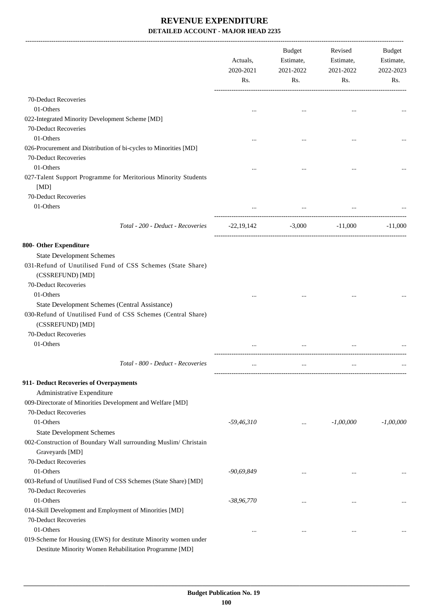|                                                                                                                                    | Actuals,<br>2020-2021<br>Rs. | Budget<br>Estimate,<br>2021-2022<br>Rs.                  | Revised<br>Estimate,<br>2021-2022<br>Rs. | Budget<br>Estimate,<br>2022-2023<br>Rs. |
|------------------------------------------------------------------------------------------------------------------------------------|------------------------------|----------------------------------------------------------|------------------------------------------|-----------------------------------------|
| 70-Deduct Recoveries                                                                                                               |                              |                                                          |                                          |                                         |
| 01-Others                                                                                                                          |                              |                                                          |                                          |                                         |
| 022-Integrated Minority Development Scheme [MD]                                                                                    |                              |                                                          |                                          |                                         |
| 70-Deduct Recoveries                                                                                                               |                              |                                                          |                                          |                                         |
| 01-Others                                                                                                                          |                              |                                                          |                                          |                                         |
| 026-Procurement and Distribution of bi-cycles to Minorities [MD]                                                                   |                              |                                                          |                                          |                                         |
| 70-Deduct Recoveries<br>01-Others                                                                                                  |                              |                                                          |                                          |                                         |
| 027-Talent Support Programme for Meritorious Minority Students                                                                     |                              |                                                          |                                          |                                         |
| [MD]                                                                                                                               |                              |                                                          |                                          |                                         |
| 70-Deduct Recoveries                                                                                                               |                              |                                                          |                                          |                                         |
| 01-Others                                                                                                                          |                              |                                                          |                                          |                                         |
| Total - 200 - Deduct - Recoveries                                                                                                  | $-22,19,142$                 | -----------------<br>-----------------------<br>$-3,000$ | $-11,000$                                | $-11,000$                               |
| 800- Other Expenditure                                                                                                             |                              |                                                          |                                          |                                         |
| <b>State Development Schemes</b>                                                                                                   |                              |                                                          |                                          |                                         |
| 031-Refund of Unutilised Fund of CSS Schemes (State Share)<br>(CSSREFUND) [MD]                                                     |                              |                                                          |                                          |                                         |
| 70-Deduct Recoveries                                                                                                               |                              |                                                          |                                          |                                         |
| 01-Others                                                                                                                          |                              |                                                          |                                          |                                         |
| State Development Schemes (Central Assistance)<br>030-Refund of Unutilised Fund of CSS Schemes (Central Share)<br>(CSSREFUND) [MD] |                              |                                                          |                                          |                                         |
| 70-Deduct Recoveries                                                                                                               |                              |                                                          |                                          |                                         |
| 01-Others                                                                                                                          |                              |                                                          |                                          |                                         |
| Total - 800 - Deduct - Recoveries                                                                                                  |                              |                                                          |                                          |                                         |
| 911- Deduct Recoveries of Overpayments                                                                                             |                              |                                                          |                                          |                                         |
| Administrative Expenditure                                                                                                         |                              |                                                          |                                          |                                         |
| 009-Directorate of Minorities Development and Welfare [MD]                                                                         |                              |                                                          |                                          |                                         |
| 70-Deduct Recoveries                                                                                                               |                              |                                                          |                                          |                                         |
| 01-Others                                                                                                                          | $-59,46,310$                 |                                                          | $-1,00,000$                              | $-1,00,000$                             |
| <b>State Development Schemes</b>                                                                                                   |                              |                                                          |                                          |                                         |
| 002-Construction of Boundary Wall surrounding Muslim/ Christain<br>Graveyards [MD]                                                 |                              |                                                          |                                          |                                         |
| 70-Deduct Recoveries                                                                                                               |                              |                                                          |                                          |                                         |
| 01-Others                                                                                                                          | $-90,69,849$                 | $\cdots$                                                 | $\cdots$                                 |                                         |
| 003-Refund of Unutilised Fund of CSS Schemes (State Share) [MD]                                                                    |                              |                                                          |                                          |                                         |
| 70-Deduct Recoveries                                                                                                               |                              |                                                          |                                          |                                         |
| 01-Others                                                                                                                          | $-38,96,770$                 | $\cdots$                                                 |                                          |                                         |
| 014-Skill Development and Employment of Minorities [MD]                                                                            |                              |                                                          |                                          |                                         |
| 70-Deduct Recoveries                                                                                                               |                              |                                                          |                                          |                                         |
| 01-Others                                                                                                                          |                              | $\cdots$                                                 | $\cdots$                                 |                                         |
| 019-Scheme for Housing (EWS) for destitute Minority women under<br>Destitute Minority Women Rehabilitation Programme [MD]          |                              |                                                          |                                          |                                         |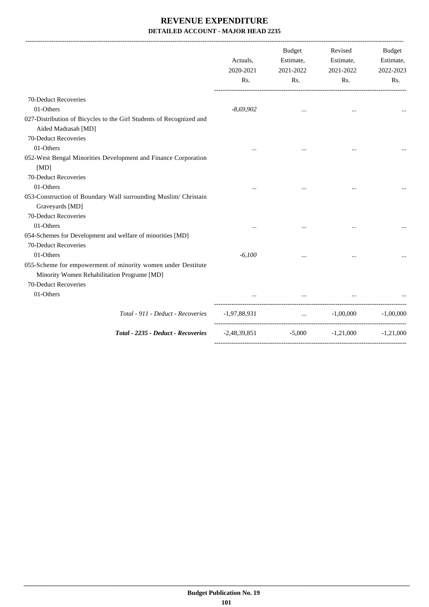|                                                                                                                                     | Actuals,<br>2020-2021<br>Rs. | <b>Budget</b><br>Estimate,<br>2021-2022<br>Rs. | Revised<br>Estimate,<br>2021-2022<br>Rs. | Budget<br>Estimate,<br>2022-2023<br>Rs. |
|-------------------------------------------------------------------------------------------------------------------------------------|------------------------------|------------------------------------------------|------------------------------------------|-----------------------------------------|
| 70-Deduct Recoveries                                                                                                                |                              |                                                |                                          |                                         |
| 01-Others                                                                                                                           | $-8,69,902$                  | $\ddotsc$                                      | $\ddotsc$                                |                                         |
| 027-Distribution of Bicycles to the Girl Students of Recognized and<br>Aided Madrasah [MD]                                          |                              |                                                |                                          |                                         |
| 70-Deduct Recoveries                                                                                                                |                              |                                                |                                          |                                         |
| 01-Others                                                                                                                           |                              |                                                |                                          |                                         |
| 052-West Bengal Minorities Development and Finance Corporation<br>[MD]                                                              |                              |                                                |                                          |                                         |
| 70-Deduct Recoveries                                                                                                                |                              |                                                |                                          |                                         |
| 01-Others                                                                                                                           |                              |                                                |                                          |                                         |
| 053-Construction of Boundary Wall surrounding Muslim/ Christain<br>Graveyards [MD]<br>70-Deduct Recoveries                          |                              |                                                |                                          |                                         |
| 01-Others                                                                                                                           |                              |                                                |                                          |                                         |
| 054-Schemes for Development and welfare of minorities [MD]<br>70-Deduct Recoveries                                                  |                              |                                                |                                          |                                         |
| 01-Others                                                                                                                           | $-6,100$                     |                                                |                                          |                                         |
| 055-Scheme for empowerment of minority women under Destitute<br>Minority Women Rehabilitation Programe [MD]<br>70-Deduct Recoveries |                              |                                                |                                          |                                         |
| 01-Others                                                                                                                           |                              |                                                |                                          |                                         |
|                                                                                                                                     |                              |                                                |                                          |                                         |
| Total - 911 - Deduct - Recoveries                                                                                                   | -1,97,88,931                 | <b>Contract Contract</b>                       | $-1,00,000$                              | $-1,00,000$                             |
| Total - 2235 - Deduct - Recoveries                                                                                                  | $-2,48,39,851$               | $-5,000$                                       | $-1,21,000$                              | $-1,21,000$                             |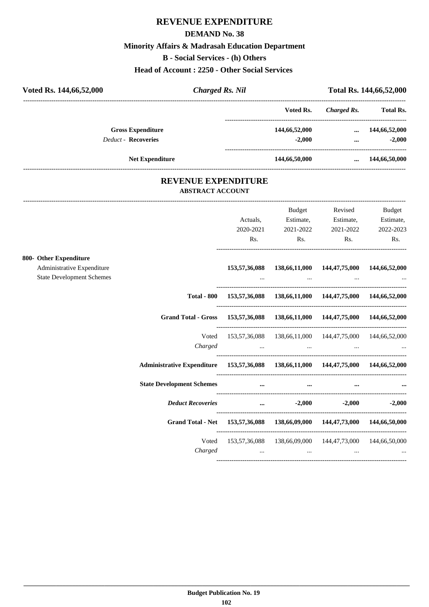#### **DEMAND No. 38**

### **Minority Affairs & Madrasah Education Department**

**B - Social Services - (h) Others**

**Head of Account : 2250 - Other Social Services** 

| Voted Rs. 144,66,52,000                                        | <b>Charged Rs. Nil</b>                                                             |               |                                                         |                  | Total Rs. 144,66,52,000 |
|----------------------------------------------------------------|------------------------------------------------------------------------------------|---------------|---------------------------------------------------------|------------------|-------------------------|
|                                                                |                                                                                    |               | Voted Rs.                                               | Charged Rs.      | Total Rs.               |
|                                                                | <b>Gross Expenditure</b>                                                           |               | 144,66,52,000                                           | $\cdots$         | 144,66,52,000           |
|                                                                | <b>Deduct - Recoveries</b>                                                         |               | $-2,000$                                                | $\cdots$         | $-2,000$                |
|                                                                | Net Expenditure                                                                    |               | 144,66,50,000                                           | $\cdots$         | 144,66,50,000           |
|                                                                | <b>REVENUE EXPENDITURE</b><br><b>ABSTRACT ACCOUNT</b>                              |               |                                                         |                  |                         |
|                                                                |                                                                                    |               | Budget                                                  | Revised          | Budget                  |
|                                                                |                                                                                    | Actuals,      | Estimate,                                               | Estimate,        | Estimate,               |
|                                                                |                                                                                    | 2020-2021     | 2021-2022                                               | 2021-2022        | 2022-2023               |
|                                                                |                                                                                    | Rs.           | Rs.                                                     | Rs.              | Rs.                     |
| 800- Other Expenditure                                         |                                                                                    |               |                                                         |                  |                         |
| Administrative Expenditure<br><b>State Development Schemes</b> |                                                                                    | 153,57,36,088 | 138,66,11,000                                           | 144,47,75,000    | 144,66,52,000           |
|                                                                |                                                                                    |               |                                                         |                  |                         |
|                                                                | <b>Total - 800</b>                                                                 |               | 153,57,36,088 138,66,11,000 144,47,75,000 144,66,52,000 |                  |                         |
|                                                                | <b>Grand Total - Gross</b>                                                         |               | 153,57,36,088 138,66,11,000 144,47,75,000 144,66,52,000 |                  |                         |
|                                                                | Voted                                                                              |               | 153,57,36,088 138,66,11,000 144,47,75,000 144,66,52,000 |                  |                         |
|                                                                | Charged                                                                            | $\cdots$      | $\sim$ $\sim$                                           | $\cdots$         |                         |
|                                                                | Administrative Expenditure 153,57,36,088 138,66,11,000 144,47,75,000 144,66,52,000 |               |                                                         |                  |                         |
|                                                                | <b>State Development Schemes</b>                                                   | $\cdots$      | $\cdots$                                                |                  |                         |
|                                                                | <b>Deduct Recoveries</b>                                                           |               | $-2,000$                                                | $-2,000$         | $-2,000$                |
|                                                                | <b>Grand Total - Net</b>                                                           | 153,57,36,088 | 138,66,09,000                                           | 144,47,73,000    | 144,66,50,000           |
|                                                                | Voted                                                                              | 153,57,36,088 | 138,66,09,000                                           | 144, 47, 73, 000 | 144,66,50,000           |
|                                                                | Charged                                                                            |               | $\cdots$                                                | $\cdots$         |                         |

----------------------------------------------------------------------------------------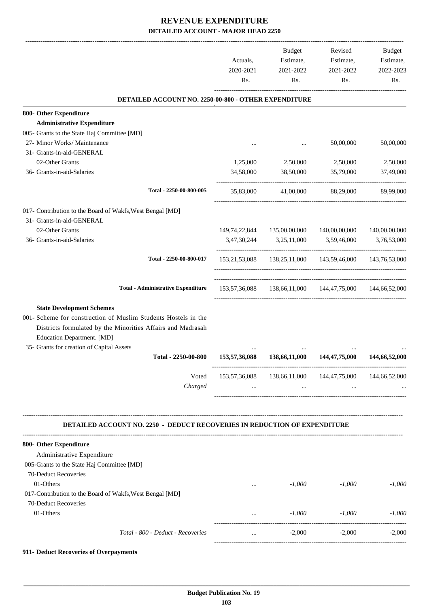|                                                                                  | Actuals,<br>2020-2021<br>Rs. | Budget<br>Estimate,<br>2021-2022<br>Rs. | Revised<br>Estimate,<br>2021-2022<br>Rs.                | Budget<br>Estimate,<br>2022-2023<br>Rs. |
|----------------------------------------------------------------------------------|------------------------------|-----------------------------------------|---------------------------------------------------------|-----------------------------------------|
| DETAILED ACCOUNT NO. 2250-00-800 - OTHER EXPENDITURE                             |                              |                                         |                                                         |                                         |
| 800- Other Expenditure                                                           |                              |                                         |                                                         |                                         |
| <b>Administrative Expenditure</b>                                                |                              |                                         |                                                         |                                         |
| 005- Grants to the State Haj Committee [MD]                                      |                              |                                         |                                                         |                                         |
| 27- Minor Works/ Maintenance                                                     |                              |                                         | 50,00,000                                               | 50,00,000                               |
| 31- Grants-in-aid-GENERAL                                                        |                              |                                         |                                                         |                                         |
| 02-Other Grants                                                                  | 1,25,000                     | 2,50,000                                | 2,50,000                                                | 2,50,000                                |
| 36- Grants-in-aid-Salaries                                                       | 34,58,000                    | 38,50,000                               | 35,79,000                                               | 37,49,000                               |
| Total - 2250-00-800-005                                                          | 35,83,000                    | 41,00,000                               | 88,29,000                                               | 89,99,000                               |
| 017- Contribution to the Board of Wakfs, West Bengal [MD]                        |                              |                                         |                                                         |                                         |
| 31- Grants-in-aid-GENERAL                                                        |                              |                                         |                                                         |                                         |
| 02-Other Grants                                                                  |                              | 149,74,22,844 135,00,00,000             | 140,00,00,000                                           | 140,00,00,000                           |
| 36- Grants-in-aid-Salaries                                                       |                              | 3,47,30,244 3,25,11,000                 | 3,59,46,000                                             | 3,76,53,000                             |
| Total - 2250-00-800-017                                                          |                              |                                         | 153,21,53,088 138,25,11,000 143,59,46,000 143,76,53,000 |                                         |
| <b>Total - Administrative Expenditure</b>                                        | 153,57,36,088                |                                         | 138,66,11,000 144,47,75,000 144,66,52,000               |                                         |
| <b>State Development Schemes</b>                                                 |                              |                                         |                                                         |                                         |
| 001- Scheme for construction of Muslim Students Hostels in the                   |                              |                                         |                                                         |                                         |
| Districts formulated by the Minorities Affairs and Madrasah                      |                              |                                         |                                                         |                                         |
| Education Department. [MD]                                                       |                              |                                         |                                                         |                                         |
| 35- Grants for creation of Capital Assets                                        |                              |                                         |                                                         |                                         |
| Total - 2250-00-800                                                              | 153,57,36,088                | 138,66,11,000                           | 144, 47, 75, 000                                        | 144,66,52,000                           |
| Voted                                                                            |                              |                                         | 153,57,36,088 138,66,11,000 144,47,75,000 144,66,52,000 |                                         |
| Charged                                                                          | $\cdots$                     | $\cdots$                                |                                                         |                                         |
|                                                                                  |                              |                                         |                                                         |                                         |
| <b>DETAILED ACCOUNT NO. 2250 - DEDUCT RECOVERIES IN REDUCTION OF EXPENDITURE</b> |                              |                                         |                                                         |                                         |
| 800- Other Expenditure                                                           |                              |                                         |                                                         |                                         |
| Administrative Expenditure                                                       |                              |                                         |                                                         |                                         |
| 005-Grants to the State Haj Committee [MD]                                       |                              |                                         |                                                         |                                         |
| 70-Deduct Recoveries                                                             |                              |                                         |                                                         |                                         |
| 01-Others                                                                        | $\cdots$                     | $-1,000$                                | $-1,000$                                                | $-1,000$                                |
| 017-Contribution to the Board of Wakfs, West Bengal [MD]                         |                              |                                         |                                                         |                                         |
| 70-Deduct Recoveries                                                             |                              |                                         |                                                         |                                         |
|                                                                                  |                              |                                         |                                                         |                                         |
| 01-Others                                                                        | $\cdots$                     | $-1,000$                                | $-1,000$<br>-----------------------                     | $-1,000$<br>----------------------      |

#### **911- Deduct Recoveries of Overpayments**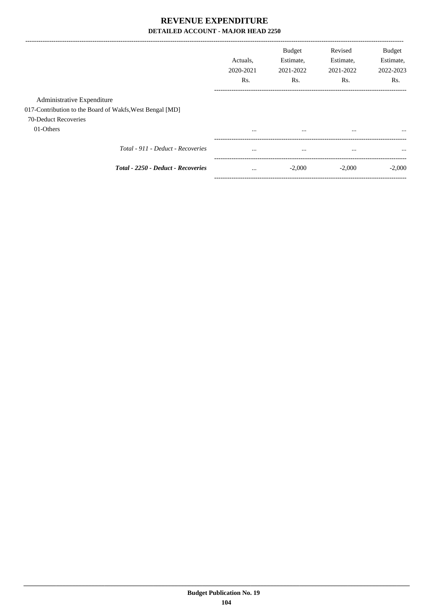|                                                          |                                    | Actuals.<br>2020-2021<br>Rs. | <b>Budget</b><br>Estimate,<br>2021-2022<br>Rs. | Revised<br>Estimate,<br>2021-2022<br>Rs. | <b>Budget</b><br>Estimate,<br>2022-2023<br>Rs. |
|----------------------------------------------------------|------------------------------------|------------------------------|------------------------------------------------|------------------------------------------|------------------------------------------------|
| Administrative Expenditure                               |                                    |                              |                                                |                                          |                                                |
| 017-Contribution to the Board of Wakfs, West Bengal [MD] |                                    |                              |                                                |                                          |                                                |
| 70-Deduct Recoveries                                     |                                    |                              |                                                |                                          |                                                |
| 01-Others                                                |                                    | $\cdots$                     | $\cdots$                                       | $\cdots$                                 | $\cdots$                                       |
|                                                          | Total - 911 - Deduct - Recoveries  | $\cdots$                     | $\cdots$                                       | $\cdots$                                 | $\cdots$                                       |
|                                                          | Total - 2250 - Deduct - Recoveries | $\cdots$                     | $-2,000$                                       | $-2,000$                                 | $-2,000$                                       |
|                                                          |                                    |                              |                                                |                                          |                                                |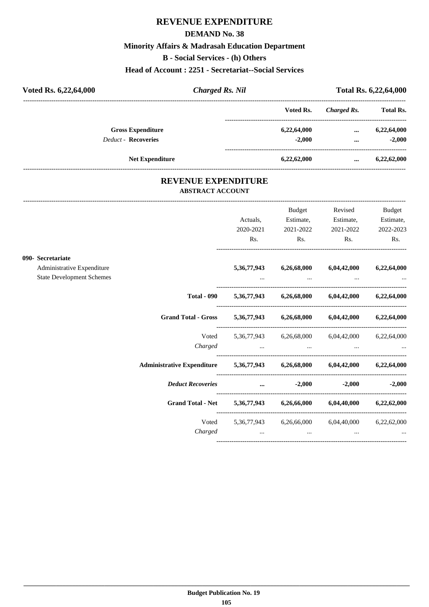#### **DEMAND No. 38**

#### **Minority Affairs & Madrasah Education Department**

**B - Social Services - (h) Others**

**Head of Account : 2251 - Secretariat--Social Services**

| Voted Rs. 6,22,64,000      | <b>Charged Rs. Nil</b> |             | Total Rs. 6,22,64,000 |                  |
|----------------------------|------------------------|-------------|-----------------------|------------------|
|                            |                        | Voted Rs.   | Charged Rs.           | <b>Total Rs.</b> |
| <b>Gross Expenditure</b>   |                        | 6,22,64,000 | $\cdots$              | 6,22,64,000      |
| <b>Deduct - Recoveries</b> |                        | $-2.000$    | $\cdots$              | $-2.000$         |
| <b>Net Expenditure</b>     |                        | 6,22,62,000 | $\cdots$              | 6,22,62,000      |

#### **REVENUE EXPENDITURE ABSTRACT ACCOUNT**

---------------------------------------------------------------------------------------------------------------------------------------------------------------------------------

|                                  |                                                                            |                                                                                                                     | <b>Budget</b> | Revised                                               | <b>Budget</b> |
|----------------------------------|----------------------------------------------------------------------------|---------------------------------------------------------------------------------------------------------------------|---------------|-------------------------------------------------------|---------------|
|                                  |                                                                            | Actuals,                                                                                                            | Estimate,     | Estimate,                                             | Estimate,     |
|                                  |                                                                            | 2020-2021                                                                                                           | 2021-2022     | 2021-2022                                             | 2022-2023     |
|                                  |                                                                            | Rs.                                                                                                                 | Rs.           | Rs.                                                   | Rs.           |
| 090- Secretariate                |                                                                            |                                                                                                                     |               |                                                       |               |
| Administrative Expenditure       |                                                                            | 5, 36, 77, 943                                                                                                      | 6,26,68,000   | 6,04,42,000                                           | 6,22,64,000   |
| <b>State Development Schemes</b> |                                                                            |                                                                                                                     |               |                                                       |               |
|                                  | <b>Total - 090</b>                                                         |                                                                                                                     |               | 5,36,77,943 6,26,68,000 6,04,42,000 6,22,64,000       |               |
|                                  | Grand Total - Gross 5,36,77,943 6,26,68,000 6,04,42,000 6,22,64,000        |                                                                                                                     |               |                                                       |               |
|                                  |                                                                            |                                                                                                                     |               | Voted 5,36,77,943 6,26,68,000 6,04,42,000 6,22,64,000 |               |
|                                  |                                                                            | Charged                                                                                                             |               |                                                       |               |
|                                  | Administrative Expenditure 5,36,77,943 6,26,68,000 6,04,42,000 6,22,64,000 |                                                                                                                     |               |                                                       |               |
|                                  | <b>Deduct Recoveries</b>                                                   | and the contract of the contract of the contract of the contract of the contract of the contract of the contract of | $-2,000$      | $-2,000$                                              | $-2,000$      |
|                                  | Grand Total - Net 5,36,77,943 6,26,66,000 6,04,40,000 6,22,62,000          |                                                                                                                     |               |                                                       |               |
|                                  | Voted                                                                      |                                                                                                                     |               | 5,36,77,943 6,26,66,000 6,04,40,000 6,22,62,000       |               |
|                                  | Charged                                                                    |                                                                                                                     | $\cdots$      |                                                       |               |
|                                  |                                                                            |                                                                                                                     |               |                                                       |               |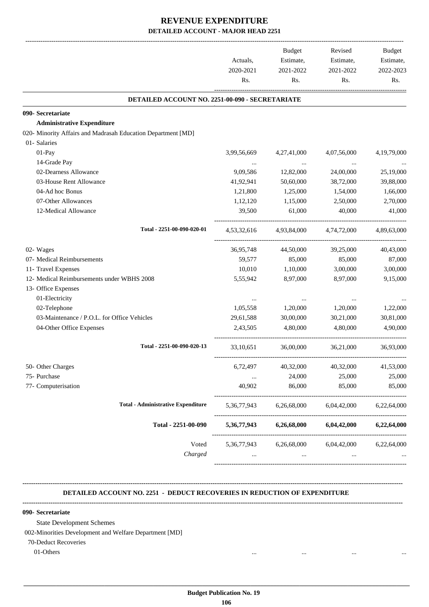|                                                              |             | Budget      | Revised                 | Budget                |
|--------------------------------------------------------------|-------------|-------------|-------------------------|-----------------------|
|                                                              | Actuals,    | Estimate,   | Estimate,               | Estimate,             |
|                                                              | 2020-2021   | 2021-2022   | 2021-2022               | 2022-2023             |
|                                                              | Rs.         | Rs.         | Rs.                     | Rs.                   |
| DETAILED ACCOUNT NO. 2251-00-090 - SECRETARIATE              |             |             |                         |                       |
| 090- Secretariate                                            |             |             |                         |                       |
| <b>Administrative Expenditure</b>                            |             |             |                         |                       |
| 020- Minority Affairs and Madrasah Education Department [MD] |             |             |                         |                       |
| 01- Salaries                                                 |             |             |                         |                       |
| 01-Pay                                                       | 3,99,56,669 | 4,27,41,000 | 4,07,56,000             | 4, 19, 79, 000        |
| 14-Grade Pay                                                 |             | $\ddots$    | $\cdots$                |                       |
| 02-Dearness Allowance                                        | 9,09,586    | 12,82,000   | 24,00,000               | 25,19,000             |
| 03-House Rent Allowance                                      | 41,92,941   | 50,60,000   | 38,72,000               | 39,88,000             |
| 04-Ad hoc Bonus                                              | 1,21,800    | 1,25,000    | 1,54,000                | 1,66,000              |
| 07-Other Allowances                                          | 1,12,120    | 1,15,000    | 2,50,000                | 2,70,000              |
| 12-Medical Allowance                                         | 39,500      | 61,000      | 40,000                  | 41,000                |
| Total - 2251-00-090-020-01                                   | 4,53,32,616 |             | 4,93,84,000 4,74,72,000 | 4,89,63,000           |
| 02- Wages                                                    | 36,95,748   | 44,50,000   | 39,25,000               | 40,43,000             |
| 07- Medical Reimbursements                                   | 59,577      | 85,000      | 85,000                  | 87,000                |
| 11- Travel Expenses                                          | 10,010      | 1,10,000    | 3,00,000                | 3,00,000              |
| 12- Medical Reimbursements under WBHS 2008                   | 5,55,942    | 8,97,000    | 8,97,000                | 9,15,000              |
| 13- Office Expenses                                          |             |             |                         |                       |
| 01-Electricity                                               | $\cdots$    | $\cdots$    |                         |                       |
| 02-Telephone                                                 | 1,05,558    | 1,20,000    | 1,20,000                | 1,22,000              |
| 03-Maintenance / P.O.L. for Office Vehicles                  | 29,61,588   | 30,00,000   | 30,21,000               | 30,81,000             |
| 04-Other Office Expenses                                     | 2,43,505    | 4,80,000    | 4,80,000                | 4.90.000              |
| Total - 2251-00-090-020-13                                   | 33,10,651   | 36,00,000   | 36,21,000               | 36,93,000             |
| 50- Other Charges                                            | 6,72,497    | 40,32,000   | 40,32,000               | 41,53,000             |
| 75- Purchase                                                 | $\ldots$    | 24,000      | 25,000                  | 25,000                |
| 77- Computerisation                                          | 40,902      | 86,000      | 85,000                  | 85,000                |
| <b>Total - Administrative Expenditure</b>                    | 5,36,77,943 | 6,26,68,000 | 6,04,42,000             | 6,22,64,000           |
| Total - 2251-00-090                                          | 5,36,77,943 | 6,26,68,000 | 6,04,42,000             | 6,22,64,000           |
| Voted                                                        | 5,36,77,943 | 6,26,68,000 | 6,04,42,000             | 6,22,64,000           |
| Charged                                                      |             | $\cdots$    |                         | --------------------- |

 **DETAILED ACCOUNT NO. 2251 - DEDUCT RECOVERIES IN REDUCTION OF EXPENDITURE**

**--------------------------------------------------------------------------------------------------------------------------------------------------------------------------------**

### **-------------------------------------------------------------------------------------------------------------------------------------------------------------------------------- 090- Secretariate**

State Development Schemes

002-Minorities Development and Welfare Department [MD]

70-Deduct Recoveries

01-Others ... ... ... ...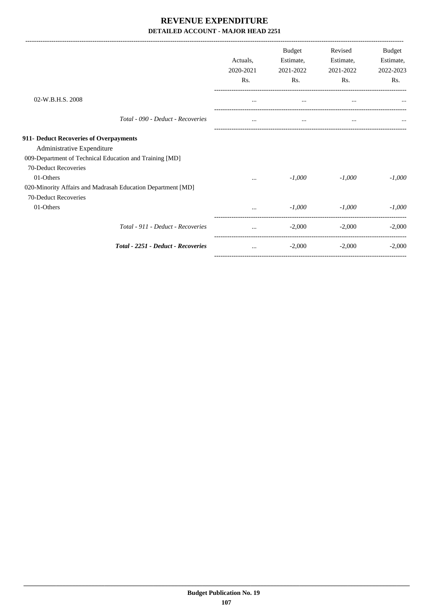|                                                             | Actuals.<br>2020-2021 | <b>Budget</b><br>Estimate,<br>2021-2022 | Revised<br>Estimate,<br>2021-2022 | Budget<br>Estimate,<br>2022-2023 |
|-------------------------------------------------------------|-----------------------|-----------------------------------------|-----------------------------------|----------------------------------|
|                                                             | Rs.                   | Rs.                                     | Rs.                               | Rs.                              |
| 02-W.B.H.S. 2008                                            | $\cdots$              | $\cdots$                                | $\cdots$                          |                                  |
| Total - 090 - Deduct - Recoveries                           | $\cdots$              | $\cdots$                                | $\cdots$                          |                                  |
| 911- Deduct Recoveries of Overpayments                      |                       |                                         |                                   |                                  |
| Administrative Expenditure                                  |                       |                                         |                                   |                                  |
| 009-Department of Technical Education and Training [MD]     |                       |                                         |                                   |                                  |
| 70-Deduct Recoveries                                        |                       |                                         |                                   |                                  |
| 01-Others                                                   |                       | $-1,000$                                | $-1,000$                          | $-1,000$                         |
| 020-Minority Affairs and Madrasah Education Department [MD] |                       |                                         |                                   |                                  |
| 70-Deduct Recoveries                                        |                       |                                         |                                   |                                  |
| 01-Others                                                   | $\cdots$              | $-1,000$                                | $-1,000$                          | $-1,000$                         |
| Total - 911 - Deduct - Recoveries                           | $\cdots$              | $-2,000$                                | $-2,000$                          | $-2,000$                         |
| <b>Total - 2251 - Deduct - Recoveries</b>                   | $\cdots$              | $-2,000$                                | $-2,000$                          | $-2,000$                         |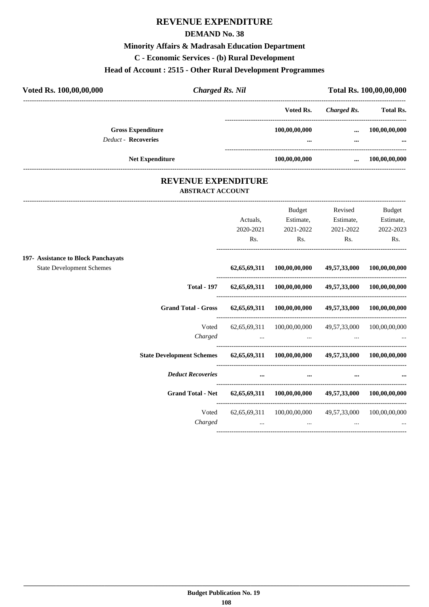### **REVENUE EXPENDITURE**

### **DEMAND No. 38**

#### **Minority Affairs & Madrasah Education Department**

**C - Economic Services - (b) Rural Development**

### **Head of Account : 2515 - Other Rural Development Programmes**

| Voted Rs. 100,00,00,000                                | <b>Charged Rs. Nil</b> |                           | Total Rs. 100,00,00,000 |                           |  |
|--------------------------------------------------------|------------------------|---------------------------|-------------------------|---------------------------|--|
|                                                        |                        | Voted Rs.                 | Charged Rs.             | <b>Total Rs.</b>          |  |
| <b>Gross Expenditure</b><br><b>Deduct - Recoveries</b> |                        | 100,00,00,000<br>$\cdots$ | $\cdots$<br>            | 100,00,00,000<br>$\cdots$ |  |
| <b>Net Expenditure</b>                                 |                        | 100,00,00,000             | $\cdots$                | 100,00,00,000             |  |
|                                                        |                        |                           |                         |                           |  |

### **REVENUE EXPENDITURE ABSTRACT ACCOUNT**

---------------------------------------------------------------------------------------------------------------------------------------------------------------------------------

----------------------------------------------------------------------------------------

#### Actuals, 2020-2021 Rs. Budget Estimate, 2021-2022 Rs. Revised Estimate, 2021-2022 Rs. Budget Estimate, 2022-2023 Rs. ---------------------------------------------------------------------------------------- **197- Assistance to Block Panchayats** State Development Schemes **62,65,69,311 100,00,00,000 49,57,33,000 100,00,00,000** ---------------------------------------------------------------------------------------- **Total - 197 62,65,69,311 100,00,00,000 49,57,33,000 100,00,00,000** ---------------------------------------------------------------------------------------- **Grand Total - Gross 62,65,69,311 100,00,00,000 49,57,33,000 100,00,00,000** ---------------------------------------------------------------------------------------- Voted 62,65,69,311 100,00,00,000 49,57,33,000 100,00,00,000 *Charged ... ... ... ...* ---------------------------------------------------------------------------------------- **State Development Schemes 62,65,69,311 100,00,00,000 49,57,33,000 100,00,00,000** ---------------------------------------------------------------------------------------- *Deduct Recoveries* **... ... ... ...** ---------------------------------------------------------------------------------------- **Grand Total - Net 62,65,69,311 100,00,00,000 49,57,33,000 100,00,00,000** ---------------------------------------------------------------------------------------- Voted 62,65,69,311 100,00,00,000 49,57,33,000 100,00,00,000 *Charged ... ... ... ...*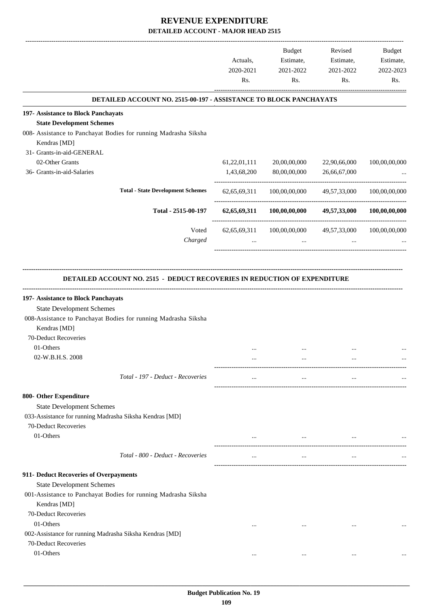|                                                                                                                                                                                   | Actuals,<br>2020-2021<br>Rs. | <b>Budget</b><br>Estimate,<br>2021-2022<br>Rs. | Revised<br>Estimate,<br>2021-2022<br>Rs. | Budget<br>Estimate,<br>2022-2023<br>Rs. |
|-----------------------------------------------------------------------------------------------------------------------------------------------------------------------------------|------------------------------|------------------------------------------------|------------------------------------------|-----------------------------------------|
| DETAILED ACCOUNT NO. 2515-00-197 - ASSISTANCE TO BLOCK PANCHAYATS                                                                                                                 |                              |                                                |                                          |                                         |
| 197- Assistance to Block Panchayats                                                                                                                                               |                              |                                                |                                          |                                         |
| <b>State Development Schemes</b>                                                                                                                                                  |                              |                                                |                                          |                                         |
| 008- Assistance to Panchayat Bodies for running Madrasha Siksha<br>Kendras [MD]                                                                                                   |                              |                                                |                                          |                                         |
| 31- Grants-in-aid-GENERAL                                                                                                                                                         |                              |                                                |                                          |                                         |
| 02-Other Grants                                                                                                                                                                   | 61,22,01,111                 | 20,00,00,000                                   | 22,90,66,000                             | 100,00,00,000                           |
| 36- Grants-in-aid-Salaries                                                                                                                                                        | 1,43,68,200                  | 80,00,00,000                                   | 26,66,67,000                             |                                         |
| <b>Total - State Development Schemes</b>                                                                                                                                          | 62, 65, 69, 311              | 100,00,00,000                                  | 49,57,33,000                             | 100,00,00,000                           |
| Total - 2515-00-197                                                                                                                                                               | 62, 65, 69, 311              | 100,00,00,000                                  | 49,57,33,000                             | 100,00,00,000                           |
| Voted                                                                                                                                                                             | 62, 65, 69, 311              | 100,00,00,000                                  | 49,57,33,000                             | 100,00,00,000                           |
| Charged                                                                                                                                                                           | $\cdots$                     | $\cdots$                                       | $\ddotsc$                                |                                         |
| 197- Assistance to Block Panchayats<br><b>State Development Schemes</b><br>008-Assistance to Panchayat Bodies for running Madrasha Siksha<br>Kendras [MD]<br>70-Deduct Recoveries |                              |                                                |                                          |                                         |
| 01-Others                                                                                                                                                                         |                              |                                                |                                          |                                         |
| 02-W.B.H.S. 2008                                                                                                                                                                  | $\cdots$                     | $\cdots$                                       | $\cdots$                                 |                                         |
| Total - 197 - Deduct - Recoveries                                                                                                                                                 | $\cdots$                     | $\cdots$                                       |                                          |                                         |
| 800- Other Expenditure                                                                                                                                                            |                              |                                                |                                          |                                         |
| <b>State Development Schemes</b>                                                                                                                                                  |                              |                                                |                                          |                                         |
| 033-Assistance for running Madrasha Siksha Kendras [MD]                                                                                                                           |                              |                                                |                                          |                                         |
| 70-Deduct Recoveries                                                                                                                                                              |                              |                                                |                                          |                                         |
| 01-Others                                                                                                                                                                         |                              | $\cdots$                                       |                                          |                                         |
| Total - 800 - Deduct - Recoveries                                                                                                                                                 | $\cdots$                     | $\cdots$                                       | $\cdots$                                 |                                         |
| 911- Deduct Recoveries of Overpayments                                                                                                                                            |                              |                                                |                                          |                                         |
| <b>State Development Schemes</b>                                                                                                                                                  |                              |                                                |                                          |                                         |
| 001-Assistance to Panchayat Bodies for running Madrasha Siksha<br>Kendras [MD]                                                                                                    |                              |                                                |                                          |                                         |
| 70-Deduct Recoveries                                                                                                                                                              |                              |                                                |                                          |                                         |
| 01-Others                                                                                                                                                                         | $\cdots$                     | $\cdots$                                       |                                          |                                         |
| 002-Assistance for running Madrasha Siksha Kendras [MD]<br>70-Deduct Recoveries                                                                                                   |                              |                                                |                                          |                                         |
| 01-Others                                                                                                                                                                         | $\cdots$                     | $\ddotsc$                                      | $\cdots$                                 |                                         |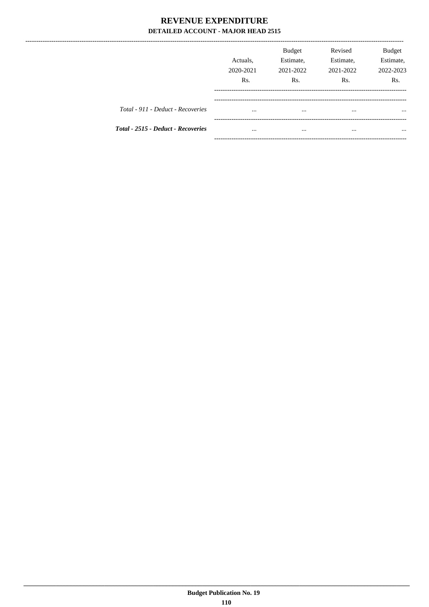|                                           | Actuals.<br>2020-2021<br>Rs. | <b>Budget</b><br>Estimate,<br>2021-2022<br>Rs. | Revised<br>Estimate,<br>2021-2022<br>Rs. | Budget<br>Estimate,<br>2022-2023<br>Rs. |
|-------------------------------------------|------------------------------|------------------------------------------------|------------------------------------------|-----------------------------------------|
| Total - 911 - Deduct - Recoveries         | $\cdots$                     | $\cdots$                                       | $\cdots$                                 | $\cdots$                                |
| <b>Total - 2515 - Deduct - Recoveries</b> | $\cdots$                     |                                                |                                          | $\cdots$                                |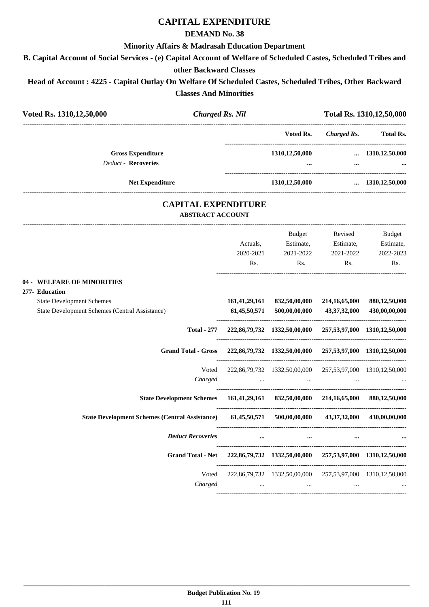# **CAPITAL EXPENDITURE**

### **DEMAND No. 38**

### **Minority Affairs & Madrasah Education Department**

**B. Capital Account of Social Services - (e) Capital Account of Welfare of Scheduled Castes, Scheduled Tribes and**

### **other Backward Classes**

**Head of Account : 4225 - Capital Outlay On Welfare Of Scheduled Castes, Scheduled Tribes, Other Backward Classes And Minorities**

| Voted Rs. 1310, 12, 50, 000                                                                          | <b>Charged Rs. Nil</b>   |                              |                                                                                                                                                                        |                                           | Total Rs. 1310, 12, 50, 000                     |
|------------------------------------------------------------------------------------------------------|--------------------------|------------------------------|------------------------------------------------------------------------------------------------------------------------------------------------------------------------|-------------------------------------------|-------------------------------------------------|
|                                                                                                      |                          |                              |                                                                                                                                                                        | Voted Rs. Charged Rs. Total Rs.           |                                                 |
| <b>Gross Expenditure</b>                                                                             |                          |                              | 1310,12,50,000  1310,12,50,000                                                                                                                                         |                                           |                                                 |
| Deduct - Recoveries                                                                                  |                          |                              |                                                                                                                                                                        | $\cdots$                                  | <b>The Committee Committee of the Committee</b> |
| <b>Net Expenditure</b>                                                                               |                          |                              | 1310,12,50,000                                                                                                                                                         |                                           | $\dots$ 1310,12,50,000                          |
|                                                                                                      | <b>ABSTRACT ACCOUNT</b>  | <b>CAPITAL EXPENDITURE</b>   |                                                                                                                                                                        |                                           |                                                 |
|                                                                                                      |                          | Actuals,<br>2020-2021<br>Rs. | <b>Budget</b><br>Estimate, Estimate,                                                                                                                                   | Revised<br>2021-2022 2021-2022<br>Rs. Rs. | Budget<br>Estimate,<br>2022-2023<br>Rs.         |
| 04 - WELFARE OF MINORITIES<br>277- Education                                                         |                          |                              |                                                                                                                                                                        |                                           |                                                 |
| <b>State Development Schemes</b><br>State Development Schemes (Central Assistance)                   |                          |                              | 161,41,29,161 832,50,00,000 214,16,65,000 880,12,50,000<br>61,45,50,571 500,00,00,000 43,37,32,000 430,00,00,000                                                       |                                           |                                                 |
|                                                                                                      |                          |                              | Total - 277 222,86,79,732 1332,50,00,000 257,53,97,000 1310,12,50,000                                                                                                  |                                           |                                                 |
|                                                                                                      |                          |                              | Grand Total - Gross 222,86,79,732 1332,50,00,000 257,53,97,000 1310,12,50,000                                                                                          |                                           |                                                 |
|                                                                                                      | Charged                  |                              | Voted 222,86,79,732 1332,50,00,000 257,53,97,000 1310,12,50,000<br>the contract of the contract of the contract of the contract of the contract of the contract of the |                                           |                                                 |
|                                                                                                      |                          |                              | State Development Schemes 161,41,29,161 832,50,00,000 214,16,65,000 880,12,50,000                                                                                      |                                           |                                                 |
| State Development Schemes (Central Assistance) 61,45,50,571 500,00,00,000 43,37,32,000 430,00,00,000 |                          |                              |                                                                                                                                                                        |                                           |                                                 |
|                                                                                                      | <b>Deduct Recoveries</b> |                              |                                                                                                                                                                        |                                           |                                                 |
|                                                                                                      |                          |                              | Grand Total - Net 222,86,79,732 1332,50,00,000 257,53,97,000 1310,12,50,000                                                                                            |                                           |                                                 |
|                                                                                                      | Voted<br>Charged         | $\cdots$                     | 222,86,79,732 1332,50,00,000 257,53,97,000 1310,12,50,000<br>$\cdots$                                                                                                  | $\cdots$                                  |                                                 |
|                                                                                                      |                          |                              |                                                                                                                                                                        |                                           |                                                 |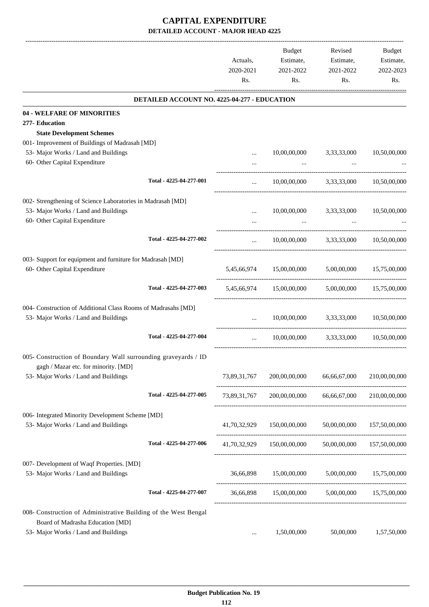|                                                                 |                                              | Actuals,<br>2020-2021<br>Rs. | <b>Budget</b><br>Estimate,<br>2021-2022<br>Rs. | Revised<br>Estimate,<br>2021-2022<br>Rs. | Budget<br>Estimate,<br>2022-2023<br>Rs. |
|-----------------------------------------------------------------|----------------------------------------------|------------------------------|------------------------------------------------|------------------------------------------|-----------------------------------------|
|                                                                 | DETAILED ACCOUNT NO. 4225-04-277 - EDUCATION |                              |                                                |                                          |                                         |
| 04 - WELFARE OF MINORITIES                                      |                                              |                              |                                                |                                          |                                         |
| 277- Education                                                  |                                              |                              |                                                |                                          |                                         |
| <b>State Development Schemes</b>                                |                                              |                              |                                                |                                          |                                         |
| 001- Improvement of Buildings of Madrasah [MD]                  |                                              |                              |                                                |                                          |                                         |
| 53- Major Works / Land and Buildings                            |                                              |                              | 10,00,00,000                                   | 3,33,33,000                              | 10,50,00,000                            |
| 60- Other Capital Expenditure                                   |                                              |                              | $\cdots$                                       |                                          |                                         |
|                                                                 | Total - 4225-04-277-001                      | $\cdots$                     | 10,00,00,000                                   | 3,33,33,000                              | 10,50,00,000                            |
| 002- Strengthening of Science Laboratories in Madrasah [MD]     |                                              |                              |                                                |                                          |                                         |
| 53- Major Works / Land and Buildings                            |                                              |                              | 10,00,00,000                                   | 3,33,33,000                              | 10,50,00,000                            |
| 60- Other Capital Expenditure                                   |                                              |                              |                                                |                                          |                                         |
|                                                                 | Total - 4225-04-277-002                      | $\cdots$                     | 10,00,00,000                                   | 3,33,33,000                              | 10,50,00,000                            |
|                                                                 |                                              |                              |                                                |                                          |                                         |
| 003- Support for equipment and furniture for Madrasah [MD]      |                                              |                              |                                                |                                          |                                         |
| 60- Other Capital Expenditure                                   |                                              |                              | 5,45,66,974 15,00,00,000                       | 5,00,00,000                              | 15,75,00,000                            |
|                                                                 |                                              |                              |                                                |                                          |                                         |
|                                                                 | Total - 4225-04-277-003                      | 5,45,66,974                  | 15,00,00,000                                   | 5,00,00,000                              | 15,75,00,000                            |
| 004- Construction of Additional Class Rooms of Madrasahs [MD]   |                                              |                              |                                                |                                          |                                         |
| 53- Major Works / Land and Buildings                            |                                              |                              | 10,00,00,000                                   | 3,33,33,000                              | 10.50.00.000                            |
|                                                                 |                                              |                              |                                                |                                          |                                         |
|                                                                 | Total - 4225-04-277-004                      | $\cdots$                     | 10,00,00,000                                   | 3,33,33,000                              | 10,50,00,000                            |
| 005- Construction of Boundary Wall surrounding graveyards / ID  |                                              |                              |                                                |                                          |                                         |
| gagh / Mazar etc. for minority. [MD]                            |                                              |                              |                                                |                                          |                                         |
| 53- Major Works / Land and Buildings                            |                                              | 73,89,31,767                 | 200,00,00,000                                  | 66,66,67,000                             | 210,00,00,000                           |
|                                                                 |                                              |                              |                                                |                                          |                                         |
|                                                                 | Total - 4225-04-277-005                      | 73,89,31,767                 | 200,00,00,000                                  | 66,66,67,000                             | 210,00,00,000                           |
| 006- Integrated Minority Development Scheme [MD]                |                                              |                              |                                                |                                          |                                         |
| 53- Major Works / Land and Buildings                            |                                              |                              | 41,70,32,929 150,00,00,000                     | 50,00,00,000                             | 157,50,00,000                           |
|                                                                 |                                              |                              |                                                |                                          |                                         |
|                                                                 | Total - 4225-04-277-006                      |                              | 41,70,32,929 150,00,00,000                     |                                          | 50,00,00,000 157,50,00,000              |
| 007- Development of Waqf Properties. [MD]                       |                                              |                              |                                                |                                          |                                         |
| 53- Major Works / Land and Buildings                            |                                              | 36,66,898                    | 15,00,00,000                                   | 5,00,00,000                              | 15,75,00,000                            |
|                                                                 |                                              |                              |                                                |                                          |                                         |
|                                                                 | Total - 4225-04-277-007                      | 36,66,898                    | 15,00,00,000                                   | 5,00,00,000                              | 15,75,00,000                            |
| 008- Construction of Administrative Building of the West Bengal |                                              |                              |                                                |                                          |                                         |
| Board of Madrasha Education [MD]                                |                                              |                              |                                                |                                          |                                         |
| 53- Major Works / Land and Buildings                            |                                              | $\cdots$                     | 1,50,00,000                                    | 50,00,000                                | 1,57,50,000                             |
|                                                                 |                                              |                              |                                                |                                          |                                         |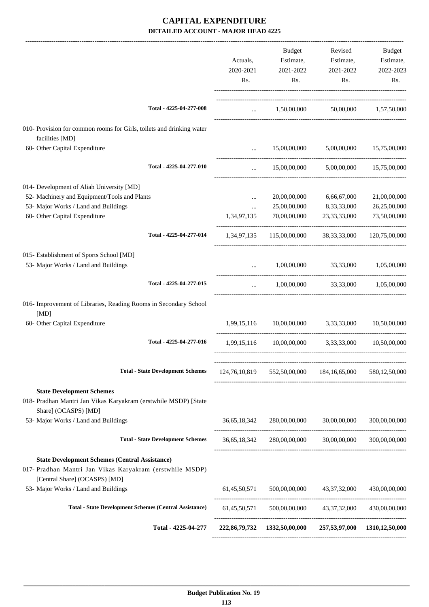|                                                                                                                             |             | Budget                                                    | Revised                                 | Budget                   |
|-----------------------------------------------------------------------------------------------------------------------------|-------------|-----------------------------------------------------------|-----------------------------------------|--------------------------|
|                                                                                                                             | Actuals,    | Estimate,                                                 | Estimate,                               | Estimate,                |
|                                                                                                                             | 2020-2021   | 2021-2022                                                 | 2021-2022                               | 2022-2023                |
|                                                                                                                             | Rs.         | Rs.                                                       | Rs.                                     | Rs.                      |
| Total - 4225-04-277-008                                                                                                     | $\cdots$    | 1,50,00,000 50,00,000 1,57,50,000                         |                                         |                          |
|                                                                                                                             |             |                                                           |                                         |                          |
| 010- Provision for common rooms for Girls, toilets and drinking water<br>facilities [MD]                                    |             |                                                           |                                         |                          |
| 60- Other Capital Expenditure                                                                                               |             | 15,00,00,000                                              |                                         | 5,00,00,000 15,75,00,000 |
| Total - 4225-04-277-010                                                                                                     | $\cdots$    | 15,00,00,000                                              |                                         | 5,00,00,000 15,75,00,000 |
| 014- Development of Aliah University [MD]                                                                                   |             |                                                           |                                         |                          |
| 52- Machinery and Equipment/Tools and Plants                                                                                | $\cdots$    | 20,00,00,000                                              | 6,66,67,000                             | 21,00,00,000             |
| 53- Major Works / Land and Buildings                                                                                        | $\cdots$    | 25,00,00,000                                              | 8,33,33,000                             | 26,25,00,000             |
| 60- Other Capital Expenditure                                                                                               | 1,34,97,135 | 70,00,00,000                                              | 23, 33, 33, 000                         | 73,50,00,000             |
| Total - 4225-04-277-014                                                                                                     |             | 1,34,97,135 115,00,00,000 38,33,33,000                    |                                         | 120,75,00,000            |
| 015- Establishment of Sports School [MD]                                                                                    |             |                                                           |                                         |                          |
| 53- Major Works / Land and Buildings                                                                                        | $\cdots$    | 1,00,00,000 33,33,000 1,05,00,000                         |                                         |                          |
| Total - 4225-04-277-015                                                                                                     | $\ddotsc$   |                                                           | $1,00,00,000$ $33,33,000$ $1,05,00,000$ |                          |
| 016- Improvement of Libraries, Reading Rooms in Secondary School<br>[MD]                                                    |             |                                                           |                                         |                          |
| 60- Other Capital Expenditure                                                                                               |             | 1,99,15,116 10,00,00,000 3,33,33,000                      |                                         | 10,50,00,000             |
| Total - 4225-04-277-016                                                                                                     | 1,99,15,116 | 10,00,00,000                                              |                                         | 3,33,33,000 10,50,00,000 |
| <b>Total - State Development Schemes</b>                                                                                    |             | 124,76,10,819   552,50,00,000   184,16,65,000             |                                         | 580, 12, 50, 000         |
|                                                                                                                             |             |                                                           |                                         |                          |
| <b>State Development Schemes</b><br>018- Pradhan Mantri Jan Vikas Karyakram (erstwhile MSDP) [State<br>Share] (OCASPS) [MD] |             |                                                           |                                         |                          |
| 53- Major Works / Land and Buildings                                                                                        |             | 36,65,18,342 280,00,00,000 30,00,00,000                   |                                         | 300,00,00,000            |
| <b>Total - State Development Schemes</b>                                                                                    |             | 36,65,18,342 280,00,00,000 30,00,00,000                   |                                         | 300,00,00,000            |
| <b>State Development Schemes (Central Assistance)</b><br>017- Pradhan Mantri Jan Vikas Karyakram (erstwhile MSDP)           |             |                                                           |                                         |                          |
| [Central Share] (OCASPS) [MD]<br>53- Major Works / Land and Buildings                                                       |             | 61,45,50,571 500,00,00,000 43,37,32,000                   |                                         | 430,00,00,000            |
| <b>Total - State Development Schemes (Central Assistance)</b>                                                               |             | 61,45,50,571 500,00,00,000 43,37,32,000 430,00,00,000     |                                         |                          |
| Total - 4225-04-277                                                                                                         |             | 222,86,79,732 1332,50,00,000 257,53,97,000 1310,12,50,000 |                                         |                          |
|                                                                                                                             |             |                                                           |                                         |                          |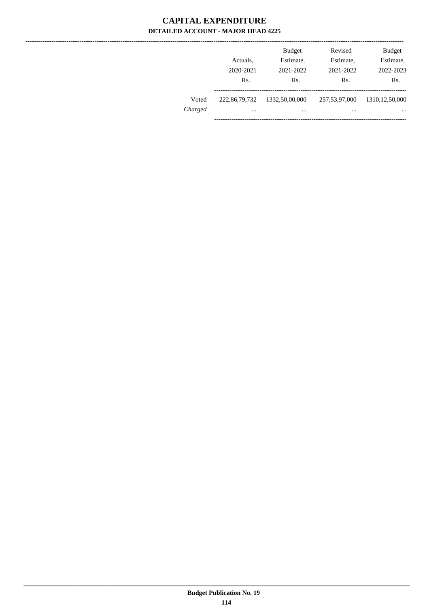|         |               | <b>Budget</b>  | Revised       | <b>Budget</b>     |
|---------|---------------|----------------|---------------|-------------------|
|         | Actuals.      | Estimate,      | Estimate,     | Estimate,         |
|         | 2020-2021     | 2021-2022      | 2021-2022     | 2022-2023         |
|         | Rs.           | Rs.            | Rs.           | Rs.               |
| Voted   | 222,86,79,732 | 1332,50,00,000 | 257,53,97,000 | 1310, 12, 50, 000 |
| Charged | $\cdots$      | $\cdots$       | $\cdots$      | $\cdots$          |
|         |               |                |               |                   |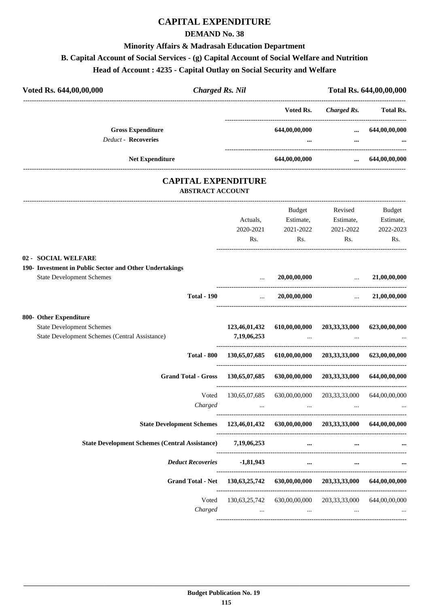# **CAPITAL EXPENDITURE**

### **DEMAND No. 38**

### **Minority Affairs & Madrasah Education Department**

# **B. Capital Account of Social Services - (g) Capital Account of Social Welfare and Nutrition**

# **Head of Account : 4235 - Capital Outlay on Social Security and Welfare**

| Voted Rs. 644,00,00,000                                                           | <b>Charged Rs. Nil</b>  |                                                           |                                                                           |                                                    | Total Rs. 644,00,00,000 |
|-----------------------------------------------------------------------------------|-------------------------|-----------------------------------------------------------|---------------------------------------------------------------------------|----------------------------------------------------|-------------------------|
|                                                                                   |                         |                                                           | Voted Rs.                                                                 |                                                    | Charged Rs. Total Rs.   |
| <b>Gross Expenditure</b><br><b>Deduct - Recoveries</b>                            |                         |                                                           | 644,00,00,000                                                             | $\cdots$                                           | 644,00,00,000           |
|                                                                                   |                         |                                                           |                                                                           |                                                    |                         |
| <b>Net Expenditure</b>                                                            |                         |                                                           | 644,00,00,000                                                             | $\cdots$                                           | 644,00,00,000           |
|                                                                                   | <b>ABSTRACT ACCOUNT</b> | <b>CAPITAL EXPENDITURE</b>                                |                                                                           |                                                    |                         |
|                                                                                   |                         |                                                           | Budget                                                                    | Revised                                            | Budget                  |
|                                                                                   |                         | Actuals,                                                  |                                                                           | Estimate, Estimate,                                | Estimate,               |
|                                                                                   |                         | 2020-2021                                                 | 2021-2022                                                                 | 2021-2022                                          | 2022-2023               |
|                                                                                   |                         | Rs.                                                       | Rs.                                                                       | Rs.                                                | Rs.                     |
| 02 - SOCIAL WELFARE                                                               |                         |                                                           |                                                                           |                                                    |                         |
| 190- Investment in Public Sector and Other Undertakings                           |                         |                                                           |                                                                           |                                                    |                         |
| <b>State Development Schemes</b>                                                  |                         |                                                           | 20,00,00,000                                                              | $\ldots$ 21,00,00,000                              |                         |
|                                                                                   | <b>Total - 190</b>      | $\mathbf{r}_{\text{max}}$ . The $\mathbf{r}_{\text{max}}$ |                                                                           | $20,00,00,000$ $21,00,00,000$                      |                         |
| 800- Other Expenditure                                                            |                         |                                                           |                                                                           |                                                    |                         |
| <b>State Development Schemes</b>                                                  |                         | 123,46,01,432                                             | 610,00,00,000                                                             | 203,33,33,000                                      | 623,00,00,000           |
| State Development Schemes (Central Assistance)                                    |                         | 7,19,06,253                                               |                                                                           |                                                    |                         |
|                                                                                   | <b>Total - 800</b>      |                                                           | 130,65,07,685 610,00,00,000 203,33,33,000 623,00,00,000                   |                                                    |                         |
| <b>Grand Total - Gross</b>                                                        |                         | 130,65,07,685                                             | 630,00,00,000                                                             | 203,33,33,000                                      | 644,00,00,000           |
|                                                                                   | Voted                   |                                                           | 130,65,07,685 630,00,00,000 203,33,33,000 644,00,00,000                   |                                                    |                         |
|                                                                                   | Charged                 |                                                           |                                                                           |                                                    |                         |
| State Development Schemes 123,46,01,432 630,00,00,000 203,33,33,000 644,00,00,000 |                         |                                                           |                                                                           |                                                    |                         |
| State Development Schemes (Central Assistance) 7,19,06,253                        |                         |                                                           | $\cdots$                                                                  | $\cdots$                                           |                         |
|                                                                                   |                         | Deduct Recoveries -1,81,943                               |                                                                           | $\cdots$<br>$\cdots$                               |                         |
|                                                                                   |                         |                                                           | Grand Total - Net 130,63,25,742 630,00,00,000 203,33,33,000 644,00,00,000 |                                                    |                         |
|                                                                                   |                         |                                                           | Voted 130,63,25,742 630,00,00,000 203,33,33,000 644,00,00,000             |                                                    |                         |
|                                                                                   | Charged                 |                                                           | <b>Second Contract</b>                                                    | $\sim 100$ km s $^{-1}$ and $\sim 100$<br>$\cdots$ |                         |
|                                                                                   |                         |                                                           |                                                                           |                                                    |                         |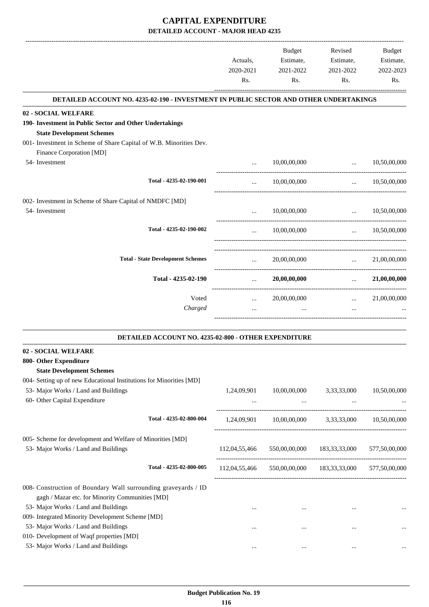|                                                                                                                                                                   | Actuals,<br>2020-2021<br>Rs. | Budget<br>Estimate,<br>2021-2022<br>Rs. | Revised<br>Estimate,<br>2021-2022<br>Rs.  | <b>Budget</b><br>Estimate,<br>2022-2023<br>Rs. |
|-------------------------------------------------------------------------------------------------------------------------------------------------------------------|------------------------------|-----------------------------------------|-------------------------------------------|------------------------------------------------|
| DETAILED ACCOUNT NO. 4235-02-190 - INVESTMENT IN PUBLIC SECTOR AND OTHER UNDERTAKINGS                                                                             |                              |                                         |                                           |                                                |
| 02 - SOCIAL WELFARE                                                                                                                                               |                              |                                         |                                           |                                                |
| 190- Investment in Public Sector and Other Undertakings<br><b>State Development Schemes</b><br>001- Investment in Scheme of Share Capital of W.B. Minorities Dev. |                              |                                         |                                           |                                                |
| Finance Corporation [MD]                                                                                                                                          |                              |                                         |                                           |                                                |
| 54- Investment                                                                                                                                                    |                              | 10,00,00,000                            | $\cdots$                                  | 10,50,00,000                                   |
| Total - 4235-02-190-001                                                                                                                                           | $\ddotsc$                    | 10,00,00,000                            | $\ddots$                                  | 10,50,00,000                                   |
| 002- Investment in Scheme of Share Capital of NMDFC [MD]                                                                                                          |                              |                                         |                                           |                                                |
| 54- Investment                                                                                                                                                    |                              | 10,00,00,000                            |                                           | $\ldots$ 10,50,00,000                          |
| Total - 4235-02-190-002                                                                                                                                           | $\cdots$                     | 10,00,00,000                            | <b>Section</b> 1999                       | 10,50,00,000                                   |
| <b>Total - State Development Schemes</b>                                                                                                                          | $\ddotsc$                    | 20,00,00,000                            | $\mathbf{r}$                              | 21,00,00,000                                   |
| Total - 4235-02-190                                                                                                                                               | $\ddotsc$                    | 20,00,00,000                            | <b>Section</b>                            | 21,00,00,000                                   |
| Voted<br>Charged                                                                                                                                                  | $\cdots$                     | 20,00,00,000<br>$\cdots$                | $\mathbf{r}$ and $\mathbf{r}$<br>$\cdots$ | 21,00,00,000                                   |

| <b>DETAILED ACCOUNT NO. 4235-02-800 - OTHER EXPENDITURE</b>         |               |               |               |               |  |  |
|---------------------------------------------------------------------|---------------|---------------|---------------|---------------|--|--|
| 02 - SOCIAL WELFARE                                                 |               |               |               |               |  |  |
| 800- Other Expenditure                                              |               |               |               |               |  |  |
| <b>State Development Schemes</b>                                    |               |               |               |               |  |  |
| 004- Setting up of new Educational Institutions for Minorities [MD] |               |               |               |               |  |  |
| 53- Major Works / Land and Buildings                                | 1,24,09,901   | 10,00,00,000  | 3,33,33,000   | 10,50,00,000  |  |  |
| 60- Other Capital Expenditure                                       | $\cdots$      | $\cdots$      | $\cdots$      |               |  |  |
| Total - 4235-02-800-004                                             | 1,24,09,901   | 10,00,00,000  | 3,33,33,000   | 10,50,00,000  |  |  |
| 005- Scheme for development and Welfare of Minorities [MD]          |               |               |               |               |  |  |
| 53- Major Works / Land and Buildings                                | 112,04,55,466 | 550,00,00,000 | 183,33,33,000 | 577,50,00,000 |  |  |
| Total - 4235-02-800-005                                             | 112,04,55,466 | 550,00,00,000 | 183,33,33,000 | 577,50,00,000 |  |  |
| 008- Construction of Boundary Wall surrounding graveyards / ID      |               |               |               |               |  |  |
| gagh / Mazar etc. for Minority Communities [MD]                     |               |               |               |               |  |  |
| 53- Major Works / Land and Buildings                                | $\cdots$      | $\cdots$      | $\cdots$      |               |  |  |
| 009- Integrated Minority Development Scheme [MD]                    |               |               |               |               |  |  |
| 53- Major Works / Land and Buildings                                | $\cdots$      |               | $\cdots$      |               |  |  |
| 010- Development of Waqf properties [MD]                            |               |               |               |               |  |  |
| 53- Major Works / Land and Buildings                                |               | $\cdots$      | $\cdots$      |               |  |  |
|                                                                     |               |               |               |               |  |  |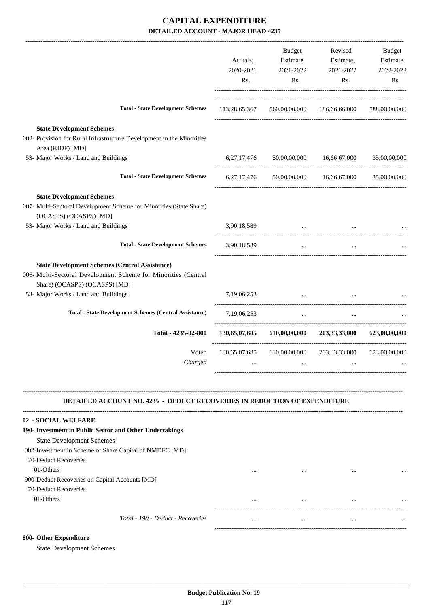|                                                                                                                                                          | Actuals,<br>2020-2021<br>Rs. | <b>Budget</b><br>Estimate,<br>2021-2022<br>Rs. | Revised<br>Estimate,<br>2021-2022<br>Rs.        | <b>Budget</b><br>Estimate,<br>2022-2023<br>Rs. |
|----------------------------------------------------------------------------------------------------------------------------------------------------------|------------------------------|------------------------------------------------|-------------------------------------------------|------------------------------------------------|
| <b>Total - State Development Schemes</b>                                                                                                                 | 113,28,65,367                |                                                | 560,00,00,000 186,66,66,000                     | 588,00,00,000                                  |
| <b>State Development Schemes</b>                                                                                                                         |                              |                                                |                                                 |                                                |
| 002- Provision for Rural Infrastructure Development in the Minorities<br>Area (RIDF) [MD]                                                                |                              |                                                |                                                 |                                                |
| 53- Major Works / Land and Buildings                                                                                                                     | 6, 27, 17, 476               |                                                | 50,00,00,000 16,66,67,000                       | 35,00,00,000                                   |
| <b>Total - State Development Schemes</b>                                                                                                                 | 6, 27, 17, 476               |                                                | 50,00,00,000 16,66,67,000                       | 35,00,00,000                                   |
| <b>State Development Schemes</b>                                                                                                                         |                              |                                                |                                                 |                                                |
| 007- Multi-Sectoral Development Scheme for Minorities (State Share)<br>(OCASPS) (OCASPS) [MD]                                                            |                              |                                                |                                                 |                                                |
| 53- Major Works / Land and Buildings                                                                                                                     | 3,90,18,589                  | $\cdots$                                       |                                                 |                                                |
| <b>Total - State Development Schemes</b>                                                                                                                 | 3,90,18,589                  | $\ddotsc$                                      |                                                 |                                                |
| <b>State Development Schemes (Central Assistance)</b><br>006- Multi-Sectoral Development Scheme for Minorities (Central<br>Share) (OCASPS) (OCASPS) [MD] |                              |                                                |                                                 |                                                |
| 53- Major Works / Land and Buildings                                                                                                                     | 7,19,06,253                  |                                                | the contract of the contract of the contract of |                                                |
| <b>Total - State Development Schemes (Central Assistance)</b>                                                                                            | 7,19,06,253                  | $\cdots$                                       | $\cdots$                                        |                                                |
| Total - 4235-02-800                                                                                                                                      | 130,65,07,685                | 610,00,00,000                                  | 203,33,33,000                                   | 623,00,00,000                                  |
| Voted<br>Charged                                                                                                                                         | 130,65,07,685                |                                                | 610,00,00,000 203,33,33,000 623,00,00,000       |                                                |

### **DETAILED ACCOUNT NO. 4235 - DEDUCT RECOVERIES IN REDUCTION OF EXPENDITURE**

**--------------------------------------------------------------------------------------------------------------------------------------------------------------------------------**

| 02 - SOCIAL WELFARE                                     |          |          |          |          |
|---------------------------------------------------------|----------|----------|----------|----------|
| 190- Investment in Public Sector and Other Undertakings |          |          |          |          |
| <b>State Development Schemes</b>                        |          |          |          |          |
| 002-Investment in Scheme of Share Capital of NMDFC [MD] |          |          |          |          |
| 70-Deduct Recoveries                                    |          |          |          |          |
| 01-Others                                               | $\cdots$ | $\cdots$ | $\cdots$ |          |
| 900-Deduct Recoveries on Capital Accounts [MD]          |          |          |          |          |
| 70-Deduct Recoveries                                    |          |          |          |          |
| 01-Others                                               | $\cdots$ | $\cdots$ | $\cdots$ | $\cdots$ |
|                                                         |          |          |          |          |
| Total - 190 - Deduct - Recoveries                       | $\cdots$ | $\cdots$ | $\cdots$ | $\cdots$ |
|                                                         |          |          |          |          |

### **800- Other Expenditure**

State Development Schemes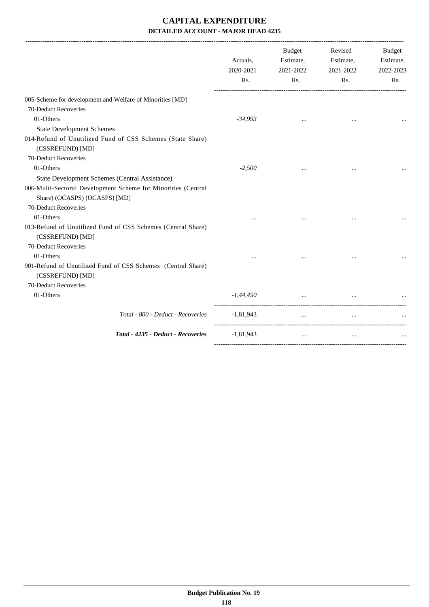|                                                                                  | Actuals,<br>2020-2021<br>Rs. | Budget<br>Estimate,<br>2021-2022<br>Rs. | Revised<br>Estimate,<br>2021-2022<br>Rs. | Budget<br>Estimate,<br>2022-2023<br>Rs. |
|----------------------------------------------------------------------------------|------------------------------|-----------------------------------------|------------------------------------------|-----------------------------------------|
| 005-Scheme for development and Welfare of Minorities [MD]                        |                              |                                         |                                          |                                         |
| 70-Deduct Recoveries                                                             |                              |                                         |                                          |                                         |
| 01-Others                                                                        | $-34,993$                    |                                         |                                          |                                         |
| <b>State Development Schemes</b>                                                 |                              |                                         |                                          |                                         |
| 014-Refund of Unutilized Fund of CSS Schemes (State Share)<br>(CSSREFUND) [MD]   |                              |                                         |                                          |                                         |
| 70-Deduct Recoveries                                                             |                              |                                         |                                          |                                         |
| 01-Others                                                                        | $-2,500$                     |                                         |                                          |                                         |
| State Development Schemes (Central Assistance)                                   |                              |                                         |                                          |                                         |
| 006-Multi-Sectoral Development Scheme for Minorities (Central                    |                              |                                         |                                          |                                         |
| Share) (OCASPS) (OCASPS) [MD]                                                    |                              |                                         |                                          |                                         |
| 70-Deduct Recoveries                                                             |                              |                                         |                                          |                                         |
| 01-Others                                                                        | $\cdots$                     |                                         |                                          |                                         |
| 013-Refund of Unutilized Fund of CSS Schemes (Central Share)<br>(CSSREFUND) [MD] |                              |                                         |                                          |                                         |
| 70-Deduct Recoveries                                                             |                              |                                         |                                          |                                         |
| 01-Others                                                                        |                              |                                         |                                          |                                         |
| 901-Refund of Unutilized Fund of CSS Schemes (Central Share)<br>(CSSREFUND) [MD] |                              |                                         |                                          |                                         |
| 70-Deduct Recoveries                                                             |                              |                                         |                                          |                                         |
| 01-Others                                                                        | $-1,44,450$                  | $\ddots$                                |                                          |                                         |
| Total - 800 - Deduct - Recoveries                                                | $-1,81,943$                  | $\cdots$                                |                                          |                                         |
| Total - 4235 - Deduct - Recoveries                                               | $-1,81,943$                  | $\ddotsc$                               | $\cdots$                                 |                                         |
|                                                                                  |                              |                                         |                                          |                                         |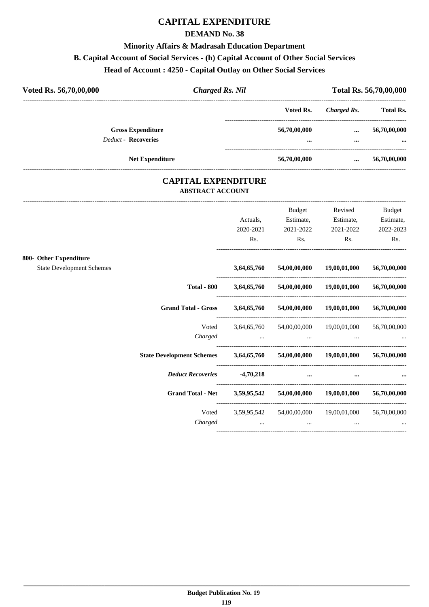# **CAPITAL EXPENDITURE**

### **DEMAND No. 38**

# **Minority Affairs & Madrasah Education Department B. Capital Account of Social Services - (h) Capital Account of Other Social Services Head of Account : 4250 - Capital Outlay on Other Social Services**

| Voted Rs. 56,70,00,000                                 | <b>Charged Rs. Nil</b> |                  |              |                  |
|--------------------------------------------------------|------------------------|------------------|--------------|------------------|
|                                                        |                        | Voted Rs.        | Charged Rs.  | <b>Total Rs.</b> |
| <b>Gross Expenditure</b><br><b>Deduct - Recoveries</b> |                        | 56,70,00,000<br> | $\cdots$<br> | 56,70,00,000<br> |
| <b>Net Expenditure</b>                                 |                        | 56,70,00,000     | $\cdots$     | 56,70,00,000     |

### **CAPITAL EXPENDITURE ABSTRACT ACCOUNT**

---------------------------------------------------------------------------------------------------------------------------------------------------------------------------------

|                                                            |                                                                 | Actuals,<br>2020-2021<br>Rs. | Budget<br>Estimate,<br>2021-2022<br>Rs.                                                                                                      | Revised<br>Estimate,<br>2021-2022<br>Rs. | <b>Budget</b><br>Estimate,<br>2022-2023<br>Rs. |
|------------------------------------------------------------|-----------------------------------------------------------------|------------------------------|----------------------------------------------------------------------------------------------------------------------------------------------|------------------------------------------|------------------------------------------------|
| 800- Other Expenditure<br><b>State Development Schemes</b> |                                                                 |                              | 3,64,65,760 54,00,00,000 19,00,01,000                                                                                                        |                                          | 56,70,00,000                                   |
|                                                            |                                                                 |                              | Total - 800 $3,64,65,760$ $54,00,00,000$ $19,00,01,000$                                                                                      |                                          | 56,70,00,000                                   |
|                                                            | Grand Total - Gross 3,64,65,760 54,00,00,000 19,00,01,000       |                              |                                                                                                                                              |                                          | 56,70,00,000                                   |
|                                                            | Voted<br>Charged                                                |                              | 3,64,65,760 54,00,00,000 19,00,01,000<br>the contract of the contract of the contract of the contract of the contract of the contract of the |                                          | 56,70,00,000                                   |
|                                                            | State Development Schemes 3,64,65,760 54,00,00,000 19,00,01,000 |                              |                                                                                                                                              |                                          | 56,70,00,000                                   |
|                                                            | Deduct Recoveries -4,70,218                                     |                              | $\cdots$                                                                                                                                     | $\cdots$                                 |                                                |
|                                                            | Grand Total - Net 3,59,95,542 54,00,00,000 19,00,01,000         |                              |                                                                                                                                              |                                          | 56,70,00,000                                   |
|                                                            | Charged                                                         |                              | Voted 3,59,95,542 54,00,00,000 19,00,01,000<br>$\cdots$                                                                                      |                                          | 56,70,00,000                                   |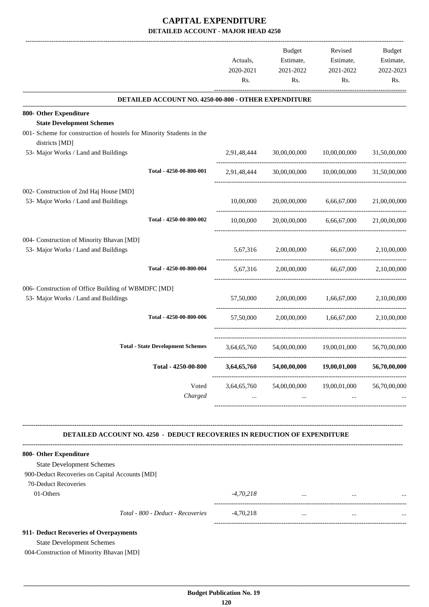|                                                                                        |                                                      |             | <b>Budget</b>                          | Revised                                           | Budget       |
|----------------------------------------------------------------------------------------|------------------------------------------------------|-------------|----------------------------------------|---------------------------------------------------|--------------|
|                                                                                        |                                                      | Actuals,    | Estimate,                              | Estimate,                                         | Estimate,    |
|                                                                                        |                                                      | 2020-2021   | 2021-2022                              | 2021-2022                                         | 2022-2023    |
|                                                                                        |                                                      | Rs.         | Rs.                                    | Rs.                                               | Rs.          |
|                                                                                        | DETAILED ACCOUNT NO. 4250-00-800 - OTHER EXPENDITURE |             |                                        |                                                   |              |
| 800- Other Expenditure                                                                 |                                                      |             |                                        |                                                   |              |
| <b>State Development Schemes</b>                                                       |                                                      |             |                                        |                                                   |              |
| 001- Scheme for construction of hostels for Minority Students in the<br>districts [MD] |                                                      |             |                                        |                                                   |              |
| 53- Major Works / Land and Buildings                                                   |                                                      | 2,91,48,444 |                                        | 30,00,00,000 10,00,00,000                         | 31,50,00,000 |
|                                                                                        | Total - 4250-00-800-001                              | 2,91,48,444 |                                        | 30,00,00,000 10,00,00,000                         | 31,50,00,000 |
| 002- Construction of 2nd Haj House [MD]                                                |                                                      |             |                                        |                                                   |              |
| 53- Major Works / Land and Buildings                                                   |                                                      | 10,00,000   | 20,00,00,000                           | 6,66,67,000                                       | 21,00,00,000 |
|                                                                                        | Total - 4250-00-800-002                              | 10,00,000   | 20,00,00,000                           | 6,66,67,000                                       | 21,00,00,000 |
| 004- Construction of Minority Bhavan [MD]                                              |                                                      |             |                                        |                                                   |              |
| 53- Major Works / Land and Buildings                                                   |                                                      | 5,67,316    | 2,00,00,000                            | 66,67,000                                         | 2,10,00,000  |
|                                                                                        | Total - 4250-00-800-004                              | 5,67,316    |                                        | 2,00,00,000 66,67,000 2,10,00,000                 |              |
| 006- Construction of Office Building of WBMDFC [MD]                                    |                                                      |             |                                        |                                                   |              |
| 53- Major Works / Land and Buildings                                                   |                                                      |             | 57,50,000 2,00,00,000                  | 1,66,67,000                                       | 2,10,00,000  |
|                                                                                        | Total - 4250-00-800-006                              | 57,50,000   |                                        | 2,00,00,000 1,66,67,000                           | 2,10,00,000  |
|                                                                                        | <b>Total - State Development Schemes</b>             |             |                                        | 3,64,65,760 54,00,00,000 19,00,01,000             | 56,70,00,000 |
|                                                                                        | Total - 4250-00-800                                  | 3,64,65,760 | 54,00,00,000                           | 19,00,01,000                                      | 56,70,00,000 |
|                                                                                        | Voted<br>Charged                                     | $\cdots$    | $\cdots$                               | 3,64,65,760 54,00,00,000 19,00,01,000<br>$\cdots$ | 56,70,00,000 |
|                                                                                        |                                                      |             |                                        |                                                   |              |
| <b>DETAILED ACCOUNT NO. 4250 - DEDUCT RECOVERIES IN REDUCTION OF EXPENDITURE</b>       |                                                      |             |                                        |                                                   |              |
| 800- Other Expenditure                                                                 |                                                      |             |                                        |                                                   |              |
| <b>State Development Schemes</b>                                                       |                                                      |             |                                        |                                                   |              |
| 900-Deduct Recoveries on Capital Accounts [MD]                                         |                                                      |             |                                        |                                                   |              |
| 70-Deduct Recoveries                                                                   |                                                      |             |                                        |                                                   |              |
| 01-Others                                                                              |                                                      | $-4,70,218$ | the control of the control of the con- | $\cdots$                                          |              |
|                                                                                        | Total - 800 - Deduct - Recoveries                    | $-4,70,218$ | $\cdots$                               | $\cdots$                                          |              |
| 911- Deduct Recoveries of Overpayments                                                 |                                                      |             |                                        |                                                   |              |
| <b>State Development Schemes</b>                                                       |                                                      |             |                                        |                                                   |              |

004-Construction of Minority Bhavan [MD]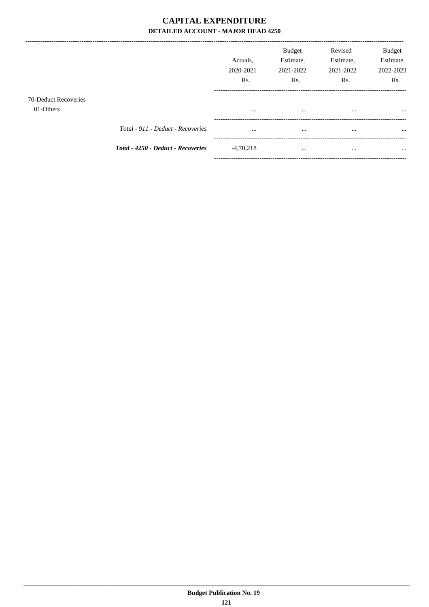----------------------------

|                                   |                                    | Actuals.<br>2020-2021<br>Rs. | <b>Budget</b><br>Estimate,<br>2021-2022<br>Rs. | Revised<br>Estimate,<br>2021-2022<br>Rs. | <b>Budget</b><br>Estimate,<br>2022-2023<br>Rs. |
|-----------------------------------|------------------------------------|------------------------------|------------------------------------------------|------------------------------------------|------------------------------------------------|
| 70-Deduct Recoveries<br>01-Others |                                    | $\cdots$                     |                                                | $\cdots$                                 |                                                |
|                                   | Total - 911 - Deduct - Recoveries  | $\cdots$                     |                                                |                                          |                                                |
|                                   | Total - 4250 - Deduct - Recoveries | $-4,70,218$                  |                                                | $\cdots$                                 | $\cdots$                                       |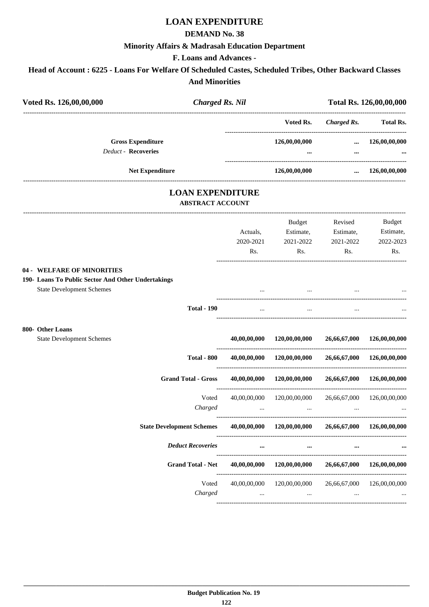# **LOAN EXPENDITURE**

### **DEMAND No. 38**

### **Minority Affairs & Madrasah Education Department**

### **F. Loans and Advances -**

# **Head of Account : 6225 - Loans For Welfare Of Scheduled Castes, Scheduled Tribes, Other Backward Classes And Minorities**

| Voted Rs. 126,00,00,000                                                                                              |                    | <b>Charged Rs. Nil</b>                             |                            |                                             | Total Rs. 126,00,00,000 |
|----------------------------------------------------------------------------------------------------------------------|--------------------|----------------------------------------------------|----------------------------|---------------------------------------------|-------------------------|
|                                                                                                                      |                    |                                                    | Voted Rs.                  | ---------------------<br><b>Charged Rs.</b> | <b>Total Rs.</b>        |
| <b>Gross Expenditure</b>                                                                                             |                    |                                                    | 126,00,00,000              | $\cdots$                                    | 126,00,00,000           |
| <b>Deduct - Recoveries</b>                                                                                           |                    |                                                    |                            | $\cdots$                                    |                         |
| <b>Net Expenditure</b>                                                                                               |                    |                                                    | 126,00,00,000              | $\cdots$                                    | 126,00,00,000           |
|                                                                                                                      |                    | <b>LOAN EXPENDITURE</b><br><b>ABSTRACT ACCOUNT</b> |                            |                                             |                         |
|                                                                                                                      |                    |                                                    | Budget                     | Revised                                     | <b>Budget</b>           |
|                                                                                                                      |                    | Actuals,                                           | Estimate,                  | Estimate,                                   | Estimate,               |
|                                                                                                                      |                    | 2020-2021                                          | 2021-2022                  | 2021-2022                                   | 2022-2023               |
|                                                                                                                      |                    | Rs.                                                | Rs.                        | Rs.                                         | Rs.                     |
| 04 - WELFARE OF MINORITIES<br>190- Loans To Public Sector And Other Undertakings<br><b>State Development Schemes</b> |                    |                                                    |                            |                                             |                         |
|                                                                                                                      |                    |                                                    |                            |                                             |                         |
|                                                                                                                      | <b>Total - 190</b> |                                                    |                            |                                             |                         |
| 800- Other Loans                                                                                                     |                    |                                                    |                            |                                             |                         |
| <b>State Development Schemes</b>                                                                                     |                    | 40,00,00,000                                       | 120,00,00,000              | 26,66,67,000                                | 126,00,00,000           |
|                                                                                                                      | <b>Total - 800</b> |                                                    | 40,00,00,000 120,00,00,000 | 26,66,67,000                                | 126,00,00,000           |
| <b>Grand Total - Gross</b>                                                                                           |                    |                                                    | 40,00,00,000 120,00,00,000 | 26,66,67,000                                | 126,00,00,000           |
|                                                                                                                      | Voted              | 40,00,00,000                                       | 120,00,00,000              | --------------------<br>26,66,67,000        | 126,00,00,000           |
|                                                                                                                      | Charged            |                                                    |                            |                                             |                         |
| <b>State Development Schemes</b>                                                                                     |                    |                                                    | 40,00,00,000 120,00,00,000 | 26,66,67,000                                | 126,00,00,000           |
| <b>Deduct Recoveries</b>                                                                                             |                    |                                                    | $\cdots$                   |                                             |                         |
| <b>Grand Total - Net</b>                                                                                             |                    | 40,00,00,000                                       | 120,00,00,000              | 26,66,67,000                                | 126,00,00,000           |
|                                                                                                                      | Voted              | 40,00,00,000                                       | 120,00,00,000              | 26,66,67,000                                | 126,00,00,000           |
|                                                                                                                      | Charged            | $\cdots$                                           |                            |                                             |                         |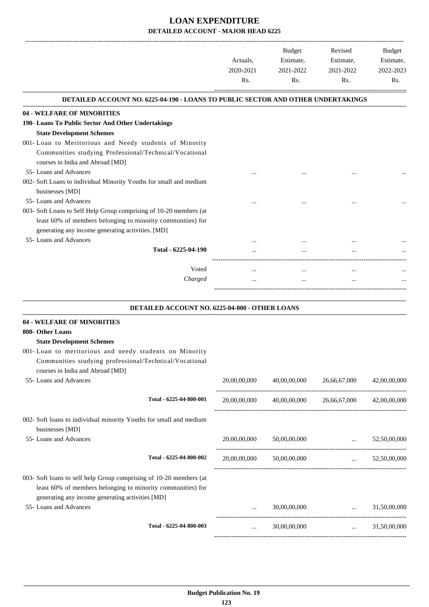|                                                                                                                                                                                       | Actuals,<br>2020-2021<br>Rs. | <b>Budget</b><br>Estimate,<br>2021-2022<br>Rs. | Revised<br>Estimate,<br>2021-2022<br>Rs.          | <b>Budget</b><br>Estimate,<br>2022-2023<br>Rs. |
|---------------------------------------------------------------------------------------------------------------------------------------------------------------------------------------|------------------------------|------------------------------------------------|---------------------------------------------------|------------------------------------------------|
| <b>DETAILED ACCOUNT NO. 6225-04-190 - LOANS TO PUBLIC SECTOR AND OTHER UNDERTAKINGS</b>                                                                                               |                              |                                                |                                                   |                                                |
| <b>04 - WELFARE OF MINORITIES</b>                                                                                                                                                     |                              |                                                |                                                   |                                                |
| 190- Loans To Public Sector And Other Undertakings                                                                                                                                    |                              |                                                |                                                   |                                                |
| <b>State Development Schemes</b>                                                                                                                                                      |                              |                                                |                                                   |                                                |
| 001- Loan to Meritorious and Needy students of Minority                                                                                                                               |                              |                                                |                                                   |                                                |
| Communities studying Professional/Technical/Vocational                                                                                                                                |                              |                                                |                                                   |                                                |
| courses in India and Abroad [MD]                                                                                                                                                      |                              |                                                |                                                   |                                                |
| 55- Loans and Advances                                                                                                                                                                |                              |                                                |                                                   |                                                |
| 002- Soft Loans to individual Minority Youths for small and medium                                                                                                                    |                              |                                                |                                                   |                                                |
| businesses [MD]                                                                                                                                                                       |                              |                                                |                                                   |                                                |
| 55- Loans and Advances                                                                                                                                                                |                              |                                                |                                                   |                                                |
| 003- Soft Loans to Self Help Group comprising of 10-20 members (at<br>least 60% of members belonging to minority communities) for                                                     |                              |                                                |                                                   |                                                |
| generating any income generating activities. [MD]                                                                                                                                     |                              |                                                |                                                   |                                                |
| 55- Loans and Advances                                                                                                                                                                |                              |                                                |                                                   |                                                |
| Total - 6225-04-190                                                                                                                                                                   |                              |                                                |                                                   |                                                |
|                                                                                                                                                                                       |                              |                                                |                                                   |                                                |
| Voted                                                                                                                                                                                 |                              | $\cdots$                                       | $\ddotsc$                                         |                                                |
| Charged                                                                                                                                                                               |                              |                                                |                                                   |                                                |
|                                                                                                                                                                                       |                              |                                                |                                                   |                                                |
| DETAILED ACCOUNT NO. 6225-04-800 - OTHER LOANS                                                                                                                                        |                              |                                                |                                                   |                                                |
| <b>04 - WELFARE OF MINORITIES</b>                                                                                                                                                     |                              |                                                |                                                   |                                                |
| 800- Other Loans                                                                                                                                                                      |                              |                                                |                                                   |                                                |
| <b>State Development Schemes</b>                                                                                                                                                      |                              |                                                |                                                   |                                                |
| 001-Loan to meritorious and needy students on Minority<br>Communities studying professional/Technical/Vocational<br>courses in India and Abroad [MD]                                  |                              |                                                |                                                   |                                                |
| 55- Loans and Advances                                                                                                                                                                | 20,00,00,000                 | 40,00,00,000                                   | 26,66,67,000                                      | 42,00,00,000                                   |
| Total - 6225-04-800-001                                                                                                                                                               | 20,00,00,000                 |                                                | 40,00,00,000 26,66,67,000                         | 42,00,00,000                                   |
| 002- Soft loans to individual minority Youths for small and medium<br>businesses [MD]                                                                                                 |                              |                                                |                                                   |                                                |
| 55- Loans and Advances                                                                                                                                                                | 20,00,00,000                 | 50,00,00,000                                   | and the contract of the                           | 52,50,00,000                                   |
| Total - 6225-04-800-002                                                                                                                                                               | 20,00,00,000                 | 50,00,00,000                                   | $\mathbf{1}$ and $\mathbf{1}$ and $\mathbf{1}$    | 52,50,00,000                                   |
|                                                                                                                                                                                       |                              |                                                |                                                   |                                                |
| 003- Soft loans to self help Group comprising of 10-20 members (at<br>least 60% of members belonging to minority communities) for<br>generating any income generating activities [MD] |                              |                                                |                                                   |                                                |
| 55- Loans and Advances                                                                                                                                                                |                              | 30,00,00,000                                   | $\ddots$                                          | 31,50,00,000                                   |
| Total - 6225-04-800-003                                                                                                                                                               | $\cdots$                     | 30,00,00,000                                   | -------------------------------------<br>$\cdots$ | 31,50,00,000                                   |

-----------------------------------------------------------------------------------------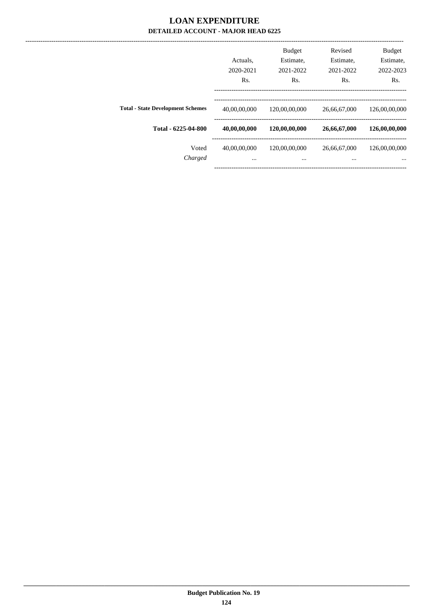|                                          | Actuals.<br>2020-2021<br>Rs. | <b>Budget</b><br>Estimate,<br>2021-2022<br>Rs. | Revised<br>Estimate,<br>2021-2022<br>Rs. | <b>Budget</b><br>Estimate,<br>2022-2023<br>Rs. |
|------------------------------------------|------------------------------|------------------------------------------------|------------------------------------------|------------------------------------------------|
| <b>Total - State Development Schemes</b> | 40,00,00,000                 | 120,00,00,000                                  | 26,66,67,000                             | 126,00,00,000                                  |
| Total - 6225-04-800                      | 40,00,00,000                 | 120,00,00,000                                  | 26,66,67,000                             | 126,00,00,000                                  |
| Voted<br>Charged                         | 40,00,00,000<br>$\cdots$     | 120,00,00,000<br>$\cdots$                      | 26,66,67,000<br>$\cdots$                 | 126,00,00,000<br>$\cdots$                      |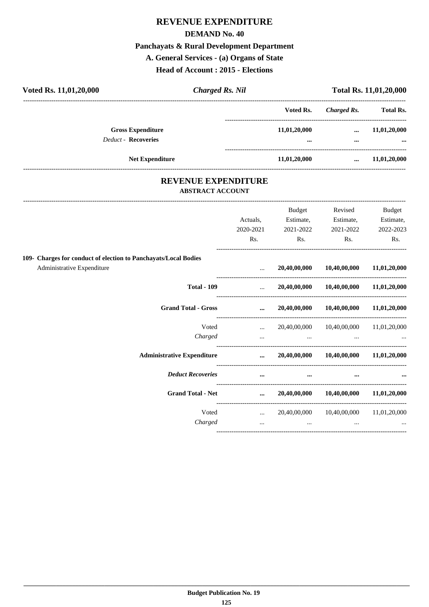# **REVENUE EXPENDITURE**

### **DEMAND No. 40**

# **Panchayats & Rural Development Department**

**A. General Services - (a) Organs of State**

**Head of Account : 2015 - Elections**

| Voted Rs. 11,01,20,000                                                                        | <b>Charged Rs. Nil</b>  |                            |                                          |                                        | Total Rs. 11,01,20,000 |
|-----------------------------------------------------------------------------------------------|-------------------------|----------------------------|------------------------------------------|----------------------------------------|------------------------|
|                                                                                               |                         |                            | Voted Rs.                                | <b>Charged Rs.</b>                     | <b>Total Rs.</b>       |
| <b>Gross Expenditure</b>                                                                      |                         |                            | 11,01,20,000                             | $\cdots$                               | 11,01,20,000           |
| Deduct - Recoveries                                                                           |                         |                            |                                          | $\cdots$                               |                        |
| Net Expenditure                                                                               |                         |                            | 11,01,20,000                             | $\cdots$                               | 11,01,20,000           |
|                                                                                               | <b>ABSTRACT ACCOUNT</b> | <b>REVENUE EXPENDITURE</b> |                                          |                                        |                        |
|                                                                                               |                         |                            | Budget                                   | Revised                                | Budget                 |
|                                                                                               |                         | Actuals,                   | Estimate,                                | Estimate,                              | Estimate,              |
|                                                                                               |                         | 2020-2021                  | 2021-2022                                | 2021-2022                              | 2022-2023              |
|                                                                                               |                         | Rs.                        | Rs.                                      | Rs.                                    | Rs.                    |
| 109- Charges for conduct of election to Panchayats/Local Bodies<br>Administrative Expenditure |                         | $\ddotsc$                  | 20,40,00,000                             | 10,40,00,000<br>---------------------- | 11,01,20,000           |
|                                                                                               | <b>Total - 109</b>      | $\cdots$                   | 20,40,00,000                             | 10,40,00,000                           | 11,01,20,000           |
| <b>Grand Total - Gross</b>                                                                    |                         | $\cdots$                   |                                          | 20,40,00,000 10,40,00,000              | 11,01,20,000           |
|                                                                                               | Voted                   | $\sim 10^{-10}$            |                                          | 20,40,00,000 10,40,00,000              | 11,01,20,000           |
|                                                                                               | Charged                 | $\ddotsc$                  | $\cdots$                                 | $\cdots$                               |                        |
| <b>Administrative Expenditure</b>                                                             |                         | $\cdots$                   |                                          | 20,40,00,000 10,40,00,000 11,01,20,000 |                        |
| <b>Deduct Recoveries</b>                                                                      |                         | $\cdots$                   | $\cdots$                                 |                                        |                        |
| <b>Grand Total - Net</b>                                                                      |                         | $\cdots$                   | 20,40,00,000                             | 10,40,00,000                           | 11,01,20,000           |
|                                                                                               | Voted                   | $\cdots$                   |                                          | 20,40,00,000 10,40,00,000              | 11,01,20,000           |
|                                                                                               | Charged                 |                            | <b>ARCHITECT</b> IN THE REAL<br>$\cdots$ | $\cdots$                               |                        |

----------------------------------------------------------------------------------------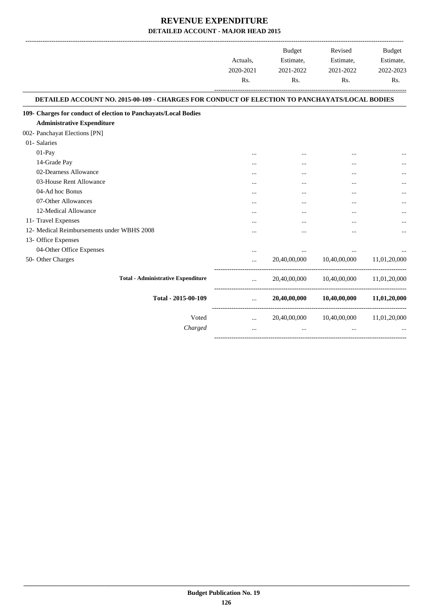|                                                                                               | Actuals,<br>2020-2021<br>Rs. | Budget<br>Estimate,<br>2021-2022<br>Rs. | Revised<br>Estimate,<br>2021-2022<br>Rs. | <b>Budget</b><br>Estimate,<br>2022-2023<br>Rs. |
|-----------------------------------------------------------------------------------------------|------------------------------|-----------------------------------------|------------------------------------------|------------------------------------------------|
| DETAILED ACCOUNT NO. 2015-00-109 - CHARGES FOR CONDUCT OF ELECTION TO PANCHAYATS/LOCAL BODIES |                              |                                         |                                          |                                                |
| 109- Charges for conduct of election to Panchayats/Local Bodies                               |                              |                                         |                                          |                                                |
| <b>Administrative Expenditure</b>                                                             |                              |                                         |                                          |                                                |
| 002- Panchayat Elections [PN]                                                                 |                              |                                         |                                          |                                                |
| 01- Salaries                                                                                  |                              |                                         |                                          |                                                |
| $01-Pay$                                                                                      |                              |                                         |                                          |                                                |
| 14-Grade Pay                                                                                  |                              |                                         | $\cdots$                                 |                                                |
| 02-Dearness Allowance                                                                         | $\cdots$                     |                                         | $\cdots$                                 |                                                |
| 03-House Rent Allowance                                                                       |                              |                                         |                                          |                                                |
| 04-Ad hoc Bonus                                                                               |                              |                                         |                                          |                                                |
| 07-Other Allowances                                                                           |                              |                                         |                                          |                                                |
| 12-Medical Allowance                                                                          | $\ddotsc$                    |                                         |                                          |                                                |
| 11- Travel Expenses                                                                           |                              |                                         |                                          |                                                |
| 12- Medical Reimbursements under WBHS 2008                                                    |                              |                                         |                                          |                                                |
| 13- Office Expenses                                                                           |                              |                                         |                                          |                                                |
| 04-Other Office Expenses                                                                      |                              |                                         |                                          |                                                |
| 50- Other Charges                                                                             | $\cdots$                     | 20,40,00,000                            | 10,40,00,000                             | 11,01,20,000                                   |
| <b>Total - Administrative Expenditure</b>                                                     |                              | 20,40,00,000                            | 10,40,00,000                             | 11,01,20,000                                   |
| Total - 2015-00-109                                                                           | $\cdots$                     | 20,40,00,000                            | 10,40,00,000                             | 11,01,20,000                                   |
| Voted                                                                                         | $\cdots$                     | 20,40,00,000                            | 10,40,00,000                             | 11,01,20,000                                   |
| Charged                                                                                       |                              |                                         |                                          |                                                |

-----------------------------------------------------------------------------------------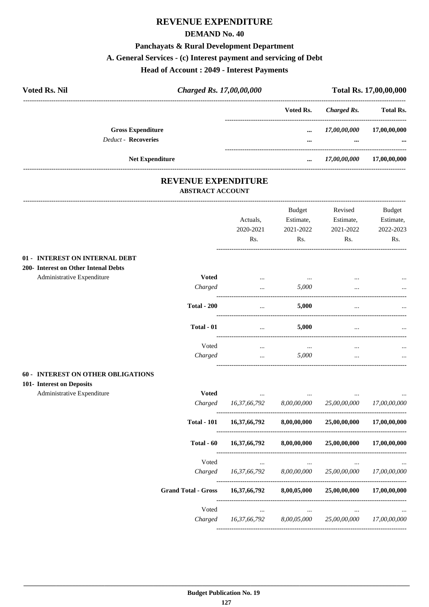# **REVENUE EXPENDITURE**

### **DEMAND No. 40**

# **Panchayats & Rural Development Department**

### **A. General Services - (c) Interest payment and servicing of Debt**

# **Head of Account : 2049 - Interest Payments**

| <b>Voted Rs. Nil</b> |                            | Charged Rs. 17,00,00,000 |           |              | Total Rs. 17,00,00,000 |
|----------------------|----------------------------|--------------------------|-----------|--------------|------------------------|
|                      |                            |                          | Voted Rs. | Charged Rs.  | <b>Total Rs.</b>       |
|                      | <b>Gross Expenditure</b>   |                          | $\cdots$  | 17,00,00,000 | 17,00,00,000           |
|                      | <b>Deduct - Recoveries</b> |                          |           | $\cdots$     |                        |
|                      | <b>Net Expenditure</b>     |                          |           | 17,00,00,000 | 17,00,00,000           |

### **REVENUE EXPENDITURE ABSTRACT ACCOUNT**

|                                                                        |                            | Actuals,<br>2020-2021<br>Rs. | Budget<br>Estimate,<br>2021-2022<br>Rs. | Revised<br>Estimate,<br>2021-2022<br>Rs. | <b>Budget</b><br>Estimate,<br>2022-2023<br>Rs. |
|------------------------------------------------------------------------|----------------------------|------------------------------|-----------------------------------------|------------------------------------------|------------------------------------------------|
| 01 - INTEREST ON INTERNAL DEBT                                         |                            |                              |                                         |                                          |                                                |
| 200- Interest on Other Intenal Debts                                   |                            |                              |                                         |                                          |                                                |
| Administrative Expenditure                                             | <b>Voted</b>               |                              | $\ddotsc$                               |                                          |                                                |
|                                                                        | Charged                    | $\ddotsc$                    | 5,000                                   |                                          |                                                |
|                                                                        | <b>Total - 200</b>         | $\ldots$                     | 5,000                                   | $\cdots$                                 |                                                |
|                                                                        | Total - 01                 | $\ddots$                     | 5,000                                   | $\ddotsc$                                |                                                |
|                                                                        | Voted                      | $\cdots$                     | $\ddots$                                |                                          |                                                |
|                                                                        | Charged                    | $\ddotsc$                    | 5,000                                   |                                          |                                                |
| <b>60 - INTEREST ON OTHER OBLIGATIONS</b><br>101- Interest on Deposits |                            |                              |                                         |                                          |                                                |
| Administrative Expenditure                                             | <b>Voted</b>               | $\cdots$                     |                                         |                                          |                                                |
|                                                                        | Charged                    | 16,37,66,792                 | 8,00,00,000                             | 25,00,00,000                             | 17,00,00,000                                   |
|                                                                        | <b>Total - 101</b>         | 16,37,66,792                 | 8,00,00,000                             | 25,00,00,000                             | 17,00,00,000                                   |
|                                                                        | Total - 60                 | 16,37,66,792                 | 8,00,00,000                             | 25,00,00,000                             | 17,00,00,000                                   |
|                                                                        | Voted                      |                              |                                         |                                          |                                                |
|                                                                        | Charged                    | 16,37,66,792                 | 8,00,00,000                             | 25,00,00,000                             | 17,00,00,000                                   |
|                                                                        | <b>Grand Total - Gross</b> | 16,37,66,792                 | 8,00,05,000                             | 25,00,00,000                             | 17,00,00,000                                   |
|                                                                        | Voted                      | $\cdots$                     | $\cdots$                                |                                          |                                                |
|                                                                        | Charged                    | 16,37,66,792                 | 8,00,05,000                             | 25,00,00,000                             | 17,00,00,000                                   |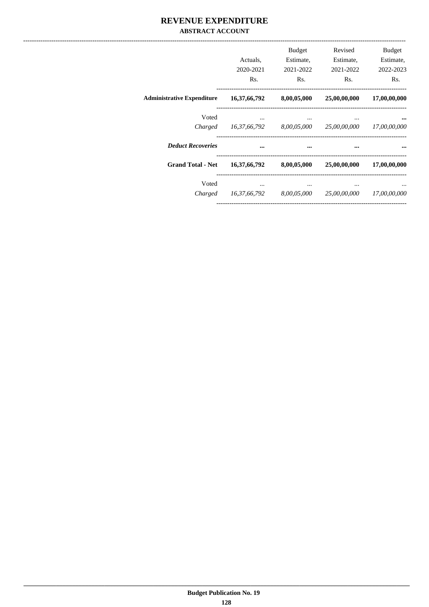### REVENUE EXPENDITURE **ABSTRACT ACCOUNT**

|                                   | Actuals,<br>2020-2021<br>Rs. | <b>Budget</b><br>Estimate,<br>2021-2022<br>Rs. | Revised<br>Estimate,<br>2021-2022<br>Rs. | <b>Budget</b><br>Estimate,<br>2022-2023<br>Rs. |
|-----------------------------------|------------------------------|------------------------------------------------|------------------------------------------|------------------------------------------------|
| <b>Administrative Expenditure</b> | 16,37,66,792                 | 8,00,05,000                                    |                                          | 25,00,00,000 17,00,00,000                      |
| Voted<br>Charged                  | 16,37,66,792                 | $\cdots$<br>8,00,05,000                        | $\cdots$<br>25,00,00,000 17,00,00,000    |                                                |
| <b>Deduct Recoveries</b>          |                              | $\cdots$                                       | $\cdots$                                 |                                                |
| <b>Grand Total - Net</b>          | 16,37,66,792                 | 8,00,05,000                                    | 25,00,00,000                             | 17,00,00,000                                   |
| Voted<br>Charged                  | 16,37,66,792                 | 8,00,05,000                                    | 25,00,00,000                             | 17,00,00,000                                   |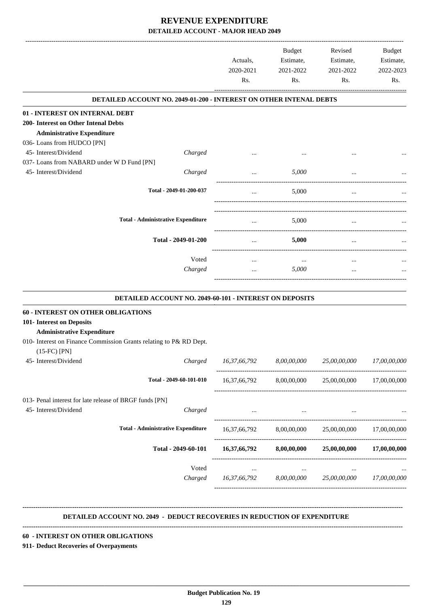|                                                                                                                                                                                                         | Actuals,<br>2020-2021<br>Rs. | <b>Budget</b><br>Estimate,<br>2021-2022<br>Rs. | Revised<br>Estimate,<br>2021-2022<br>Rs.                   | Budget<br>Estimate,<br>2022-2023<br>Rs. |
|---------------------------------------------------------------------------------------------------------------------------------------------------------------------------------------------------------|------------------------------|------------------------------------------------|------------------------------------------------------------|-----------------------------------------|
| <b>DETAILED ACCOUNT NO. 2049-01-200 - INTEREST ON OTHER INTENAL DEBTS</b>                                                                                                                               |                              |                                                |                                                            |                                         |
| 01 - INTEREST ON INTERNAL DEBT<br>200- Interest on Other Intenal Debts<br><b>Administrative Expenditure</b><br>036- Loans from HUDCO [PN]                                                               |                              |                                                |                                                            |                                         |
| 45- Interest/Dividend<br>Charged<br>037- Loans from NABARD under W D Fund [PN]                                                                                                                          |                              |                                                |                                                            |                                         |
| 45- Interest/Dividend<br>Charged                                                                                                                                                                        | $\cdots$                     | 5,000                                          |                                                            |                                         |
| Total - 2049-01-200-037                                                                                                                                                                                 |                              | 5,000                                          |                                                            |                                         |
| <b>Total - Administrative Expenditure</b>                                                                                                                                                               | $\cdots$                     | 5,000                                          | $\cdots$                                                   |                                         |
| Total - 2049-01-200                                                                                                                                                                                     | $\cdots$                     | 5,000                                          | $\cdots$                                                   |                                         |
| Voted<br>Charged                                                                                                                                                                                        | $\cdots$                     | $\cdots$<br>5,000                              |                                                            |                                         |
| DETAILED ACCOUNT NO. 2049-60-101 - INTEREST ON DEPOSITS                                                                                                                                                 |                              |                                                |                                                            |                                         |
| <b>60 - INTEREST ON OTHER OBLIGATIONS</b><br>101- Interest on Deposits<br><b>Administrative Expenditure</b><br>010- Interest on Finance Commission Grants relating to P& RD Dept.<br>$(15$ -FC $)$ [PN] |                              |                                                |                                                            |                                         |
| 45- Interest/Dividend<br>Charged                                                                                                                                                                        | 16,37,66,792                 | 8,00,00,000                                    | 25,00,00,000                                               | 17,00,00,000                            |
| Total - 2049-60-101-010                                                                                                                                                                                 | 16,37,66,792                 | 8,00,00,000                                    | 25,00,00,000                                               | 17,00,00,000                            |
| 013- Penal interest for late release of BRGF funds [PN]<br>45- Interest/Dividend<br>Charged                                                                                                             | $\cdots$                     | $\cdots$                                       |                                                            |                                         |
| <b>Total - Administrative Expenditure</b>                                                                                                                                                               |                              |                                                | $16,37,66,792$ $8,00,00,000$ $25,00,00,000$ $17,00,00,000$ |                                         |
| Total - 2049-60-101                                                                                                                                                                                     | 16,37,66,792                 | 8,00,00,000                                    | 25,00,00,000                                               | 17,00,00,000                            |
| Voted<br>Charged                                                                                                                                                                                        | $\cdots$                     | $\ldots$                                       | $\cdots$<br>16,37,66,792 8,00,00,000 25,00,00,000          | 17,00,00,000                            |
|                                                                                                                                                                                                         |                              |                                                |                                                            |                                         |

 **DETAILED ACCOUNT NO. 2049 - DEDUCT RECOVERIES IN REDUCTION OF EXPENDITURE**

 **\_\_\_\_\_\_\_\_\_\_\_\_\_\_\_\_\_\_\_\_\_\_\_\_\_\_\_\_\_\_\_\_\_\_\_\_\_\_\_\_\_\_\_\_\_\_\_\_\_\_\_\_\_\_\_\_\_\_\_\_\_\_\_\_\_\_\_\_\_\_\_\_\_\_\_\_\_\_\_\_\_\_\_\_\_\_\_\_\_\_\_\_\_\_\_\_\_\_\_\_\_\_\_\_\_\_\_\_\_\_\_\_\_\_\_\_\_\_\_**

**--------------------------------------------------------------------------------------------------------------------------------------------------------------------------------**

**--------------------------------------------------------------------------------------------------------------------------------------------------------------------------------**

#### **60 - INTEREST ON OTHER OBLIGATIONS**

**911- Deduct Recoveries of Overpayments**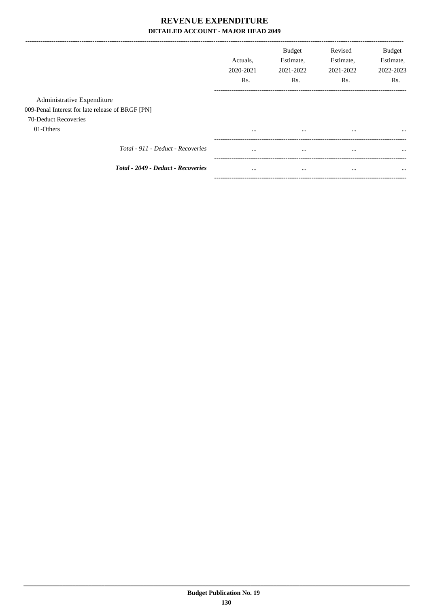|                                                  | Actuals.<br>2020-2021<br>Rs. | <b>Budget</b><br>Estimate,<br>2021-2022<br>Rs. | Revised<br>Estimate,<br>2021-2022<br>Rs. | <b>Budget</b><br>Estimate,<br>2022-2023<br>Rs. |
|--------------------------------------------------|------------------------------|------------------------------------------------|------------------------------------------|------------------------------------------------|
| Administrative Expenditure                       |                              |                                                |                                          |                                                |
| 009-Penal Interest for late release of BRGF [PN] |                              |                                                |                                          |                                                |
| 70-Deduct Recoveries                             |                              |                                                |                                          |                                                |
| 01-Others                                        | $\cdots$                     | $\cdots$                                       | $\cdots$                                 |                                                |
| Total - 911 - Deduct - Recoveries                | $\cdots$                     | $\cdots$                                       | $\cdots$                                 | $\cdots$                                       |
| Total - 2049 - Deduct - Recoveries               | $\cdots$                     | $\cdots$                                       | $\cdots$                                 | $\cdots$                                       |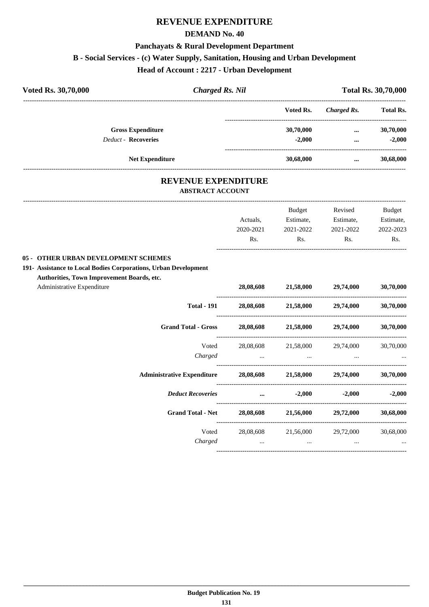# **REVENUE EXPENDITURE**

### **DEMAND No. 40**

### **Panchayats & Rural Development Department**

# **B - Social Services - (c) Water Supply, Sanitation, Housing and Urban Development**

### **Head of Account : 2217 - Urban Development**

| Voted Rs. 30,70,000        | <b>Charged Rs. Nil</b> |           | <b>Total Rs. 30,70,000</b> |                  |  |
|----------------------------|------------------------|-----------|----------------------------|------------------|--|
|                            |                        | Voted Rs. | Charged Rs.                | <b>Total Rs.</b> |  |
| <b>Gross Expenditure</b>   |                        | 30,70,000 | $\cdots$                   | 30,70,000        |  |
| <b>Deduct - Recoveries</b> |                        | $-2.000$  | $\cdots$                   | $-2,000$         |  |
| <b>Net Expenditure</b>     |                        | 30,68,000 |                            | 30,68,000        |  |

# **REVENUE EXPENDITURE**

---------------------------------------------------------------------------------------------------------------------------------------------------------------------------------

### **ABSTRACT ACCOUNT**

|                                                                    |           | <b>Budget</b>                 | Revised                                                                                                         | <b>Budget</b>                                                             |
|--------------------------------------------------------------------|-----------|-------------------------------|-----------------------------------------------------------------------------------------------------------------|---------------------------------------------------------------------------|
|                                                                    | Actuals,  | Estimate,                     | Estimate,                                                                                                       | Estimate,                                                                 |
|                                                                    | 2020-2021 | 2021-2022                     | 2021-2022                                                                                                       | 2022-2023                                                                 |
|                                                                    | Rs.       | Rs.                           | Rs.                                                                                                             | Rs.                                                                       |
| 05 - OTHER URBAN DEVELOPMENT SCHEMES                               |           |                               |                                                                                                                 |                                                                           |
| 191- Assistance to Local Bodies Corporations, Urban Development    |           |                               |                                                                                                                 |                                                                           |
| Authorities, Town Improvement Boards, etc.                         |           |                               |                                                                                                                 |                                                                           |
| Administrative Expenditure                                         |           |                               | 28,08,608 21,58,000 29,74,000                                                                                   | 30,70,000                                                                 |
| <b>Total - 191</b>                                                 |           |                               | 28,08,608 21,58,000 29,74,000                                                                                   | 30,70,000                                                                 |
| <b>Grand Total - Gross</b>                                         |           |                               | 28,08,608 21,58,000 29,74,000 30,70,000                                                                         |                                                                           |
| Voted                                                              |           |                               | 28,08,608 21,58,000 29,74,000                                                                                   | 30,70,000                                                                 |
| Charged                                                            |           |                               | المساوي المساوي المساوي المساوي المساوي المساوي المساوي المساوي المساوي المساوي المساوي المساوي المساوي المساوي |                                                                           |
| Administrative Expenditure 28,08,608 21,58,000 29,74,000 30,70,000 |           |                               |                                                                                                                 |                                                                           |
| <b>Deduct Recoveries</b>                                           |           | $\ldots$ $-2,000$             | $-2,000$                                                                                                        | $-2.000$                                                                  |
| <b>Grand Total - Net</b>                                           |           |                               | $28,08,608$ $21,56,000$ $29,72,000$                                                                             | 30,68,000                                                                 |
| Voted                                                              |           |                               | 28,08,608 21,56,000 29,72,000                                                                                   | 30,68,000                                                                 |
| Charged                                                            |           | and the state of the state of | and the state of the state of                                                                                   | $\mathbf{r}$ and $\mathbf{r}$ are all the set of $\mathbf{r}$<br>$\cdots$ |
|                                                                    |           |                               |                                                                                                                 |                                                                           |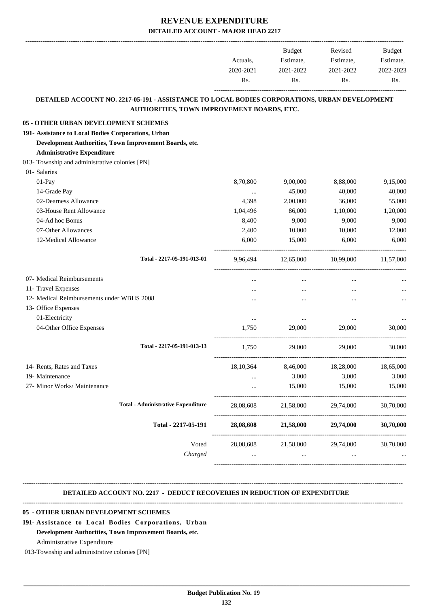|                                                                                                                                             |           | Budget    | Revised   | <b>Budget</b> |
|---------------------------------------------------------------------------------------------------------------------------------------------|-----------|-----------|-----------|---------------|
|                                                                                                                                             | Actuals,  | Estimate, | Estimate, | Estimate,     |
|                                                                                                                                             | 2020-2021 | 2021-2022 | 2021-2022 | 2022-2023     |
|                                                                                                                                             | Rs.       | Rs.       | Rs.       | Rs.           |
| DETAILED ACCOUNT NO. 2217-05-191 - ASSISTANCE TO LOCAL BODIES CORPORATIONS, URBAN DEVELOPMENT<br>AUTHORITIES, TOWN IMPROVEMENT BOARDS, ETC. |           |           |           |               |
| 05 - OTHER URBAN DEVELOPMENT SCHEMES                                                                                                        |           |           |           |               |
| 191- Assistance to Local Bodies Corporations, Urban                                                                                         |           |           |           |               |
| Development Authorities, Town Improvement Boards, etc.                                                                                      |           |           |           |               |
| <b>Administrative Expenditure</b>                                                                                                           |           |           |           |               |
| 013- Township and administrative colonies [PN]                                                                                              |           |           |           |               |
| 01- Salaries                                                                                                                                |           |           |           |               |
| 01-Pay                                                                                                                                      | 8,70,800  | 9,00,000  | 8,88,000  | 9.15.000      |
| 14-Grade Pay                                                                                                                                | $\cdots$  | 45,000    | 40,000    | 40,000        |
| 02-Dearness Allowance                                                                                                                       | 4,398     | 2,00,000  | 36,000    | 55,000        |
| 03-House Rent Allowance                                                                                                                     | 1,04,496  | 86,000    | 1,10,000  | 1,20,000      |
| 04-Ad hoc Bonus                                                                                                                             | 8,400     | 9,000     | 9,000     | 9,000         |
| 07-Other Allowances                                                                                                                         | 2,400     | 10,000    | 10,000    | 12,000        |
| 12-Medical Allowance                                                                                                                        | 6,000     | 15,000    | 6,000     | 6,000         |
| Total - 2217-05-191-013-01                                                                                                                  | 9,96,494  | 12,65,000 | 10,99,000 | 11,57,000     |
| 07- Medical Reimbursements                                                                                                                  | $\cdots$  | $\cdots$  | $\cdots$  |               |
| 11- Travel Expenses                                                                                                                         |           |           | $\ddotsc$ |               |
| 12- Medical Reimbursements under WBHS 2008                                                                                                  |           |           |           |               |
| 13- Office Expenses                                                                                                                         |           |           |           |               |
| 01-Electricity                                                                                                                              | $\ldots$  | $\cdots$  | $\ddotsc$ |               |
| 04-Other Office Expenses                                                                                                                    | 1,750     | 29,000    | 29,000    | 30,000        |
| Total - 2217-05-191-013-13                                                                                                                  | 1,750     | 29,000    | 29,000    | 30,000        |
| 14- Rents, Rates and Taxes                                                                                                                  | 18,10,364 | 8,46,000  | 18,28,000 | 18,65,000     |
| 19- Maintenance                                                                                                                             |           | 3,000     | 3,000     | 3,000         |
| 27- Minor Works/ Maintenance                                                                                                                |           | 15,000    | 15,000    | 15,000        |
| <b>Total - Administrative Expenditure</b>                                                                                                   | 28,08,608 | 21,58,000 | 29,74,000 | 30,70,000     |
| Total - 2217-05-191                                                                                                                         | 28,08,608 | 21,58,000 | 29,74,000 | 30,70,000     |
| Voted                                                                                                                                       | 28,08,608 | 21,58,000 | 29,74,000 | 30,70,000     |
| Charged                                                                                                                                     |           | $\cdots$  |           |               |

### **DETAILED ACCOUNT NO. 2217 - DEDUCT RECOVERIES IN REDUCTION OF EXPENDITURE**

**--------------------------------------------------------------------------------------------------------------------------------------------------------------------------------**

# **--------------------------------------------------------------------------------------------------------------------------------------------------------------------------------**

# **05 - OTHER URBAN DEVELOPMENT SCHEMES**

**191- Assistance to Local Bodies Corporations, Urban**

### **Development Authorities, Town Improvement Boards, etc.**

Administrative Expenditure

013-Township and administrative colonies [PN]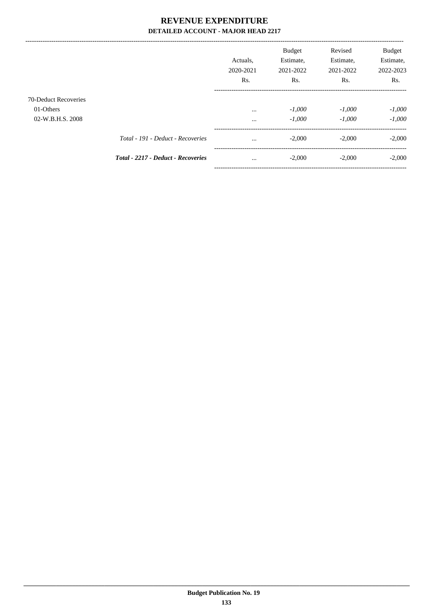|                                   |                                           | Actuals.<br>2020-2021<br>Rs. | <b>Budget</b><br>Estimate,<br>2021-2022<br>R <sub>s</sub> . | Revised<br>Estimate,<br>2021-2022<br>Rs. | <b>Budget</b><br>Estimate,<br>2022-2023<br>Rs. |
|-----------------------------------|-------------------------------------------|------------------------------|-------------------------------------------------------------|------------------------------------------|------------------------------------------------|
| 70-Deduct Recoveries<br>01-Others |                                           | $\cdots$                     | $-1,000$                                                    | $-1,000$                                 | $-1,000$                                       |
| 02-W.B.H.S. 2008                  | Total - 191 - Deduct - Recoveries         | $\cdots$<br>$\cdots$         | $-1,000$<br>$-2,000$                                        | $-1,000$<br>$-2,000$                     | $-1,000$<br>$-2,000$                           |
|                                   | <b>Total - 2217 - Deduct - Recoveries</b> | $\cdots$                     | $-2,000$                                                    | $-2,000$                                 | $-2,000$                                       |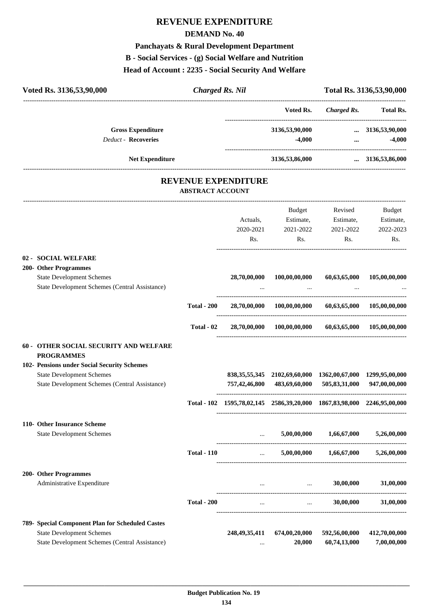# **REVENUE EXPENDITURE**

### **DEMAND No. 40**

# **Panchayats & Rural Development Department**

# **B - Social Services - (g) Social Welfare and Nutrition**

### **Head of Account : 2235 - Social Security And Welfare**

| Voted Rs. 3136,53,90,000                                                           | <b>Charged Rs. Nil</b>  |                            |                                                                         |                                     | Total Rs. 3136,53,90,000        |
|------------------------------------------------------------------------------------|-------------------------|----------------------------|-------------------------------------------------------------------------|-------------------------------------|---------------------------------|
|                                                                                    |                         |                            | Voted Rs.                                                               | Charged Rs.                         | ------------------<br>Total Rs. |
| <b>Gross Expenditure</b>                                                           |                         |                            | 3136,53,90,000                                                          | $\cdots$                            | 3136,53,90,000                  |
| <b>Deduct - Recoveries</b>                                                         |                         |                            | $-4,000$                                                                | $\cdots$                            | $-4,000$                        |
| <b>Net Expenditure</b>                                                             |                         |                            | 3136,53,86,000                                                          | -------------------                 | $\ldots$ 3136,53,86,000         |
|                                                                                    | <b>ABSTRACT ACCOUNT</b> | <b>REVENUE EXPENDITURE</b> |                                                                         |                                     |                                 |
|                                                                                    |                         |                            |                                                                         |                                     |                                 |
|                                                                                    |                         |                            | Budget                                                                  | Revised                             | Budget                          |
|                                                                                    |                         | Actuals.                   | Estimate,                                                               | Estimate,                           | Estimate,                       |
|                                                                                    |                         | 2020-2021<br>Rs.           | 2021-2022<br>Rs.                                                        | 2021-2022<br>Rs.                    | 2022-2023<br>Rs.                |
|                                                                                    |                         |                            |                                                                         |                                     |                                 |
| 02 - SOCIAL WELFARE                                                                |                         |                            |                                                                         |                                     |                                 |
| 200- Other Programmes                                                              |                         |                            |                                                                         |                                     |                                 |
| <b>State Development Schemes</b><br>State Development Schemes (Central Assistance) |                         | 28,70,00,000               | 100,00,00,000                                                           | 60,63,65,000                        | 105,00,00,000                   |
|                                                                                    |                         |                            |                                                                         |                                     |                                 |
|                                                                                    | <b>Total - 200</b>      | 28,70,00,000               | $100,\!00,\!00,\!000$                                                   | 60,63,65,000                        | 105,00,00,000                   |
|                                                                                    | Total - 02              | 28,70,00,000               | 100,00,00,000                                                           | 60,63,65,000                        | 105,00,00,000                   |
| 60 - OTHER SOCIAL SECURITY AND WELFARE                                             |                         |                            |                                                                         |                                     |                                 |
| <b>PROGRAMMES</b>                                                                  |                         |                            |                                                                         |                                     |                                 |
| 102- Pensions under Social Security Schemes                                        |                         |                            |                                                                         |                                     |                                 |
| <b>State Development Schemes</b>                                                   |                         |                            | 838, 35, 55, 345 2102, 69, 60, 000 1362, 00, 67, 000                    |                                     | 1299,95,00,000                  |
| State Development Schemes (Central Assistance)                                     |                         | 757,42,46,800              | 483,69,60,000                                                           | 505,83,31,000                       | 947,00,00,000                   |
|                                                                                    |                         |                            | Total - 102 1595,78,02,145 2586,39,20,000 1867,83,98,000 2246,95,00,000 |                                     |                                 |
| 110- Other Insurance Scheme                                                        |                         |                            |                                                                         |                                     |                                 |
| <b>State Development Schemes</b>                                                   |                         | $\cdots$                   | 5,00,00,000                                                             | 1,66,67,000                         | 5,26,00,000                     |
|                                                                                    | <b>Total - 110</b>      | $\cdots$                   | 5,00,00,000                                                             | 1,66,67,000                         | 5,26,00,000                     |
| 200- Other Programmes                                                              |                         |                            |                                                                         |                                     |                                 |
| Administrative Expenditure                                                         |                         |                            | $\sim$ $\sim$ $\sim$ $\sim$ $\sim$                                      | 30,00,000                           | 31,00,000                       |
|                                                                                    | <b>Total - 200</b>      | $\ddotsc$                  |                                                                         | 30,00,000<br><b>Sales Committee</b> | 31,00,000                       |
| 789- Special Component Plan for Scheduled Castes                                   |                         |                            |                                                                         |                                     |                                 |
| <b>State Development Schemes</b>                                                   |                         | 248, 49, 35, 411           | 674,00,20,000                                                           | 592,56,00,000                       | 412,70,00,000                   |
| <b>State Development Schemes (Central Assistance)</b>                              |                         |                            | 20,000                                                                  | 60,74,13,000                        | 7,00,00,000                     |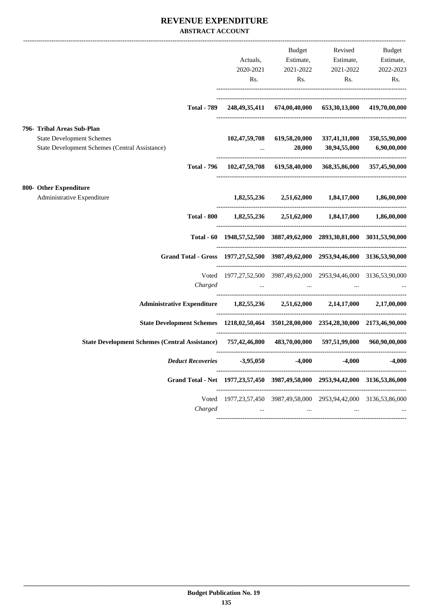### **REVENUE EXPENDITURE ABSTRACT ACCOUNT**

|                                                                                                                  | Actuals,<br>Rs.                                                                    | <b>Budget</b>             | Estimate, Estimate, Estimate,<br>2020-2021 2021-2022 2021-2022<br>Rs. Rs.                       | Revised Budget<br>2022-2023<br>Rs. |
|------------------------------------------------------------------------------------------------------------------|------------------------------------------------------------------------------------|---------------------------|-------------------------------------------------------------------------------------------------|------------------------------------|
|                                                                                                                  | Total - 789 248,49,35,411 674,00,40,000 653,30,13,000 419,70,00,000                |                           |                                                                                                 |                                    |
| 796- Tribal Areas Sub-Plan<br><b>State Development Schemes</b><br>State Development Schemes (Central Assistance) |                                                                                    | $\sim 100$ km s $^{-1}$ . | 102,47,59,708 619,58,20,000 337,41,31,000 350,55,90,000<br>20,000 30,94,55,000 6,90,00,000      |                                    |
|                                                                                                                  | Total - 796 102,47,59,708 619,58,40,000 368,35,86,000 357,45,90,000                |                           |                                                                                                 |                                    |
| 800- Other Expenditure<br>Administrative Expenditure                                                             |                                                                                    |                           | $1,82,55,236$ $2,51,62,000$ $1,84,17,000$ $1,86,00,000$                                         |                                    |
|                                                                                                                  | Total - 800 $1,82,55,236$ $2,51,62,000$ $1,84,17,000$ $1,86,00,000$                |                           |                                                                                                 |                                    |
|                                                                                                                  | Total - 60 1948, 57, 52, 500 3887, 49, 62, 000 2893, 30, 81, 000 3031, 53, 90, 000 |                           |                                                                                                 |                                    |
| Grand Total - Gross 1977, 27, 52, 500 3987, 49, 62, 000 2953, 94, 46, 000 3136, 53, 90, 000                      |                                                                                    |                           |                                                                                                 |                                    |
| Charged                                                                                                          | Voted 1977, 27, 52, 500 3987, 49, 62, 000 2953, 94, 46, 000 3136, 53, 90, 000      |                           | the contract of the contract of the contract of the contract of the contract of the contract of |                                    |
| Administrative Expenditure 1,82,55,236 2,51,62,000 2,14,17,000 2,17,00,000                                       |                                                                                    |                           |                                                                                                 |                                    |
| State Development Schemes 1218,02,50,464 3501,28,00,000 2354,28,30,000 2173,46,90,000                            |                                                                                    |                           |                                                                                                 |                                    |
| State Development Schemes (Central Assistance) 757,42,46,800 483,70,00,000 597,51,99,000 960,90,000,000          |                                                                                    |                           |                                                                                                 |                                    |
|                                                                                                                  |                                                                                    |                           |                                                                                                 |                                    |
| Grand Total - Net 1977, 23, 57, 450 3987, 49, 58, 000 2953, 94, 42, 000 3136, 53, 86, 000                        |                                                                                    |                           |                                                                                                 |                                    |
| Voted<br>Charged                                                                                                 | $\cdots$                                                                           | $\cdots$                  | 1977, 23, 57, 450 3987, 49, 58, 000 2953, 94, 42, 000 3136, 53, 86, 000                         |                                    |
|                                                                                                                  |                                                                                    |                           |                                                                                                 |                                    |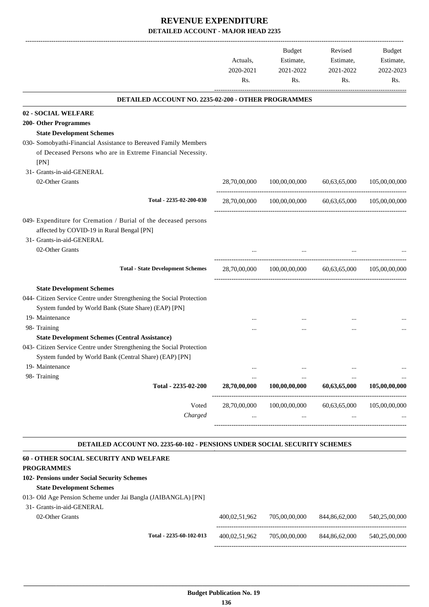| DETAILED ACCOUNT NO. 2235-02-200 - OTHER PROGRAMMES<br>28,70,00,000<br>100,00,00,000 | 60,63,65,000<br>28,70,00,000 100,00,00,000 60,63,65,000 | 105,00,00,000                                                             |
|--------------------------------------------------------------------------------------|---------------------------------------------------------|---------------------------------------------------------------------------|
|                                                                                      |                                                         |                                                                           |
|                                                                                      |                                                         |                                                                           |
|                                                                                      |                                                         |                                                                           |
|                                                                                      |                                                         |                                                                           |
|                                                                                      |                                                         |                                                                           |
|                                                                                      |                                                         |                                                                           |
|                                                                                      |                                                         |                                                                           |
|                                                                                      |                                                         | 105,00,00,000                                                             |
|                                                                                      |                                                         |                                                                           |
|                                                                                      |                                                         |                                                                           |
|                                                                                      |                                                         |                                                                           |
|                                                                                      | 28,70,00,000 100,00,00,000 60,63,65,000 105,00,00,000   |                                                                           |
|                                                                                      |                                                         |                                                                           |
|                                                                                      |                                                         |                                                                           |
|                                                                                      |                                                         |                                                                           |
|                                                                                      |                                                         |                                                                           |
|                                                                                      |                                                         |                                                                           |
|                                                                                      |                                                         |                                                                           |
|                                                                                      |                                                         |                                                                           |
| 100,00,00,000                                                                        | 60,63,65,000                                            | 105,00,00,000                                                             |
| 100,00,00,000                                                                        | 60,63,65,000                                            | 105,00,00,000                                                             |
|                                                                                      |                                                         |                                                                           |
| <br>                                                                                 | 28,70,00,000<br>28,70,00,000                            | DETAILED ACCOUNT NO. 2235-60-102 - PENSIONS UNDER SOCIAL SECURITY SCHEMES |

| 400,02,51,962 | 705,00,00,000 | 844,86,62,000 | 540,25,00,000 |
|---------------|---------------|---------------|---------------|
| 400,02,51,962 | 705,00,00,000 | 844,86,62,000 | 540.25,00,000 |
|               |               |               |               |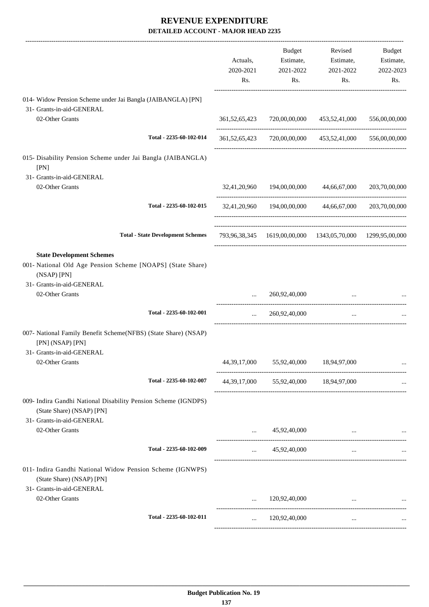|                                                                                                                          | Actuals,<br>2020-2021<br>Rs. | Budget<br>Estimate,<br>2021-2022<br>Rs.                    | Revised<br>Estimate,<br>2021-2022<br>Rs. | Budget<br>Estimate,<br>2022-2023<br>Rs. |
|--------------------------------------------------------------------------------------------------------------------------|------------------------------|------------------------------------------------------------|------------------------------------------|-----------------------------------------|
| 014- Widow Pension Scheme under Jai Bangla (JAIBANGLA) [PN]                                                              |                              |                                                            |                                          |                                         |
| 31- Grants-in-aid-GENERAL<br>02-Other Grants                                                                             |                              | 361,52,65,423 720,00,00,000 453,52,41,000                  |                                          | 556,00,00,000                           |
| Total - 2235-60-102-014                                                                                                  |                              | 361,52,65,423 720,00,00,000 453,52,41,000 556,00,00,000    |                                          |                                         |
| 015- Disability Pension Scheme under Jai Bangla (JAIBANGLA)<br>[PN]                                                      |                              |                                                            |                                          |                                         |
| 31- Grants-in-aid-GENERAL<br>02-Other Grants                                                                             |                              | 32,41,20,960 194,00,00,000 44,66,67,000                    |                                          | 203,70,00,000                           |
| Total - 2235-60-102-015                                                                                                  |                              | 32,41,20,960 194,00,00,000 44,66,67,000 203,70,00,000      |                                          |                                         |
| <b>Total - State Development Schemes</b>                                                                                 |                              | 793,96,38,345 1619,00,00,000 1343,05,70,000 1299,95,00,000 |                                          |                                         |
| <b>State Development Schemes</b><br>001- National Old Age Pension Scheme [NOAPS] (State Share)<br>(NSAP) [PN]            |                              |                                                            |                                          |                                         |
| 31- Grants-in-aid-GENERAL<br>02-Other Grants                                                                             | $\cdots$                     | 260,92,40,000                                              |                                          |                                         |
| Total - 2235-60-102-001                                                                                                  | $\ddotsc$                    | 260,92,40,000                                              | $\cdots$                                 |                                         |
| 007- National Family Benefit Scheme(NFBS) (State Share) (NSAP)<br>[PN] (NSAP) [PN]<br>31- Grants-in-aid-GENERAL          |                              |                                                            |                                          |                                         |
| 02-Other Grants                                                                                                          |                              | 44, 39, 17, 000 55, 92, 40, 000 18, 94, 97, 000            |                                          |                                         |
| Total - 2235-60-102-007                                                                                                  |                              | 44, 39, 17, 000 55, 92, 40, 000 18, 94, 97, 000            |                                          |                                         |
| 009- Indira Gandhi National Disability Pension Scheme (IGNDPS)<br>(State Share) (NSAP) [PN]<br>31- Grants-in-aid-GENERAL |                              |                                                            |                                          |                                         |
| 02-Other Grants                                                                                                          |                              | 45,92,40,000                                               | $\cdots$                                 |                                         |
| Total - 2235-60-102-009                                                                                                  | $\cdots$                     | 45,92,40,000                                               | $\cdots$                                 |                                         |
| 011- Indira Gandhi National Widow Pension Scheme (IGNWPS)<br>(State Share) (NSAP) [PN]<br>31- Grants-in-aid-GENERAL      |                              |                                                            |                                          |                                         |
| 02-Other Grants                                                                                                          |                              | 120,92,40,000                                              |                                          |                                         |
| Total - 2235-60-102-011                                                                                                  | $\cdots$                     | 120,92,40,000                                              | $\cdots$                                 |                                         |
|                                                                                                                          |                              |                                                            |                                          |                                         |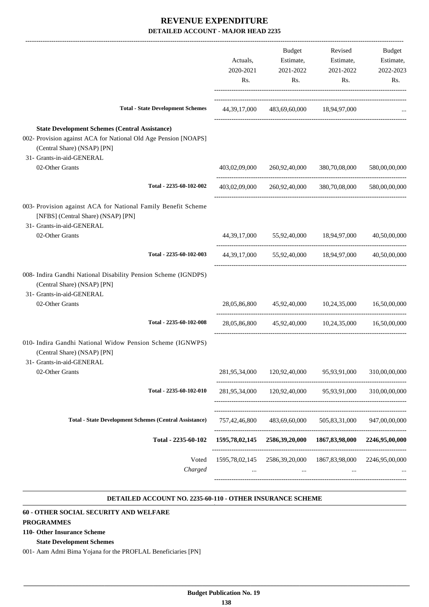|                                                                                                                                                                                      | Actuals,<br>2020-2021<br>Rs. | Budget<br>Estimate,<br>2021-2022<br>Rs.          | Revised<br>Estimate,<br>2021-2022<br>Rs.                          | Budget<br>Estimate,<br>2022-2023<br>Rs. |
|--------------------------------------------------------------------------------------------------------------------------------------------------------------------------------------|------------------------------|--------------------------------------------------|-------------------------------------------------------------------|-----------------------------------------|
| <b>Total - State Development Schemes</b>                                                                                                                                             |                              | 44, 39, 17, 000 483, 69, 60, 000 18, 94, 97, 000 |                                                                   |                                         |
| <b>State Development Schemes (Central Assistance)</b><br>002- Provision against ACA for National Old Age Pension [NOAPS]<br>(Central Share) (NSAP) [PN]<br>31- Grants-in-aid-GENERAL |                              |                                                  |                                                                   |                                         |
| 02-Other Grants                                                                                                                                                                      |                              | 403,02,09,000 260,92,40,000                      | 380,70,08,000                                                     | 580,00,00,000                           |
| Total - 2235-60-102-002                                                                                                                                                              |                              |                                                  | 403,02,09,000 260,92,40,000 380,70,08,000                         | 580,00,00,000                           |
| 003- Provision against ACA for National Family Benefit Scheme<br>[NFBS] (Central Share) (NSAP) [PN]<br>31- Grants-in-aid-GENERAL                                                     |                              |                                                  |                                                                   |                                         |
| 02-Other Grants                                                                                                                                                                      |                              |                                                  | 44, 39, 17, 000 55, 92, 40, 000 18, 94, 97, 000                   | 40,50,00,000                            |
| Total - 2235-60-102-003                                                                                                                                                              |                              |                                                  | 44, 39, 17, 000 55, 92, 40, 000 18, 94, 97, 000 40, 50, 00, 000   |                                         |
| 008- Indira Gandhi National Disability Pension Scheme (IGNDPS)<br>(Central Share) (NSAP) [PN]<br>31- Grants-in-aid-GENERAL                                                           |                              |                                                  |                                                                   |                                         |
| 02-Other Grants                                                                                                                                                                      |                              |                                                  | 28,05,86,800 45,92,40,000 10,24,35,000 16,50,00,000               |                                         |
| Total - 2235-60-102-008                                                                                                                                                              |                              |                                                  | 28,05,86,800 45,92,40,000 10,24,35,000                            | 16,50,00,000                            |
| 010- Indira Gandhi National Widow Pension Scheme (IGNWPS)<br>(Central Share) (NSAP) [PN]<br>31- Grants-in-aid-GENERAL                                                                |                              |                                                  |                                                                   |                                         |
| 02-Other Grants                                                                                                                                                                      | 281,95,34,000                | 120,92,40,000                                    | 95,93,91,000                                                      | 310,00,00,000                           |
| Total - 2235-60-102-010                                                                                                                                                              |                              |                                                  | ---------------------<br>281,95,34,000 120,92,40,000 95,93,91,000 | 310,00,00,000                           |
| <b>Total - State Development Schemes (Central Assistance)</b>                                                                                                                        | 757,42,46,800                | 483,69,60,000                                    | 505,83,31,000                                                     | 947,00,00,000                           |
| Total - 2235-60-102                                                                                                                                                                  | 1595,78,02,145               |                                                  | 2586,39,20,000 1867,83,98,000                                     | 2246,95,00,000                          |
| Voted<br>Charged                                                                                                                                                                     | 1595,78,02,145<br>$\cdots$   | $\cdots$                                         | 2586,39,20,000 1867,83,98,000                                     | 2246,95,00,000                          |

#### **DETAILED ACCOUNT NO. 2235-60-110 - OTHER INSURANCE SCHEME .**

.

### **60 - OTHER SOCIAL SECURITY AND WELFARE**

#### **PROGRAMMES**

### **110- Other Insurance Scheme**

### **State Development Schemes**

001- Aam Admi Bima Yojana for the PROFLAL Beneficiaries [PN]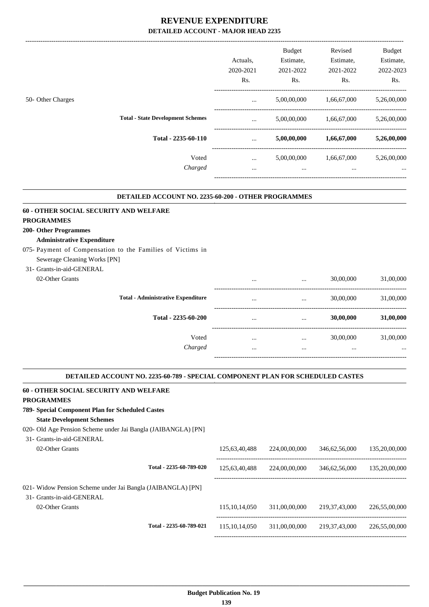|                                          | Actuals,<br>2020-2021<br>Rs. | Budget<br>Estimate,<br>2021-2022<br>Rs. | Revised<br>Estimate,<br>2021-2022<br>Rs. | <b>Budget</b><br>Estimate,<br>2022-2023<br>Rs. |
|------------------------------------------|------------------------------|-----------------------------------------|------------------------------------------|------------------------------------------------|
| 50- Other Charges                        | $\cdots$                     | 5,00,00,000                             | 1,66,67,000                              | 5,26,00,000                                    |
| <b>Total - State Development Schemes</b> | $\cdots$                     | 5,00,00,000                             | 1,66,67,000                              | 5,26,00,000                                    |
| Total - 2235-60-110                      | $\cdots$                     | 5,00,00,000                             | 1,66,67,000                              | 5,26,00,000                                    |
| Voted<br>Charged                         | $\cdots$<br>$\cdots$         | 5,00,00,000<br>$\cdots$                 | 1,66,67,000<br>$\cdots$                  | 5,26,00,000<br>$\cdots$                        |
|                                          |                              |                                         |                                          |                                                |

#### **DETAILED ACCOUNT NO. 2235-60-200 - OTHER PROGRAMMES .**

| 60 - OTHER SOCIAL SECURITY AND WELFARE                     |                                                           |          |                                                |           |
|------------------------------------------------------------|-----------------------------------------------------------|----------|------------------------------------------------|-----------|
| <b>PROGRAMMES</b>                                          |                                                           |          |                                                |           |
| <b>200- Other Programmes</b>                               |                                                           |          |                                                |           |
| <b>Administrative Expenditure</b>                          |                                                           |          |                                                |           |
| 075- Payment of Compensation to the Families of Victims in |                                                           |          |                                                |           |
| Sewerage Cleaning Works [PN]                               |                                                           |          |                                                |           |
| 31- Grants-in-aid-GENERAL                                  |                                                           |          |                                                |           |
| 02-Other Grants                                            | $\cdots$                                                  | $\cdots$ | 30,00,000                                      | 31,00,000 |
| <b>Total - Administrative Expenditure</b>                  | $\cdots$                                                  | $\cdots$ | 30,00,000                                      | 31,00,000 |
| Total - 2235-60-200                                        | $\cdots$                                                  | $\cdots$ | 30,00,000                                      | 31,00,000 |
| Voted                                                      | $\cdots$                                                  | $\cdots$ | 30,00,000                                      | 31,00,000 |
| Charged                                                    | $\cdots$                                                  | $\cdots$ | $\cdots$                                       | $\cdots$  |
|                                                            |                                                           |          |                                                |           |
| .                                                          | $\alpha$ $\alpha$ is $\alpha$ in the $\alpha$ is $\alpha$ |          | $\mathbf{M}$ parameter in $\alpha$ is $\alpha$ |           |

#### **DETAILED ACCOUNT NO. 2235-60-789 - SPECIAL COMPONENT PLAN FOR SCHEDULED CASTES**

| <b>60 - OTHER SOCIAL SECURITY AND WELFARE</b>                 |                  |               |                  |               |
|---------------------------------------------------------------|------------------|---------------|------------------|---------------|
| <b>PROGRAMMES</b>                                             |                  |               |                  |               |
| 789- Special Component Plan for Scheduled Castes              |                  |               |                  |               |
| <b>State Development Schemes</b>                              |                  |               |                  |               |
| 020- Old Age Pension Scheme under Jai Bangla (JAIBANGLA) [PN] |                  |               |                  |               |
| 31- Grants-in-aid-GENERAL                                     |                  |               |                  |               |
| 02-Other Grants                                               | 125,63,40,488    | 224,00,00,000 | 346,62,56,000    | 135,20,00,000 |
| Total - 2235-60-789-020                                       | 125,63,40,488    | 224,00,00,000 | 346,62,56,000    | 135,20,00,000 |
| 021- Widow Pension Scheme under Jai Bangla (JAIBANGLA) [PN]   |                  |               |                  |               |
| 31- Grants-in-aid-GENERAL                                     |                  |               |                  |               |
| 02-Other Grants                                               | 115, 10, 14, 050 | 311,00,00,000 | 219, 37, 43, 000 | 226,55,00,000 |
| Total - 2235-60-789-021                                       | 115, 10, 14, 050 | 311,00,00,000 | 219, 37, 43, 000 | 226,55,00,000 |
|                                                               |                  |               |                  |               |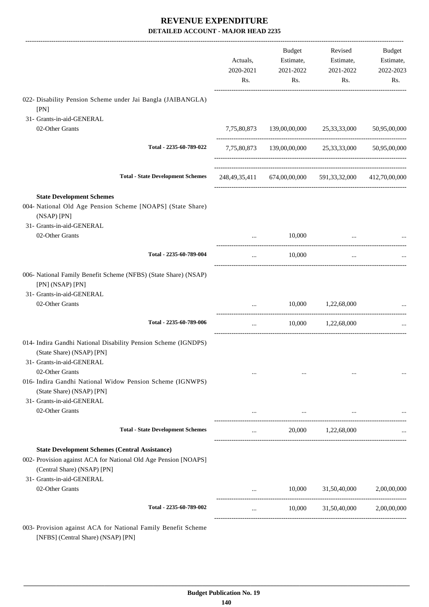|                                                                                                                                             | Actuals,<br>2020-2021<br>Rs. | Budget<br>Estimate,<br>2021-2022<br>Rs. | Revised<br>Estimate,<br>2021-2022<br>Rs.                | Budget<br>Estimate,<br>2022-2023<br>Rs. |
|---------------------------------------------------------------------------------------------------------------------------------------------|------------------------------|-----------------------------------------|---------------------------------------------------------|-----------------------------------------|
| 022- Disability Pension Scheme under Jai Bangla (JAIBANGLA)<br>[PN]                                                                         |                              |                                         |                                                         |                                         |
| 31- Grants-in-aid-GENERAL                                                                                                                   |                              |                                         |                                                         |                                         |
| 02-Other Grants                                                                                                                             |                              |                                         | 7,75,80,873 139,00,00,000 25,33,33,000                  | 50,95,00,000                            |
| Total - 2235-60-789-022                                                                                                                     |                              |                                         | 7,75,80,873 139,00,00,000 25,33,33,000 50,95,00,000     |                                         |
| <b>Total - State Development Schemes</b>                                                                                                    |                              |                                         | 248,49,35,411 674,00,00,000 591,33,32,000 412,70,00,000 |                                         |
| <b>State Development Schemes</b>                                                                                                            |                              |                                         |                                                         |                                         |
| 004- National Old Age Pension Scheme [NOAPS] (State Share)<br>(NSAP) [PN]                                                                   |                              |                                         |                                                         |                                         |
| 31- Grants-in-aid-GENERAL                                                                                                                   |                              |                                         |                                                         |                                         |
| 02-Other Grants                                                                                                                             | $\cdots$                     | 10,000                                  | $\ddotsc$                                               |                                         |
| Total - 2235-60-789-004                                                                                                                     | $\cdots$                     | 10,000                                  | $\ldots$                                                |                                         |
| 006- National Family Benefit Scheme (NFBS) (State Share) (NSAP)<br>[PN] (NSAP) [PN]                                                         |                              |                                         |                                                         |                                         |
| 31- Grants-in-aid-GENERAL                                                                                                                   |                              |                                         |                                                         |                                         |
| 02-Other Grants                                                                                                                             |                              |                                         | 10,000 1,22,68,000                                      |                                         |
| Total - 2235-60-789-006                                                                                                                     | $\cdots$                     | 10,000                                  | 1,22,68,000                                             |                                         |
| 014- Indira Gandhi National Disability Pension Scheme (IGNDPS)<br>(State Share) (NSAP) [PN]<br>31- Grants-in-aid-GENERAL<br>02-Other Grants |                              |                                         | $\cdots$                                                |                                         |
| 016- Indira Gandhi National Widow Pension Scheme (IGNWPS)<br>(State Share) (NSAP) [PN]                                                      |                              |                                         |                                                         |                                         |
| 31- Grants-in-aid-GENERAL                                                                                                                   |                              |                                         |                                                         |                                         |
| 02-Other Grants                                                                                                                             |                              | $\ldots$                                |                                                         |                                         |
| <b>Total - State Development Schemes</b>                                                                                                    | $\cdots$                     |                                         | 20,000 1,22,68,000                                      |                                         |
| <b>State Development Schemes (Central Assistance)</b>                                                                                       |                              |                                         |                                                         |                                         |
| 002- Provision against ACA for National Old Age Pension [NOAPS]<br>(Central Share) (NSAP) [PN]                                              |                              |                                         |                                                         |                                         |
| 31- Grants-in-aid-GENERAL                                                                                                                   |                              |                                         |                                                         |                                         |
| 02-Other Grants                                                                                                                             |                              | 10,000                                  | 31,50,40,000                                            | 2,00,00,000                             |
| Total - 2235-60-789-002                                                                                                                     | $\cdots$                     | 10,000                                  | 31,50,40,000                                            | 2,00,00,000                             |
| 003- Provision against ACA for National Family Benefit Scheme                                                                               |                              |                                         |                                                         |                                         |

[NFBS] (Central Share) (NSAP) [PN]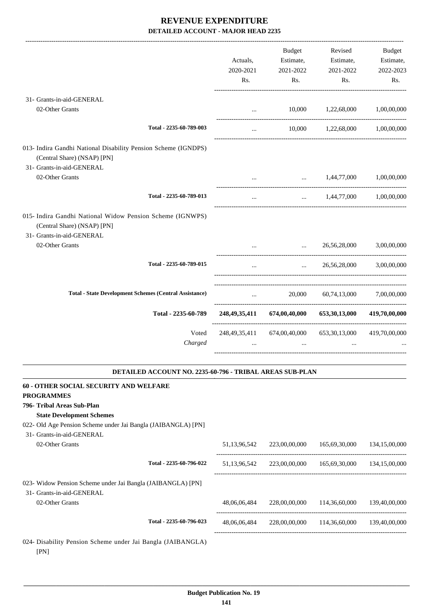|                                                                                                                            | Actuals,<br>2020-2021<br>Rs.                    | <b>Budget</b><br>Estimate,<br>2021-2022<br>Rs. | Revised<br>Estimate,<br>2021-2022<br>Rs. | <b>Budget</b><br>Estimate,<br>2022-2023<br>Rs. |
|----------------------------------------------------------------------------------------------------------------------------|-------------------------------------------------|------------------------------------------------|------------------------------------------|------------------------------------------------|
| 31- Grants-in-aid-GENERAL                                                                                                  |                                                 |                                                |                                          |                                                |
| 02-Other Grants                                                                                                            | $\cdots$                                        | 10,000                                         | 1,22,68,000                              | 1,00,00,000                                    |
| Total - 2235-60-789-003                                                                                                    | $\cdots$                                        | 10,000                                         | 1,22,68,000                              | 1,00,00,000                                    |
| 013- Indira Gandhi National Disability Pension Scheme (IGNDPS)<br>(Central Share) (NSAP) [PN]<br>31- Grants-in-aid-GENERAL |                                                 |                                                |                                          |                                                |
| 02-Other Grants                                                                                                            | $\cdots$                                        | $\ddotsc$                                      | 1,44,77,000                              | 1,00,00,000                                    |
| Total - 2235-60-789-013                                                                                                    | $\cdots$                                        | $\cdots$                                       | 1,44,77,000                              | 1,00,00,000                                    |
| 015- Indira Gandhi National Widow Pension Scheme (IGNWPS)<br>(Central Share) (NSAP) [PN]<br>31- Grants-in-aid-GENERAL      |                                                 |                                                |                                          |                                                |
| 02-Other Grants                                                                                                            |                                                 | $\cdots$                                       | 26,56,28,000                             | 3.00.00.000                                    |
| Total - 2235-60-789-015                                                                                                    | $\ddotsc$                                       | $\ddotsc$                                      | 26,56,28,000                             | 3,00,00,000                                    |
| <b>Total - State Development Schemes (Central Assistance)</b>                                                              | $\cdots$                                        | 20,000                                         | 60,74,13,000                             | 7,00,00,000                                    |
| Total - 2235-60-789                                                                                                        | ---------------------------<br>248, 49, 35, 411 | 674,00,40,000                                  | 653,30,13,000                            | 419,70,00,000                                  |
| Voted<br>Charged                                                                                                           | 248, 49, 35, 411<br>$\cdots$                    | 674,00,40,000                                  | 653, 30, 13, 000                         | 419,70,00,000                                  |
| DETAILED ACCOUNT NO. 2235-60-796 - TRIBAL AREAS SUB-PLAN                                                                   |                                                 |                                                |                                          |                                                |

| <b>60 - OTHER SOCIAL SECURITY AND WELFARE</b>                       |                         |              |               |               |               |
|---------------------------------------------------------------------|-------------------------|--------------|---------------|---------------|---------------|
| <b>PROGRAMMES</b>                                                   |                         |              |               |               |               |
| 796- Tribal Areas Sub-Plan                                          |                         |              |               |               |               |
| <b>State Development Schemes</b>                                    |                         |              |               |               |               |
| 022- Old Age Pension Scheme under Jai Bangla (JAIBANGLA) [PN]       |                         |              |               |               |               |
| 31- Grants-in-aid-GENERAL                                           |                         |              |               |               |               |
| 02-Other Grants                                                     |                         | 51,13,96,542 | 223,00,00,000 | 165,69,30,000 | 134,15,00,000 |
|                                                                     | Total - 2235-60-796-022 | 51,13,96,542 | 223,00,00,000 | 165,69,30,000 | 134,15,00,000 |
| 023- Widow Pension Scheme under Jai Bangla (JAIBANGLA) [PN]         |                         |              |               |               |               |
| 31- Grants-in-aid-GENERAL                                           |                         |              |               |               |               |
| 02-Other Grants                                                     |                         | 48,06,06,484 | 228,00,00,000 | 114,36,60,000 | 139,40,00,000 |
|                                                                     | Total - 2235-60-796-023 | 48,06,06,484 | 228,00,00,000 | 114,36,60,000 | 139,40,00,000 |
| 024- Disability Pension Scheme under Jai Bangla (JAIBANGLA)<br>[PN] |                         |              |               |               |               |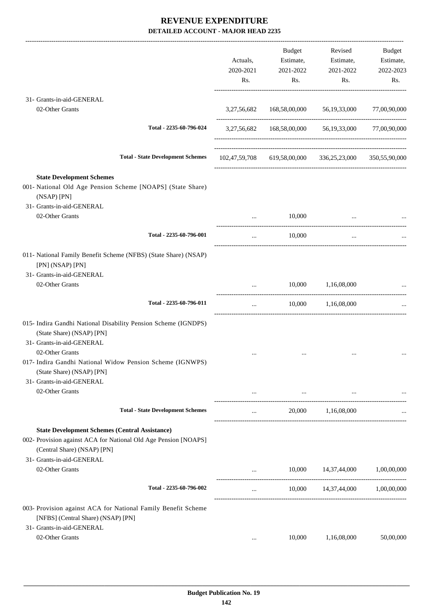|                                                                                                                                                                                                          | Actuals,<br>2020-2021<br>Rs. | Budget<br>Estimate,<br>2021-2022<br>Rs.                                        | Revised<br>Estimate,<br>2021-2022<br>Rs.            | Budget<br>Estimate,<br>2022-2023<br>Rs.                                                                                                                                                                                                                                                                               |
|----------------------------------------------------------------------------------------------------------------------------------------------------------------------------------------------------------|------------------------------|--------------------------------------------------------------------------------|-----------------------------------------------------|-----------------------------------------------------------------------------------------------------------------------------------------------------------------------------------------------------------------------------------------------------------------------------------------------------------------------|
| 31- Grants-in-aid-GENERAL                                                                                                                                                                                |                              |                                                                                |                                                     |                                                                                                                                                                                                                                                                                                                       |
| 02-Other Grants                                                                                                                                                                                          | 3,27,56,682                  |                                                                                | 168,58,00,000 56,19,33,000                          | 77,00,90,000                                                                                                                                                                                                                                                                                                          |
| Total - 2235-60-796-024                                                                                                                                                                                  |                              |                                                                                | 3,27,56,682 168,58,00,000 56,19,33,000 77,00,90,000 |                                                                                                                                                                                                                                                                                                                       |
| <b>Total - State Development Schemes</b>                                                                                                                                                                 | 102,47,59,708                |                                                                                | 619,58,00,000 336,25,23,000                         | 350,55,90,000                                                                                                                                                                                                                                                                                                         |
| <b>State Development Schemes</b><br>001- National Old Age Pension Scheme [NOAPS] (State Share)<br>(NSAP) [PN]                                                                                            |                              |                                                                                |                                                     |                                                                                                                                                                                                                                                                                                                       |
| 31- Grants-in-aid-GENERAL<br>02-Other Grants                                                                                                                                                             |                              | 10,000                                                                         |                                                     |                                                                                                                                                                                                                                                                                                                       |
| Total - 2235-60-796-001                                                                                                                                                                                  | $\cdots$                     | 10,000                                                                         | $\cdots$                                            |                                                                                                                                                                                                                                                                                                                       |
| 011- National Family Benefit Scheme (NFBS) (State Share) (NSAP)<br>[PN] (NSAP) [PN]<br>31- Grants-in-aid-GENERAL<br>02-Other Grants                                                                      |                              | 10,000                                                                         | 1,16,08,000                                         |                                                                                                                                                                                                                                                                                                                       |
| Total - 2235-60-796-011                                                                                                                                                                                  | $\cdots$                     | 10,000                                                                         | ------------------<br>1,16,08,000                   | ------------------------                                                                                                                                                                                                                                                                                              |
| 015- Indira Gandhi National Disability Pension Scheme (IGNDPS)<br>(State Share) (NSAP) [PN]<br>31- Grants-in-aid-GENERAL<br>02-Other Grants<br>017- Indira Gandhi National Widow Pension Scheme (IGNWPS) |                              |                                                                                |                                                     |                                                                                                                                                                                                                                                                                                                       |
| (State Share) (NSAP) [PN]<br>31- Grants-in-aid-GENERAL<br>02-Other Grants                                                                                                                                |                              | and the control of the control of the control of the control of the control of |                                                     | $\mathbf{1}_{\mathbf{1}_{\mathbf{1}}\mathbf{1}_{\mathbf{2}}\mathbf{1}_{\mathbf{3}}\mathbf{1}_{\mathbf{4}}\mathbf{1}_{\mathbf{5}}$ and $\mathbf{1}_{\mathbf{1}_{\mathbf{1}}\mathbf{1}_{\mathbf{3}}\mathbf{1}_{\mathbf{4}}\mathbf{1}_{\mathbf{5}}\mathbf{1}_{\mathbf{6}}\mathbf{1}_{\mathbf{6}}\mathbf{1}_{\mathbf{7}}$ |
| <b>Total - State Development Schemes</b>                                                                                                                                                                 |                              | and the state of the state                                                     | 20,000 1,16,08,000                                  |                                                                                                                                                                                                                                                                                                                       |
| <b>State Development Schemes (Central Assistance)</b><br>002- Provision against ACA for National Old Age Pension [NOAPS]<br>(Central Share) (NSAP) [PN]                                                  |                              |                                                                                |                                                     |                                                                                                                                                                                                                                                                                                                       |
| 31- Grants-in-aid-GENERAL<br>02-Other Grants                                                                                                                                                             |                              |                                                                                | 10,000 14,37,44,000                                 | 1,00,00,000                                                                                                                                                                                                                                                                                                           |
| Total - 2235-60-796-002                                                                                                                                                                                  | $\cdots$                     |                                                                                | 10,000 14,37,44,000 1,00,00,000                     |                                                                                                                                                                                                                                                                                                                       |
| 003- Provision against ACA for National Family Benefit Scheme<br>[NFBS] (Central Share) (NSAP) [PN]<br>31- Grants-in-aid-GENERAL                                                                         |                              |                                                                                |                                                     |                                                                                                                                                                                                                                                                                                                       |
| 02-Other Grants                                                                                                                                                                                          |                              | 10,000                                                                         | 1,16,08,000                                         | 50,00,000                                                                                                                                                                                                                                                                                                             |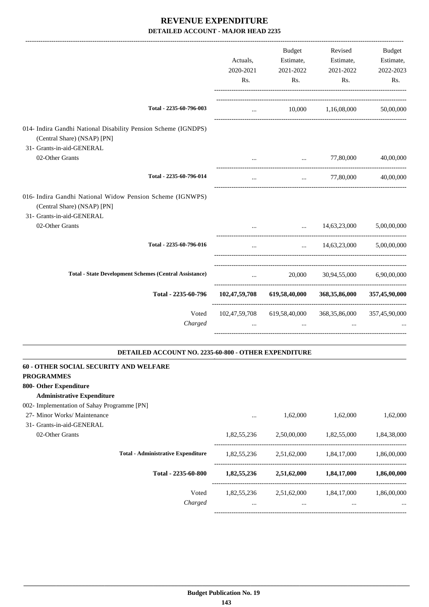|                                                                                                                                                                           | Actuals,<br>2020-2021<br>Rs. | Budget<br>Estimate,<br>2021-2022<br>Rs. | Revised<br>Estimate,<br>2021-2022<br>Rs. | Budget<br>Estimate,<br>2022-2023<br>Rs. |
|---------------------------------------------------------------------------------------------------------------------------------------------------------------------------|------------------------------|-----------------------------------------|------------------------------------------|-----------------------------------------|
| Total - 2235-60-796-003                                                                                                                                                   | $\cdots$                     |                                         | 10,000 1,16,08,000                       | 50,00,000                               |
| 014- Indira Gandhi National Disability Pension Scheme (IGNDPS)<br>(Central Share) (NSAP) [PN]<br>31- Grants-in-aid-GENERAL                                                |                              |                                         |                                          |                                         |
| 02-Other Grants                                                                                                                                                           | $\cdots$                     | $\cdots$                                | 77,80,000                                | 40,00,000                               |
| Total - 2235-60-796-014                                                                                                                                                   | $\cdots$                     | $\cdots$                                | 77,80,000                                | 40,00,000                               |
| 016- Indira Gandhi National Widow Pension Scheme (IGNWPS)<br>(Central Share) (NSAP) [PN]<br>31- Grants-in-aid-GENERAL                                                     |                              |                                         |                                          |                                         |
| 02-Other Grants                                                                                                                                                           |                              |                                         | $\ldots$ 14,63,23,000                    | 5,00,00,000                             |
| Total - 2235-60-796-016                                                                                                                                                   | $\cdots$                     | $\sim 10^{-10}$                         | 14,63,23,000                             | 5,00,00,000                             |
| <b>Total - State Development Schemes (Central Assistance)</b>                                                                                                             | $\cdots$                     |                                         | 20,000 30,94,55,000 6,90,00,000          |                                         |
| Total - 2235-60-796                                                                                                                                                       |                              | 102,47,59,708 619,58,40,000             | 368,35,86,000                            | 357,45,90,000                           |
| Voted<br>Charged                                                                                                                                                          | $\cdots$                     | 102,47,59,708 619,58,40,000<br>$\cdots$ | 368, 35, 86, 000                         | 357,45,90,000                           |
| DETAILED ACCOUNT NO. 2235-60-800 - OTHER EXPENDITURE                                                                                                                      |                              |                                         |                                          |                                         |
| 60 - OTHER SOCIAL SECURITY AND WELFARE<br><b>PROGRAMMES</b><br>800- Other Expenditure<br><b>Administrative Expenditure</b><br>002- Implementation of Sahay Programme [PN] |                              |                                         |                                          |                                         |
| 27- Minor Works/ Maintenance                                                                                                                                              |                              | 1,62,000                                | 1,62,000                                 | 1,62,000                                |
| 31- Grants-in-aid-GENERAL<br>02-Other Grants                                                                                                                              | 1,82,55,236                  | 2,50,00,000                             | 1,82,55,000                              | 1,84,38,000                             |
| <b>Total - Administrative Expenditure</b>                                                                                                                                 | 1,82,55,236                  | 2,51,62,000                             | 1,84,17,000                              | 1,86,00,000                             |
| Total - 2235-60-800                                                                                                                                                       |                              | 1,82,55,236 2,51,62,000                 | 1,84,17,000                              | 1,86,00,000                             |
| Voted<br>Charged                                                                                                                                                          | 1,82,55,236<br>$\cdots$      | 2,51,62,000<br>$\cdots$                 | 1,84,17,000<br>$\cdots$                  | 1,86,00,000                             |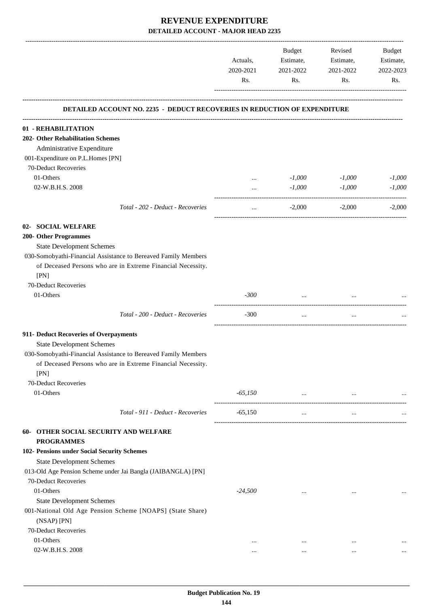|                                                                                                  | Actuals,<br>2020-2021<br>Rs. | Budget<br>Estimate,<br>2021-2022<br>Rs. | Revised<br>Estimate,<br>2021-2022<br>Rs. | <b>Budget</b><br>Estimate,<br>2022-2023<br>Rs. |
|--------------------------------------------------------------------------------------------------|------------------------------|-----------------------------------------|------------------------------------------|------------------------------------------------|
| <b>DETAILED ACCOUNT NO. 2235 - DEDUCT RECOVERIES IN REDUCTION OF EXPENDITURE</b>                 |                              |                                         |                                          |                                                |
| 01 - REHABILITATION                                                                              |                              |                                         |                                          |                                                |
| 202- Other Rehabilitation Schemes                                                                |                              |                                         |                                          |                                                |
| Administrative Expenditure                                                                       |                              |                                         |                                          |                                                |
| 001-Expenditure on P.L.Homes [PN]                                                                |                              |                                         |                                          |                                                |
| 70-Deduct Recoveries                                                                             |                              |                                         |                                          |                                                |
| 01-Others                                                                                        | $\cdots$                     | $-1,000$                                | $-1,000$                                 | $-1,000$                                       |
| 02-W.B.H.S. 2008                                                                                 | $\cdots$                     | $-1,000$                                | $-1,000$                                 | $-1,000$                                       |
| Total - 202 - Deduct - Recoveries                                                                | $\cdots$                     | $-2,000$                                | $-2,000$                                 | $-2,000$                                       |
| <b>SOCIAL WELFARE</b><br>$02 -$                                                                  |                              |                                         |                                          |                                                |
| 200- Other Programmes                                                                            |                              |                                         |                                          |                                                |
| <b>State Development Schemes</b>                                                                 |                              |                                         |                                          |                                                |
| 030-Somobyathi-Financial Assistance to Bereaved Family Members                                   |                              |                                         |                                          |                                                |
| of Deceased Persons who are in Extreme Financial Necessity.                                      |                              |                                         |                                          |                                                |
| [PN]                                                                                             |                              |                                         |                                          |                                                |
| 70-Deduct Recoveries                                                                             |                              |                                         |                                          |                                                |
| 01-Others                                                                                        | $-300$                       | $\cdots$                                | $\cdots$                                 |                                                |
| Total - 200 - Deduct - Recoveries                                                                | $-300$                       | $\cdots$                                | $\ddots$                                 |                                                |
|                                                                                                  |                              |                                         |                                          |                                                |
| 911- Deduct Recoveries of Overpayments                                                           |                              |                                         |                                          |                                                |
| <b>State Development Schemes</b>                                                                 |                              |                                         |                                          |                                                |
| 030-Somobyathi-Financial Assistance to Bereaved Family Members                                   |                              |                                         |                                          |                                                |
| of Deceased Persons who are in Extreme Financial Necessity.<br>[PN]                              |                              |                                         |                                          |                                                |
| 70-Deduct Recoveries                                                                             |                              |                                         |                                          |                                                |
| 01-Others                                                                                        | $-65,150$                    | $\cdots$                                | $\cdots$                                 |                                                |
| Total - 911 - Deduct - Recoveries                                                                | $-65,150$                    | $\cdots$                                | $\ldots$                                 |                                                |
| 60- OTHER SOCIAL SECURITY AND WELFARE<br><b>PROGRAMMES</b>                                       |                              |                                         |                                          |                                                |
| 102- Pensions under Social Security Schemes                                                      |                              |                                         |                                          |                                                |
|                                                                                                  |                              |                                         |                                          |                                                |
| <b>State Development Schemes</b><br>013-Old Age Pension Scheme under Jai Bangla (JAIBANGLA) [PN] |                              |                                         |                                          |                                                |
| 70-Deduct Recoveries                                                                             |                              |                                         |                                          |                                                |
| 01-Others                                                                                        | $-24,500$                    |                                         |                                          |                                                |
|                                                                                                  |                              | $\cdots$                                | $\cdots$                                 |                                                |
| <b>State Development Schemes</b><br>001-National Old Age Pension Scheme [NOAPS] (State Share)    |                              |                                         |                                          |                                                |
| (NSAP) [PN]                                                                                      |                              |                                         |                                          |                                                |
| 70-Deduct Recoveries                                                                             |                              |                                         |                                          |                                                |
| 01-Others                                                                                        | $\cdots$                     | $\cdots$                                | $\cdots$                                 |                                                |
| 02-W.B.H.S. 2008                                                                                 | $\cdots$                     | $\cdots$                                | $\cdots$                                 | $\cdots$                                       |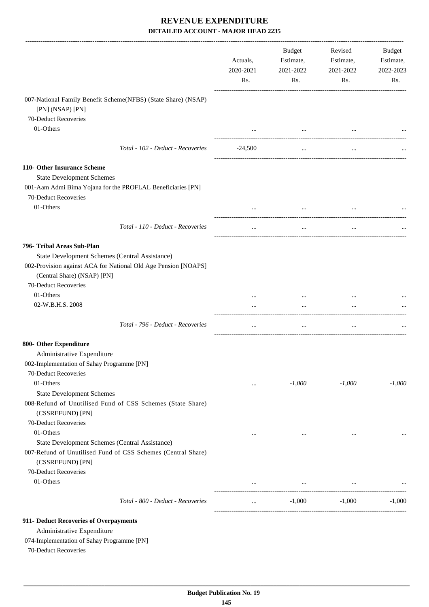|                                                                                   | Actuals,<br>2020-2021<br>Rs. | <b>Budget</b><br>Estimate,<br>2021-2022<br>Rs. | Revised<br>Estimate,<br>2021-2022<br>Rs. | Budget<br>Estimate,<br>2022-2023<br>Rs. |
|-----------------------------------------------------------------------------------|------------------------------|------------------------------------------------|------------------------------------------|-----------------------------------------|
| 007-National Family Benefit Scheme(NFBS) (State Share) (NSAP)<br>[PN] (NSAP) [PN] |                              |                                                |                                          |                                         |
| 70-Deduct Recoveries                                                              |                              |                                                |                                          |                                         |
| 01-Others                                                                         |                              | $\ddots$                                       |                                          |                                         |
| Total - 102 - Deduct - Recoveries                                                 | $-24,500$                    | $\ldots$                                       | $\cdots$                                 |                                         |
|                                                                                   |                              |                                                |                                          |                                         |
| 110- Other Insurance Scheme                                                       |                              |                                                |                                          |                                         |
| <b>State Development Schemes</b>                                                  |                              |                                                |                                          |                                         |
| 001-Aam Admi Bima Yojana for the PROFLAL Beneficiaries [PN]                       |                              |                                                |                                          |                                         |
| 70-Deduct Recoveries                                                              |                              |                                                |                                          |                                         |
| 01-Others                                                                         |                              | $\cdots$                                       |                                          |                                         |
| Total - 110 - Deduct - Recoveries                                                 | $\cdots$                     | $\cdots$                                       | $\cdots$                                 |                                         |
| 796- Tribal Areas Sub-Plan                                                        |                              |                                                |                                          |                                         |
| State Development Schemes (Central Assistance)                                    |                              |                                                |                                          |                                         |
| 002-Provision against ACA for National Old Age Pension [NOAPS]                    |                              |                                                |                                          |                                         |
| (Central Share) (NSAP) [PN]                                                       |                              |                                                |                                          |                                         |
| 70-Deduct Recoveries                                                              |                              |                                                |                                          |                                         |
| 01-Others                                                                         |                              |                                                |                                          |                                         |
| 02-W.B.H.S. 2008                                                                  | $\cdots$                     | $\cdots$                                       | $\cdots$                                 |                                         |
| Total - 796 - Deduct - Recoveries                                                 | $\cdots$                     | $\cdots$                                       | $\cdots$                                 |                                         |
| 800- Other Expenditure                                                            |                              |                                                |                                          |                                         |
|                                                                                   |                              |                                                |                                          |                                         |
| Administrative Expenditure                                                        |                              |                                                |                                          |                                         |
| 002-Implementation of Sahay Programme [PN]                                        |                              |                                                |                                          |                                         |
| 70-Deduct Recoveries                                                              |                              |                                                |                                          |                                         |
| 01-Others                                                                         | $\cdots$                     | $-1,000$                                       | $-1,000$                                 | $-1,000$                                |
| <b>State Development Schemes</b>                                                  |                              |                                                |                                          |                                         |
| 008-Refund of Unutilised Fund of CSS Schemes (State Share)<br>(CSSREFUND) [PN]    |                              |                                                |                                          |                                         |
| 70-Deduct Recoveries                                                              |                              |                                                |                                          |                                         |
| 01-Others                                                                         | $\cdots$                     | $\ldots$                                       | $\cdots$                                 |                                         |
| State Development Schemes (Central Assistance)                                    |                              |                                                |                                          |                                         |
| 007-Refund of Unutilised Fund of CSS Schemes (Central Share)<br>(CSSREFUND) [PN]  |                              |                                                |                                          |                                         |
| 70-Deduct Recoveries                                                              |                              |                                                |                                          |                                         |
| 01-Others                                                                         |                              |                                                |                                          |                                         |
|                                                                                   | $\cdots$                     | $\cdots$                                       | $\cdots$                                 |                                         |
| Total - 800 - Deduct - Recoveries                                                 | $\cdots$                     | $-1,000$                                       | $-1,000$                                 | $-1,000$                                |
| 911- Deduct Recoveries of Overpayments                                            |                              |                                                |                                          |                                         |
|                                                                                   |                              |                                                |                                          |                                         |
| Administrative Expenditure                                                        |                              |                                                |                                          |                                         |

074-Implementation of Sahay Programme [PN]

70-Deduct Recoveries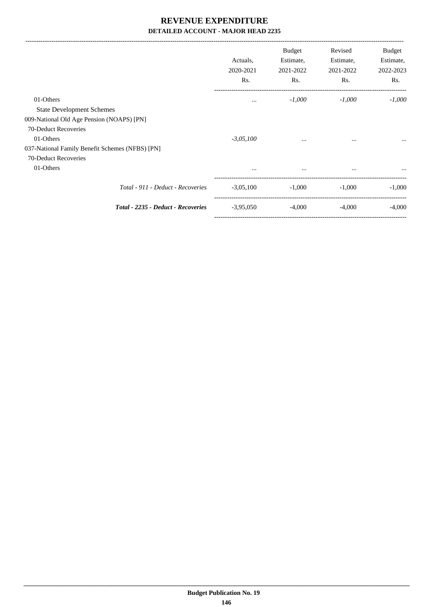-------------------------------------------------------------------------------------------------------------------------------------------------------------------------------

|                                                 | Actuals,<br>2020-2021<br>Rs. | <b>Budget</b><br>Estimate,<br>2021-2022<br>Rs. | Revised<br>Estimate,<br>2021-2022<br>Rs. | Budget<br>Estimate,<br>2022-2023<br>Rs. |
|-------------------------------------------------|------------------------------|------------------------------------------------|------------------------------------------|-----------------------------------------|
| 01-Others                                       | $\cdots$                     | $-1,000$                                       | $-1,000$                                 | $-1,000$                                |
| <b>State Development Schemes</b>                |                              |                                                |                                          |                                         |
| 009-National Old Age Pension (NOAPS) [PN]       |                              |                                                |                                          |                                         |
| 70-Deduct Recoveries                            |                              |                                                |                                          |                                         |
| 01-Others                                       | $-3,05,100$                  | $\cdots$                                       | $\cdots$                                 | $\cdots$                                |
| 037-National Family Benefit Schemes (NFBS) [PN] |                              |                                                |                                          |                                         |
| 70-Deduct Recoveries                            |                              |                                                |                                          |                                         |
| 01-Others                                       | $\cdots$                     | $\cdots$                                       | $\cdots$                                 | $\cdots$                                |
| Total - 911 - Deduct - Recoveries               | $-3,05,100$                  | $-1,000$                                       | $-1,000$                                 | $-1,000$                                |
| Total - 2235 - Deduct - Recoveries              | $-3,95,050$                  | $-4,000$                                       | $-4,000$                                 | $-4,000$                                |
|                                                 |                              |                                                |                                          |                                         |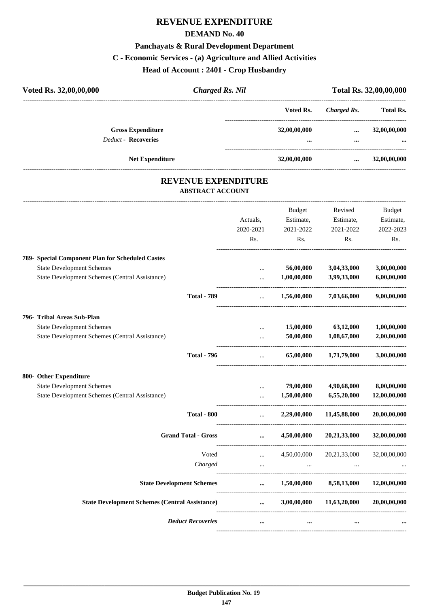# **REVENUE EXPENDITURE**

#### **DEMAND No. 40**

#### **Panchayats & Rural Development Department**

# **C - Economic Services - (a) Agriculture and Allied Activities**

**Head of Account : 2401 - Crop Husbandry**

| Voted Rs. 32,00,00,000                                 | <b>Charged Rs. Nil</b> |                                         |                      | Total Rs. 32,00,00,000 |
|--------------------------------------------------------|------------------------|-----------------------------------------|----------------------|------------------------|
|                                                        |                        | Voted Rs.                               | Charged Rs.          | <b>Total Rs.</b>       |
| <b>Gross Expenditure</b><br><b>Deduct - Recoveries</b> |                        | 32,00,00,000<br>$\bullet\bullet\bullet$ | $\cdots$<br>$\cdots$ | 32,00,00,000<br>       |
| <b>Net Expenditure</b>                                 |                        | 32,00,00,000                            | $\cdots$             | 32,00,00,000           |
|                                                        |                        |                                         |                      |                        |

#### **REVENUE EXPENDITURE ABSTRACT ACCOUNT**

---------------------------------------------------------------------------------------------------------------------------------------------------------------------------------

|                                                                                                                  | Actuals,<br>2020-2021<br>Rs.                           | <b>Budget</b><br>Estimate,<br>2021-2022<br>Rs. | Revised<br>Estimate,<br>2021-2022<br>Rs. | <b>Budget</b><br>Estimate,<br>2022-2023<br>Rs. |
|------------------------------------------------------------------------------------------------------------------|--------------------------------------------------------|------------------------------------------------|------------------------------------------|------------------------------------------------|
| 789- Special Component Plan for Scheduled Castes<br><b>State Development Schemes</b>                             | $\cdots$                                               | 56,00,000                                      | 3,04,33,000                              | 3,00,00,000                                    |
| <b>State Development Schemes (Central Assistance)</b><br><b>Total - 789</b>                                      | $\ddotsc$<br>$\ddotsc$                                 | 1,00,00,000<br>1,56,00,000                     | 3,99,33,000<br>7,03,66,000               | 6,00,00,000<br>9,00,00,000                     |
| 796- Tribal Areas Sub-Plan<br><b>State Development Schemes</b><br>State Development Schemes (Central Assistance) | $\ddotsc$<br>$\cdots$                                  | 15,00,000<br>50,00,000                         | 63,12,000<br>1,08,67,000                 | 1,00,00,000<br>2,00,00,000                     |
| <b>Total - 796</b>                                                                                               | $\mathbf{r}$                                           | 65,00,000                                      | 1,71,79,000                              | 3,00,00,000                                    |
| 800- Other Expenditure<br><b>State Development Schemes</b><br>State Development Schemes (Central Assistance)     | $\cdots$<br>$\cdots$                                   | 79,00,000<br>1,50,00,000                       | 4,90,68,000<br>6,55,20,000               | 8,00,00,000<br>12,00,00,000                    |
| <b>Total - 800</b>                                                                                               | $\mathbf{r}$ and $\mathbf{r}$<br>_____________________ |                                                | 2,29,00,000 11,45,88,000                 | 20,00,00,000                                   |
| <b>Grand Total - Gross</b>                                                                                       | $\cdots$                                               | 4,50,00,000                                    | 20, 21, 33, 000                          | 32,00,00,000                                   |
| Voted<br>Charged                                                                                                 | $\cdots$<br>$\ddotsc$                                  | 4,50,00,000                                    | 20,21,33,000                             | 32,00,00,000                                   |
| <b>State Development Schemes</b>                                                                                 |                                                        |                                                | $\dots$ 1,50,00,000 8,58,13,000          | 12,00,00,000                                   |
| <b>State Development Schemes (Central Assistance)</b>                                                            | $\cdots$                                               | 3,00,00,000                                    | 11,63,20,000                             | 20,00,00,000                                   |
| <b>Deduct Recoveries</b>                                                                                         | $\cdots$                                               | $\cdots$                                       |                                          |                                                |
|                                                                                                                  |                                                        |                                                |                                          |                                                |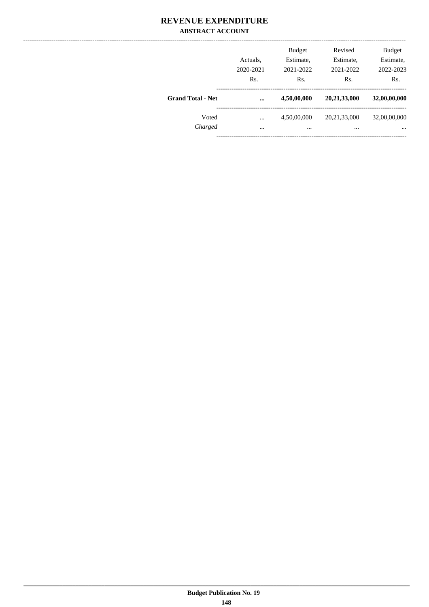#### **REVENUE EXPENDITURE ABSTRACT ACCOUNT**

|                          | Actuals,<br>2020-2021<br>Rs. | <b>Budget</b><br>Estimate,<br>2021-2022<br>Rs. | Revised<br>Estimate,<br>2021-2022<br>Rs. | <b>Budget</b><br>Estimate,<br>2022-2023<br>Rs. |
|--------------------------|------------------------------|------------------------------------------------|------------------------------------------|------------------------------------------------|
| <b>Grand Total - Net</b> | $\ddotsc$                    | 4,50,00,000                                    | 20,21,33,000                             | 32,00,00,000                                   |
| Voted                    | $\cdots$                     | 4,50,00,000                                    | 20, 21, 33, 000                          | 32,00,00,000                                   |
| Charged                  | $\cdots$                     |                                                | $\cdots$                                 | $\cdots$                                       |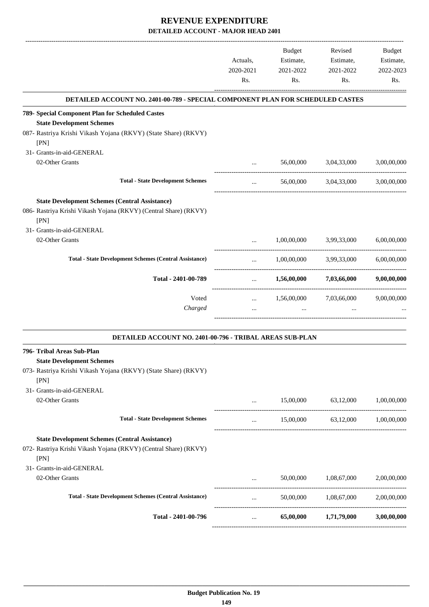|                                                                                | Actuals,<br>2020-2021<br>Rs.                 | <b>Budget</b><br>Estimate,<br>2021-2022<br>Rs. | Revised<br>Estimate,<br>2021-2022<br>Rs. | Budget<br>Estimate,<br>2022-2023<br>Rs. |
|--------------------------------------------------------------------------------|----------------------------------------------|------------------------------------------------|------------------------------------------|-----------------------------------------|
| DETAILED ACCOUNT NO. 2401-00-789 - SPECIAL COMPONENT PLAN FOR SCHEDULED CASTES |                                              |                                                |                                          |                                         |
| 789- Special Component Plan for Scheduled Castes                               |                                              |                                                |                                          |                                         |
| <b>State Development Schemes</b>                                               |                                              |                                                |                                          |                                         |
| 087- Rastriya Krishi Vikash Yojana (RKVY) (State Share) (RKVY)<br>[PN]         |                                              |                                                |                                          |                                         |
| 31- Grants-in-aid-GENERAL                                                      |                                              |                                                |                                          |                                         |
| 02-Other Grants                                                                | $\mathbf{r}$ , and the state of $\mathbf{r}$ | 56,00,000                                      | 3,04,33,000                              | 3,00,00,000                             |
| <b>Total - State Development Schemes</b>                                       | $\cdots$                                     |                                                | 56,00,000 3,04,33,000                    | 3,00,00,000                             |
| <b>State Development Schemes (Central Assistance)</b>                          |                                              |                                                |                                          |                                         |
| 086- Rastriya Krishi Vikash Yojana (RKVY) (Central Share) (RKVY)<br>[PN]       |                                              |                                                |                                          |                                         |
| 31- Grants-in-aid-GENERAL                                                      |                                              |                                                |                                          |                                         |
| 02-Other Grants                                                                | $\cdots$                                     | 1,00,00,000                                    | 3,99,33,000                              | 6,00,00,000                             |
| <b>Total - State Development Schemes (Central Assistance)</b>                  | $\cdots$                                     | 1,00,00,000                                    | 3,99,33,000                              | 6,00,00,000                             |
| Total - 2401-00-789                                                            | $\cdots$                                     | 1,56,00,000                                    | 7,03,66,000                              | 9,00,00,000                             |
| Voted                                                                          | $\cdots$                                     | 1,56,00,000                                    | 7,03,66,000                              | 9,00,00,000                             |
| Charged                                                                        |                                              |                                                |                                          |                                         |
| DETAILED ACCOUNT NO. 2401-00-796 - TRIBAL AREAS SUB-PLAN                       |                                              |                                                |                                          |                                         |
| 796- Tribal Areas Sub-Plan<br><b>State Development Schemes</b>                 |                                              |                                                |                                          |                                         |
| 073- Rastriya Krishi Vikash Yojana (RKVY) (State Share) (RKVY)<br>[PN]         |                                              |                                                |                                          |                                         |
| 31- Grants-in-aid-GENERAL                                                      |                                              |                                                |                                          |                                         |
| 02-Other Grants                                                                | $\cdots$                                     | 15,00,000                                      | 63,12,000                                | 1,00,00,000                             |
| <b>Total - State Development Schemes</b>                                       | $\cdots$                                     |                                                | 15,00,000 63,12,000 1,00,00,000          |                                         |
| <b>State Development Schemes (Central Assistance)</b>                          |                                              |                                                |                                          |                                         |
| 072- Rastriya Krishi Vikash Yojana (RKVY) (Central Share) (RKVY)<br>[PN]       |                                              |                                                |                                          |                                         |
| 31- Grants-in-aid-GENERAL                                                      |                                              |                                                |                                          |                                         |
| 02-Other Grants                                                                |                                              | 50,00,000                                      | 1,08,67,000                              | 2,00,00,000                             |
| <b>Total - State Development Schemes (Central Assistance)</b>                  | $\cdots$                                     | 50,00,000                                      | 1,08,67,000                              | 2,00,00,000                             |
| Total - 2401-00-796                                                            | $\cdots$                                     | 65,00,000                                      | 1,71,79,000                              | 3,00,00,000                             |
|                                                                                |                                              |                                                |                                          |                                         |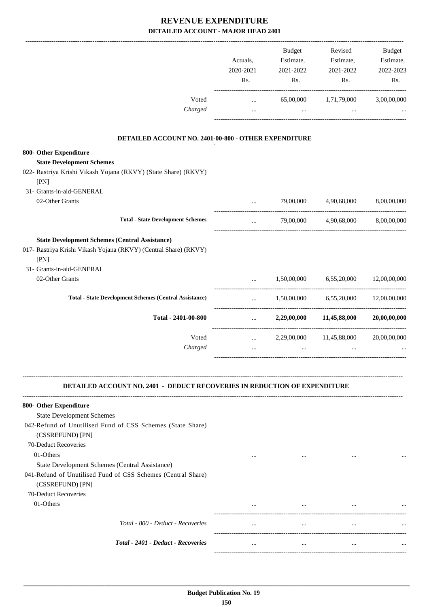|                                                                                                                                    | Actuals,<br>2020-2021<br>Rs.          | Budget<br>Estimate,<br>2021-2022<br>Rs. | Revised<br>Estimate,<br>2021-2022<br>Rs. | <b>Budget</b><br>Estimate,<br>2022-2023<br>Rs. |
|------------------------------------------------------------------------------------------------------------------------------------|---------------------------------------|-----------------------------------------|------------------------------------------|------------------------------------------------|
| Voted<br>Charged                                                                                                                   | $\cdots$<br>$\cdots$                  | 65,00,000<br>$\cdots$                   | 1,71,79,000                              | 3,00,00,000                                    |
|                                                                                                                                    |                                       |                                         |                                          |                                                |
| DETAILED ACCOUNT NO. 2401-00-800 - OTHER EXPENDITURE                                                                               |                                       |                                         |                                          |                                                |
| 800- Other Expenditure                                                                                                             |                                       |                                         |                                          |                                                |
| <b>State Development Schemes</b><br>022- Rastriya Krishi Vikash Yojana (RKVY) (State Share) (RKVY)<br>[PN]                         |                                       |                                         |                                          |                                                |
| 31- Grants-in-aid-GENERAL                                                                                                          |                                       |                                         |                                          |                                                |
| 02-Other Grants                                                                                                                    | $\cdots$                              | 79,00,000                               | 4,90,68,000                              | 8,00,00,000                                    |
| <b>Total - State Development Schemes</b>                                                                                           |                                       | 79,00,000                               | 4,90,68,000                              | 8,00,00,000                                    |
| <b>State Development Schemes (Central Assistance)</b><br>017- Rastriya Krishi Vikash Yojana (RKVY) (Central Share) (RKVY)<br>[PN]  |                                       |                                         |                                          |                                                |
| 31- Grants-in-aid-GENERAL                                                                                                          |                                       |                                         |                                          |                                                |
| 02-Other Grants                                                                                                                    | $\cdots$                              | 1,50,00,000                             | 6,55,20,000                              | 12,00,00,000                                   |
| <b>Total - State Development Schemes (Central Assistance)</b>                                                                      | $\ddotsc$<br>------------------------ |                                         | 1,50,00,000 6,55,20,000                  | 12,00,00,000                                   |
| Total - 2401-00-800                                                                                                                | $\cdots$                              |                                         | 2,29,00,000 11,45,88,000                 | 20,00,00,000                                   |
| Voted                                                                                                                              | $\cdots$                              | 2,29,00,000                             | 11,45,88,000                             | 20,00,00,000                                   |
| Charged                                                                                                                            | $\cdots$                              | $\cdots$                                |                                          |                                                |
| <b>DETAILED ACCOUNT NO. 2401 - DEDUCT RECOVERIES IN REDUCTION OF EXPENDITURE</b>                                                   |                                       |                                         |                                          |                                                |
| 800- Other Expenditure                                                                                                             |                                       |                                         |                                          |                                                |
| <b>State Development Schemes</b>                                                                                                   |                                       |                                         |                                          |                                                |
| 042-Refund of Unutilised Fund of CSS Schemes (State Share)<br>(CSSREFUND) [PN]                                                     |                                       |                                         |                                          |                                                |
| 70-Deduct Recoveries                                                                                                               |                                       |                                         |                                          |                                                |
| 01-Others                                                                                                                          | $\cdots$                              |                                         |                                          |                                                |
| State Development Schemes (Central Assistance)<br>041-Refund of Unutilised Fund of CSS Schemes (Central Share)<br>(CSSREFUND) [PN] |                                       |                                         |                                          |                                                |
| 70-Deduct Recoveries                                                                                                               |                                       |                                         |                                          |                                                |
| 01-Others                                                                                                                          |                                       | $\cdots$                                |                                          |                                                |
| Total - 800 - Deduct - Recoveries                                                                                                  | $\cdots$                              | $\cdots$                                | $\cdots$                                 |                                                |
| Total - 2401 - Deduct - Recoveries                                                                                                 | $\cdots$                              | $\cdots$                                | $\cdots$                                 |                                                |
|                                                                                                                                    |                                       |                                         |                                          |                                                |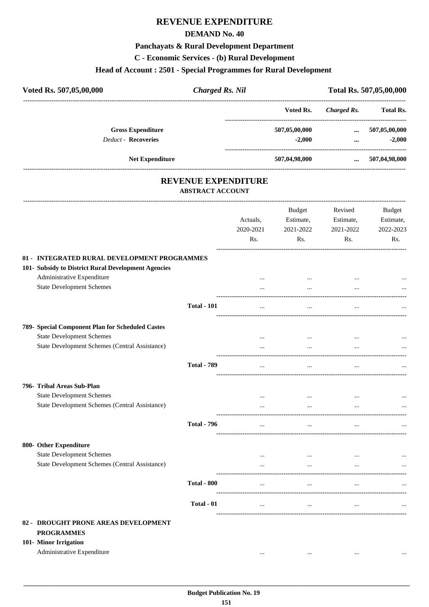# **REVENUE EXPENDITURE**

#### **DEMAND No. 40**

# **Panchayats & Rural Development Department**

**C - Economic Services - (b) Rural Development**

# **Head of Account : 2501 - Special Programmes for Rural Development**

| Voted Rs. 507,05,00,000    | <b>Charged Rs. Nil</b> |               |             | Total Rs. 507,05,00,000 |
|----------------------------|------------------------|---------------|-------------|-------------------------|
|                            |                        | Voted Rs.     | Charged Rs. | <b>Total Rs.</b>        |
| <b>Gross Expenditure</b>   |                        | 507,05,00,000 | $\cdots$    | 507,05,00,000           |
| <b>Deduct - Recoveries</b> |                        | $-2.000$      |             | $-2,000$                |
| <b>Net Expenditure</b>     |                        | 507,04,98,000 | $\cdots$    | 507,04,98,000           |
|                            |                        |               |             |                         |

# **REVENUE EXPENDITURE**

---------------------------------------------------------------------------------------------------------------------------------------------------------------------------------

**ABSTRACT ACCOUNT**

|                                                                                                                  |                    | Actuals,<br>2020-2021 | <b>Budget</b><br>Estimate,<br>2021-2022 | Revised<br>Estimate,<br>2021-2022 | <b>Budget</b><br>Estimate,<br>2022-2023 |
|------------------------------------------------------------------------------------------------------------------|--------------------|-----------------------|-----------------------------------------|-----------------------------------|-----------------------------------------|
|                                                                                                                  |                    | Rs.                   | Rs.                                     | Rs.                               | Rs.                                     |
| 01 - INTEGRATED RURAL DEVELOPMENT PROGRAMMES                                                                     |                    |                       |                                         |                                   |                                         |
| 101- Subsidy to District Rural Development Agencies                                                              |                    |                       |                                         |                                   |                                         |
| Administrative Expenditure                                                                                       |                    |                       | $\cdots$                                | $\cdots$                          |                                         |
| <b>State Development Schemes</b>                                                                                 |                    | $\cdots$              | $\dddotsc$                              |                                   |                                         |
|                                                                                                                  | <b>Total - 101</b> | $\cdots$              |                                         |                                   |                                         |
| 789- Special Component Plan for Scheduled Castes                                                                 |                    |                       |                                         |                                   |                                         |
| <b>State Development Schemes</b>                                                                                 |                    | $\cdots$              | $\cdots$                                |                                   |                                         |
| State Development Schemes (Central Assistance)                                                                   |                    | $\cdots$              | $\dddotsc$                              |                                   |                                         |
|                                                                                                                  | <b>Total - 789</b> | $\cdots$              | $\cdots$                                | $\dddotsc$                        |                                         |
| 796- Tribal Areas Sub-Plan                                                                                       |                    |                       |                                         |                                   |                                         |
| <b>State Development Schemes</b>                                                                                 |                    | $\cdots$              | $\cdots$                                | $\cdots$                          |                                         |
| State Development Schemes (Central Assistance)                                                                   |                    | $\cdots$              | $\cdots$                                | $\ddotsc$                         |                                         |
|                                                                                                                  | <b>Total - 796</b> | $\cdots$              | $\cdots$                                | $\cdots$                          |                                         |
| 800- Other Expenditure                                                                                           |                    |                       |                                         |                                   |                                         |
| <b>State Development Schemes</b>                                                                                 |                    |                       | $\ddotsc$                               |                                   |                                         |
| State Development Schemes (Central Assistance)                                                                   |                    |                       | $\cdots$                                |                                   |                                         |
|                                                                                                                  | <b>Total - 800</b> | $\cdots$              | $\ldots$                                | $\ldots$                          |                                         |
|                                                                                                                  | Total - 01         | $\cdots$              | $\ddotsc$                               | $\cdots$                          |                                         |
| 02 - DROUGHT PRONE AREAS DEVELOPMENT<br><b>PROGRAMMES</b><br>101- Minor Irrigation<br>Administrative Expenditure |                    |                       |                                         |                                   |                                         |
|                                                                                                                  |                    |                       | $\ddotsc$                               |                                   |                                         |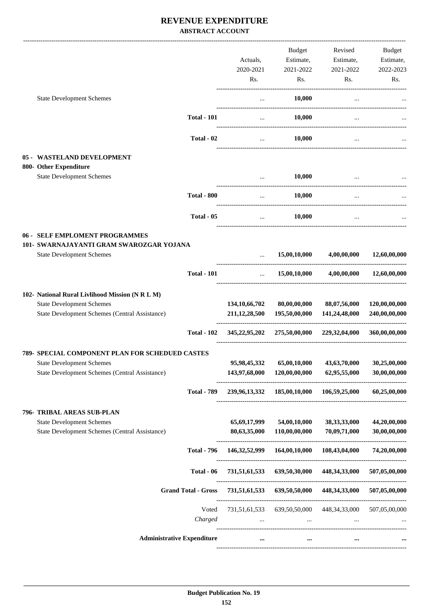#### **REVENUE EXPENDITURE ABSTRACT ACCOUNT**

|                                                                                                                                       |                                   | Actuals,<br>2020-2021<br>Rs.         | Budget<br>Estimate,<br>2021-2022<br>Rs.       | Revised<br>Estimate,<br>2021-2022<br>Rs. | Budget<br>Estimate,<br>2022-2023<br>Rs. |
|---------------------------------------------------------------------------------------------------------------------------------------|-----------------------------------|--------------------------------------|-----------------------------------------------|------------------------------------------|-----------------------------------------|
| <b>State Development Schemes</b>                                                                                                      |                                   | $\cdots$                             | 10,000                                        | $\cdots$                                 |                                         |
|                                                                                                                                       | <b>Total - 101</b>                | $\cdots$                             | 10,000                                        | $\cdots$                                 |                                         |
|                                                                                                                                       | Total - 02                        |                                      | 10,000<br>$\cdots$                            |                                          |                                         |
| 05 - WASTELAND DEVELOPMENT<br>800- Other Expenditure                                                                                  |                                   |                                      |                                               |                                          |                                         |
| <b>State Development Schemes</b>                                                                                                      |                                   | $\ddotsc$                            | 10,000                                        | $\cdots$                                 |                                         |
|                                                                                                                                       | <b>Total - 800</b>                | $\cdots$                             | 10,000                                        |                                          |                                         |
|                                                                                                                                       | Total - 05                        | $\cdots$                             | 10,000                                        |                                          |                                         |
| 06 - SELF EMPLOMENT PROGRAMMES<br>101- SWARNAJAYANTI GRAM SWAROZGAR YOJANA<br><b>State Development Schemes</b>                        |                                   | $\ddotsc$                            | 15,00,10,000                                  | 4,00,00,000                              | 12,60,00,000                            |
|                                                                                                                                       | <b>Total - 101</b>                | $\cdots$                             | 15,00,10,000                                  | 4,00,00,000                              | 12,60,00,000                            |
| 102- National Rural Livlihood Mission (N R L M)<br><b>State Development Schemes</b><br>State Development Schemes (Central Assistance) |                                   | 134, 10, 66, 702<br>211, 12, 28, 500 | 80,00,00,000<br>195,50,00,000                 | 88,07,56,000<br>141,24,48,000            | 120,00,00,000<br>240,00,00,000          |
|                                                                                                                                       | <b>Total - 102</b>                |                                      | 345,22,95,202 275,50,00,000 229,32,04,000     |                                          | 360,00,00,000                           |
| 789- SPECIAL COMPONENT PLAN FOR SCHEDUED CASTES<br><b>State Development Schemes</b><br>State Development Schemes (Central Assistance) |                                   | 95,98,45,332<br>143,97,68,000        | 65,00,10,000<br>120,00,00,000                 | 43,63,70,000<br>62,95,55,000             | 30,25,00,000<br>30,00,00,000            |
|                                                                                                                                       | <b>Total - 789</b>                | 239,96,13,332                        |                                               | 185,00,10,000 106,59,25,000              | 60,25,00,000                            |
| 796- TRIBAL AREAS SUB-PLAN<br><b>State Development Schemes</b><br>State Development Schemes (Central Assistance)                      |                                   | 65, 69, 17, 999<br>80,63,35,000      | 54,00,10,000<br>110,00,00,000                 | 38, 33, 33, 000<br>70,09,71,000          | 44,20,00,000<br>30,00,00,000            |
|                                                                                                                                       | <b>Total - 796</b>                | 146, 32, 52, 999                     | 164,00,10,000                                 | 108,43,04,000                            | 74,20,00,000                            |
|                                                                                                                                       | Total - 06                        | 731,51,61,533                        | 639,50,30,000                                 | 448,34,33,000                            | 507,05,00,000                           |
|                                                                                                                                       | <b>Grand Total - Gross</b>        | 731,51,61,533                        |                                               | 639,50,50,000 448,34,33,000              | 507,05,00,000                           |
|                                                                                                                                       | Voted<br>Charged                  | 731,51,61,533<br>$\cdots$            | 639,50,50,000<br>and the contract of the con- | 448, 34, 33, 000<br>$\cdots$             | 507,05,00,000                           |
|                                                                                                                                       | <b>Administrative Expenditure</b> |                                      | $\ddotsc$                                     | $\cdots$                                 |                                         |
|                                                                                                                                       |                                   |                                      |                                               |                                          |                                         |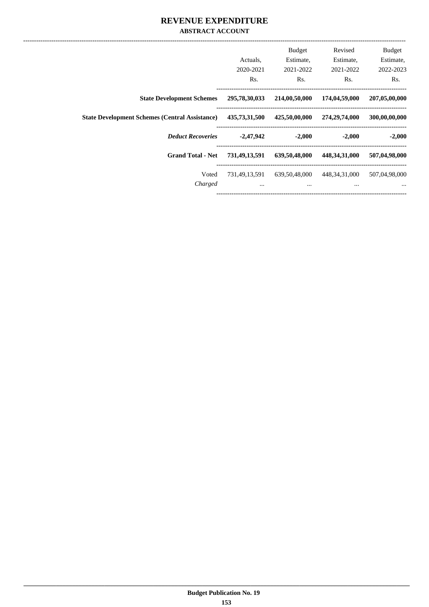#### **REVENUE EXPENDITURE ABSTRACT ACCOUNT**

| <b>Budget</b><br>Estimate,<br>2022-2023 | Revised<br>Estimate,<br>2021-2022 | <b>Budget</b><br>Estimate,<br>2021-2022 | Actuals.<br>2020-2021     |                                                       |
|-----------------------------------------|-----------------------------------|-----------------------------------------|---------------------------|-------------------------------------------------------|
| Rs.                                     | Rs.                               | Rs.                                     | Rs.                       |                                                       |
| 207,05,00,000                           | 174,04,59,000                     | 214,00,50,000                           | 295,78,30,033             | <b>State Development Schemes</b>                      |
| 300,00,00,000                           | 274,29,74,000                     | 425,50,00,000                           | 435,73,31,500             | <b>State Development Schemes (Central Assistance)</b> |
| $-2,000$                                | $-2,000$                          | $-2,000$                                | $-2,47,942$               | <b>Deduct Recoveries</b>                              |
| 507,04,98,000                           | 448, 34, 31, 000                  | 639,50,48,000                           | 731,49,13,591             | <b>Grand Total - Net</b>                              |
| 507,04,98,000<br>$\cdots$               | 448, 34, 31, 000<br>$\cdots$      | 639,50,48,000<br>$\cdots$               | 731,49,13,591<br>$\cdots$ | Voted<br>Charged                                      |
|                                         |                                   |                                         |                           |                                                       |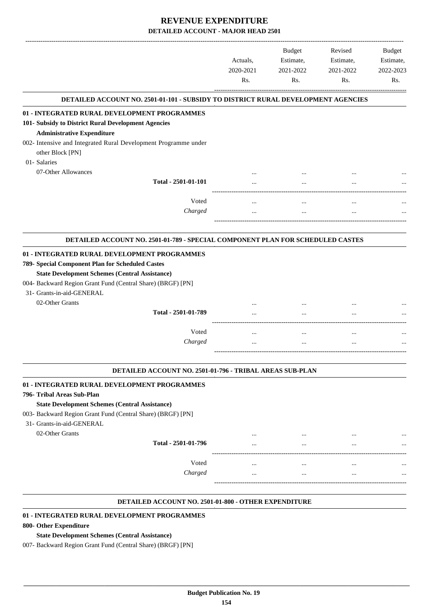|                                                                                   |           | Budget               | Revised              | <b>Budget</b> |
|-----------------------------------------------------------------------------------|-----------|----------------------|----------------------|---------------|
|                                                                                   | Actuals.  | Estimate,            | Estimate,            | Estimate,     |
|                                                                                   | 2020-2021 | 2021-2022            | 2021-2022            | 2022-2023     |
|                                                                                   | Rs.       | Rs.                  | Rs.                  | Rs.           |
| DETAILED ACCOUNT NO. 2501-01-101 - SUBSIDY TO DISTRICT RURAL DEVELOPMENT AGENCIES |           |                      |                      |               |
| 01 - INTEGRATED RURAL DEVELOPMENT PROGRAMMES                                      |           |                      |                      |               |
| 101- Subsidy to District Rural Development Agencies                               |           |                      |                      |               |
| <b>Administrative Expenditure</b>                                                 |           |                      |                      |               |
| 002- Intensive and Integrated Rural Development Programme under                   |           |                      |                      |               |
| other Block [PN]                                                                  |           |                      |                      |               |
| 01- Salaries                                                                      |           |                      |                      |               |
| 07-Other Allowances                                                               |           |                      |                      |               |
| Total - 2501-01-101                                                               |           |                      |                      |               |
| Voted                                                                             | $\cdots$  |                      |                      |               |
| Charged                                                                           |           | $\cdots$<br>$\cdots$ | $\cdots$<br>$\cdots$ |               |
|                                                                                   |           |                      |                      |               |
| DETAILED ACCOUNT NO. 2501-01-789 - SPECIAL COMPONENT PLAN FOR SCHEDULED CASTES    |           |                      |                      |               |
|                                                                                   |           |                      |                      |               |
| 01 - INTEGRATED RURAL DEVELOPMENT PROGRAMMES                                      |           |                      |                      |               |
| 789- Special Component Plan for Scheduled Castes                                  |           |                      |                      |               |
| <b>State Development Schemes (Central Assistance)</b>                             |           |                      |                      |               |
| 004- Backward Region Grant Fund (Central Share) (BRGF) [PN]                       |           |                      |                      |               |
| 31- Grants-in-aid-GENERAL                                                         |           |                      |                      |               |
| 02-Other Grants                                                                   |           |                      |                      |               |
| Total - 2501-01-789                                                               |           | $\cdots$             | $\cdots$             |               |
|                                                                                   |           |                      |                      |               |
| Voted                                                                             | $\cdots$  | $\cdots$             | $\cdots$             |               |
| Charged                                                                           |           |                      |                      |               |
|                                                                                   |           |                      |                      |               |
| DETAILED ACCOUNT NO. 2501-01-796 - TRIBAL AREAS SUB-PLAN                          |           |                      |                      |               |
| 01 - INTEGRATED RURAL DEVELOPMENT PROGRAMMES                                      |           |                      |                      |               |
| 796- Tribal Areas Sub-Plan                                                        |           |                      |                      |               |
| <b>State Development Schemes (Central Assistance)</b>                             |           |                      |                      |               |
| 003- Backward Region Grant Fund (Central Share) (BRGF) [PN]                       |           |                      |                      |               |
| 31- Grants-in-aid-GENERAL                                                         |           |                      |                      |               |
| 02-Other Grants<br>Total - 2501-01-796                                            |           |                      |                      |               |
|                                                                                   |           |                      |                      |               |
|                                                                                   |           |                      |                      |               |
|                                                                                   |           |                      |                      |               |
| Voted                                                                             |           |                      |                      |               |
| Charged                                                                           |           | $\cdots$             | $\ddotsc$            |               |

#### **DETAILED ACCOUNT NO. 2501-01-800 - OTHER EXPENDITURE .**

#### **01 - INTEGRATED RURAL DEVELOPMENT PROGRAMMES**

#### **800- Other Expenditure**

#### **State Development Schemes (Central Assistance)**

007- Backward Region Grant Fund (Central Share) (BRGF) [PN]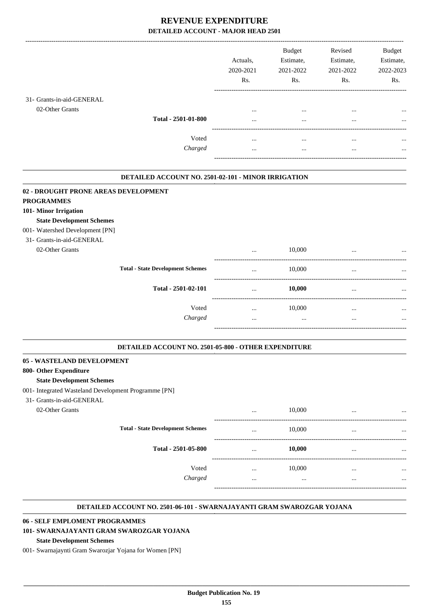|                                      |                                                     | Actuals,<br>2020-2021<br>Rs. | <b>Budget</b><br>Estimate,<br>2021-2022<br>Rs. | Revised<br>Estimate,<br>2021-2022<br>Rs. | <b>Budget</b><br>Estimate,<br>2022-2023<br>Rs. |
|--------------------------------------|-----------------------------------------------------|------------------------------|------------------------------------------------|------------------------------------------|------------------------------------------------|
| 31- Grants-in-aid-GENERAL            | Total - 2501-01-800                                 | $\cdots$                     | $\cdots$                                       | $\cdots$                                 | $\cdots$                                       |
| 02-Other Grants                      |                                                     | $\cdots$                     | $\cdots$                                       | $\cdots$                                 | $\cdots$                                       |
|                                      | Voted                                               | $\cdots$                     | $\cdots$                                       | $\cdots$                                 | $\cdots$                                       |
|                                      | Charged                                             | $\cdots$                     | $\cdots$                                       | $\cdots$                                 | $\cdots$                                       |
| 02 - DROUGHT PRONE AREAS DEVELOPMENT | DETAILED ACCOUNT NO. 2501-02-101 - MINOR IRRIGATION |                              |                                                |                                          |                                                |

#### **PROGRAMMES**

#### **101- Minor Irrigation**

#### **State Development Schemes**

#### 001- Watershed Development [PN]

#### 31- Grants-in-aid-GENERAL

| Grants-in-aid-GENERAL |                                          |            |          |           |
|-----------------------|------------------------------------------|------------|----------|-----------|
| 02-Other Grants       |                                          | <br>10,000 |          | $\cdots$  |
|                       | <b>Total - State Development Schemes</b> | <br>10,000 | $\cdots$ | $\cdots$  |
|                       | Total - 2501-02-101                      | <br>10,000 |          | $\ddotsc$ |
|                       | Voted                                    | <br>10,000 | $\cdots$ | $\ddotsc$ |
|                       | Charged                                  | <br>       |          | $\cdots$  |
|                       |                                          |            |          |           |

.

.

#### **DETAILED ACCOUNT NO. 2501-05-800 - OTHER EXPENDITURE .**

#### **05 - WASTELAND DEVELOPMENT**

#### **800- Other Expenditure**

#### **State Development Schemes**

- 001- Integrated Wasteland Development Programme [PN]
- 31- Grants-in-aid-GENERAL

| Grants-1n-aig-Geiner Al |                                          |          |        |          |           |
|-------------------------|------------------------------------------|----------|--------|----------|-----------|
| 02-Other Grants         |                                          |          | 10,000 |          | $\cdots$  |
|                         | <b>Total - State Development Schemes</b> |          | 10,000 |          | $\ddotsc$ |
|                         | Total - 2501-05-800                      | $\cdots$ | 10,000 |          | $\ddotsc$ |
|                         | Voted                                    |          | 10,000 | $\cdots$ | $\ddotsc$ |
|                         | Charged                                  |          |        |          | $\ddotsc$ |
|                         |                                          |          |        |          |           |

#### **DETAILED ACCOUNT NO. 2501-06-101 - SWARNAJAYANTI GRAM SWAROZGAR YOJANA .**

#### **06 - SELF EMPLOMENT PROGRAMMES**

## **101- SWARNAJAYANTI GRAM SWAROZGAR YOJANA**

#### **State Development Schemes**

001- Swarnajaynti Gram Swarozjar Yojana for Women [PN]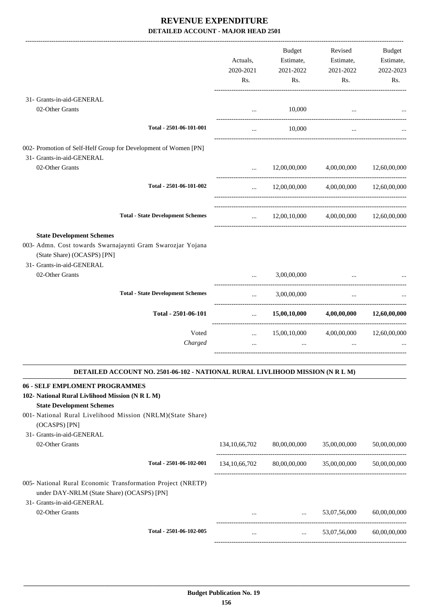|                                                                                                                                                                                                                                                      | Actuals,<br>2020-2021<br>Rs. | Budget<br>Estimate,<br>2021-2022<br>Rs.                            | Revised<br>Estimate,<br>2021-2022<br>Rs. | Budget<br>Estimate,<br>2022-2023<br>Rs. |
|------------------------------------------------------------------------------------------------------------------------------------------------------------------------------------------------------------------------------------------------------|------------------------------|--------------------------------------------------------------------|------------------------------------------|-----------------------------------------|
| 31- Grants-in-aid-GENERAL                                                                                                                                                                                                                            |                              |                                                                    |                                          |                                         |
| 02-Other Grants                                                                                                                                                                                                                                      | $\cdots$                     | 10,000                                                             |                                          |                                         |
| Total - 2501-06-101-001                                                                                                                                                                                                                              | $\cdots$                     | 10,000                                                             | $\cdots$                                 |                                         |
| 002- Promotion of Self-Helf Group for Development of Women [PN]<br>31- Grants-in-aid-GENERAL                                                                                                                                                         |                              |                                                                    |                                          |                                         |
| 02-Other Grants                                                                                                                                                                                                                                      | $\cdots$                     | 12,00,00,000                                                       | 4,00,00,000                              | 12,60,00,000                            |
| Total - 2501-06-101-002                                                                                                                                                                                                                              | $\cdots$                     |                                                                    | 12,00,00,000 4,00,00,000 12,60,00,000    |                                         |
| <b>Total - State Development Schemes</b>                                                                                                                                                                                                             |                              |                                                                    | $12,00,10,000$ $4,00,00,000$             | 12,60,00,000                            |
| <b>State Development Schemes</b><br>003- Admn. Cost towards Swarnajaynti Gram Swarozjar Yojana<br>(State Share) (OCASPS) [PN]<br>31- Grants-in-aid-GENERAL                                                                                           |                              |                                                                    |                                          |                                         |
| 02-Other Grants                                                                                                                                                                                                                                      | $\cdots$                     | 3,00,00,000                                                        |                                          |                                         |
| <b>Total - State Development Schemes</b>                                                                                                                                                                                                             | $\cdots$                     | 3,00,00,000                                                        | $\cdots$                                 |                                         |
| Total - 2501-06-101                                                                                                                                                                                                                                  | $\cdots$                     | 15,00,10,000                                                       | 4,00,00,000                              | 12,60,00,000                            |
| Voted<br>Charged                                                                                                                                                                                                                                     | $\cdots$                     | 15,00,10,000                                                       | 4,00,00,000                              | 12,60,00,000                            |
| DETAILED ACCOUNT NO. 2501-06-102 - NATIONAL RURAL LIVLIHOOD MISSION (N R L M)                                                                                                                                                                        |                              |                                                                    |                                          |                                         |
| 06 - SELF EMPLOMENT PROGRAMMES<br>102- National Rural Livlihood Mission (N R L M)<br><b>State Development Schemes</b><br>001- National Rural Livelihood Mission (NRLM)(State Share)<br>(OCASPS) [PN]<br>31- Grants-in-aid-GENERAL<br>02-Other Grants | 134, 10, 66, 702             | 80,00,00,000                                                       | 35,00,00,000                             | 50,00,00,000                            |
|                                                                                                                                                                                                                                                      |                              |                                                                    |                                          |                                         |
| Total - 2501-06-102-001                                                                                                                                                                                                                              |                              |                                                                    | 134,10,66,702 80,00,00,000 35,00,00,000  | 50,00,00,000                            |
| 005- National Rural Economic Transformation Project (NRETP)<br>under DAY-NRLM (State Share) (OCASPS) [PN]<br>31- Grants-in-aid-GENERAL                                                                                                               |                              |                                                                    |                                          |                                         |
| 02-Other Grants                                                                                                                                                                                                                                      |                              | and the control of the control of                                  | 53,07,56,000                             | 60,00,00,000                            |
| Total - 2501-06-102-005                                                                                                                                                                                                                              |                              | ---------------------------------<br>$\mathbf{r}$ and $\mathbf{r}$ | 53,07,56,000                             | 60,00,00,000                            |
|                                                                                                                                                                                                                                                      |                              |                                                                    |                                          |                                         |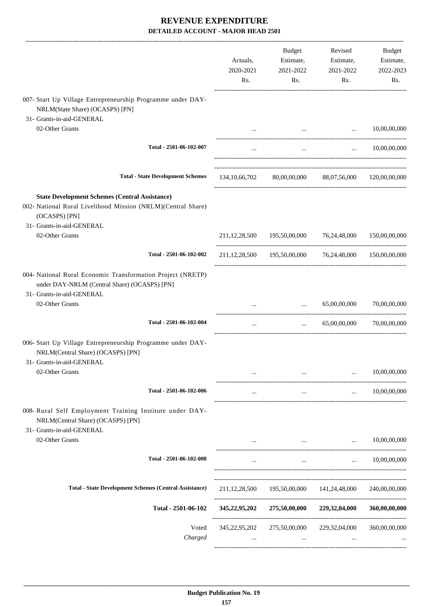|                                                                                                                                          | Actuals,<br>2020-2021<br>Rs. | Budget<br>Estimate,<br>2021-2022<br>Rs.                 | Revised<br>Estimate,<br>2021-2022<br>Rs. | Budget<br>Estimate,<br>2022-2023<br>Rs. |
|------------------------------------------------------------------------------------------------------------------------------------------|------------------------------|---------------------------------------------------------|------------------------------------------|-----------------------------------------|
| 007- Start Up Village Entrepreneurship Programme under DAY-<br>NRLM(State Share) (OCASPS) [PN]<br>31- Grants-in-aid-GENERAL              |                              |                                                         |                                          |                                         |
| 02-Other Grants                                                                                                                          |                              | <b>Second</b>                                           | <b>Contractor</b>                        | 10,00,00,000                            |
| Total - 2501-06-102-007                                                                                                                  | $\cdots$                     | $\cdots$                                                |                                          | $\ldots$ 10,00,00,000                   |
| <b>Total - State Development Schemes</b>                                                                                                 | 134, 10, 66, 702             |                                                         | 80,00,00,000 88,07,56,000 120,00,00,000  |                                         |
| <b>State Development Schemes (Central Assistance)</b><br>002- National Rural Livelihood Mission (NRLM)(Central Share)<br>(OCASPS) [PN]   |                              |                                                         |                                          |                                         |
| 31- Grants-in-aid-GENERAL<br>02-Other Grants                                                                                             |                              | 211,12,28,500 195,50,00,000 76,24,48,000 150,00,00,000  |                                          |                                         |
| Total - 2501-06-102-002                                                                                                                  |                              | 211,12,28,500 195,50,00,000 76,24,48,000 150,00,00,000  |                                          |                                         |
| 004- National Rural Economic Transformation Project (NRETP)<br>under DAY-NRLM (Central Share) (OCASPS) [PN]<br>31- Grants-in-aid-GENERAL |                              |                                                         |                                          |                                         |
| 02-Other Grants                                                                                                                          |                              | $\cdots$                                                | 65,00,00,000 70,00,00,000                |                                         |
| Total - 2501-06-102-004                                                                                                                  | $\ldots$                     | $\ddots$                                                | 65,00,00,000                             | 70,00,00,000                            |
| 006- Start Up Village Entrepreneurship Programme under DAY-<br>NRLM(Central Share) (OCASPS) [PN]<br>31- Grants-in-aid-GENERAL            |                              |                                                         |                                          |                                         |
| 02-Other Grants                                                                                                                          |                              |                                                         | $\cdots$                                 | 10,00,00,000                            |
| Total - 2501-06-102-006                                                                                                                  | $\cdots$                     | $\cdots$                                                |                                          | $\ldots$ 10,00,00,000                   |
| 008- Rural Self Employment Training Institute under DAY-<br>NRLM(Central Share) (OCASPS) [PN]<br>31- Grants-in-aid-GENERAL               |                              |                                                         |                                          |                                         |
| 02-Other Grants                                                                                                                          |                              | <b>Section</b> 1997                                     | $\ddots$                                 | 10,00,00,000                            |
| Total - 2501-06-102-008                                                                                                                  | $\cdots$                     |                                                         | <b>The Committee Committee</b>           | $\ldots$ 10,00,00,000                   |
| <b>Total - State Development Schemes (Central Assistance)</b>                                                                            |                              | 211,12,28,500 195,50,00,000 141,24,48,000 240,00,00,000 |                                          |                                         |
| Total - 2501-06-102                                                                                                                      |                              | 345,22,95,202 275,50,00,000 229,32,04,000               |                                          | 360,00,00,000                           |
| Voted<br>Charged                                                                                                                         |                              | 345,22,95,202 275,50,00,000                             | 229,32,04,000                            | 360,00,00,000                           |
|                                                                                                                                          |                              |                                                         |                                          |                                         |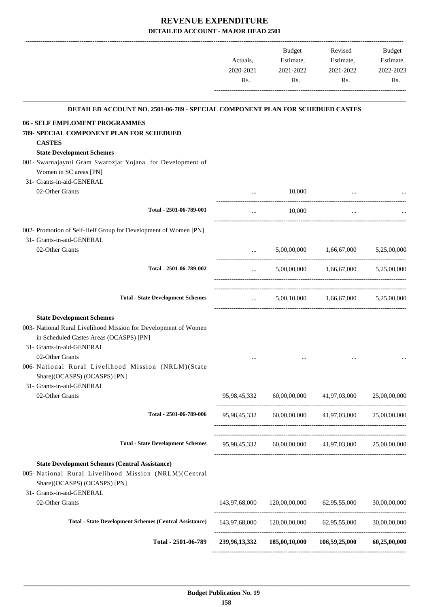|           | <b>Budget</b> | Revised   | <b>Budget</b> |
|-----------|---------------|-----------|---------------|
| Actuals.  | Estimate,     | Estimate, | Estimate,     |
| 2020-2021 | 2021-2022     | 2021-2022 | 2022-2023     |
| Rs.       | Rs.           | Rs.       | Rs.           |

| <b>DETAILED ACCOUNT NO. 2501-06-789 - SPECIAL COMPONENT PLAN FOR SCHEDUED CASTES</b>                                                                                                                                                                                                                              |                                                  |                            |                                           |              |
|-------------------------------------------------------------------------------------------------------------------------------------------------------------------------------------------------------------------------------------------------------------------------------------------------------------------|--------------------------------------------------|----------------------------|-------------------------------------------|--------------|
| 06 - SELF EMPLOMENT PROGRAMMES<br>789- SPECIAL COMPONENT PLAN FOR SCHEDUED<br><b>CASTES</b><br><b>State Development Schemes</b>                                                                                                                                                                                   |                                                  |                            |                                           |              |
| 001- Swarnajaynti Gram Swarozjar Yojana for Development of<br>Women in SC areas [PN]<br>31- Grants-in-aid-GENERAL                                                                                                                                                                                                 |                                                  |                            |                                           |              |
| 02-Other Grants                                                                                                                                                                                                                                                                                                   |                                                  | 10,000                     |                                           |              |
| Total - 2501-06-789-001                                                                                                                                                                                                                                                                                           | $\mathbf{r}$ , and the state $\mathbf{r}$        | 10,000                     |                                           |              |
| 002- Promotion of Self-Helf Group for Development of Women [PN]<br>31- Grants-in-aid-GENERAL                                                                                                                                                                                                                      |                                                  |                            |                                           |              |
| 02-Other Grants                                                                                                                                                                                                                                                                                                   |                                                  |                            | $5,00,00,000$ $1,66,67,000$ $5,25,00,000$ |              |
| Total - 2501-06-789-002                                                                                                                                                                                                                                                                                           | $\mathbf{L}$ , and $\mathbf{L}$ and $\mathbf{L}$ |                            | 5,00,00,000 1,66,67,000 5,25,00,000       |              |
| <b>Total - State Development Schemes</b>                                                                                                                                                                                                                                                                          |                                                  |                            | $5,00,10,000$ $1,66,67,000$ $5,25,00,000$ |              |
| <b>State Development Schemes</b><br>003- National Rural Livelihood Mission for Development of Women<br>in Scheduled Castes Areas (OCASPS) [PN]<br>31- Grants-in-aid-GENERAL<br>02-Other Grants<br>006-National Rural Livelihood Mission (NRLM)(State<br>Share)(OCASPS) (OCASPS) [PN]<br>31- Grants-in-aid-GENERAL |                                                  |                            |                                           |              |
| 02-Other Grants                                                                                                                                                                                                                                                                                                   |                                                  |                            | 95,98,45,332 60,00,00,000 41,97,03,000    | 25,00,00,000 |
| Total - 2501-06-789-006                                                                                                                                                                                                                                                                                           | 95,98,45,332                                     |                            | 60,00,00,000 41,97,03,000                 | 25,00,00,000 |
| <b>Total - State Development Schemes</b>                                                                                                                                                                                                                                                                          | 95,98,45,332                                     | 60,00,00,000               | 41,97,03,000                              | 25,00,00,000 |
| <b>State Development Schemes (Central Assistance)</b><br>005- National Rural Livelihood Mission (NRLM) (Central<br>Share)(OCASPS) (OCASPS) [PN]<br>31- Grants-in-aid-GENERAL                                                                                                                                      |                                                  |                            |                                           |              |
| 02-Other Grants                                                                                                                                                                                                                                                                                                   | 143,97,68,000                                    | 120,00,00,000              | 62,95,55,000                              | 30,00,00,000 |
| <b>Total - State Development Schemes (Central Assistance)</b>                                                                                                                                                                                                                                                     | 143,97,68,000                                    | 120,00,00,000 62,95,55,000 |                                           | 30,00,00,000 |
| Total - 2501-06-789                                                                                                                                                                                                                                                                                               | 239, 96, 13, 332                                 | 185,00,10,000              | 106,59,25,000                             | 60,25,00,000 |
|                                                                                                                                                                                                                                                                                                                   |                                                  |                            |                                           |              |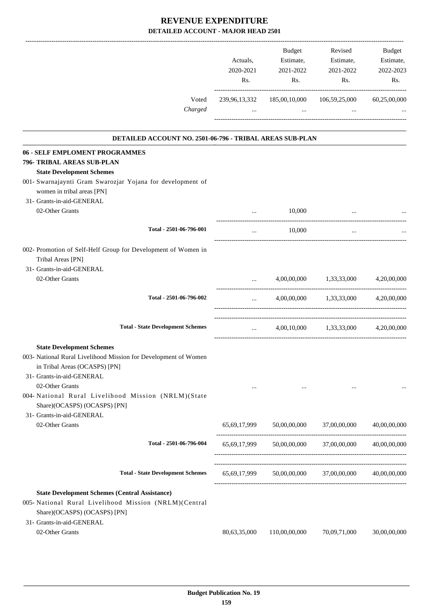| Voted                                                                                                                                                                       | Actuals,<br>2020-2021<br>Rs.<br>239,96,13,332 | Budget<br>Estimate,<br>2021-2022<br>Rs.<br>185,00,10,000 | Revised<br>Estimate,<br>2021-2022<br>Rs.<br>106,59,25,000 | <b>Budget</b><br>Estimate,<br>2022-2023<br>Rs.<br>60,25,00,000 |
|-----------------------------------------------------------------------------------------------------------------------------------------------------------------------------|-----------------------------------------------|----------------------------------------------------------|-----------------------------------------------------------|----------------------------------------------------------------|
| Charged                                                                                                                                                                     | $\cdots$                                      | $\cdots$                                                 | $\cdots$                                                  |                                                                |
| DETAILED ACCOUNT NO. 2501-06-796 - TRIBAL AREAS SUB-PLAN                                                                                                                    |                                               |                                                          |                                                           |                                                                |
| 06 - SELF EMPLOMENT PROGRAMMES<br>796- TRIBAL AREAS SUB-PLAN<br><b>State Development Schemes</b>                                                                            |                                               |                                                          |                                                           |                                                                |
| 001- Swarnajaynti Gram Swarozjar Yojana for development of<br>women in tribal areas [PN]<br>31- Grants-in-aid-GENERAL                                                       |                                               |                                                          |                                                           |                                                                |
| 02-Other Grants                                                                                                                                                             | $\cdots$                                      | 10,000                                                   |                                                           |                                                                |
| Total - 2501-06-796-001                                                                                                                                                     | $\cdots$                                      | 10,000                                                   | $\cdots$                                                  |                                                                |
| 002- Promotion of Self-Helf Group for Development of Women in<br>Tribal Areas [PN]<br>31- Grants-in-aid-GENERAL                                                             |                                               |                                                          |                                                           |                                                                |
| 02-Other Grants                                                                                                                                                             | $\cdots$                                      |                                                          | 4,00,00,000 1,33,33,000                                   | 4,20,00,000                                                    |
| Total - 2501-06-796-002                                                                                                                                                     | $\cdots$                                      |                                                          | 4,00,00,000 1,33,33,000 4,20,00,000                       |                                                                |
| <b>Total - State Development Schemes</b>                                                                                                                                    | $\cdots$                                      |                                                          | 4,00,10,000 1,33,33,000 4,20,00,000                       |                                                                |
| <b>State Development Schemes</b><br>003- National Rural Livelihood Mission for Development of Women<br>in Tribal Areas (OCASPS) [PN]<br>31- Grants-in-aid-GENERAL           |                                               |                                                          |                                                           |                                                                |
| 02-Other Grants<br>004- National Rural Livelihood Mission (NRLM)(State<br>Share)(OCASPS) (OCASPS) [PN]                                                                      | $\cdots$                                      | $\cdots$                                                 | $\cdots$                                                  |                                                                |
| 31- Grants-in-aid-GENERAL<br>02-Other Grants                                                                                                                                | 65,69,17,999                                  |                                                          | 50,00,00,000 37,00,00,000                                 | 40,00,00,000                                                   |
| Total - 2501-06-796-004                                                                                                                                                     |                                               |                                                          | 65,69,17,999 50,00,00,000 37,00,00,000 40,00,00,000       |                                                                |
| <b>Total - State Development Schemes</b>                                                                                                                                    | 65,69,17,999                                  |                                                          | 50,00,00,000 37,00,00,000                                 | 40,00,00,000                                                   |
| <b>State Development Schemes (Central Assistance)</b><br>005- National Rural Livelihood Mission (NRLM)(Central<br>Share)(OCASPS) (OCASPS) [PN]<br>31- Grants-in-aid-GENERAL |                                               |                                                          |                                                           |                                                                |
| 02-Other Grants                                                                                                                                                             | 80,63,35,000                                  | 110,00,00,000                                            | 70,09,71,000                                              | 30,00,00,000                                                   |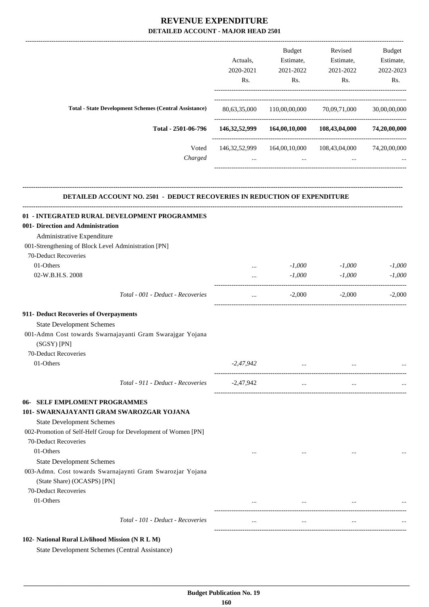|                                                                                                                                                                                                                                    |                      |                                  | Budget                                                                                                                                                                                                                                                                                                                                                                       |
|------------------------------------------------------------------------------------------------------------------------------------------------------------------------------------------------------------------------------------|----------------------|----------------------------------|------------------------------------------------------------------------------------------------------------------------------------------------------------------------------------------------------------------------------------------------------------------------------------------------------------------------------------------------------------------------------|
| Actuals,                                                                                                                                                                                                                           |                      | Estimate,                        | Estimate,                                                                                                                                                                                                                                                                                                                                                                    |
| 2020-2021                                                                                                                                                                                                                          | 2021-2022            | 2021-2022                        | 2022-2023                                                                                                                                                                                                                                                                                                                                                                    |
| Rs.                                                                                                                                                                                                                                | Rs.                  | Rs.                              | Rs.                                                                                                                                                                                                                                                                                                                                                                          |
|                                                                                                                                                                                                                                    |                      |                                  |                                                                                                                                                                                                                                                                                                                                                                              |
|                                                                                                                                                                                                                                    |                      |                                  | 30,00,00,000                                                                                                                                                                                                                                                                                                                                                                 |
|                                                                                                                                                                                                                                    |                      |                                  |                                                                                                                                                                                                                                                                                                                                                                              |
| $\cdots$                                                                                                                                                                                                                           | $\cdots$             | $\cdots$                         |                                                                                                                                                                                                                                                                                                                                                                              |
|                                                                                                                                                                                                                                    |                      |                                  |                                                                                                                                                                                                                                                                                                                                                                              |
|                                                                                                                                                                                                                                    |                      |                                  |                                                                                                                                                                                                                                                                                                                                                                              |
|                                                                                                                                                                                                                                    |                      |                                  |                                                                                                                                                                                                                                                                                                                                                                              |
|                                                                                                                                                                                                                                    |                      |                                  |                                                                                                                                                                                                                                                                                                                                                                              |
|                                                                                                                                                                                                                                    |                      |                                  |                                                                                                                                                                                                                                                                                                                                                                              |
|                                                                                                                                                                                                                                    |                      |                                  | $-1,000$                                                                                                                                                                                                                                                                                                                                                                     |
|                                                                                                                                                                                                                                    |                      |                                  | $-1,000$                                                                                                                                                                                                                                                                                                                                                                     |
|                                                                                                                                                                                                                                    |                      |                                  |                                                                                                                                                                                                                                                                                                                                                                              |
| $\cdots$                                                                                                                                                                                                                           | $-2,000$             |                                  | $-2,000$                                                                                                                                                                                                                                                                                                                                                                     |
|                                                                                                                                                                                                                                    |                      |                                  |                                                                                                                                                                                                                                                                                                                                                                              |
|                                                                                                                                                                                                                                    |                      |                                  |                                                                                                                                                                                                                                                                                                                                                                              |
|                                                                                                                                                                                                                                    |                      |                                  |                                                                                                                                                                                                                                                                                                                                                                              |
|                                                                                                                                                                                                                                    |                      |                                  |                                                                                                                                                                                                                                                                                                                                                                              |
| -2,47,942                                                                                                                                                                                                                          |                      |                                  |                                                                                                                                                                                                                                                                                                                                                                              |
| $-2,47,942$                                                                                                                                                                                                                        | $\cdots$             | $\cdots$                         |                                                                                                                                                                                                                                                                                                                                                                              |
|                                                                                                                                                                                                                                    |                      |                                  |                                                                                                                                                                                                                                                                                                                                                                              |
|                                                                                                                                                                                                                                    |                      |                                  |                                                                                                                                                                                                                                                                                                                                                                              |
|                                                                                                                                                                                                                                    |                      |                                  |                                                                                                                                                                                                                                                                                                                                                                              |
|                                                                                                                                                                                                                                    |                      |                                  |                                                                                                                                                                                                                                                                                                                                                                              |
|                                                                                                                                                                                                                                    |                      |                                  |                                                                                                                                                                                                                                                                                                                                                                              |
|                                                                                                                                                                                                                                    |                      |                                  |                                                                                                                                                                                                                                                                                                                                                                              |
| $\cdots$                                                                                                                                                                                                                           |                      | $\cdots$                         |                                                                                                                                                                                                                                                                                                                                                                              |
| <b>Total - State Development Schemes (Central Assistance)</b><br>Total - 2501-06-796<br>Voted<br>Charged<br>01 - INTEGRATED RURAL DEVELOPMENT PROGRAMMES<br>Total - 001 - Deduct - Recoveries<br>Total - 911 - Deduct - Recoveries | $\cdots$<br>$\cdots$ | $-1,000$<br>$-1,000$<br>$\cdots$ | Budget<br>Revised<br>Estimate,<br>80,63,35,000 110,00,00,000 70,09,71,000<br>146,32,52,999   164,00,10,000   108,43,04,000   74,20,00,000<br>146, 32, 52, 999   164, 00, 10, 000   108, 43, 04, 000   74, 20, 00, 000<br>DETAILED ACCOUNT NO. 2501 - DEDUCT RECOVERIES IN REDUCTION OF EXPENDITURE<br>$-1,000$<br>$-1,000$<br>$-2,000$<br>----------------------<br>$\cdots$ |

**102- National Rural Livlihood Mission (N R L M)**

State Development Schemes (Central Assistance)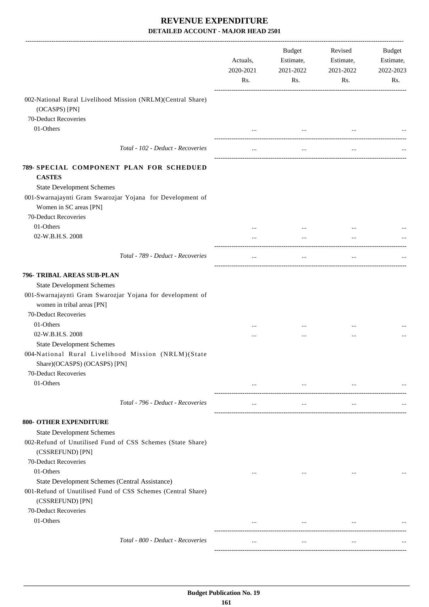|                                                                                                                    | Actuals,<br>2020-2021<br>Rs. | Budget<br>Estimate,<br>2021-2022<br>Rs. | Revised<br>Estimate,<br>2021-2022<br>Rs.   | Budget<br>Estimate,<br>2022-2023<br>Rs. |
|--------------------------------------------------------------------------------------------------------------------|------------------------------|-----------------------------------------|--------------------------------------------|-----------------------------------------|
| 002-National Rural Livelihood Mission (NRLM)(Central Share)<br>(OCASPS) [PN]                                       |                              |                                         |                                            |                                         |
| 70-Deduct Recoveries                                                                                               |                              |                                         |                                            |                                         |
| 01-Others                                                                                                          |                              | $\ddotsc$                               |                                            |                                         |
| Total - 102 - Deduct - Recoveries                                                                                  |                              | $\cdots$                                |                                            |                                         |
| 789- SPECIAL COMPONENT PLAN FOR SCHEDUED<br><b>CASTES</b>                                                          |                              |                                         |                                            |                                         |
| <b>State Development Schemes</b>                                                                                   |                              |                                         |                                            |                                         |
| 001-Swarnajaynti Gram Swarozjar Yojana for Development of<br>Women in SC areas [PN]                                |                              |                                         |                                            |                                         |
| 70-Deduct Recoveries                                                                                               |                              |                                         |                                            |                                         |
| 01-Others                                                                                                          |                              |                                         |                                            |                                         |
| 02-W.B.H.S. 2008                                                                                                   |                              | $\cdots$                                | $\cdots$                                   |                                         |
| Total - 789 - Deduct - Recoveries                                                                                  | $\cdots$                     | $\cdots$                                | $\cdots$                                   |                                         |
| 796- TRIBAL AREAS SUB-PLAN                                                                                         |                              |                                         |                                            |                                         |
| <b>State Development Schemes</b>                                                                                   |                              |                                         |                                            |                                         |
| 001-Swarnajaynti Gram Swarozjar Yojana for development of<br>women in tribal areas [PN]                            |                              |                                         |                                            |                                         |
| 70-Deduct Recoveries                                                                                               |                              |                                         |                                            |                                         |
| 01-Others                                                                                                          | $\cdots$                     | $\cdots$                                |                                            |                                         |
| 02-W.B.H.S. 2008                                                                                                   | $\cdots$                     | $\cdots$                                |                                            |                                         |
| <b>State Development Schemes</b>                                                                                   |                              |                                         |                                            |                                         |
| 004-National Rural Livelihood Mission (NRLM)(State<br>Share)(OCASPS) (OCASPS) [PN]                                 |                              |                                         |                                            |                                         |
| 70-Deduct Recoveries                                                                                               |                              |                                         |                                            |                                         |
| 01-Others                                                                                                          | $\cdots$                     |                                         | <b>The Committee Committee</b><br>$\cdots$ |                                         |
| Total - 796 - Deduct - Recoveries                                                                                  | $\cdots$                     | $\cdots$                                | $\ddotsc$                                  |                                         |
| <b>800- OTHER EXPENDITURE</b>                                                                                      |                              |                                         |                                            |                                         |
| <b>State Development Schemes</b><br>002-Refund of Unutilised Fund of CSS Schemes (State Share)<br>(CSSREFUND) [PN] |                              |                                         |                                            |                                         |
| 70-Deduct Recoveries                                                                                               |                              |                                         |                                            |                                         |
| 01-Others                                                                                                          | $\cdots$                     | $\cdots$                                | $\cdots$                                   |                                         |
| State Development Schemes (Central Assistance)                                                                     |                              |                                         |                                            |                                         |
| 001-Refund of Unutilised Fund of CSS Schemes (Central Share)<br>(CSSREFUND) [PN]                                   |                              |                                         |                                            |                                         |
| 70-Deduct Recoveries                                                                                               |                              |                                         |                                            |                                         |
| 01-Others                                                                                                          |                              | $\cdots$                                | $\cdots$                                   |                                         |
| Total - 800 - Deduct - Recoveries                                                                                  |                              | $\cdots$                                | $\cdots$                                   |                                         |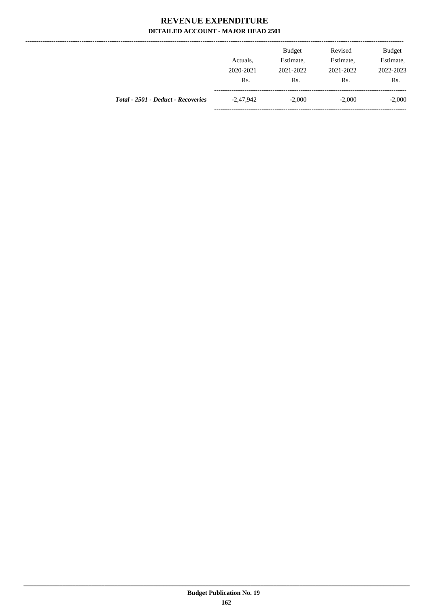--------------

|                                    | Actuals,<br>2020-2021<br>Rs. | <b>Budget</b><br>Estimate,<br>2021-2022<br>Rs. | Revised<br>Estimate,<br>2021-2022<br>Rs. | <b>Budget</b><br>Estimate,<br>2022-2023<br>Rs. |
|------------------------------------|------------------------------|------------------------------------------------|------------------------------------------|------------------------------------------------|
| Total - 2501 - Deduct - Recoveries | $-2.47.942$                  | $-2,000$                                       | $-2,000$                                 | $-2,000$                                       |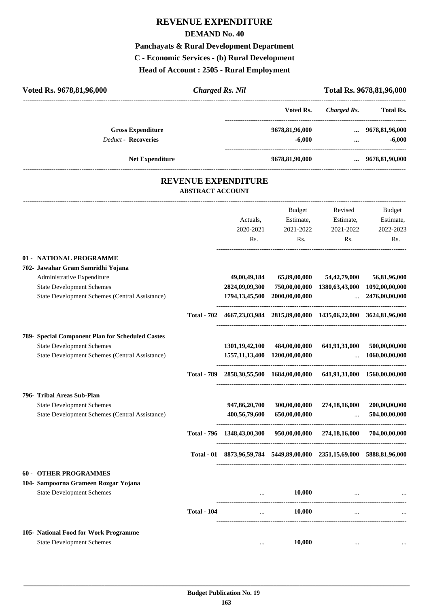# **REVENUE EXPENDITURE**

#### **DEMAND No. 40**

# **Panchayats & Rural Development Department C - Economic Services - (b) Rural Development**

**Head of Account : 2505 - Rural Employment**

| Voted Rs. 9678,81,96,000                               |                                                       | <b>Charged Rs. Nil</b>                                                              |                            |                                      | Total Rs. 9678, 81, 96, 000 |
|--------------------------------------------------------|-------------------------------------------------------|-------------------------------------------------------------------------------------|----------------------------|--------------------------------------|-----------------------------|
|                                                        |                                                       |                                                                                     | Voted Rs.                  | Charged Rs.                          | <b>Total Rs.</b>            |
| <b>Gross Expenditure</b><br><b>Deduct - Recoveries</b> |                                                       |                                                                                     | 9678,81,96,000<br>$-6,000$ | $\cdots$<br>$\cdots$                 | 9678,81,96,000<br>$-6,000$  |
| <b>Net Expenditure</b>                                 |                                                       |                                                                                     | 9678,81,90,000             |                                      | $\ldots$ 9678,81,90,000     |
|                                                        | <b>REVENUE EXPENDITURE</b><br><b>ABSTRACT ACCOUNT</b> |                                                                                     |                            |                                      |                             |
|                                                        |                                                       |                                                                                     | <b>Budget</b>              | Revised                              | Budget                      |
|                                                        |                                                       | Actuals,                                                                            | Estimate,                  | Estimate,                            | Estimate,                   |
|                                                        |                                                       | 2020-2021                                                                           | 2021-2022                  | 2021-2022                            | 2022-2023                   |
|                                                        |                                                       | Rs.                                                                                 | Rs.                        | Rs.                                  | Rs.                         |
| 01 - NATIONAL PROGRAMME                                |                                                       |                                                                                     |                            |                                      |                             |
| 702- Jawahar Gram Samridhi Yojana                      |                                                       |                                                                                     |                            |                                      |                             |
| Administrative Expenditure                             |                                                       | 49,00,49,184                                                                        | 65,89,00,000               | 54, 42, 79, 000                      | 56,81,96,000                |
| <b>State Development Schemes</b>                       |                                                       | 2824,09,09,300                                                                      | 750,00,00,000              | 1380, 63, 43, 000                    | 1092,00,00,000              |
| State Development Schemes (Central Assistance)         |                                                       | 1794, 13, 45, 500                                                                   | 2000,00,00,000             | $\sim$<br>-------------------------- | 2476,00,00,000              |
|                                                        |                                                       | Total - 702 4667, 23, 03, 984 2815, 89, 00, 000 1435, 06, 22, 000 3624, 81, 96, 000 |                            |                                      |                             |
| 789- Special Component Plan for Scheduled Castes       |                                                       |                                                                                     |                            |                                      |                             |
| <b>State Development Schemes</b>                       |                                                       | 1301, 19, 42, 100                                                                   | 484,00,00,000              | 641,91,31,000                        | 500,00,00,000               |
| State Development Schemes (Central Assistance)         |                                                       | 1557, 11, 13, 400                                                                   | 1200,00,00,000             | $\ddots$                             | 1060,00,00,000              |
|                                                        |                                                       | Total - 789 2858,30,55,500 1684,00,00,000 641,91,31,000 1560,00,00,000              |                            |                                      |                             |
| 796- Tribal Areas Sub-Plan                             |                                                       |                                                                                     |                            |                                      |                             |
| <b>State Development Schemes</b>                       |                                                       | 947,86,20,700                                                                       | 300,00,00,000              | 274,18,16,000                        | 200,00,00,000               |
| State Development Schemes (Central Assistance)         |                                                       | 400,56,79,600                                                                       | 650,00,00,000              |                                      | 504,00,00,000               |
|                                                        |                                                       | Total - 796 1348,43,00,300                                                          |                            | 950,00,00,000 274,18,16,000          | 704,00,00,000               |
|                                                        |                                                       | Total - 01 8873,96,59,784 5449,89,00,000 2351,15,69,000 5888,81,96,000              |                            |                                      |                             |
| <b>60 - OTHER PROGRAMMES</b>                           |                                                       |                                                                                     |                            |                                      |                             |
| 104- Sampoorna Grameen Rozgar Yojana                   |                                                       |                                                                                     |                            |                                      |                             |
| <b>State Development Schemes</b>                       |                                                       | $\cdots$                                                                            | 10,000                     |                                      |                             |
|                                                        | <b>Total - 104</b>                                    | ---------------------------------<br>$\cdots$                                       | 10,000                     | $\cdots$                             |                             |
| 105- National Food for Work Programme                  |                                                       |                                                                                     |                            |                                      |                             |
| <b>State Development Schemes</b>                       |                                                       |                                                                                     | 10,000                     |                                      |                             |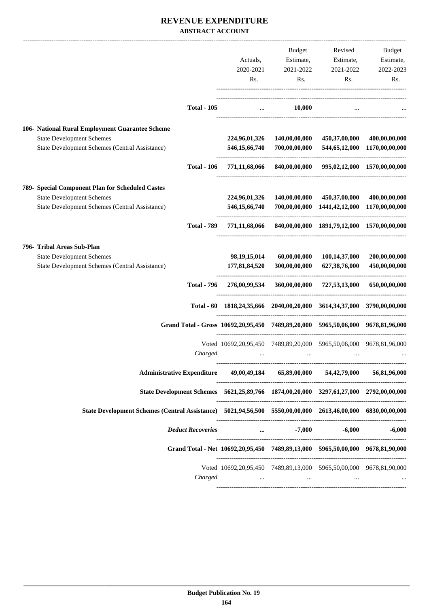#### **REVENUE EXPENDITURE ABSTRACT ACCOUNT**

|                                                                                                             |                    |                                                                                       | Budget                      | Revised                                          | Budget                       |
|-------------------------------------------------------------------------------------------------------------|--------------------|---------------------------------------------------------------------------------------|-----------------------------|--------------------------------------------------|------------------------------|
|                                                                                                             |                    | Actuals,                                                                              | Estimate,                   | Estimate,                                        | Estimate,                    |
|                                                                                                             |                    | 2020-2021                                                                             | 2021-2022                   | 2021-2022                                        | 2022-2023                    |
|                                                                                                             |                    | Rs.                                                                                   | Rs.                         | Rs.                                              | Rs.                          |
|                                                                                                             | <b>Total - 105</b> | $\cdots$                                                                              | 10,000                      |                                                  |                              |
|                                                                                                             |                    |                                                                                       |                             |                                                  |                              |
| 106- National Rural Employment Guarantee Scheme                                                             |                    |                                                                                       |                             |                                                  |                              |
| <b>State Development Schemes</b>                                                                            |                    | 224,96,01,326                                                                         | 140,00,00,000               | 450,37,00,000                                    | 400,00,00,000                |
| State Development Schemes (Central Assistance)                                                              |                    | 546, 15, 66, 740                                                                      | 700,00,00,000               |                                                  | 544,65,12,000 1170,00,00,000 |
|                                                                                                             | <b>Total - 106</b> | 771,11,68,066                                                                         |                             | 840,00,00,000 995,02,12,000 1570,00,00,000       |                              |
| 789- Special Component Plan for Scheduled Castes                                                            |                    |                                                                                       |                             |                                                  |                              |
| <b>State Development Schemes</b>                                                                            |                    | 224,96,01,326                                                                         |                             | 140,00,00,000 450,37,00,000                      | 400,00,00,000                |
| <b>State Development Schemes (Central Assistance)</b>                                                       |                    | 546,15,66,740                                                                         |                             | 700,00,00,000 1441,42,12,000                     | 1170,00,00,000               |
|                                                                                                             | <b>Total - 789</b> | 771,11,68,066                                                                         |                             | 840,00,00,000 1891,79,12,000 1570,00,00,000      |                              |
| 796- Tribal Areas Sub-Plan                                                                                  |                    |                                                                                       |                             |                                                  |                              |
| <b>State Development Schemes</b>                                                                            |                    | 98, 19, 15, 014                                                                       | 60,00,00,000                | 100,14,37,000                                    | 200,00,00,000                |
| State Development Schemes (Central Assistance)                                                              |                    | 177,81,84,520                                                                         | 300,00,00,000               | 627,38,76,000                                    | 450,00,00,000                |
|                                                                                                             | <b>Total - 796</b> |                                                                                       | 276,00,99,534 360,00,00,000 | 727,53,13,000                                    | 650,00,00,000                |
|                                                                                                             | Total $-60$        | 1818,24,35,666 2040,00,20,000 3614,34,37,000 3790,00,00,000                           |                             |                                                  |                              |
|                                                                                                             |                    | Grand Total - Gross 10692,20,95,450 7489,89,20,000 5965,50,06,000 9678,81,96,000      |                             |                                                  |                              |
|                                                                                                             |                    | Voted 10692,20,95,450 7489,89,20,000 5965,50,06,000 9678,81,96,000                    |                             |                                                  |                              |
|                                                                                                             | Charged            |                                                                                       |                             |                                                  |                              |
|                                                                                                             |                    |                                                                                       |                             |                                                  |                              |
|                                                                                                             |                    | Administrative Expenditure 49,00,49,184 65,89,00,000 54,42,79,000 56,81,96,000        |                             |                                                  |                              |
|                                                                                                             |                    | State Development Schemes 5621,25,89,766 1874,00,20,000 3297,61,27,000 2792,00,00,000 |                             |                                                  |                              |
| State Development Schemes (Central Assistance) 5021,94,56,500 5550,00,00,000 2613,46,00,000 6830,00,000,000 |                    |                                                                                       |                             |                                                  |                              |
|                                                                                                             |                    | Deduct Recoveries  5,000 -6,000                                                       |                             |                                                  | $-6,000$                     |
|                                                                                                             |                    | Grand Total - Net 10692,20,95,450 7489,89,13,000 5965,50,00,000 9678,81,90,000        |                             |                                                  |                              |
|                                                                                                             |                    | Voted 10692,20,95,450 7489,89,13,000 5965,50,00,000 9678,81,90,000                    |                             |                                                  |                              |
|                                                                                                             | Charged            |                                                                                       |                             | المستحدث والمستحدث والمستحدث والمستحدث والمستحدث |                              |
|                                                                                                             |                    |                                                                                       |                             |                                                  |                              |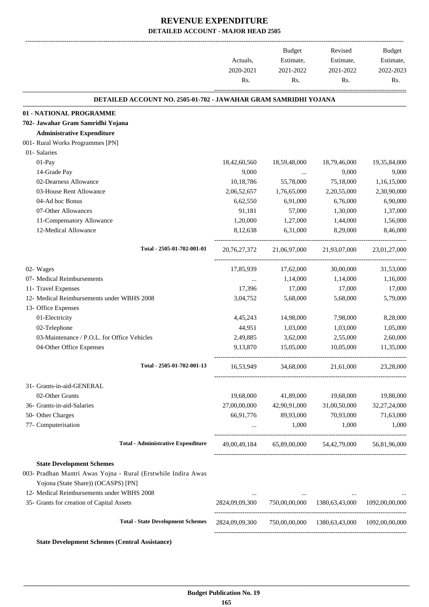-------------------------------------------------------------------------------------------------------------------------------------------------------------------------------

|                                                                                                      | Actuals,<br>2020-2021 | <b>Budget</b><br>Estimate,<br>2021-2022 | Revised<br>Estimate,<br>2021-2022 | <b>Budget</b><br>Estimate,<br>2022-2023 |
|------------------------------------------------------------------------------------------------------|-----------------------|-----------------------------------------|-----------------------------------|-----------------------------------------|
|                                                                                                      | Rs.                   | Rs.                                     | Rs.                               | Rs.                                     |
| DETAILED ACCOUNT NO. 2505-01-702 - JAWAHAR GRAM SAMRIDHI YOJANA                                      |                       |                                         |                                   |                                         |
| 01 - NATIONAL PROGRAMME                                                                              |                       |                                         |                                   |                                         |
| 702- Jawahar Gram Samridhi Yojana                                                                    |                       |                                         |                                   |                                         |
| <b>Administrative Expenditure</b>                                                                    |                       |                                         |                                   |                                         |
| 001- Rural Works Programmes [PN]                                                                     |                       |                                         |                                   |                                         |
| 01- Salaries                                                                                         |                       |                                         |                                   |                                         |
| $01-Pay$                                                                                             | 18,42,60,560          | 18,59,48,000                            | 18,79,46,000                      | 19,35,84,000                            |
| 14-Grade Pay                                                                                         | 9,000                 | $\cdots$                                | 9,000                             | 9,000                                   |
| 02-Dearness Allowance                                                                                | 10,18,786             | 55,78,000                               | 75,18,000                         | 1,16,15,000                             |
| 03-House Rent Allowance                                                                              | 2,06,52,657           | 1,76,65,000                             | 2,20,55,000                       | 2,30,90,000                             |
| 04-Ad hoc Bonus                                                                                      | 6,62,550              | 6,91,000                                | 6,76,000                          | 6,90,000                                |
| 07-Other Allowances                                                                                  | 91,181                | 57,000                                  | 1,30,000                          | 1,37,000                                |
| 11-Compensatory Allowance                                                                            | 1,20,000              | 1,27,000                                | 1,44,000                          | 1,56,000                                |
| 12-Medical Allowance                                                                                 | 8,12,638              | 6,31,000                                | 8,29,000                          | 8,46,000                                |
| Total - 2505-01-702-001-01                                                                           | 20, 76, 27, 372       | 21,06,97,000                            | 21,93,07,000                      | 23,01,27,000                            |
| 02- Wages                                                                                            | 17,85,939             | 17,62,000                               | 30,00,000                         | 31,53,000                               |
| 07- Medical Reimbursements                                                                           | $\cdots$              | 1,14,000                                | 1,14,000                          | 1,16,000                                |
| 11- Travel Expenses                                                                                  | 17,396                | 17,000                                  | 17,000                            | 17,000                                  |
| 12- Medical Reimbursements under WBHS 2008                                                           | 3,04,752              | 5,68,000                                | 5,68,000                          | 5,79,000                                |
| 13- Office Expenses                                                                                  |                       |                                         |                                   |                                         |
| 01-Electricity                                                                                       | 4,45,243              | 14,98,000                               | 7,98,000                          | 8,28,000                                |
| 02-Telephone                                                                                         | 44,951                | 1,03,000                                | 1,03,000                          | 1,05,000                                |
| 03-Maintenance / P.O.L. for Office Vehicles                                                          | 2,49,885              | 3,62,000                                | 2,55,000                          | 2,60,000                                |
| 04-Other Office Expenses                                                                             | 9,13,870              | 15,05,000                               | 10,05,000                         | 11,35,000                               |
| Total - 2505-01-702-001-13                                                                           | 16,53,949             | 34,68,000                               | 21,61,000                         | 23,28,000                               |
| 31- Grants-in-aid-GENERAL                                                                            |                       |                                         |                                   |                                         |
| 02-Other Grants                                                                                      | 19,68,000             | 41,89,000                               | 19,68,000                         | 19,88,000                               |
| 36- Grants-in-aid-Salaries                                                                           | 27,00,00,000          | 42,90,91,000                            | 31,00,50,000                      | 32,27,24,000                            |
| 50- Other Charges                                                                                    | 66,91,776             | 89,93,000                               | 70,93,000                         | 71,63,000                               |
| 77- Computerisation                                                                                  |                       | 1,000                                   | 1,000                             | 1,000                                   |
| <b>Total - Administrative Expenditure</b>                                                            | 49,00,49,184          | 65,89,00,000                            | 54,42,79,000                      | 56,81,96,000                            |
| <b>State Development Schemes</b>                                                                     |                       |                                         |                                   |                                         |
| 003- Pradhan Mantri Awas Yojna - Rural (Erstwhile Indira Awas<br>Yojona (State Share)) (OCASPS) [PN] |                       |                                         |                                   |                                         |
| 12- Medical Reimbursements under WBHS 2008                                                           |                       |                                         |                                   |                                         |
| 35- Grants for creation of Capital Assets                                                            | 2824,09,09,300        |                                         | 750,00,00,000 1380,63,43,000      | 1092,00,00,000                          |
| <b>Total - State Development Schemes</b>                                                             | 2824,09,09,300        | 750,00,00,000                           | 1380,63,43,000                    | 1092,00,00,000                          |
| <b>State Development Schemes (Central Assistance)</b>                                                |                       |                                         |                                   |                                         |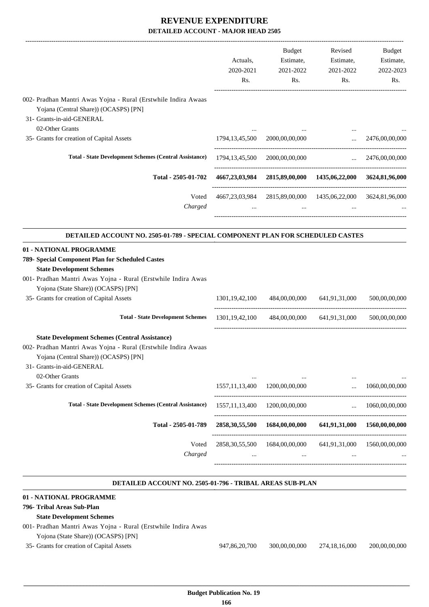|                                                                                                                                                                                                                                                                      | Actuals,<br>2020-2021<br>Rs. | Budget<br>Estimate,<br>2021-2022<br>Rs.         | Revised<br>Estimate,<br>2021-2022<br>Rs.                                | Budget<br>Estimate,<br>2022-2023<br>Rs. |
|----------------------------------------------------------------------------------------------------------------------------------------------------------------------------------------------------------------------------------------------------------------------|------------------------------|-------------------------------------------------|-------------------------------------------------------------------------|-----------------------------------------|
| 002- Pradhan Mantri Awas Yojna - Rural (Erstwhile Indira Awaas<br>Yojana (Central Share)) (OCASPS) [PN]<br>31- Grants-in-aid-GENERAL<br>02-Other Grants                                                                                                              |                              |                                                 |                                                                         |                                         |
| 35- Grants for creation of Capital Assets                                                                                                                                                                                                                            |                              | 1794,13,45,500 2000,00,00,000                   | $\cdots$                                                                | $\ldots$ 2476,00,00,000                 |
|                                                                                                                                                                                                                                                                      |                              |                                                 |                                                                         |                                         |
| <b>Total - State Development Schemes (Central Assistance)</b>                                                                                                                                                                                                        |                              | 1794,13,45,500 2000,00,00,000                   |                                                                         | $\ldots$ 2476,00,00,000                 |
| Total - 2505-01-702                                                                                                                                                                                                                                                  |                              |                                                 | 4667,23,03,984 2815,89,00,000 1435,06,22,000 3624,81,96,000             |                                         |
| Voted<br>Charged                                                                                                                                                                                                                                                     |                              | $\sim 10^{-10}$ and $\sim 10^{-10}$             | 4667, 23, 03, 984 2815, 89, 00, 000 1435, 06, 22, 000 3624, 81, 96, 000 |                                         |
| DETAILED ACCOUNT NO. 2505-01-789 - SPECIAL COMPONENT PLAN FOR SCHEDULED CASTES                                                                                                                                                                                       |                              |                                                 |                                                                         |                                         |
| 01 - NATIONAL PROGRAMME<br>789- Special Component Plan for Scheduled Castes<br><b>State Development Schemes</b><br>001- Pradhan Mantri Awas Yojna - Rural (Erstwhile Indira Awas<br>Yojona (State Share)) (OCASPS) [PN]<br>35- Grants for creation of Capital Assets | 1301, 19, 42, 100            | 484,00,00,000                                   | 641,91,31,000                                                           | 500,00,00,000                           |
| <b>Total - State Development Schemes</b>                                                                                                                                                                                                                             |                              |                                                 | 1301,19,42,100 484,00,00,000 641,91,31,000 500,00,00,000                |                                         |
| <b>State Development Schemes (Central Assistance)</b><br>002- Pradhan Mantri Awas Yojna - Rural (Erstwhile Indira Awaas<br>Yojana (Central Share)) (OCASPS) [PN]<br>31- Grants-in-aid-GENERAL<br>02-Other Grants                                                     |                              |                                                 |                                                                         |                                         |
| 35- Grants for creation of Capital Assets                                                                                                                                                                                                                            | 1557, 11, 13, 400            | 1200,00,00,000                                  |                                                                         | 1060,00,00,000                          |
| <b>Total - State Development Schemes (Central Assistance)</b>                                                                                                                                                                                                        | 1557, 11, 13, 400            | 1200,00,00,000                                  | $\cdots$                                                                | 1060,00,00,000                          |
| Total - 2505-01-789                                                                                                                                                                                                                                                  | 2858, 30, 55, 500            | 1684,00,00,000                                  | 641,91,31,000                                                           | 1560,00,00,000                          |
| Voted<br>Charged                                                                                                                                                                                                                                                     |                              | 2858, 30, 55, 500 1684, 00, 00, 000<br>$\cdots$ | 641,91,31,000<br>$\cdots$                                               | 1560,00,00,000                          |

#### **DETAILED ACCOUNT NO. 2505-01-796 - TRIBAL AREAS SUB-PLAN**

#### **. 01 - NATIONAL PROGRAMME 796- Tribal Areas Sub-Plan State Development Schemes** 001- Pradhan Mantri Awas Yojna - Rural (Erstwhile Indira Awas Yojona (State Share)) (OCASPS) [PN] 35- Grants for creation of Capital Assets 947,86,20,700 300,00,00,000 274,18,16,000 200,00,00,000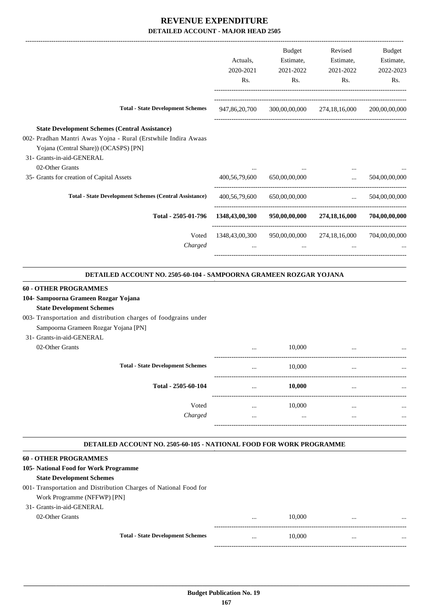|                                                                                                          |                | <b>Budget</b> | Revised                                                                   | Budget        |
|----------------------------------------------------------------------------------------------------------|----------------|---------------|---------------------------------------------------------------------------|---------------|
|                                                                                                          | Actuals,       | Estimate,     | Estimate,                                                                 | Estimate,     |
|                                                                                                          | 2020-2021      | 2021-2022     | 2021-2022                                                                 | 2022-2023     |
|                                                                                                          | Rs.            | Rs.           | Rs.                                                                       | Rs.           |
| <b>Total - State Development Schemes</b>                                                                 | 947,86,20,700  |               | 300,00,00,000 274,18,16,000                                               | 200,00,00,000 |
| <b>State Development Schemes (Central Assistance)</b>                                                    |                |               |                                                                           |               |
| 002- Pradhan Mantri Awas Yojna - Rural (Erstwhile Indira Awaas                                           |                |               |                                                                           |               |
| Yojana (Central Share)) (OCASPS) [PN]                                                                    |                |               |                                                                           |               |
| 31- Grants-in-aid-GENERAL                                                                                |                |               |                                                                           |               |
| 02-Other Grants                                                                                          |                |               | $\cdots$                                                                  |               |
| 35- Grants for creation of Capital Assets                                                                | 400,56,79,600  | 650,00,00,000 | $\mathbf{r}$                                                              | 504,00,00,000 |
| <b>Total - State Development Schemes (Central Assistance)</b>                                            | 400,56,79,600  | 650,00,00,000 | $\mathcal{L}_{\text{max}}$ .                                              | 504,00,00,000 |
| Total - 2505-01-796                                                                                      | 1348,43,00,300 |               | 950,00,00,000 274,18,16,000                                               | 704,00,00,000 |
| Voted                                                                                                    | 1348,43,00,300 |               | 950,00,00,000 274,18,16,000 704,00,00,000                                 |               |
| Charged                                                                                                  | $\cdots$       |               | $\mathbf{r}$ and $\mathbf{r}$ are all the set of $\mathbf{r}$<br>$\cdots$ |               |
| DETAILED ACCOUNT NO. 2505-60-104 - SAMPOORNA GRAMEEN ROZGAR YOJANA                                       |                |               |                                                                           |               |
|                                                                                                          |                |               |                                                                           |               |
| <b>60 - OTHER PROGRAMMES</b>                                                                             |                |               |                                                                           |               |
| 104- Sampoorna Grameen Rozgar Yojana                                                                     |                |               |                                                                           |               |
| <b>State Development Schemes</b>                                                                         |                |               |                                                                           |               |
| 003- Transportation and distribution charges of foodgrains under<br>Sampoorna Grameen Rozgar Yojana [PN] |                |               |                                                                           |               |
| 31- Grants-in-aid-GENERAL                                                                                |                |               |                                                                           |               |
| 02-Other Grants                                                                                          |                | 10,000        |                                                                           |               |
|                                                                                                          | $\cdots$       |               | $\cdots$<br>----------------------------                                  |               |
| <b>Total - State Development Schemes</b>                                                                 |                | 10.000        |                                                                           |               |

| <b>Total - State Development Schemes</b> | $\cdots$     | 10,000     | $\cdots$     | $\cdots$  |
|------------------------------------------|--------------|------------|--------------|-----------|
| Total - 2505-60-104                      | $\cdots$     | 10,000     |              | $\ddotsc$ |
| Voted<br>Charged                         | $\cdots$<br> | 10,000<br> | <br>$\cdots$ | <br>      |

-----------------------------------------------------------------------------------------

.

#### **DETAILED ACCOUNT NO. 2505-60-105 - NATIONAL FOOD FOR WORK PROGRAMME .**

#### **60 - OTHER PROGRAMMES**

| 105- National Food for Work Programme                             |                                          |          |        |          |          |
|-------------------------------------------------------------------|------------------------------------------|----------|--------|----------|----------|
| <b>State Development Schemes</b>                                  |                                          |          |        |          |          |
| 001- Transportation and Distribution Charges of National Food for |                                          |          |        |          |          |
| Work Programme (NFFWP) [PN]                                       |                                          |          |        |          |          |
| 31- Grants-in-aid-GENERAL                                         |                                          |          |        |          |          |
| 02-Other Grants                                                   |                                          | $\cdots$ | 10,000 | $\cdots$ | $\cdots$ |
|                                                                   |                                          |          |        |          |          |
|                                                                   | <b>Total - State Development Schemes</b> | $\cdots$ | 10,000 | $\cdots$ | $\cdots$ |
|                                                                   |                                          |          |        |          |          |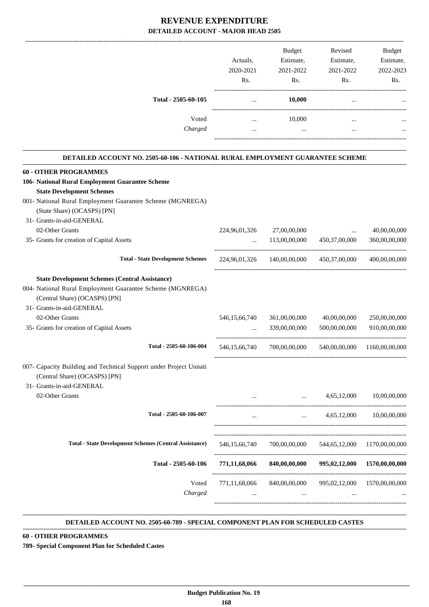|                     | Actuals.<br>2020-2021<br>Rs. | Estimate,<br>2021-2022<br>Rs. | Estimate,<br>2021-2022<br>Rs. | Estimate,<br>2022-2023<br>Rs. |
|---------------------|------------------------------|-------------------------------|-------------------------------|-------------------------------|
| Total - 2505-60-105 |                              | 10,000                        | $\cdots$                      | $\cdots$                      |
| Voted               |                              | 10,000                        | $\cdots$                      | $\cdots$                      |
| Charged             |                              | $\cdots$                      | $\cdots$                      | $\cdots$                      |

#### **DETAILED ACCOUNT NO. 2505-60-106 - NATIONAL RURAL EMPLOYMENT GUARANTEE SCHEME . 60 - OTHER PROGRAMMES 106- National Rural Employment Guarantee Scheme State Development Schemes** 001- National Rural Employment Guarantee Scheme (MGNREGA) (State Share) (OCASPS) [PN] 31- Grants-in-aid-GENERAL 02-Other Grants 224,96,01,326 27,00,00,000 ... 40,00,00,000 ... 40,00,00,000 35- Grants for creation of Capital Assets ... 113,00,00,000 450,37,00,000 360,00,00,000 ----------------------------------------------------------------------------------------- **Total - State Development Schemes** 224,96,01,326 140,00,00,000 450,37,00,000 400,00,00,000 ----------------------------------------------------------------------------------------- **State Development Schemes (Central Assistance)** 004- National Rural Employment Guarantee Scheme (MGNREGA) (Central Share) (OCASPS) [PN] 31- Grants-in-aid-GENERAL 02-Other Grants 6546,15,66,740 361,00,00,000 40,00,00,000 250,00,000 35- Grants for creation of Capital Assets ... 339,00,00,000 500,00,00,000 910,00,00,000 ---------------------------------------------------------------------------------------- **Total - 2505-60-106-004** 546,15,66,740 700,00,00,000 540,00,00,000 1160,00,00,000 ----------------------------------------------------------------------------------------- 007- Capacity Building and Technical Support under Project Unnati (Central Share) (OCASPS) [PN] 31- Grants-in-aid-GENERAL 02-Other Grants ... ... 4,65,12,000 10,00,00,000 ---------------------------------------------------------------------------------------- **Total - 2505-60-106-007** ... ... 4,65,12,000 10,00,00,000 ----------------------------------------------------------------------------------------- ----------------------------------------------------------------------------------------- **Total - State Development Schemes (Central Assistance)** 546,15,66,740 700,00,00,000 544,65,12,000 1170,00,00,000 ----------------------------------------------------------------------------------------- **Total - 2505-60-106 771,11,68,066 840,00,00,000 995,02,12,000 1570,00,00,000** ------------------------------------------------------------------------------------------ Voted 771,11,68,066 840,00,00,000 995,02,12,000 1570,00,00,000 *Charged* ... ... ... ...

#### **DETAILED ACCOUNT NO. 2505-60-789 - SPECIAL COMPONENT PLAN FOR SCHEDULED CASTES .**

-----------------------------------------------------------------------------------------

.

**60 - OTHER PROGRAMMES**

**789- Special Component Plan for Scheduled Castes**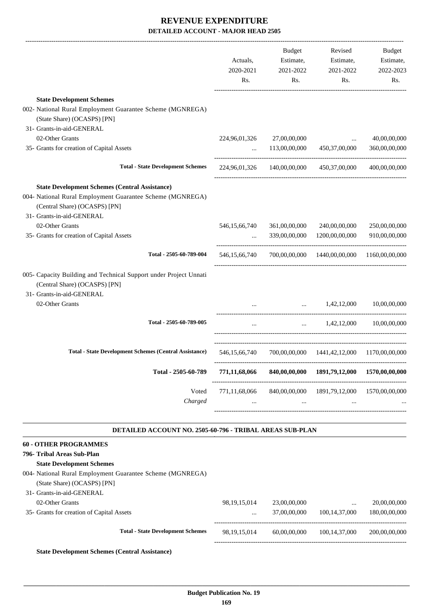| <b>State Development Schemes</b>                                                                                                | 2020-2021<br>Rs. | 2021-2022<br>Rs.           | 2021-2022<br>Rs.                            | 2022-2023<br>Rs. |
|---------------------------------------------------------------------------------------------------------------------------------|------------------|----------------------------|---------------------------------------------|------------------|
| 002- National Rural Employment Guarantee Scheme (MGNREGA)<br>(State Share) (OCASPS) [PN]                                        |                  |                            |                                             |                  |
| 31- Grants-in-aid-GENERAL                                                                                                       |                  |                            |                                             |                  |
| 02-Other Grants                                                                                                                 |                  | 224,96,01,326 27,00,00,000 | $\cdots$                                    | 40,00,00,000     |
| 35- Grants for creation of Capital Assets                                                                                       |                  | $\ldots$ 113,00,00,000     | 450,37,00,000                               | 360,00,00,000    |
| <b>Total - State Development Schemes</b>                                                                                        |                  |                            | 224,96,01,326 140,00,00,000 450,37,00,000   | 400,00,00,000    |
| <b>State Development Schemes (Central Assistance)</b>                                                                           |                  |                            |                                             |                  |
| 004- National Rural Employment Guarantee Scheme (MGNREGA)<br>(Central Share) (OCASPS) [PN]<br>31- Grants-in-aid-GENERAL         |                  |                            |                                             |                  |
| 02-Other Grants                                                                                                                 | 546, 15, 66, 740 | 361,00,00,000              | 240,00,00,000                               | 250,00,00,000    |
| 35- Grants for creation of Capital Assets                                                                                       | $\mathbf{r}$     | 339,00,00,000              | 1200,00,00,000                              | 910,00,00,000    |
| Total - 2505-60-789-004                                                                                                         | 546, 15, 66, 740 |                            | 700,00,00,000 1440,00,00,000                | 1160,00,00,000   |
| 005- Capacity Building and Technical Support under Project Unnati<br>(Central Share) (OCASPS) [PN]<br>31- Grants-in-aid-GENERAL |                  |                            |                                             |                  |
| 02-Other Grants                                                                                                                 |                  |                            | $1,42,12,000$ $10,00,00,000$                |                  |
| Total - 2505-60-789-005                                                                                                         | $\cdots$         |                            | 1,42,12,000                                 | 10.00.00.000     |
| <b>Total - State Development Schemes (Central Assistance)</b>                                                                   | 546, 15, 66, 740 |                            | 700,00,00,000 1441,42,12,000 1170,00,00,000 |                  |
| Total - 2505-60-789                                                                                                             | 771,11,68,066    | 840,00,00,000              | 1891,79,12,000                              | 1570,00,00,000   |
| Voted<br>Charged                                                                                                                | 771,11,68,066    | 840,00,00,000              | 1891, 79, 12, 000                           | 1570,00,00,000   |
| DETAILED ACCOUNT NO. 2505-60-796 - TRIBAL AREAS SUB-PLAN                                                                        |                  |                            |                                             |                  |
| <b>60 - OTHER PROGRAMMES</b>                                                                                                    |                  |                            |                                             |                  |
| 796- Tribal Areas Sub-Plan                                                                                                      |                  |                            |                                             |                  |
| <b>State Development Schemes</b>                                                                                                |                  |                            |                                             |                  |
| 004- National Rural Employment Guarantee Scheme (MGNREGA)<br>(State Share) (OCASPS) [PN]                                        |                  |                            |                                             |                  |
| 31- Grants-in-aid-GENERAL                                                                                                       |                  |                            |                                             |                  |
| 02-Other Grants                                                                                                                 | 98, 19, 15, 014  | 23,00,00,000               | $\cdots$                                    | 20,00,00,000     |
| 35- Grants for creation of Capital Assets                                                                                       | $\cdots$         | 37,00,00,000               | 100, 14, 37, 000                            | 180,00,00,000    |
| <b>Total - State Development Schemes</b>                                                                                        | 98, 19, 15, 014  | 60,00,00,000               | 100, 14, 37, 000                            | 200,00,00,000    |

**State Development Schemes (Central Assistance)**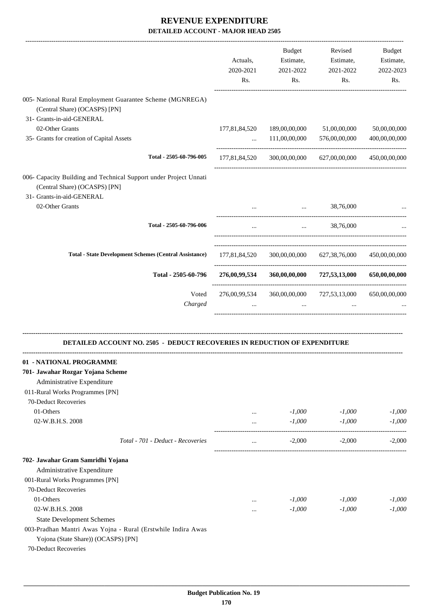|                                                                                                                                 | Actuals,<br>2020-2021<br>Rs. | Budget<br>Estimate,<br>2021-2022<br>Rs. | Revised<br>Estimate,<br>2021-2022<br>Rs.                    | <b>Budget</b><br>Estimate,<br>2022-2023<br>Rs. |
|---------------------------------------------------------------------------------------------------------------------------------|------------------------------|-----------------------------------------|-------------------------------------------------------------|------------------------------------------------|
| 005- National Rural Employment Guarantee Scheme (MGNREGA)<br>(Central Share) (OCASPS) [PN]<br>31- Grants-in-aid-GENERAL         |                              |                                         |                                                             |                                                |
| 02-Other Grants                                                                                                                 | 177,81,84,520                | 189,00,00,000                           | 51,00,00,000                                                | 50,00,00,000                                   |
| 35- Grants for creation of Capital Assets                                                                                       | $\cdots$                     | 111,00,00,000                           | 576,00,00,000                                               | 400,00,00,000                                  |
| Total - 2505-60-796-005                                                                                                         | 177,81,84,520                | 300,00,00,000                           | 627,00,00,000                                               | 450,00,00,000                                  |
| 006- Capacity Building and Technical Support under Project Unnati<br>(Central Share) (OCASPS) [PN]<br>31- Grants-in-aid-GENERAL |                              |                                         |                                                             |                                                |
| 02-Other Grants                                                                                                                 |                              | <b>Section</b> 1999                     | 38,76,000                                                   | ---------------------                          |
| Total - 2505-60-796-006                                                                                                         |                              |                                         | 38,76,000<br>$\mathbf{r}$ and $\mathbf{r}$ and $\mathbf{r}$ |                                                |
| <b>Total - State Development Schemes (Central Assistance)</b>                                                                   |                              |                                         | 177,81,84,520 300,00,00,000 627,38,76,000                   | 450,00,00,000                                  |
| Total - 2505-60-796                                                                                                             | 276,00,99,534                | 360,00,00,000                           | 727,53,13,000                                               | 650,00,00,000                                  |
| Voted                                                                                                                           | 276,00,99,534                |                                         | 360,00,00,000 727,53,13,000                                 | 650,00,00,000                                  |
| Charged                                                                                                                         |                              | $\cdots$                                |                                                             |                                                |
| <b>DETAILED ACCOUNT NO. 2505 - DEDUCT RECOVERIES IN REDUCTION OF EXPENDITURE</b>                                                |                              |                                         |                                                             |                                                |
| - NATIONAL PROGRAMME                                                                                                            |                              |                                         |                                                             |                                                |
| 701- Jawahar Rozgar Yojana Scheme                                                                                               |                              |                                         |                                                             |                                                |
| Administrative Expenditure                                                                                                      |                              |                                         |                                                             |                                                |
| 011-Rural Works Programmes [PN]                                                                                                 |                              |                                         |                                                             |                                                |
| 70-Deduct Recoveries                                                                                                            |                              |                                         |                                                             |                                                |
| 01-Others                                                                                                                       | $\cdots$                     | $-1,000$                                | $-1,000$                                                    | $-1,000$                                       |
| 02-W.B.H.S. 2008                                                                                                                | $\cdots$                     | $-1,000$                                | $-1,000$                                                    | $-1,000$                                       |
| Total - 701 - Deduct - Recoveries                                                                                               | $\ldots$                     | $-2,000$                                | $-2,000$                                                    | $-2,000$                                       |
| 702- Jawahar Gram Samridhi Yojana                                                                                               |                              |                                         |                                                             |                                                |
| Administrative Expenditure                                                                                                      |                              |                                         |                                                             |                                                |
| 001-Rural Works Programmes [PN]                                                                                                 |                              |                                         |                                                             |                                                |
| 70-Deduct Recoveries                                                                                                            |                              |                                         |                                                             |                                                |
| 01-Others                                                                                                                       | $\cdots$                     | $-1,000$                                | $-1,000$                                                    | $-1,000$                                       |
| 02-W.B.H.S. 2008                                                                                                                | $\cdots$                     | $-1,000$                                | $-1,000$                                                    | $-1,000$                                       |
| <b>State Development Schemes</b>                                                                                                |                              |                                         |                                                             |                                                |
| 003-Pradhan Mantri Awas Yojna - Rural (Erstwhile Indira Awas                                                                    |                              |                                         |                                                             |                                                |
| Yojona (State Share)) (OCASPS) [PN]                                                                                             |                              |                                         |                                                             |                                                |
| 70-Deduct Recoveries                                                                                                            |                              |                                         |                                                             |                                                |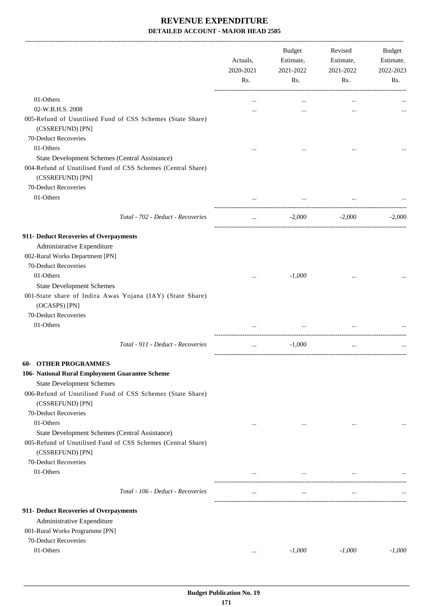-------------------------------------------------------------------------------------------------------------------------------------------------------------------------------

|                                                                                  | Actuals,<br>2020-2021<br>Rs. | <b>Budget</b><br>Estimate,<br>2021-2022<br>Rs. | Revised<br>Estimate,<br>2021-2022<br>Rs. | <b>Budget</b><br>Estimate,<br>2022-2023<br>Rs. |
|----------------------------------------------------------------------------------|------------------------------|------------------------------------------------|------------------------------------------|------------------------------------------------|
| 01-Others                                                                        |                              |                                                |                                          |                                                |
| 02-W.B.H.S. 2008                                                                 |                              |                                                |                                          |                                                |
| 005-Refund of Unutilised Fund of CSS Schemes (State Share)<br>(CSSREFUND) [PN]   |                              |                                                |                                          |                                                |
| 70-Deduct Recoveries                                                             |                              |                                                |                                          |                                                |
| 01-Others                                                                        |                              |                                                |                                          |                                                |
| State Development Schemes (Central Assistance)                                   |                              |                                                |                                          |                                                |
| 004-Refund of Unutilised Fund of CSS Schemes (Central Share)<br>(CSSREFUND) [PN] |                              |                                                |                                          |                                                |
| 70-Deduct Recoveries                                                             |                              |                                                |                                          |                                                |
| 01-Others                                                                        |                              | $\cdots$                                       |                                          |                                                |
|                                                                                  |                              |                                                |                                          |                                                |
| Total - 702 - Deduct - Recoveries                                                | $\cdots$                     | $-2,000$                                       | $-2,000$                                 | $-2,000$                                       |
| 911- Deduct Recoveries of Overpayments                                           |                              |                                                |                                          |                                                |
| Administrative Expenditure                                                       |                              |                                                |                                          |                                                |
| 002-Rural Works Department [PN]                                                  |                              |                                                |                                          |                                                |
| 70-Deduct Recoveries                                                             |                              |                                                |                                          |                                                |
| 01-Others                                                                        | $\cdots$                     | $-1,000$                                       |                                          |                                                |
| <b>State Development Schemes</b>                                                 |                              |                                                |                                          |                                                |
| 001-State share of Indira Awas Yojana (IAY) (State Share)<br>(OCASPS) [PN]       |                              |                                                |                                          |                                                |
| 70-Deduct Recoveries                                                             |                              |                                                |                                          |                                                |
| 01-Others                                                                        |                              |                                                |                                          |                                                |
| Total - 911 - Deduct - Recoveries                                                | $\cdots$                     | $-1,000$                                       | $\ldots$                                 |                                                |
| <b>60- OTHER PROGRAMMES</b>                                                      |                              |                                                |                                          |                                                |
| 106- National Rural Employment Guarantee Scheme                                  |                              |                                                |                                          |                                                |
| <b>State Development Schemes</b>                                                 |                              |                                                |                                          |                                                |
| 006-Refund of Unutilised Fund of CSS Schemes (State Share)<br>(CSSREFUND) [PN]   |                              |                                                |                                          |                                                |
| 70-Deduct Recoveries                                                             |                              |                                                |                                          |                                                |
| 01-Others                                                                        | $\cdots$                     | $\cdots$                                       | $\cdots$                                 |                                                |
| State Development Schemes (Central Assistance)                                   |                              |                                                |                                          |                                                |
| 005-Refund of Unutilised Fund of CSS Schemes (Central Share)                     |                              |                                                |                                          |                                                |
| (CSSREFUND) [PN]                                                                 |                              |                                                |                                          |                                                |
| 70-Deduct Recoveries                                                             |                              |                                                |                                          |                                                |
| 01-Others                                                                        | $\cdots$                     | $\cdots$                                       | $\cdots$                                 |                                                |
| Total - 106 - Deduct - Recoveries                                                | $\cdots$                     | $\cdots$                                       | $\cdots$                                 |                                                |
|                                                                                  |                              |                                                |                                          |                                                |
| 911- Deduct Recoveries of Overpayments                                           |                              |                                                |                                          |                                                |
| Administrative Expenditure<br>001-Rural Works Programme [PN]                     |                              |                                                |                                          |                                                |
| 70-Deduct Recoveries                                                             |                              |                                                |                                          |                                                |
| 01-Others                                                                        |                              | $-1,000$                                       | $-1,000$                                 | $-1,000$                                       |
|                                                                                  | $\cdots$                     |                                                |                                          |                                                |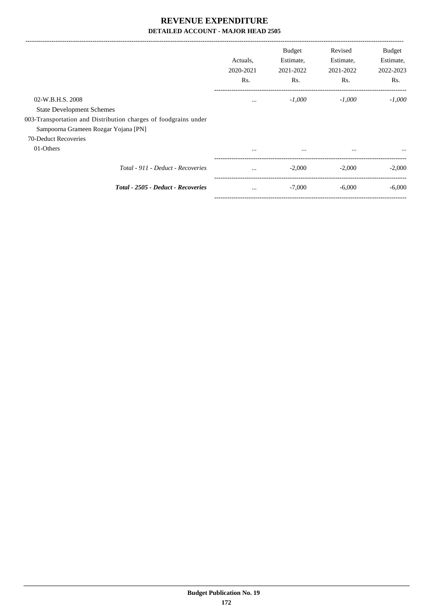|                                                                                                                                                                 | Actuals.<br>2020-2021<br>Rs. | <b>Budget</b><br>Estimate,<br>2021-2022<br>Rs. | Revised<br>Estimate,<br>2021-2022<br>Rs. | Budget<br>Estimate,<br>2022-2023<br>Rs. |
|-----------------------------------------------------------------------------------------------------------------------------------------------------------------|------------------------------|------------------------------------------------|------------------------------------------|-----------------------------------------|
| 02-W.B.H.S. 2008<br><b>State Development Schemes</b><br>003-Transportation and Distribution charges of foodgrains under<br>Sampoorna Grameen Rozgar Yojana [PN] | $\cdots$                     | $-1,000$                                       | $-1.000$                                 | $-1.000$                                |
| 70-Deduct Recoveries<br>01-Others                                                                                                                               | $\cdots$                     | $\cdots$                                       | $\cdots$                                 | $\cdots$                                |
| Total - 911 - Deduct - Recoveries                                                                                                                               | $\cdots$                     | $-2,000$                                       | $-2,000$                                 | $-2,000$                                |
| Total - 2505 - Deduct - Recoveries                                                                                                                              | $\cdots$                     | $-7,000$                                       | $-6,000$                                 | $-6,000$                                |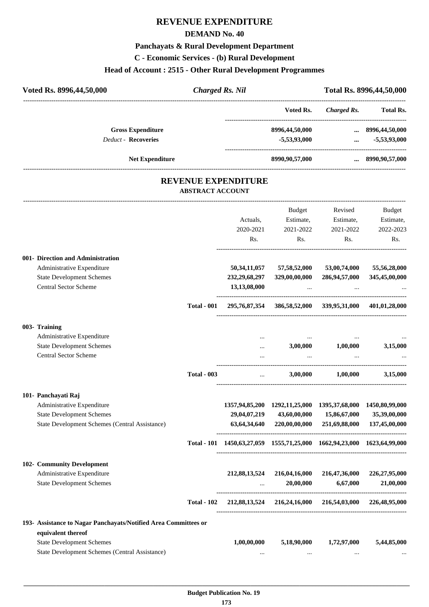# **REVENUE EXPENDITURE**

#### **DEMAND No. 40**

# **Panchayats & Rural Development Department**

**C - Economic Services - (b) Rural Development**

# **Head of Account : 2515 - Other Rural Development Programmes**

| Voted Rs. 8996,44,50,000   | <b>Charged Rs. Nil</b>     |                | Total Rs. 8996, 44, 50, 000 |                        |
|----------------------------|----------------------------|----------------|-----------------------------|------------------------|
|                            |                            | Voted Rs.      | Charged Rs.                 | <b>Total Rs.</b>       |
| <b>Gross Expenditure</b>   |                            | 8996,44,50,000 |                             | $\dots$ 8996,44,50,000 |
| <b>Deduct - Recoveries</b> |                            | $-5,53,93,000$ | $\cdots$                    | $-5,53,93,000$         |
| <b>Net Expenditure</b>     |                            | 8990,90,57,000 |                             | 8990,90,57,000         |
|                            | <b>REVENUE EXPENDITURE</b> |                |                             |                        |

#### **REVENUE EXPENDITURE ABSTRACT ACCOUNT**

---------------------------------------------------------------------------------------------------------------------------------------------------------------------------------

|                                                                 |                    |                                                                                     | <b>Budget</b>                                               | Revised           | <b>Budget</b> |
|-----------------------------------------------------------------|--------------------|-------------------------------------------------------------------------------------|-------------------------------------------------------------|-------------------|---------------|
|                                                                 |                    | Actuals,                                                                            | Estimate,                                                   | Estimate,         | Estimate,     |
|                                                                 |                    | 2020-2021                                                                           | 2021-2022                                                   | 2021-2022         | 2022-2023     |
|                                                                 |                    | R <sub>s</sub> .                                                                    | Rs.                                                         | R <sub>s</sub> .  | Rs.           |
| 001- Direction and Administration                               |                    |                                                                                     |                                                             |                   |               |
| Administrative Expenditure                                      |                    | 50,34,11,057                                                                        | 57,58,52,000                                                | 53,00,74,000      | 55,56,28,000  |
| <b>State Development Schemes</b>                                |                    | 232, 29, 68, 297                                                                    | 329,00,00,000                                               | 286,94,57,000     | 345,45,00,000 |
| <b>Central Sector Scheme</b>                                    |                    | 13,13,08,000                                                                        | $\cdots$                                                    |                   |               |
|                                                                 | <b>Total - 001</b> |                                                                                     | 295,76,87,354 386,58,52,000 339,95,31,000 401,01,28,000     |                   |               |
| 003- Training                                                   |                    |                                                                                     |                                                             |                   |               |
| Administrative Expenditure                                      |                    | $\cdots$                                                                            |                                                             |                   |               |
| <b>State Development Schemes</b>                                |                    | $\cdots$                                                                            | 3,00,000                                                    | 1,00,000          | 3,15,000      |
| <b>Central Sector Scheme</b>                                    |                    |                                                                                     | $\ldots$                                                    | $\sim$            |               |
|                                                                 | <b>Total - 003</b> |                                                                                     |                                                             | 3,00,000 1,00,000 | 3,15,000      |
| 101- Panchayati Raj                                             |                    |                                                                                     |                                                             |                   |               |
| Administrative Expenditure                                      |                    |                                                                                     | 1357,94,85,200 1292,11,25,000 1395,37,68,000 1450,80,99,000 |                   |               |
| <b>State Development Schemes</b>                                |                    | 29,04,07,219                                                                        | 43,60,00,000                                                | 15,86,67,000      | 35,39,00,000  |
| State Development Schemes (Central Assistance)                  |                    |                                                                                     | 63,64,34,640 220,00,00,000                                  | 251,69,88,000     | 137,45,00,000 |
|                                                                 |                    | Total - 101 1450, 63, 27, 059 1555, 71, 25, 000 1662, 94, 23, 000 1623, 64, 99, 000 |                                                             |                   |               |
| 102- Community Development                                      |                    |                                                                                     |                                                             |                   |               |
| Administrative Expenditure                                      |                    | 212,88,13,524                                                                       | 216,04,16,000                                               | 216,47,36,000     | 226,27,95,000 |
| <b>State Development Schemes</b>                                |                    | $\cdots$                                                                            | 20,00,000                                                   | 6,67,000          | 21,00,000     |
|                                                                 | <b>Total - 102</b> |                                                                                     | 212,88,13,524 216,24,16,000 216,54,03,000 226,48,95,000     |                   |               |
| 193- Assistance to Nagar Panchayats/Notified Area Committees or |                    |                                                                                     |                                                             |                   |               |
| equivalent thereof                                              |                    |                                                                                     |                                                             |                   |               |
| <b>State Development Schemes</b>                                |                    | 1,00,00,000                                                                         | 5,18,90,000                                                 | 1,72,97,000       | 5,44,85,000   |
| State Development Schemes (Central Assistance)                  |                    | $\ddotsc$                                                                           | $\cdots$                                                    | $\cdots$          |               |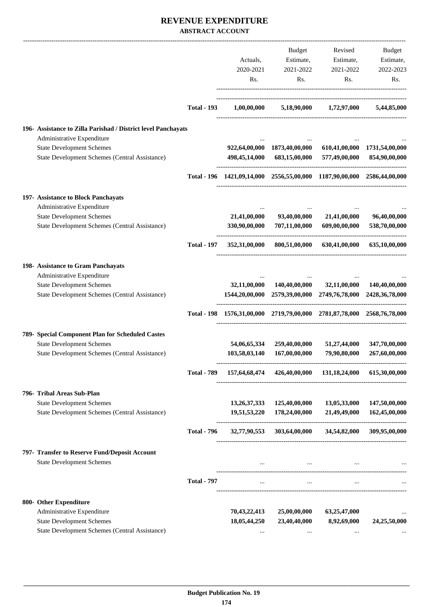#### **REVENUE EXPENDITURE ABSTRACT ACCOUNT**

|                                                                                             |                    |                     | Budget                       | Revised                                                                                                            | Budget                        |
|---------------------------------------------------------------------------------------------|--------------------|---------------------|------------------------------|--------------------------------------------------------------------------------------------------------------------|-------------------------------|
|                                                                                             |                    | Actuals,            | Estimate,                    | Estimate,                                                                                                          | Estimate,                     |
|                                                                                             |                    | 2020-2021           | 2021-2022                    | 2021-2022                                                                                                          | 2022-2023                     |
|                                                                                             |                    | Rs.                 | Rs.                          | Rs.                                                                                                                | Rs.                           |
|                                                                                             | <b>Total - 193</b> | $1,\!00,\!00,\!000$ |                              | 5,18,90,000 1,72,97,000                                                                                            | 5,44,85,000                   |
| 196- Assistance to Zilla Parishad / District level Panchayats<br>Administrative Expenditure |                    |                     |                              |                                                                                                                    |                               |
| <b>State Development Schemes</b>                                                            |                    |                     | 922,64,00,000 1873,40,00,000 |                                                                                                                    | 610,41,00,000 1731,54,00,000  |
| State Development Schemes (Central Assistance)                                              |                    |                     | 498,45,14,000 683,15,00,000  | 577,49,00,000                                                                                                      | 854,90,00,000                 |
|                                                                                             |                    |                     |                              | Total - 196 1421,09,14,000 2556,55,00,000 1187,90,00,000 2586,44,00,000                                            |                               |
| 197- Assistance to Block Panchayats                                                         |                    |                     |                              |                                                                                                                    |                               |
| Administrative Expenditure                                                                  |                    |                     |                              |                                                                                                                    |                               |
| <b>State Development Schemes</b><br>State Development Schemes (Central Assistance)          |                    | 330,90,00,000       |                              | 21,41,00,000 93,40,00,000 21,41,00,000<br>707,11,00,000 609,00,00,000                                              | 96,40,00,000<br>538,70,00,000 |
|                                                                                             | <b>Total - 197</b> |                     |                              | 352,31,00,000 800,51,00,000 630,41,00,000                                                                          | 635,10,00,000                 |
| 198- Assistance to Gram Panchayats                                                          |                    |                     |                              |                                                                                                                    |                               |
| Administrative Expenditure                                                                  |                    |                     |                              |                                                                                                                    |                               |
| <b>State Development Schemes</b><br>State Development Schemes (Central Assistance)          |                    |                     |                              | 32,11,00,000 140,40,00,000 32,11,00,000<br>1544, 20, 00, 000 2579, 39, 00, 000 2749, 76, 78, 000 2428, 36, 78, 000 | 140,40,00,000                 |
|                                                                                             |                    |                     |                              | Total - 198 1576,31,00,000 2719,79,00,000 2781,87,78,000 2568,76,78,000                                            |                               |
| 789- Special Component Plan for Scheduled Castes                                            |                    |                     |                              |                                                                                                                    |                               |
| <b>State Development Schemes</b>                                                            |                    | 54,06,65,334        | 259,40,00,000                | 51,27,44,000                                                                                                       | 347,70,00,000                 |
| State Development Schemes (Central Assistance)                                              |                    | 103,58,03,140       | 167,00,00,000                | 79,90,80,000                                                                                                       | 267,60,00,000                 |
|                                                                                             | <b>Total - 789</b> |                     |                              | 157,64,68,474 426,40,00,000 131,18,24,000 615,30,00,000                                                            |                               |
| 796- Tribal Areas Sub-Plan                                                                  |                    |                     |                              |                                                                                                                    |                               |
| <b>State Development Schemes</b>                                                            |                    | 13, 26, 37, 333     | 125,40,00,000                | 13,05,33,000                                                                                                       | 147,50,00,000                 |
| State Development Schemes (Central Assistance)                                              |                    | 19,51,53,220        | 178,24,00,000                | 21,49,49,000                                                                                                       | 162,45,00,000                 |
|                                                                                             | <b>Total - 796</b> | 32,77,90,553        |                              | 303,64,00,000 34,54,82,000                                                                                         | 309,95,00,000                 |
| 797- Transfer to Reserve Fund/Deposit Account                                               |                    |                     |                              |                                                                                                                    |                               |
| <b>State Development Schemes</b>                                                            |                    |                     | $\cdots$                     |                                                                                                                    |                               |
|                                                                                             | <b>Total - 797</b> | $\cdots$            |                              |                                                                                                                    |                               |
| 800- Other Expenditure                                                                      |                    |                     |                              |                                                                                                                    |                               |
| Administrative Expenditure                                                                  |                    | 70,43,22,413        | 25,00,00,000                 | 63,25,47,000                                                                                                       |                               |
| <b>State Development Schemes</b>                                                            |                    | 18,05,44,250        | 23,40,40,000                 | 8,92,69,000                                                                                                        | 24,25,50,000                  |
| State Development Schemes (Central Assistance)                                              |                    |                     |                              |                                                                                                                    |                               |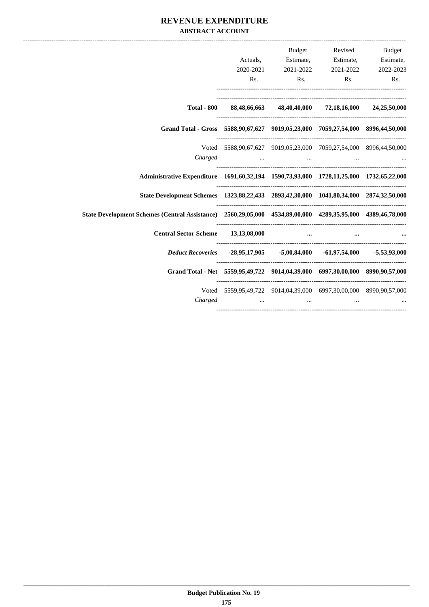#### **REVENUE EXPENDITURE ABSTRACT ACCOUNT**

|                                                                                                            |                                                                   | <b>Budget</b>                                                                                                   | Revised Budget      |
|------------------------------------------------------------------------------------------------------------|-------------------------------------------------------------------|-----------------------------------------------------------------------------------------------------------------|---------------------|
|                                                                                                            |                                                                   | Actuals, Estimate, Estimate, Estimate,                                                                          |                     |
|                                                                                                            | 2020-2021                                                         | 2021-2022                                                                                                       | 2021-2022 2022-2023 |
|                                                                                                            |                                                                   | Rs. Rs. Rs. Rs. Rs.                                                                                             |                     |
|                                                                                                            | Total - 800 88,48,66,663 48,40,40,000 72,18,16,000 24,25,50,000   |                                                                                                                 |                     |
| Grand Total - Gross 5588,90,67,627 9019,05,23,000 7059,27,54,000 8996,44,50,000                            |                                                                   |                                                                                                                 |                     |
|                                                                                                            | Voted 5588,90,67,627 9019,05,23,000 7059,27,54,000 8996,44,50,000 |                                                                                                                 |                     |
|                                                                                                            | Charged                                                           |                                                                                                                 |                     |
| Administrative Expenditure 1691,60,32,194 1590,73,93,000 1728,11,25,000 1732,65,22,000                     |                                                                   |                                                                                                                 |                     |
| State Development Schemes 1323,88,22,433 2893,42,30,000 1041,80,34,000 2874,32,50,000                      |                                                                   |                                                                                                                 |                     |
| State Development Schemes (Central Assistance) 2560,29,05,000 4534,89,00,000 4289,35,95,000 4389,46,78,000 |                                                                   |                                                                                                                 |                     |
| Central Sector Scheme 13,13,08,000                                                                         |                                                                   |                                                                                                                 |                     |
| <i>Deduct Recoveries</i> -28,95,17,905 -5,00,84,000 -61,97,54,000 -5,53,93,000                             |                                                                   |                                                                                                                 |                     |
| Grand Total - Net 5559,95,49,722 9014,04,39,000 6997,30,00,000 8990,90,57,000                              |                                                                   |                                                                                                                 |                     |
| Charged                                                                                                    | Voted 5559,95,49,722 9014,04,39,000 6997,30,00,000 8990,90,57,000 | the contract of the contract of the contract of the contract of the contract of the contract of the contract of |                     |
|                                                                                                            |                                                                   |                                                                                                                 |                     |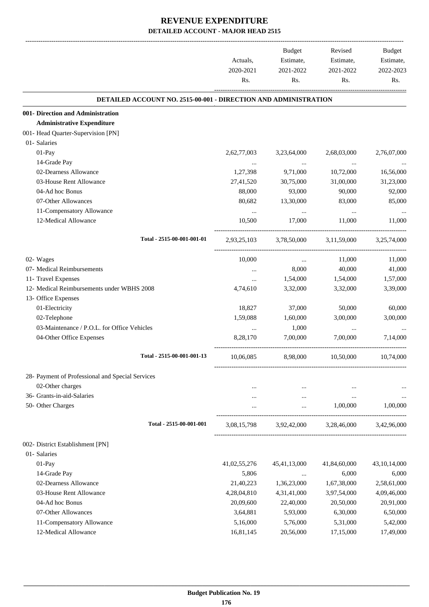|                                                                        | Actuals,<br>2020-2021<br>Rs. | Budget<br>Estimate,<br>2021-2022<br>Rs.              | Revised<br>Estimate,<br>2021-2022<br>Rs. | <b>Budget</b><br>Estimate,<br>2022-2023<br>Rs. |
|------------------------------------------------------------------------|------------------------------|------------------------------------------------------|------------------------------------------|------------------------------------------------|
|                                                                        |                              |                                                      |                                          |                                                |
| <b>DETAILED ACCOUNT NO. 2515-00-001 - DIRECTION AND ADMINISTRATION</b> |                              |                                                      |                                          |                                                |
| 001- Direction and Administration<br><b>Administrative Expenditure</b> |                              |                                                      |                                          |                                                |
| 001- Head Quarter-Supervision [PN]                                     |                              |                                                      |                                          |                                                |
| 01- Salaries                                                           |                              |                                                      |                                          |                                                |
| 01-Pay                                                                 | 2,62,77,003                  | 3,23,64,000                                          | 2,68,03,000                              | 2,76,07,000                                    |
| 14-Grade Pay                                                           |                              | $\cdots$                                             | $\cdots$                                 |                                                |
| 02-Dearness Allowance                                                  | 1,27,398                     | 9,71,000                                             | 10,72,000                                | 16,56,000                                      |
| 03-House Rent Allowance                                                | 27,41,520                    | 30,75,000                                            | 31,00,000                                | 31,23,000                                      |
| 04-Ad hoc Bonus                                                        | 88,000                       | 93,000                                               | 90,000                                   | 92,000                                         |
| 07-Other Allowances                                                    | 80,682                       | 13,30,000                                            | 83,000                                   | 85,000                                         |
| 11-Compensatory Allowance                                              | $\cdots$                     | $\cdots$                                             | $\cdots$                                 |                                                |
| 12-Medical Allowance                                                   | 10,500                       | 17,000                                               | 11,000                                   | 11,000                                         |
| Total - 2515-00-001-001-01                                             | 2,93,25,103                  | 3,78,50,000                                          | 3,11,59,000                              | 3,25,74,000                                    |
| 02- Wages                                                              | 10,000                       | $\cdots$                                             | 11,000                                   | 11,000                                         |
| 07- Medical Reimbursements                                             |                              | 8,000                                                | 40,000                                   | 41,000                                         |
| 11- Travel Expenses                                                    | $\cdots$                     | 1,54,000                                             | 1,54,000                                 | 1,57,000                                       |
| 12- Medical Reimbursements under WBHS 2008                             | 4,74,610                     | 3,32,000                                             | 3,32,000                                 | 3,39,000                                       |
| 13- Office Expenses                                                    |                              |                                                      |                                          |                                                |
| 01-Electricity                                                         | 18,827                       | 37,000                                               | 50,000                                   | 60,000                                         |
| 02-Telephone                                                           | 1,59,088                     | 1,60,000                                             | 3,00,000                                 | 3,00,000                                       |
| 03-Maintenance / P.O.L. for Office Vehicles                            | $\cdots$                     | 1,000                                                | $\cdots$                                 |                                                |
| 04-Other Office Expenses                                               | 8,28,170                     | 7,00,000                                             | 7,00,000                                 | 7,14,000                                       |
| Total - 2515-00-001-001-13                                             | 10,06,085                    | 8,98,000                                             | 10,50,000                                | 10,74,000                                      |
| 28- Payment of Professional and Special Services                       |                              |                                                      |                                          |                                                |
| 02-Other charges                                                       |                              | $\cdots$                                             | $\cdots$                                 |                                                |
| 36- Grants-in-aid-Salaries                                             |                              | $\cdots$                                             | $\ldots$                                 | $\cdots$                                       |
| 50- Other Charges                                                      |                              | $\cdots$                                             | 1,00,000                                 | 1,00,000                                       |
| Total - 2515-00-001-001                                                | 3,08,15,798                  | -------------------------------------<br>3,92,42,000 | 3,28,46,000                              | 3,42,96,000                                    |
| 002- District Establishment [PN]                                       |                              |                                                      |                                          |                                                |
| 01- Salaries                                                           |                              |                                                      |                                          |                                                |
| $01-Pay$                                                               | 41,02,55,276                 | 45, 41, 13, 000                                      | 41,84,60,000                             | 43, 10, 14, 000                                |
| 14-Grade Pay                                                           | 5,806                        | $\cdots$                                             | 6,000                                    | 6,000                                          |
| 02-Dearness Allowance                                                  | 21,40,223                    | 1,36,23,000                                          | 1,67,38,000                              | 2,58,61,000                                    |
| 03-House Rent Allowance                                                | 4,28,04,810                  | 4,31,41,000                                          | 3,97,54,000                              | 4,09,46,000                                    |
| 04-Ad hoc Bonus                                                        | 20,09,600                    | 22,40,000                                            | 20,50,000                                | 20,91,000                                      |
| 07-Other Allowances                                                    | 3,64,881                     | 5,93,000                                             | 6,30,000                                 | 6,50,000                                       |
| 11-Compensatory Allowance                                              | 5,16,000                     | 5,76,000                                             | 5,31,000                                 | 5,42,000                                       |
| 12-Medical Allowance                                                   | 16,81,145                    | 20,56,000                                            | 17,15,000                                | 17,49,000                                      |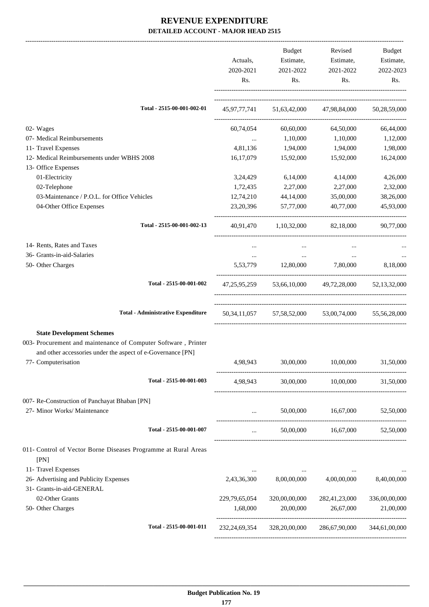|                                                                                                                                                                                          | Actuals,<br>2020-2021<br>Rs. | Budget<br>Estimate,<br>2021-2022<br>Rs.                  | Revised<br>Estimate,<br>2021-2022<br>Rs.            | Budget<br>Estimate,<br>2022-2023<br>Rs. |
|------------------------------------------------------------------------------------------------------------------------------------------------------------------------------------------|------------------------------|----------------------------------------------------------|-----------------------------------------------------|-----------------------------------------|
| Total - 2515-00-001-002-01                                                                                                                                                               |                              |                                                          | 45,97,77,741 51,63,42,000 47,98,84,000 50,28,59,000 |                                         |
| 02- Wages                                                                                                                                                                                | 60,74,054                    | 60,60,000                                                | 64,50,000                                           | 66,44,000                               |
| 07- Medical Reimbursements                                                                                                                                                               |                              | $\ldots$ 1,10,000                                        | 1,10,000                                            | 1,12,000                                |
| 11- Travel Expenses                                                                                                                                                                      |                              | 4,81,136 1,94,000                                        | 1,94,000                                            | 1,98,000                                |
| 12- Medical Reimbursements under WBHS 2008                                                                                                                                               | 16,17,079                    | 15,92,000                                                | 15,92,000                                           | 16,24,000                               |
| 13- Office Expenses                                                                                                                                                                      |                              |                                                          |                                                     |                                         |
| 01-Electricity                                                                                                                                                                           | 3,24,429                     | 6,14,000                                                 | 4,14,000                                            | 4,26,000                                |
| 02-Telephone                                                                                                                                                                             |                              | 1,72,435 2,27,000                                        | 2,27,000                                            | 2,32,000                                |
| 03-Maintenance / P.O.L. for Office Vehicles                                                                                                                                              | 12,74,210                    | 44,14,000                                                | 35,00,000                                           | 38,26,000                               |
| 04-Other Office Expenses                                                                                                                                                                 | 23, 20, 396                  | 57,77,000                                                | 40,77,000                                           | 45,93,000                               |
| Total - 2515-00-001-002-13                                                                                                                                                               |                              |                                                          | 40,91,470 1,10,32,000 82,18,000 90,77,000           |                                         |
| 14- Rents, Rates and Taxes                                                                                                                                                               | $\cdots$                     | $\cdots$                                                 | $\cdots$                                            |                                         |
| 36- Grants-in-aid-Salaries                                                                                                                                                               |                              | and the con-                                             | <b>Section</b>                                      |                                         |
| 50- Other Charges                                                                                                                                                                        |                              |                                                          | 5,53,779 12,80,000 7,80,000 8,18,000                |                                         |
| Total - 2515-00-001-002                                                                                                                                                                  |                              |                                                          | 47,25,95,259 53,66,10,000 49,72,28,000 52,13,32,000 |                                         |
| <b>Total - Administrative Expenditure</b>                                                                                                                                                |                              |                                                          | 50,34,11,057 57,58,52,000 53,00,74,000 55,56,28,000 |                                         |
| <b>State Development Schemes</b><br>003- Procurement and maintenance of Computer Software, Printer<br>and other accessories under the aspect of e-Governance [PN]<br>77- Computerisation | 4,98,943                     |                                                          | 30,00,000 10,00,000                                 | 31,50,000                               |
| Total - 2515-00-001-003                                                                                                                                                                  | 4,98,943                     |                                                          | 30,00,000 10,00,000 31,50,000                       |                                         |
| 007- Re-Construction of Panchayat Bhaban [PN]                                                                                                                                            |                              |                                                          |                                                     |                                         |
| 27- Minor Works/ Maintenance                                                                                                                                                             | $\cdots$                     |                                                          | 50,00,000 16,67,000                                 | 52,50,000                               |
| Total - 2515-00-001-007                                                                                                                                                                  | $\cdots$                     |                                                          |                                                     |                                         |
| 011- Control of Vector Borne Diseases Programme at Rural Areas<br>[PN]                                                                                                                   |                              |                                                          |                                                     |                                         |
| 11- Travel Expenses<br>26- Advertising and Publicity Expenses<br>31- Grants-in-aid-GENERAL                                                                                               | $\cdots$<br>2,43,36,300      | <b>Service Contract Contract Contract</b><br>8,00,00,000 | the contract of the con-<br>4,00,00,000             | $\cdots$<br>8,40,00,000                 |
| 02-Other Grants                                                                                                                                                                          |                              |                                                          |                                                     |                                         |
| 50- Other Charges                                                                                                                                                                        | 229,79,65,054<br>1,68,000    | 320,00,00,000<br>20,00,000                               | 282,41,23,000<br>26,67,000                          | 336,00,00,000<br>21,00,000              |
| Total - 2515-00-001-011                                                                                                                                                                  | 232, 24, 69, 354             | 328,20,00,000                                            | 286,67,90,000                                       | 344,61,00,000                           |
|                                                                                                                                                                                          |                              |                                                          |                                                     |                                         |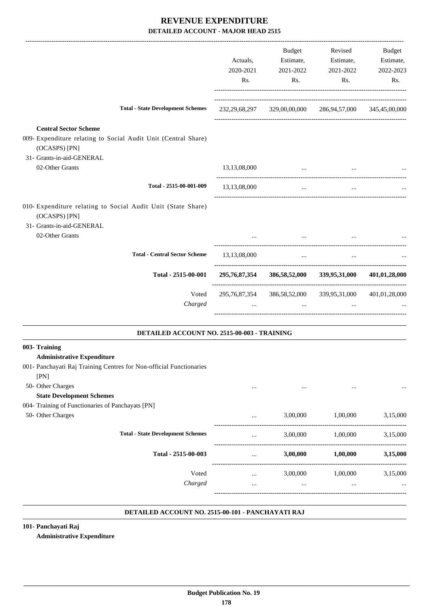|                                                                                                                                                        | Actuals,<br>2020-2021<br>Rs. | <b>Budget</b><br>Estimate,<br>2021-2022<br>Rs. | Revised<br>Estimate,<br>2021-2022<br>Rs.                            | Budget<br>Estimate,<br>2022-2023<br>Rs. |
|--------------------------------------------------------------------------------------------------------------------------------------------------------|------------------------------|------------------------------------------------|---------------------------------------------------------------------|-----------------------------------------|
| <b>Total - State Development Schemes</b>                                                                                                               |                              | 232,29,68,297 329,00,00,000                    | 286,94,57,000 345,45,00,000                                         |                                         |
| <b>Central Sector Scheme</b><br>009- Expenditure relating to Social Audit Unit (Central Share)<br>(OCASPS) [PN]<br>31- Grants-in-aid-GENERAL           |                              |                                                |                                                                     |                                         |
| 02-Other Grants                                                                                                                                        | 13,13,08,000                 | $\cdots$                                       | $\cdots$                                                            |                                         |
| Total - 2515-00-001-009                                                                                                                                | 13,13,08,000                 | $\cdots$                                       | $\ddotsc$                                                           |                                         |
| 010- Expenditure relating to Social Audit Unit (State Share)<br>(OCASPS) [PN]<br>31- Grants-in-aid-GENERAL<br>02-Other Grants                          |                              | $\cdots$                                       |                                                                     |                                         |
| <b>Total - Central Sector Scheme</b>                                                                                                                   |                              |                                                |                                                                     |                                         |
|                                                                                                                                                        | 13,13,08,000                 | $\ldots$                                       | $\ldots$                                                            |                                         |
| Total - 2515-00-001                                                                                                                                    |                              |                                                | 295,76,87,354 386,58,52,000 339,95,31,000                           | 401,01,28,000                           |
| Voted<br>Charged                                                                                                                                       |                              | $\ddots$                                       | 295,76,87,354 386,58,52,000 339,95,31,000 401,01,28,000<br>$\cdots$ |                                         |
| DETAILED ACCOUNT NO. 2515-00-003 - TRAINING                                                                                                            |                              |                                                |                                                                     |                                         |
| 003- Training<br><b>Administrative Expenditure</b><br>001- Panchayati Raj Training Centres for Non-official Functionaries<br>[PN]<br>50- Other Charges |                              |                                                |                                                                     |                                         |
| <b>State Development Schemes</b><br>004- Training of Functionaries of Panchayats [PN]                                                                  |                              |                                                |                                                                     |                                         |
| 50- Other Charges                                                                                                                                      | $\cdots$                     | 3,00,000                                       | 1,00,000                                                            | 3,15,000                                |
| <b>Total - State Development Schemes</b>                                                                                                               |                              | 3,00,000                                       | 1,00,000                                                            | 3,15,000                                |
| Total - 2515-00-003                                                                                                                                    |                              | 3,00,000                                       | 1,00,000                                                            | 3,15,000                                |
| Voted<br>Charged                                                                                                                                       | $\cdots$<br>$\cdots$         | 3,00,000<br>$\cdots$                           | 1,00,000<br>$\cdots$                                                | 3,15,000                                |

#### **DETAILED ACCOUNT NO. 2515-00-101 - PANCHAYATI RAJ .**

**101- Panchayati Raj Administrative Expenditure**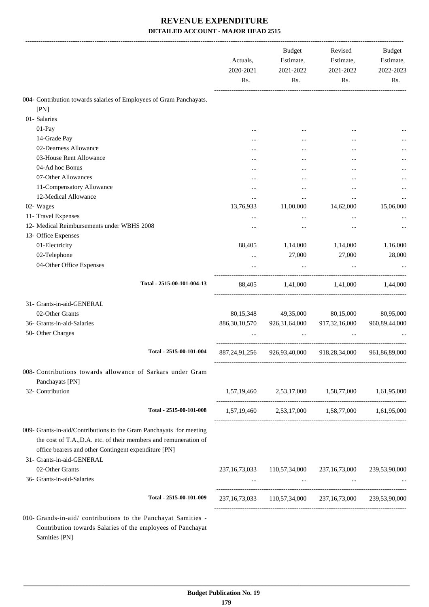|                                                                                                                                                                                                                              | Actuals,<br>2020-2021<br>Rs. | <b>Budget</b><br>Estimate,<br>2021-2022<br>Rs.          | Revised<br>Estimate,<br>2021-2022<br>Rs. | Budget<br>Estimate,<br>2022-2023<br>Rs. |
|------------------------------------------------------------------------------------------------------------------------------------------------------------------------------------------------------------------------------|------------------------------|---------------------------------------------------------|------------------------------------------|-----------------------------------------|
| 004- Contribution towards salaries of Employees of Gram Panchayats.                                                                                                                                                          |                              |                                                         |                                          |                                         |
| [PN]                                                                                                                                                                                                                         |                              |                                                         |                                          |                                         |
| 01- Salaries                                                                                                                                                                                                                 |                              |                                                         |                                          |                                         |
| 01-Pay                                                                                                                                                                                                                       |                              |                                                         |                                          |                                         |
| 14-Grade Pay                                                                                                                                                                                                                 |                              |                                                         |                                          |                                         |
| 02-Dearness Allowance                                                                                                                                                                                                        |                              |                                                         |                                          |                                         |
| 03-House Rent Allowance                                                                                                                                                                                                      |                              |                                                         |                                          |                                         |
| 04-Ad hoc Bonus                                                                                                                                                                                                              |                              |                                                         | $\ddotsc$                                |                                         |
| 07-Other Allowances                                                                                                                                                                                                          |                              |                                                         |                                          |                                         |
| 11-Compensatory Allowance                                                                                                                                                                                                    |                              | $\ddotsc$                                               |                                          |                                         |
| 12-Medical Allowance                                                                                                                                                                                                         |                              | $\ddotsc$                                               | $\ddotsc$                                |                                         |
| 02- Wages                                                                                                                                                                                                                    | 13,76,933                    | 11,00,000                                               | 14,62,000                                | 15,06,000                               |
| 11- Travel Expenses                                                                                                                                                                                                          |                              |                                                         | $\ddotsc$                                |                                         |
| 12- Medical Reimbursements under WBHS 2008                                                                                                                                                                                   |                              | $\ddotsc$                                               |                                          |                                         |
| 13- Office Expenses                                                                                                                                                                                                          |                              |                                                         |                                          |                                         |
| 01-Electricity                                                                                                                                                                                                               | 88,405                       | 1,14,000                                                | 1,14,000                                 | 1,16,000                                |
| 02-Telephone                                                                                                                                                                                                                 |                              | 27,000                                                  | 27,000                                   | 28,000                                  |
| 04-Other Office Expenses                                                                                                                                                                                                     |                              |                                                         |                                          |                                         |
| Total - 2515-00-101-004-13                                                                                                                                                                                                   | 88,405                       |                                                         | 1,41,000 1,41,000                        | 1.44.000                                |
| 31- Grants-in-aid-GENERAL                                                                                                                                                                                                    |                              |                                                         |                                          |                                         |
| 02-Other Grants                                                                                                                                                                                                              | 80,15,348                    | 49,35,000                                               | 80,15,000                                | 80,95,000                               |
| 36- Grants-in-aid-Salaries                                                                                                                                                                                                   | 886, 30, 10, 570             | 926,31,64,000                                           | 917, 32, 16, 000                         | 960, 89, 44, 000                        |
| 50- Other Charges                                                                                                                                                                                                            |                              |                                                         |                                          |                                         |
|                                                                                                                                                                                                                              |                              |                                                         |                                          |                                         |
| Total - 2515-00-101-004                                                                                                                                                                                                      | 887, 24, 91, 256             | 926,93,40,000                                           | 918,28,34,000                            | 961,86,89,000                           |
| 008- Contributions towards allowance of Sarkars under Gram<br>Panchayats [PN]                                                                                                                                                |                              |                                                         |                                          |                                         |
| 32- Contribution                                                                                                                                                                                                             |                              | 1,57,19,460 2,53,17,000 1,58,77,000 1,61,95,000         |                                          |                                         |
| Total - 2515-00-101-008                                                                                                                                                                                                      |                              | 1,57,19,460 2,53,17,000 1,58,77,000 1,61,95,000         |                                          |                                         |
| 009- Grants-in-aid/Contributions to the Gram Panchayats for meeting<br>the cost of T.A., D.A. etc. of their members and remuneration of<br>office bearers and other Contingent expenditure [PN]<br>31- Grants-in-aid-GENERAL |                              |                                                         |                                          |                                         |
| 02-Other Grants                                                                                                                                                                                                              |                              | 237,16,73,033 110,57,34,000 237,16,73,000               |                                          | 239,53,90,000                           |
| 36- Grants-in-aid-Salaries                                                                                                                                                                                                   |                              |                                                         | <b>Contract Contract Contract</b>        |                                         |
|                                                                                                                                                                                                                              |                              |                                                         |                                          |                                         |
| Total - 2515-00-101-009                                                                                                                                                                                                      |                              | 237,16,73,033 110,57,34,000 237,16,73,000 239,53,90,000 |                                          |                                         |

010- Grands-in-aid/ contributions to the Panchayat Samities Contribution towards Salaries of the employees of Panchayat Samities [PN]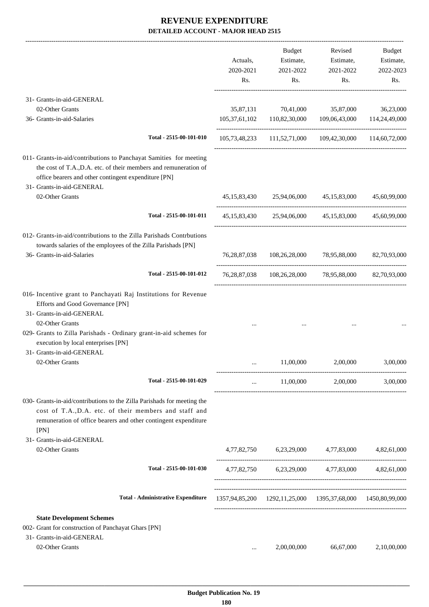|                                                                                                                                                                                                                                                                  | Actuals,<br>2020-2021 | <b>Budget</b><br>Estimate,<br>2021-2022 | Revised<br>Estimate,<br>2021-2022                           | Budget<br>Estimate,<br>2022-2023 |
|------------------------------------------------------------------------------------------------------------------------------------------------------------------------------------------------------------------------------------------------------------------|-----------------------|-----------------------------------------|-------------------------------------------------------------|----------------------------------|
|                                                                                                                                                                                                                                                                  | Rs.                   | Rs.                                     | Rs.                                                         | Rs.                              |
| 31- Grants-in-aid-GENERAL                                                                                                                                                                                                                                        |                       |                                         |                                                             |                                  |
| 02-Other Grants                                                                                                                                                                                                                                                  | 35,87,131             | 70,41,000                               | 35,87,000                                                   | 36,23,000                        |
| 36- Grants-in-aid-Salaries                                                                                                                                                                                                                                       |                       | 105,37,61,102 110,82,30,000             | 109,06,43,000                                               | 114,24,49,000                    |
| Total - 2515-00-101-010                                                                                                                                                                                                                                          |                       |                                         | 105,73,48,233 111,52,71,000 109,42,30,000 114,60,72,000     |                                  |
| 011- Grants-in-aid/contributions to Panchayat Samities for meeting<br>the cost of T.A., D.A. etc. of their members and remuneration of<br>office bearers and other contingent expenditure [PN]<br>31- Grants-in-aid-GENERAL                                      |                       |                                         |                                                             |                                  |
| 02-Other Grants                                                                                                                                                                                                                                                  |                       |                                         | 45,15,83,430 25,94,06,000 45,15,83,000                      | 45,60,99,000                     |
| Total - 2515-00-101-011                                                                                                                                                                                                                                          |                       |                                         | 45,15,83,430 25,94,06,000 45,15,83,000 45,60,99,000         |                                  |
| 012- Grants-in-aid/contributions to the Zilla Parishads Contrbutions<br>towards salaries of the employees of the Zilla Parishads [PN]<br>36- Grants-in-aid-Salaries                                                                                              |                       |                                         | 76,28,87,038 108,26,28,000 78,95,88,000                     | 82,70,93,000                     |
| Total - 2515-00-101-012                                                                                                                                                                                                                                          |                       |                                         | 76,28,87,038 108,26,28,000 78,95,88,000 82,70,93,000        |                                  |
| 016- Incentive grant to Panchayati Raj Institutions for Revenue<br>Efforts and Good Governance [PN]<br>31- Grants-in-aid-GENERAL<br>02-Other Grants<br>029- Grants to Zilla Parishads - Ordinary grant-in-aid schemes for<br>execution by local enterprises [PN] |                       |                                         |                                                             |                                  |
| 31- Grants-in-aid-GENERAL<br>02-Other Grants                                                                                                                                                                                                                     |                       | 11,00,000                               | 2,00,000                                                    | 3,00,000                         |
|                                                                                                                                                                                                                                                                  |                       |                                         |                                                             |                                  |
| Total - 2515-00-101-029                                                                                                                                                                                                                                          | $\cdots$              |                                         | 11,00,000 2,00,000                                          | 3,00,000                         |
| 030- Grants-in-aid/contributions to the Zilla Parishads for meeting the<br>cost of T.A., D.A. etc. of their members and staff and<br>remuneration of office bearers and other contingent expenditure<br>[PN]                                                     |                       |                                         |                                                             |                                  |
| 31- Grants-in-aid-GENERAL                                                                                                                                                                                                                                        |                       |                                         |                                                             |                                  |
| 02-Other Grants                                                                                                                                                                                                                                                  |                       |                                         | 4,77,82,750 6,23,29,000 4,77,83,000 4,82,61,000             |                                  |
| Total - 2515-00-101-030                                                                                                                                                                                                                                          |                       |                                         | 4,77,82,750 6,23,29,000 4,77,83,000 4,82,61,000             |                                  |
| <b>Total - Administrative Expenditure</b>                                                                                                                                                                                                                        |                       |                                         | 1357,94,85,200 1292,11,25,000 1395,37,68,000 1450,80,99,000 |                                  |
| <b>State Development Schemes</b><br>002- Grant for construction of Panchayat Ghars [PN]                                                                                                                                                                          |                       |                                         |                                                             |                                  |
| 31- Grants-in-aid-GENERAL                                                                                                                                                                                                                                        |                       |                                         |                                                             |                                  |
| 02-Other Grants                                                                                                                                                                                                                                                  | $\cdots$              | 2,00,00,000                             | 66,67,000                                                   | 2,10,00,000                      |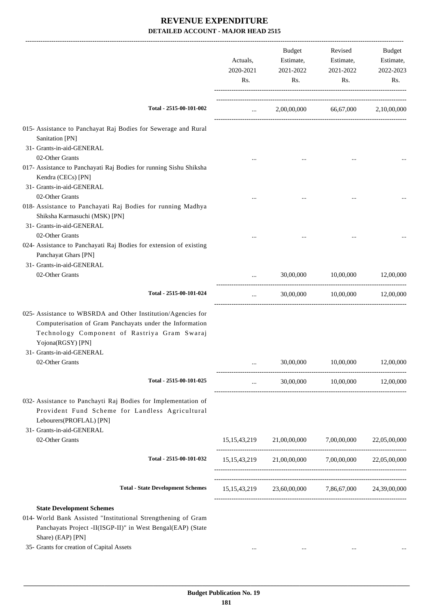|                                                                                                                                                                                                                                    | Actuals,<br>2020-2021<br>Rs. | Budget<br>Estimate,<br>2021-2022<br>Rs.            | Revised<br>Estimate,<br>2021-2022<br>Rs. | Budget<br>Estimate,<br>2022-2023<br>Rs. |
|------------------------------------------------------------------------------------------------------------------------------------------------------------------------------------------------------------------------------------|------------------------------|----------------------------------------------------|------------------------------------------|-----------------------------------------|
| Total - 2515-00-101-002                                                                                                                                                                                                            | $\mathbf{1}$                 |                                                    | 2,00,00,000 66,67,000 2,10,00,000        |                                         |
| 015- Assistance to Panchayat Raj Bodies for Sewerage and Rural<br>Sanitation [PN]                                                                                                                                                  |                              |                                                    |                                          |                                         |
| 31- Grants-in-aid-GENERAL<br>02-Other Grants<br>017- Assistance to Panchayati Raj Bodies for running Sishu Shiksha<br>Kendra (CECs) [PN]                                                                                           |                              |                                                    |                                          |                                         |
| 31- Grants-in-aid-GENERAL<br>02-Other Grants                                                                                                                                                                                       |                              |                                                    |                                          |                                         |
| 018- Assistance to Panchayati Raj Bodies for running Madhya<br>Shiksha Karmasuchi (MSK) [PN]<br>31- Grants-in-aid-GENERAL                                                                                                          |                              |                                                    |                                          |                                         |
| 02-Other Grants<br>024- Assistance to Panchayati Raj Bodies for extension of existing<br>Panchayat Ghars [PN]                                                                                                                      |                              |                                                    |                                          |                                         |
| 31- Grants-in-aid-GENERAL<br>02-Other Grants                                                                                                                                                                                       |                              | 30,00,000                                          | 10,00,000                                | 12,00,000                               |
| Total - 2515-00-101-024                                                                                                                                                                                                            | $\cdots$                     |                                                    | $30,00,000$ $10,00,000$ $12,00,000$      |                                         |
| 025- Assistance to WBSRDA and Other Institution/Agencies for<br>Computerisation of Gram Panchayats under the Information<br>Technology Component of Rastriya Gram Swaraj<br>Yojona(RGSY) [PN]                                      |                              |                                                    |                                          |                                         |
| 31- Grants-in-aid-GENERAL<br>02-Other Grants                                                                                                                                                                                       |                              | 30,00,000                                          | 10,00,000                                | 12,00,000                               |
| Total - 2515-00-101-025                                                                                                                                                                                                            | $\cdots$                     |                                                    | 30,00,000 10,00,000 12,00,000            |                                         |
| 032- Assistance to Panchayti Raj Bodies for Implementation of<br>Provident Fund Scheme for Landless Agricultural<br>Lebourers(PROFLAL) [PN]<br>31- Grants-in-aid-GENERAL                                                           |                              |                                                    |                                          |                                         |
| 02-Other Grants                                                                                                                                                                                                                    |                              | 15,15,43,219 21,00,00,000 7,00,00,000              |                                          | 22,05,00,000                            |
| Total - 2515-00-101-032                                                                                                                                                                                                            |                              | 15,15,43,219 21,00,00,000 7,00,00,000 22,05,00,000 |                                          |                                         |
| <b>Total - State Development Schemes</b>                                                                                                                                                                                           |                              | 15,15,43,219 23,60,00,000 7,86,67,000 24,39,00,000 |                                          |                                         |
| <b>State Development Schemes</b><br>014- World Bank Assisted "Institutional Strengthening of Gram<br>Panchayats Project -II(ISGP-II)" in West Bengal(EAP) (State<br>Share) (EAP) [PN]<br>35- Grants for creation of Capital Assets | $\cdots$                     | $\cdots$                                           | $\cdots$                                 |                                         |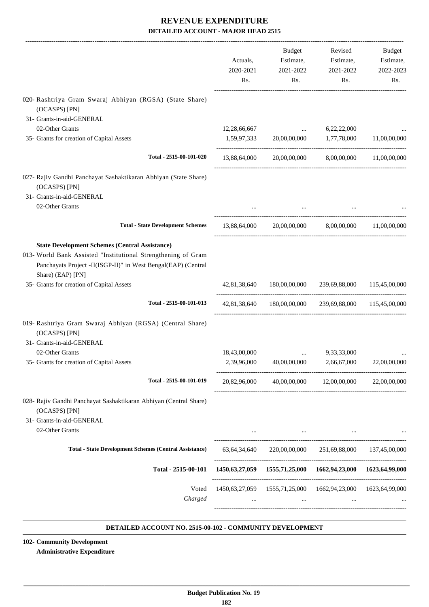|                                                                                                                                                                                                              | Actuals,<br>2020-2021<br>Rs. | Budget<br>Estimate,<br>2021-2022<br>Rs.                                                                         | Revised<br>Estimate,<br>2021-2022<br>Rs. | Budget<br>Estimate,<br>2022-2023<br>Rs. |
|--------------------------------------------------------------------------------------------------------------------------------------------------------------------------------------------------------------|------------------------------|-----------------------------------------------------------------------------------------------------------------|------------------------------------------|-----------------------------------------|
| 020- Rashtriya Gram Swaraj Abhiyan (RGSA) (State Share)                                                                                                                                                      |                              |                                                                                                                 |                                          |                                         |
| (OCASPS) [PN]<br>31- Grants-in-aid-GENERAL                                                                                                                                                                   |                              |                                                                                                                 |                                          |                                         |
| 02-Other Grants                                                                                                                                                                                              | 12,28,66,667                 | <b>Contract Contract</b>                                                                                        | 6,22,22,000                              |                                         |
| 35- Grants for creation of Capital Assets                                                                                                                                                                    | 1,59,97,333                  | 20,00,00,000                                                                                                    | 1,77,78,000                              | 11,00,00,000                            |
| Total - 2515-00-101-020                                                                                                                                                                                      |                              | 13,88,64,000 20,00,00,000 8,00,00,000 11,00,00,000                                                              |                                          |                                         |
|                                                                                                                                                                                                              |                              |                                                                                                                 |                                          |                                         |
| 027- Rajiv Gandhi Panchayat Sashaktikaran Abhiyan (State Share)<br>(OCASPS) [PN]                                                                                                                             |                              |                                                                                                                 |                                          |                                         |
| 31- Grants-in-aid-GENERAL<br>02-Other Grants                                                                                                                                                                 |                              |                                                                                                                 |                                          |                                         |
|                                                                                                                                                                                                              |                              |                                                                                                                 |                                          |                                         |
| <b>Total - State Development Schemes</b>                                                                                                                                                                     | 13,88,64,000                 |                                                                                                                 | 20,00,00,000 8,00,00,000 11,00,00,000    |                                         |
| <b>State Development Schemes (Central Assistance)</b><br>013- World Bank Assisted "Institutional Strengthening of Gram<br>Panchayats Project -II(ISGP-II)" in West Bengal(EAP) (Central<br>Share) (EAP) [PN] |                              |                                                                                                                 |                                          |                                         |
| 35- Grants for creation of Capital Assets                                                                                                                                                                    |                              | 42,81,38,640 180,00,00,000                                                                                      |                                          | 239,69,88,000 115,45,00,000             |
| Total - 2515-00-101-013                                                                                                                                                                                      |                              | 42,81,38,640 180,00,00,000 239,69,88,000 115,45,00,000                                                          |                                          |                                         |
| 019- Rashtriya Gram Swaraj Abhiyan (RGSA) (Central Share)<br>(OCASPS) [PN]<br>31- Grants-in-aid-GENERAL                                                                                                      |                              |                                                                                                                 |                                          |                                         |
| 02-Other Grants                                                                                                                                                                                              | 18,43,00,000                 |                                                                                                                 | 9,33,33,000                              |                                         |
| 35- Grants for creation of Capital Assets                                                                                                                                                                    | 2,39,96,000                  | 40,00,00,000                                                                                                    | 2,66,67,000                              | 22,00,00,000                            |
| Total - 2515-00-101-019                                                                                                                                                                                      |                              | 20,82,96,000 40,00,00,000 12,00,00,000 22,00,00,000                                                             |                                          |                                         |
| 028- Rajiv Gandhi Panchayat Sashaktikaran Abhiyan (Central Share)<br>(OCASPS) [PN]<br>31- Grants-in-aid-GENERAL<br>02-Other Grants                                                                           |                              | the contract of the contract of the contract of the contract of the contract of the contract of the contract of | $\cdots$                                 |                                         |
| <b>Total - State Development Schemes (Central Assistance)</b>                                                                                                                                                |                              | 63,64,34,640 220,00,00,000                                                                                      |                                          | 251,69,88,000 137,45,00,000             |
| Total - 2515-00-101                                                                                                                                                                                          |                              | 1450,63,27,059 1555,71,25,000 1662,94,23,000 1623,64,99,000                                                     |                                          |                                         |
|                                                                                                                                                                                                              |                              |                                                                                                                 |                                          |                                         |
| Voted<br>Charged                                                                                                                                                                                             |                              | 1450,63,27,059 1555,71,25,000 1662,94,23,000 1623,64,99,000<br><b>Contract Contract</b>                         | $\cdots$                                 |                                         |
|                                                                                                                                                                                                              |                              |                                                                                                                 |                                          |                                         |

#### **DETAILED ACCOUNT NO. 2515-00-102 - COMMUNITY DEVELOPMENT .**

**102- Community Development Administrative Expenditure**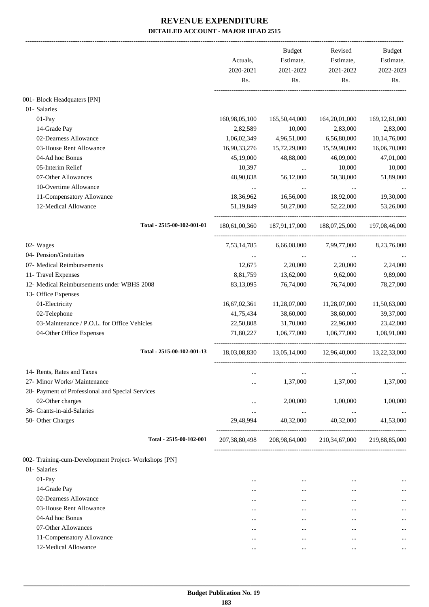|                                                      | Actuals,         | Budget<br>Estimate, | Revised<br>Estimate, | <b>Budget</b><br>Estimate, |
|------------------------------------------------------|------------------|---------------------|----------------------|----------------------------|
|                                                      | 2020-2021<br>Rs. | 2021-2022<br>Rs.    | 2021-2022<br>Rs.     | 2022-2023<br>Rs.           |
| 001- Block Headquaters [PN]                          |                  |                     |                      |                            |
| 01- Salaries                                         |                  |                     |                      |                            |
| 01-Pay                                               | 160,98,05,100    | 165,50,44,000       | 164,20,01,000        | 169, 12, 61, 000           |
| 14-Grade Pay                                         | 2,82,589         | 10,000              | 2,83,000             | 2,83,000                   |
| 02-Dearness Allowance                                | 1,06,02,349      | 4,96,51,000         | 6,56,80,000          | 10,14,76,000               |
| 03-House Rent Allowance                              | 16,90,33,276     | 15,72,29,000        | 15,59,90,000         | 16,06,70,000               |
| 04-Ad hoc Bonus                                      | 45,19,000        | 48,88,000           | 46,09,000            | 47,01,000                  |
| 05-Interim Relief                                    | 10,397           | $\ldots$            | 10,000               | 10,000                     |
| 07-Other Allowances                                  | 48,90,838        | 56,12,000           | 50,38,000            | 51,89,000                  |
| 10-Overtime Allowance                                |                  |                     |                      |                            |
| 11-Compensatory Allowance                            | 18,36,962        | 16,56,000           | 18,92,000            | 19,30,000                  |
| 12-Medical Allowance                                 | 51,19,849        | 50,27,000           | 52,22,000            | 53,26,000                  |
| Total - 2515-00-102-001-01                           | 180,61,00,360    | 187,91,17,000       | 188,07,25,000        | 197,08,46,000              |
| 02- Wages                                            | 7,53,14,785      | 6,66,08,000         | 7,99,77,000          | 8,23,76,000                |
| 04- Pension/Gratuities                               |                  | $\cdots$            |                      |                            |
| 07- Medical Reimbursements                           | 12,675           | 2,20,000            | 2,20,000             | 2,24,000                   |
| 11- Travel Expenses                                  | 8,81,759         | 13,62,000           | 9,62,000             | 9,89,000                   |
| 12- Medical Reimbursements under WBHS 2008           | 83,13,095        | 76,74,000           | 76,74,000            | 78,27,000                  |
| 13- Office Expenses                                  |                  |                     |                      |                            |
| 01-Electricity                                       | 16,67,02,361     | 11,28,07,000        | 11,28,07,000         | 11,50,63,000               |
| 02-Telephone                                         | 41,75,434        | 38,60,000           | 38,60,000            | 39,37,000                  |
| 03-Maintenance / P.O.L. for Office Vehicles          | 22,50,808        | 31,70,000           | 22,96,000            | 23,42,000                  |
| 04-Other Office Expenses                             | 71,80,227        | 1,06,77,000         | 1,06,77,000          | 1,08,91,000                |
| Total - 2515-00-102-001-13                           | 18,03,08,830     | 13,05,14,000        | 12,96,40,000         | 13,22,33,000               |
| 14- Rents, Rates and Taxes                           | $\cdots$         | $\ddotsc$           | $\ddotsc$            |                            |
| 27- Minor Works/ Maintenance                         |                  | 1,37,000            | 1,37,000             | 1,37,000                   |
| 28- Payment of Professional and Special Services     |                  |                     |                      |                            |
| 02-Other charges                                     |                  | 2,00,000            | 1,00,000             | 1,00,000                   |
| 36- Grants-in-aid-Salaries                           |                  | $\ldots$            | $\ldots$             |                            |
| 50- Other Charges                                    | 29,48,994        | 40,32,000           | 40,32,000            | 41,53,000                  |
| Total - 2515-00-102-001                              | 207, 38, 80, 498 | 208,98,64,000       | 210, 34, 67, 000     | 219,88,85,000              |
| 002- Training-cum-Development Project-Workshops [PN] |                  |                     |                      |                            |
| 01- Salaries                                         |                  |                     |                      |                            |
| $01-Pay$                                             | $\cdots$         | $\cdots$            | $\cdots$             |                            |
| 14-Grade Pay                                         | $\cdots$         | $\cdots$            | $\cdots$             |                            |
| 02-Dearness Allowance                                | $\cdots$         | $\cdots$            | $\cdots$             |                            |
| 03-House Rent Allowance                              | $\cdots$         | $\cdots$            | $\cdots$             |                            |
| 04-Ad hoc Bonus                                      | $\cdots$         | $\cdots$            | $\cdots$             |                            |
| 07-Other Allowances                                  | $\cdots$         | $\cdots$            | $\cdots$             |                            |
| 11-Compensatory Allowance                            | $\cdots$         | $\ddotsc$           | $\cdots$             |                            |
| 12-Medical Allowance                                 | $\cdots$         | $\cdots$            | $\cdots$             | $\cdots$                   |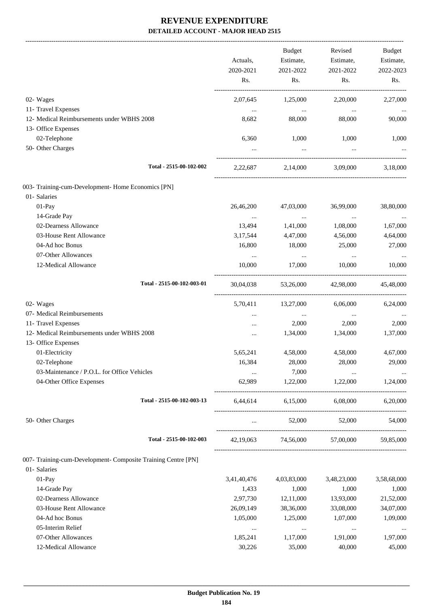-------------------------------------------------------------------------------------------------------------------------------------------------------------------------------

|                                                               | Actuals,<br>2020-2021<br>Rs. | <b>Budget</b><br>Estimate,<br>2021-2022<br>Rs. | Revised<br>Estimate,<br>2021-2022<br>Rs. | <b>Budget</b><br>Estimate,<br>2022-2023<br>Rs. |
|---------------------------------------------------------------|------------------------------|------------------------------------------------|------------------------------------------|------------------------------------------------|
|                                                               |                              |                                                |                                          |                                                |
| 02- Wages                                                     | 2,07,645                     | 1,25,000                                       | 2,20,000                                 | 2,27,000                                       |
| 11- Travel Expenses                                           | $\cdots$                     | $\cdots$                                       | $\cdots$                                 |                                                |
| 12- Medical Reimbursements under WBHS 2008                    | 8,682                        | 88,000                                         | 88,000                                   | 90,000                                         |
| 13- Office Expenses                                           |                              |                                                |                                          |                                                |
| 02-Telephone                                                  | 6,360                        | 1,000                                          | 1,000                                    | 1,000                                          |
| 50- Other Charges                                             |                              | $\cdots$                                       |                                          |                                                |
| Total - 2515-00-102-002                                       | 2,22,687                     | 2,14,000                                       | 3,09,000                                 | 3,18,000                                       |
| 003- Training-cum-Development- Home Economics [PN]            |                              |                                                |                                          |                                                |
| 01- Salaries                                                  |                              |                                                |                                          |                                                |
| 01-Pay                                                        | 26,46,200                    | 47,03,000                                      | 36,99,000                                | 38,80,000                                      |
| 14-Grade Pay                                                  | $\cdots$                     | $\cdots$                                       | $\ldots$                                 | $\cdots$                                       |
| 02-Dearness Allowance                                         | 13,494                       | 1,41,000                                       | 1,08,000                                 | 1,67,000                                       |
| 03-House Rent Allowance                                       | 3,17,544                     | 4,47,000                                       | 4,56,000                                 | 4,64,000                                       |
| 04-Ad hoc Bonus                                               | 16,800                       | 18,000                                         | 25,000                                   | 27,000                                         |
| 07-Other Allowances                                           | $\cdots$                     | $\ldots$                                       |                                          |                                                |
| 12-Medical Allowance                                          | 10,000                       | 17,000                                         | $\cdots$<br>10,000                       | $\cdots$<br>10,000                             |
| Total - 2515-00-102-003-01                                    | 30,04,038                    | 53,26,000                                      | 42,98,000                                | 45,48,000                                      |
|                                                               |                              |                                                |                                          |                                                |
| 02- Wages                                                     | 5,70,411                     | 13,27,000                                      | 6,06,000                                 | 6,24,000                                       |
| 07- Medical Reimbursements                                    | $\cdots$                     | $\cdots$                                       | $\cdots$                                 |                                                |
| 11- Travel Expenses                                           | $\cdots$                     | 2,000                                          | 2,000                                    | 2,000                                          |
| 12- Medical Reimbursements under WBHS 2008                    | $\cdots$                     | 1,34,000                                       | 1,34,000                                 | 1,37,000                                       |
| 13- Office Expenses                                           |                              |                                                |                                          |                                                |
| 01-Electricity                                                | 5,65,241                     | 4,58,000                                       | 4,58,000                                 | 4,67,000                                       |
| 02-Telephone                                                  | 16,384                       | 28,000                                         | 28,000                                   | 29,000                                         |
| 03-Maintenance / P.O.L. for Office Vehicles                   | $\cdots$                     | 7,000                                          | $\cdots$                                 | $\cdots$                                       |
| 04-Other Office Expenses                                      | 62,989                       | 1,22,000                                       | 1,22,000                                 | 1,24,000                                       |
| Total - 2515-00-102-003-13                                    | 6,44,614                     | 6,15,000                                       | 6,08,000                                 | 6,20,000                                       |
| 50- Other Charges                                             | $\cdots$                     | 52,000                                         | 52,000                                   | 54,000                                         |
| Total - 2515-00-102-003                                       | 42,19,063                    | 74,56,000                                      | 57,00,000                                | 59,85,000                                      |
| 007- Training-cum-Development- Composite Training Centre [PN] |                              |                                                |                                          |                                                |
| 01- Salaries                                                  |                              |                                                |                                          |                                                |
| 01-Pay                                                        | 3,41,40,476                  | 4,03,83,000                                    | 3,48,23,000                              | 3,58,68,000                                    |
| 14-Grade Pay                                                  | 1,433                        | 1,000                                          | 1,000                                    | 1,000                                          |
| 02-Dearness Allowance                                         | 2,97,730                     | 12,11,000                                      | 13,93,000                                | 21,52,000                                      |
| 03-House Rent Allowance                                       | 26,09,149                    | 38,36,000                                      | 33,08,000                                | 34,07,000                                      |
| 04-Ad hoc Bonus                                               | 1,05,000                     | 1,25,000                                       | 1,07,000                                 | 1,09,000                                       |
| 05-Interim Relief                                             | $\ldots$                     | $\cdots$                                       | $\cdots$                                 |                                                |
| 07-Other Allowances                                           | 1,85,241                     | 1,17,000                                       | 1,91,000                                 | 1,97,000                                       |
| 12-Medical Allowance                                          | 30,226                       | 35,000                                         | 40,000                                   | 45,000                                         |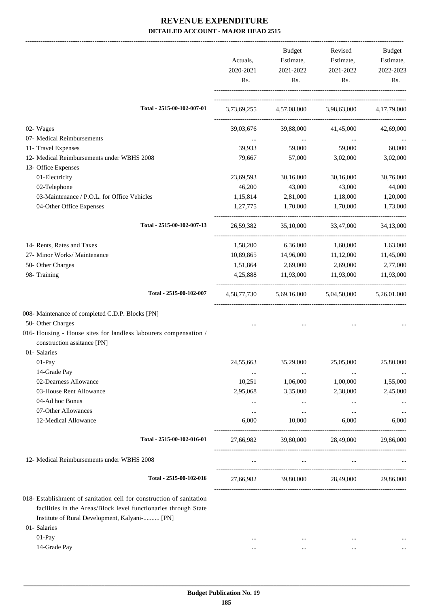|                                                                                                 | Actuals,<br>2020-2021<br>Rs. | <b>Budget</b><br>Estimate,<br>2021-2022<br>Rs.  | Revised<br>Estimate,<br>2021-2022<br>Rs. | Budget<br>Estimate,<br>2022-2023<br>Rs. |
|-------------------------------------------------------------------------------------------------|------------------------------|-------------------------------------------------|------------------------------------------|-----------------------------------------|
| Total - 2515-00-102-007-01                                                                      |                              | 3,73,69,255 4,57,08,000 3,98,63,000 4,17,79,000 |                                          |                                         |
| 02- Wages                                                                                       | 39,03,676                    | 39,88,000                                       | 41,45,000                                | 42,69,000                               |
| 07- Medical Reimbursements                                                                      | $\cdots$                     | $\cdots$                                        | $\ldots$                                 |                                         |
| 11- Travel Expenses                                                                             | 39,933                       | 59,000                                          | 59,000                                   | 60,000                                  |
| 12- Medical Reimbursements under WBHS 2008                                                      | 79,667                       | 57,000                                          | 3,02,000                                 | 3,02,000                                |
| 13- Office Expenses                                                                             |                              |                                                 |                                          |                                         |
| 01-Electricity                                                                                  | 23,69,593                    | 30,16,000                                       | 30,16,000                                | 30,76,000                               |
| 02-Telephone                                                                                    | 46,200                       | 43,000                                          | 43,000                                   | 44,000                                  |
| 03-Maintenance / P.O.L. for Office Vehicles                                                     | 1,15,814                     | 2,81,000                                        | 1,18,000                                 | 1,20,000                                |
| 04-Other Office Expenses                                                                        | 1,27,775                     | 1,70,000                                        | 1,70,000                                 | 1,73,000                                |
| Total - 2515-00-102-007-13                                                                      | 26,59,382                    | 35,10,000                                       | 33,47,000                                | 34,13,000                               |
| 14- Rents, Rates and Taxes                                                                      | 1,58,200                     | 6,36,000                                        | 1,60,000                                 | 1,63,000                                |
| 27- Minor Works/ Maintenance                                                                    | 10,89,865                    | 14,96,000                                       | 11,12,000                                | 11,45,000                               |
| 50- Other Charges                                                                               | 1,51,864                     | 2,69,000                                        | 2,69,000                                 | 2,77,000                                |
| 98- Training                                                                                    | 4,25,888                     | 11,93,000                                       | 11,93,000                                | 11,93,000                               |
| Total - 2515-00-102-007                                                                         |                              | 4,58,77,730 5,69,16,000 5,04,50,000             |                                          | 5,26,01,000                             |
| 008- Maintenance of completed C.D.P. Blocks [PN]                                                |                              |                                                 |                                          |                                         |
| 50- Other Charges                                                                               |                              |                                                 |                                          |                                         |
| 016- Housing - House sites for landless labourers compensation /<br>construction assitance [PN] |                              |                                                 |                                          |                                         |
| 01- Salaries                                                                                    |                              |                                                 |                                          |                                         |
| 01-Pay                                                                                          | 24,55,663                    | 35,29,000                                       | 25,05,000                                | 25,80,000                               |
| 14-Grade Pay                                                                                    | $\cdots$                     | $\cdots$                                        | $\cdots$                                 |                                         |
| 02-Dearness Allowance                                                                           | 10,251                       | 1,06,000                                        | 1,00,000                                 | 1,55,000                                |
| 03-House Rent Allowance                                                                         | 2,95,068                     | 3,35,000                                        | 2,38,000                                 | 2,45,000                                |
| 04-Ad hoc Bonus                                                                                 | $\cdots$                     | $\cdots$                                        | $\cdots$                                 |                                         |
| 07-Other Allowances                                                                             | $\cdots$                     | $\cdots$                                        | $\cdots$                                 |                                         |
| 12-Medical Allowance                                                                            | 6,000                        | 10,000                                          | 6,000                                    | 6,000                                   |
| Total - 2515-00-102-016-01                                                                      | 27,66,982                    | 39,80,000                                       | 28,49,000                                | 29,86,000                               |
| 12- Medical Reimbursements under WBHS 2008                                                      | $\ddotsc$                    | $\cdots$                                        | $\cdots$                                 |                                         |
| Total - 2515-00-102-016                                                                         | 27,66,982                    | 39,80,000                                       | 28,49,000                                | 29,86,000                               |
|                                                                                                 |                              |                                                 |                                          |                                         |
| 018- Establishment of sanitation cell for construction of sanitation                            |                              |                                                 |                                          |                                         |
| facilities in the Areas/Block level functionaries through State                                 |                              |                                                 |                                          |                                         |
| Institute of Rural Development, Kalyani- [PN]                                                   |                              |                                                 |                                          |                                         |
| 01- Salaries                                                                                    |                              |                                                 |                                          |                                         |
| 01-Pay                                                                                          | $\cdots$                     | $\cdots$                                        | $\cdots$                                 |                                         |

14-Grade Pay ... ... ... ...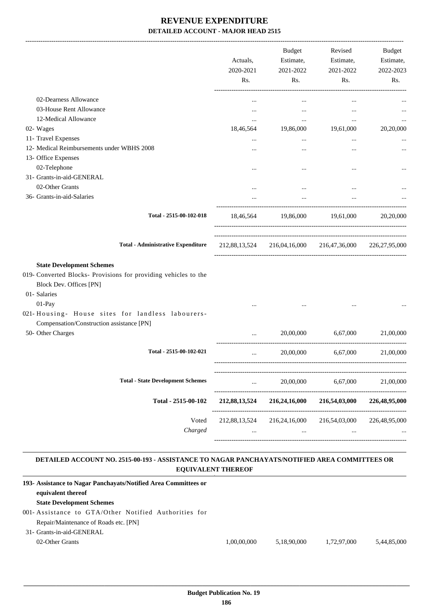|                                                                                                                                       | Actuals,<br>2020-2021<br>Rs. | Budget<br>Estimate,<br>2021-2022<br>Rs. | Revised<br>Estimate,<br>2021-2022<br>Rs.                | Budget<br>Estimate,<br>2022-2023<br>Rs. |
|---------------------------------------------------------------------------------------------------------------------------------------|------------------------------|-----------------------------------------|---------------------------------------------------------|-----------------------------------------|
| 02-Dearness Allowance                                                                                                                 | $\cdots$                     | $\cdots$                                | $\cdots$                                                |                                         |
| 03-House Rent Allowance                                                                                                               |                              | $\cdots$                                | $\cdots$                                                |                                         |
| 12-Medical Allowance                                                                                                                  | $\cdots$                     | $\cdots$                                | $\cdots$                                                |                                         |
| 02- Wages                                                                                                                             | 18,46,564                    | 19,86,000                               | 19,61,000                                               | 20,20,000                               |
| 11- Travel Expenses                                                                                                                   | $\cdots$                     | $\cdots$                                | $\cdots$                                                |                                         |
| 12- Medical Reimbursements under WBHS 2008                                                                                            |                              |                                         |                                                         |                                         |
| 13- Office Expenses                                                                                                                   |                              |                                         |                                                         |                                         |
| 02-Telephone                                                                                                                          |                              |                                         | $\ddotsc$                                               |                                         |
| 31- Grants-in-aid-GENERAL                                                                                                             |                              |                                         |                                                         |                                         |
| 02-Other Grants                                                                                                                       |                              |                                         | $\cdots$                                                |                                         |
| 36- Grants-in-aid-Salaries                                                                                                            |                              | $\cdots$                                | $\cdots$                                                |                                         |
| Total - 2515-00-102-018                                                                                                               |                              |                                         | 18,46,564 19,86,000 19,61,000                           | 20,20,000                               |
| <b>Total - Administrative Expenditure</b>                                                                                             |                              |                                         | 212,88,13,524 216,04,16,000 216,47,36,000 226,27,95,000 |                                         |
| <b>State Development Schemes</b><br>019- Converted Blocks- Provisions for providing vehicles to the<br><b>Block Dev. Offices [PN]</b> |                              |                                         |                                                         |                                         |
| 01- Salaries                                                                                                                          |                              |                                         |                                                         |                                         |
| 01-Pay<br>021-Housing- House sites for landless labourers-<br>Compensation/Construction assistance [PN]                               |                              |                                         |                                                         |                                         |
| 50- Other Charges                                                                                                                     | $\cdots$                     | 20,00,000                               | 6,67,000                                                | 21,00,000                               |
| Total - 2515-00-102-021                                                                                                               | $\cdots$                     | 20,00,000                               | 6,67,000                                                | 21,00,000                               |
| <b>Total - State Development Schemes</b>                                                                                              | $\cdots$                     | 20,00,000                               | 6,67,000                                                | 21,00,000                               |
| Total - 2515-00-102                                                                                                                   | 212,88,13,524                | 216,24,16,000                           | 216,54,03,000                                           | 226,48,95,000                           |
|                                                                                                                                       |                              |                                         |                                                         |                                         |
| Voted<br>Charged                                                                                                                      | 212,88,13,524<br>$\cdots$    | 216,24,16,000<br>$\cdots$               | 216,54,03,000<br>$\cdots$                               | 226,48,95,000                           |

### **DETAILED ACCOUNT NO. 2515-00-193 - ASSISTANCE TO NAGAR PANCHAYATS/NOTIFIED AREA COMMITTEES OR EQUIVALENT THEREOF .**

.

| 193- Assistance to Nagar Panchayats/Notified Area Committees or |             |             |             |             |
|-----------------------------------------------------------------|-------------|-------------|-------------|-------------|
| equivalent thereof                                              |             |             |             |             |
| <b>State Development Schemes</b>                                |             |             |             |             |
| 001-Assistance to GTA/Other Notified Authorities for            |             |             |             |             |
| Repair/Maintenance of Roads etc. [PN]                           |             |             |             |             |
| 31- Grants-in-aid-GENERAL                                       |             |             |             |             |
| 02-Other Grants                                                 | 1.00.00.000 | 5.18.90.000 | 1.72.97.000 | 5.44.85.000 |
|                                                                 |             |             |             |             |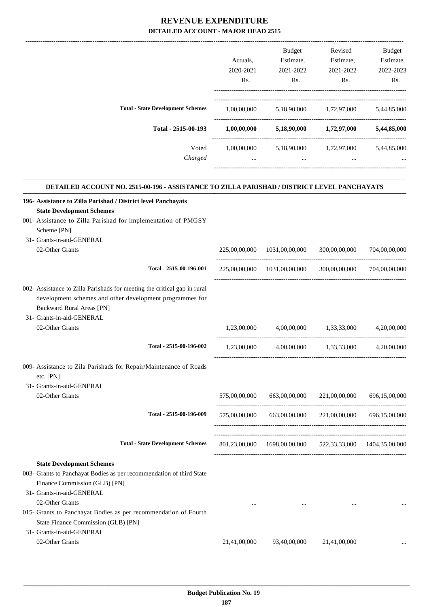|                                                                                                                                                                          |               | Budget                                                       | Revised                     | Budget        |
|--------------------------------------------------------------------------------------------------------------------------------------------------------------------------|---------------|--------------------------------------------------------------|-----------------------------|---------------|
|                                                                                                                                                                          | Actuals,      | Estimate,                                                    | Estimate,                   | Estimate,     |
|                                                                                                                                                                          | 2020-2021     | 2021-2022                                                    | 2021-2022                   | 2022-2023     |
|                                                                                                                                                                          | Rs.           | Rs.                                                          | Rs.                         | Rs.           |
| <b>Total - State Development Schemes</b>                                                                                                                                 |               | $1,00,00,000$ $5,18,90,000$ $1,72,97,000$ $5,44,85,000$      |                             |               |
|                                                                                                                                                                          |               |                                                              |                             |               |
| Total - 2515-00-193                                                                                                                                                      | 1,00,00,000   |                                                              | $5,18,90,000$ $1,72,97,000$ | 5,44,85,000   |
| Voted                                                                                                                                                                    |               | $1,00,00,000$ $5,18,90,000$ $1,72,97,000$ $5,44,85,000$      |                             |               |
| Charged                                                                                                                                                                  | $\cdots$      | <b>Section</b>                                               | $\cdots$                    |               |
|                                                                                                                                                                          |               |                                                              |                             |               |
| DETAILED ACCOUNT NO. 2515-00-196 - ASSISTANCE TO ZILLA PARISHAD / DISTRICT LEVEL PANCHAYATS                                                                              |               |                                                              |                             |               |
| 196- Assistance to Zilla Parishad / District level Panchayats<br><b>State Development Schemes</b>                                                                        |               |                                                              |                             |               |
| 001- Assistance to Zilla Parishad for implementation of PMGSY                                                                                                            |               |                                                              |                             |               |
| Scheme [PN]                                                                                                                                                              |               |                                                              |                             |               |
| 31- Grants-in-aid-GENERAL                                                                                                                                                |               |                                                              |                             |               |
| 02-Other Grants                                                                                                                                                          | 225,00,00,000 | 1031,00,00,000                                               | 300,00,00,000               | 704,00,00,000 |
| Total - 2515-00-196-001                                                                                                                                                  |               | 225,00,00,000 1031,00,00,000 300,00,00,000                   |                             | 704,00,00,000 |
| 002- Assistance to Zilla Parishads for meeting the critical gap in rural<br>development schemes and other development programmes for<br><b>Backward Rural Areas [PN]</b> |               |                                                              |                             |               |
| 31- Grants-in-aid-GENERAL                                                                                                                                                |               |                                                              |                             |               |
| 02-Other Grants                                                                                                                                                          | 1.23,00,000   | 4,00,00,000                                                  | 1,33,33,000                 | 4.20.00.000   |
| Total - 2515-00-196-002                                                                                                                                                  |               | $1,23,00,000$ $4,00,00,000$ $1,33,33,000$ $4,20,00,000$      |                             |               |
| 009- Assistance to Zila Parishads for Repair/Maintenance of Roads<br>etc. [PN]                                                                                           |               |                                                              |                             |               |
| 31- Grants-in-aid-GENERAL                                                                                                                                                |               |                                                              |                             |               |
| 02-Other Grants                                                                                                                                                          | 575,00,00,000 | 663,00,00,000                                                | 221,00,00,000               | 696,15,00,000 |
| Total - 2515-00-196-009                                                                                                                                                  | 575,00,00,000 | 663,00,00,000                                                | 221,00,00,000               | 696,15,00,000 |
|                                                                                                                                                                          |               |                                                              |                             |               |
| <b>Total - State Development Schemes</b>                                                                                                                                 |               | 801,23,00,000  1698,00,00,000  522,33,33,000  1404,35,00,000 |                             |               |
|                                                                                                                                                                          |               |                                                              |                             |               |
| <b>State Development Schemes</b>                                                                                                                                         |               |                                                              |                             |               |
| 003- Grants to Panchayat Bodies as per recommendation of third State<br>Finance Commission (GLB) [PN]                                                                    |               |                                                              |                             |               |
| 31- Grants-in-aid-GENERAL                                                                                                                                                |               |                                                              |                             |               |
| 02-Other Grants                                                                                                                                                          | $\cdots$      |                                                              | $\cdots$                    |               |
| 015- Grants to Panchayat Bodies as per recommendation of Fourth<br>State Finance Commission (GLB) [PN]                                                                   |               |                                                              |                             |               |
| 31- Grants-in-aid-GENERAL                                                                                                                                                |               |                                                              |                             |               |
| 02-Other Grants                                                                                                                                                          | 21,41,00,000  | 93,40,00,000                                                 | 21,41,00,000                |               |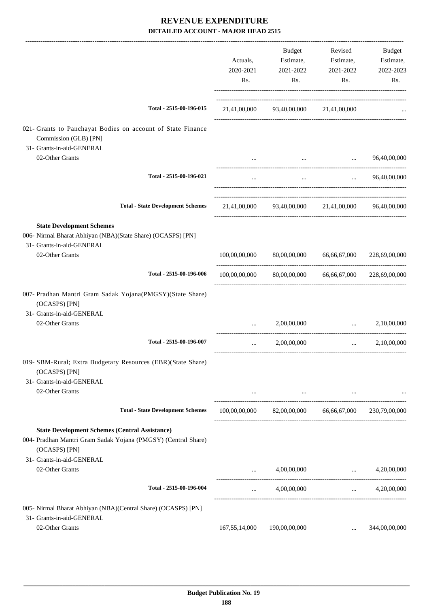|                                                                                                                                         | Actuals,<br>2020-2021<br>Rs.         | <b>Budget</b><br>Estimate,<br>2021-2022<br>Rs.                                                                      | Revised<br>Estimate,<br>2021-2022<br>Rs. | Budget<br>Estimate,<br>2022-2023<br>Rs. |
|-----------------------------------------------------------------------------------------------------------------------------------------|--------------------------------------|---------------------------------------------------------------------------------------------------------------------|------------------------------------------|-----------------------------------------|
| Total - 2515-00-196-015                                                                                                                 |                                      | 21,41,00,000 93,40,00,000 21,41,00,000                                                                              |                                          |                                         |
| 021- Grants to Panchayat Bodies on account of State Finance<br>Commission (GLB) [PN]                                                    |                                      |                                                                                                                     |                                          |                                         |
| 31- Grants-in-aid-GENERAL<br>02-Other Grants                                                                                            | $\cdots$                             | $\cdots$                                                                                                            | $\cdots$                                 | 96,40,00,000                            |
| Total - 2515-00-196-021                                                                                                                 | $\cdots$                             | $\cdots$                                                                                                            | $\cdots$                                 | 96,40,00,000                            |
| <b>Total - State Development Schemes</b>                                                                                                |                                      | 21,41,00,000 93,40,00,000 21,41,00,000 96,40,00,000                                                                 |                                          |                                         |
| <b>State Development Schemes</b><br>006- Nirmal Bharat Abhiyan (NBA)(State Share) (OCASPS) [PN]<br>31- Grants-in-aid-GENERAL            |                                      |                                                                                                                     |                                          |                                         |
| 02-Other Grants                                                                                                                         | 100,00,00,000                        | 80,00,00,000                                                                                                        | 66,66,67,000                             | 228,69,00,000                           |
| Total - 2515-00-196-006                                                                                                                 | 100,00,00,000                        |                                                                                                                     | 80,00,00,000 66,66,67,000 228,69,00,000  |                                         |
| 007- Pradhan Mantri Gram Sadak Yojana(PMGSY)(State Share)<br>(OCASPS) [PN]                                                              |                                      |                                                                                                                     |                                          |                                         |
| 31- Grants-in-aid-GENERAL<br>02-Other Grants                                                                                            | $\cdots$                             | 2,00,00,000                                                                                                         | $\ddots$                                 | 2,10,00,000                             |
| Total - 2515-00-196-007                                                                                                                 | $\cdots$                             | 2,00,00,000                                                                                                         | $\cdots$ . The same of $\cdots$          | 2,10,00,000                             |
| 019- SBM-Rural; Extra Budgetary Resources (EBR)(State Share)<br>(OCASPS) [PN]                                                           |                                      |                                                                                                                     |                                          |                                         |
| 31- Grants-in-aid-GENERAL<br>02-Other Grants                                                                                            |                                      | and the contract of the contract of the contract of the contract of the contract of the contract of the contract of |                                          |                                         |
| <b>Total - State Development Schemes</b>                                                                                                |                                      | $100,00,00,000$ $82,00,00,000$ $66,66,67,000$ $230,79,00,000$                                                       |                                          |                                         |
| <b>State Development Schemes (Central Assistance)</b><br>004- Pradhan Mantri Gram Sadak Yojana (PMGSY) (Central Share)<br>(OCASPS) [PN] |                                      |                                                                                                                     |                                          |                                         |
| 31- Grants-in-aid-GENERAL<br>02-Other Grants                                                                                            | $\cdots$                             |                                                                                                                     | $4,00,00,000$                            | 4,20,00,000                             |
| Total - 2515-00-196-004                                                                                                                 | $\cdots$ . The set of $\mathbb{R}^n$ | 4,00,00,000                                                                                                         | --------------------------------------   | 4,20,00,000                             |
| 005- Nirmal Bharat Abhiyan (NBA)(Central Share) (OCASPS) [PN]                                                                           |                                      |                                                                                                                     |                                          |                                         |
| 31- Grants-in-aid-GENERAL<br>02-Other Grants                                                                                            | 167,55,14,000                        | 190,00,00,000                                                                                                       | $\cdots$                                 | 344,00,00,000                           |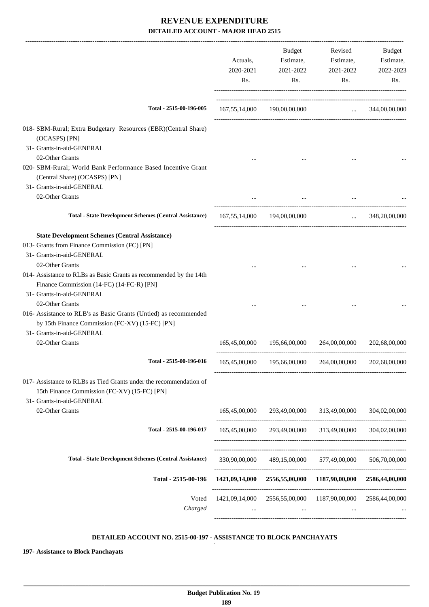|                                                                                                                                                                                                                              | Actuals,<br>2020-2021<br>Rs. | Budget<br>Estimate,<br>2021-2022<br>Rs.                    | Revised<br>Estimate,<br>2021-2022<br>Rs. | Budget<br>Estimate,<br>2022-2023<br>Rs. |
|------------------------------------------------------------------------------------------------------------------------------------------------------------------------------------------------------------------------------|------------------------------|------------------------------------------------------------|------------------------------------------|-----------------------------------------|
| Total - 2515-00-196-005                                                                                                                                                                                                      |                              | 167,55,14,000 190,00,00,000  344,00,00,000                 |                                          |                                         |
| 018- SBM-Rural; Extra Budgetary Resources (EBR)(Central Share)<br>(OCASPS) [PN]<br>31- Grants-in-aid-GENERAL                                                                                                                 |                              |                                                            |                                          |                                         |
| 02-Other Grants                                                                                                                                                                                                              |                              |                                                            |                                          |                                         |
| 020- SBM-Rural; World Bank Performance Based Incentive Grant<br>(Central Share) (OCASPS) [PN]                                                                                                                                |                              |                                                            |                                          |                                         |
| 31- Grants-in-aid-GENERAL                                                                                                                                                                                                    |                              |                                                            |                                          |                                         |
| 02-Other Grants                                                                                                                                                                                                              |                              |                                                            |                                          |                                         |
| <b>Total - State Development Schemes (Central Assistance)</b>                                                                                                                                                                |                              | 167,55,14,000 194,00,00,000                                |                                          | $\ldots$ 348,20,00,000                  |
| <b>State Development Schemes (Central Assistance)</b><br>013- Grants from Finance Commission (FC) [PN]<br>31- Grants-in-aid-GENERAL<br>02-Other Grants<br>014- Assistance to RLBs as Basic Grants as recommended by the 14th |                              |                                                            |                                          |                                         |
| Finance Commission (14-FC) (14-FC-R) [PN]<br>31- Grants-in-aid-GENERAL<br>02-Other Grants<br>016- Assistance to RLB's as Basic Grants (Untied) as recommended<br>by 15th Finance Commission (FC-XV) (15-FC) [PN]             |                              |                                                            |                                          |                                         |
| 31- Grants-in-aid-GENERAL                                                                                                                                                                                                    |                              |                                                            |                                          |                                         |
| 02-Other Grants                                                                                                                                                                                                              | 165,45,00,000                | 195,66,00,000                                              | 264,00,00,000                            | 202,68,00,000                           |
| Total - 2515-00-196-016                                                                                                                                                                                                      |                              | 165,45,00,000  195,66,00,000  264,00,00,000  202,68,00,000 |                                          |                                         |
| 017- Assistance to RLBs as Tied Grants under the recommendation of<br>15th Finance Commission (FC-XV) (15-FC) [PN]<br>31- Grants-in-aid-GENERAL                                                                              |                              |                                                            |                                          |                                         |
| 02-Other Grants                                                                                                                                                                                                              | 165,45,00,000                | 293,49,00,000                                              | 313,49,00,000                            | 304,02,00,000                           |
| Total - 2515-00-196-017                                                                                                                                                                                                      | 165,45,00,000                | 293,49,00,000                                              | 313,49,00,000                            | 304,02,00,000                           |
| <b>Total - State Development Schemes (Central Assistance)</b>                                                                                                                                                                | 330,90,00,000                | 489,15,00,000                                              | 577,49,00,000                            | 506,70,00,000                           |
| Total - 2515-00-196                                                                                                                                                                                                          |                              | 1421,09,14,000 2556,55,00,000 1187,90,00,000               |                                          | 2586,44,00,000                          |
| Voted<br>Charged                                                                                                                                                                                                             | $\cdots$                     | 1421,09,14,000 2556,55,00,000 1187,90,00,000<br>$\cdots$   | $\cdots$                                 | 2586,44,00,000                          |

#### **DETAILED ACCOUNT NO. 2515-00-197 - ASSISTANCE TO BLOCK PANCHAYATS .**

**197- Assistance to Block Panchayats**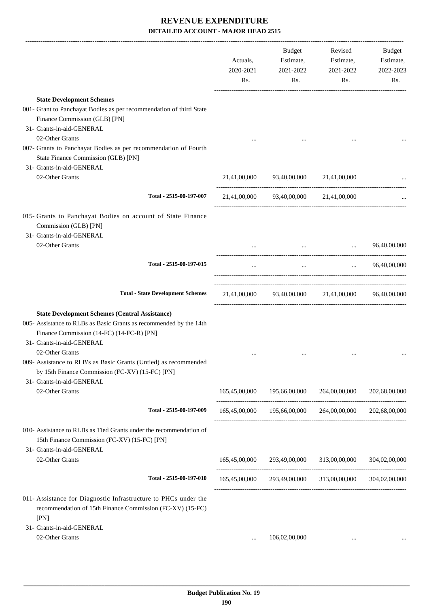|                                                                                                                                                                                                       | Actuals,<br>2020-2021<br>Rs. | Budget<br>Estimate,<br>2021-2022<br>Rs.      | Revised<br>Estimate,<br>2021-2022<br>Rs.                | Budget<br>Estimate,<br>2022-2023<br>Rs. |
|-------------------------------------------------------------------------------------------------------------------------------------------------------------------------------------------------------|------------------------------|----------------------------------------------|---------------------------------------------------------|-----------------------------------------|
| <b>State Development Schemes</b>                                                                                                                                                                      |                              |                                              |                                                         |                                         |
| 001- Grant to Panchayat Bodies as per recommendation of third State                                                                                                                                   |                              |                                              |                                                         |                                         |
| Finance Commission (GLB) [PN]<br>31- Grants-in-aid-GENERAL                                                                                                                                            |                              |                                              |                                                         |                                         |
| 02-Other Grants                                                                                                                                                                                       |                              |                                              |                                                         |                                         |
| 007- Grants to Panchayat Bodies as per recommendation of Fourth<br>State Finance Commission (GLB) [PN]                                                                                                |                              |                                              |                                                         |                                         |
| 31- Grants-in-aid-GENERAL                                                                                                                                                                             |                              |                                              |                                                         |                                         |
| 02-Other Grants                                                                                                                                                                                       |                              | $21,41,00,000$ $93,40,00,000$ $21,41,00,000$ |                                                         |                                         |
| Total - 2515-00-197-007                                                                                                                                                                               |                              | 21,41,00,000 93,40,00,000 21,41,00,000       |                                                         |                                         |
| 015- Grants to Panchayat Bodies on account of State Finance<br>Commission (GLB) [PN]<br>31- Grants-in-aid-GENERAL                                                                                     |                              |                                              |                                                         |                                         |
| 02-Other Grants                                                                                                                                                                                       |                              |                                              | $\ddots$                                                | 96,40,00,000                            |
|                                                                                                                                                                                                       |                              |                                              |                                                         |                                         |
| Total - 2515-00-197-015                                                                                                                                                                               | $\cdots$                     |                                              | and the state of the state of the                       | $\ldots$ 96,40,00,000                   |
| <b>Total - State Development Schemes</b>                                                                                                                                                              |                              |                                              | 21,41,00,000 93,40,00,000 21,41,00,000 96,40,00,000     |                                         |
| <b>State Development Schemes (Central Assistance)</b><br>005- Assistance to RLBs as Basic Grants as recommended by the 14th<br>Finance Commission (14-FC) (14-FC-R) [PN]<br>31- Grants-in-aid-GENERAL |                              |                                              |                                                         |                                         |
| 02-Other Grants<br>009- Assistance to RLB's as Basic Grants (Untied) as recommended<br>by 15th Finance Commission (FC-XV) (15-FC) [PN]                                                                |                              |                                              |                                                         |                                         |
| 31- Grants-in-aid-GENERAL<br>02-Other Grants                                                                                                                                                          | 165,45,00,000                | 195,66,00,000                                | 264,00,00,000                                           | 202,68,00,000                           |
| Total - 2515-00-197-009                                                                                                                                                                               |                              | 165,45,00,000 195,66,00,000                  | 264,00,00,000                                           | 202,68,00,000                           |
| 010- Assistance to RLBs as Tied Grants under the recommendation of<br>15th Finance Commission (FC-XV) (15-FC) [PN]<br>31- Grants-in-aid-GENERAL                                                       |                              |                                              |                                                         |                                         |
| 02-Other Grants                                                                                                                                                                                       |                              | 165,45,00,000 293,49,00,000                  | 313,00,00,000                                           | 304,02,00,000                           |
| Total - 2515-00-197-010                                                                                                                                                                               |                              |                                              | 165,45,00,000 293,49,00,000 313,00,00,000 304,02,00,000 |                                         |
| 011- Assistance for Diagnostic Infrastructure to PHCs under the<br>recommendation of 15th Finance Commission (FC-XV) (15-FC)<br>[PN]                                                                  |                              |                                              |                                                         |                                         |
| 31- Grants-in-aid-GENERAL                                                                                                                                                                             |                              |                                              |                                                         |                                         |
| 02-Other Grants                                                                                                                                                                                       | $\cdots$                     | 106,02,00,000                                |                                                         |                                         |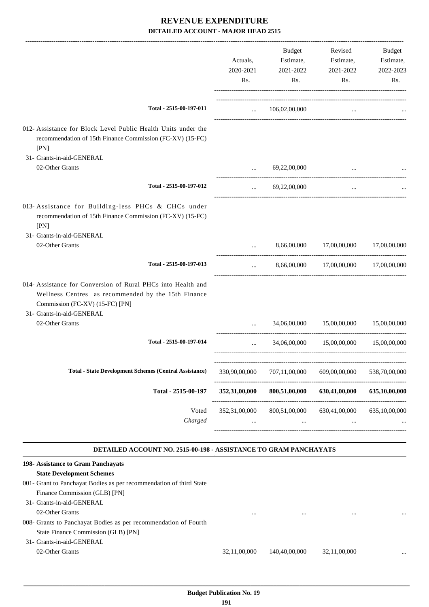|                                                                                                                                                                                                             | Actuals,<br>2020-2021<br>Rs. | Budget<br>Estimate,<br>2021-2022<br>Rs. | Revised<br>Estimate,<br>2021-2022<br>Rs. | Budget<br>Estimate,<br>2022-2023<br>Rs. |
|-------------------------------------------------------------------------------------------------------------------------------------------------------------------------------------------------------------|------------------------------|-----------------------------------------|------------------------------------------|-----------------------------------------|
| Total - 2515-00-197-011                                                                                                                                                                                     | $\cdots$                     | 106,02,00,000                           | $\cdots$                                 |                                         |
| 012- Assistance for Block Level Public Health Units under the<br>recommendation of 15th Finance Commission (FC-XV) (15-FC)<br>[PN]                                                                          |                              |                                         |                                          |                                         |
| 31- Grants-in-aid-GENERAL<br>02-Other Grants                                                                                                                                                                |                              | 69,22,00,000                            |                                          |                                         |
| Total - 2515-00-197-012                                                                                                                                                                                     | $\cdots$                     | 69,22,00,000                            | $\cdots$                                 |                                         |
| 013- Assistance for Building-less PHCs & CHCs under<br>recommendation of 15th Finance Commission (FC-XV) (15-FC)<br>[PN]<br>31- Grants-in-aid-GENERAL                                                       |                              |                                         |                                          |                                         |
| 02-Other Grants                                                                                                                                                                                             | $\cdots$                     | 8,66,00,000                             | 17,00,00,000 17,00,00,000                |                                         |
| Total - 2515-00-197-013                                                                                                                                                                                     | $\cdots$                     |                                         | 8,66,00,000 17,00,00,000 17,00,00,000    |                                         |
| 014- Assistance for Conversion of Rural PHCs into Health and<br>Wellness Centres as recommended by the 15th Finance<br>Commission (FC-XV) (15-FC) [PN]<br>31- Grants-in-aid-GENERAL                         |                              |                                         |                                          |                                         |
| 02-Other Grants                                                                                                                                                                                             |                              | 34,06,00,000                            | 15,00,00,000                             | 15,00,00,000                            |
| Total - 2515-00-197-014                                                                                                                                                                                     |                              |                                         | 34,06,00,000 15,00,00,000                | 15,00,00,000                            |
| <b>Total - State Development Schemes (Central Assistance)</b>                                                                                                                                               | 330,90,00,000                | 707,11,00,000                           | 609,00,00,000                            | 538,70,00,000                           |
| Total - 2515-00-197                                                                                                                                                                                         | 352,31,00,000                | 800,51,00,000                           | 630,41,00,000                            | 635,10,00,000                           |
| Voted<br>Charged                                                                                                                                                                                            | 352,31,00,000                | 800,51,00,000                           | 630,41,00,000                            | 635,10,00,000                           |
| DETAILED ACCOUNT NO. 2515-00-198 - ASSISTANCE TO GRAM PANCHAYATS                                                                                                                                            |                              |                                         |                                          |                                         |
| 198- Assistance to Gram Panchayats<br><b>State Development Schemes</b><br>001- Grant to Panchayat Bodies as per recommendation of third State<br>Finance Commission (GLB) [PN]<br>31- Grants-in-aid-GENERAL |                              |                                         |                                          |                                         |
| 02-Other Grants<br>008- Grants to Panchayat Bodies as per recommendation of Fourth<br>State Finance Commission (GLB) [PN]<br>31- Grants-in-aid-GENERAL<br>02-Other Grants                                   | 32,11,00,000                 | 140,40,00,000                           | 32,11,00,000                             |                                         |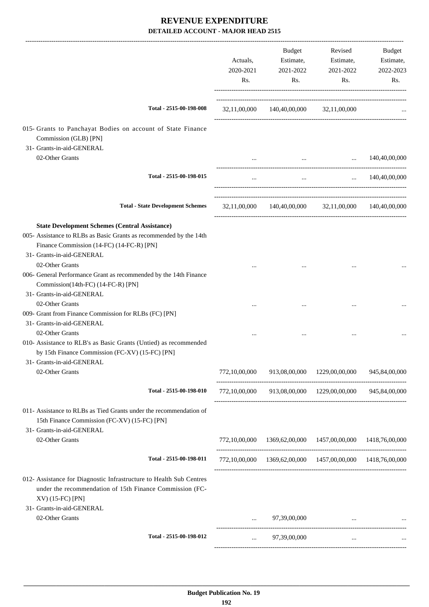|                                                                                                                                                     | Actuals,<br>2020-2021<br>Rs. | Budget<br>Estimate,<br>2021-2022<br>Rs. | Revised<br>Estimate,<br>2021-2022<br>Rs.                   | Budget<br>Estimate,<br>2022-2023<br>Rs. |
|-----------------------------------------------------------------------------------------------------------------------------------------------------|------------------------------|-----------------------------------------|------------------------------------------------------------|-----------------------------------------|
| Total - 2515-00-198-008                                                                                                                             |                              | 32,11,00,000 140,40,00,000 32,11,00,000 |                                                            |                                         |
| 015- Grants to Panchayat Bodies on account of State Finance<br>Commission (GLB) [PN]<br>31- Grants-in-aid-GENERAL                                   |                              |                                         |                                                            |                                         |
| 02-Other Grants                                                                                                                                     | $\cdots$                     | $\ddots$                                | $\cdots$                                                   | 140,40,00,000                           |
| Total - 2515-00-198-015                                                                                                                             | $\ldots$                     | $\cdots$                                | $\mathbf{r}$ and $\mathbf{r}$ and $\mathbf{r}$             | 140,40,00,000                           |
| <b>Total - State Development Schemes</b>                                                                                                            |                              |                                         | 32,11,00,000 140,40,00,000 32,11,00,000 140,40,00,000      |                                         |
| <b>State Development Schemes (Central Assistance)</b>                                                                                               |                              |                                         |                                                            |                                         |
| 005- Assistance to RLBs as Basic Grants as recommended by the 14th<br>Finance Commission (14-FC) (14-FC-R) [PN]<br>31- Grants-in-aid-GENERAL        |                              |                                         |                                                            |                                         |
| 02-Other Grants                                                                                                                                     |                              |                                         |                                                            |                                         |
| 006- General Performance Grant as recommended by the 14th Finance<br>Commission(14th-FC) (14-FC-R) [PN]<br>31- Grants-in-aid-GENERAL                |                              |                                         |                                                            |                                         |
| 02-Other Grants<br>009- Grant from Finance Commission for RLBs (FC) [PN]<br>31- Grants-in-aid-GENERAL                                               | $\cdots$                     |                                         |                                                            |                                         |
| 02-Other Grants<br>010- Assistance to RLB's as Basic Grants (Untied) as recommended<br>by 15th Finance Commission (FC-XV) (15-FC) [PN]              |                              |                                         |                                                            |                                         |
| 31- Grants-in-aid-GENERAL<br>02-Other Grants                                                                                                        | 772,10,00,000                |                                         | 913,08,00,000 1229,00,00,000                               | 945,84,00,000                           |
| Total - 2515-00-198-010                                                                                                                             |                              |                                         | 772,10,00,000 913,08,00,000 1229,00,00,000 945,84,00,000   |                                         |
| 011- Assistance to RLBs as Tied Grants under the recommendation of<br>15th Finance Commission (FC-XV) (15-FC) [PN]<br>31- Grants-in-aid-GENERAL     |                              |                                         |                                                            |                                         |
| 02-Other Grants                                                                                                                                     |                              |                                         | 772,10,00,000 1369,62,00,000 1457,00,00,000 1418,76,00,000 |                                         |
| Total - 2515-00-198-011                                                                                                                             |                              |                                         | 772,10,00,000 1369,62,00,000 1457,00,00,000 1418,76,00,000 |                                         |
| 012- Assistance for Diagnostic Infrastructure to Health Sub Centres<br>under the recommendation of 15th Finance Commission (FC-<br>XV) (15-FC) [PN] |                              |                                         |                                                            |                                         |
| 31- Grants-in-aid-GENERAL<br>02-Other Grants                                                                                                        |                              | 97,39,00,000                            | $\cdots$                                                   |                                         |
| Total - 2515-00-198-012                                                                                                                             | $\cdots$                     | 97,39,00,000                            | $\cdots$                                                   |                                         |
|                                                                                                                                                     |                              |                                         |                                                            |                                         |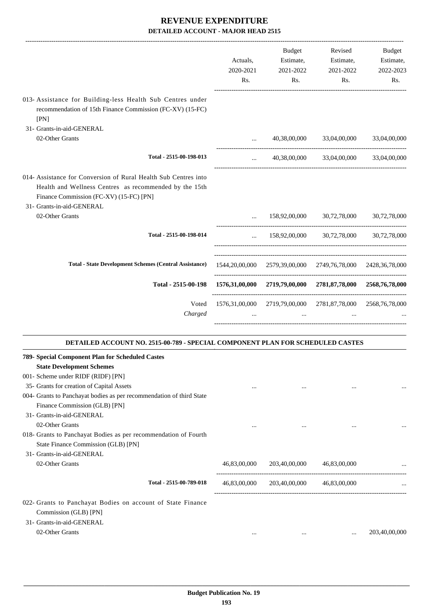|                                                                                                                                                                                                   | Actuals,<br>2020-2021<br>Rs. | Budget<br>Estimate,<br>2021-2022<br>Rs. | Revised<br>Estimate,<br>2021-2022<br>Rs.                                | Budget<br>Estimate,<br>2022-2023<br>Rs. |
|---------------------------------------------------------------------------------------------------------------------------------------------------------------------------------------------------|------------------------------|-----------------------------------------|-------------------------------------------------------------------------|-----------------------------------------|
| 013- Assistance for Building-less Health Sub Centres under<br>recommendation of 15th Finance Commission (FC-XV) (15-FC)<br>[PN]                                                                   |                              |                                         |                                                                         |                                         |
| 31- Grants-in-aid-GENERAL<br>02-Other Grants                                                                                                                                                      | $\cdots$                     | 40,38,00,000                            | 33,04,00,000                                                            | 33,04,00,000                            |
| Total - 2515-00-198-013                                                                                                                                                                           | $\cdots$                     |                                         | 40,38,00,000 33,04,00,000                                               | 33,04,00,000                            |
| 014- Assistance for Conversion of Rural Health Sub Centres into<br>Health and Wellness Centres as recommended by the 15th<br>Finance Commission (FC-XV) (15-FC) [PN]<br>31- Grants-in-aid-GENERAL |                              |                                         |                                                                         |                                         |
| 02-Other Grants                                                                                                                                                                                   | $\cdots$                     |                                         | 158,92,00,000 30,72,78,000                                              | 30,72,78,000                            |
| Total - 2515-00-198-014                                                                                                                                                                           | $\cdots$                     |                                         | 158,92,00,000 30,72,78,000                                              | 30,72,78,000                            |
| <b>Total - State Development Schemes (Central Assistance)</b>                                                                                                                                     |                              |                                         | 1544, 20, 00, 000 2579, 39, 00, 000 2749, 76, 78, 000 2428, 36, 78, 000 |                                         |
| Total - 2515-00-198                                                                                                                                                                               |                              |                                         | 1576,31,00,000 2719,79,00,000 2781,87,78,000 2568,76,78,000             |                                         |
| Voted<br>Charged                                                                                                                                                                                  | $\ddots$                     | $\cdots$                                | 1576,31,00,000 2719,79,00,000 2781,87,78,000 2568,76,78,000<br>$\ddots$ |                                         |
| DETAILED ACCOUNT NO. 2515-00-789 - SPECIAL COMPONENT PLAN FOR SCHEDULED CASTES                                                                                                                    |                              |                                         |                                                                         |                                         |
| 789- Special Component Plan for Scheduled Castes<br><b>State Development Schemes</b><br>001- Scheme under RIDF (RIDF) [PN]<br>35- Grants for creation of Capital Assets                           | $\cdots$                     | $\cdots$                                | $\cdots$                                                                |                                         |
| 004- Grants to Panchayat bodies as per recommendation of third State<br>Finance Commission (GLB) [PN]<br>31- Grants-in-aid-GENERAL<br>02-Other Grants                                             | $\cdots$                     | $\cdots$                                | $\cdots$                                                                |                                         |
| 018- Grants to Panchayat Bodies as per recommendation of Fourth<br>State Finance Commission (GLB) [PN]<br>31- Grants-in-aid-GENERAL<br>02-Other Grants                                            | 46,83,00,000                 |                                         | 203,40,00,000 46,83,00,000                                              |                                         |
| Total - 2515-00-789-018                                                                                                                                                                           | 46,83,00,000                 |                                         | 203,40,00,000 46,83,00,000                                              |                                         |
| 022- Grants to Panchayat Bodies on account of State Finance<br>Commission (GLB) [PN]<br>31- Grants-in-aid-GENERAL<br>02-Other Grants                                                              | $\cdots$                     | $\cdots$                                | $\cdots$                                                                | 203,40,00,000                           |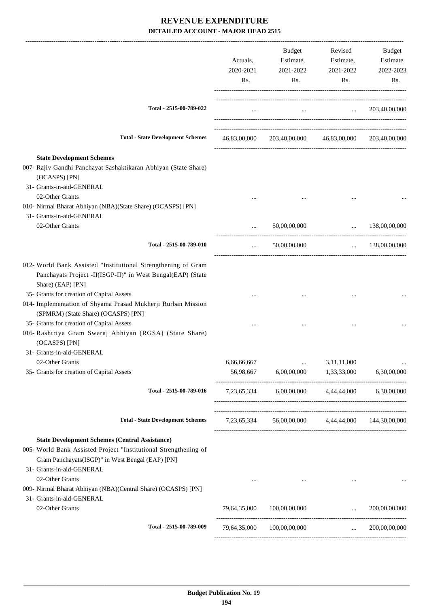|                                                                                                                                                                                                                                                                                                       | Actuals,<br>2020-2021<br>Rs. | Budget<br>Estimate,<br>2021-2022<br>Rs.               | Revised<br>Estimate,<br>2021-2022<br>Rs.                    | Budget<br>Estimate,<br>2022-2023<br>Rs. |
|-------------------------------------------------------------------------------------------------------------------------------------------------------------------------------------------------------------------------------------------------------------------------------------------------------|------------------------------|-------------------------------------------------------|-------------------------------------------------------------|-----------------------------------------|
| Total - 2515-00-789-022                                                                                                                                                                                                                                                                               | $\cdots$                     | $\ldots$ $203,40,00,000$                              |                                                             |                                         |
| <b>Total - State Development Schemes</b>                                                                                                                                                                                                                                                              |                              | 46,83,00,000 203,40,00,000 46,83,00,000 203,40,00,000 |                                                             |                                         |
| <b>State Development Schemes</b><br>007- Rajiv Gandhi Panchayat Sashaktikaran Abhiyan (State Share)<br>(OCASPS) [PN]<br>31- Grants-in-aid-GENERAL                                                                                                                                                     |                              |                                                       |                                                             |                                         |
| 02-Other Grants<br>010- Nirmal Bharat Abhiyan (NBA)(State Share) (OCASPS) [PN]<br>31- Grants-in-aid-GENERAL                                                                                                                                                                                           |                              |                                                       |                                                             |                                         |
| 02-Other Grants                                                                                                                                                                                                                                                                                       |                              | 50,00,00,000                                          |                                                             | $\ldots$ 138,00,00,000                  |
| Total - 2515-00-789-010                                                                                                                                                                                                                                                                               | $\cdots$                     | 50,00,00,000                                          | $\mathbf{r}$ , and the state of $\mathbf{r}$                | 138,00,00,000                           |
| 012- World Bank Assisted "Institutional Strengthening of Gram<br>Panchayats Project -II(ISGP-II)" in West Bengal(EAP) (State<br>Share) (EAP) [PN]<br>35- Grants for creation of Capital Assets<br>014- Implementation of Shyama Prasad Mukherji Rurban Mission<br>(SPMRM) (State Share) (OCASPS) [PN] |                              |                                                       |                                                             |                                         |
| 35- Grants for creation of Capital Assets<br>016- Rashtriya Gram Swaraj Abhiyan (RGSA) (State Share)<br>(OCASPS) [PN]<br>31- Grants-in-aid-GENERAL                                                                                                                                                    |                              |                                                       |                                                             |                                         |
| 02-Other Grants<br>35- Grants for creation of Capital Assets                                                                                                                                                                                                                                          | 6,66,66,667                  | 56,98,667 6,00,00,000 1,33,33,000 6,30,00,000         | 3,11,11,000                                                 |                                         |
| Total - 2515-00-789-016                                                                                                                                                                                                                                                                               |                              | 7,23,65,334 6,00,00,000 4,44,44,000 6,30,00,000       |                                                             |                                         |
| <b>Total - State Development Schemes</b>                                                                                                                                                                                                                                                              |                              | 7,23,65,334 56,00,00,000 4,44,44,000 144,30,00,000    |                                                             |                                         |
| <b>State Development Schemes (Central Assistance)</b><br>005- World Bank Assisted Project "Institutional Strengthening of<br>Gram Panchayats(ISGP)" in West Bengal (EAP) [PN]<br>31- Grants-in-aid-GENERAL                                                                                            |                              |                                                       |                                                             |                                         |
| 02-Other Grants<br>009- Nirmal Bharat Abhiyan (NBA)(Central Share) (OCASPS) [PN]<br>31- Grants-in-aid-GENERAL                                                                                                                                                                                         |                              |                                                       |                                                             |                                         |
| 02-Other Grants                                                                                                                                                                                                                                                                                       |                              | 79,64,35,000 100,00,00,000                            | $\mathcal{L}_{\text{max}}$ . The $\mathcal{L}_{\text{max}}$ | 200,00,00,000                           |
| Total - 2515-00-789-009                                                                                                                                                                                                                                                                               | 79,64,35,000                 | 100,00,00,000                                         | <b>Section</b>                                              | 200,00,00,000                           |
|                                                                                                                                                                                                                                                                                                       |                              |                                                       |                                                             |                                         |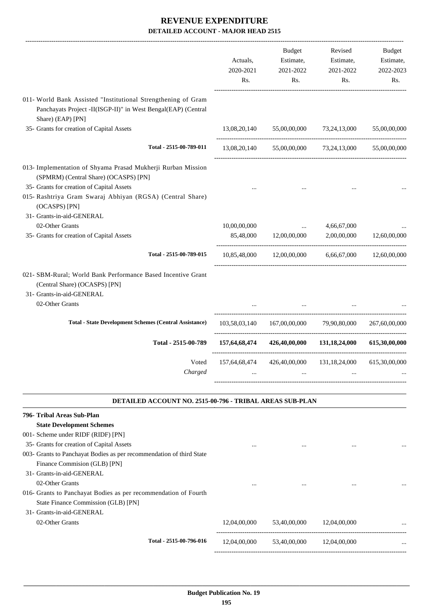|                                                                                                                                               |                       | Budget                                                                    | Revised                   | Budget                 |
|-----------------------------------------------------------------------------------------------------------------------------------------------|-----------------------|---------------------------------------------------------------------------|---------------------------|------------------------|
|                                                                                                                                               | Actuals,<br>2020-2021 | Estimate,<br>2021-2022                                                    | Estimate,<br>2021-2022    | Estimate,<br>2022-2023 |
|                                                                                                                                               | Rs.                   | Rs.                                                                       | Rs.                       | Rs.                    |
| 011- World Bank Assisted "Institutional Strengthening of Gram                                                                                 |                       |                                                                           |                           |                        |
| Panchayats Project -II(ISGP-II)" in West Bengal(EAP) (Central<br>Share) (EAP) [PN]                                                            |                       |                                                                           |                           |                        |
| 35- Grants for creation of Capital Assets                                                                                                     | 13,08,20,140          |                                                                           | 55,00,00,000 73,24,13,000 | 55,00,00,000           |
| Total - 2515-00-789-011                                                                                                                       |                       | 13,08,20,140 55,00,00,000 73,24,13,000 55,00,00,000                       |                           |                        |
| 013- Implementation of Shyama Prasad Mukherji Rurban Mission<br>(SPMRM) (Central Share) (OCASPS) [PN]                                         |                       |                                                                           |                           |                        |
| 35- Grants for creation of Capital Assets                                                                                                     |                       |                                                                           |                           |                        |
| 015- Rashtriya Gram Swaraj Abhiyan (RGSA) (Central Share)<br>(OCASPS) [PN]                                                                    |                       |                                                                           |                           |                        |
| 31- Grants-in-aid-GENERAL                                                                                                                     |                       |                                                                           |                           |                        |
| 02-Other Grants                                                                                                                               | 10,00,00,000          |                                                                           | 4,66,67,000               |                        |
| 35- Grants for creation of Capital Assets                                                                                                     |                       | 85,48,000 12,00,00,000                                                    | 2,00,00,000               | 12,60,00,000           |
| Total - 2515-00-789-015                                                                                                                       |                       | 10,85,48,000 12,00,00,000 6,66,67,000 12,60,00,000                        |                           |                        |
| 021- SBM-Rural; World Bank Performance Based Incentive Grant<br>(Central Share) (OCASPS) [PN]<br>31- Grants-in-aid-GENERAL<br>02-Other Grants |                       |                                                                           |                           |                        |
| <b>Total - State Development Schemes (Central Assistance)</b>                                                                                 |                       | 103,58,03,140 167,00,00,000 79,90,80,000                                  |                           | 267,60,00,000          |
| Total - 2515-00-789                                                                                                                           |                       | 157,64,68,474 426,40,00,000 131,18,24,000                                 |                           | 615,30,00,000          |
| Charged                                                                                                                                       |                       | Voted 157,64,68,474 426,40,00,000 131,18,24,000 615,30,00,000<br>$\cdots$ |                           |                        |
| <b>DETAILED ACCOUNT NO. 2515-00-796 - TRIBAL AREAS SUB-PLAN</b>                                                                               |                       |                                                                           |                           |                        |
| 796- Tribal Areas Sub-Plan                                                                                                                    |                       |                                                                           |                           |                        |
| <b>State Development Schemes</b>                                                                                                              |                       |                                                                           |                           |                        |
| 001- Scheme under RIDF (RIDF) [PN]                                                                                                            |                       |                                                                           |                           |                        |
| 35- Grants for creation of Capital Assets                                                                                                     |                       | $\cdots$                                                                  |                           |                        |
| 003- Grants to Panchayat Bodies as per recommendation of third State                                                                          |                       |                                                                           |                           |                        |
| Finance Commision (GLB) [PN]                                                                                                                  |                       |                                                                           |                           |                        |
| 31- Grants-in-aid-GENERAL                                                                                                                     |                       |                                                                           |                           |                        |
| 02-Other Grants                                                                                                                               | $\cdots$              |                                                                           |                           |                        |
| 016- Grants to Panchayat Bodies as per recommendation of Fourth                                                                               |                       |                                                                           |                           |                        |
| State Finance Commission (GLB) [PN]                                                                                                           |                       |                                                                           |                           |                        |
| 31- Grants-in-aid-GENERAL                                                                                                                     |                       |                                                                           |                           |                        |
| 02-Other Grants                                                                                                                               | 12,04,00,000          | 53,40,00,000                                                              | 12,04,00,000              |                        |

----------------------------------------------------------------------------------------

-----------------------------------------------------------------------------------------

**Total - 2515-00-796-016** 12,04,00,000 53,40,00,000 12,04,00,000 ...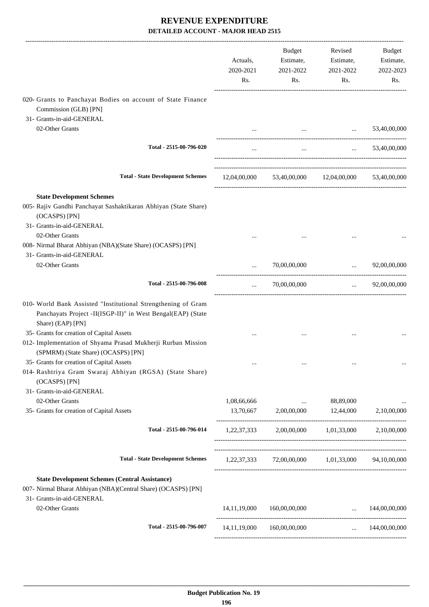|                                                                                                                                                     | Actuals,<br>2020-2021<br>Rs. | Budget<br>Estimate,<br>2021-2022<br>Rs.             | Revised<br>Estimate,<br>2021-2022<br>Rs.                      | Budget<br>Estimate,<br>2022-2023<br>Rs. |
|-----------------------------------------------------------------------------------------------------------------------------------------------------|------------------------------|-----------------------------------------------------|---------------------------------------------------------------|-----------------------------------------|
| 020- Grants to Panchayat Bodies on account of State Finance<br>Commission (GLB) [PN]                                                                |                              |                                                     |                                                               |                                         |
| 31- Grants-in-aid-GENERAL                                                                                                                           |                              |                                                     |                                                               |                                         |
| 02-Other Grants                                                                                                                                     |                              |                                                     | <b>Sales Control</b><br>and the state of the state of         | 53,40,00,000                            |
| Total - 2515-00-796-020                                                                                                                             |                              |                                                     | $\mathbf{r}$ and $\mathbf{r}$ are all the set of $\mathbf{r}$ | $\ldots$ 53,40,00,000                   |
| <b>Total - State Development Schemes</b>                                                                                                            |                              | 12,04,00,000 53,40,00,000 12,04,00,000 53,40,00,000 |                                                               |                                         |
| <b>State Development Schemes</b><br>005- Rajiv Gandhi Panchayat Sashaktikaran Abhiyan (State Share)<br>(OCASPS) [PN]<br>31- Grants-in-aid-GENERAL   |                              |                                                     |                                                               |                                         |
| 02-Other Grants<br>008- Nirmal Bharat Abhiyan (NBA)(State Share) (OCASPS) [PN]<br>31- Grants-in-aid-GENERAL                                         |                              |                                                     |                                                               |                                         |
| 02-Other Grants                                                                                                                                     |                              | 70,00,00,000                                        | $\ldots$ 92,00,00,000                                         |                                         |
| Total - 2515-00-796-008                                                                                                                             | $\cdots$                     | 70,00,00,000                                        | --------------------------------------                        | $\ldots$ 92,00,00,000                   |
| 010- World Bank Assisted "Institutional Strengthening of Gram<br>Panchayats Project -II(ISGP-II)" in West Bengal(EAP) (State<br>Share) (EAP) [PN]   |                              |                                                     |                                                               |                                         |
| 35- Grants for creation of Capital Assets<br>012- Implementation of Shyama Prasad Mukherji Rurban Mission<br>(SPMRM) (State Share) (OCASPS) [PN]    |                              |                                                     |                                                               |                                         |
| 35- Grants for creation of Capital Assets<br>014- Rashtriya Gram Swaraj Abhiyan (RGSA) (State Share)<br>(OCASPS) [PN]<br>31- Grants-in-aid-GENERAL  |                              |                                                     |                                                               |                                         |
| 02-Other Grants                                                                                                                                     | 1,08,66,666                  | and the contract of the                             | 88,89,000                                                     |                                         |
| 35- Grants for creation of Capital Assets                                                                                                           | 13,70,667                    | 2,00,00,000                                         | 12,44,000                                                     | 2,10,00,000                             |
| Total - 2515-00-796-014                                                                                                                             |                              | 1,22,37,333 2,00,00,000 1,01,33,000 2,10,00,000     |                                                               |                                         |
| <b>Total - State Development Schemes</b>                                                                                                            |                              | 1,22,37,333 72,00,00,000 1,01,33,000 94,10,00,000   |                                                               |                                         |
| <b>State Development Schemes (Central Assistance)</b><br>007- Nirmal Bharat Abhiyan (NBA)(Central Share) (OCASPS) [PN]<br>31- Grants-in-aid-GENERAL |                              |                                                     |                                                               |                                         |
| 02-Other Grants                                                                                                                                     | 14, 11, 19, 000              | 160,00,00,000                                       | $\ldots$ 144,00,00,000                                        |                                         |
| Total - 2515-00-796-007                                                                                                                             | 14, 11, 19, 000              | 160,00,00,000                                       | $\sim 10^{-10}$                                               | 144,00,00,000                           |
|                                                                                                                                                     |                              |                                                     |                                                               |                                         |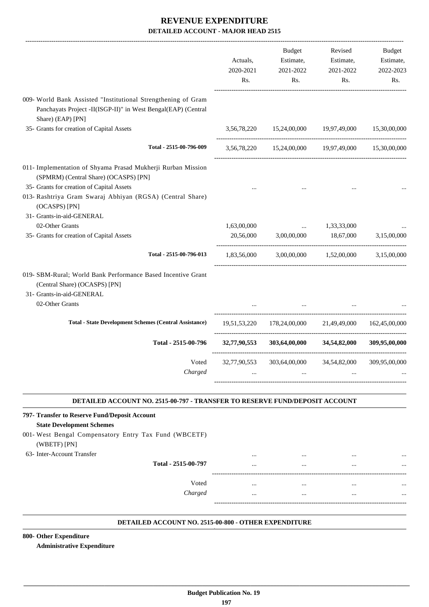|                                                                                                                                                                                                                                  | Actuals,<br>2020-2021<br>Rs. | Budget<br>Estimate,<br>2021-2022<br>Rs.                 | Revised<br>Estimate,<br>2021-2022<br>Rs. | Budget<br>Estimate,<br>2022-2023<br>Rs. |
|----------------------------------------------------------------------------------------------------------------------------------------------------------------------------------------------------------------------------------|------------------------------|---------------------------------------------------------|------------------------------------------|-----------------------------------------|
| 009- World Bank Assisted "Institutional Strengthening of Gram<br>Panchayats Project -II(ISGP-II)" in West Bengal(EAP) (Central<br>Share) (EAP) [PN]                                                                              |                              |                                                         |                                          |                                         |
| 35- Grants for creation of Capital Assets                                                                                                                                                                                        |                              | 3,56,78,220 15,24,00,000 19,97,49,000                   |                                          | 15,30,00,000                            |
| Total - 2515-00-796-009                                                                                                                                                                                                          |                              | 3,56,78,220 15,24,00,000 19,97,49,000 15,30,00,000      |                                          |                                         |
| 011- Implementation of Shyama Prasad Mukherji Rurban Mission<br>(SPMRM) (Central Share) (OCASPS) [PN]<br>35- Grants for creation of Capital Assets<br>013- Rashtriya Gram Swaraj Abhiyan (RGSA) (Central Share)<br>(OCASPS) [PN] |                              |                                                         |                                          |                                         |
| 31- Grants-in-aid-GENERAL<br>02-Other Grants<br>35- Grants for creation of Capital Assets                                                                                                                                        | 1,63,00,000                  | $\ddots$<br>20,56,000 3,00,00,000 18,67,000 3,15,00,000 | 1,33,33,000                              |                                         |
| Total - 2515-00-796-013                                                                                                                                                                                                          | 1,83,56,000                  |                                                         | 3,00,00,000 1,52,00,000 3,15,00,000      |                                         |
| 019- SBM-Rural; World Bank Performance Based Incentive Grant<br>(Central Share) (OCASPS) [PN]<br>31- Grants-in-aid-GENERAL<br>02-Other Grants                                                                                    |                              |                                                         |                                          |                                         |
| <b>Total - State Development Schemes (Central Assistance)</b>                                                                                                                                                                    |                              | 19,51,53,220 178,24,00,000 21,49,49,000 162,45,00,000   |                                          |                                         |
| Total - 2515-00-796                                                                                                                                                                                                              |                              | $32,77,90,553$ $303,64,00,000$ $34,54,82,000$           |                                          | 309,95,00,000                           |
| Voted<br>Charged                                                                                                                                                                                                                 |                              | 32,77,90,553 303,64,00,000 34,54,82,000 309,95,00,000   |                                          |                                         |
| DETAILED ACCOUNT NO. 2515-00-797 - TRANSFER TO RESERVE FUND/DEPOSIT ACCOUNT                                                                                                                                                      |                              |                                                         |                                          |                                         |
| 797- Transfer to Reserve Fund/Deposit Account<br><b>State Development Schemes</b><br>001- West Bengal Compensatory Entry Tax Fund (WBCETF)<br>(WBETF) [PN]                                                                       |                              |                                                         |                                          |                                         |
| 63- Inter-Account Transfer<br>Total - 2515-00-797                                                                                                                                                                                |                              |                                                         |                                          |                                         |
| Voted<br>Charged                                                                                                                                                                                                                 | $\cdots$<br>$\cdots$         | $\cdots$<br>$\cdots$                                    | $\cdots$<br>$\cdots$                     |                                         |
|                                                                                                                                                                                                                                  |                              |                                                         |                                          |                                         |

#### **DETAILED ACCOUNT NO. 2515-00-800 - OTHER EXPENDITURE .**

.

**800- Other Expenditure**

**Administrative Expenditure**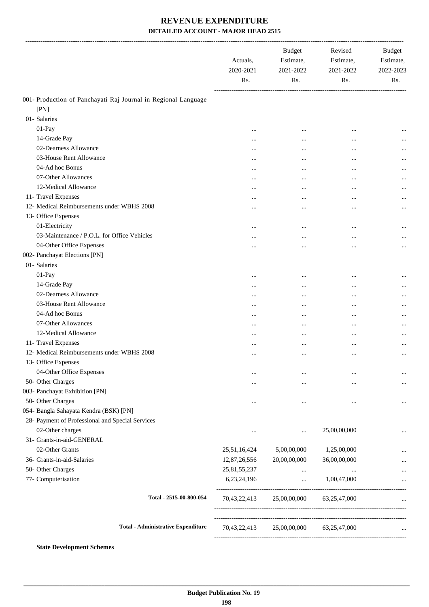|                                                                | Actuals,<br>2020-2021<br>Rs. | <b>Budget</b><br>Estimate,<br>2021-2022<br>Rs. | Revised<br>Estimate,<br>2021-2022<br>Rs.              | Budget<br>Estimate,<br>2022-2023<br>Rs. |
|----------------------------------------------------------------|------------------------------|------------------------------------------------|-------------------------------------------------------|-----------------------------------------|
| 001- Production of Panchayati Raj Journal in Regional Language |                              |                                                |                                                       |                                         |
| [PN]                                                           |                              |                                                |                                                       |                                         |
| 01- Salaries                                                   |                              |                                                |                                                       |                                         |
| 01-Pay                                                         |                              |                                                | $\cdots$                                              |                                         |
| 14-Grade Pay                                                   |                              |                                                | $\cdots$                                              |                                         |
| 02-Dearness Allowance                                          |                              |                                                | $\ddotsc$                                             |                                         |
| 03-House Rent Allowance                                        | $\cdots$                     |                                                | $\ddotsc$                                             | $\cdots$                                |
| 04-Ad hoc Bonus                                                |                              | $\ddotsc$                                      | $\ddotsc$                                             | $\cdots$                                |
| 07-Other Allowances                                            | $\cdots$                     |                                                | $\cdots$                                              | $\cdots$                                |
| 12-Medical Allowance                                           | $\cdots$                     |                                                | $\cdots$                                              | $\cdots$                                |
| 11- Travel Expenses                                            | $\cdots$                     |                                                | $\cdots$                                              | $\cdots$                                |
| 12- Medical Reimbursements under WBHS 2008                     |                              |                                                | $\ddotsc$                                             | $\cdots$                                |
| 13- Office Expenses                                            |                              |                                                |                                                       |                                         |
| 01-Electricity                                                 |                              |                                                | $\cdots$                                              |                                         |
| 03-Maintenance / P.O.L. for Office Vehicles                    | $\cdots$                     |                                                | $\cdots$                                              | $\cdots$                                |
| 04-Other Office Expenses                                       |                              | $\cdots$                                       | $\cdots$                                              | $\cdots$                                |
| 002- Panchayat Elections [PN]                                  |                              |                                                |                                                       |                                         |
| 01- Salaries                                                   |                              |                                                |                                                       |                                         |
| 01-Pay                                                         |                              |                                                | $\cdots$                                              |                                         |
| 14-Grade Pay                                                   |                              |                                                | $\cdots$                                              |                                         |
| 02-Dearness Allowance                                          |                              |                                                | $\cdots$                                              |                                         |
| 03-House Rent Allowance                                        |                              |                                                | $\ddotsc$                                             | $\cdots$                                |
| 04-Ad hoc Bonus                                                |                              |                                                | $\ddotsc$                                             | $\cdots$                                |
| 07-Other Allowances                                            |                              |                                                | $\ddotsc$                                             | $\cdots$                                |
| 12-Medical Allowance                                           | $\cdots$                     |                                                | $\cdots$                                              | $\cdots$                                |
| 11- Travel Expenses                                            |                              | $\ddotsc$                                      | $\cdots$                                              |                                         |
| 12- Medical Reimbursements under WBHS 2008                     | $\cdots$                     |                                                | $\cdots$                                              | $\cdots$                                |
| 13- Office Expenses                                            |                              |                                                |                                                       |                                         |
| 04-Other Office Expenses                                       |                              | $\cdots$                                       | $\cdots$                                              |                                         |
| 50- Other Charges                                              |                              | $\cdots$                                       | $\cdots$                                              | $\cdots$                                |
| 003- Panchayat Exhibition [PN]                                 |                              |                                                |                                                       |                                         |
| 50- Other Charges                                              | $\cdots$                     | $\cdots$                                       | $\ddotsc$                                             | $\cdots$                                |
| 054- Bangla Sahayata Kendra (BSK) [PN]                         |                              |                                                |                                                       |                                         |
| 28- Payment of Professional and Special Services               |                              |                                                |                                                       |                                         |
| 02-Other charges                                               |                              |                                                | 25,00,00,000                                          | $\cdots$                                |
| 31- Grants-in-aid-GENERAL                                      |                              |                                                |                                                       |                                         |
| 02-Other Grants                                                | 25,51,16,424                 | 5,00,00,000                                    | 1,25,00,000                                           |                                         |
| 36- Grants-in-aid-Salaries                                     | 12,87,26,556                 | 20,00,00,000                                   | 36,00,00,000                                          |                                         |
| 50- Other Charges                                              | 25,81,55,237                 | $\ldots$                                       | $\cdots$                                              | $\cdots$                                |
| 77- Computerisation                                            | 6,23,24,196                  | $\cdots$                                       | 1,00,47,000                                           |                                         |
| Total - 2515-00-800-054                                        | 70,43,22,413                 | 25,00,00,000                                   | ----------------------------------<br>63, 25, 47, 000 |                                         |
| <b>Total - Administrative Expenditure</b>                      | 70,43,22,413                 | 25,00,00,000                                   | 63,25,47,000                                          |                                         |

**State Development Schemes**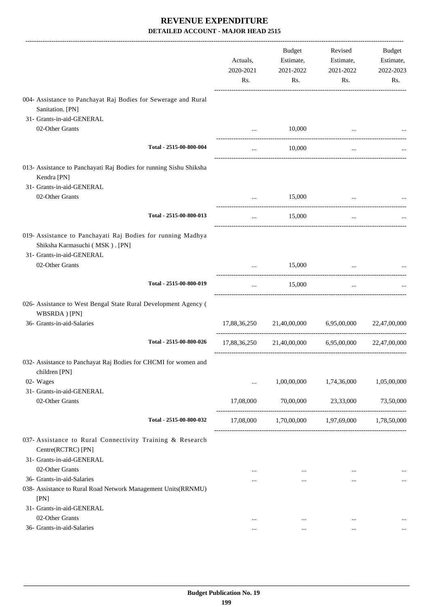|                                                                                                                            | Actuals,<br>2020-2021<br>Rs. | Budget<br>Estimate,<br>2021-2022<br>Rs. | Revised<br>Estimate,<br>2021-2022<br>Rs. | Budget<br>Estimate,<br>2022-2023<br>Rs. |
|----------------------------------------------------------------------------------------------------------------------------|------------------------------|-----------------------------------------|------------------------------------------|-----------------------------------------|
| 004- Assistance to Panchayat Raj Bodies for Sewerage and Rural<br>Sanitation. [PN]                                         |                              |                                         |                                          |                                         |
| 31- Grants-in-aid-GENERAL                                                                                                  |                              |                                         |                                          |                                         |
| 02-Other Grants                                                                                                            | $\cdots$                     | 10,000                                  |                                          |                                         |
| Total - 2515-00-800-004                                                                                                    |                              | 10,000                                  | ------------------------<br>$\cdots$     |                                         |
| 013- Assistance to Panchayati Raj Bodies for running Sishu Shiksha<br>Kendra [PN]<br>31- Grants-in-aid-GENERAL             |                              |                                         |                                          |                                         |
| 02-Other Grants                                                                                                            | $\cdots$                     | 15,000                                  |                                          |                                         |
| Total - 2515-00-800-013                                                                                                    | $\cdots$                     | 15,000                                  | _______________________<br>$\cdots$      |                                         |
| 019- Assistance to Panchayati Raj Bodies for running Madhya<br>Shiksha Karmasuchi (MSK). [PN]<br>31- Grants-in-aid-GENERAL |                              |                                         |                                          |                                         |
| 02-Other Grants                                                                                                            |                              | 15,000                                  |                                          |                                         |
| Total - 2515-00-800-019                                                                                                    | $\cdots$                     | 15,000                                  | $\cdots$                                 |                                         |
| 026- Assistance to West Bengal State Rural Development Agency (<br>WBSRDA) [PN]                                            |                              |                                         |                                          |                                         |
| 36- Grants-in-aid-Salaries                                                                                                 | 17,88,36,250                 | 21,40,00,000                            | 6,95,00,000                              | 22,47,00,000                            |
| Total - 2515-00-800-026                                                                                                    | 17,88,36,250                 | 21,40,00,000                            | 6,95,00,000                              | 22,47,00,000                            |
| 032- Assistance to Panchayat Raj Bodies for CHCMI for women and<br>children [PN]                                           |                              |                                         |                                          |                                         |
| 02- Wages                                                                                                                  | $\ddotsc$                    | 1,00,00,000                             | 1,74,36,000                              | 1,05,00,000                             |
| 31- Grants-in-aid-GENERAL<br>02-Other Grants                                                                               | 17,08,000                    | 70,00,000                               | 23,33,000                                | 73,50,000                               |
| Total - 2515-00-800-032                                                                                                    | 17,08,000                    |                                         | 1,70,00,000 1,97,69,000                  | 1,78,50,000                             |
| 037- Assistance to Rural Connectivity Training & Research<br>Centre(RCTRC) [PN]                                            |                              |                                         |                                          |                                         |
| 31- Grants-in-aid-GENERAL<br>02-Other Grants                                                                               |                              |                                         |                                          |                                         |
| 36- Grants-in-aid-Salaries                                                                                                 | $\cdots$<br>                 | $\cdots$<br>$\cdots$                    | $\cdots$<br>$\cdots$                     |                                         |
| 038- Assistance to Rural Road Network Management Units(RRNMU)<br>[PN]                                                      |                              |                                         |                                          |                                         |
| 31- Grants-in-aid-GENERAL                                                                                                  |                              |                                         |                                          |                                         |
| 02-Other Grants                                                                                                            | $\cdots$                     | $\cdots$                                | $\cdots$                                 |                                         |
| 36- Grants-in-aid-Salaries                                                                                                 | $\cdots$                     | $\cdots$                                | $\cdots$                                 | $\ddotsc$                               |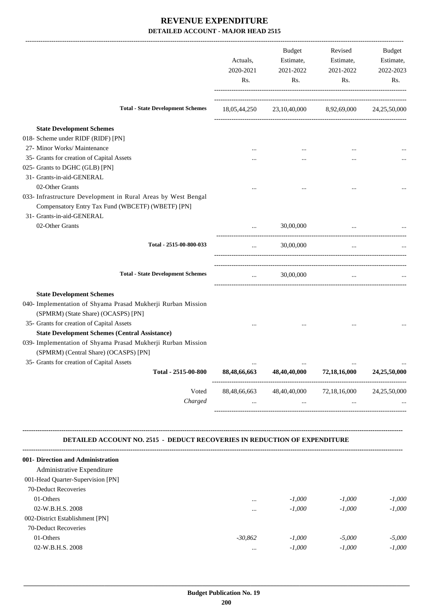| <b>Total - State Development Schemes</b>                                                                                                                                                                                                                                                                                                                                                            | Actuals,<br>2020-2021<br>Rs. | Budget<br>Estimate,<br>2021-2022<br>Rs.            | Revised<br>Estimate,<br>2021-2022<br>Rs. | Budget<br>Estimate,<br>2022-2023<br>Rs. |
|-----------------------------------------------------------------------------------------------------------------------------------------------------------------------------------------------------------------------------------------------------------------------------------------------------------------------------------------------------------------------------------------------------|------------------------------|----------------------------------------------------|------------------------------------------|-----------------------------------------|
|                                                                                                                                                                                                                                                                                                                                                                                                     |                              | 18,05,44,250 23,10,40,000 8,92,69,000 24,25,50,000 |                                          |                                         |
| <b>State Development Schemes</b>                                                                                                                                                                                                                                                                                                                                                                    |                              |                                                    |                                          |                                         |
| 018- Scheme under RIDF (RIDF) [PN]                                                                                                                                                                                                                                                                                                                                                                  |                              |                                                    |                                          |                                         |
| 27- Minor Works/ Maintenance                                                                                                                                                                                                                                                                                                                                                                        |                              |                                                    |                                          |                                         |
| 35- Grants for creation of Capital Assets                                                                                                                                                                                                                                                                                                                                                           |                              | $\cdots$                                           | $\ddotsc$                                |                                         |
| 025- Grants to DGHC (GLB) [PN]                                                                                                                                                                                                                                                                                                                                                                      |                              |                                                    |                                          |                                         |
| 31- Grants-in-aid-GENERAL                                                                                                                                                                                                                                                                                                                                                                           |                              |                                                    |                                          |                                         |
| 02-Other Grants                                                                                                                                                                                                                                                                                                                                                                                     |                              |                                                    | $\cdots$                                 |                                         |
| 033- Infrastructure Development in Rural Areas by West Bengal<br>Compensatory Entry Tax Fund (WBCETF) (WBETF) [PN]                                                                                                                                                                                                                                                                                  |                              |                                                    |                                          |                                         |
| 31- Grants-in-aid-GENERAL<br>02-Other Grants                                                                                                                                                                                                                                                                                                                                                        |                              | 30,00,000                                          |                                          |                                         |
| Total - 2515-00-800-033                                                                                                                                                                                                                                                                                                                                                                             | $\cdots$                     | 30,00,000                                          | $\cdots$                                 |                                         |
| <b>Total - State Development Schemes</b>                                                                                                                                                                                                                                                                                                                                                            | $\cdots$                     | 30,00,000                                          | $\cdots$                                 |                                         |
| <b>State Development Schemes</b><br>040- Implementation of Shyama Prasad Mukherji Rurban Mission<br>(SPMRM) (State Share) (OCASPS) [PN]<br>35- Grants for creation of Capital Assets<br><b>State Development Schemes (Central Assistance)</b><br>039- Implementation of Shyama Prasad Mukherji Rurban Mission<br>(SPMRM) (Central Share) (OCASPS) [PN]<br>35- Grants for creation of Capital Assets |                              |                                                    |                                          |                                         |
| Total - 2515-00-800                                                                                                                                                                                                                                                                                                                                                                                 | 88,48,66,663                 | 48,40,40,000                                       | 72,18,16,000                             | 24,25,50,000                            |
| Voted<br>Charged                                                                                                                                                                                                                                                                                                                                                                                    | 88,48,66,663<br>$\cdots$     | 48,40,40,000<br>$\cdots$                           | 72,18,16,000<br>$\cdots$                 | 24,25,50,000                            |
| DETAILED ACCOUNT NO. 2515 - DEDUCT RECOVERIES IN REDUCTION OF EXPENDITURE                                                                                                                                                                                                                                                                                                                           |                              |                                                    |                                          |                                         |
| 001- Direction and Administration                                                                                                                                                                                                                                                                                                                                                                   |                              |                                                    |                                          |                                         |
| Administrative Expenditure                                                                                                                                                                                                                                                                                                                                                                          |                              |                                                    |                                          |                                         |
| 001-Head Quarter-Supervision [PN]                                                                                                                                                                                                                                                                                                                                                                   |                              |                                                    |                                          |                                         |
| 70-Deduct Recoveries                                                                                                                                                                                                                                                                                                                                                                                |                              |                                                    |                                          |                                         |
| 01-Others                                                                                                                                                                                                                                                                                                                                                                                           |                              | $-1,000$                                           | $-1,000$                                 | $-1,000$                                |
| 02-W.B.H.S. 2008                                                                                                                                                                                                                                                                                                                                                                                    |                              | $-1,000$                                           | $-1,000$                                 | $-1,000$                                |
| 002-District Establishment [PN]                                                                                                                                                                                                                                                                                                                                                                     |                              |                                                    |                                          |                                         |
| 70-Deduct Recoveries                                                                                                                                                                                                                                                                                                                                                                                |                              |                                                    |                                          |                                         |
| 01-Others                                                                                                                                                                                                                                                                                                                                                                                           | $-30,862$                    | $-1,000$                                           | $-5,000$                                 | $-5,000$                                |

02-W.B.H.S. 2008 *-1,000 -1,000 -1,000 -1,000 -1,000*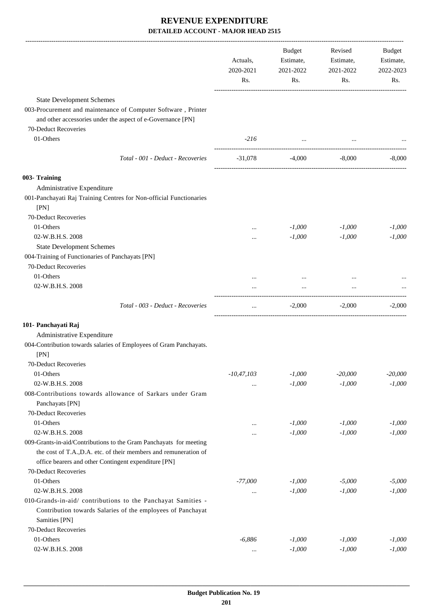|                                                                                                                                                                                                | Actuals,<br>2020-2021<br>Rs. | Budget<br>Estimate,<br>2021-2022<br>Rs. | Revised<br>Estimate,<br>2021-2022<br>Rs. | Budget<br>Estimate,<br>2022-2023<br>Rs. |
|------------------------------------------------------------------------------------------------------------------------------------------------------------------------------------------------|------------------------------|-----------------------------------------|------------------------------------------|-----------------------------------------|
| <b>State Development Schemes</b>                                                                                                                                                               |                              |                                         |                                          |                                         |
| 003-Procurement and maintenance of Computer Software, Printer<br>and other accessories under the aspect of e-Governance [PN]                                                                   |                              |                                         |                                          |                                         |
| 70-Deduct Recoveries<br>01-Others                                                                                                                                                              | $-216$                       | and the contract of the contract of     |                                          |                                         |
| Total - 001 - Deduct - Recoveries                                                                                                                                                              | -31,078                      | $-4,000$                                | -8,000                                   | $-8,000$                                |
| 003- Training                                                                                                                                                                                  |                              |                                         |                                          |                                         |
| Administrative Expenditure                                                                                                                                                                     |                              |                                         |                                          |                                         |
| 001-Panchayati Raj Training Centres for Non-official Functionaries                                                                                                                             |                              |                                         |                                          |                                         |
| [PN]                                                                                                                                                                                           |                              |                                         |                                          |                                         |
| 70-Deduct Recoveries                                                                                                                                                                           |                              |                                         |                                          |                                         |
| 01-Others                                                                                                                                                                                      |                              | $-1,000$                                | $-1,000$                                 | $-1,000$                                |
| 02-W.B.H.S. 2008                                                                                                                                                                               |                              | $-1,000$                                | $-1,000$                                 | $-1,000$                                |
| <b>State Development Schemes</b>                                                                                                                                                               |                              |                                         |                                          |                                         |
| 004-Training of Functionaries of Panchayats [PN]                                                                                                                                               |                              |                                         |                                          |                                         |
| 70-Deduct Recoveries                                                                                                                                                                           |                              |                                         |                                          |                                         |
| 01-Others                                                                                                                                                                                      |                              | $\cdots$                                |                                          |                                         |
| 02-W.B.H.S. 2008                                                                                                                                                                               |                              |                                         |                                          |                                         |
| Total - 003 - Deduct - Recoveries                                                                                                                                                              | $\cdots$                     | $-2,000$                                | $-2,000$                                 | $-2,000$                                |
| 101- Panchayati Raj                                                                                                                                                                            |                              |                                         |                                          |                                         |
| Administrative Expenditure                                                                                                                                                                     |                              |                                         |                                          |                                         |
| 004-Contribution towards salaries of Employees of Gram Panchayats.                                                                                                                             |                              |                                         |                                          |                                         |
| [PN]                                                                                                                                                                                           |                              |                                         |                                          |                                         |
| 70-Deduct Recoveries                                                                                                                                                                           |                              |                                         |                                          |                                         |
| 01-Others                                                                                                                                                                                      | $-10,47,103$                 | $-1,000$                                | $-20,000$                                | $-20,000$                               |
| 02-W.B.H.S. 2008                                                                                                                                                                               |                              | $-1,000$                                | $-1,000$                                 | $-1,000$                                |
| 008-Contributions towards allowance of Sarkars under Gram                                                                                                                                      |                              |                                         |                                          |                                         |
| Panchayats [PN]                                                                                                                                                                                |                              |                                         |                                          |                                         |
| 70-Deduct Recoveries                                                                                                                                                                           |                              |                                         |                                          |                                         |
| 01-Others                                                                                                                                                                                      |                              | $-1,000$                                | $-1,000$                                 | $-1,000$                                |
| 02-W.B.H.S. 2008                                                                                                                                                                               |                              | $-1,000$                                | $-1,000$                                 | $-1,000$                                |
| 009-Grants-in-aid/Contributions to the Gram Panchayats for meeting<br>the cost of T.A., D.A. etc. of their members and remuneration of<br>office bearers and other Contingent expenditure [PN] |                              |                                         |                                          |                                         |
| 70-Deduct Recoveries                                                                                                                                                                           |                              |                                         |                                          |                                         |
| 01-Others                                                                                                                                                                                      | $-77,000$                    | $-1,000$                                | $-5,000$                                 | $-5,000$                                |
| 02-W.B.H.S. 2008                                                                                                                                                                               | $\cdots$                     | $-1,000$                                | $-1,000$                                 | $-1,000$                                |
| 010-Grands-in-aid/ contributions to the Panchayat Samities -                                                                                                                                   |                              |                                         |                                          |                                         |
| Contribution towards Salaries of the employees of Panchayat                                                                                                                                    |                              |                                         |                                          |                                         |
| Samities [PN]                                                                                                                                                                                  |                              |                                         |                                          |                                         |
| 70-Deduct Recoveries                                                                                                                                                                           |                              |                                         |                                          |                                         |
| 01-Others                                                                                                                                                                                      | $-6,886$                     | $-1,000$                                | $-1,000$                                 | $-1,000$                                |
| 02-W.B.H.S. 2008                                                                                                                                                                               | $\cdots$                     | $-1,000$                                | $-1,000$                                 | $-1,000$                                |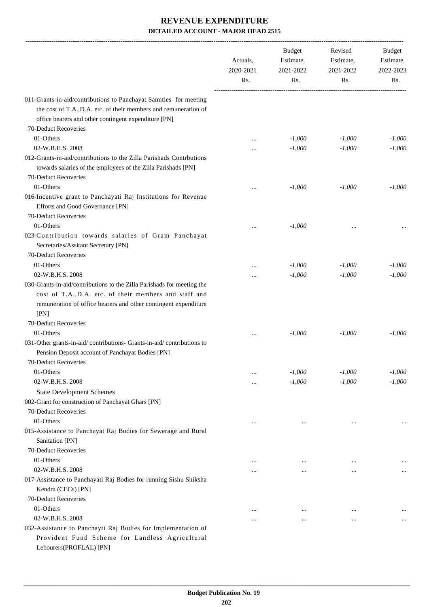|                                                                                                                                                                                                             | Actuals,<br>2020-2021<br>Rs. | Budget<br>Estimate,<br>2021-2022<br>Rs. | Revised<br>Estimate,<br>2021-2022<br>Rs. | Budget<br>Estimate,<br>2022-2023<br>Rs. |
|-------------------------------------------------------------------------------------------------------------------------------------------------------------------------------------------------------------|------------------------------|-----------------------------------------|------------------------------------------|-----------------------------------------|
| 011-Grants-in-aid/contributions to Panchayat Samities for meeting<br>the cost of T.A., D.A. etc. of their members and remuneration of                                                                       |                              |                                         |                                          |                                         |
| office bearers and other contingent expenditure [PN]                                                                                                                                                        |                              |                                         |                                          |                                         |
| 70-Deduct Recoveries                                                                                                                                                                                        |                              |                                         |                                          |                                         |
| 01-Others                                                                                                                                                                                                   |                              | $-1,000$                                | $-1,000$                                 | $-1,000$                                |
| 02-W.B.H.S. 2008                                                                                                                                                                                            |                              | $-1,000$                                | $-1,000$                                 | $-1,000$                                |
| 012-Grants-in-aid/contributions to the Zilla Parishads Contrbutions<br>towards salaries of the employees of the Zilla Parishads [PN]<br>70-Deduct Recoveries                                                |                              |                                         |                                          |                                         |
| 01-Others                                                                                                                                                                                                   |                              | $-1,000$                                | $-1,000$                                 | $-1,000$                                |
| 016-Incentive grant to Panchayati Raj Institutions for Revenue                                                                                                                                              | $\ddotsc$                    |                                         |                                          |                                         |
| Efforts and Good Governance [PN]<br>70-Deduct Recoveries                                                                                                                                                    |                              |                                         |                                          |                                         |
| 01-Others                                                                                                                                                                                                   |                              | $-1,000$                                |                                          |                                         |
| 023-Contribution towards salaries of Gram Panchayat<br>Secretaries/Assitant Secretary [PN]                                                                                                                  |                              |                                         |                                          |                                         |
| 70-Deduct Recoveries                                                                                                                                                                                        |                              |                                         |                                          |                                         |
| 01-Others                                                                                                                                                                                                   |                              | $-1,000$                                | $-1,000$                                 | $-1,000$                                |
| 02-W.B.H.S. 2008                                                                                                                                                                                            |                              | $-1,000$                                | $-1,000$                                 | $-1,000$                                |
| 030-Grants-in-aid/contributions to the Zilla Parishads for meeting the<br>cost of T.A., D.A. etc. of their members and staff and<br>remuneration of office bearers and other contingent expenditure<br>[PN] |                              |                                         |                                          |                                         |
| 70-Deduct Recoveries                                                                                                                                                                                        |                              |                                         |                                          |                                         |
| 01-Others                                                                                                                                                                                                   |                              | $-1,000$                                | $-1,000$                                 | $-1,000$                                |
| 031-Other grants-in-aid/contributions- Grants-in-aid/contributions to<br>Pension Deposit account of Panchayat Bodies [PN]                                                                                   |                              |                                         |                                          |                                         |
| 70-Deduct Recoveries                                                                                                                                                                                        |                              |                                         |                                          |                                         |
| 01-Others                                                                                                                                                                                                   |                              | $-1,000$                                | $-1,000$                                 | $-1,000$                                |
| 02-W.B.H.S. 2008                                                                                                                                                                                            | $\cdots$                     | $-1,000$                                | $-1,000$                                 | $-1,000$                                |
| <b>State Development Schemes</b>                                                                                                                                                                            |                              |                                         |                                          |                                         |
| 002-Grant for construction of Panchayat Ghars [PN]                                                                                                                                                          |                              |                                         |                                          |                                         |
| 70-Deduct Recoveries                                                                                                                                                                                        |                              |                                         |                                          |                                         |
| 01-Others                                                                                                                                                                                                   | $\ddotsc$                    | $\cdots$                                | $\cdots$                                 |                                         |
| 015-Assistance to Panchayat Raj Bodies for Sewerage and Rural<br>Sanitation [PN]                                                                                                                            |                              |                                         |                                          |                                         |
| 70-Deduct Recoveries                                                                                                                                                                                        |                              |                                         |                                          |                                         |
| 01-Others                                                                                                                                                                                                   | $\ddotsc$                    | $\ddotsc$                               | $\ddotsc$                                |                                         |
| 02-W.B.H.S. 2008                                                                                                                                                                                            |                              |                                         | $\ddotsc$                                | $\cdots$                                |
| 017-Assistance to Panchayati Raj Bodies for running Sishu Shiksha<br>Kendra (CECs) [PN]                                                                                                                     |                              |                                         |                                          |                                         |
| 70-Deduct Recoveries                                                                                                                                                                                        |                              |                                         |                                          |                                         |
| 01-Others                                                                                                                                                                                                   |                              | $\ddotsc$                               | $\ddotsc$                                |                                         |
| 02-W.B.H.S. 2008                                                                                                                                                                                            |                              |                                         | $\ddotsc$                                |                                         |
| 032-Assistance to Panchayti Raj Bodies for Implementation of<br>Provident Fund Scheme for Landless Agricultural                                                                                             |                              |                                         |                                          |                                         |

Lebourers(PROFLAL) [PN]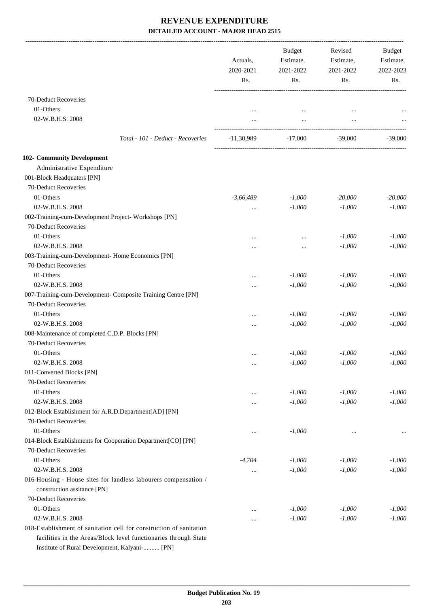|                                                                     | Actuals,<br>2020-2021 | <b>Budget</b><br>Revised<br>Estimate,<br>Estimate,<br>2021-2022 | 2021-2022 | Budget<br>Estimate,<br>2022-2023 |
|---------------------------------------------------------------------|-----------------------|-----------------------------------------------------------------|-----------|----------------------------------|
|                                                                     | Rs.                   | Rs.                                                             | Rs.       | Rs.                              |
| 70-Deduct Recoveries                                                |                       |                                                                 |           |                                  |
| 01-Others                                                           |                       |                                                                 |           |                                  |
| 02-W.B.H.S. 2008                                                    |                       | $\cdots$<br>$\cdots$                                            | $\cdots$  |                                  |
|                                                                     |                       |                                                                 |           |                                  |
| Total - 101 - Deduct - Recoveries                                   | $-11,30,989$          | $-17,000$                                                       | -39,000   | $-39,000$                        |
| <b>102- Community Development</b>                                   |                       |                                                                 |           |                                  |
| Administrative Expenditure                                          |                       |                                                                 |           |                                  |
| 001-Block Headquaters [PN]                                          |                       |                                                                 |           |                                  |
| 70-Deduct Recoveries                                                |                       |                                                                 |           |                                  |
| 01-Others                                                           | $-3,66,489$           | $-1,000$                                                        | $-20,000$ | $-20,000$                        |
| 02-W.B.H.S. 2008                                                    | $\cdots$              | $-1,000$                                                        | $-1,000$  | $-1,000$                         |
| 002-Training-cum-Development Project-Workshops [PN]                 |                       |                                                                 |           |                                  |
| 70-Deduct Recoveries                                                |                       |                                                                 |           |                                  |
| 01-Others                                                           |                       | $\ddotsc$                                                       | $-1,000$  | $-1,000$                         |
| 02-W.B.H.S. 2008                                                    | $\cdots$              | $\cdots$                                                        | $-1,000$  | $-1,000$                         |
| 003-Training-cum-Development- Home Economics [PN]                   |                       |                                                                 |           |                                  |
| 70-Deduct Recoveries                                                |                       |                                                                 |           |                                  |
| 01-Others                                                           |                       | $-1,000$                                                        | $-1,000$  | $-1,000$                         |
| 02-W.B.H.S. 2008                                                    | $\cdots$              | $-1,000$                                                        | $-1,000$  | $-1,000$                         |
| 007-Training-cum-Development- Composite Training Centre [PN]        |                       |                                                                 |           |                                  |
| 70-Deduct Recoveries                                                |                       |                                                                 |           |                                  |
| 01-Others                                                           | $\cdots$              | $-1,000$                                                        | $-1,000$  | $-1,000$                         |
| 02-W.B.H.S. 2008                                                    |                       | $-1,000$                                                        | $-1,000$  | $-1,000$                         |
| 008-Maintenance of completed C.D.P. Blocks [PN]                     |                       |                                                                 |           |                                  |
| 70-Deduct Recoveries                                                |                       |                                                                 |           |                                  |
| 01-Others                                                           |                       | $-1,000$                                                        | $-1,000$  | $-1,000$                         |
| 02-W.B.H.S. 2008                                                    | $\cdots$              | $-1,000$                                                        | $-1,000$  | $-1,000$                         |
| 011-Converted Blocks [PN]                                           |                       |                                                                 |           |                                  |
| 70-Deduct Recoveries                                                |                       |                                                                 |           |                                  |
| 01-Others                                                           | $\cdots$              | $-1,000$                                                        | $-1,000$  | $-1,000$                         |
| 02-W.B.H.S. 2008                                                    |                       | $-1,000$                                                        | $-1,000$  | $-1,000$                         |
| 012-Block Establishment for A.R.D.Department[AD] [PN]               |                       |                                                                 |           |                                  |
| 70-Deduct Recoveries                                                |                       |                                                                 |           |                                  |
| 01-Others                                                           |                       | $-1,000$                                                        |           |                                  |
| 014-Block Establishments for Cooperation Department[CO] [PN]        |                       |                                                                 |           |                                  |
| 70-Deduct Recoveries                                                |                       |                                                                 |           |                                  |
| 01-Others                                                           | $-4,704$              | $-1,000$                                                        | $-1,000$  | $-1,000$                         |
| 02-W.B.H.S. 2008                                                    |                       | $-1,000$                                                        | $-1,000$  | $-1,000$                         |
| 016-Housing - House sites for landless labourers compensation /     |                       |                                                                 |           |                                  |
| construction assitance [PN]                                         |                       |                                                                 |           |                                  |
| 70-Deduct Recoveries                                                |                       |                                                                 |           |                                  |
| 01-Others                                                           |                       | $-1,000$                                                        | $-1,000$  | $-1,000$                         |
| 02-W.B.H.S. 2008                                                    |                       | $-1,000$                                                        | $-1,000$  | $-1,000$                         |
| 018-Establishment of sanitation cell for construction of sanitation |                       |                                                                 |           |                                  |
| facilities in the Areas/Block level functionaries through State     |                       |                                                                 |           |                                  |
| Institute of Rural Development, Kalyani- [PN]                       |                       |                                                                 |           |                                  |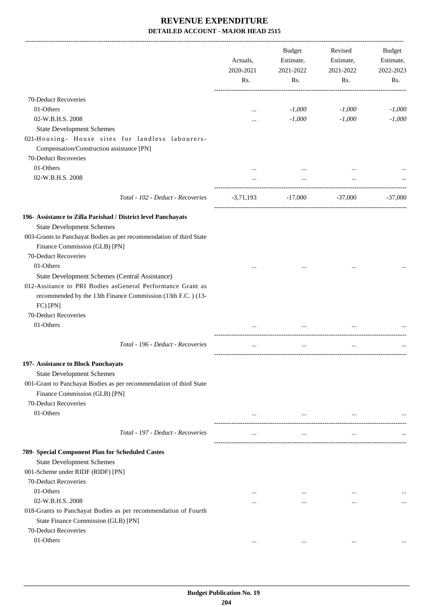|                                                                                                                                                               | Actuals,<br>2020-2021<br>Rs. | <b>Budget</b><br>Estimate,<br>2021-2022<br>Rs. | Revised<br>Estimate,<br>2021-2022<br>Rs. | Budget<br>Estimate,<br>2022-2023<br>Rs. |
|---------------------------------------------------------------------------------------------------------------------------------------------------------------|------------------------------|------------------------------------------------|------------------------------------------|-----------------------------------------|
| 70-Deduct Recoveries                                                                                                                                          |                              |                                                |                                          |                                         |
| 01-Others                                                                                                                                                     | $\cdots$                     | $-1,000$                                       | $-1,000$                                 | $-1,000$                                |
| 02-W.B.H.S. 2008                                                                                                                                              |                              | $-1,000$                                       | $-1,000$                                 | $-1,000$                                |
| <b>State Development Schemes</b>                                                                                                                              |                              |                                                |                                          |                                         |
| 021-Housing- House sites for landless labourers-<br>Compensation/Construction assistance [PN]                                                                 |                              |                                                |                                          |                                         |
| 70-Deduct Recoveries                                                                                                                                          |                              |                                                |                                          |                                         |
| 01-Others                                                                                                                                                     |                              |                                                |                                          |                                         |
| 02-W.B.H.S. 2008                                                                                                                                              |                              | $\ddotsc$                                      |                                          |                                         |
| Total - 102 - Deduct - Recoveries                                                                                                                             | -3,71,193                    | $-17,000$                                      | -37,000                                  | -37.000                                 |
| 196- Assistance to Zilla Parishad / District level Panchayats                                                                                                 |                              |                                                |                                          |                                         |
| <b>State Development Schemes</b>                                                                                                                              |                              |                                                |                                          |                                         |
| 003-Grants to Panchayat Bodies as per recommendation of third State                                                                                           |                              |                                                |                                          |                                         |
| Finance Commission (GLB) [PN]                                                                                                                                 |                              |                                                |                                          |                                         |
| 70-Deduct Recoveries                                                                                                                                          |                              |                                                |                                          |                                         |
| 01-Others                                                                                                                                                     |                              |                                                |                                          |                                         |
| State Development Schemes (Central Assistance)                                                                                                                |                              |                                                |                                          |                                         |
| 012-Assitance to PRI Bodies asGeneral Performance Grant as<br>recommended by the 13th Finance Commission (13th F.C.) (13-<br>FC) [PN]<br>70-Deduct Recoveries |                              |                                                |                                          |                                         |
| 01-Others                                                                                                                                                     |                              |                                                |                                          |                                         |
|                                                                                                                                                               |                              | $\ddotsc$                                      |                                          |                                         |
| Total - 196 - Deduct - Recoveries                                                                                                                             |                              | $\ddotsc$                                      | $\ddotsc$                                |                                         |
| 197- Assistance to Block Panchayats                                                                                                                           |                              |                                                |                                          |                                         |
| <b>State Development Schemes</b>                                                                                                                              |                              |                                                |                                          |                                         |
| 001-Grant to Panchayat Bodies as per recommendation of third State<br>Finance Commission (GLB) [PN]                                                           |                              |                                                |                                          |                                         |
| 70-Deduct Recoveries                                                                                                                                          |                              |                                                |                                          |                                         |
| 01-Others                                                                                                                                                     | $\cdots$                     | $\cdots$                                       |                                          |                                         |
| Total - 197 - Deduct - Recoveries                                                                                                                             | $\cdots$                     | $\ldots$                                       | $\ldots$                                 |                                         |
| 789- Special Component Plan for Scheduled Castes                                                                                                              |                              |                                                |                                          |                                         |
| <b>State Development Schemes</b>                                                                                                                              |                              |                                                |                                          |                                         |
| 001-Scheme under RIDF (RIDF) [PN]                                                                                                                             |                              |                                                |                                          |                                         |
| 70-Deduct Recoveries                                                                                                                                          |                              |                                                |                                          |                                         |
| 01-Others                                                                                                                                                     |                              | $\cdots$                                       |                                          |                                         |
| 02-W.B.H.S. 2008                                                                                                                                              |                              | $\cdots$                                       | $\cdots$                                 |                                         |
| 018-Grants to Panchayat Bodies as per recommendation of Fourth                                                                                                |                              |                                                |                                          |                                         |
| State Finance Commission (GLB) [PN]                                                                                                                           |                              |                                                |                                          |                                         |
| 70-Deduct Recoveries                                                                                                                                          |                              |                                                |                                          |                                         |
| 01-Others                                                                                                                                                     | $\cdots$                     |                                                | $\cdots$                                 |                                         |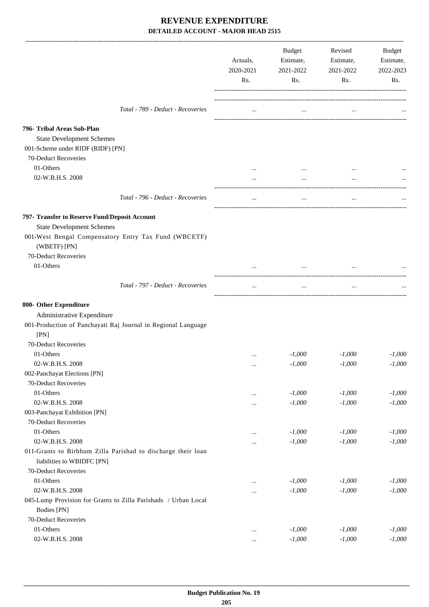|                                                                                                                                                       | Actuals,<br>2020-2021<br>Rs. | Budget<br>Estimate,<br>2021-2022<br>Rs. | Revised<br>Estimate,<br>2021-2022<br>Rs. | Budget<br>Estimate,<br>2022-2023<br>Rs. |
|-------------------------------------------------------------------------------------------------------------------------------------------------------|------------------------------|-----------------------------------------|------------------------------------------|-----------------------------------------|
| Total - 789 - Deduct - Recoveries                                                                                                                     | $\cdots$                     | $\cdots$                                |                                          |                                         |
| 796- Tribal Areas Sub-Plan<br><b>State Development Schemes</b><br>001-Scheme under RIDF (RIDF) [PN]<br>70-Deduct Recoveries                           |                              |                                         |                                          |                                         |
| 01-Others                                                                                                                                             | $\cdots$                     |                                         |                                          |                                         |
| 02-W.B.H.S. 2008                                                                                                                                      |                              |                                         |                                          |                                         |
| Total - 796 - Deduct - Recoveries                                                                                                                     | $\cdots$                     | $\cdots$                                | $\cdots$                                 |                                         |
| 797- Transfer to Reserve Fund/Deposit Account                                                                                                         |                              |                                         |                                          |                                         |
| <b>State Development Schemes</b><br>001-West Bengal Compensatory Entry Tax Fund (WBCETF)<br>(WBETF) [PN]                                              |                              |                                         |                                          |                                         |
| 70-Deduct Recoveries<br>01-Others                                                                                                                     |                              | $\cdots$                                |                                          |                                         |
| Total - 797 - Deduct - Recoveries                                                                                                                     | $\cdots$                     | $\cdots$                                |                                          |                                         |
| 800- Other Expenditure<br>Administrative Expenditure<br>001-Production of Panchayati Raj Journal in Regional Language<br>[PN]<br>70-Deduct Recoveries |                              |                                         |                                          |                                         |
| 01-Others                                                                                                                                             |                              | $-1,000$                                | $-1,000$                                 | $-1,000$                                |
| 02-W.B.H.S. 2008                                                                                                                                      | $\cdots$                     | $-1,000$                                | $-1,000$                                 | $-1,000$                                |
| 002-Panchayat Elections [PN]                                                                                                                          | $\ldots$                     |                                         |                                          |                                         |
| 70-Deduct Recoveries                                                                                                                                  |                              |                                         |                                          |                                         |
| 01-Others                                                                                                                                             | $\ldots$                     | $-1,000$                                | $-1,000$                                 | $-1,000$                                |
| 02-W.B.H.S. 2008                                                                                                                                      | $\cdots$                     | $-1,000$                                | $-1,000$                                 | $-1,000$                                |
| 003-Panchayat Exhibition [PN]                                                                                                                         |                              |                                         |                                          |                                         |
| 70-Deduct Recoveries                                                                                                                                  |                              |                                         |                                          |                                         |
| 01-Others                                                                                                                                             | $\cdots$                     | $-1,000$                                | $-1,000$                                 | $-1,000$                                |
| 02-W.B.H.S. 2008                                                                                                                                      | $\cdots$                     | $-1,000$                                | $-1,000$                                 | $-1,000$                                |
| 011-Grants to Birbhum Zilla Parishad to discharge their loan<br>liabilities to WBIDFC [PN]                                                            |                              |                                         |                                          |                                         |
| 70-Deduct Recoveries<br>01-Others                                                                                                                     |                              |                                         |                                          |                                         |
| 02-W.B.H.S. 2008                                                                                                                                      | $\cdots$                     | $-1,000$<br>$-1,000$                    | $-1,000$<br>$-1,000$                     | $-1,000$<br>$-1,000$                    |
| 045-Lump Provision for Grants to Zilla Parishads / Urban Local<br>Bodies [PN]                                                                         |                              |                                         |                                          |                                         |
| 70-Deduct Recoveries                                                                                                                                  |                              |                                         |                                          |                                         |
| 01-Others                                                                                                                                             | $\ldots$                     | $-1,000$                                | $-1,000$                                 | $-1,000$                                |
| 02-W.B.H.S. 2008                                                                                                                                      | $\cdots$                     | $-1,000$                                | $-1,000$                                 | $-1,000$                                |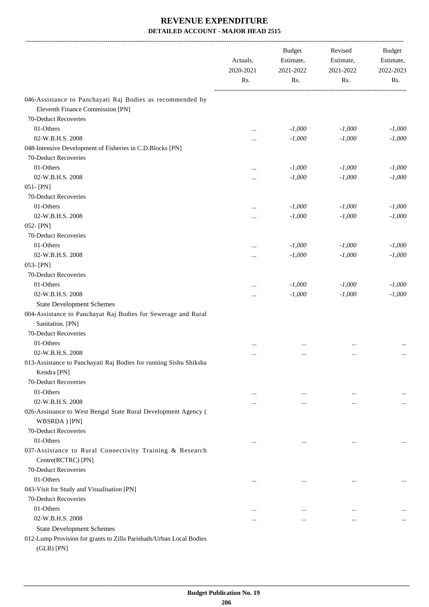|                                                                     | Actuals,<br>2020-2021 | <b>Budget</b><br>Estimate,<br>2021-2022 | Revised<br>Estimate,<br>2021-2022 | <b>Budget</b><br>Estimate,<br>2022-2023 |
|---------------------------------------------------------------------|-----------------------|-----------------------------------------|-----------------------------------|-----------------------------------------|
|                                                                     | Rs.                   | Rs.                                     | Rs.                               | Rs.                                     |
| 046-Assistance to Panchayati Raj Bodies as recommended by           |                       |                                         |                                   |                                         |
| Eleventh Finance Commission [PN]                                    |                       |                                         |                                   |                                         |
| 70-Deduct Recoveries                                                |                       |                                         |                                   |                                         |
| 01-Others                                                           | $\ddotsc$             | $-1,000$                                | $-1,000$                          | $-1,000$                                |
| 02-W.B.H.S. 2008                                                    |                       | $-1,000$                                | $-1,000$                          | $-1,000$                                |
| 048-Intensive Development of Fisheries in C.D.Blocks [PN]           |                       |                                         |                                   |                                         |
| 70-Deduct Recoveries                                                |                       |                                         |                                   |                                         |
| 01-Others                                                           |                       | $-1,000$                                | $-1,000$                          | $-1,000$                                |
| 02-W.B.H.S. 2008                                                    |                       | $-1,000$                                | $-1,000$                          | $-1,000$                                |
| 051-[PN]                                                            |                       |                                         |                                   |                                         |
| 70-Deduct Recoveries                                                |                       |                                         |                                   |                                         |
| 01-Others                                                           |                       | $-1,000$                                | $-1,000$                          | $-1,000$                                |
| 02-W.B.H.S. 2008                                                    | $\cdots$              | $-1,000$                                | $-1,000$                          | $-1,000$                                |
| 052-[PN]                                                            |                       |                                         |                                   |                                         |
| 70-Deduct Recoveries                                                |                       |                                         |                                   |                                         |
| 01-Others                                                           |                       | $-1,000$                                | $-1,000$                          | $-1,000$                                |
| 02-W.B.H.S. 2008                                                    |                       | $-1,000$                                | $-1,000$                          | $-1,000$                                |
| 053-[PN]                                                            |                       |                                         |                                   |                                         |
| 70-Deduct Recoveries                                                |                       |                                         |                                   |                                         |
| 01-Others                                                           |                       | $-1,000$                                | $-1,000$                          | $-1,000$                                |
| 02-W.B.H.S. 2008                                                    | $\cdots$              | $-1,000$                                | $-1,000$                          | $-1,000$                                |
| <b>State Development Schemes</b>                                    |                       |                                         |                                   |                                         |
| 004-Assistance to Panchayat Raj Bodies for Sewerage and Rural       |                       |                                         |                                   |                                         |
| Sanitation. [PN]                                                    |                       |                                         |                                   |                                         |
| 70-Deduct Recoveries                                                |                       |                                         |                                   |                                         |
| 01-Others                                                           |                       |                                         |                                   |                                         |
| 02-W.B.H.S. 2008                                                    |                       | $\cdots$                                |                                   |                                         |
| 013-Assistance to Panchayati Raj Bodies for running Sishu Shiksha   |                       |                                         |                                   |                                         |
| Kendra [PN]                                                         |                       |                                         |                                   |                                         |
| 70-Deduct Recoveries                                                |                       |                                         |                                   |                                         |
| 01-Others                                                           | $\cdots$              | $\cdots$                                | $\ddotsc$                         |                                         |
| 02-W.B.H.S. 2008                                                    | $\cdots$              |                                         | $\ddotsc$                         |                                         |
| 026-Assistance to West Bengal State Rural Development Agency (      |                       |                                         |                                   |                                         |
| WBSRDA) [PN]                                                        |                       |                                         |                                   |                                         |
| 70-Deduct Recoveries                                                |                       |                                         |                                   |                                         |
| 01-Others                                                           | $\cdots$              |                                         | $\ddotsc$                         |                                         |
| 037-Assistance to Rural Connectivity Training & Research            |                       |                                         |                                   |                                         |
| Centre(RCTRC) [PN]                                                  |                       |                                         |                                   |                                         |
| 70-Deduct Recoveries                                                |                       |                                         |                                   |                                         |
| 01-Others                                                           | $\ddotsc$             | $\cdots$                                | $\ddotsc$                         |                                         |
| 043-Visit for Study and Visualisation [PN]                          |                       |                                         |                                   |                                         |
| 70-Deduct Recoveries                                                |                       |                                         |                                   |                                         |
| 01-Others                                                           |                       | $\ddotsc$                               |                                   |                                         |
| 02-W.B.H.S. 2008                                                    |                       |                                         | $\ddotsc$                         |                                         |
| <b>State Development Schemes</b>                                    |                       |                                         |                                   |                                         |
| 012-Lump Provision for grants to Zilla Parishads/Urban Local Bodies |                       |                                         |                                   |                                         |
| $(GLB)$ [PN]                                                        |                       |                                         |                                   |                                         |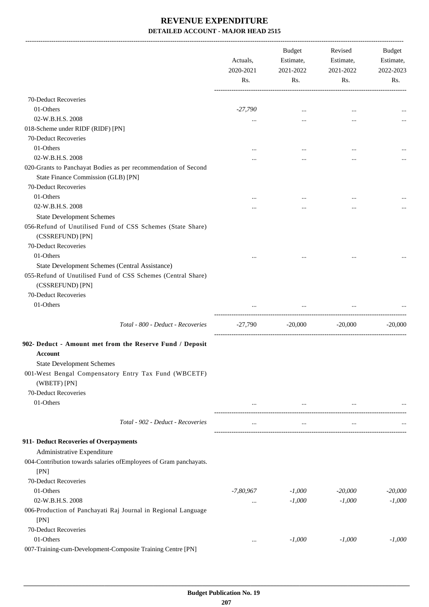|                                                                                  | Actuals,<br>2020-2021<br>Rs. | Budget<br>Estimate,<br>2021-2022<br>Rs. | Revised<br>Estimate,<br>2021-2022<br>Rs. | <b>Budget</b><br>Estimate,<br>2022-2023<br>Rs. |
|----------------------------------------------------------------------------------|------------------------------|-----------------------------------------|------------------------------------------|------------------------------------------------|
|                                                                                  |                              |                                         |                                          |                                                |
| 70-Deduct Recoveries                                                             |                              |                                         |                                          |                                                |
| 01-Others                                                                        | $-27,790$                    | $\cdots$                                | $\ddotsc$                                |                                                |
| 02-W.B.H.S. 2008                                                                 | $\cdots$                     |                                         |                                          |                                                |
| 018-Scheme under RIDF (RIDF) [PN]                                                |                              |                                         |                                          |                                                |
| 70-Deduct Recoveries                                                             |                              |                                         |                                          |                                                |
| 01-Others                                                                        |                              |                                         |                                          |                                                |
| 02-W.B.H.S. 2008                                                                 |                              |                                         |                                          |                                                |
| 020-Grants to Panchayat Bodies as per recommendation of Second                   |                              |                                         |                                          |                                                |
| State Finance Commission (GLB) [PN]                                              |                              |                                         |                                          |                                                |
| 70-Deduct Recoveries                                                             |                              |                                         |                                          |                                                |
| 01-Others                                                                        |                              |                                         |                                          |                                                |
| 02-W.B.H.S. 2008                                                                 |                              |                                         |                                          |                                                |
| <b>State Development Schemes</b>                                                 |                              |                                         |                                          |                                                |
| 056-Refund of Unutilised Fund of CSS Schemes (State Share)<br>(CSSREFUND) [PN]   |                              |                                         |                                          |                                                |
| 70-Deduct Recoveries                                                             |                              |                                         |                                          |                                                |
| 01-Others                                                                        | $\cdots$                     |                                         | $\ddotsc$                                |                                                |
| State Development Schemes (Central Assistance)                                   |                              |                                         |                                          |                                                |
| 055-Refund of Unutilised Fund of CSS Schemes (Central Share)<br>(CSSREFUND) [PN] |                              |                                         |                                          |                                                |
| 70-Deduct Recoveries                                                             |                              |                                         |                                          |                                                |
| 01-Others                                                                        |                              | $\cdots$                                | $\cdots$                                 |                                                |
| Total - 800 - Deduct - Recoveries                                                | -27,790                      | $-20,000$                               | $-20,000$                                | $-20,000$                                      |
| 902- Deduct - Amount met from the Reserve Fund / Deposit                         |                              |                                         |                                          |                                                |
| Account                                                                          |                              |                                         |                                          |                                                |
| <b>State Development Schemes</b>                                                 |                              |                                         |                                          |                                                |
| 001-West Bengal Compensatory Entry Tax Fund (WBCETF)                             |                              |                                         |                                          |                                                |
| (WBETF) [PN]                                                                     |                              |                                         |                                          |                                                |
| 70-Deduct Recoveries                                                             |                              |                                         |                                          |                                                |
| 01-Others                                                                        | $\cdots$                     | $\cdots$                                |                                          |                                                |
|                                                                                  |                              |                                         |                                          |                                                |
| Total - 902 - Deduct - Recoveries                                                | $\cdots$                     | $\cdots$                                | $\cdots$                                 |                                                |
| 911- Deduct Recoveries of Overpayments                                           |                              |                                         |                                          |                                                |
| Administrative Expenditure                                                       |                              |                                         |                                          |                                                |
| 004-Contribution towards salaries ofEmployees of Gram panchayats.                |                              |                                         |                                          |                                                |
| [PN]                                                                             |                              |                                         |                                          |                                                |
| 70-Deduct Recoveries                                                             |                              |                                         |                                          |                                                |
| 01-Others                                                                        | $-7,80,967$                  | $-1,000$                                | $-20,000$                                | $-20,000$                                      |
| 02-W.B.H.S. 2008                                                                 | $\cdots$                     | $-1,000$                                | $-1,000$                                 | $-1,000$                                       |
| 006-Production of Panchayati Raj Journal in Regional Language                    |                              |                                         |                                          |                                                |
| [PN]                                                                             |                              |                                         |                                          |                                                |
| 70-Deduct Recoveries                                                             |                              |                                         |                                          |                                                |
| 01-Others                                                                        |                              | $-1,000$                                | $-1,000$                                 | $-1,000$                                       |
| 007-Training-cum-Development-Composite Training Centre [PN]                      |                              |                                         |                                          |                                                |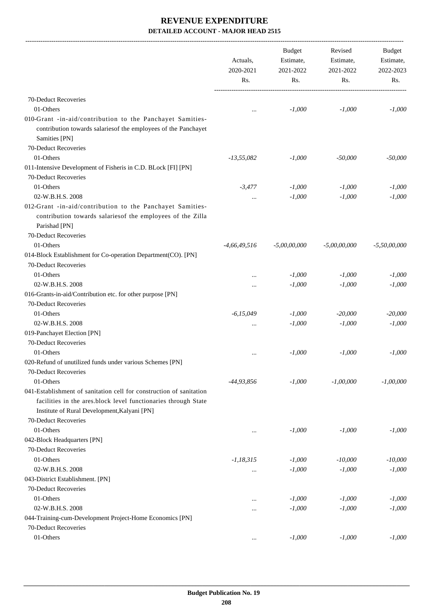-------------------------------------------------------------------------------------------------------------------------------------------------------------------------------

|                                                                                                                                              | Actuals,<br>2020-2021<br>Rs. | <b>Budget</b><br>Estimate,<br>2021-2022<br>Rs. | Revised<br>Estimate,<br>2021-2022<br>Rs. | <b>Budget</b><br>Estimate,<br>2022-2023<br>Rs. |
|----------------------------------------------------------------------------------------------------------------------------------------------|------------------------------|------------------------------------------------|------------------------------------------|------------------------------------------------|
|                                                                                                                                              |                              |                                                |                                          |                                                |
| 70-Deduct Recoveries                                                                                                                         |                              |                                                |                                          |                                                |
| 01-Others                                                                                                                                    |                              | $-1,000$                                       | $-1,000$                                 | $-1,000$                                       |
| 010-Grant -in-aid/contribution to the Panchayet Samities-<br>contribution towards salariesof the employees of the Panchayet<br>Samities [PN] |                              |                                                |                                          |                                                |
| 70-Deduct Recoveries                                                                                                                         |                              |                                                |                                          |                                                |
| 01-Others                                                                                                                                    | $-13,55,082$                 | $-1,000$                                       | $-50,000$                                | $-50,000$                                      |
| 011-Intensive Development of Fisheris in C.D. BLock [FI] [PN]                                                                                |                              |                                                |                                          |                                                |
| 70-Deduct Recoveries                                                                                                                         |                              |                                                |                                          |                                                |
| 01-Others                                                                                                                                    | $-3.477$                     | $-1,000$                                       | $-1,000$                                 | $-1,000$                                       |
| 02-W.B.H.S. 2008                                                                                                                             | $\cdots$                     | $-1,000$                                       | $-1,000$                                 | $-1,000$                                       |
| 012-Grant -in-aid/contribution to the Panchayet Samities-<br>contribution towards salariesof the employees of the Zilla<br>Parishad [PN]     |                              |                                                |                                          |                                                |
| 70-Deduct Recoveries                                                                                                                         |                              |                                                |                                          |                                                |
| 01-Others                                                                                                                                    | $-4,66,49,516$               | $-5,00,00,000$                                 | $-5,00,00,000$                           | $-5,50,00,000$                                 |
| 014-Block Establishment for Co-operation Department(CO). [PN]<br>70-Deduct Recoveries                                                        |                              |                                                |                                          |                                                |
| 01-Others                                                                                                                                    |                              | $-1,000$                                       | $-1,000$                                 | $-1,000$                                       |
| 02-W.B.H.S. 2008                                                                                                                             |                              | $-1,000$                                       | $-1,000$                                 | $-1,000$                                       |
| 016-Grants-in-aid/Contribution etc. for other purpose [PN]                                                                                   |                              |                                                |                                          |                                                |
| 70-Deduct Recoveries                                                                                                                         |                              |                                                |                                          |                                                |
| 01-Others                                                                                                                                    | $-6,15,049$                  | $-1,000$                                       | $-20,000$                                | $-20,000$                                      |
| 02-W.B.H.S. 2008                                                                                                                             | $\ddotsc$                    | $-1,000$                                       | $-1,000$                                 | $-1,000$                                       |
| 019-Panchayet Election [PN]                                                                                                                  |                              |                                                |                                          |                                                |
| 70-Deduct Recoveries                                                                                                                         |                              |                                                |                                          |                                                |
| 01-Others                                                                                                                                    |                              | $-1,000$                                       | $-1,000$                                 | $-1,000$                                       |
| 020-Refund of unutilized funds under various Schemes [PN]                                                                                    | $\ddotsc$                    |                                                |                                          |                                                |
| 70-Deduct Recoveries                                                                                                                         |                              |                                                |                                          |                                                |
| 01-Others                                                                                                                                    | -44,93,856                   | $-1,000$                                       | $-1,00,000$                              | $-1,00,000$                                    |
| 041-Establishment of sanitation cell for construction of sanitation                                                                          |                              |                                                |                                          |                                                |
| facilities in the ares.block level functionaries through State<br>Institute of Rural Development, Kalyani [PN]                               |                              |                                                |                                          |                                                |
| 70-Deduct Recoveries                                                                                                                         |                              |                                                |                                          |                                                |
| 01-Others                                                                                                                                    | $\ddotsc$                    | $-1,000$                                       | $-1,000$                                 | $-1.000$                                       |
| 042-Block Headquarters [PN]                                                                                                                  |                              |                                                |                                          |                                                |
| 70-Deduct Recoveries                                                                                                                         |                              |                                                |                                          |                                                |
| 01-Others                                                                                                                                    | $-1,18,315$                  | $-1,000$                                       | $-10,000$                                | $-10,000$                                      |
| 02-W.B.H.S. 2008                                                                                                                             | $\cdots$                     | $-1,000$                                       | $-1,000$                                 | $-1,000$                                       |
| 043-District Establishment. [PN]                                                                                                             |                              |                                                |                                          |                                                |
| 70-Deduct Recoveries                                                                                                                         |                              |                                                |                                          |                                                |
| 01-Others                                                                                                                                    | $\cdots$                     | $-1,000$                                       | $-1,000$                                 | $-1,000$                                       |
| 02-W.B.H.S. 2008                                                                                                                             | $\cdots$                     | $-1,000$                                       | $-1,000$                                 | $-1,000$                                       |
| 044-Training-cum-Development Project-Home Economics [PN]                                                                                     |                              |                                                |                                          |                                                |
| 70-Deduct Recoveries                                                                                                                         |                              |                                                |                                          |                                                |
| 01-Others                                                                                                                                    | $\cdots$                     | $-1,000$                                       | $-1,000$                                 | $-1,000$                                       |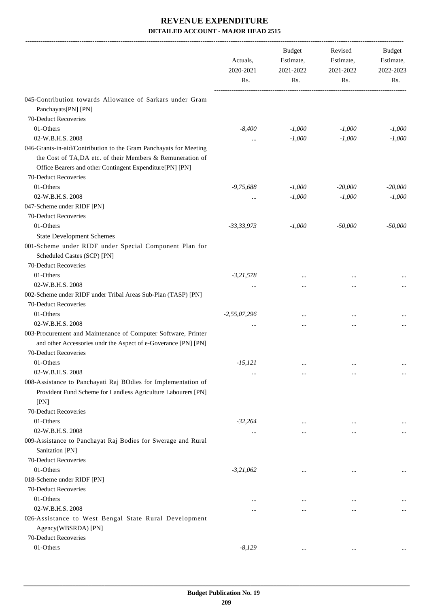|                                                                                                                                                                                            | Actuals,<br>2020-2021<br>Rs. | <b>Budget</b><br>Estimate,<br>2021-2022<br>Rs. | Revised<br>Estimate,<br>2021-2022<br>Rs. | Budget<br>Estimate,<br>2022-2023<br>Rs. |
|--------------------------------------------------------------------------------------------------------------------------------------------------------------------------------------------|------------------------------|------------------------------------------------|------------------------------------------|-----------------------------------------|
|                                                                                                                                                                                            |                              |                                                |                                          |                                         |
| 045-Contribution towards Allowance of Sarkars under Gram                                                                                                                                   |                              |                                                |                                          |                                         |
| Panchayats[PN] [PN]                                                                                                                                                                        |                              |                                                |                                          |                                         |
| 70-Deduct Recoveries                                                                                                                                                                       |                              |                                                |                                          |                                         |
| 01-Others                                                                                                                                                                                  | $-8,400$                     | $-1,000$                                       | $-1,000$                                 | $-1,000$                                |
| 02-W.B.H.S. 2008                                                                                                                                                                           |                              | $-1,000$                                       | $-1,000$                                 | $-1,000$                                |
| 046-Grants-in-aid/Contribution to the Gram Panchayats for Meeting<br>the Cost of TA,DA etc. of their Members & Remuneration of<br>Office Bearers and other Contingent Expenditure[PN] [PN] |                              |                                                |                                          |                                         |
| 70-Deduct Recoveries                                                                                                                                                                       |                              |                                                |                                          |                                         |
| 01-Others                                                                                                                                                                                  | $-9,75,688$                  | $-1,000$                                       | $-20,000$                                | $-20,000$                               |
| 02-W.B.H.S. 2008                                                                                                                                                                           | $\cdots$                     | $-1,000$                                       | $-1,000$                                 | $-1,000$                                |
| 047-Scheme under RIDF [PN]                                                                                                                                                                 |                              |                                                |                                          |                                         |
| 70-Deduct Recoveries                                                                                                                                                                       |                              |                                                |                                          |                                         |
| 01-Others                                                                                                                                                                                  | $-33,33,973$                 | $-1,000$                                       | $-50,000$                                | $-50,000$                               |
| <b>State Development Schemes</b>                                                                                                                                                           |                              |                                                |                                          |                                         |
| 001-Scheme under RIDF under Special Component Plan for                                                                                                                                     |                              |                                                |                                          |                                         |
| Scheduled Castes (SCP) [PN]                                                                                                                                                                |                              |                                                |                                          |                                         |
| 70-Deduct Recoveries                                                                                                                                                                       |                              |                                                |                                          |                                         |
| 01-Others                                                                                                                                                                                  | $-3,21,578$                  |                                                |                                          |                                         |
| 02-W.B.H.S. 2008                                                                                                                                                                           |                              |                                                | $\cdots$                                 |                                         |
| 002-Scheme under RIDF under Tribal Areas Sub-Plan (TASP) [PN]                                                                                                                              |                              |                                                |                                          |                                         |
| 70-Deduct Recoveries                                                                                                                                                                       |                              |                                                |                                          |                                         |
| 01-Others                                                                                                                                                                                  | $-2,55,07,296$               |                                                |                                          |                                         |
| 02-W.B.H.S. 2008                                                                                                                                                                           |                              |                                                |                                          |                                         |
| 003-Procurement and Maintenance of Computer Software, Printer                                                                                                                              |                              |                                                |                                          |                                         |
| and other Accessories undr the Aspect of e-Goverance [PN] [PN]                                                                                                                             |                              |                                                |                                          |                                         |
| 70-Deduct Recoveries                                                                                                                                                                       |                              |                                                |                                          |                                         |
| 01-Others                                                                                                                                                                                  | $-15, 121$                   |                                                |                                          |                                         |
| 02-W.B.H.S. 2008                                                                                                                                                                           |                              | $\cdots$                                       | $\cdots$                                 | $\cdots$                                |
| 008-Assistance to Panchayati Raj BOdies for Implementation of                                                                                                                              |                              | $\ddotsc$                                      | $\ddotsc$                                | $\cdots$                                |
| Provident Fund Scheme for Landless Agriculture Labourers [PN]<br>[PN]                                                                                                                      |                              |                                                |                                          |                                         |
| 70-Deduct Recoveries                                                                                                                                                                       |                              |                                                |                                          |                                         |
| 01-Others                                                                                                                                                                                  | $-32,264$                    |                                                |                                          |                                         |
| 02-W.B.H.S. 2008                                                                                                                                                                           |                              | $\ddotsc$                                      | $\ddotsc$                                |                                         |
| 009-Assistance to Panchayat Raj Bodies for Swerage and Rural                                                                                                                               | $\cdots$                     |                                                | $\ddotsc$                                | $\cdots$                                |
| Sanitation [PN]                                                                                                                                                                            |                              |                                                |                                          |                                         |
| 70-Deduct Recoveries                                                                                                                                                                       |                              |                                                |                                          |                                         |
| 01-Others                                                                                                                                                                                  | $-3,21,062$                  |                                                |                                          |                                         |
| 018-Scheme under RIDF [PN]                                                                                                                                                                 |                              | $\cdots$                                       | $\cdots$                                 | $\cdots$                                |
| 70-Deduct Recoveries                                                                                                                                                                       |                              |                                                |                                          |                                         |
| 01-Others                                                                                                                                                                                  |                              |                                                |                                          |                                         |
| 02-W.B.H.S. 2008                                                                                                                                                                           |                              | $\ddotsc$                                      | $\ddotsc$                                |                                         |
|                                                                                                                                                                                            |                              | $\ddotsc$                                      |                                          |                                         |
| 026-Assistance to West Bengal State Rural Development<br>Agency(WBSRDA) [PN]                                                                                                               |                              |                                                |                                          |                                         |
| 70-Deduct Recoveries                                                                                                                                                                       |                              |                                                |                                          |                                         |
| 01-Others                                                                                                                                                                                  | $-8,129$                     | $\ddotsc$                                      | $\cdots$                                 |                                         |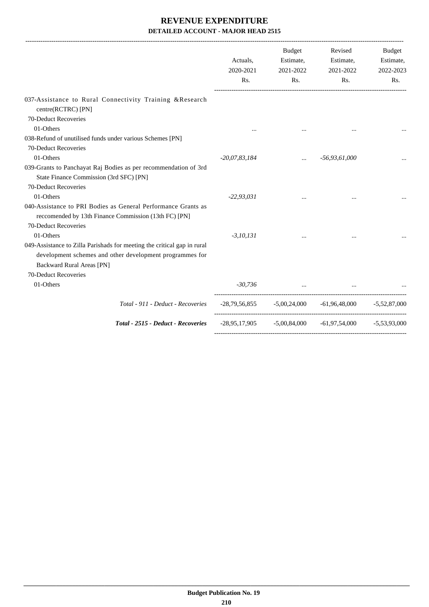|                                                                                                                                                                                                 | Actuals,<br>2020-2021<br>Rs. | <b>Budget</b><br>Estimate,<br>2021-2022<br>Rs. | Revised<br>Estimate,<br>2021-2022<br>Rs.                      | Budget<br>Estimate,<br>2022-2023<br>Rs. |
|-------------------------------------------------------------------------------------------------------------------------------------------------------------------------------------------------|------------------------------|------------------------------------------------|---------------------------------------------------------------|-----------------------------------------|
| 037-Assistance to Rural Connectivity Training &Research<br>centre(RCTRC) [PN]                                                                                                                   |                              |                                                |                                                               |                                         |
| 70-Deduct Recoveries                                                                                                                                                                            |                              |                                                |                                                               |                                         |
| 01-Others                                                                                                                                                                                       |                              |                                                |                                                               |                                         |
| 038-Refund of unutilised funds under various Schemes [PN]                                                                                                                                       |                              |                                                |                                                               |                                         |
| 70-Deduct Recoveries                                                                                                                                                                            |                              |                                                |                                                               |                                         |
| 01-Others                                                                                                                                                                                       | $-20,07,83,184$              | $\cdots$                                       | $-56,93,61,000$                                               |                                         |
| 039-Grants to Panchayat Raj Bodies as per recommendation of 3rd<br>State Finance Commission (3rd SFC) [PN]<br>70-Deduct Recoveries                                                              |                              |                                                |                                                               |                                         |
| 01-Others                                                                                                                                                                                       | $-22,93,031$                 |                                                |                                                               |                                         |
| 040-Assistance to PRI Bodies as General Performance Grants as<br>reccomended by 13th Finance Commission (13th FC) [PN]<br>70-Deduct Recoveries                                                  |                              |                                                |                                                               |                                         |
| 01-Others                                                                                                                                                                                       | $-3, 10, 131$                |                                                |                                                               |                                         |
| 049-Assistance to Zilla Parishads for meeting the critical gap in rural<br>development schemes and other development programmes for<br><b>Backward Rural Areas [PN]</b><br>70-Deduct Recoveries |                              |                                                |                                                               |                                         |
| 01-Others                                                                                                                                                                                       |                              | $-30,736$                                      | $\cdots$                                                      |                                         |
|                                                                                                                                                                                                 |                              |                                                |                                                               |                                         |
| Total - 911 - Deduct - Recoveries                                                                                                                                                               |                              |                                                | $-28,79,56,855$ $-5,00,24,000$ $-61,96,48,000$ $-5,52,87,000$ |                                         |
| Total - 2515 - Deduct - Recoveries                                                                                                                                                              |                              |                                                | $-28,95,17,905$ $-5,00,84,000$ $-61,97,54,000$ $-5,53,93,000$ |                                         |
|                                                                                                                                                                                                 |                              |                                                |                                                               |                                         |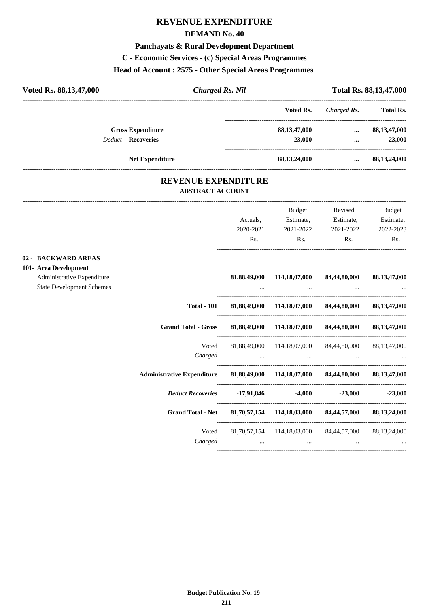# **REVENUE EXPENDITURE**

### **DEMAND No. 40**

### **Panchayats & Rural Development Department**

**C - Economic Services - (c) Special Areas Programmes**

### **Head of Account : 2575 - Other Special Areas Programmes**

| Voted Rs. 88,13,47,000     | <b>Charged Rs. Nil</b> |                 |             | Total Rs. 88, 13, 47, 000 |
|----------------------------|------------------------|-----------------|-------------|---------------------------|
|                            |                        | Voted Rs.       | Charged Rs. | <b>Total Rs.</b>          |
| <b>Gross Expenditure</b>   |                        | 88, 13, 47, 000 | $\cdots$    | 88,13,47,000              |
| <b>Deduct - Recoveries</b> |                        | $-23.000$       |             | $-23,000$                 |
| <b>Net Expenditure</b>     |                        | 88,13,24,000    |             | 88,13,24,000              |

### **REVENUE EXPENDITURE ABSTRACT ACCOUNT**

---------------------------------------------------------------------------------------------------------------------------------------------------------------------------------

|                                                                                                                |                                                                                 | Actuals,<br>2020-2021<br>Rs. | Budget<br>Estimate,<br>2021-2022<br>Rs.                          | Revised<br>Estimate,<br>2021-2022<br>Rs. | Budget<br>Estimate,<br>2022-2023<br>Rs. |
|----------------------------------------------------------------------------------------------------------------|---------------------------------------------------------------------------------|------------------------------|------------------------------------------------------------------|------------------------------------------|-----------------------------------------|
| 02 - BACKWARD AREAS<br>101- Area Development<br>Administrative Expenditure<br><b>State Development Schemes</b> |                                                                                 |                              | 81,88,49,000 114,18,07,000                                       | 84,44,80,000                             | 88, 13, 47, 000                         |
|                                                                                                                |                                                                                 |                              | Total - 101 81,88,49,000 114,18,07,000 84,44,80,000 88,13,47,000 |                                          |                                         |
|                                                                                                                | Grand Total - Gross 81,88,49,000 114,18,07,000 84,44,80,000 88,13,47,000        |                              |                                                                  |                                          |                                         |
|                                                                                                                |                                                                                 |                              | Voted 81,88,49,000 114,18,07,000 84,44,80,000 88,13,47,000       |                                          |                                         |
|                                                                                                                | Administrative Expenditure 81,88,49,000 114,18,07,000 84,44,80,000 88,13,47,000 |                              |                                                                  |                                          |                                         |
|                                                                                                                |                                                                                 |                              |                                                                  |                                          |                                         |
|                                                                                                                | Grand Total - Net 81,70,57,154 114,18,03,000 84,44,57,000 88,13,24,000          |                              |                                                                  |                                          |                                         |
|                                                                                                                | Voted                                                                           |                              | 81.70.57.154 114.18.03.000 84.44.57.000                          |                                          | 88,13,24,000                            |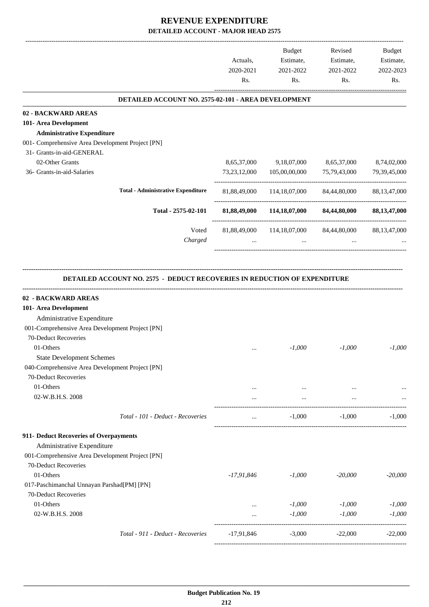|                                                                                                                                                                                                           | Actuals,<br>2020-2021<br>Rs. | <b>Budget</b><br>Estimate,<br>2021-2022<br>Rs. | Revised<br>Estimate,<br>2021-2022<br>Rs. | Budget<br>Estimate,<br>2022-2023<br>Rs. |
|-----------------------------------------------------------------------------------------------------------------------------------------------------------------------------------------------------------|------------------------------|------------------------------------------------|------------------------------------------|-----------------------------------------|
| DETAILED ACCOUNT NO. 2575-02-101 - AREA DEVELOPMENT                                                                                                                                                       |                              |                                                |                                          |                                         |
| 02 - BACKWARD AREAS                                                                                                                                                                                       |                              |                                                |                                          |                                         |
| 101- Area Development                                                                                                                                                                                     |                              |                                                |                                          |                                         |
| <b>Administrative Expenditure</b>                                                                                                                                                                         |                              |                                                |                                          |                                         |
| 001- Comprehensive Area Development Project [PN]                                                                                                                                                          |                              |                                                |                                          |                                         |
| 31- Grants-in-aid-GENERAL                                                                                                                                                                                 |                              |                                                |                                          |                                         |
| 02-Other Grants                                                                                                                                                                                           | 8,65,37,000                  | 9,18,07,000                                    | 8,65,37,000                              | 8,74,02,000                             |
| 36- Grants-in-aid-Salaries                                                                                                                                                                                | 73, 23, 12, 000              | 105,00,00,000                                  | 75,79,43,000                             | 79, 39, 45, 000                         |
| <b>Total - Administrative Expenditure</b>                                                                                                                                                                 |                              | 81,88,49,000 114,18,07,000 84,44,80,000        |                                          | 88, 13, 47, 000                         |
| Total - 2575-02-101                                                                                                                                                                                       |                              | 81,88,49,000 114,18,07,000 84,44,80,000        |                                          | 88,13,47,000                            |
| Voted                                                                                                                                                                                                     | 81,88,49,000                 | 114,18,07,000                                  | 84,44,80,000                             | 88, 13, 47, 000                         |
| Charged                                                                                                                                                                                                   | $\cdots$                     | $\mathbf{r}$                                   | $\cdots$                                 |                                         |
| DETAILED ACCOUNT NO. 2575 - DEDUCT RECOVERIES IN REDUCTION OF EXPENDITURE<br>02 - BACKWARD AREAS<br>101- Area Development                                                                                 |                              |                                                |                                          |                                         |
| Administrative Expenditure<br>001-Comprehensive Area Development Project [PN]<br>70-Deduct Recoveries<br>01-Others<br><b>State Development Schemes</b><br>040-Comprehensive Area Development Project [PN] |                              | $-1,000$                                       | $-1,000$                                 | $-1,000$                                |
| 70-Deduct Recoveries<br>01-Others                                                                                                                                                                         | $\cdots$                     | $\cdots$                                       | $\cdots$                                 |                                         |
| 02-W.B.H.S. 2008                                                                                                                                                                                          |                              | $\ldots$                                       | $\cdots$                                 |                                         |
| Total - 101 - Deduct - Recoveries                                                                                                                                                                         | $\cdots$                     | $-1,000$                                       | $-1,000$                                 | $-1,000$                                |
| 911- Deduct Recoveries of Overpayments<br>Administrative Expenditure<br>001-Comprehensive Area Development Project [PN]                                                                                   |                              |                                                |                                          |                                         |
| 70-Deduct Recoveries<br>01-Others<br>017-Paschimanchal Unnayan Parshad[PM] [PN]                                                                                                                           | $-17,91,846$                 | $-1,000$                                       | $-20,000$                                |                                         |
| 70-Deduct Recoveries                                                                                                                                                                                      |                              |                                                |                                          |                                         |
| 01-Others                                                                                                                                                                                                 | $\cdots$                     | $-1,000$                                       | $-1,000$                                 |                                         |
| 02-W.B.H.S. 2008                                                                                                                                                                                          | $\cdots$                     | $-1,000$                                       | $-1,000$                                 | $-20,000$<br>$-1,000$<br>$-1,000$       |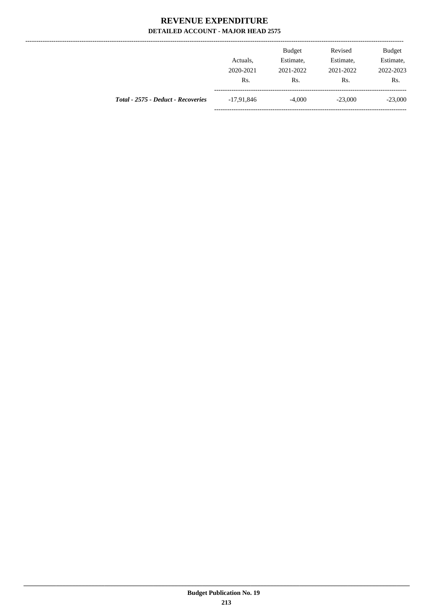--------------

|                                    | Actuals.<br>2020-2021<br>Rs. | <b>Budget</b><br>Estimate,<br>2021-2022<br>Rs. | Revised<br>Estimate,<br>2021-2022<br>Rs. | <b>Budget</b><br>Estimate,<br>2022-2023<br>Rs. |
|------------------------------------|------------------------------|------------------------------------------------|------------------------------------------|------------------------------------------------|
| Total - 2575 - Deduct - Recoveries | $-17.91.846$                 | $-4,000$                                       | $-23,000$                                | $-23,000$                                      |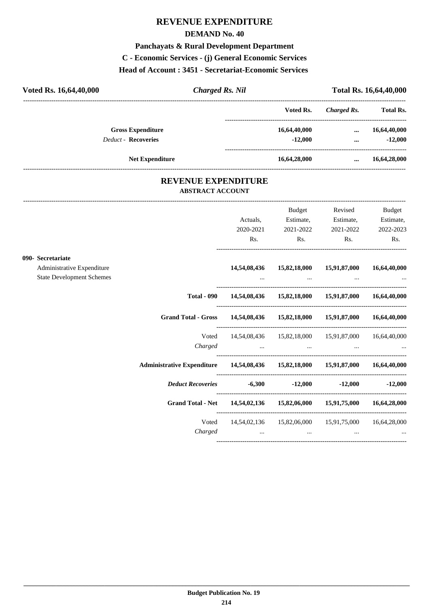### **REVENUE EXPENDITURE**

#### **DEMAND No. 40**

#### **Panchayats & Rural Development Department**

**C - Economic Services - (j) General Economic Services**

**Head of Account : 3451 - Secretariat-Economic Services** 

| Voted Rs. 16,64,40,000     | Charged Rs. Nil |              | Total Rs. 16,64,40,000 |                  |  |
|----------------------------|-----------------|--------------|------------------------|------------------|--|
|                            |                 | Voted Rs.    | Charged Rs.            | <b>Total Rs.</b> |  |
| <b>Gross Expenditure</b>   |                 | 16,64,40,000 | $\cdots$               | 16,64,40,000     |  |
| <b>Deduct - Recoveries</b> |                 | $-12.000$    | $\cdots$               | $-12,000$        |  |
| <b>Net Expenditure</b>     |                 | 16,64,28,000 | $\cdots$               | 16,64,28,000     |  |

### **REVENUE EXPENDITURE ABSTRACT ACCOUNT**

---------------------------------------------------------------------------------------------------------------------------------------------------------------------------------

|                                  |                                                                       |                                                                                 | Budget                                                                                              | Revised                                                   | Budget       |
|----------------------------------|-----------------------------------------------------------------------|---------------------------------------------------------------------------------|-----------------------------------------------------------------------------------------------------|-----------------------------------------------------------|--------------|
|                                  |                                                                       | Actuals,                                                                        | Estimate,                                                                                           | Estimate,                                                 | Estimate,    |
|                                  |                                                                       | 2020-2021                                                                       | 2021-2022                                                                                           | 2021-2022                                                 | 2022-2023    |
|                                  |                                                                       | Rs.                                                                             | Rs.                                                                                                 | Rs.                                                       | Rs.          |
| 090- Secretariate                |                                                                       |                                                                                 |                                                                                                     |                                                           |              |
| Administrative Expenditure       |                                                                       |                                                                                 | 14,54,08,436  15,82,18,000  15,91,87,000                                                            |                                                           | 16,64,40,000 |
| <b>State Development Schemes</b> |                                                                       |                                                                                 |                                                                                                     |                                                           |              |
|                                  | <b>Total - 090</b>                                                    |                                                                                 |                                                                                                     | 14,54,08,436 15,82,18,000 15,91,87,000 16,64,40,000       |              |
|                                  | <b>Grand Total - Gross</b>                                            |                                                                                 |                                                                                                     | 14,54,08,436  15,82,18,000  15,91,87,000  16,64,40,000    |              |
|                                  |                                                                       |                                                                                 |                                                                                                     | Voted 14,54,08,436 15,82,18,000 15,91,87,000 16,64,40,000 |              |
|                                  | Charged                                                               | the contract of the contract of the contract of the contract of the contract of |                                                                                                     |                                                           |              |
|                                  |                                                                       |                                                                                 |                                                                                                     |                                                           |              |
|                                  | <i>Deduct Recoveries 6,300 -12,000 -12,000 -12,000 -12,000</i>        |                                                                                 |                                                                                                     |                                                           |              |
|                                  | Grand Total - Net 14,54,02,136 15,82,06,000 15,91,75,000 16,64,28,000 |                                                                                 |                                                                                                     |                                                           |              |
|                                  | Voted                                                                 |                                                                                 |                                                                                                     | 14,54,02,136  15,82,06,000  15,91,75,000  16,64,28,000    |              |
|                                  | Charged                                                               |                                                                                 | the contract of the contract of the contract of the contract of the contract of the contract of the |                                                           |              |
|                                  |                                                                       |                                                                                 |                                                                                                     |                                                           |              |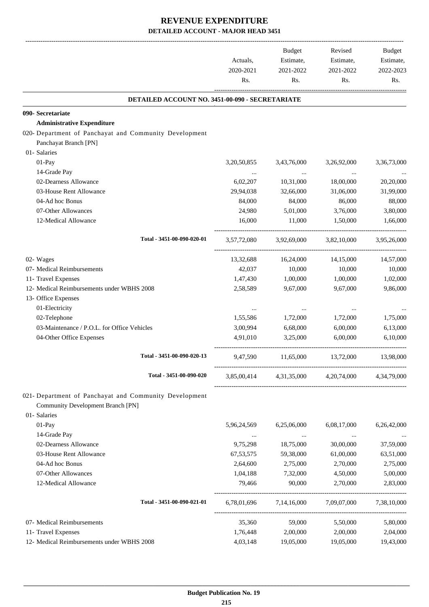-------------------------------------------------------------------------------------------------------------------------------------------------------------------------------

|                                                        | Actuals,<br>2020-2021<br>Rs. | <b>Budget</b><br>Estimate,<br>2021-2022<br>Rs. | Revised<br>Estimate,<br>2021-2022<br>Rs. | <b>Budget</b><br>Estimate,<br>2022-2023<br>Rs. |
|--------------------------------------------------------|------------------------------|------------------------------------------------|------------------------------------------|------------------------------------------------|
| DETAILED ACCOUNT NO. 3451-00-090 - SECRETARIATE        |                              |                                                |                                          |                                                |
| 090- Secretariate                                      |                              |                                                |                                          |                                                |
| <b>Administrative Expenditure</b>                      |                              |                                                |                                          |                                                |
| 020- Department of Panchayat and Community Development |                              |                                                |                                          |                                                |
| Panchayat Branch [PN]                                  |                              |                                                |                                          |                                                |
| 01- Salaries                                           |                              |                                                |                                          |                                                |
| $01-Pay$                                               | 3,20,50,855                  | 3,43,76,000                                    | 3,26,92,000                              | 3,36,73,000                                    |
| 14-Grade Pay                                           | $\cdots$                     | $\cdots$                                       | $\cdots$                                 |                                                |
| 02-Dearness Allowance                                  | 6,02,207                     | 10,31,000                                      | 18,00,000                                | 20,20,000                                      |
| 03-House Rent Allowance                                | 29,94,038                    | 32,66,000                                      | 31,06,000                                | 31,99,000                                      |
| 04-Ad hoc Bonus                                        | 84,000                       | 84,000                                         | 86,000                                   | 88,000                                         |
| 07-Other Allowances                                    | 24,980                       | 5,01,000                                       | 3,76,000                                 | 3,80,000                                       |
| 12-Medical Allowance                                   | 16,000                       | 11,000                                         | 1,50,000                                 | 1,66,000                                       |
| Total - 3451-00-090-020-01                             | 3,57,72,080                  | 3,92,69,000                                    | 3,82,10,000                              | 3,95,26,000                                    |
|                                                        |                              |                                                |                                          |                                                |
| 02- Wages                                              | 13,32,688                    | 16,24,000                                      | 14,15,000                                | 14,57,000                                      |
| 07- Medical Reimbursements                             | 42,037                       | 10,000                                         | 10,000                                   | 10,000                                         |
| 11- Travel Expenses                                    | 1,47,430                     | 1,00,000                                       | 1,00,000                                 | 1,02,000                                       |
| 12- Medical Reimbursements under WBHS 2008             | 2,58,589                     | 9,67,000                                       | 9,67,000                                 | 9,86,000                                       |
| 13- Office Expenses                                    |                              |                                                |                                          |                                                |
| 01-Electricity                                         |                              |                                                |                                          |                                                |
| 02-Telephone                                           | 1,55,586                     | 1,72,000                                       | 1,72,000                                 | 1,75,000                                       |
| 03-Maintenance / P.O.L. for Office Vehicles            | 3,00,994                     | 6,68,000                                       | 6,00,000                                 | 6,13,000                                       |
| 04-Other Office Expenses                               | 4,91,010                     | 3,25,000                                       | 6,00,000                                 | 6,10,000                                       |
| Total - 3451-00-090-020-13                             | 9,47,590                     | 11,65,000                                      | 13,72,000                                | 13,98,000                                      |
| Total - 3451-00-090-020                                | 3,85,00,414                  |                                                | 4,31,35,000 4,20,74,000                  | 4.34.79.000                                    |
| 021- Department of Panchayat and Community Development |                              |                                                |                                          |                                                |
| <b>Community Development Branch [PN]</b>               |                              |                                                |                                          |                                                |
| 01- Salaries                                           |                              |                                                |                                          |                                                |
| 01-Pay                                                 | 5,96,24,569                  | 6,25,06,000                                    | 6,08,17,000                              | 6,26,42,000                                    |
| 14-Grade Pay                                           | $\cdots$                     | $\ldots$                                       | $\cdots$                                 |                                                |
| 02-Dearness Allowance                                  | 9,75,298                     | 18,75,000                                      | 30,00,000                                | 37,59,000                                      |
| 03-House Rent Allowance                                | 67, 53, 575                  | 59,38,000                                      | 61,00,000                                | 63,51,000                                      |
| 04-Ad hoc Bonus                                        | 2,64,600                     | 2,75,000                                       | 2,70,000                                 | 2,75,000                                       |
| 07-Other Allowances                                    | 1,04,188                     | 7,32,000                                       | 4,50,000                                 | 5,00,000                                       |
| 12-Medical Allowance                                   | 79,466                       | 90,000                                         | 2,70,000                                 | 2,83,000                                       |
| Total - 3451-00-090-021-01                             | 6,78,01,696                  | 7, 14, 16, 000                                 | 7,09,07,000                              | 7,38,10,000                                    |
| 07- Medical Reimbursements                             | 35,360                       | 59,000                                         | 5,50,000                                 | 5,80,000                                       |
| 11- Travel Expenses                                    | 1,76,448                     | 2,00,000                                       | 2,00,000                                 | 2,04,000                                       |
| 12- Medical Reimbursements under WBHS 2008             | 4,03,148                     | 19,05,000                                      | 19,05,000                                | 19,43,000                                      |
|                                                        |                              |                                                |                                          |                                                |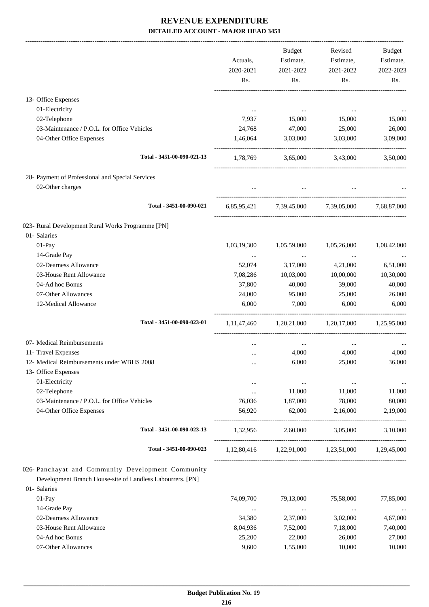|                                                                                                                  | Actuals,<br>2020-2021<br>Rs. | Budget<br>Estimate,<br>2021-2022<br>Rs. | Revised<br>Estimate,<br>2021-2022<br>Rs. | Budget<br>Estimate,<br>2022-2023<br>Rs. |
|------------------------------------------------------------------------------------------------------------------|------------------------------|-----------------------------------------|------------------------------------------|-----------------------------------------|
| 13- Office Expenses                                                                                              |                              |                                         |                                          |                                         |
| 01-Electricity                                                                                                   |                              |                                         |                                          |                                         |
| 02-Telephone                                                                                                     | 7,937                        | 15,000                                  | 15,000                                   | 15,000                                  |
| 03-Maintenance / P.O.L. for Office Vehicles                                                                      | 24,768                       | 47,000                                  | 25,000                                   | 26,000                                  |
| 04-Other Office Expenses                                                                                         | 1,46,064                     | 3,03,000                                | 3,03,000                                 | 3,09,000                                |
| Total - 3451-00-090-021-13                                                                                       |                              |                                         | 1,78,769 3,65,000 3,43,000               | 3,50,000                                |
| 28- Payment of Professional and Special Services<br>02-Other charges                                             |                              |                                         |                                          |                                         |
| Total - 3451-00-090-021                                                                                          |                              |                                         | 6,85,95,421 7,39,45,000 7,39,05,000      | 7,68,87,000                             |
| 023- Rural Development Rural Works Programme [PN]                                                                |                              |                                         |                                          |                                         |
| 01- Salaries                                                                                                     |                              |                                         |                                          |                                         |
| 01-Pay                                                                                                           | 1,03,19,300                  | 1,05,59,000                             | 1,05,26,000                              | 1,08,42,000                             |
| 14-Grade Pay                                                                                                     |                              | $\cdots$                                | $\cdots$                                 |                                         |
| 02-Dearness Allowance                                                                                            | 52,074                       | 3,17,000                                | 4,21,000                                 | 6,51,000                                |
| 03-House Rent Allowance                                                                                          | 7,08,286                     | 10,03,000                               | 10,00,000                                | 10,30,000                               |
| 04-Ad hoc Bonus                                                                                                  | 37,800                       | 40,000                                  | 39,000                                   | 40,000                                  |
| 07-Other Allowances                                                                                              | 24,000                       | 95,000                                  | 25,000                                   | 26,000                                  |
| 12-Medical Allowance                                                                                             | 6,000                        | 7,000                                   | 6,000                                    | 6,000                                   |
| Total - 3451-00-090-023-01                                                                                       | 1, 11, 47, 460               |                                         | 1,20,21,000 1,20,17,000 1,25,95,000      |                                         |
| 07- Medical Reimbursements                                                                                       |                              | $\ldots$                                | $\cdots$                                 |                                         |
| 11- Travel Expenses                                                                                              |                              | 4,000                                   | 4,000                                    | 4,000                                   |
| 12- Medical Reimbursements under WBHS 2008                                                                       |                              | 6,000                                   | 25,000                                   | 36,000                                  |
| 13- Office Expenses                                                                                              |                              |                                         |                                          |                                         |
| 01-Electricity                                                                                                   |                              | $\ldots$                                | $\cdots$                                 | $\cdots$                                |
| 02-Telephone                                                                                                     |                              | 11,000                                  | 11,000                                   | 11,000                                  |
| 03-Maintenance / P.O.L. for Office Vehicles<br>04-Other Office Expenses                                          | 76,036<br>56,920             | 1,87,000<br>62,000                      | 78,000<br>2,16,000                       | 80,000<br>2,19,000                      |
|                                                                                                                  |                              |                                         |                                          |                                         |
| Total - 3451-00-090-023-13                                                                                       | 1,32,956                     | 2,60,000                                | 3,05,000                                 | 3,10,000                                |
| Total - 3451-00-090-023                                                                                          | 1,12,80,416                  |                                         | 1,22,91,000 1,23,51,000                  | 1,29,45,000                             |
| 026- Panchayat and Community Development Community<br>Development Branch House-site of Landless Labourrers. [PN] |                              |                                         |                                          |                                         |
| 01- Salaries                                                                                                     |                              |                                         |                                          |                                         |
| $01-Pay$<br>14-Grade Pay                                                                                         | 74,09,700                    | 79,13,000                               | 75,58,000                                | 77,85,000                               |
| 02-Dearness Allowance                                                                                            | $\cdots$<br>34,380           | $\ldots$<br>2,37,000                    | $\cdots$<br>3,02,000                     | $\cdots$<br>4,67,000                    |
| 03-House Rent Allowance                                                                                          | 8,04,936                     | 7,52,000                                | 7,18,000                                 | 7,40,000                                |
| 04-Ad hoc Bonus                                                                                                  | 25,200                       | 22,000                                  | 26,000                                   | 27,000                                  |
| 07-Other Allowances                                                                                              | 9,600                        | 1,55,000                                | 10,000                                   | 10,000                                  |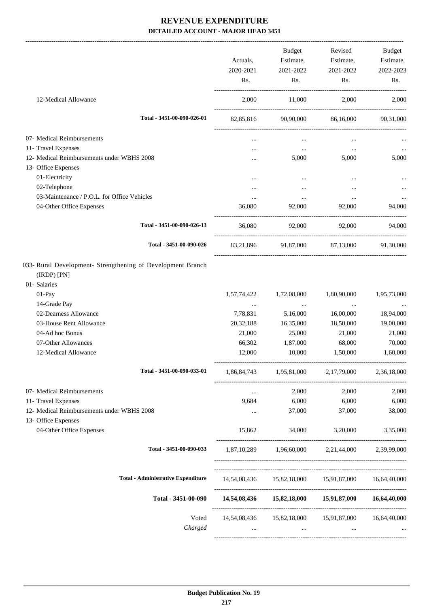|                                                                                                          |                                           | Actuals,<br>2020-2021<br>Rs. | Budget<br>Estimate,<br>2021-2022<br>Rs. | Revised<br>Estimate,<br>2021-2022<br>Rs.                                                                | Budget<br>Estimate,<br>2022-2023<br>Rs. |
|----------------------------------------------------------------------------------------------------------|-------------------------------------------|------------------------------|-----------------------------------------|---------------------------------------------------------------------------------------------------------|-----------------------------------------|
| 12-Medical Allowance                                                                                     |                                           | 2,000                        | 11,000                                  | 2,000                                                                                                   | 2,000                                   |
|                                                                                                          | Total - 3451-00-090-026-01                |                              | 82,85,816 90,90,000                     |                                                                                                         | 86,16,000 90,31,000                     |
| 07- Medical Reimbursements                                                                               |                                           |                              |                                         |                                                                                                         |                                         |
| 11- Travel Expenses                                                                                      |                                           |                              | $\cdots$ .                              | $\ldots$                                                                                                |                                         |
| 12- Medical Reimbursements under WBHS 2008                                                               |                                           |                              | 5,000                                   | 5,000                                                                                                   | 5,000                                   |
| 13- Office Expenses                                                                                      |                                           |                              |                                         |                                                                                                         |                                         |
| 01-Electricity                                                                                           |                                           |                              |                                         |                                                                                                         |                                         |
| 02-Telephone                                                                                             |                                           |                              |                                         |                                                                                                         |                                         |
| 03-Maintenance / P.O.L. for Office Vehicles                                                              |                                           | $\cdots$                     | $\cdots$                                | $\cdots$                                                                                                |                                         |
| 04-Other Office Expenses                                                                                 |                                           | 36,080                       | 92,000                                  | 92,000                                                                                                  | 94,000                                  |
|                                                                                                          | Total - 3451-00-090-026-13                | 36,080                       |                                         | 92,000 92,000 94,000                                                                                    |                                         |
|                                                                                                          | Total - 3451-00-090-026                   |                              |                                         | 83,21,896 91,87,000 87,13,000 91,30,000                                                                 |                                         |
| 033- Rural Development- Strengthening of Development Branch<br>$(IRDP)$ $[PN]$<br>01- Salaries<br>01-Pay |                                           | 1,57,74,422                  | 1,72,08,000                             | 1,80,90,000                                                                                             | 1,95,73,000                             |
| 14-Grade Pay                                                                                             |                                           | $\cdots$                     | $\cdots$                                | $\cdots$                                                                                                |                                         |
| 02-Dearness Allowance                                                                                    |                                           | 7,78,831                     | 5,16,000                                | 16,00,000                                                                                               | 18,94,000                               |
| 03-House Rent Allowance                                                                                  |                                           | 20,32,188                    | 16,35,000                               | 18,50,000                                                                                               | 19,00,000                               |
| 04-Ad hoc Bonus                                                                                          |                                           | 21,000                       | 25,000                                  | 21,000                                                                                                  | 21,000                                  |
| 07-Other Allowances                                                                                      |                                           | 66,302                       | 1,87,000                                | 68,000                                                                                                  | 70,000                                  |
| 12-Medical Allowance                                                                                     |                                           | 12,000                       | 10,000                                  | 1,50,000                                                                                                | 1,60,000                                |
|                                                                                                          | Total - 3451-00-090-033-01                |                              | 1,86,84,743 1,95,81,000 2,17,79,000     |                                                                                                         | 2,36,18,000                             |
| 07- Medical Reimbursements                                                                               |                                           | $\cdots$                     | 2,000                                   | 2,000                                                                                                   | 2,000                                   |
| 11- Travel Expenses                                                                                      |                                           | 9,684                        | 6,000                                   | 6,000                                                                                                   | 6,000                                   |
| 12- Medical Reimbursements under WBHS 2008                                                               |                                           | $\cdots$                     | 37,000                                  | 37,000                                                                                                  | 38,000                                  |
| 13- Office Expenses                                                                                      |                                           |                              |                                         |                                                                                                         |                                         |
| 04-Other Office Expenses                                                                                 |                                           | 15,862                       | 34,000                                  | 3,20,000                                                                                                | 3,35,000                                |
|                                                                                                          | Total - 3451-00-090-033                   |                              |                                         | 1,87,10,289 1,96,60,000 2,21,44,000 2,39,99,000                                                         |                                         |
|                                                                                                          | <b>Total - Administrative Expenditure</b> |                              |                                         | 14,54,08,436  15,82,18,000  15,91,87,000  16,64,40,000                                                  |                                         |
|                                                                                                          | Total - 3451-00-090                       |                              |                                         | 14,54,08,436 15,82,18,000 15,91,87,000 16,64,40,000                                                     |                                         |
|                                                                                                          | Voted<br>Charged                          | $\cdots$                     |                                         | 14,54,08,436  15,82,18,000  15,91,87,000  16,64,40,000<br>the company of the company of the<br>$\cdots$ |                                         |
|                                                                                                          |                                           |                              |                                         |                                                                                                         |                                         |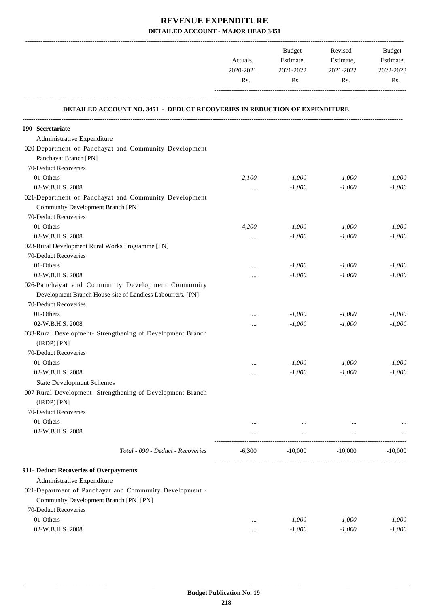|                                                                           | Actuals,<br>2020-2021 | Budget<br>Estimate,<br>2021-2022 | Revised<br>Estimate,<br>2021-2022 | Budget<br>Estimate,<br>2022-2023 |
|---------------------------------------------------------------------------|-----------------------|----------------------------------|-----------------------------------|----------------------------------|
|                                                                           | Rs.                   | Rs.                              | Rs.                               | Rs.                              |
| DETAILED ACCOUNT NO. 3451 - DEDUCT RECOVERIES IN REDUCTION OF EXPENDITURE |                       |                                  |                                   |                                  |
| 090- Secretariate                                                         |                       |                                  |                                   |                                  |
| Administrative Expenditure                                                |                       |                                  |                                   |                                  |
| 020-Department of Panchayat and Community Development                     |                       |                                  |                                   |                                  |
| Panchayat Branch [PN]                                                     |                       |                                  |                                   |                                  |
| 70-Deduct Recoveries                                                      |                       |                                  |                                   |                                  |
| 01-Others                                                                 | $-2,100$              | $-1,000$                         | $-1,000$                          | $-1,000$                         |
| 02-W.B.H.S. 2008                                                          | $\cdots$              | $-1,000$                         | $-1,000$                          | $-1,000$                         |
| 021-Department of Panchayat and Community Development                     |                       |                                  |                                   |                                  |
| <b>Community Development Branch [PN]</b>                                  |                       |                                  |                                   |                                  |
| 70-Deduct Recoveries                                                      |                       |                                  |                                   |                                  |
| 01-Others                                                                 | $-4,200$              | $-1,000$                         | $-1,000$                          | $-1,000$                         |
| 02-W.B.H.S. 2008                                                          | $\cdots$              | $-1,000$                         | $-1,000$                          | $-1,000$                         |
| 023-Rural Development Rural Works Programme [PN]                          |                       |                                  |                                   |                                  |
| 70-Deduct Recoveries                                                      |                       |                                  |                                   |                                  |
| 01-Others                                                                 |                       | $-1,000$                         | $-1,000$                          | $-1,000$                         |
| 02-W.B.H.S. 2008                                                          | $\cdots$              | $-1,000$                         | $-1,000$                          | $-1,000$                         |
| 026-Panchayat and Community Development Community                         |                       |                                  |                                   |                                  |
| Development Branch House-site of Landless Labourrers. [PN]                |                       |                                  |                                   |                                  |
| 70-Deduct Recoveries                                                      |                       |                                  |                                   |                                  |
| 01-Others                                                                 | $\cdots$              | $-1,000$                         | $-1,000$                          | $-1,000$                         |
| 02-W.B.H.S. 2008                                                          | $\cdots$              | $-1,000$                         | $-1,000$                          | $-1,000$                         |
| 033-Rural Development- Strengthening of Development Branch<br>(IRDP) [PN] |                       |                                  |                                   |                                  |
| 70-Deduct Recoveries                                                      |                       |                                  |                                   |                                  |
| 01-Others                                                                 | $\cdots$              | $\text{-}1,\!000$                | $-1,000$                          | $-1,000$                         |
| 02-W.B.H.S. 2008                                                          | $\cdots$              | $-1,000$                         | $-1,000$                          | $-1,000$                         |
| <b>State Development Schemes</b>                                          |                       |                                  |                                   |                                  |
| 007-Rural Development- Strengthening of Development Branch<br>(IRDP) [PN] |                       |                                  |                                   |                                  |
| 70-Deduct Recoveries                                                      |                       |                                  |                                   |                                  |
| 01-Others                                                                 | $\cdots$              | $\cdots$                         | $\cdots$                          |                                  |
| 02-W.B.H.S. 2008                                                          | $\cdots$              | $\cdots$                         | $\ldots$                          |                                  |
| Total - 090 - Deduct - Recoveries                                         | $-6,300$              | $-10,000$                        | $-10,000$                         | $-10,000$                        |
| 911- Deduct Recoveries of Overpayments                                    |                       |                                  |                                   |                                  |
| Administrative Expenditure                                                |                       |                                  |                                   |                                  |
| 021-Department of Panchayat and Community Development -                   |                       |                                  |                                   |                                  |
| Community Development Branch [PN] [PN]                                    |                       |                                  |                                   |                                  |
| 70-Deduct Recoveries                                                      |                       |                                  |                                   |                                  |
| 01-Others                                                                 | $\cdots$              | $-1,000$                         | $-1,000$                          | $-1,000$                         |
| 02-W.B.H.S. 2008                                                          | $\cdots$              | $-1,000$                         | $-1,000$                          | $-1,000$                         |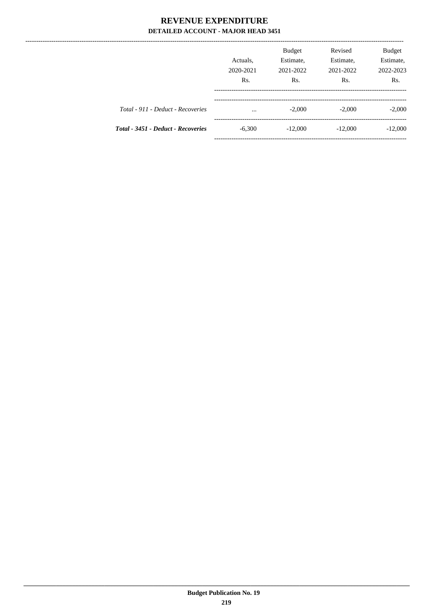|                                    | Actuals,<br>2020-2021<br>Rs. | <b>Budget</b><br>Estimate,<br>2021-2022<br>Rs. | Revised<br>Estimate,<br>2021-2022<br>Rs. | Budget<br>Estimate,<br>2022-2023<br>Rs. |
|------------------------------------|------------------------------|------------------------------------------------|------------------------------------------|-----------------------------------------|
| Total - 911 - Deduct - Recoveries  | $\cdots$                     | $-2,000$                                       | $-2,000$                                 | $-2,000$                                |
| Total - 3451 - Deduct - Recoveries | $-6,300$                     | $-12,000$                                      | $-12,000$                                | $-12,000$                               |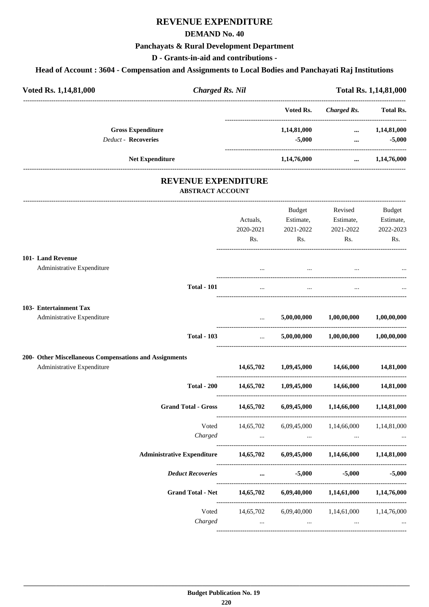### **REVENUE EXPENDITURE**

#### **DEMAND No. 40**

#### **Panchayats & Rural Development Department**

**D - Grants-in-aid and contributions -**

#### **Head of Account : 3604 - Compensation and Assignments to Local Bodies and Panchayati Raj Institutions**

| Voted Rs. 1,14,81,000      | <b>Charged Rs. Nil</b> |             |             | <b>Total Rs. 1,14,81,000</b> |  |  |
|----------------------------|------------------------|-------------|-------------|------------------------------|--|--|
|                            |                        | Voted Rs.   | Charged Rs. | <b>Total Rs.</b>             |  |  |
| <b>Gross Expenditure</b>   |                        | 1,14,81,000 | $\cdots$    | 1,14,81,000                  |  |  |
| <b>Deduct - Recoveries</b> |                        | $-5,000$    |             | $-5,000$                     |  |  |
| <b>Net Expenditure</b>     |                        | 1,14,76,000 | $\cdots$    | 1,14,76,000                  |  |  |

# **REVENUE EXPENDITURE**

#### **ABSTRACT ACCOUNT** --------------------------------------------------------------------------------------------------------------------------------------------------------------------------------- Actuals, 2020-2021 Rs. Budget Estimate, 2021-2022 Rs. Revised Estimate, 2021-2022 Rs. Budget Estimate, 2022-2023 Rs. ---------------------------------------------------------------------------------------- **101- Land Revenue** Administrative Expenditure ... ... ... ... ---------------------------------------------------------------------------------------- **Total - 101** ... ... ... ... ---------------------------------------------------------------------------------------- **103- Entertainment Tax** Administrative Expenditure ... **5,00,00,000 1,00,00,000 1,00,00,000** ---------------------------------------------------------------------------------------- **Total - 103** ... **5,00,00,000 1,00,00,000 1,00,00,000** ---------------------------------------------------------------------------------------- **200- Other Miscellaneous Compensations and Assignments** Administrative Expenditure **14,65,702 1,09,45,000 14,66,000 14,81,000** ---------------------------------------------------------------------------------------- **Total - 200 14,65,702 1,09,45,000 14,66,000 14,81,000** ---------------------------------------------------------------------------------------- **Grand Total - Gross 14,65,702 6,09,45,000 1,14,66,000 1,14,81,000** ---------------------------------------------------------------------------------------- Voted 14,65,702 6,09,45,000 1,14,66,000 1,14,81,000 *Charged ... ... ... ...* ---------------------------------------------------------------------------------------- **Administrative Expenditure 14,65,702 6,09,45,000 1,14,66,000 1,14,81,000** ---------------------------------------------------------------------------------------- *Deduct Recoveries* **... -5,000 -5,000 -5,000** ---------------------------------------------------------------------------------------- **Grand Total - Net 14,65,702 6,09,40,000 1,14,61,000 1,14,76,000** ---------------------------------------------------------------------------------------- Voted 14,65,702 6,09,40,000 1,14,61,000 1,14,76,000 *Charged ... ... ... ...* ----------------------------------------------------------------------------------------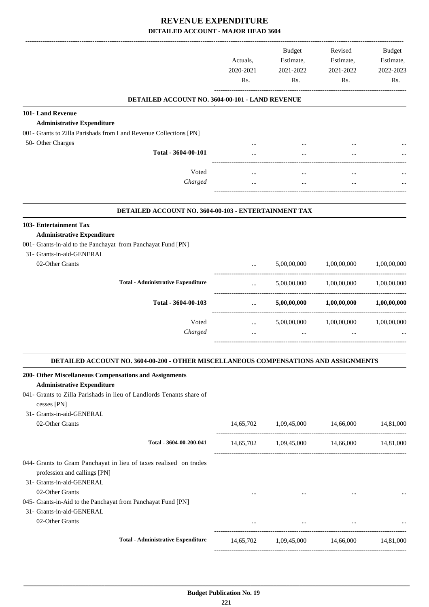|                                                                                                                                                | Actuals,<br>2020-2021<br>Rs. | <b>Budget</b><br>Estimate,<br>2021-2022<br>Rs.                                                 | Revised<br>Estimate,<br>2021-2022<br>Rs.   | Budget<br>Estimate,<br>2022-2023<br>Rs. |
|------------------------------------------------------------------------------------------------------------------------------------------------|------------------------------|------------------------------------------------------------------------------------------------|--------------------------------------------|-----------------------------------------|
| DETAILED ACCOUNT NO. 3604-00-101 - LAND REVENUE                                                                                                |                              |                                                                                                |                                            |                                         |
| 101- Land Revenue                                                                                                                              |                              |                                                                                                |                                            |                                         |
| <b>Administrative Expenditure</b>                                                                                                              |                              |                                                                                                |                                            |                                         |
| 001- Grants to Zilla Parishads from Land Revenue Collections [PN]<br>50- Other Charges                                                         |                              |                                                                                                |                                            |                                         |
| Total - 3604-00-101                                                                                                                            |                              |                                                                                                |                                            |                                         |
|                                                                                                                                                |                              |                                                                                                |                                            |                                         |
| Voted                                                                                                                                          | $\ddotsc$                    |                                                                                                | $\cdots$                                   |                                         |
| Charged                                                                                                                                        |                              | $\cdots$                                                                                       |                                            |                                         |
| DETAILED ACCOUNT NO. 3604-00-103 - ENTERTAINMENT TAX                                                                                           |                              |                                                                                                |                                            |                                         |
| 103- Entertainment Tax                                                                                                                         |                              |                                                                                                |                                            |                                         |
| <b>Administrative Expenditure</b><br>001- Grants-in-aid to the Panchayat from Panchayat Fund [PN]<br>31- Grants-in-aid-GENERAL                 |                              |                                                                                                |                                            |                                         |
| 02-Other Grants                                                                                                                                | $\cdots$                     | 5,00,00,000                                                                                    | 1,00,00,000                                | 1,00,00,000                             |
| <b>Total - Administrative Expenditure</b>                                                                                                      | $\cdots$                     | 5,00,00,000                                                                                    | 1,00,00,000                                | 1,00,00,000                             |
| Total - 3604-00-103                                                                                                                            | $\cdots$                     | 5,00,00,000                                                                                    | 1,00,00,000                                | 1,00,00,000                             |
| Voted                                                                                                                                          | $\cdots$                     | 5,00,00,000                                                                                    | 1,00,00,000                                | 1,00,00,000                             |
| Charged                                                                                                                                        | $\cdots$                     | $\cdots$                                                                                       |                                            |                                         |
|                                                                                                                                                |                              |                                                                                                |                                            |                                         |
| DETAILED ACCOUNT NO. 3604-00-200 - OTHER MISCELLANEOUS COMPENSATIONS AND ASSIGNMENTS<br>200- Other Miscellaneous Compensations and Assignments |                              |                                                                                                |                                            |                                         |
| <b>Administrative Expenditure</b>                                                                                                              |                              |                                                                                                |                                            |                                         |
| 041- Grants to Zilla Parishads in lieu of Landlords Tenants share of<br>cesses [PN]                                                            |                              |                                                                                                |                                            |                                         |
| 31- Grants-in-aid-GENERAL                                                                                                                      |                              |                                                                                                |                                            |                                         |
| 02-Other Grants                                                                                                                                |                              | 14,65,702   1,09,45,000   14,66,000                                                            |                                            | 14,81,000                               |
| Total - 3604-00-200-041                                                                                                                        |                              | 14,65,702 1,09,45,000 14,66,000 14,81,000                                                      |                                            |                                         |
| 044- Grants to Gram Panchayat in lieu of taxes realised on trades<br>profession and callings [PN]<br>31- Grants-in-aid-GENERAL                 |                              |                                                                                                |                                            |                                         |
| 02-Other Grants<br>045- Grants-in-Aid to the Panchayat from Panchayat Fund [PN]                                                                | $\cdots$                     | $\cdots$                                                                                       | $\cdots$                                   |                                         |
| 31- Grants-in-aid-GENERAL<br>02-Other Grants                                                                                                   |                              |                                                                                                | and the state of the state of the state of |                                         |
| <b>Total - Administrative Expenditure</b>                                                                                                      |                              | $14,65,702 \qquad \quad 1,09,45,000 \qquad \quad \  \  14,66,000 \qquad \quad \  \  14,81,000$ |                                            |                                         |
|                                                                                                                                                |                              |                                                                                                |                                            |                                         |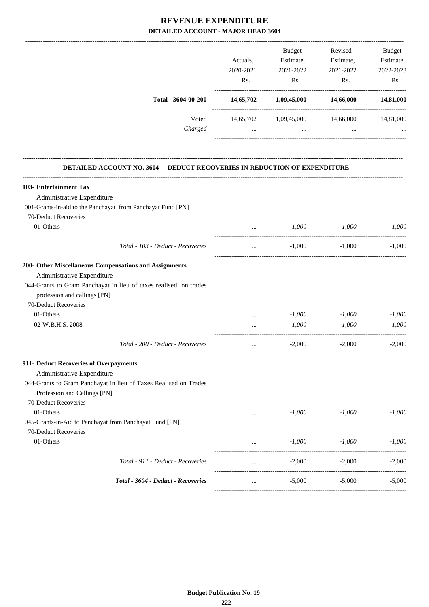|                                                                                                  |              | Budget                          | Revised   | Budget    |
|--------------------------------------------------------------------------------------------------|--------------|---------------------------------|-----------|-----------|
|                                                                                                  | Actuals,     | Estimate,                       | Estimate, | Estimate, |
|                                                                                                  | 2020-2021    | 2021-2022                       | 2021-2022 | 2022-2023 |
|                                                                                                  | Rs.          | Rs.                             | Rs.       | Rs.       |
| Total - 3604-00-200                                                                              |              | 14,65,702 1,09,45,000 14,66,000 |           | 14,81,000 |
| Voted                                                                                            |              | 14,65,702 1,09,45,000 14,66,000 |           | 14,81,000 |
| Charged                                                                                          | $\mathbf{1}$ | $\cdots$                        | $\cdots$  |           |
| DETAILED ACCOUNT NO. 3604 - DEDUCT RECOVERIES IN REDUCTION OF EXPENDITURE                        |              |                                 |           |           |
| 103- Entertainment Tax                                                                           |              |                                 |           |           |
| Administrative Expenditure                                                                       |              |                                 |           |           |
| 001-Grants-in-aid to the Panchayat from Panchayat Fund [PN]                                      |              |                                 |           |           |
| 70-Deduct Recoveries                                                                             |              |                                 |           |           |
| 01-Others                                                                                        | $\ddotsc$    | $-1,000$                        | $-1,000$  | $-1,000$  |
| Total - 103 - Deduct - Recoveries                                                                | $\cdots$     | $-1,000$                        | $-1,000$  | $-1,000$  |
| 200- Other Miscellaneous Compensations and Assignments                                           |              |                                 |           |           |
| Administrative Expenditure                                                                       |              |                                 |           |           |
| 044-Grants to Gram Panchayat in lieu of taxes realised on trades                                 |              |                                 |           |           |
| profession and callings [PN]                                                                     |              |                                 |           |           |
| 70-Deduct Recoveries                                                                             |              |                                 |           |           |
| 01-Others                                                                                        | $\cdots$     | $-1,000$                        | $-1,000$  | $-1,000$  |
| 02-W.B.H.S. 2008                                                                                 |              | $-1,000$                        | $-1,000$  | $-1,000$  |
| Total - 200 - Deduct - Recoveries                                                                |              | $-2,000$                        | $-2,000$  | $-2.000$  |
| 911- Deduct Recoveries of Overpayments                                                           |              |                                 |           |           |
| Administrative Expenditure                                                                       |              |                                 |           |           |
| 044-Grants to Gram Panchayat in lieu of Taxes Realised on Trades<br>Profession and Callings [PN] |              |                                 |           |           |
| 70-Deduct Recoveries                                                                             |              |                                 |           |           |
| 01-Others                                                                                        |              | $-1,000$                        | $-1,000$  | $-1,000$  |
| 045-Grants-in-Aid to Panchayat from Panchayat Fund [PN]                                          |              |                                 |           |           |
| 70-Deduct Recoveries                                                                             |              |                                 |           |           |
| 01-Others                                                                                        | $\cdots$     | $-1,000$                        | $-1,000$  | $-1,000$  |
| Total - 911 - Deduct - Recoveries                                                                | $\cdots$     | $-2,000$                        | $-2,000$  | $-2,000$  |
| Total - 3604 - Deduct - Recoveries                                                               | $\ddotsc$    | $-5,000$                        | $-5,000$  | $-5,000$  |
|                                                                                                  |              |                                 |           |           |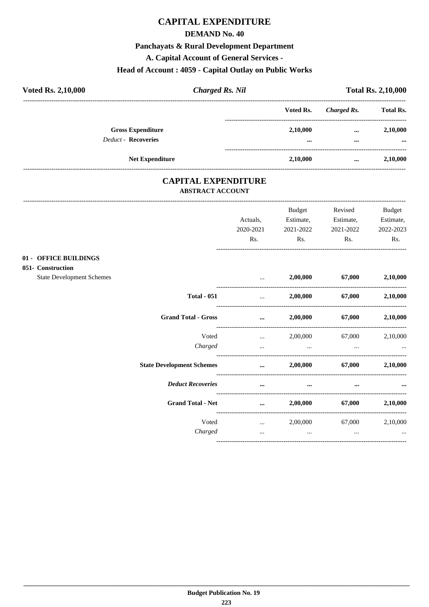### **CAPITAL EXPENDITURE**

#### **DEMAND No. 40**

#### Panchayats & Rural Development Department

A. Capital Account of General Services -

### Head of Account: 4059 - Capital Outlay on Public Works

| <b>Voted Rs. 2,10,000</b>  | <b>Charged Rs. Nil</b>   |  | <b>Total Rs. 2,10,000</b> |                      |                      |
|----------------------------|--------------------------|--|---------------------------|----------------------|----------------------|
|                            |                          |  | Voted Rs.                 | Charged Rs.          | <b>Total Rs.</b>     |
| <b>Deduct - Recoveries</b> | <b>Gross Expenditure</b> |  | 2,10,000<br>$\cdots$      | $\cdots$<br>$\cdots$ | 2,10,000<br>$\cdots$ |
|                            | <b>Net Expenditure</b>   |  | 2,10,000                  | $\cdots$             | 2,10,000             |

### **CAPITAL EXPENDITURE ABSTRACT ACCOUNT**

 $01 051 -$  

|                                         |                                  | Actuals,<br>2020-2021                                                                                               | <b>Budget</b><br>Estimate,<br>2021-2022                                                                               | Revised<br>Estimate,<br>2021-2022 | <b>Budget</b><br>Estimate,<br>2022-2023 |
|-----------------------------------------|----------------------------------|---------------------------------------------------------------------------------------------------------------------|-----------------------------------------------------------------------------------------------------------------------|-----------------------------------|-----------------------------------------|
|                                         |                                  | Rs.                                                                                                                 | Rs.                                                                                                                   | Rs.                               | Rs.                                     |
| <b>OFFICE BUILDINGS</b><br>Construction |                                  |                                                                                                                     |                                                                                                                       |                                   |                                         |
| <b>State Development Schemes</b>        |                                  | $\cdots$                                                                                                            |                                                                                                                       | 2,00,000 67,000 2,10,000          |                                         |
|                                         | <b>Total - 051</b>               | $\mathbf{r}$ and $\mathbf{r}$ and $\mathbf{r}$                                                                      |                                                                                                                       | 2,00,000 67,000 2,10,000          |                                         |
|                                         | <b>Grand Total - Gross</b>       | and the contract of the contract of the contract of the contract of the contract of the contract of the contract of | 2,00,000                                                                                                              | 67,000                            | 2,10,000                                |
|                                         | Voted<br>Charged                 | $\mathbf{r}$ and $\mathbf{r}$ are all $\mathbf{r}$                                                                  | $\mathbf{r}$ , and the contract of $\mathbf{r}$ , and the contract of $\mathbf{r}$ , and the contract of $\mathbf{r}$ | 2,00,000 67,000                   | 2,10,000                                |
|                                         | <b>State Development Schemes</b> |                                                                                                                     | $2,00,000$ $67,000$ $2,10,000$                                                                                        |                                   |                                         |
|                                         | <b>Deduct Recoveries</b>         | $\cdots$                                                                                                            | $\cdots$                                                                                                              | $\cdots$                          |                                         |
|                                         | <b>Grand Total - Net</b>         | $\cdots$                                                                                                            | 2,00,000                                                                                                              | 67,000                            | 2,10,000                                |
|                                         | Voted                            | <b>Section</b> of the state                                                                                         |                                                                                                                       | 2,00,000 67,000                   | 2,10,000                                |
|                                         | Charged                          | $\cdots$                                                                                                            | $\cdots$                                                                                                              | $\cdots$                          | $\cdots$                                |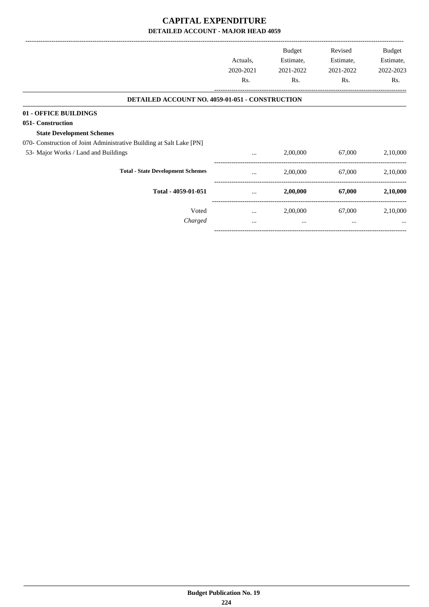|                                                                      | Actuals,<br>2020-2021<br>Rs. | Budget<br>Estimate,<br>2021-2022<br>Rs. | Revised<br>Estimate,<br>2021-2022<br>Rs. | Budget<br>Estimate,<br>2022-2023<br>Rs. |
|----------------------------------------------------------------------|------------------------------|-----------------------------------------|------------------------------------------|-----------------------------------------|
| <b>DETAILED ACCOUNT NO. 4059-01-051 - CONSTRUCTION</b>               |                              |                                         |                                          |                                         |
| 01 - OFFICE BUILDINGS                                                |                              |                                         |                                          |                                         |
| 051- Construction                                                    |                              |                                         |                                          |                                         |
| <b>State Development Schemes</b>                                     |                              |                                         |                                          |                                         |
| 070- Construction of Joint Administrative Building at Salt Lake [PN] |                              |                                         |                                          |                                         |
| 53- Major Works / Land and Buildings                                 | $\cdots$                     | 2,00,000                                | 67,000                                   | 2,10,000                                |
| <b>Total - State Development Schemes</b>                             | $\cdots$                     | 2,00,000                                | 67,000                                   | 2,10,000                                |
| Total - 4059-01-051                                                  |                              | 2,00,000                                | 67,000                                   | 2,10,000                                |
| Voted                                                                | $\cdots$                     | 2,00,000                                | 67,000                                   | 2,10,000                                |
| Charged                                                              | $\cdots$                     | $\cdots$                                | $\cdots$                                 |                                         |
|                                                                      |                              |                                         |                                          |                                         |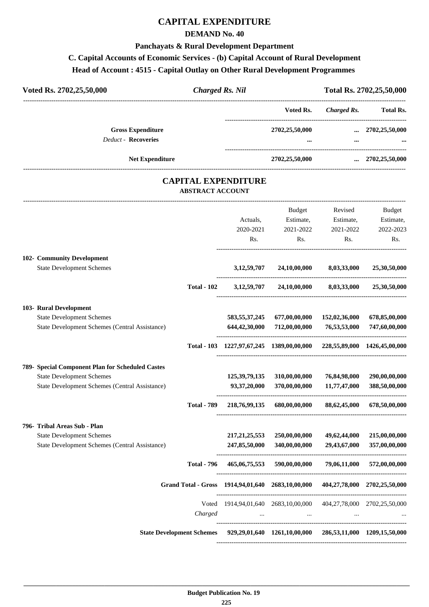### **CAPITAL EXPENDITURE**

### **DEMAND No. 40**

#### **Panchayats & Rural Development Department**

### **C. Capital Accounts of Economic Services - (b) Capital Account of Rural Development**

#### **Head of Account : 4515 - Capital Outlay on Other Rural Development Programmes**

| Voted Rs. 2702,25,50,000<br><b>Charged Rs. Nil</b>     |                        |                                           | Total Rs. 2702, 25, 50, 000 |                            |  |
|--------------------------------------------------------|------------------------|-------------------------------------------|-----------------------------|----------------------------|--|
|                                                        |                        | Voted Rs.                                 | Charged Rs.                 | Total Rs.                  |  |
| <b>Gross Expenditure</b><br><b>Deduct - Recoveries</b> |                        | 2702,25,50,000<br>$\bullet\bullet\bullet$ | $\cdots$<br>$\cdots$        | 2702,25,50,000<br>$\cdots$ |  |
|                                                        | <b>Net Expenditure</b> | 2702,25,50,000                            | $\cdots$                    | 2702,25,50,000             |  |

### **CAPITAL EXPENDITURE ABSTRACT ACCOUNT**

---------------------------------------------------------------------------------------------------------------------------------------------------------------------------------

|                                                       |                    |                  | <b>Budget</b>                                                                       | Revised                    | <b>Budget</b> |
|-------------------------------------------------------|--------------------|------------------|-------------------------------------------------------------------------------------|----------------------------|---------------|
|                                                       |                    | Actuals,         | Estimate,                                                                           | Estimate,                  | Estimate,     |
|                                                       |                    | 2020-2021        | 2021-2022                                                                           | 2021-2022                  | 2022-2023     |
|                                                       |                    | Rs.              | Rs.                                                                                 | Rs.                        | Rs.           |
| 102- Community Development                            |                    |                  |                                                                                     |                            |               |
| <b>State Development Schemes</b>                      |                    | 3, 12, 59, 707   | 24,10,00,000                                                                        | 8,03,33,000                | 25,30,50,000  |
|                                                       | <b>Total - 102</b> |                  | 3,12,59,707 24,10,00,000 8,03,33,000 25,30,50,000                                   |                            |               |
| 103- Rural Development                                |                    |                  |                                                                                     |                            |               |
| <b>State Development Schemes</b>                      |                    | 583,55,37,245    | 677,00,00,000                                                                       | 152,02,36,000              | 678,85,00,000 |
| State Development Schemes (Central Assistance)        |                    |                  | 644,42,30,000 712,00,00,000                                                         | 76,53,53,000               | 747,60,00,000 |
|                                                       |                    |                  | Total - 103 1227,97,67,245 1389,00,00,000 228,55,89,000 1426,45,00,000              |                            |               |
| 789- Special Component Plan for Scheduled Castes      |                    |                  |                                                                                     |                            |               |
| <b>State Development Schemes</b>                      |                    | 125,39,79,135    | 310,00,00,000                                                                       | 76,84,98,000               | 290,00,00,000 |
| <b>State Development Schemes (Central Assistance)</b> |                    | 93,37,20,000     |                                                                                     | 370,00,00,000 11,77,47,000 | 388,50,00,000 |
|                                                       | <b>Total - 789</b> |                  | 218,76,99,135 680,00,00,000 88,62,45,000                                            |                            | 678,50,00,000 |
| 796- Tribal Areas Sub - Plan                          |                    |                  |                                                                                     |                            |               |
| <b>State Development Schemes</b>                      |                    | 217, 21, 25, 553 | 250,00,00,000                                                                       | 49,62,44,000               | 215,00,00,000 |
| State Development Schemes (Central Assistance)        |                    | 247,85,50,000    | 340,00,00,000                                                                       | 29,43,67,000               | 357,00,00,000 |
|                                                       | <b>Total - 796</b> |                  | 465,06,75,553 590,00,00,000                                                         | 79.06.11.000               | 572,00,00,000 |
|                                                       |                    |                  | Grand Total - Gross 1914,94,01,640 2683,10,00,000 404,27,78,000 2702,25,50,000      |                            |               |
|                                                       |                    |                  | Voted 1914,94,01,640 2683,10,00,000 404,27,78,000 2702,25,50,000                    |                            |               |
|                                                       | Charged            | $\ddots$         | <b>Contract Contract</b>                                                            |                            |               |
|                                                       |                    |                  | State Development Schemes 929,29,01,640 1261,10,00,000 286,53,11,000 1209,15,50,000 |                            |               |
|                                                       |                    |                  |                                                                                     |                            |               |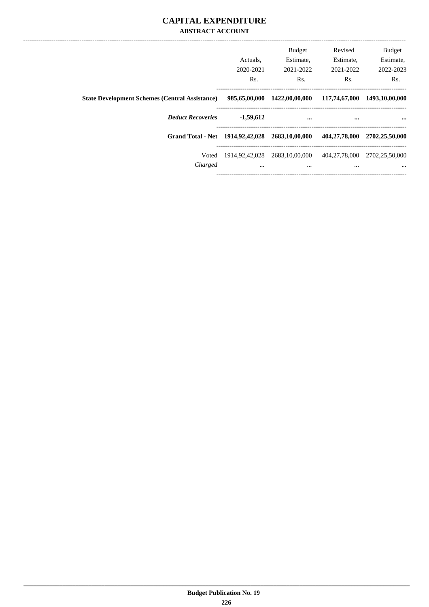### **CAPITAL EXPENDITURE ABSTRACT ACCOUNT**

|                                                       |               | Budget                        | Revised       | <b>Budget</b>                      |
|-------------------------------------------------------|---------------|-------------------------------|---------------|------------------------------------|
|                                                       | Actuals.      | Estimate,                     | Estimate.     | Estimate,                          |
|                                                       | 2020-2021     | 2021-2022                     | 2021-2022     | 2022-2023                          |
|                                                       | Rs.           | Rs.                           | Rs.           | Rs.                                |
| <b>State Development Schemes (Central Assistance)</b> | 985,65,00,000 | 1422,00,00,000                | 117,74,67,000 | 1493,10,00,000                     |
| <b>Deduct Recoveries</b>                              | $-1,59,612$   |                               | $\cdots$      | $\cdots$                           |
| Grand Total - Net 1914, 92, 42, 028 2683, 10, 00, 000 |               |                               | 404,27,78,000 | 2702,25,50,000                     |
| Voted                                                 |               | 1914,92,42,028 2683,10,00,000 |               | 404, 27, 78, 000 2702, 25, 50, 000 |
| Charged                                               | $\cdots$      | $\cdots$                      | $\cdots$      | $\cdots$                           |
|                                                       |               |                               |               |                                    |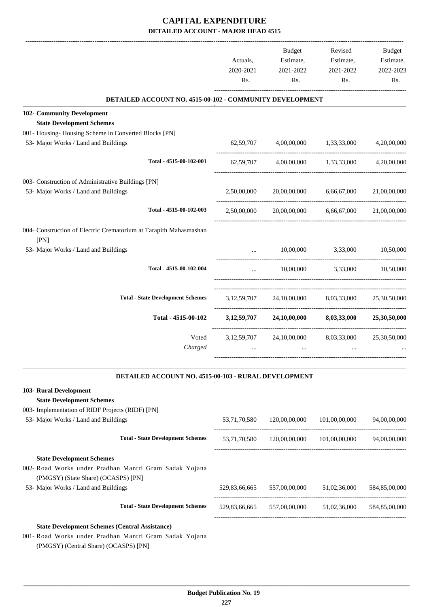|                                                                                                                 | Actuals,<br>2020-2021<br>Rs. | <b>Budget</b><br>Estimate,<br>2021-2022<br>Rs. | Revised<br>Estimate,<br>2021-2022<br>Rs.               | <b>Budget</b><br>Estimate,<br>2022-2023<br>Rs. |
|-----------------------------------------------------------------------------------------------------------------|------------------------------|------------------------------------------------|--------------------------------------------------------|------------------------------------------------|
| DETAILED ACCOUNT NO. 4515-00-102 - COMMUNITY DEVELOPMENT                                                        |                              |                                                |                                                        |                                                |
|                                                                                                                 |                              |                                                |                                                        |                                                |
| 102- Community Development<br><b>State Development Schemes</b>                                                  |                              |                                                |                                                        |                                                |
| 001- Housing-Housing Scheme in Converted Blocks [PN]                                                            |                              |                                                |                                                        |                                                |
| 53- Major Works / Land and Buildings                                                                            | 62,59,707                    |                                                | 4,00,00,000 1,33,33,000                                | 4,20,00,000                                    |
| Total - 4515-00-102-001                                                                                         | 62,59,707                    |                                                | 4,00,00,000 1,33,33,000                                | 4,20,00,000                                    |
| 003- Construction of Administrative Buildings [PN]                                                              |                              |                                                |                                                        |                                                |
| 53- Major Works / Land and Buildings                                                                            | 2,50,00,000                  |                                                | 20,00,00,000 6,66,67,000 21,00,00,000                  |                                                |
| Total - 4515-00-102-003                                                                                         | 2,50,00,000                  | 20,00,00,000                                   | 6,66,67,000                                            | 21,00,00,000                                   |
| 004- Construction of Electric Crematorium at Tarapith Mahasmashan<br>[PN]                                       |                              |                                                |                                                        |                                                |
| 53- Major Works / Land and Buildings                                                                            |                              | 10,00,000                                      | 3,33,000                                               | 10,50,000                                      |
| Total - 4515-00-102-004                                                                                         | $\cdots$                     |                                                | 10,00,000 3,33,000 10,50,000                           |                                                |
| <b>Total - State Development Schemes</b>                                                                        |                              |                                                | 3,12,59,707 24,10,00,000 8,03,33,000 25,30,50,000      |                                                |
| Total - 4515-00-102                                                                                             |                              |                                                | $3,12,59,707$ $24,10,00,000$ $8,03,33,000$             | 25,30,50,000                                   |
| Voted<br>Charged                                                                                                |                              | $\ddots$                                       | 3,12,59,707 24,10,00,000 8,03,33,000                   | 25,30,50,000                                   |
| DETAILED ACCOUNT NO. 4515-00-103 - RURAL DEVELOPMENT                                                            |                              |                                                |                                                        |                                                |
| 103- Rural Development                                                                                          |                              |                                                |                                                        |                                                |
| <b>State Development Schemes</b>                                                                                |                              |                                                |                                                        |                                                |
| 003- Implementation of RIDF Projects (RIDF) [PN]                                                                |                              |                                                |                                                        |                                                |
| 53- Major Works / Land and Buildings                                                                            | 53,71,70,580                 | 120,00,00,000                                  | 101,00,00,000                                          | 94,00,00,000                                   |
| <b>Total - State Development Schemes</b>                                                                        |                              |                                                | 53,71,70,580 120,00,00,000 101,00,00,000               | 94,00,00,000                                   |
| <b>State Development Schemes</b>                                                                                |                              |                                                |                                                        |                                                |
| 002- Road Works under Pradhan Mantri Gram Sadak Yojana<br>(PMGSY) (State Share) (OCASPS) [PN]                   |                              |                                                |                                                        |                                                |
| 53- Major Works / Land and Buildings                                                                            |                              | 529,83,66,665 557,00,00,000                    | 51,02,36,000                                           | 584,85,00,000                                  |
| <b>Total - State Development Schemes</b>                                                                        |                              |                                                | 529,83,66,665 557,00,00,000 51,02,36,000 584,85,00,000 |                                                |
| <b>State Development Schemes (Central Assistance)</b><br>001- Road Works under Pradhan Mantri Gram Sadak Yojana |                              |                                                |                                                        |                                                |

(PMGSY) (Central Share) (OCASPS) [PN]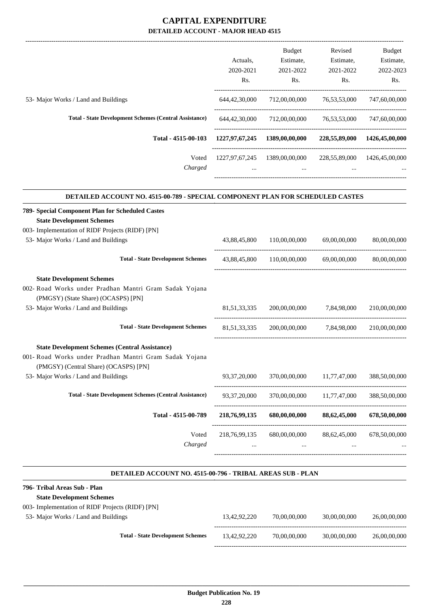|                                                                                                 | Actuals,         | Budget<br>Estimate,           | Revised<br>Estimate,      | Budget<br>Estimate,          |
|-------------------------------------------------------------------------------------------------|------------------|-------------------------------|---------------------------|------------------------------|
|                                                                                                 |                  |                               |                           |                              |
|                                                                                                 | 2020-2021<br>Rs. | 2021-2022<br>Rs.              | 2021-2022<br>Rs.          | 2022-2023<br>Rs.             |
| 53- Major Works / Land and Buildings                                                            | 644,42,30,000    | 712,00,00,000                 | 76, 53, 53, 000           | 747,60,00,000                |
| <b>Total - State Development Schemes (Central Assistance)</b>                                   | 644,42,30,000    | 712,00,00,000                 | 76,53,53,000              | 747,60,00,000                |
|                                                                                                 |                  |                               |                           |                              |
| Total - 4515-00-103                                                                             |                  | 1227,97,67,245 1389,00,00,000 |                           | 228,55,89,000 1426,45,00,000 |
| Voted<br>Charged                                                                                |                  | 1227,97,67,245 1389,00,00,000 |                           | 228,55,89,000 1426,45,00,000 |
| DETAILED ACCOUNT NO. 4515-00-789 - SPECIAL COMPONENT PLAN FOR SCHEDULED CASTES                  |                  |                               |                           |                              |
| 789- Special Component Plan for Scheduled Castes<br><b>State Development Schemes</b>            |                  |                               |                           |                              |
| 003- Implementation of RIDF Projects (RIDF) [PN]                                                |                  |                               |                           |                              |
| 53- Major Works / Land and Buildings                                                            | 43,88,45,800     | 110,00,00,000                 | 69,00,00,000              | 80,00,00,000                 |
| <b>Total - State Development Schemes</b>                                                        |                  | 43,88,45,800 110,00,00,000    | 69,00,00,000              | 80,00,00,000                 |
|                                                                                                 |                  |                               |                           |                              |
| <b>State Development Schemes</b>                                                                |                  |                               |                           |                              |
| 002- Road Works under Pradhan Mantri Gram Sadak Yojana<br>(PMGSY) (State Share) (OCASPS) [PN]   |                  |                               |                           |                              |
| 53- Major Works / Land and Buildings                                                            | 81, 51, 33, 335  |                               | 200,00,00,000 7,84,98,000 | 210,00,00,000                |
| <b>Total - State Development Schemes</b>                                                        | 81, 51, 33, 335  |                               | 200,00,00,000 7,84,98,000 | 210,00,00,000                |
| <b>State Development Schemes (Central Assistance)</b>                                           |                  |                               |                           |                              |
| 001- Road Works under Pradhan Mantri Gram Sadak Yojana<br>(PMGSY) (Central Share) (OCASPS) [PN] |                  |                               |                           |                              |
| 53- Major Works / Land and Buildings                                                            | 93, 37, 20, 000  | 370,00,00,000                 | 11,77,47,000              | 388,50,00,000                |
| <b>Total - State Development Schemes (Central Assistance)</b>                                   | 93, 37, 20, 000  | 370,00,00,000                 | 11,77,47,000              | 388,50,00,000                |
| Total - 4515-00-789                                                                             | 218,76,99,135    | 680,00,00,000                 | 88,62,45,000              | 678,50,00,000                |
| Voted                                                                                           | 218, 76, 99, 135 | 680,00,00,000                 | 88,62,45,000              | 678,50,00,000                |
| Charged                                                                                         |                  |                               |                           |                              |

#### **DETAILED ACCOUNT NO. 4515-00-796 - TRIBAL AREAS SUB - PLAN .**

.

| 796- Tribal Areas Sub - Plan                     |              |              |              |              |
|--------------------------------------------------|--------------|--------------|--------------|--------------|
| <b>State Development Schemes</b>                 |              |              |              |              |
| 003- Implementation of RIDF Projects (RIDF) [PN] |              |              |              |              |
| 53- Major Works / Land and Buildings             | 13.42.92.220 | 70,00,00,000 | 30,00,00,000 | 26,00,00,000 |
|                                                  |              |              |              |              |
| <b>Total - State Development Schemes</b>         | 13.42.92.220 | 70,00,00,000 | 30,00,00,000 | 26,00,00,000 |
|                                                  |              |              |              |              |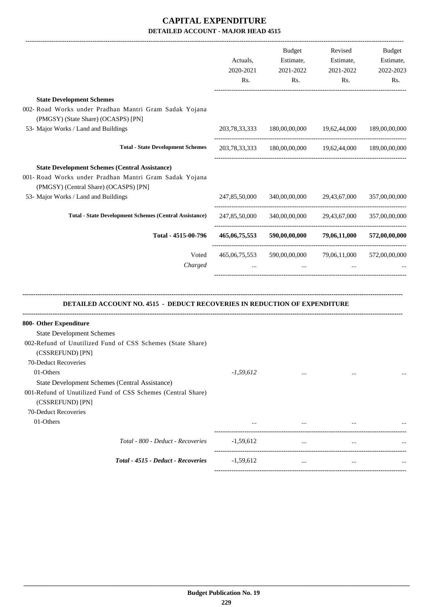| <b>State Development Schemes</b><br>002- Road Works under Pradhan Mantri Gram Sadak Yojana<br>(PMGSY) (State Share) (OCASPS) [PN]<br>53- Major Works / Land and Buildings<br>203,78,33,333 180,00,00,000 19,62,44,000<br><b>Total - State Development Schemes</b><br>203,78,33,333 180,00,00,000 19,62,44,000 189,00,00,000<br><b>State Development Schemes (Central Assistance)</b><br>001- Road Works under Pradhan Mantri Gram Sadak Yojana<br>(PMGSY) (Central Share) (OCASPS) [PN]<br>53- Major Works / Land and Buildings<br>340,00,00,000 29,43,67,000<br>247,85,50,000<br><b>Total - State Development Schemes (Central Assistance)</b><br>247,85,50,000<br>340,00,00,000 29,43,67,000<br>Total - 4515-00-796<br>465,06,75,553 590,00,00,000 79,06,11,000<br>Voted<br>79,06,11,000<br>465,06,75,553<br>590,00,00,000<br>Charged<br>$\cdots$<br><b>DETAILED ACCOUNT NO. 4515 - DEDUCT RECOVERIES IN REDUCTION OF EXPENDITURE</b><br><b>State Development Schemes</b><br>002-Refund of Unutilized Fund of CSS Schemes (State Share)<br>(CSSREFUND) [PN]<br>70-Deduct Recoveries<br>01-Others<br>$-1,59,612$<br>$\cdots$<br>$\cdots$<br><b>State Development Schemes (Central Assistance)</b><br>001-Refund of Unutilized Fund of CSS Schemes (Central Share)<br>(CSSREFUND) [PN]<br>70-Deduct Recoveries<br>01-Others<br>$\cdots$<br>$\cdots$<br>Total - 800 - Deduct - Recoveries<br>$-1,59,612$<br>$\cdots$<br>$\ldots$<br>Total - 4515 - Deduct - Recoveries<br>$-1,59,612$<br>$\cdots$ | Actuals,<br>2020-2021<br>Rs. | Budget<br>Estimate,<br>2021-2022<br>Rs. | Revised<br>Estimate,<br>2021-2022<br>Rs. | Budget<br>Estimate,<br>2022-2023<br>Rs. |
|--------------------------------------------------------------------------------------------------------------------------------------------------------------------------------------------------------------------------------------------------------------------------------------------------------------------------------------------------------------------------------------------------------------------------------------------------------------------------------------------------------------------------------------------------------------------------------------------------------------------------------------------------------------------------------------------------------------------------------------------------------------------------------------------------------------------------------------------------------------------------------------------------------------------------------------------------------------------------------------------------------------------------------------------------------------------------------------------------------------------------------------------------------------------------------------------------------------------------------------------------------------------------------------------------------------------------------------------------------------------------------------------------------------------------------------------------------------------------------------------------|------------------------------|-----------------------------------------|------------------------------------------|-----------------------------------------|
|                                                                                                                                                                                                                                                                                                                                                                                                                                                                                                                                                                                                                                                                                                                                                                                                                                                                                                                                                                                                                                                                                                                                                                                                                                                                                                                                                                                                                                                                                                  |                              |                                         |                                          |                                         |
| 800- Other Expenditure                                                                                                                                                                                                                                                                                                                                                                                                                                                                                                                                                                                                                                                                                                                                                                                                                                                                                                                                                                                                                                                                                                                                                                                                                                                                                                                                                                                                                                                                           |                              |                                         |                                          |                                         |
|                                                                                                                                                                                                                                                                                                                                                                                                                                                                                                                                                                                                                                                                                                                                                                                                                                                                                                                                                                                                                                                                                                                                                                                                                                                                                                                                                                                                                                                                                                  |                              |                                         |                                          | 189,00,00,000                           |
|                                                                                                                                                                                                                                                                                                                                                                                                                                                                                                                                                                                                                                                                                                                                                                                                                                                                                                                                                                                                                                                                                                                                                                                                                                                                                                                                                                                                                                                                                                  |                              |                                         |                                          |                                         |
|                                                                                                                                                                                                                                                                                                                                                                                                                                                                                                                                                                                                                                                                                                                                                                                                                                                                                                                                                                                                                                                                                                                                                                                                                                                                                                                                                                                                                                                                                                  |                              |                                         |                                          |                                         |
|                                                                                                                                                                                                                                                                                                                                                                                                                                                                                                                                                                                                                                                                                                                                                                                                                                                                                                                                                                                                                                                                                                                                                                                                                                                                                                                                                                                                                                                                                                  |                              |                                         |                                          | 357,00,00,000                           |
|                                                                                                                                                                                                                                                                                                                                                                                                                                                                                                                                                                                                                                                                                                                                                                                                                                                                                                                                                                                                                                                                                                                                                                                                                                                                                                                                                                                                                                                                                                  |                              |                                         |                                          | 357,00,00,000                           |
|                                                                                                                                                                                                                                                                                                                                                                                                                                                                                                                                                                                                                                                                                                                                                                                                                                                                                                                                                                                                                                                                                                                                                                                                                                                                                                                                                                                                                                                                                                  |                              |                                         |                                          | 572,00,00,000                           |
|                                                                                                                                                                                                                                                                                                                                                                                                                                                                                                                                                                                                                                                                                                                                                                                                                                                                                                                                                                                                                                                                                                                                                                                                                                                                                                                                                                                                                                                                                                  |                              |                                         |                                          | 572,00,00,000                           |
|                                                                                                                                                                                                                                                                                                                                                                                                                                                                                                                                                                                                                                                                                                                                                                                                                                                                                                                                                                                                                                                                                                                                                                                                                                                                                                                                                                                                                                                                                                  |                              |                                         |                                          |                                         |
|                                                                                                                                                                                                                                                                                                                                                                                                                                                                                                                                                                                                                                                                                                                                                                                                                                                                                                                                                                                                                                                                                                                                                                                                                                                                                                                                                                                                                                                                                                  |                              |                                         |                                          |                                         |
|                                                                                                                                                                                                                                                                                                                                                                                                                                                                                                                                                                                                                                                                                                                                                                                                                                                                                                                                                                                                                                                                                                                                                                                                                                                                                                                                                                                                                                                                                                  |                              |                                         |                                          |                                         |
|                                                                                                                                                                                                                                                                                                                                                                                                                                                                                                                                                                                                                                                                                                                                                                                                                                                                                                                                                                                                                                                                                                                                                                                                                                                                                                                                                                                                                                                                                                  |                              |                                         |                                          |                                         |
|                                                                                                                                                                                                                                                                                                                                                                                                                                                                                                                                                                                                                                                                                                                                                                                                                                                                                                                                                                                                                                                                                                                                                                                                                                                                                                                                                                                                                                                                                                  |                              |                                         |                                          |                                         |
|                                                                                                                                                                                                                                                                                                                                                                                                                                                                                                                                                                                                                                                                                                                                                                                                                                                                                                                                                                                                                                                                                                                                                                                                                                                                                                                                                                                                                                                                                                  |                              |                                         |                                          |                                         |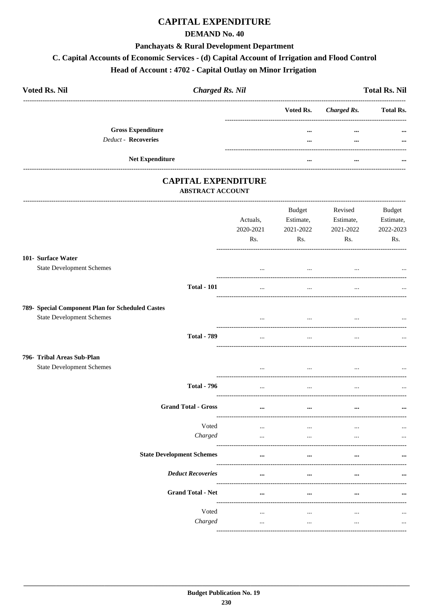### **CAPITAL EXPENDITURE**

#### **DEMAND No. 40**

#### **Panchayats & Rural Development Department**

#### C. Capital Accounts of Economic Services - (d) Capital Account of Irrigation and Flood Control

### Head of Account: 4702 - Capital Outlay on Minor Irrigation

| <b>Voted Rs. Nil</b>       | <b>Charged Rs. Nil</b> |           |             | <b>Total Rs. Nil</b> |
|----------------------------|------------------------|-----------|-------------|----------------------|
|                            |                        | Voted Rs. | Charged Rs. | <b>Total Rs.</b>     |
| <b>Gross Expenditure</b>   |                        | $\cdots$  | $\cdots$    | $\cdots$             |
| <b>Deduct - Recoveries</b> |                        | $\cdots$  | $\cdots$    |                      |
| <b>Net Expenditure</b>     |                        |           | $\cdots$    | $\cdots$             |

### **CAPITAL EXPENDITURE** ABSTRACT ACCOUNT

| Actuals,<br>2020-2021<br>Rs. | Budget<br>Estimate,<br>2021-2022<br>Rs. | Revised<br>Estimate,<br>2021-2022<br>Rs. | <b>Budget</b><br>Estimate,<br>2022-2023<br>Rs. |
|------------------------------|-----------------------------------------|------------------------------------------|------------------------------------------------|
| $\cdots$                     | $\cdots$                                |                                          |                                                |
| $\cdots$                     | $\cdots$                                | $\ddotsc$                                |                                                |
| $\cdots$                     | $\ldots$                                |                                          | $\cdots$                                       |
| $\ddotsc$                    | $\ddotsc$                               |                                          |                                                |
| $\ddotsc$                    | $\cdots$                                |                                          |                                                |
| $\cdots$                     | $\cdots$                                | $\cdots$                                 |                                                |
| $\cdots$                     | $\cdots$                                | $\cdots$                                 |                                                |
| $\cdots$<br>$\cdots$         | $\ddotsc$<br>$\cdots$                   | $\ddotsc$<br>$\ddotsc$                   |                                                |
| $\cdots$                     | $\cdots$                                | $\ddotsc$                                |                                                |
| $\ddotsc$                    | $\ddotsc$                               |                                          |                                                |
| $\cdots$                     | $\cdots$                                |                                          |                                                |
| $\cdots$                     | $\cdots$                                | $\cdots$                                 |                                                |
|                              |                                         |                                          |                                                |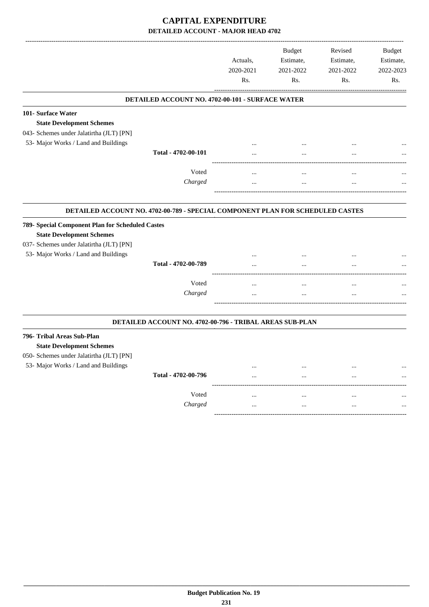|                                                                                                                      |                                                          | Actuals,<br>2020-2021<br>Rs. | <b>Budget</b><br>Estimate,<br>2021-2022<br>Rs. | Revised<br>Estimate,<br>2021-2022<br>Rs. | <b>Budget</b><br>Estimate,<br>2022-2023<br>Rs. |
|----------------------------------------------------------------------------------------------------------------------|----------------------------------------------------------|------------------------------|------------------------------------------------|------------------------------------------|------------------------------------------------|
|                                                                                                                      | DETAILED ACCOUNT NO. 4702-00-101 - SURFACE WATER         |                              |                                                |                                          |                                                |
| 101- Surface Water<br><b>State Development Schemes</b><br>043- Schemes under Jalatirtha (JLT) [PN]                   |                                                          |                              |                                                |                                          |                                                |
| 53- Major Works / Land and Buildings                                                                                 |                                                          |                              |                                                |                                          |                                                |
|                                                                                                                      | Total - 4702-00-101                                      |                              |                                                |                                          |                                                |
|                                                                                                                      | Voted                                                    |                              |                                                | $\ddotsc$                                |                                                |
|                                                                                                                      | Charged                                                  |                              |                                                |                                          |                                                |
| <b>State Development Schemes</b><br>037- Schemes under Jalatirtha (JLT) [PN]<br>53- Major Works / Land and Buildings | Total - 4702-00-789                                      | $\ddotsc$<br>$\cdot$ $\cdot$ | $\ddotsc$<br>$\ddotsc$                         | $\cdot \cdot$<br>$\cdot$ $\cdot$         |                                                |
|                                                                                                                      | Voted<br>Charged                                         |                              | <br>$\ddotsc$                                  | <br>                                     |                                                |
|                                                                                                                      | DETAILED ACCOUNT NO. 4702-00-796 - TRIBAL AREAS SUB-PLAN |                              |                                                |                                          |                                                |
| 796- Tribal Areas Sub-Plan<br><b>State Development Schemes</b><br>050- Schemes under Jalatirtha (JLT) [PN]           |                                                          |                              |                                                |                                          |                                                |
| 53- Major Works / Land and Buildings                                                                                 | Total - 4702-00-796                                      |                              | $\ddotsc$                                      | <br>$\ddotsc$                            |                                                |
|                                                                                                                      |                                                          |                              |                                                |                                          |                                                |
|                                                                                                                      | Voted                                                    |                              |                                                |                                          |                                                |
|                                                                                                                      | Charged                                                  |                              |                                                |                                          |                                                |
|                                                                                                                      |                                                          |                              |                                                |                                          |                                                |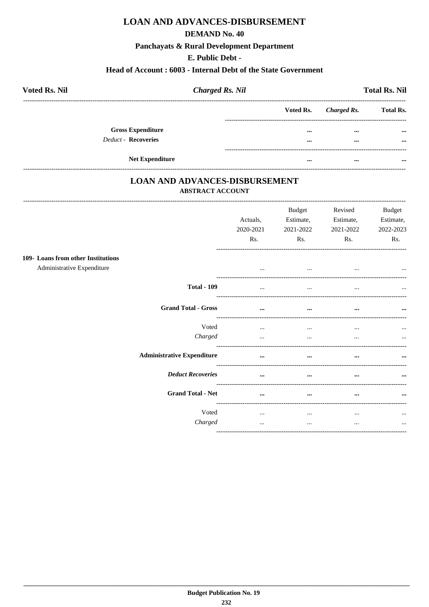### **LOAN AND ADVANCES-DISBURSEMENT**

#### **DEMAND No. 40**

#### Panchayats & Rural Development Department

### E. Public Debt -

#### Head of Account: 6003 - Internal Debt of the State Government

| <b>Voted Rs. Nil</b>     | <b>Charged Rs. Nil</b> |           |             | <b>Total Rs. Nil</b> |
|--------------------------|------------------------|-----------|-------------|----------------------|
|                          |                        | Voted Rs. | Charged Rs. | <b>Total Rs.</b>     |
| <b>Gross Expenditure</b> |                        | $\cdots$  | $\cdots$    | $\cdots$             |
| Deduct - Recoveries      |                        | $\cdots$  | $\cdots$    | $\cdots$             |
| <b>Net Expenditure</b>   |                        | $\cdots$  | $\cdots$    | $\cdots$             |

### **LOAN AND ADVANCES-DISBURSEMENT ABSTRACT ACCOUNT**

|                                                                  | Actuals,<br>2020-2021<br>Rs. | <b>Budget</b><br>Estimate,<br>2021-2022<br>Rs. | Revised<br>Estimate,<br>2021-2022<br>Rs. | <b>Budget</b><br>Estimate,<br>2022-2023<br>Rs. |
|------------------------------------------------------------------|------------------------------|------------------------------------------------|------------------------------------------|------------------------------------------------|
|                                                                  |                              |                                                |                                          |                                                |
| 109- Loans from other Institutions<br>Administrative Expenditure | $\cdots$                     | $\cdots$                                       | $\cdots$                                 | $\cdots$                                       |
| <b>Total - 109</b>                                               | $\cdots$                     | $\cdots$                                       | $\cdots$                                 | $\ddotsc$                                      |
| <b>Grand Total - Gross</b>                                       | $\cdots$                     | $\cdots$                                       | $\cdots$                                 | $\cdots$                                       |
| Voted                                                            | $\cdots$                     | $\cdots$                                       | $\cdots$                                 | $\cdots$                                       |
| Charged                                                          | $\cdots$                     | $\cdots$                                       | $\cdots$                                 | $\cdots$                                       |
| <b>Administrative Expenditure</b>                                | $\cdots$                     | $\cdots$                                       | $\cdots$                                 | $\cdots$                                       |
| <b>Deduct Recoveries</b>                                         | $\cdots$                     | $\cdots$                                       | $\cdots$                                 | $\cdots$                                       |
| <b>Grand Total - Net</b>                                         | $\cdots$                     | $\cdots$                                       | $\cdots$                                 | $\cdots$                                       |
| Voted                                                            | $\cdots$                     | $\cdots$                                       | $\cdots$                                 | $\cdots$                                       |
| Charged                                                          | $\cdots$                     | $\cdots$                                       | $\cdots$                                 | $\cdots$                                       |
|                                                                  |                              |                                                |                                          |                                                |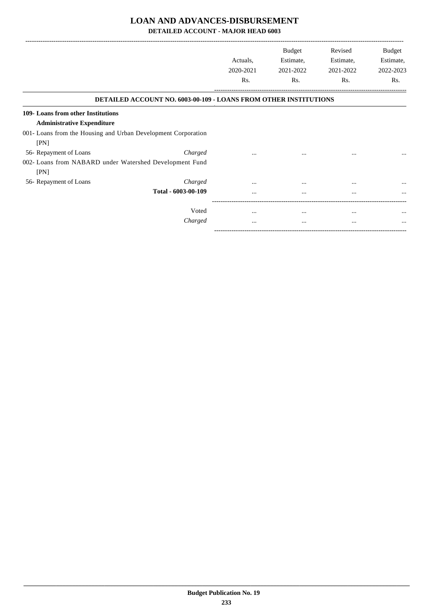### **LOAN AND ADVANCES-DISBURSEMENT**

**DETAILED ACCOUNT - MAJOR HEAD 6003**

|                                                                 |                                                                         |                  | <b>Budget</b>    | Revised          | Budget           |
|-----------------------------------------------------------------|-------------------------------------------------------------------------|------------------|------------------|------------------|------------------|
|                                                                 |                                                                         | Actuals.         | Estimate,        | Estimate,        | Estimate,        |
|                                                                 |                                                                         | 2020-2021<br>Rs. | 2021-2022<br>Rs. | 2021-2022<br>Rs. | 2022-2023<br>Rs. |
|                                                                 |                                                                         |                  |                  |                  |                  |
|                                                                 | <b>DETAILED ACCOUNT NO. 6003-00-109 - LOANS FROM OTHER INSTITUTIONS</b> |                  |                  |                  |                  |
| 109- Loans from other Institutions                              |                                                                         |                  |                  |                  |                  |
| <b>Administrative Expenditure</b>                               |                                                                         |                  |                  |                  |                  |
| 001- Loans from the Housing and Urban Development Corporation   |                                                                         |                  |                  |                  |                  |
| [PN]                                                            |                                                                         |                  |                  |                  |                  |
| 56- Repayment of Loans                                          | Charged                                                                 | $\cdots$         | $\cdots$         | $\cdots$         |                  |
| 002- Loans from NABARD under Watershed Development Fund<br>[PN] |                                                                         |                  |                  |                  |                  |
| 56- Repayment of Loans                                          | Charged                                                                 | $\cdots$         | $\cdots$         |                  | $\cdots$         |
|                                                                 | Total - 6003-00-109                                                     |                  |                  | $\cdots$         |                  |
|                                                                 | Voted                                                                   |                  |                  |                  |                  |
|                                                                 |                                                                         | $\cdots$         | $\cdots$         | $\cdots$         | $\cdots$         |
|                                                                 | Charged                                                                 |                  | $\cdots$         | $\cdots$         | $\cdots$         |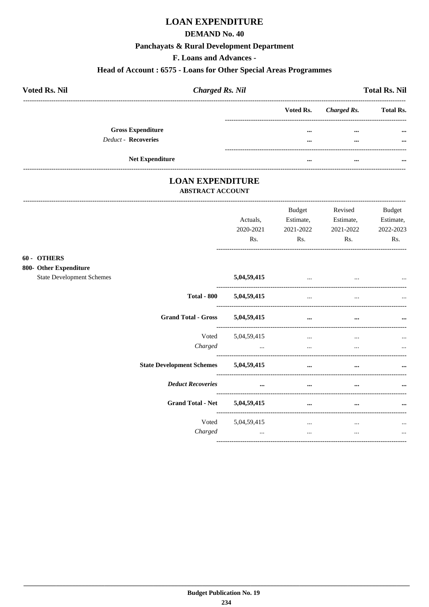## **LOAN EXPENDITURE**

#### **DEMAND No. 40**

## Panchayats & Rural Development Department

F. Loans and Advances -

#### Head of Account: 6575 - Loans for Other Special Areas Programmes

| <b>Voted Rs. Nil</b>     | <b>Charged Rs. Nil</b> |                       | <b>Total Rs. Nil</b> |  |  |
|--------------------------|------------------------|-----------------------|----------------------|--|--|
|                          |                        | Voted Rs. Charged Rs. | <b>Total Rs.</b>     |  |  |
| <b>Gross Expenditure</b> |                        |                       | $\cdots$<br>$\cdots$ |  |  |
| Deduct - Recoveries      |                        |                       | $\cdots$<br>$\cdots$ |  |  |
|                          |                        |                       |                      |  |  |
| <b>Net Expenditure</b>   |                        |                       | <br>$\cdots$         |  |  |

# **LOAN EXPENDITURE**

-----------------------------------

#### **ABSTRACT ACCOUNT**

|                                                                           | Actuals,<br>2020-2021<br>Rs. | <b>Budget</b><br>Estimate,<br>2021-2022<br>Rs. | Revised<br>Estimate,<br>2021-2022<br>Rs. | <b>Budget</b><br>Estimate,<br>2022-2023<br>Rs. |
|---------------------------------------------------------------------------|------------------------------|------------------------------------------------|------------------------------------------|------------------------------------------------|
| 60 - OTHERS<br>800- Other Expenditure<br><b>State Development Schemes</b> | 5,04,59,415                  | $\cdots$                                       |                                          |                                                |
| <b>Total - 800</b>                                                        | 5,04,59,415                  | $\cdots$                                       | $\cdots$                                 |                                                |
| <b>Grand Total - Gross</b>                                                | 5,04,59,415                  | $\cdots$                                       | $\cdots$                                 | $\cdots$                                       |
| Voted<br>Charged                                                          | 5,04,59,415<br>$\cdots$      | $\cdots$<br>$\ddotsc$                          | $\cdots$<br>$\cdots$                     | $\cdots$                                       |
| <b>State Development Schemes</b>                                          | 5,04,59,415                  | $\cdots$                                       | $\cdots$                                 |                                                |
| <b>Deduct Recoveries</b>                                                  | $\cdots$                     | $\cdots$                                       | $\cdots$                                 |                                                |
| Grand Total - Net 5,04,59,415                                             |                              | $\cdots$                                       | $\cdots$                                 | $\cdots$                                       |
| Voted<br>Charged                                                          | 5,04,59,415<br>$\cdots$      | $\cdots$<br>$\cdots$                           | $\cdots$<br>$\cdots$                     | $\cdots$<br>$\cdots$                           |